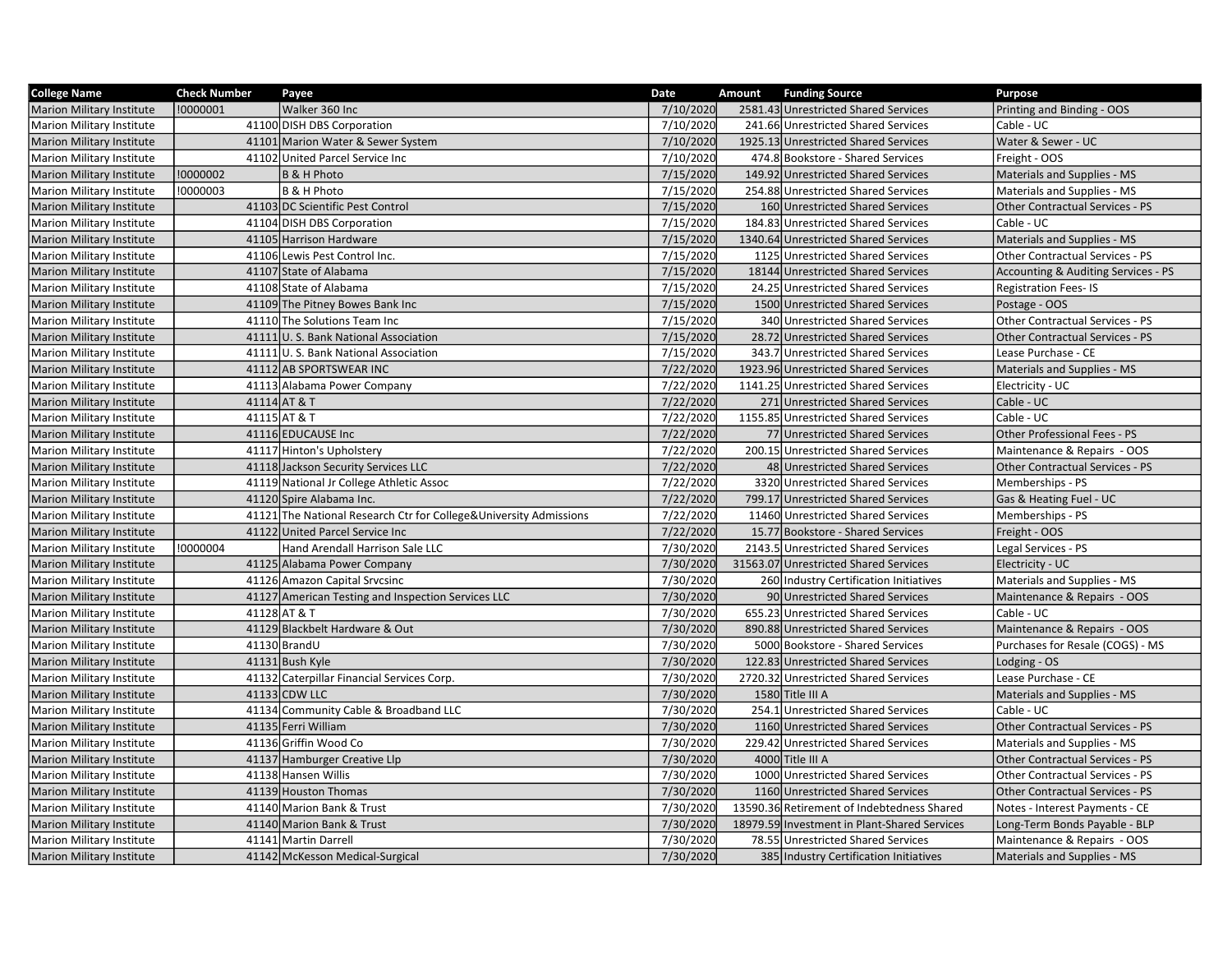| <b>College Name</b>              | <b>Check Number</b> | Payee                                                              | Date      | Amount | <b>Funding Source</b>                        | <b>Purpose</b>                         |
|----------------------------------|---------------------|--------------------------------------------------------------------|-----------|--------|----------------------------------------------|----------------------------------------|
| <b>Marion Military Institute</b> | !0000001            | Walker 360 Inc                                                     | 7/10/2020 |        | 2581.43 Unrestricted Shared Services         | Printing and Binding - OOS             |
| <b>Marion Military Institute</b> |                     | 41100 DISH DBS Corporation                                         | 7/10/2020 |        | 241.66 Unrestricted Shared Services          | Cable - UC                             |
| Marion Military Institute        |                     | 41101 Marion Water & Sewer System                                  | 7/10/2020 |        | 1925.13 Unrestricted Shared Services         | Water & Sewer - UC                     |
| <b>Marion Military Institute</b> |                     | 41102 United Parcel Service Inc                                    | 7/10/2020 |        | 474.8 Bookstore - Shared Services            | Freight - OOS                          |
| <b>Marion Military Institute</b> | !0000002            | B & H Photo                                                        | 7/15/2020 |        | 149.92 Unrestricted Shared Services          | Materials and Supplies - MS            |
| Marion Military Institute        | !0000003            | B & H Photo                                                        | 7/15/2020 |        | 254.88 Unrestricted Shared Services          | Materials and Supplies - MS            |
| <b>Marion Military Institute</b> |                     | 41103 DC Scientific Pest Control                                   | 7/15/2020 |        | 160 Unrestricted Shared Services             | <b>Other Contractual Services - PS</b> |
| <b>Marion Military Institute</b> |                     | 41104 DISH DBS Corporation                                         | 7/15/2020 |        | 184.83 Unrestricted Shared Services          | Cable - UC                             |
| <b>Marion Military Institute</b> |                     | 41105 Harrison Hardware                                            | 7/15/2020 |        | 1340.64 Unrestricted Shared Services         | Materials and Supplies - MS            |
| <b>Marion Military Institute</b> |                     | 41106 Lewis Pest Control Inc.                                      | 7/15/2020 |        | 1125 Unrestricted Shared Services            | Other Contractual Services - PS        |
| <b>Marion Military Institute</b> |                     | 41107 State of Alabama                                             | 7/15/2020 |        | 18144 Unrestricted Shared Services           | Accounting & Auditing Services - PS    |
| <b>Marion Military Institute</b> |                     | 41108 State of Alabama                                             | 7/15/2020 |        | 24.25 Unrestricted Shared Services           | <b>Registration Fees-IS</b>            |
| <b>Marion Military Institute</b> |                     | 41109 The Pitney Bowes Bank Inc                                    | 7/15/2020 |        | 1500 Unrestricted Shared Services            | Postage - OOS                          |
| <b>Marion Military Institute</b> |                     | 41110 The Solutions Team Inc                                       | 7/15/2020 |        | 340 Unrestricted Shared Services             | Other Contractual Services - PS        |
| Marion Military Institute        |                     | 41111 U.S. Bank National Association                               | 7/15/2020 |        | 28.72 Unrestricted Shared Services           | <b>Other Contractual Services - PS</b> |
| <b>Marion Military Institute</b> |                     | 41111 U.S. Bank National Association                               | 7/15/2020 |        | 343.7 Unrestricted Shared Services           | Lease Purchase - CE                    |
| Marion Military Institute        |                     | 41112 AB SPORTSWEAR INC                                            | 7/22/2020 |        | 1923.96 Unrestricted Shared Services         | Materials and Supplies - MS            |
| <b>Marion Military Institute</b> |                     | 41113 Alabama Power Company                                        | 7/22/2020 |        | 1141.25 Unrestricted Shared Services         | Electricity - UC                       |
| <b>Marion Military Institute</b> |                     | 41114 AT & T                                                       | 7/22/2020 |        | 271 Unrestricted Shared Services             | Cable - UC                             |
| <b>Marion Military Institute</b> |                     | 41115 AT & T                                                       | 7/22/2020 |        | 1155.85 Unrestricted Shared Services         | Cable - UC                             |
| <b>Marion Military Institute</b> |                     | 41116 EDUCAUSE Inc                                                 | 7/22/2020 |        | 77 Unrestricted Shared Services              | Other Professional Fees - PS           |
| <b>Marion Military Institute</b> |                     | 41117 Hinton's Upholstery                                          | 7/22/2020 |        | 200.15 Unrestricted Shared Services          | Maintenance & Repairs - OOS            |
| <b>Marion Military Institute</b> |                     | 41118 Jackson Security Services LLC                                | 7/22/2020 |        | 48 Unrestricted Shared Services              | <b>Other Contractual Services - PS</b> |
| Marion Military Institute        |                     | 41119 National Jr College Athletic Assoc                           | 7/22/2020 |        | 3320 Unrestricted Shared Services            | Memberships - PS                       |
| <b>Marion Military Institute</b> |                     | 41120 Spire Alabama Inc.                                           | 7/22/2020 |        | 799.17 Unrestricted Shared Services          | Gas & Heating Fuel - UC                |
| <b>Marion Military Institute</b> |                     | 41121 The National Research Ctr for College& University Admissions | 7/22/2020 |        | 11460 Unrestricted Shared Services           | Memberships - PS                       |
| <b>Marion Military Institute</b> |                     | 41122 United Parcel Service Inc                                    | 7/22/2020 |        | 15.77 Bookstore - Shared Services            | Freight - OOS                          |
| <b>Marion Military Institute</b> | !0000004            | Hand Arendall Harrison Sale LLC                                    | 7/30/2020 |        | 2143.5 Unrestricted Shared Services          | Legal Services - PS                    |
| <b>Marion Military Institute</b> |                     | 41125 Alabama Power Company                                        | 7/30/2020 |        | 31563.07 Unrestricted Shared Services        | Electricity - UC                       |
| Marion Military Institute        |                     | 41126 Amazon Capital Srvcsinc                                      | 7/30/2020 |        | 260 Industry Certification Initiatives       | Materials and Supplies - MS            |
| Marion Military Institute        |                     | 41127 American Testing and Inspection Services LLC                 | 7/30/2020 |        | 90 Unrestricted Shared Services              | Maintenance & Repairs - OOS            |
| <b>Marion Military Institute</b> |                     | 41128 AT & T                                                       | 7/30/2020 |        | 655.23 Unrestricted Shared Services          | Cable - UC                             |
| Marion Military Institute        |                     | 41129 Blackbelt Hardware & Out                                     | 7/30/2020 |        | 890.88 Unrestricted Shared Services          | Maintenance & Repairs - OOS            |
| <b>Marion Military Institute</b> |                     | 41130 BrandU                                                       | 7/30/2020 |        | 5000 Bookstore - Shared Services             | Purchases for Resale (COGS) - MS       |
| <b>Marion Military Institute</b> |                     | 41131 Bush Kyle                                                    | 7/30/2020 |        | 122.83 Unrestricted Shared Services          | Lodging - OS                           |
| <b>Marion Military Institute</b> |                     | 41132 Caterpillar Financial Services Corp.                         | 7/30/2020 |        | 2720.32 Unrestricted Shared Services         | Lease Purchase - CE                    |
| <b>Marion Military Institute</b> |                     | 41133 CDW LLC                                                      | 7/30/2020 |        | 1580 Title III A                             | Materials and Supplies - MS            |
| Marion Military Institute        |                     | 41134 Community Cable & Broadband LLC                              | 7/30/2020 |        | 254.1 Unrestricted Shared Services           | Cable - UC                             |
| <b>Marion Military Institute</b> |                     | 41135 Ferri William                                                | 7/30/2020 |        | 1160 Unrestricted Shared Services            | Other Contractual Services - PS        |
| Marion Military Institute        |                     | 41136 Griffin Wood Co                                              | 7/30/2020 |        | 229.42 Unrestricted Shared Services          | Materials and Supplies - MS            |
| Marion Military Institute        |                     | 41137 Hamburger Creative Llp                                       | 7/30/2020 |        | 4000 Title III A                             | Other Contractual Services - PS        |
| Marion Military Institute        |                     | 41138 Hansen Willis                                                | 7/30/2020 |        | 1000 Unrestricted Shared Services            | <b>Other Contractual Services - PS</b> |
| <b>Marion Military Institute</b> |                     | 41139 Houston Thomas                                               | 7/30/2020 |        | 1160 Unrestricted Shared Services            | <b>Other Contractual Services - PS</b> |
| <b>Marion Military Institute</b> |                     | 41140 Marion Bank & Trust                                          | 7/30/2020 |        | 13590.36 Retirement of Indebtedness Shared   | Notes - Interest Payments - CE         |
| <b>Marion Military Institute</b> |                     | 41140 Marion Bank & Trust                                          | 7/30/2020 |        | 18979.59 Investment in Plant-Shared Services | Long-Term Bonds Payable - BLP          |
| <b>Marion Military Institute</b> |                     | 41141 Martin Darrell                                               | 7/30/2020 |        | 78.55 Unrestricted Shared Services           | Maintenance & Repairs - OOS            |
| Marion Military Institute        |                     | 41142 McKesson Medical-Surgical                                    | 7/30/2020 |        | 385 Industry Certification Initiatives       | Materials and Supplies - MS            |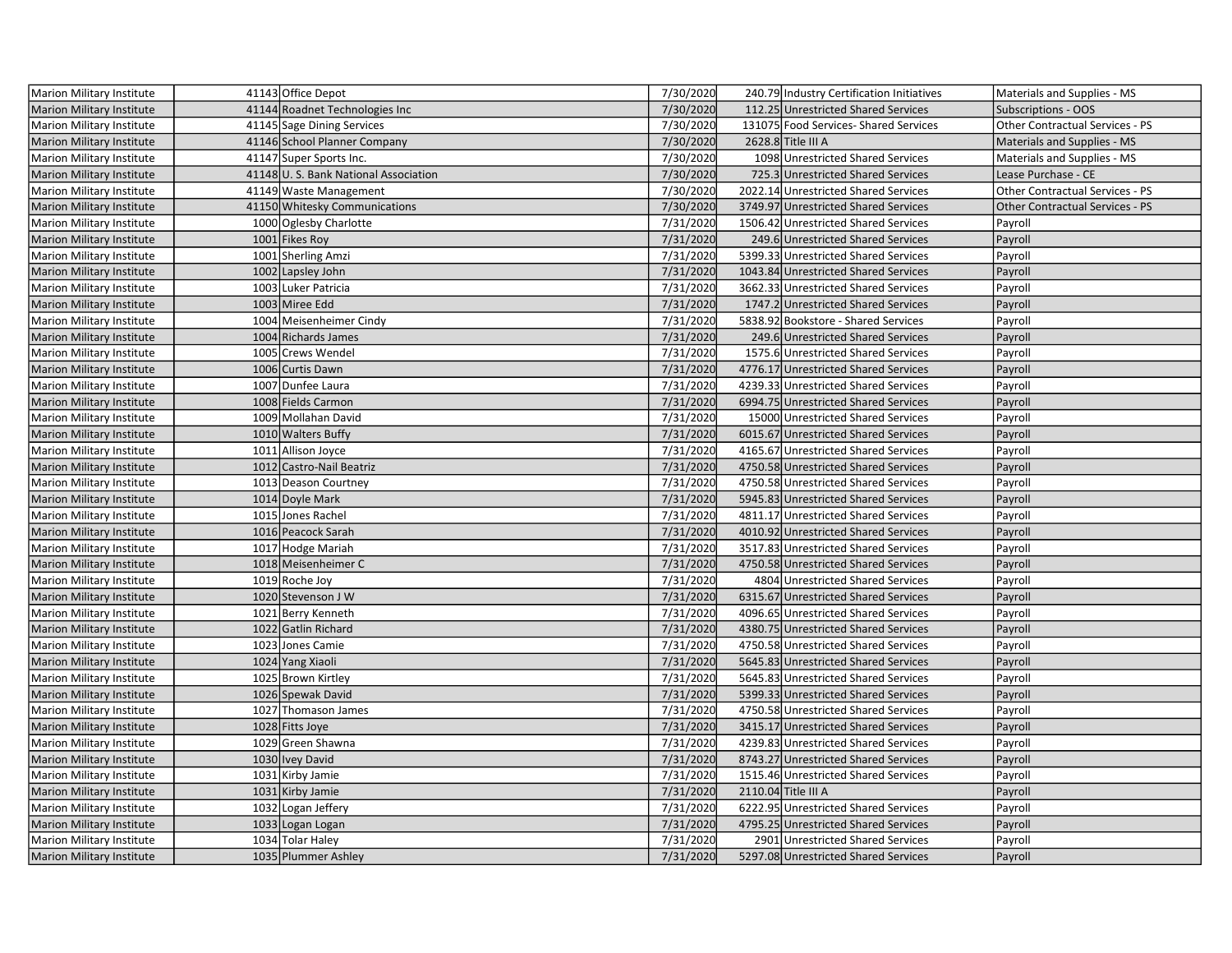| Marion Military Institute        | 41143 Office Depot                   | 7/30/2020 | 240.79 Industry Certification Initiatives | Materials and Supplies - MS     |
|----------------------------------|--------------------------------------|-----------|-------------------------------------------|---------------------------------|
| Marion Military Institute        | 41144 Roadnet Technologies Inc       | 7/30/2020 | 112.25 Unrestricted Shared Services       | <b>Subscriptions - OOS</b>      |
| Marion Military Institute        | 41145 Sage Dining Services           | 7/30/2020 | 131075 Food Services- Shared Services     | Other Contractual Services - PS |
| <b>Marion Military Institute</b> | 41146 School Planner Company         | 7/30/2020 | 2628.8 Title III A                        | Materials and Supplies - MS     |
| <b>Marion Military Institute</b> | 41147 Super Sports Inc.              | 7/30/2020 | 1098 Unrestricted Shared Services         | Materials and Supplies - MS     |
| <b>Marion Military Institute</b> | 41148 U.S. Bank National Association | 7/30/2020 | 725.3 Unrestricted Shared Services        | Lease Purchase - CE             |
| Marion Military Institute        | 41149 Waste Management               | 7/30/2020 | 2022.14 Unrestricted Shared Services      | Other Contractual Services - PS |
| <b>Marion Military Institute</b> | 41150 Whitesky Communications        | 7/30/2020 | 3749.97 Unrestricted Shared Services      | Other Contractual Services - PS |
| Marion Military Institute        | 1000 Oglesby Charlotte               | 7/31/2020 | 1506.42 Unrestricted Shared Services      | Payroll                         |
| <b>Marion Military Institute</b> | 1001 Fikes Roy                       | 7/31/2020 | 249.6 Unrestricted Shared Services        | Payroll                         |
| <b>Marion Military Institute</b> | 1001 Sherling Amzi                   | 7/31/2020 | 5399.33 Unrestricted Shared Services      | Payroll                         |
| <b>Marion Military Institute</b> | 1002 Lapsley John                    | 7/31/2020 | 1043.84 Unrestricted Shared Services      | Payroll                         |
| Marion Military Institute        | 1003 Luker Patricia                  | 7/31/2020 | 3662.33 Unrestricted Shared Services      | Payroll                         |
| <b>Marion Military Institute</b> | 1003 Miree Edd                       | 7/31/2020 | 1747.2 Unrestricted Shared Services       | Payroll                         |
| <b>Marion Military Institute</b> | 1004 Meisenheimer Cindy              | 7/31/2020 | 5838.92 Bookstore - Shared Services       | Payroll                         |
| Marion Military Institute        | 1004 Richards James                  | 7/31/2020 | 249.6 Unrestricted Shared Services        | Payroll                         |
| <b>Marion Military Institute</b> | 1005 Crews Wendel                    | 7/31/2020 | 1575.6 Unrestricted Shared Services       | Payroll                         |
| Marion Military Institute        | 1006 Curtis Dawn                     | 7/31/2020 | 4776.17 Unrestricted Shared Services      | Payroll                         |
| Marion Military Institute        | 1007 Dunfee Laura                    | 7/31/2020 | 4239.33 Unrestricted Shared Services      | Payroll                         |
| <b>Marion Military Institute</b> | 1008 Fields Carmon                   | 7/31/2020 | 6994.75 Unrestricted Shared Services      | Payroll                         |
| <b>Marion Military Institute</b> | 1009 Mollahan David                  | 7/31/2020 | 15000 Unrestricted Shared Services        | Payroll                         |
| <b>Marion Military Institute</b> | 1010 Walters Buffy                   | 7/31/2020 | 6015.67 Unrestricted Shared Services      | Payroll                         |
| Marion Military Institute        | 1011 Allison Joyce                   | 7/31/2020 | 4165.67 Unrestricted Shared Services      | Payroll                         |
| <b>Marion Military Institute</b> | 1012 Castro-Nail Beatriz             | 7/31/2020 | 4750.58 Unrestricted Shared Services      | Payroll                         |
| Marion Military Institute        | 1013 Deason Courtney                 | 7/31/2020 | 4750.58 Unrestricted Shared Services      | Payroll                         |
| <b>Marion Military Institute</b> | 1014 Doyle Mark                      | 7/31/2020 | 5945.83 Unrestricted Shared Services      | Payroll                         |
| <b>Marion Military Institute</b> | 1015 Jones Rachel                    | 7/31/2020 | 4811.17 Unrestricted Shared Services      | Payroll                         |
| <b>Marion Military Institute</b> | 1016 Peacock Sarah                   | 7/31/2020 | 4010.92 Unrestricted Shared Services      | Payroll                         |
| <b>Marion Military Institute</b> | 1017 Hodge Mariah                    | 7/31/2020 | 3517.83 Unrestricted Shared Services      | Payroll                         |
| <b>Marion Military Institute</b> | 1018 Meisenheimer C                  | 7/31/2020 | 4750.58 Unrestricted Shared Services      | Payroll                         |
| <b>Marion Military Institute</b> | 1019 Roche Joy                       | 7/31/2020 | 4804 Unrestricted Shared Services         | Payroll                         |
| Marion Military Institute        | 1020 Stevenson J W                   | 7/31/2020 | 6315.67 Unrestricted Shared Services      | Payroll                         |
| <b>Marion Military Institute</b> | 1021 Berry Kenneth                   | 7/31/2020 | 4096.65 Unrestricted Shared Services      | Payroll                         |
| Marion Military Institute        | 1022 Gatlin Richard                  | 7/31/2020 | 4380.75 Unrestricted Shared Services      | Payroll                         |
| Marion Military Institute        | 1023 Jones Camie                     | 7/31/2020 | 4750.58 Unrestricted Shared Services      | Payroll                         |
| <b>Marion Military Institute</b> | 1024 Yang Xiaoli                     | 7/31/2020 | 5645.83 Unrestricted Shared Services      | Payroll                         |
| <b>Marion Military Institute</b> | 1025 Brown Kirtley                   | 7/31/2020 | 5645.83 Unrestricted Shared Services      | Payroll                         |
| <b>Marion Military Institute</b> | 1026 Spewak David                    | 7/31/2020 | 5399.33 Unrestricted Shared Services      | Payroll                         |
| <b>Marion Military Institute</b> | 1027 Thomason James                  | 7/31/2020 | 4750.58 Unrestricted Shared Services      | Payroll                         |
| <b>Marion Military Institute</b> | 1028 Fitts Joye                      | 7/31/2020 | 3415.17 Unrestricted Shared Services      | Payroll                         |
| Marion Military Institute        | 1029 Green Shawna                    | 7/31/2020 | 4239.83 Unrestricted Shared Services      | Payroll                         |
| Marion Military Institute        | 1030 Ivey David                      | 7/31/2020 | 8743.27 Unrestricted Shared Services      | Payroll                         |
| Marion Military Institute        | 1031 Kirby Jamie                     | 7/31/2020 | 1515.46 Unrestricted Shared Services      | Payroll                         |
| <b>Marion Military Institute</b> | 1031 Kirby Jamie                     | 7/31/2020 | 2110.04 Title III A                       | Payroll                         |
| <b>Marion Military Institute</b> | 1032 Logan Jeffery                   | 7/31/2020 | 6222.95 Unrestricted Shared Services      | Payroll                         |
| <b>Marion Military Institute</b> | 1033 Logan Logan                     | 7/31/2020 | 4795.25 Unrestricted Shared Services      | Payroll                         |
| <b>Marion Military Institute</b> | 1034 Tolar Haley                     | 7/31/2020 | 2901 Unrestricted Shared Services         | Payroll                         |
| Marion Military Institute        | 1035 Plummer Ashley                  | 7/31/2020 | 5297.08 Unrestricted Shared Services      | Payroll                         |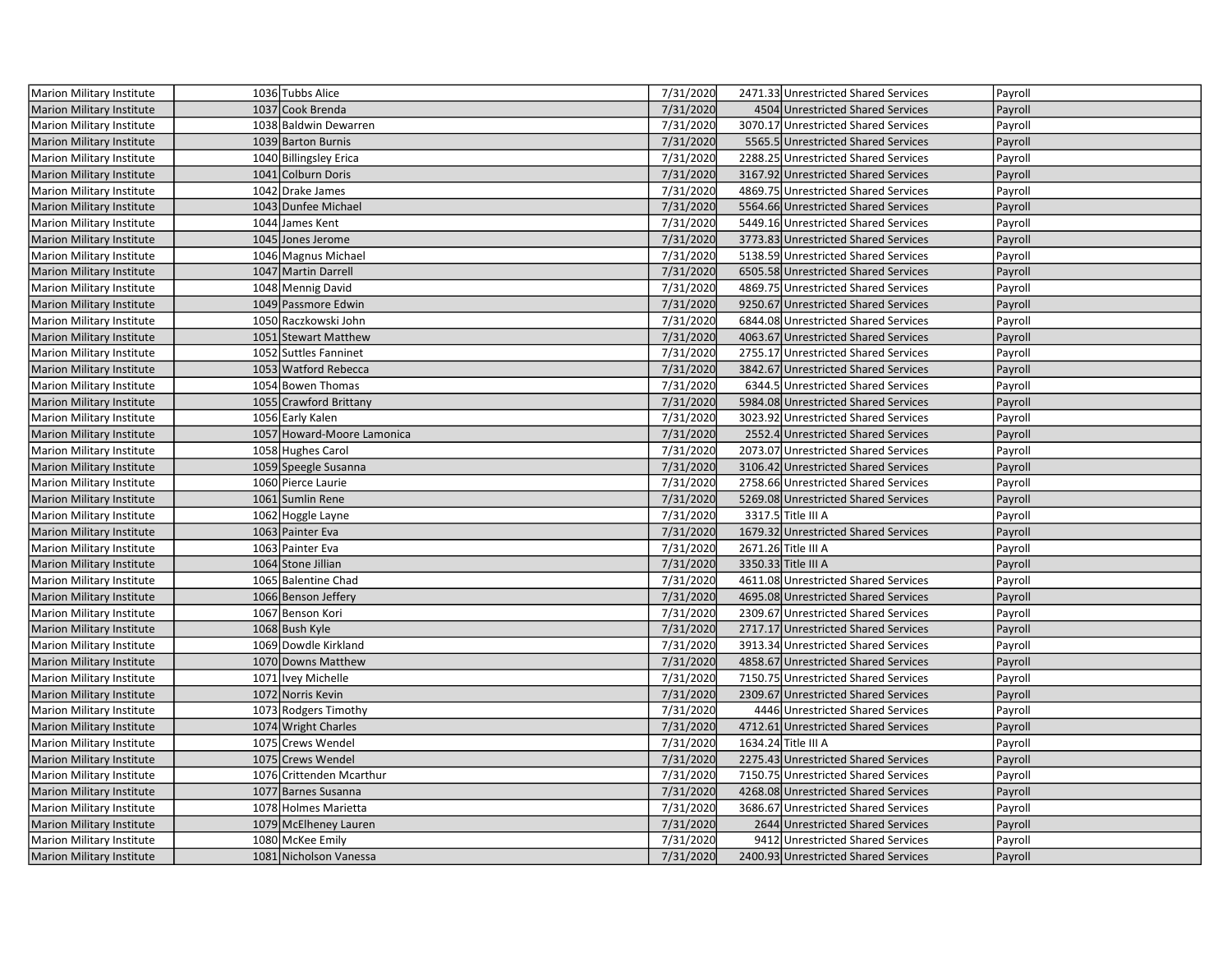| Marion Military Institute        | 1036 Tubbs Alice           | 7/31/2020 | 2471.33 Unrestricted Shared Services | Payroll |
|----------------------------------|----------------------------|-----------|--------------------------------------|---------|
| Marion Military Institute        | 1037 Cook Brenda           | 7/31/2020 | 4504 Unrestricted Shared Services    | Payroll |
| <b>Marion Military Institute</b> | 1038 Baldwin Dewarren      | 7/31/2020 | 3070.17 Unrestricted Shared Services | Payroll |
| <b>Marion Military Institute</b> | 1039 Barton Burnis         | 7/31/2020 | 5565.5 Unrestricted Shared Services  | Payroll |
| <b>Marion Military Institute</b> | 1040 Billingsley Erica     | 7/31/2020 | 2288.25 Unrestricted Shared Services | Payroll |
| <b>Marion Military Institute</b> | 1041 Colburn Doris         | 7/31/2020 | 3167.92 Unrestricted Shared Services | Payroll |
| Marion Military Institute        | 1042 Drake James           | 7/31/2020 | 4869.75 Unrestricted Shared Services | Payroll |
| <b>Marion Military Institute</b> | 1043 Dunfee Michael        | 7/31/2020 | 5564.66 Unrestricted Shared Services | Payroll |
| Marion Military Institute        | 1044 James Kent            | 7/31/2020 | 5449.16 Unrestricted Shared Services | Payroll |
| <b>Marion Military Institute</b> | 1045 Jones Jerome          | 7/31/2020 | 3773.83 Unrestricted Shared Services | Payroll |
| <b>Marion Military Institute</b> | 1046 Magnus Michael        | 7/31/2020 | 5138.59 Unrestricted Shared Services | Payroll |
| <b>Marion Military Institute</b> | 1047 Martin Darrell        | 7/31/2020 | 6505.58 Unrestricted Shared Services | Payroll |
| <b>Marion Military Institute</b> | 1048 Mennig David          | 7/31/2020 | 4869.75 Unrestricted Shared Services | Payroll |
| Marion Military Institute        | 1049 Passmore Edwin        | 7/31/2020 | 9250.67 Unrestricted Shared Services | Payroll |
| <b>Marion Military Institute</b> | 1050 Raczkowski John       | 7/31/2020 | 6844.08 Unrestricted Shared Services | Payroll |
| Marion Military Institute        | 1051 Stewart Matthew       | 7/31/2020 | 4063.67 Unrestricted Shared Services | Payroll |
| <b>Marion Military Institute</b> | 1052 Suttles Fanninet      | 7/31/2020 | 2755.17 Unrestricted Shared Services | Payroll |
| Marion Military Institute        | 1053 Watford Rebecca       | 7/31/2020 | 3842.67 Unrestricted Shared Services | Payroll |
| <b>Marion Military Institute</b> | 1054 Bowen Thomas          | 7/31/2020 | 6344.5 Unrestricted Shared Services  | Payroll |
| Marion Military Institute        | 1055 Crawford Brittany     | 7/31/2020 | 5984.08 Unrestricted Shared Services | Payroll |
| <b>Marion Military Institute</b> | 1056 Early Kalen           | 7/31/2020 | 3023.92 Unrestricted Shared Services | Payroll |
| <b>Marion Military Institute</b> | 1057 Howard-Moore Lamonica | 7/31/2020 | 2552.4 Unrestricted Shared Services  | Payroll |
| Marion Military Institute        | 1058 Hughes Carol          | 7/31/2020 | 2073.07 Unrestricted Shared Services | Payroll |
| Marion Military Institute        | 1059 Speegle Susanna       | 7/31/2020 | 3106.42 Unrestricted Shared Services | Payroll |
| Marion Military Institute        | 1060 Pierce Laurie         | 7/31/2020 | 2758.66 Unrestricted Shared Services | Payroll |
| Marion Military Institute        | 1061 Sumlin Rene           | 7/31/2020 | 5269.08 Unrestricted Shared Services | Payroll |
| <b>Marion Military Institute</b> | 1062 Hoggle Layne          | 7/31/2020 | 3317.5 Title III A                   | Payroll |
| <b>Marion Military Institute</b> | 1063 Painter Eva           | 7/31/2020 | 1679.32 Unrestricted Shared Services | Payroll |
| <b>Marion Military Institute</b> | 1063 Painter Eva           | 7/31/2020 | 2671.26 Title III A                  | Payroll |
| <b>Marion Military Institute</b> | 1064 Stone Jillian         | 7/31/2020 | 3350.33 Title III A                  | Payroll |
| <b>Marion Military Institute</b> | 1065 Balentine Chad        | 7/31/2020 | 4611.08 Unrestricted Shared Services | Payroll |
| Marion Military Institute        | 1066 Benson Jeffery        | 7/31/2020 | 4695.08 Unrestricted Shared Services | Payroll |
| <b>Marion Military Institute</b> | 1067 Benson Kori           | 7/31/2020 | 2309.67 Unrestricted Shared Services | Payroll |
| Marion Military Institute        | 1068 Bush Kyle             | 7/31/2020 | 2717.17 Unrestricted Shared Services | Payroll |
| <b>Marion Military Institute</b> | 1069 Dowdle Kirkland       | 7/31/2020 | 3913.34 Unrestricted Shared Services | Payroll |
| <b>Marion Military Institute</b> | 1070 Downs Matthew         | 7/31/2020 | 4858.67 Unrestricted Shared Services | Payroll |
| <b>Marion Military Institute</b> | 1071 Ivey Michelle         | 7/31/2020 | 7150.75 Unrestricted Shared Services | Payroll |
| <b>Marion Military Institute</b> | 1072 Norris Kevin          | 7/31/2020 | 2309.67 Unrestricted Shared Services | Payroll |
| Marion Military Institute        | 1073 Rodgers Timothy       | 7/31/2020 | 4446 Unrestricted Shared Services    | Payroll |
| <b>Marion Military Institute</b> | 1074 Wright Charles        | 7/31/2020 | 4712.61 Unrestricted Shared Services | Payroll |
| Marion Military Institute        | 1075 Crews Wendel          | 7/31/2020 | 1634.24 Title III A                  | Payroll |
| <b>Marion Military Institute</b> | 1075 Crews Wendel          | 7/31/2020 | 2275.43 Unrestricted Shared Services | Payroll |
| <b>Marion Military Institute</b> | 1076 Crittenden Mcarthur   | 7/31/2020 | 7150.75 Unrestricted Shared Services | Payroll |
| <b>Marion Military Institute</b> | 1077 Barnes Susanna        | 7/31/2020 | 4268.08 Unrestricted Shared Services | Payroll |
| Marion Military Institute        | 1078 Holmes Marietta       | 7/31/2020 | 3686.67 Unrestricted Shared Services | Payroll |
| <b>Marion Military Institute</b> | 1079 McElheney Lauren      | 7/31/2020 | 2644 Unrestricted Shared Services    | Payroll |
| Marion Military Institute        | 1080 McKee Emily           | 7/31/2020 | 9412 Unrestricted Shared Services    | Payroll |
| <b>Marion Military Institute</b> | 1081 Nicholson Vanessa     | 7/31/2020 | 2400.93 Unrestricted Shared Services | Payroll |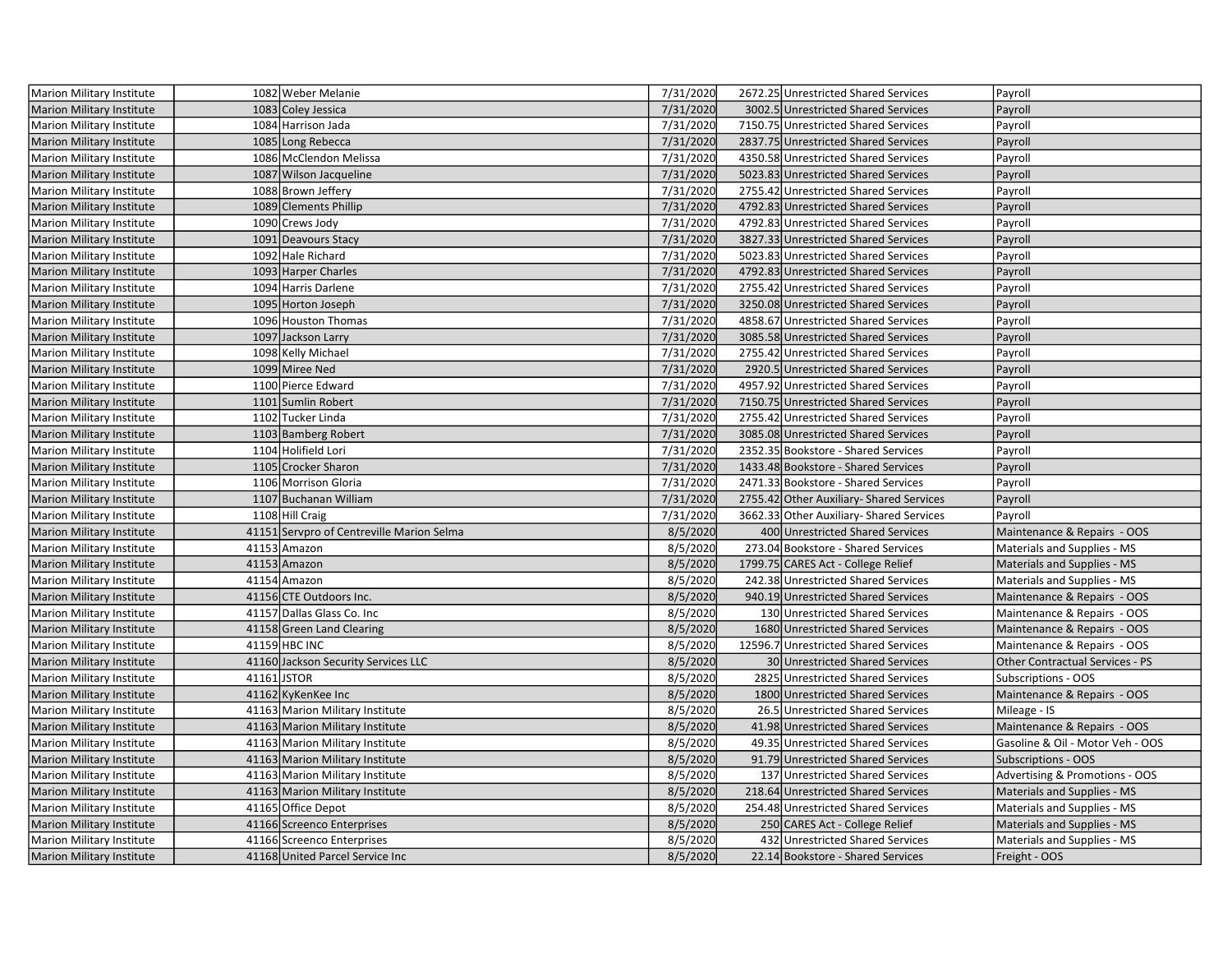| <b>Marion Military Institute</b> | 1082 Weber Melanie                        | 7/31/2020 | 2672.25 Unrestricted Shared Services     | Payroll                          |
|----------------------------------|-------------------------------------------|-----------|------------------------------------------|----------------------------------|
| <b>Marion Military Institute</b> | 1083 Coley Jessica                        | 7/31/2020 | 3002.5 Unrestricted Shared Services      | Payroll                          |
| Marion Military Institute        | 1084 Harrison Jada                        | 7/31/2020 | 7150.75 Unrestricted Shared Services     | Payroll                          |
| Marion Military Institute        | 1085 Long Rebecca                         | 7/31/2020 | 2837.75 Unrestricted Shared Services     | Payroll                          |
| Marion Military Institute        | 1086 McClendon Melissa                    | 7/31/2020 | 4350.58 Unrestricted Shared Services     | Payroll                          |
| <b>Marion Military Institute</b> | 1087 Wilson Jacqueline                    | 7/31/2020 | 5023.83 Unrestricted Shared Services     | Payroll                          |
| Marion Military Institute        | 1088 Brown Jeffery                        | 7/31/2020 | 2755.42 Unrestricted Shared Services     | Payroll                          |
| <b>Marion Military Institute</b> | 1089 Clements Phillip                     | 7/31/2020 | 4792.83 Unrestricted Shared Services     | Payroll                          |
| <b>Marion Military Institute</b> | 1090 Crews Jody                           | 7/31/2020 | 4792.83 Unrestricted Shared Services     | Payroll                          |
| Marion Military Institute        | 1091 Deavours Stacy                       | 7/31/2020 | 3827.33 Unrestricted Shared Services     | Payroll                          |
| Marion Military Institute        | 1092 Hale Richard                         | 7/31/2020 | 5023.83 Unrestricted Shared Services     | Payroll                          |
| Marion Military Institute        | 1093 Harper Charles                       | 7/31/2020 | 4792.83 Unrestricted Shared Services     | Payroll                          |
| Marion Military Institute        | 1094 Harris Darlene                       | 7/31/2020 | 2755.42 Unrestricted Shared Services     | Payroll                          |
| <b>Marion Military Institute</b> | 1095 Horton Joseph                        | 7/31/2020 | 3250.08 Unrestricted Shared Services     | Payroll                          |
| Marion Military Institute        | 1096 Houston Thomas                       | 7/31/2020 | 4858.67 Unrestricted Shared Services     | Payroll                          |
| <b>Marion Military Institute</b> | 1097 Jackson Larry                        | 7/31/2020 | 3085.58 Unrestricted Shared Services     | Payroll                          |
| Marion Military Institute        | 1098 Kelly Michael                        | 7/31/2020 | 2755.42 Unrestricted Shared Services     | Payroll                          |
| <b>Marion Military Institute</b> | 1099 Miree Ned                            | 7/31/2020 | 2920.5 Unrestricted Shared Services      | Payroll                          |
| Marion Military Institute        | 1100 Pierce Edward                        | 7/31/2020 | 4957.92 Unrestricted Shared Services     | Payroll                          |
| Marion Military Institute        | 1101 Sumlin Robert                        | 7/31/2020 | 7150.75 Unrestricted Shared Services     | Payroll                          |
| Marion Military Institute        | 1102 Tucker Linda                         | 7/31/2020 | 2755.42 Unrestricted Shared Services     | Payroll                          |
| Marion Military Institute        | 1103 Bamberg Robert                       | 7/31/2020 | 3085.08 Unrestricted Shared Services     | Payroll                          |
| Marion Military Institute        | 1104 Holifield Lori                       | 7/31/2020 | 2352.35 Bookstore - Shared Services      | Payroll                          |
| <b>Marion Military Institute</b> | 1105 Crocker Sharon                       | 7/31/2020 | 1433.48 Bookstore - Shared Services      | Payroll                          |
| Marion Military Institute        | 1106 Morrison Gloria                      | 7/31/2020 | 2471.33 Bookstore - Shared Services      | Payroll                          |
| Marion Military Institute        | 1107 Buchanan William                     | 7/31/2020 | 2755.42 Other Auxiliary- Shared Services | Payroll                          |
| Marion Military Institute        | 1108 Hill Craig                           | 7/31/2020 | 3662.33 Other Auxiliary-Shared Services  | Payroll                          |
| Marion Military Institute        | 41151 Servpro of Centreville Marion Selma | 8/5/2020  | 400 Unrestricted Shared Services         | Maintenance & Repairs - OOS      |
| Marion Military Institute        | 41153 Amazon                              | 8/5/2020  | 273.04 Bookstore - Shared Services       | Materials and Supplies - MS      |
| <b>Marion Military Institute</b> | 41153 Amazon                              | 8/5/2020  | 1799.75 CARES Act - College Relief       | Materials and Supplies - MS      |
| <b>Marion Military Institute</b> | 41154 Amazon                              | 8/5/2020  | 242.38 Unrestricted Shared Services      | Materials and Supplies - MS      |
| <b>Marion Military Institute</b> | 41156 CTE Outdoors Inc.                   | 8/5/2020  | 940.19 Unrestricted Shared Services      | Maintenance & Repairs - OOS      |
| Marion Military Institute        | 41157 Dallas Glass Co. Inc                | 8/5/2020  | 130 Unrestricted Shared Services         | Maintenance & Repairs - OOS      |
| <b>Marion Military Institute</b> | 41158 Green Land Clearing                 | 8/5/2020  | 1680 Unrestricted Shared Services        | Maintenance & Repairs - OOS      |
| Marion Military Institute        | 41159 HBC INC                             | 8/5/2020  | 12596.7 Unrestricted Shared Services     | Maintenance & Repairs - OOS      |
| <b>Marion Military Institute</b> | 41160 Jackson Security Services LLC       | 8/5/2020  | 30 Unrestricted Shared Services          | Other Contractual Services - PS  |
| Marion Military Institute        | 41161 JSTOR                               | 8/5/2020  | 2825 Unrestricted Shared Services        | Subscriptions - OOS              |
| <b>Marion Military Institute</b> | 41162 KyKenKee Inc                        | 8/5/2020  | 1800 Unrestricted Shared Services        | Maintenance & Repairs - OOS      |
| Marion Military Institute        | 41163 Marion Military Institute           | 8/5/2020  | 26.5 Unrestricted Shared Services        | Mileage - IS                     |
| Marion Military Institute        | 41163 Marion Military Institute           | 8/5/2020  | 41.98 Unrestricted Shared Services       | Maintenance & Repairs - OOS      |
| Marion Military Institute        | 41163 Marion Military Institute           | 8/5/2020  | 49.35 Unrestricted Shared Services       | Gasoline & Oil - Motor Veh - OOS |
| Marion Military Institute        | 41163 Marion Military Institute           | 8/5/2020  | 91.79 Unrestricted Shared Services       | <b>Subscriptions - OOS</b>       |
| Marion Military Institute        | 41163 Marion Military Institute           | 8/5/2020  | 137 Unrestricted Shared Services         | Advertising & Promotions - OOS   |
| <b>Marion Military Institute</b> | 41163 Marion Military Institute           | 8/5/2020  | 218.64 Unrestricted Shared Services      | Materials and Supplies - MS      |
| Marion Military Institute        | 41165 Office Depot                        | 8/5/2020  | 254.48 Unrestricted Shared Services      | Materials and Supplies - MS      |
| Marion Military Institute        | 41166 Screenco Enterprises                | 8/5/2020  | 250 CARES Act - College Relief           | Materials and Supplies - MS      |
| Marion Military Institute        | 41166 Screenco Enterprises                | 8/5/2020  | 432 Unrestricted Shared Services         | Materials and Supplies - MS      |
| Marion Military Institute        | 41168 United Parcel Service Inc           | 8/5/2020  | 22.14 Bookstore - Shared Services        | Freight - OOS                    |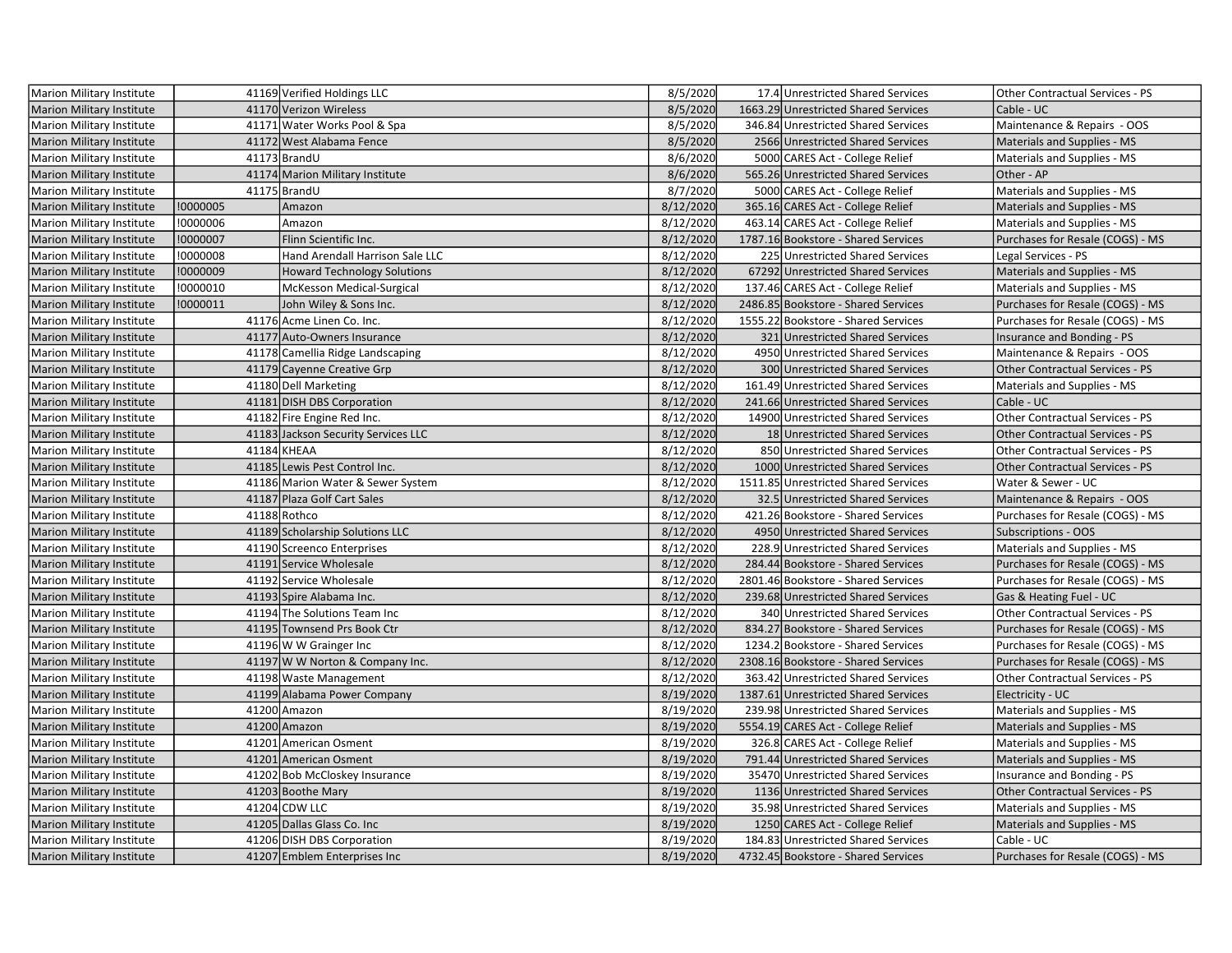| <b>Marion Military Institute</b> |          | 41169 Verified Holdings LLC         | 8/5/2020  | 17.4 Unrestricted Shared Services    | Other Contractual Services - PS        |
|----------------------------------|----------|-------------------------------------|-----------|--------------------------------------|----------------------------------------|
| <b>Marion Military Institute</b> |          | 41170 Verizon Wireless              | 8/5/2020  | 1663.29 Unrestricted Shared Services | Cable - UC                             |
| Marion Military Institute        |          | 41171 Water Works Pool & Spa        | 8/5/2020  | 346.84 Unrestricted Shared Services  | Maintenance & Repairs - OOS            |
| <b>Marion Military Institute</b> |          | 41172 West Alabama Fence            | 8/5/2020  | 2566 Unrestricted Shared Services    | Materials and Supplies - MS            |
| Marion Military Institute        |          | 41173 BrandU                        | 8/6/2020  | 5000 CARES Act - College Relief      | Materials and Supplies - MS            |
| <b>Marion Military Institute</b> |          | 41174 Marion Military Institute     | 8/6/2020  | 565.26 Unrestricted Shared Services  | Other - AP                             |
| Marion Military Institute        |          | 41175 BrandU                        | 8/7/2020  | 5000 CARES Act - College Relief      | Materials and Supplies - MS            |
| <b>Marion Military Institute</b> | !0000005 | Amazon                              | 8/12/2020 | 365.16 CARES Act - College Relief    | Materials and Supplies - MS            |
| <b>Marion Military Institute</b> | !0000006 | Amazon                              | 8/12/2020 | 463.14 CARES Act - College Relief    | Materials and Supplies - MS            |
| <b>Marion Military Institute</b> | !0000007 | Flinn Scientific Inc.               | 8/12/2020 | 1787.16 Bookstore - Shared Services  | Purchases for Resale (COGS) - MS       |
| <b>Marion Military Institute</b> | !0000008 | Hand Arendall Harrison Sale LLC     | 8/12/2020 | 225 Unrestricted Shared Services     | Legal Services - PS                    |
| Marion Military Institute        | !0000009 | <b>Howard Technology Solutions</b>  | 8/12/2020 | 67292 Unrestricted Shared Services   | Materials and Supplies - MS            |
| Marion Military Institute        | !0000010 | McKesson Medical-Surgical           | 8/12/2020 | 137.46 CARES Act - College Relief    | Materials and Supplies - MS            |
| <b>Marion Military Institute</b> | !0000011 | John Wiley & Sons Inc.              | 8/12/2020 | 2486.85 Bookstore - Shared Services  | Purchases for Resale (COGS) - MS       |
| Marion Military Institute        |          | 41176 Acme Linen Co. Inc.           | 8/12/2020 | 1555.22 Bookstore - Shared Services  | Purchases for Resale (COGS) - MS       |
| <b>Marion Military Institute</b> |          | 41177 Auto-Owners Insurance         | 8/12/2020 | 321 Unrestricted Shared Services     | Insurance and Bonding - PS             |
| Marion Military Institute        |          | 41178 Camellia Ridge Landscaping    | 8/12/2020 | 4950 Unrestricted Shared Services    | Maintenance & Repairs - OOS            |
| <b>Marion Military Institute</b> |          | 41179 Cayenne Creative Grp          | 8/12/2020 | 300 Unrestricted Shared Services     | <b>Other Contractual Services - PS</b> |
| Marion Military Institute        |          | 41180 Dell Marketing                | 8/12/2020 | 161.49 Unrestricted Shared Services  | Materials and Supplies - MS            |
| <b>Marion Military Institute</b> |          | 41181 DISH DBS Corporation          | 8/12/2020 | 241.66 Unrestricted Shared Services  | Cable - UC                             |
| Marion Military Institute        |          | 41182 Fire Engine Red Inc.          | 8/12/2020 | 14900 Unrestricted Shared Services   | <b>Other Contractual Services - PS</b> |
| <b>Marion Military Institute</b> |          | 41183 Jackson Security Services LLC | 8/12/2020 | 18 Unrestricted Shared Services      | Other Contractual Services - PS        |
| Marion Military Institute        |          | 41184 KHEAA                         | 8/12/2020 | 850 Unrestricted Shared Services     | Other Contractual Services - PS        |
| <b>Marion Military Institute</b> |          | 41185 Lewis Pest Control Inc.       | 8/12/2020 | 1000 Unrestricted Shared Services    | <b>Other Contractual Services - PS</b> |
| Marion Military Institute        |          | 41186 Marion Water & Sewer System   | 8/12/2020 | 1511.85 Unrestricted Shared Services | Water & Sewer - UC                     |
| <b>Marion Military Institute</b> |          | 41187 Plaza Golf Cart Sales         | 8/12/2020 | 32.5 Unrestricted Shared Services    | Maintenance & Repairs - OOS            |
| Marion Military Institute        |          | 41188 Rothco                        | 8/12/2020 | 421.26 Bookstore - Shared Services   | Purchases for Resale (COGS) - MS       |
| <b>Marion Military Institute</b> |          | 41189 Scholarship Solutions LLC     | 8/12/2020 | 4950 Unrestricted Shared Services    | Subscriptions - OOS                    |
| Marion Military Institute        |          | 41190 Screenco Enterprises          | 8/12/2020 | 228.9 Unrestricted Shared Services   | Materials and Supplies - MS            |
| <b>Marion Military Institute</b> |          | 41191 Service Wholesale             | 8/12/2020 | 284.44 Bookstore - Shared Services   | Purchases for Resale (COGS) - MS       |
| Marion Military Institute        |          | 41192 Service Wholesale             | 8/12/2020 | 2801.46 Bookstore - Shared Services  | Purchases for Resale (COGS) - MS       |
| <b>Marion Military Institute</b> |          | 41193 Spire Alabama Inc.            | 8/12/2020 | 239.68 Unrestricted Shared Services  | Gas & Heating Fuel - UC                |
| <b>Marion Military Institute</b> |          | 41194 The Solutions Team Inc        | 8/12/2020 | 340 Unrestricted Shared Services     | Other Contractual Services - PS        |
| <b>Marion Military Institute</b> |          | 41195 Townsend Prs Book Ctr         | 8/12/2020 | 834.27 Bookstore - Shared Services   | Purchases for Resale (COGS) - MS       |
| Marion Military Institute        |          | 41196 W W Grainger Inc              | 8/12/2020 | 1234.2 Bookstore - Shared Services   | Purchases for Resale (COGS) - MS       |
| <b>Marion Military Institute</b> |          | 41197 W W Norton & Company Inc.     | 8/12/2020 | 2308.16 Bookstore - Shared Services  | Purchases for Resale (COGS) - MS       |
| Marion Military Institute        |          | 41198 Waste Management              | 8/12/2020 | 363.42 Unrestricted Shared Services  | Other Contractual Services - PS        |
| <b>Marion Military Institute</b> |          | 41199 Alabama Power Company         | 8/19/2020 | 1387.61 Unrestricted Shared Services | Electricity - UC                       |
| Marion Military Institute        |          | 41200 Amazon                        | 8/19/2020 | 239.98 Unrestricted Shared Services  | Materials and Supplies - MS            |
| <b>Marion Military Institute</b> |          | 41200 Amazon                        | 8/19/2020 | 5554.19 CARES Act - College Relief   | Materials and Supplies - MS            |
| <b>Marion Military Institute</b> |          | 41201 American Osment               | 8/19/2020 | 326.8 CARES Act - College Relief     | Materials and Supplies - MS            |
| <b>Marion Military Institute</b> |          | 41201 American Osment               | 8/19/2020 | 791.44 Unrestricted Shared Services  | Materials and Supplies - MS            |
| <b>Marion Military Institute</b> |          | 41202 Bob McCloskey Insurance       | 8/19/2020 | 35470 Unrestricted Shared Services   | Insurance and Bonding - PS             |
| <b>Marion Military Institute</b> |          | 41203 Boothe Mary                   | 8/19/2020 | 1136 Unrestricted Shared Services    | <b>Other Contractual Services - PS</b> |
| <b>Marion Military Institute</b> |          | 41204 CDW LLC                       | 8/19/2020 | 35.98 Unrestricted Shared Services   | Materials and Supplies - MS            |
| Marion Military Institute        |          | 41205 Dallas Glass Co. Inc          | 8/19/2020 | 1250 CARES Act - College Relief      | Materials and Supplies - MS            |
| Marion Military Institute        |          | 41206 DISH DBS Corporation          | 8/19/2020 | 184.83 Unrestricted Shared Services  | Cable - UC                             |
| Marion Military Institute        |          | 41207 Emblem Enterprises Inc        | 8/19/2020 | 4732.45 Bookstore - Shared Services  | Purchases for Resale (COGS) - MS       |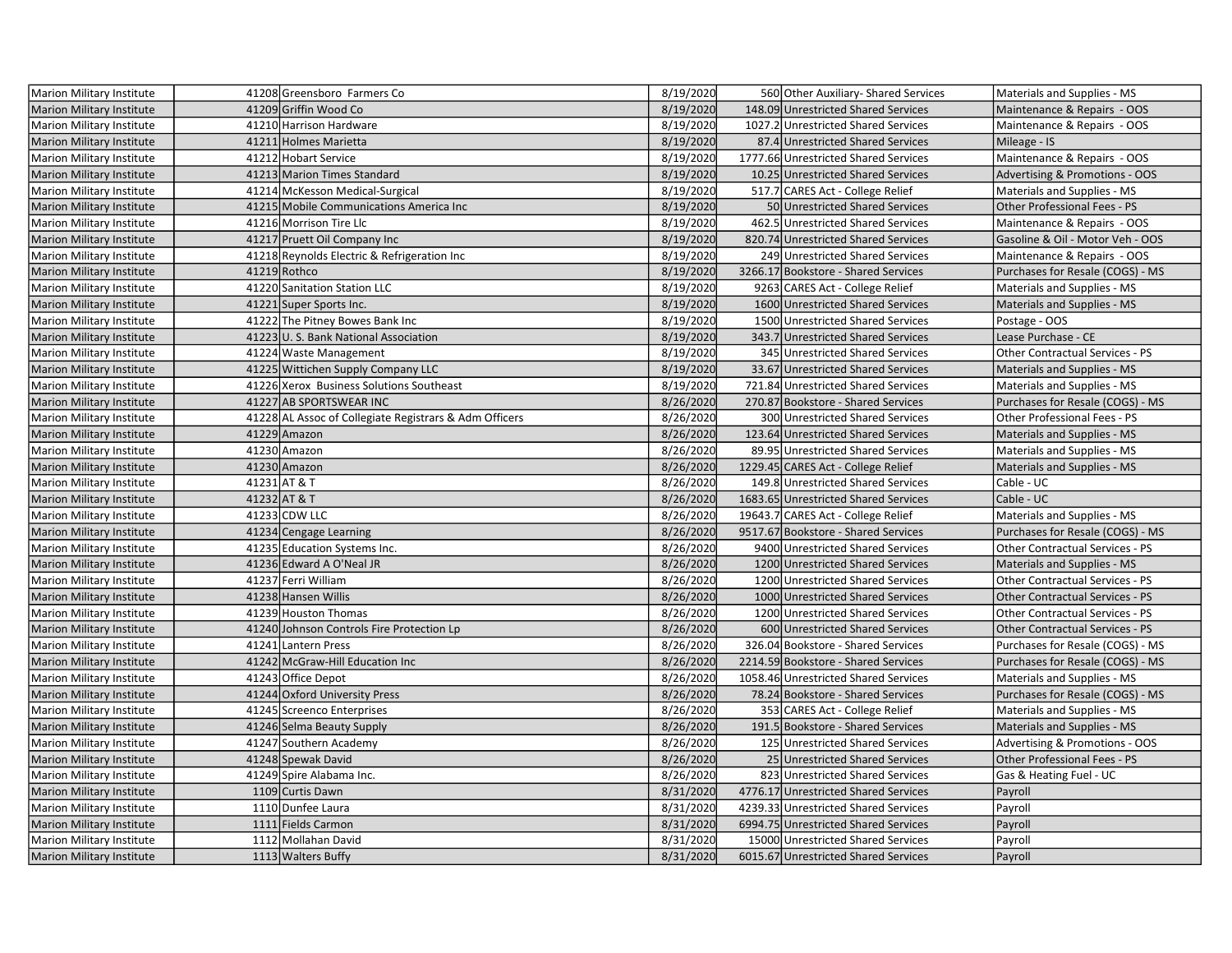| Marion Military Institute        |              | 41208 Greensboro Farmers Co                            | 8/19/2020 | 560 Other Auxiliary- Shared Services | Materials and Supplies - MS            |
|----------------------------------|--------------|--------------------------------------------------------|-----------|--------------------------------------|----------------------------------------|
| <b>Marion Military Institute</b> |              | 41209 Griffin Wood Co                                  | 8/19/2020 | 148.09 Unrestricted Shared Services  | Maintenance & Repairs - OOS            |
| Marion Military Institute        |              | 41210 Harrison Hardware                                | 8/19/2020 | 1027.2 Unrestricted Shared Services  | Maintenance & Repairs - OOS            |
| <b>Marion Military Institute</b> |              | 41211 Holmes Marietta                                  | 8/19/2020 | 87.4 Unrestricted Shared Services    | Mileage - IS                           |
| Marion Military Institute        |              | 41212 Hobart Service                                   | 8/19/2020 | 1777.66 Unrestricted Shared Services | Maintenance & Repairs - OOS            |
| <b>Marion Military Institute</b> |              | 41213 Marion Times Standard                            | 8/19/2020 | 10.25 Unrestricted Shared Services   | Advertising & Promotions - OOS         |
| Marion Military Institute        |              | 41214 McKesson Medical-Surgical                        | 8/19/2020 | 517.7 CARES Act - College Relief     | Materials and Supplies - MS            |
| <b>Marion Military Institute</b> |              | 41215 Mobile Communications America Inc                | 8/19/2020 | 50 Unrestricted Shared Services      | Other Professional Fees - PS           |
| Marion Military Institute        |              | 41216 Morrison Tire Llc                                | 8/19/2020 | 462.5 Unrestricted Shared Services   | Maintenance & Repairs - OOS            |
| <b>Marion Military Institute</b> |              | 41217 Pruett Oil Company Inc                           | 8/19/2020 | 820.74 Unrestricted Shared Services  | Gasoline & Oil - Motor Veh - OOS       |
| Marion Military Institute        |              | 41218 Reynolds Electric & Refrigeration Inc            | 8/19/2020 | 249 Unrestricted Shared Services     | Maintenance & Repairs - OOS            |
| <b>Marion Military Institute</b> |              | 41219 Rothco                                           | 8/19/2020 | 3266.17 Bookstore - Shared Services  | Purchases for Resale (COGS) - MS       |
| Marion Military Institute        |              | 41220 Sanitation Station LLC                           | 8/19/2020 | 9263 CARES Act - College Relief      | Materials and Supplies - MS            |
| <b>Marion Military Institute</b> |              | 41221 Super Sports Inc.                                | 8/19/2020 | 1600 Unrestricted Shared Services    | Materials and Supplies - MS            |
| Marion Military Institute        |              | 41222 The Pitney Bowes Bank Inc                        | 8/19/2020 | 1500 Unrestricted Shared Services    | Postage - OOS                          |
| <b>Marion Military Institute</b> |              | 41223 U.S. Bank National Association                   | 8/19/2020 | 343.7 Unrestricted Shared Services   | Lease Purchase - CE                    |
| Marion Military Institute        |              | 41224 Waste Management                                 | 8/19/2020 | 345 Unrestricted Shared Services     | Other Contractual Services - PS        |
| <b>Marion Military Institute</b> |              | 41225 Wittichen Supply Company LLC                     | 8/19/2020 | 33.67 Unrestricted Shared Services   | Materials and Supplies - MS            |
| Marion Military Institute        |              | 41226 Xerox Business Solutions Southeast               | 8/19/2020 | 721.84 Unrestricted Shared Services  | Materials and Supplies - MS            |
| <b>Marion Military Institute</b> |              | 41227 AB SPORTSWEAR INC                                | 8/26/2020 | 270.87 Bookstore - Shared Services   | Purchases for Resale (COGS) - MS       |
| Marion Military Institute        |              | 41228 AL Assoc of Collegiate Registrars & Adm Officers | 8/26/2020 | 300 Unrestricted Shared Services     | Other Professional Fees - PS           |
| <b>Marion Military Institute</b> |              | 41229 Amazon                                           | 8/26/2020 | 123.64 Unrestricted Shared Services  | Materials and Supplies - MS            |
| Marion Military Institute        |              | 41230 Amazon                                           | 8/26/2020 | 89.95 Unrestricted Shared Services   | Materials and Supplies - MS            |
| <b>Marion Military Institute</b> |              | 41230 Amazon                                           | 8/26/2020 | 1229.45 CARES Act - College Relief   | Materials and Supplies - MS            |
| Marion Military Institute        | 41231 AT & T |                                                        | 8/26/2020 | 149.8 Unrestricted Shared Services   | Cable - UC                             |
| <b>Marion Military Institute</b> | 41232 AT & T |                                                        | 8/26/2020 | 1683.65 Unrestricted Shared Services | Cable - UC                             |
| Marion Military Institute        |              | 41233 CDW LLC                                          | 8/26/2020 | 19643.7 CARES Act - College Relief   | Materials and Supplies - MS            |
| <b>Marion Military Institute</b> |              | 41234 Cengage Learning                                 | 8/26/2020 | 9517.67 Bookstore - Shared Services  | Purchases for Resale (COGS) - MS       |
| <b>Marion Military Institute</b> |              | 41235 Education Systems Inc.                           | 8/26/2020 | 9400 Unrestricted Shared Services    | Other Contractual Services - PS        |
| <b>Marion Military Institute</b> |              | 41236 Edward A O'Neal JR                               | 8/26/2020 | 1200 Unrestricted Shared Services    | Materials and Supplies - MS            |
| Marion Military Institute        |              | 41237 Ferri William                                    | 8/26/2020 | 1200 Unrestricted Shared Services    | Other Contractual Services - PS        |
| <b>Marion Military Institute</b> |              | 41238 Hansen Willis                                    | 8/26/2020 | 1000 Unrestricted Shared Services    | Other Contractual Services - PS        |
| Marion Military Institute        |              | 41239 Houston Thomas                                   | 8/26/2020 | 1200 Unrestricted Shared Services    | Other Contractual Services - PS        |
| <b>Marion Military Institute</b> |              | 41240 Johnson Controls Fire Protection Lp              | 8/26/2020 | 600 Unrestricted Shared Services     | <b>Other Contractual Services - PS</b> |
| Marion Military Institute        |              | 41241 Lantern Press                                    | 8/26/2020 | 326.04 Bookstore - Shared Services   | Purchases for Resale (COGS) - MS       |
| <b>Marion Military Institute</b> |              | 41242 McGraw-Hill Education Inc                        | 8/26/2020 | 2214.59 Bookstore - Shared Services  | Purchases for Resale (COGS) - MS       |
| <b>Marion Military Institute</b> |              | 41243 Office Depot                                     | 8/26/2020 | 1058.46 Unrestricted Shared Services | Materials and Supplies - MS            |
| <b>Marion Military Institute</b> |              | 41244 Oxford University Press                          | 8/26/2020 | 78.24 Bookstore - Shared Services    | Purchases for Resale (COGS) - MS       |
| Marion Military Institute        |              | 41245 Screenco Enterprises                             | 8/26/2020 | 353 CARES Act - College Relief       | Materials and Supplies - MS            |
| Marion Military Institute        |              | 41246 Selma Beauty Supply                              | 8/26/2020 | 191.5 Bookstore - Shared Services    | Materials and Supplies - MS            |
| Marion Military Institute        |              | 41247 Southern Academy                                 | 8/26/2020 | 125 Unrestricted Shared Services     | Advertising & Promotions - OOS         |
| <b>Marion Military Institute</b> |              | 41248 Spewak David                                     | 8/26/2020 | 25 Unrestricted Shared Services      | Other Professional Fees - PS           |
| Marion Military Institute        |              | 41249 Spire Alabama Inc.                               | 8/26/2020 | 823 Unrestricted Shared Services     | Gas & Heating Fuel - UC                |
| <b>Marion Military Institute</b> |              | 1109 Curtis Dawn                                       | 8/31/2020 | 4776.17 Unrestricted Shared Services | Payroll                                |
| Marion Military Institute        |              | 1110 Dunfee Laura                                      | 8/31/2020 | 4239.33 Unrestricted Shared Services | Payroll                                |
| <b>Marion Military Institute</b> |              | 1111 Fields Carmon                                     | 8/31/2020 | 6994.75 Unrestricted Shared Services | Payroll                                |
| Marion Military Institute        |              | 1112 Mollahan David                                    | 8/31/2020 | 15000 Unrestricted Shared Services   | Payroll                                |
| Marion Military Institute        |              | 1113 Walters Buffy                                     | 8/31/2020 | 6015.67 Unrestricted Shared Services | Payroll                                |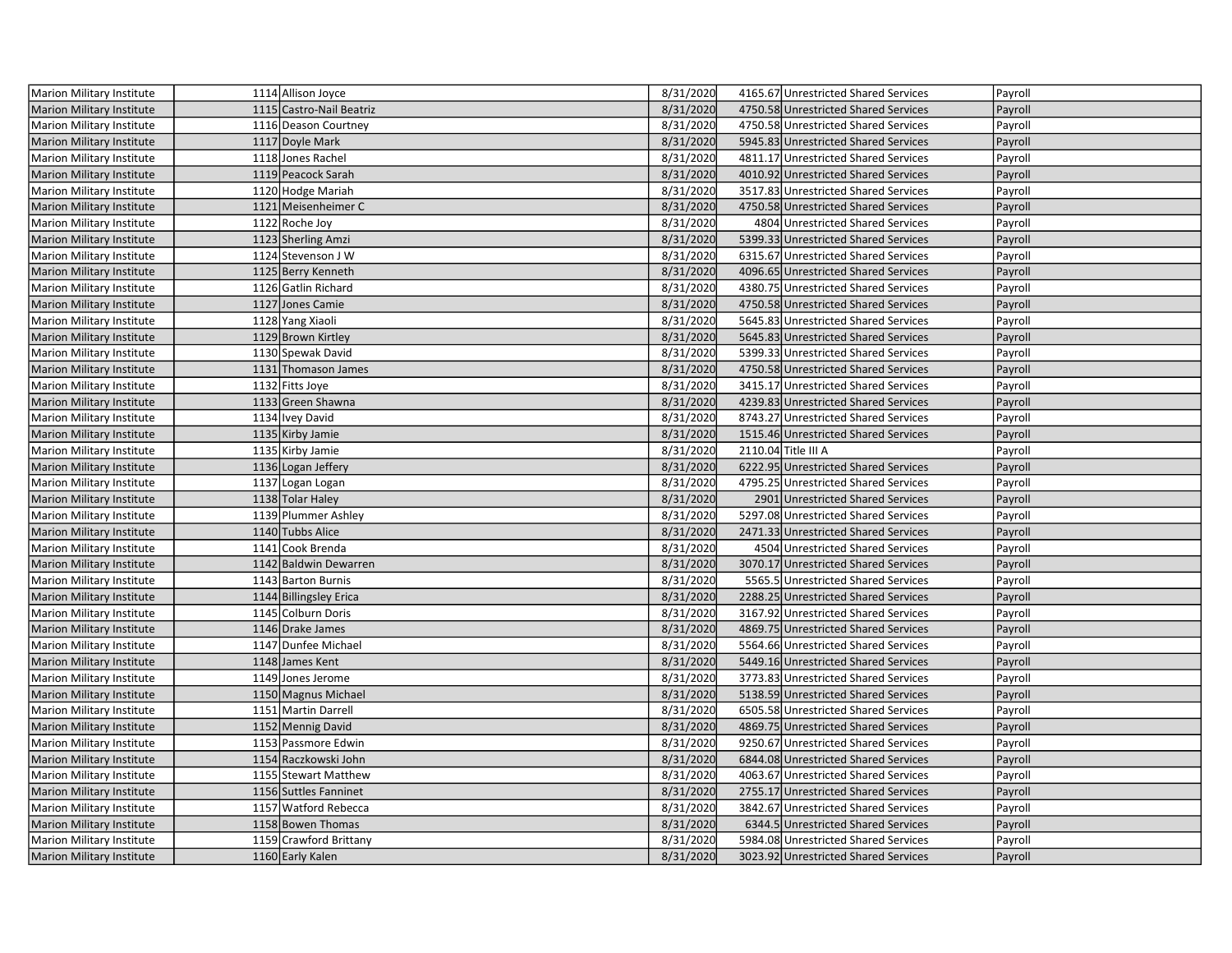| Marion Military Institute        | 1114 Allison Joyce       | 8/31/2020 | 4165.67 Unrestricted Shared Services | Payroll |
|----------------------------------|--------------------------|-----------|--------------------------------------|---------|
| Marion Military Institute        | 1115 Castro-Nail Beatriz | 8/31/2020 | 4750.58 Unrestricted Shared Services | Payroll |
| <b>Marion Military Institute</b> | 1116 Deason Courtney     | 8/31/2020 | 4750.58 Unrestricted Shared Services | Payroll |
| <b>Marion Military Institute</b> | 1117 Doyle Mark          | 8/31/2020 | 5945.83 Unrestricted Shared Services | Payroll |
| <b>Marion Military Institute</b> | 1118 Jones Rachel        | 8/31/2020 | 4811.17 Unrestricted Shared Services | Payroll |
| <b>Marion Military Institute</b> | 1119 Peacock Sarah       | 8/31/2020 | 4010.92 Unrestricted Shared Services | Payroll |
| Marion Military Institute        | 1120 Hodge Mariah        | 8/31/2020 | 3517.83 Unrestricted Shared Services | Payroll |
| Marion Military Institute        | 1121 Meisenheimer C      | 8/31/2020 | 4750.58 Unrestricted Shared Services | Payroll |
| Marion Military Institute        | 1122 Roche Joy           | 8/31/2020 | 4804 Unrestricted Shared Services    | Payroll |
| <b>Marion Military Institute</b> | 1123 Sherling Amzi       | 8/31/2020 | 5399.33 Unrestricted Shared Services | Payroll |
| <b>Marion Military Institute</b> | 1124 Stevenson J W       | 8/31/2020 | 6315.67 Unrestricted Shared Services | Payroll |
| <b>Marion Military Institute</b> | 1125 Berry Kenneth       | 8/31/2020 | 4096.65 Unrestricted Shared Services | Payroll |
| <b>Marion Military Institute</b> | 1126 Gatlin Richard      | 8/31/2020 | 4380.75 Unrestricted Shared Services | Payroll |
| Marion Military Institute        | 1127 Jones Camie         | 8/31/2020 | 4750.58 Unrestricted Shared Services | Payroll |
| <b>Marion Military Institute</b> | 1128 Yang Xiaoli         | 8/31/2020 | 5645.83 Unrestricted Shared Services | Payroll |
| Marion Military Institute        | 1129 Brown Kirtley       | 8/31/2020 | 5645.83 Unrestricted Shared Services | Payroll |
| Marion Military Institute        | 1130 Spewak David        | 8/31/2020 | 5399.33 Unrestricted Shared Services | Payroll |
| Marion Military Institute        | 1131 Thomason James      | 8/31/2020 | 4750.58 Unrestricted Shared Services | Payroll |
| <b>Marion Military Institute</b> | 1132 Fitts Joye          | 8/31/2020 | 3415.17 Unrestricted Shared Services | Payroll |
| <b>Marion Military Institute</b> | 1133 Green Shawna        | 8/31/2020 | 4239.83 Unrestricted Shared Services | Payroll |
| <b>Marion Military Institute</b> | 1134 Ivey David          | 8/31/2020 | 8743.27 Unrestricted Shared Services | Payroll |
| <b>Marion Military Institute</b> | 1135 Kirby Jamie         | 8/31/2020 | 1515.46 Unrestricted Shared Services | Payroll |
| Marion Military Institute        | 1135 Kirby Jamie         | 8/31/2020 | 2110.04 Title III A                  | Payroll |
| Marion Military Institute        | 1136 Logan Jeffery       | 8/31/2020 | 6222.95 Unrestricted Shared Services | Payroll |
| Marion Military Institute        | 1137 Logan Logan         | 8/31/2020 | 4795.25 Unrestricted Shared Services | Payroll |
| <b>Marion Military Institute</b> | 1138 Tolar Haley         | 8/31/2020 | 2901 Unrestricted Shared Services    | Payroll |
| <b>Marion Military Institute</b> | 1139 Plummer Ashley      | 8/31/2020 | 5297.08 Unrestricted Shared Services | Payroll |
| <b>Marion Military Institute</b> | 1140 Tubbs Alice         | 8/31/2020 | 2471.33 Unrestricted Shared Services | Payroll |
| <b>Marion Military Institute</b> | 1141 Cook Brenda         | 8/31/2020 | 4504 Unrestricted Shared Services    | Payroll |
| <b>Marion Military Institute</b> | 1142 Baldwin Dewarren    | 8/31/2020 | 3070.17 Unrestricted Shared Services | Payroll |
| <b>Marion Military Institute</b> | 1143 Barton Burnis       | 8/31/2020 | 5565.5 Unrestricted Shared Services  | Payroll |
| Marion Military Institute        | 1144 Billingsley Erica   | 8/31/2020 | 2288.25 Unrestricted Shared Services | Payroll |
| <b>Marion Military Institute</b> | 1145 Colburn Doris       | 8/31/2020 | 3167.92 Unrestricted Shared Services | Payroll |
| Marion Military Institute        | 1146 Drake James         | 8/31/2020 | 4869.75 Unrestricted Shared Services | Payroll |
| <b>Marion Military Institute</b> | 1147 Dunfee Michael      | 8/31/2020 | 5564.66 Unrestricted Shared Services | Payroll |
| <b>Marion Military Institute</b> | 1148 James Kent          | 8/31/2020 | 5449.16 Unrestricted Shared Services | Payroll |
| <b>Marion Military Institute</b> | 1149 Jones Jerome        | 8/31/2020 | 3773.83 Unrestricted Shared Services | Payroll |
| <b>Marion Military Institute</b> | 1150 Magnus Michael      | 8/31/2020 | 5138.59 Unrestricted Shared Services | Payroll |
| Marion Military Institute        | 1151 Martin Darrell      | 8/31/2020 | 6505.58 Unrestricted Shared Services | Payroll |
| <b>Marion Military Institute</b> | 1152 Mennig David        | 8/31/2020 | 4869.75 Unrestricted Shared Services | Payroll |
| Marion Military Institute        | 1153 Passmore Edwin      | 8/31/2020 | 9250.67 Unrestricted Shared Services | Payroll |
| Marion Military Institute        | 1154 Raczkowski John     | 8/31/2020 | 6844.08 Unrestricted Shared Services | Payroll |
| <b>Marion Military Institute</b> | 1155 Stewart Matthew     | 8/31/2020 | 4063.67 Unrestricted Shared Services | Payroll |
| <b>Marion Military Institute</b> | 1156 Suttles Fanninet    | 8/31/2020 | 2755.17 Unrestricted Shared Services | Payroll |
| <b>Marion Military Institute</b> | 1157 Watford Rebecca     | 8/31/2020 | 3842.67 Unrestricted Shared Services | Payroll |
| <b>Marion Military Institute</b> | 1158 Bowen Thomas        | 8/31/2020 | 6344.5 Unrestricted Shared Services  | Payroll |
| Marion Military Institute        | 1159 Crawford Brittany   | 8/31/2020 | 5984.08 Unrestricted Shared Services | Payroll |
| <b>Marion Military Institute</b> | 1160 Early Kalen         | 8/31/2020 | 3023.92 Unrestricted Shared Services | Payroll |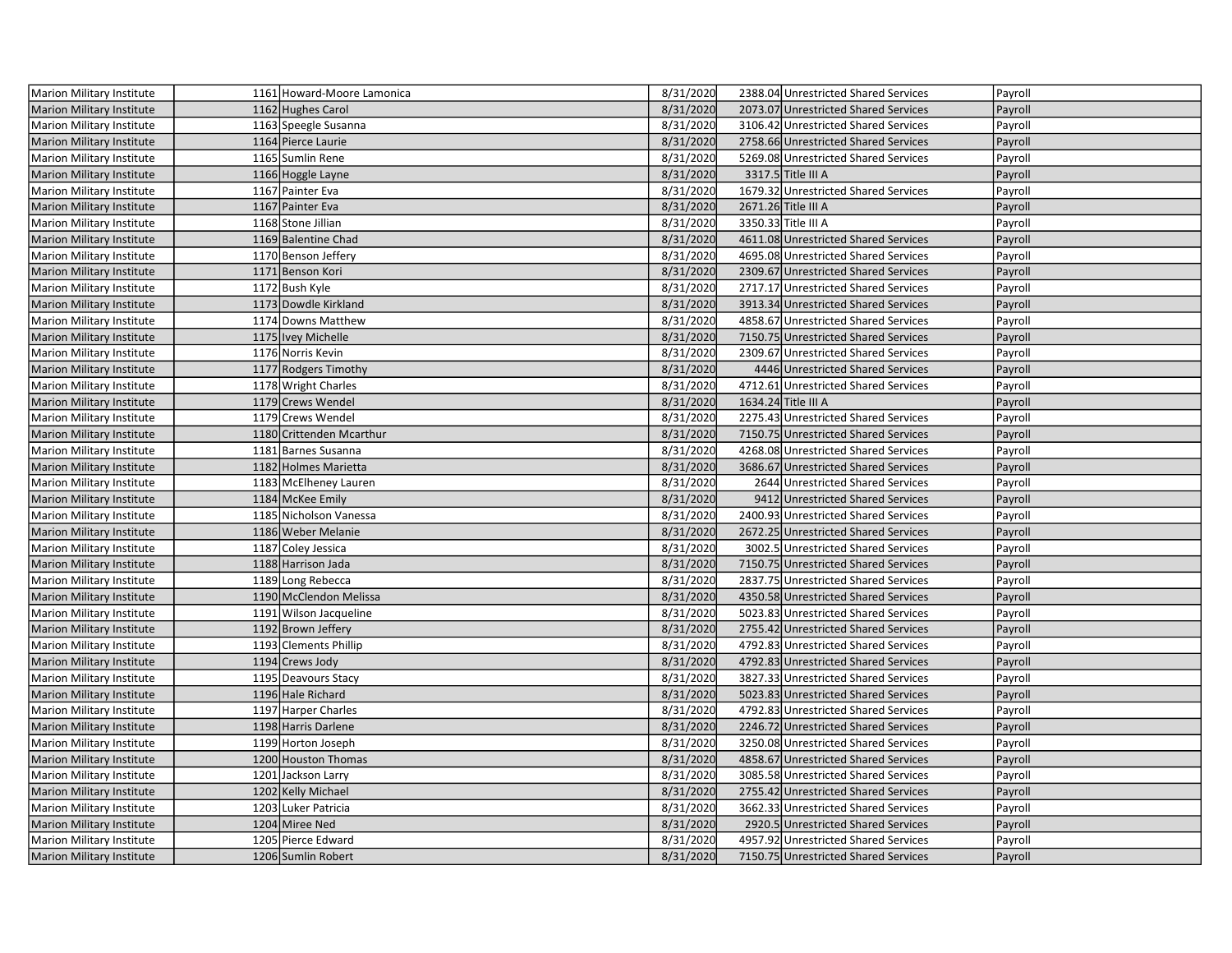| Marion Military Institute        | 1161 Howard-Moore Lamonica | 8/31/2020 | 2388.04 Unrestricted Shared Services | Payroll |
|----------------------------------|----------------------------|-----------|--------------------------------------|---------|
| <b>Marion Military Institute</b> | 1162 Hughes Carol          | 8/31/2020 | 2073.07 Unrestricted Shared Services | Payroll |
| Marion Military Institute        | 1163 Speegle Susanna       | 8/31/2020 | 3106.42 Unrestricted Shared Services | Payroll |
| <b>Marion Military Institute</b> | 1164 Pierce Laurie         | 8/31/2020 | 2758.66 Unrestricted Shared Services | Payroll |
| Marion Military Institute        | 1165 Sumlin Rene           | 8/31/2020 | 5269.08 Unrestricted Shared Services | Payroll |
| Marion Military Institute        | 1166 Hoggle Layne          | 8/31/2020 | 3317.5 Title III A                   | Payroll |
| Marion Military Institute        | 1167 Painter Eva           | 8/31/2020 | 1679.32 Unrestricted Shared Services | Payroll |
| <b>Marion Military Institute</b> | 1167 Painter Eva           | 8/31/2020 | 2671.26 Title III A                  | Payroll |
| Marion Military Institute        | 1168 Stone Jillian         | 8/31/2020 | 3350.33 Title III A                  | Payroll |
| Marion Military Institute        | 1169 Balentine Chad        | 8/31/2020 | 4611.08 Unrestricted Shared Services | Payroll |
| Marion Military Institute        | 1170 Benson Jeffery        | 8/31/2020 | 4695.08 Unrestricted Shared Services | Payroll |
| <b>Marion Military Institute</b> | 1171 Benson Kori           | 8/31/2020 | 2309.67 Unrestricted Shared Services | Payroll |
| Marion Military Institute        | 1172 Bush Kyle             | 8/31/2020 | 2717.17 Unrestricted Shared Services | Payroll |
| <b>Marion Military Institute</b> | 1173 Dowdle Kirkland       | 8/31/2020 | 3913.34 Unrestricted Shared Services | Payroll |
| Marion Military Institute        | 1174 Downs Matthew         | 8/31/2020 | 4858.67 Unrestricted Shared Services | Payroll |
| Marion Military Institute        | 1175 Ivey Michelle         | 8/31/2020 | 7150.75 Unrestricted Shared Services | Payroll |
| Marion Military Institute        | 1176 Norris Kevin          | 8/31/2020 | 2309.67 Unrestricted Shared Services | Payroll |
| <b>Marion Military Institute</b> | 1177 Rodgers Timothy       | 8/31/2020 | 4446 Unrestricted Shared Services    | Payroll |
| Marion Military Institute        | 1178 Wright Charles        | 8/31/2020 | 4712.61 Unrestricted Shared Services | Payroll |
| <b>Marion Military Institute</b> | 1179 Crews Wendel          | 8/31/2020 | 1634.24 Title III A                  | Payroll |
| Marion Military Institute        | 1179 Crews Wendel          | 8/31/2020 | 2275.43 Unrestricted Shared Services | Payroll |
| Marion Military Institute        | 1180 Crittenden Mcarthur   | 8/31/2020 | 7150.75 Unrestricted Shared Services | Payroll |
| Marion Military Institute        | 1181 Barnes Susanna        | 8/31/2020 | 4268.08 Unrestricted Shared Services | Payroll |
| <b>Marion Military Institute</b> | 1182 Holmes Marietta       | 8/31/2020 | 3686.67 Unrestricted Shared Services | Payroll |
| Marion Military Institute        | 1183 McElheney Lauren      | 8/31/2020 | 2644 Unrestricted Shared Services    | Payroll |
| <b>Marion Military Institute</b> | 1184 McKee Emily           | 8/31/2020 | 9412 Unrestricted Shared Services    | Payroll |
| Marion Military Institute        | 1185 Nicholson Vanessa     | 8/31/2020 | 2400.93 Unrestricted Shared Services | Payroll |
| <b>Marion Military Institute</b> | 1186 Weber Melanie         | 8/31/2020 | 2672.25 Unrestricted Shared Services | Payroll |
| Marion Military Institute        | 1187 Coley Jessica         | 8/31/2020 | 3002.5 Unrestricted Shared Services  | Payroll |
| <b>Marion Military Institute</b> | 1188 Harrison Jada         | 8/31/2020 | 7150.75 Unrestricted Shared Services | Payroll |
| Marion Military Institute        | 1189 Long Rebecca          | 8/31/2020 | 2837.75 Unrestricted Shared Services | Payroll |
| <b>Marion Military Institute</b> | 1190 McClendon Melissa     | 8/31/2020 | 4350.58 Unrestricted Shared Services | Payroll |
| Marion Military Institute        | 1191 Wilson Jacqueline     | 8/31/2020 | 5023.83 Unrestricted Shared Services | Payroll |
| <b>Marion Military Institute</b> | 1192 Brown Jeffery         | 8/31/2020 | 2755.42 Unrestricted Shared Services | Payroll |
| Marion Military Institute        | 1193 Clements Phillip      | 8/31/2020 | 4792.83 Unrestricted Shared Services | Payroll |
| Marion Military Institute        | 1194 Crews Jody            | 8/31/2020 | 4792.83 Unrestricted Shared Services | Payroll |
| Marion Military Institute        | 1195 Deavours Stacy        | 8/31/2020 | 3827.33 Unrestricted Shared Services | Payroll |
| <b>Marion Military Institute</b> | 1196 Hale Richard          | 8/31/2020 | 5023.83 Unrestricted Shared Services | Payroll |
| Marion Military Institute        | 1197 Harper Charles        | 8/31/2020 | 4792.83 Unrestricted Shared Services | Payroll |
| <b>Marion Military Institute</b> | 1198 Harris Darlene        | 8/31/2020 | 2246.72 Unrestricted Shared Services | Payroll |
| Marion Military Institute        | 1199 Horton Joseph         | 8/31/2020 | 3250.08 Unrestricted Shared Services | Payroll |
| <b>Marion Military Institute</b> | 1200 Houston Thomas        | 8/31/2020 | 4858.67 Unrestricted Shared Services | Payroll |
| Marion Military Institute        | 1201 Jackson Larry         | 8/31/2020 | 3085.58 Unrestricted Shared Services | Payroll |
| <b>Marion Military Institute</b> | 1202 Kelly Michael         | 8/31/2020 | 2755.42 Unrestricted Shared Services | Payroll |
| Marion Military Institute        | 1203 Luker Patricia        | 8/31/2020 | 3662.33 Unrestricted Shared Services | Payroll |
| Marion Military Institute        | 1204 Miree Ned             | 8/31/2020 | 2920.5 Unrestricted Shared Services  | Payroll |
| Marion Military Institute        | 1205 Pierce Edward         | 8/31/2020 | 4957.92 Unrestricted Shared Services | Payroll |
| Marion Military Institute        | 1206 Sumlin Robert         | 8/31/2020 | 7150.75 Unrestricted Shared Services | Payroll |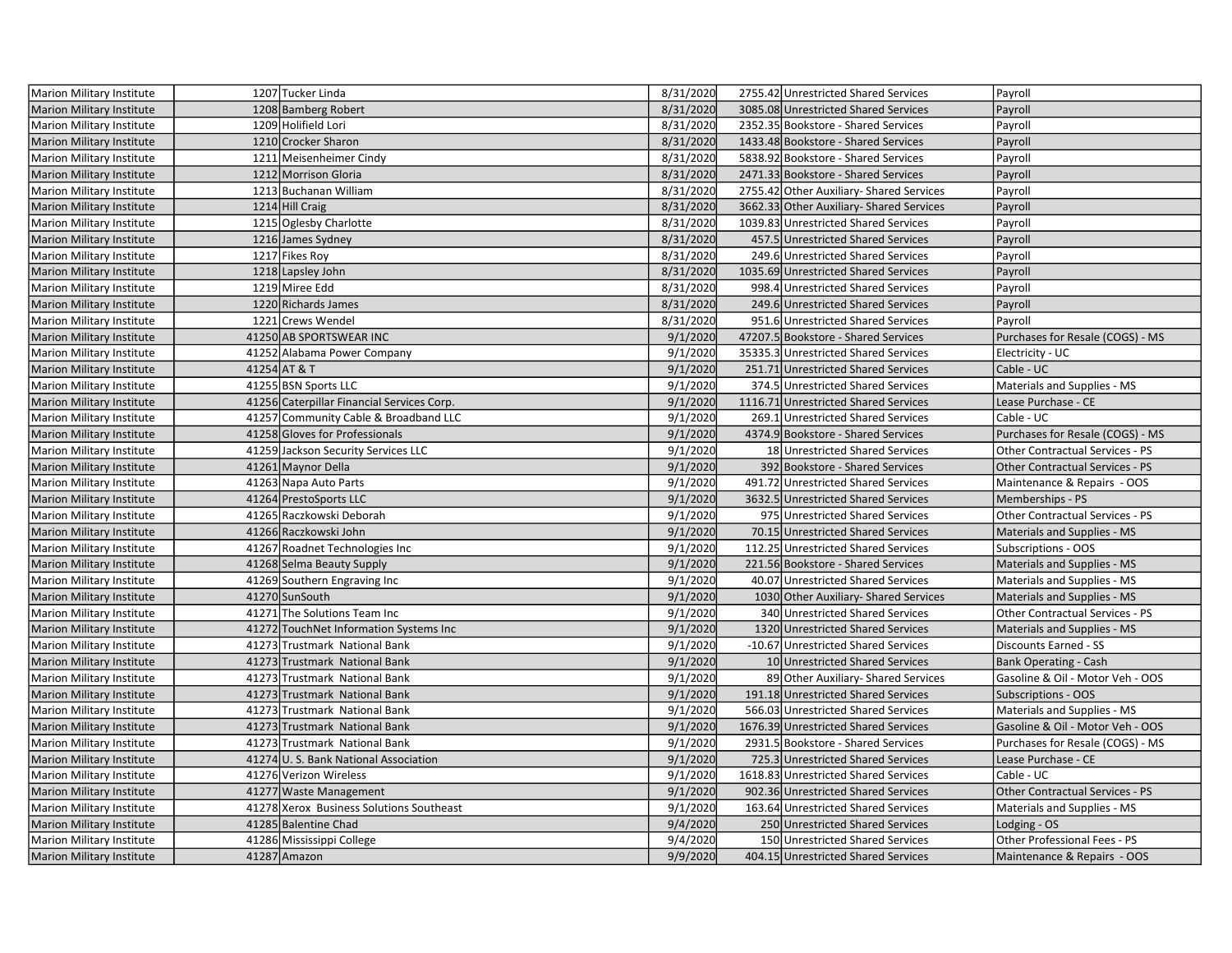| Marion Military Institute        | 1207 Tucker Linda                          | 8/31/2020 | 2755.42 Unrestricted Shared Services     | Payroll                                |
|----------------------------------|--------------------------------------------|-----------|------------------------------------------|----------------------------------------|
| <b>Marion Military Institute</b> | 1208 Bamberg Robert                        | 8/31/2020 | 3085.08 Unrestricted Shared Services     | Payroll                                |
| Marion Military Institute        | 1209 Holifield Lori                        | 8/31/2020 | 2352.35 Bookstore - Shared Services      | Payroll                                |
| Marion Military Institute        | 1210 Crocker Sharon                        | 8/31/2020 | 1433.48 Bookstore - Shared Services      | Payroll                                |
| Marion Military Institute        | 1211 Meisenheimer Cindy                    | 8/31/2020 | 5838.92 Bookstore - Shared Services      | Payroll                                |
| <b>Marion Military Institute</b> | 1212 Morrison Gloria                       | 8/31/2020 | 2471.33 Bookstore - Shared Services      | Payroll                                |
| Marion Military Institute        | 1213 Buchanan William                      | 8/31/2020 | 2755.42 Other Auxiliary- Shared Services | Payroll                                |
| <b>Marion Military Institute</b> | 1214 Hill Craig                            | 8/31/2020 | 3662.33 Other Auxiliary- Shared Services | Payroll                                |
| Marion Military Institute        | 1215 Oglesby Charlotte                     | 8/31/2020 | 1039.83 Unrestricted Shared Services     | Payroll                                |
| Marion Military Institute        | 1216 James Sydney                          | 8/31/2020 | 457.5 Unrestricted Shared Services       | Payroll                                |
| Marion Military Institute        | 1217 Fikes Roy                             | 8/31/2020 | 249.6 Unrestricted Shared Services       | Payroll                                |
| Marion Military Institute        | 1218 Lapsley John                          | 8/31/2020 | 1035.69 Unrestricted Shared Services     | Payroll                                |
| Marion Military Institute        | 1219 Miree Edd                             | 8/31/2020 | 998.4 Unrestricted Shared Services       | Payroll                                |
| <b>Marion Military Institute</b> | 1220 Richards James                        | 8/31/2020 | 249.6 Unrestricted Shared Services       | Payroll                                |
| Marion Military Institute        | 1221 Crews Wendel                          | 8/31/2020 | 951.6 Unrestricted Shared Services       | Payroll                                |
| Marion Military Institute        | 41250 AB SPORTSWEAR INC                    | 9/1/2020  | 47207.5 Bookstore - Shared Services      | Purchases for Resale (COGS) - MS       |
| Marion Military Institute        | 41252 Alabama Power Company                | 9/1/2020  | 35335.3 Unrestricted Shared Services     | Electricity - UC                       |
| <b>Marion Military Institute</b> | 41254 AT & T                               | 9/1/2020  | 251.71 Unrestricted Shared Services      | Cable - UC                             |
| Marion Military Institute        | 41255 BSN Sports LLC                       | 9/1/2020  | 374.5 Unrestricted Shared Services       | Materials and Supplies - MS            |
| <b>Marion Military Institute</b> | 41256 Caterpillar Financial Services Corp. | 9/1/2020  | 1116.71 Unrestricted Shared Services     | Lease Purchase - CE                    |
| Marion Military Institute        | 41257 Community Cable & Broadband LLC      | 9/1/2020  | 269.1 Unrestricted Shared Services       | Cable - UC                             |
| Marion Military Institute        | 41258 Gloves for Professionals             | 9/1/2020  | 4374.9 Bookstore - Shared Services       | Purchases for Resale (COGS) - MS       |
| Marion Military Institute        | 41259 Jackson Security Services LLC        | 9/1/2020  | 18 Unrestricted Shared Services          | Other Contractual Services - PS        |
| <b>Marion Military Institute</b> | 41261 Maynor Della                         | 9/1/2020  | 392 Bookstore - Shared Services          | <b>Other Contractual Services - PS</b> |
| Marion Military Institute        | 41263 Napa Auto Parts                      | 9/1/2020  | 491.72 Unrestricted Shared Services      | Maintenance & Repairs - OOS            |
| Marion Military Institute        | 41264 PrestoSports LLC                     | 9/1/2020  | 3632.5 Unrestricted Shared Services      | Memberships - PS                       |
| Marion Military Institute        | 41265 Raczkowski Deborah                   | 9/1/2020  | 975 Unrestricted Shared Services         | Other Contractual Services - PS        |
| Marion Military Institute        | 41266 Raczkowski John                      | 9/1/2020  | 70.15 Unrestricted Shared Services       | Materials and Supplies - MS            |
| Marion Military Institute        | 41267 Roadnet Technologies Inc             | 9/1/2020  | 112.25 Unrestricted Shared Services      | Subscriptions - OOS                    |
| <b>Marion Military Institute</b> | 41268 Selma Beauty Supply                  | 9/1/2020  | 221.56 Bookstore - Shared Services       | Materials and Supplies - MS            |
| <b>Marion Military Institute</b> | 41269 Southern Engraving Inc               | 9/1/2020  | 40.07 Unrestricted Shared Services       | Materials and Supplies - MS            |
| <b>Marion Military Institute</b> | 41270 SunSouth                             | 9/1/2020  | 1030 Other Auxiliary- Shared Services    | Materials and Supplies - MS            |
| Marion Military Institute        | 41271 The Solutions Team Inc               | 9/1/2020  | 340 Unrestricted Shared Services         | Other Contractual Services - PS        |
| <b>Marion Military Institute</b> | 41272 TouchNet Information Systems Inc     | 9/1/2020  | 1320 Unrestricted Shared Services        | Materials and Supplies - MS            |
| Marion Military Institute        | 41273 Trustmark National Bank              | 9/1/2020  | -10.67 Unrestricted Shared Services      | Discounts Earned - SS                  |
| <b>Marion Military Institute</b> | 41273 Trustmark National Bank              | 9/1/2020  | 10 Unrestricted Shared Services          | <b>Bank Operating - Cash</b>           |
| Marion Military Institute        | 41273 Trustmark National Bank              | 9/1/2020  | 89 Other Auxiliary- Shared Services      | Gasoline & Oil - Motor Veh - OOS       |
| <b>Marion Military Institute</b> | 41273 Trustmark National Bank              | 9/1/2020  | 191.18 Unrestricted Shared Services      | <b>Subscriptions - OOS</b>             |
| Marion Military Institute        | 41273 Trustmark National Bank              | 9/1/2020  | 566.03 Unrestricted Shared Services      | Materials and Supplies - MS            |
| <b>Marion Military Institute</b> | 41273 Trustmark National Bank              | 9/1/2020  | 1676.39 Unrestricted Shared Services     | Gasoline & Oil - Motor Veh - OOS       |
| Marion Military Institute        | 41273 Trustmark National Bank              | 9/1/2020  | 2931.5 Bookstore - Shared Services       | Purchases for Resale (COGS) - MS       |
| Marion Military Institute        | 41274 U.S. Bank National Association       | 9/1/2020  | 725.3 Unrestricted Shared Services       | Lease Purchase - CE                    |
| Marion Military Institute        | 41276 Verizon Wireless                     | 9/1/2020  | 1618.83 Unrestricted Shared Services     | Cable - UC                             |
| <b>Marion Military Institute</b> | 41277 Waste Management                     | 9/1/2020  | 902.36 Unrestricted Shared Services      | Other Contractual Services - PS        |
| Marion Military Institute        | 41278 Xerox Business Solutions Southeast   | 9/1/2020  | 163.64 Unrestricted Shared Services      | Materials and Supplies - MS            |
| Marion Military Institute        | 41285 Balentine Chad                       | 9/4/2020  | 250 Unrestricted Shared Services         | Lodging - OS                           |
| Marion Military Institute        | 41286 Mississippi College                  | 9/4/2020  | 150 Unrestricted Shared Services         | Other Professional Fees - PS           |
| Marion Military Institute        | 41287 Amazon                               | 9/9/2020  | 404.15 Unrestricted Shared Services      | Maintenance & Repairs - OOS            |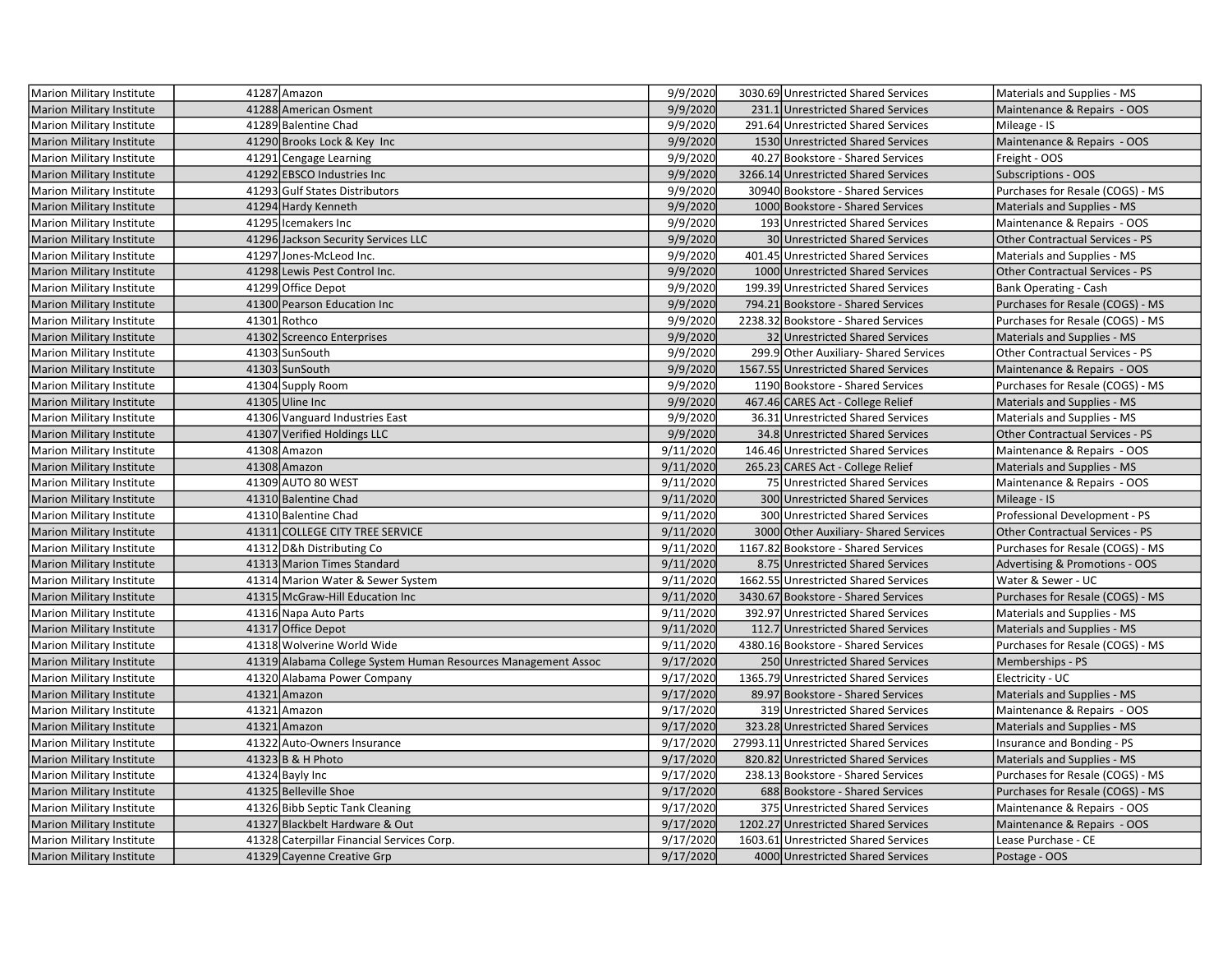| <b>Marion Military Institute</b> | 41287 Amazon                                                  | 9/9/2020  | 3030.69 Unrestricted Shared Services   | Materials and Supplies - MS            |
|----------------------------------|---------------------------------------------------------------|-----------|----------------------------------------|----------------------------------------|
| <b>Marion Military Institute</b> | 41288 American Osment                                         | 9/9/2020  | 231.1 Unrestricted Shared Services     | Maintenance & Repairs - OOS            |
| Marion Military Institute        | 41289 Balentine Chad                                          | 9/9/2020  | 291.64 Unrestricted Shared Services    | Mileage - IS                           |
| Marion Military Institute        | 41290 Brooks Lock & Key Inc                                   | 9/9/2020  | 1530 Unrestricted Shared Services      | Maintenance & Repairs - OOS            |
| Marion Military Institute        | 41291 Cengage Learning                                        | 9/9/2020  | 40.27 Bookstore - Shared Services      | Freight - OOS                          |
| Marion Military Institute        | 41292 EBSCO Industries Inc                                    | 9/9/2020  | 3266.14 Unrestricted Shared Services   | <b>Subscriptions - OOS</b>             |
| Marion Military Institute        | 41293 Gulf States Distributors                                | 9/9/2020  | 30940 Bookstore - Shared Services      | Purchases for Resale (COGS) - MS       |
| <b>Marion Military Institute</b> | 41294 Hardy Kenneth                                           | 9/9/2020  | 1000 Bookstore - Shared Services       | Materials and Supplies - MS            |
| <b>Marion Military Institute</b> | 41295 Icemakers Inc                                           | 9/9/2020  | 193 Unrestricted Shared Services       | Maintenance & Repairs - OOS            |
| <b>Marion Military Institute</b> | 41296 Jackson Security Services LLC                           | 9/9/2020  | 30 Unrestricted Shared Services        | <b>Other Contractual Services - PS</b> |
| Marion Military Institute        | 41297 Jones-McLeod Inc.                                       | 9/9/2020  | 401.45 Unrestricted Shared Services    | Materials and Supplies - MS            |
| <b>Marion Military Institute</b> | 41298 Lewis Pest Control Inc.                                 | 9/9/2020  | 1000 Unrestricted Shared Services      | <b>Other Contractual Services - PS</b> |
| Marion Military Institute        | 41299 Office Depot                                            | 9/9/2020  | 199.39 Unrestricted Shared Services    | Bank Operating - Cash                  |
| <b>Marion Military Institute</b> | 41300 Pearson Education Inc                                   | 9/9/2020  | 794.21 Bookstore - Shared Services     | Purchases for Resale (COGS) - MS       |
| Marion Military Institute        | 41301 Rothco                                                  | 9/9/2020  | 2238.32 Bookstore - Shared Services    | Purchases for Resale (COGS) - MS       |
| <b>Marion Military Institute</b> | 41302 Screenco Enterprises                                    | 9/9/2020  | 32 Unrestricted Shared Services        | Materials and Supplies - MS            |
| <b>Marion Military Institute</b> | 41303 SunSouth                                                | 9/9/2020  | 299.9 Other Auxiliary- Shared Services | Other Contractual Services - PS        |
| <b>Marion Military Institute</b> | 41303 SunSouth                                                | 9/9/2020  | 1567.55 Unrestricted Shared Services   | Maintenance & Repairs - OOS            |
| Marion Military Institute        | 41304 Supply Room                                             | 9/9/2020  | 1190 Bookstore - Shared Services       | Purchases for Resale (COGS) - MS       |
| Marion Military Institute        | 41305 Uline Inc                                               | 9/9/2020  | 467.46 CARES Act - College Relief      | Materials and Supplies - MS            |
| Marion Military Institute        | 41306 Vanguard Industries East                                | 9/9/2020  | 36.31 Unrestricted Shared Services     | Materials and Supplies - MS            |
| <b>Marion Military Institute</b> | 41307 Verified Holdings LLC                                   | 9/9/2020  | 34.8 Unrestricted Shared Services      | <b>Other Contractual Services - PS</b> |
| Marion Military Institute        | 41308 Amazon                                                  | 9/11/2020 | 146.46 Unrestricted Shared Services    | Maintenance & Repairs - OOS            |
| <b>Marion Military Institute</b> | 41308 Amazon                                                  | 9/11/2020 | 265.23 CARES Act - College Relief      | Materials and Supplies - MS            |
| Marion Military Institute        | 41309 AUTO 80 WEST                                            | 9/11/2020 | 75 Unrestricted Shared Services        | Maintenance & Repairs - OOS            |
| <b>Marion Military Institute</b> | 41310 Balentine Chad                                          | 9/11/2020 | 300 Unrestricted Shared Services       | Mileage - IS                           |
| Marion Military Institute        | 41310 Balentine Chad                                          | 9/11/2020 | 300 Unrestricted Shared Services       | Professional Development - PS          |
| <b>Marion Military Institute</b> | 41311 COLLEGE CITY TREE SERVICE                               | 9/11/2020 | 3000 Other Auxiliary- Shared Services  | <b>Other Contractual Services - PS</b> |
| Marion Military Institute        | 41312 D&h Distributing Co                                     | 9/11/2020 | 1167.82 Bookstore - Shared Services    | Purchases for Resale (COGS) - MS       |
| Marion Military Institute        | 41313 Marion Times Standard                                   | 9/11/2020 | 8.75 Unrestricted Shared Services      | Advertising & Promotions - OOS         |
| Marion Military Institute        | 41314 Marion Water & Sewer System                             | 9/11/2020 | 1662.55 Unrestricted Shared Services   | Water & Sewer - UC                     |
| <b>Marion Military Institute</b> | 41315 McGraw-Hill Education Inc                               | 9/11/2020 | 3430.67 Bookstore - Shared Services    | Purchases for Resale (COGS) - MS       |
| <b>Marion Military Institute</b> | 41316 Napa Auto Parts                                         | 9/11/2020 | 392.97 Unrestricted Shared Services    | Materials and Supplies - MS            |
| <b>Marion Military Institute</b> | 41317 Office Depot                                            | 9/11/2020 | 112.7 Unrestricted Shared Services     | Materials and Supplies - MS            |
| Marion Military Institute        | 41318 Wolverine World Wide                                    | 9/11/2020 | 4380.16 Bookstore - Shared Services    | Purchases for Resale (COGS) - MS       |
| <b>Marion Military Institute</b> | 41319 Alabama College System Human Resources Management Assoc | 9/17/2020 | 250 Unrestricted Shared Services       | Memberships - PS                       |
| Marion Military Institute        | 41320 Alabama Power Company                                   | 9/17/2020 | 1365.79 Unrestricted Shared Services   | Electricity - UC                       |
| <b>Marion Military Institute</b> | 41321 Amazon                                                  | 9/17/2020 | 89.97 Bookstore - Shared Services      | Materials and Supplies - MS            |
| Marion Military Institute        | 41321 Amazon                                                  | 9/17/2020 | 319 Unrestricted Shared Services       | Maintenance & Repairs - OOS            |
| <b>Marion Military Institute</b> | 41321 Amazon                                                  | 9/17/2020 | 323.28 Unrestricted Shared Services    | Materials and Supplies - MS            |
| Marion Military Institute        | 41322 Auto-Owners Insurance                                   | 9/17/2020 | 27993.11 Unrestricted Shared Services  | Insurance and Bonding - PS             |
| <b>Marion Military Institute</b> | 41323 B & H Photo                                             | 9/17/2020 | 820.82 Unrestricted Shared Services    | Materials and Supplies - MS            |
| Marion Military Institute        | 41324 Bayly Inc                                               | 9/17/2020 | 238.13 Bookstore - Shared Services     | Purchases for Resale (COGS) - MS       |
| <b>Marion Military Institute</b> | 41325 Belleville Shoe                                         | 9/17/2020 | 688 Bookstore - Shared Services        | Purchases for Resale (COGS) - MS       |
| Marion Military Institute        | 41326 Bibb Septic Tank Cleaning                               | 9/17/2020 | 375 Unrestricted Shared Services       | Maintenance & Repairs - OOS            |
| <b>Marion Military Institute</b> | 41327 Blackbelt Hardware & Out                                | 9/17/2020 | 1202.27 Unrestricted Shared Services   | Maintenance & Repairs - OOS            |
| Marion Military Institute        | 41328 Caterpillar Financial Services Corp.                    | 9/17/2020 | 1603.61 Unrestricted Shared Services   | Lease Purchase - CE                    |
| <b>Marion Military Institute</b> | 41329 Cayenne Creative Grp                                    | 9/17/2020 | 4000 Unrestricted Shared Services      | Postage - OOS                          |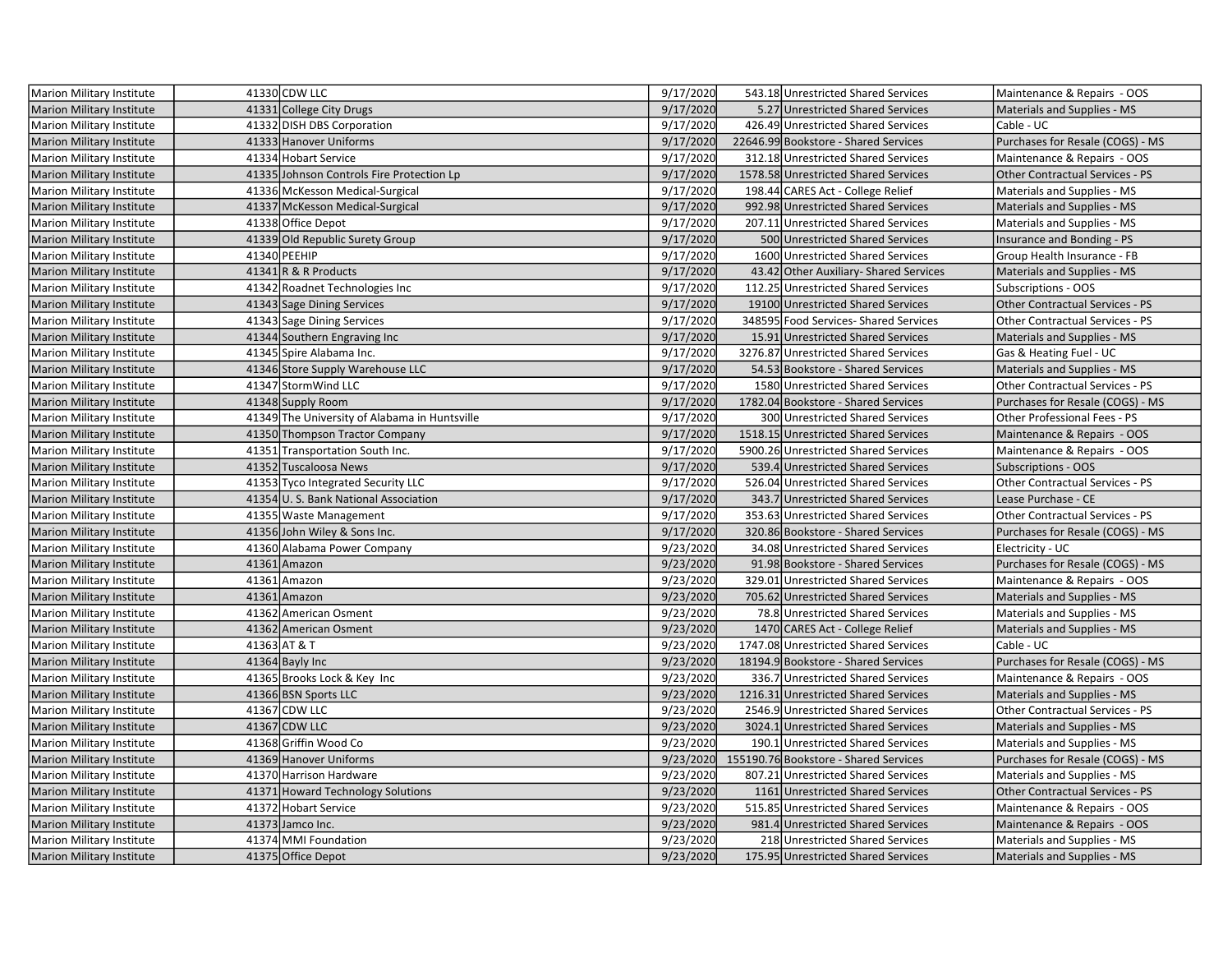| <b>Marion Military Institute</b> | 41330 CDW LLC                                 | 9/17/2020 | 543.18 Unrestricted Shared Services   | Maintenance & Repairs - OOS            |
|----------------------------------|-----------------------------------------------|-----------|---------------------------------------|----------------------------------------|
| <b>Marion Military Institute</b> | 41331 College City Drugs                      | 9/17/2020 | 5.27 Unrestricted Shared Services     | Materials and Supplies - MS            |
| Marion Military Institute        | 41332 DISH DBS Corporation                    | 9/17/2020 | 426.49 Unrestricted Shared Services   | Cable - UC                             |
| <b>Marion Military Institute</b> | 41333 Hanover Uniforms                        | 9/17/2020 | 22646.99 Bookstore - Shared Services  | Purchases for Resale (COGS) - MS       |
| Marion Military Institute        | 41334 Hobart Service                          | 9/17/2020 | 312.18 Unrestricted Shared Services   | Maintenance & Repairs - OOS            |
| <b>Marion Military Institute</b> | 41335 Johnson Controls Fire Protection Lp     | 9/17/2020 | 1578.58 Unrestricted Shared Services  | Other Contractual Services - PS        |
| Marion Military Institute        | 41336 McKesson Medical-Surgical               | 9/17/2020 | 198.44 CARES Act - College Relief     | Materials and Supplies - MS            |
| <b>Marion Military Institute</b> | 41337 McKesson Medical-Surgical               | 9/17/2020 | 992.98 Unrestricted Shared Services   | Materials and Supplies - MS            |
| <b>Marion Military Institute</b> | 41338 Office Depot                            | 9/17/2020 | 207.11 Unrestricted Shared Services   | Materials and Supplies - MS            |
| <b>Marion Military Institute</b> | 41339 Old Republic Surety Group               | 9/17/2020 | 500 Unrestricted Shared Services      | Insurance and Bonding - PS             |
| Marion Military Institute        | 41340 PEEHIP                                  | 9/17/2020 | 1600 Unrestricted Shared Services     | Group Health Insurance - FB            |
| Marion Military Institute        | $41341$ R & R Products                        | 9/17/2020 | 43.42 Other Auxiliary-Shared Services | Materials and Supplies - MS            |
| Marion Military Institute        | 41342 Roadnet Technologies Inc                | 9/17/2020 | 112.25 Unrestricted Shared Services   | Subscriptions - OOS                    |
| <b>Marion Military Institute</b> | 41343 Sage Dining Services                    | 9/17/2020 | 19100 Unrestricted Shared Services    | Other Contractual Services - PS        |
| Marion Military Institute        | 41343 Sage Dining Services                    | 9/17/2020 | 348595 Food Services-Shared Services  | Other Contractual Services - PS        |
| <b>Marion Military Institute</b> | 41344 Southern Engraving Inc                  | 9/17/2020 | 15.91 Unrestricted Shared Services    | Materials and Supplies - MS            |
| <b>Marion Military Institute</b> | 41345 Spire Alabama Inc.                      | 9/17/2020 | 3276.87 Unrestricted Shared Services  | Gas & Heating Fuel - UC                |
| <b>Marion Military Institute</b> | 41346 Store Supply Warehouse LLC              | 9/17/2020 | 54.53 Bookstore - Shared Services     | Materials and Supplies - MS            |
| <b>Marion Military Institute</b> | 41347 Storm Wind LLC                          | 9/17/2020 | 1580 Unrestricted Shared Services     | <b>Other Contractual Services - PS</b> |
| <b>Marion Military Institute</b> | 41348 Supply Room                             | 9/17/2020 | 1782.04 Bookstore - Shared Services   | Purchases for Resale (COGS) - MS       |
| Marion Military Institute        | 41349 The University of Alabama in Huntsville | 9/17/2020 | 300 Unrestricted Shared Services      | Other Professional Fees - PS           |
| <b>Marion Military Institute</b> | 41350 Thompson Tractor Company                | 9/17/2020 | 1518.15 Unrestricted Shared Services  | Maintenance & Repairs - OOS            |
| <b>Marion Military Institute</b> | 41351 Transportation South Inc.               | 9/17/2020 | 5900.26 Unrestricted Shared Services  | Maintenance & Repairs - OOS            |
| <b>Marion Military Institute</b> | 41352 Tuscaloosa News                         | 9/17/2020 | 539.4 Unrestricted Shared Services    | <b>Subscriptions - OOS</b>             |
| Marion Military Institute        | 41353 Tyco Integrated Security LLC            | 9/17/2020 | 526.04 Unrestricted Shared Services   | Other Contractual Services - PS        |
| <b>Marion Military Institute</b> | 41354 U.S. Bank National Association          | 9/17/2020 | 343.7 Unrestricted Shared Services    | Lease Purchase - CE                    |
| <b>Marion Military Institute</b> | 41355 Waste Management                        | 9/17/2020 | 353.63 Unrestricted Shared Services   | <b>Other Contractual Services - PS</b> |
| Marion Military Institute        | 41356 John Wiley & Sons Inc.                  | 9/17/2020 | 320.86 Bookstore - Shared Services    | Purchases for Resale (COGS) - MS       |
| Marion Military Institute        | 41360 Alabama Power Company                   | 9/23/2020 | 34.08 Unrestricted Shared Services    | Electricity - UC                       |
| Marion Military Institute        | 41361 Amazon                                  | 9/23/2020 | 91.98 Bookstore - Shared Services     | Purchases for Resale (COGS) - MS       |
| Marion Military Institute        | 41361 Amazon                                  | 9/23/2020 | 329.01 Unrestricted Shared Services   | Maintenance & Repairs - OOS            |
| <b>Marion Military Institute</b> | 41361 Amazon                                  | 9/23/2020 | 705.62 Unrestricted Shared Services   | Materials and Supplies - MS            |
| Marion Military Institute        | 41362 American Osment                         | 9/23/2020 | 78.8 Unrestricted Shared Services     | Materials and Supplies - MS            |
| <b>Marion Military Institute</b> | 41362 American Osment                         | 9/23/2020 | 1470 CARES Act - College Relief       | Materials and Supplies - MS            |
| Marion Military Institute        | 41363 AT & T                                  | 9/23/2020 | 1747.08 Unrestricted Shared Services  | Cable - UC                             |
| <b>Marion Military Institute</b> | 41364 Bayly Inc                               | 9/23/2020 | 18194.9 Bookstore - Shared Services   | Purchases for Resale (COGS) - MS       |
| Marion Military Institute        | 41365 Brooks Lock & Key Inc                   | 9/23/2020 | 336.7 Unrestricted Shared Services    | Maintenance & Repairs - OOS            |
| <b>Marion Military Institute</b> | 41366 BSN Sports LLC                          | 9/23/2020 | 1216.31 Unrestricted Shared Services  | Materials and Supplies - MS            |
| Marion Military Institute        | 41367 CDW LLC                                 | 9/23/2020 | 2546.9 Unrestricted Shared Services   | Other Contractual Services - PS        |
| <b>Marion Military Institute</b> | 41367 CDW LLC                                 | 9/23/2020 | 3024.1 Unrestricted Shared Services   | Materials and Supplies - MS            |
| Marion Military Institute        | 41368 Griffin Wood Co                         | 9/23/2020 | 190.1 Unrestricted Shared Services    | Materials and Supplies - MS            |
| <b>Marion Military Institute</b> | 41369 Hanover Uniforms                        | 9/23/2020 | 155190.76 Bookstore - Shared Services | Purchases for Resale (COGS) - MS       |
| Marion Military Institute        | 41370 Harrison Hardware                       | 9/23/2020 | 807.21 Unrestricted Shared Services   | Materials and Supplies - MS            |
| <b>Marion Military Institute</b> | 41371 Howard Technology Solutions             | 9/23/2020 | 1161 Unrestricted Shared Services     | <b>Other Contractual Services - PS</b> |
| Marion Military Institute        | 41372 Hobart Service                          | 9/23/2020 | 515.85 Unrestricted Shared Services   | Maintenance & Repairs - OOS            |
| <b>Marion Military Institute</b> | 41373 Jamco Inc.                              | 9/23/2020 | 981.4 Unrestricted Shared Services    | Maintenance & Repairs - OOS            |
| Marion Military Institute        | 41374 MMI Foundation                          | 9/23/2020 | 218 Unrestricted Shared Services      | Materials and Supplies - MS            |
| Marion Military Institute        | 41375 Office Depot                            | 9/23/2020 | 175.95 Unrestricted Shared Services   | Materials and Supplies - MS            |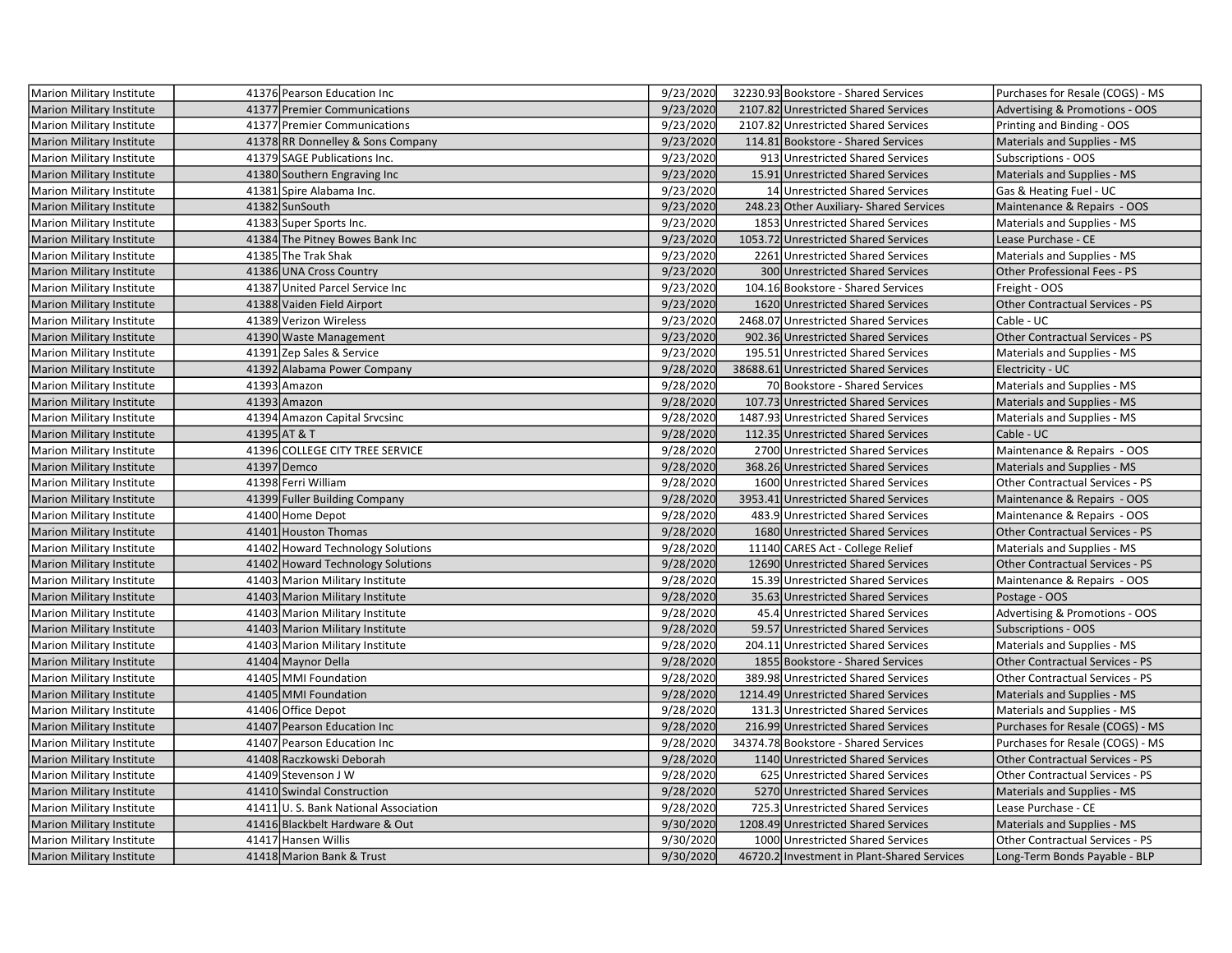| Marion Military Institute        | 41376 Pearson Education Inc          | 9/23/2020 | 32230.93 Bookstore - Shared Services        | Purchases for Resale (COGS) - MS          |
|----------------------------------|--------------------------------------|-----------|---------------------------------------------|-------------------------------------------|
| <b>Marion Military Institute</b> | 41377 Premier Communications         | 9/23/2020 | 2107.82 Unrestricted Shared Services        | <b>Advertising &amp; Promotions - OOS</b> |
| <b>Marion Military Institute</b> | 41377 Premier Communications         | 9/23/2020 | 2107.82 Unrestricted Shared Services        | Printing and Binding - OOS                |
| <b>Marion Military Institute</b> | 41378 RR Donnelley & Sons Company    | 9/23/2020 | 114.81 Bookstore - Shared Services          | Materials and Supplies - MS               |
| Marion Military Institute        | 41379 SAGE Publications Inc.         | 9/23/2020 | 913 Unrestricted Shared Services            | Subscriptions - OOS                       |
| <b>Marion Military Institute</b> | 41380 Southern Engraving Inc         | 9/23/2020 | 15.91 Unrestricted Shared Services          | Materials and Supplies - MS               |
| Marion Military Institute        | 41381 Spire Alabama Inc.             | 9/23/2020 | 14 Unrestricted Shared Services             | Gas & Heating Fuel - UC                   |
| <b>Marion Military Institute</b> | 41382 SunSouth                       | 9/23/2020 | 248.23 Other Auxiliary- Shared Services     | Maintenance & Repairs - OOS               |
| Marion Military Institute        | 41383 Super Sports Inc.              | 9/23/2020 | 1853 Unrestricted Shared Services           | Materials and Supplies - MS               |
| Marion Military Institute        | 41384 The Pitney Bowes Bank Inc      | 9/23/2020 | 1053.72 Unrestricted Shared Services        | Lease Purchase - CE                       |
| Marion Military Institute        | 41385 The Trak Shak                  | 9/23/2020 | 2261 Unrestricted Shared Services           | Materials and Supplies - MS               |
| <b>Marion Military Institute</b> | 41386 UNA Cross Country              | 9/23/2020 | 300 Unrestricted Shared Services            | Other Professional Fees - PS              |
| Marion Military Institute        | 41387 United Parcel Service Inc      | 9/23/2020 | 104.16 Bookstore - Shared Services          | Freight - OOS                             |
| <b>Marion Military Institute</b> | 41388 Vaiden Field Airport           | 9/23/2020 | 1620 Unrestricted Shared Services           | Other Contractual Services - PS           |
| Marion Military Institute        | 41389 Verizon Wireless               | 9/23/2020 | 2468.07 Unrestricted Shared Services        | Cable - UC                                |
| <b>Marion Military Institute</b> | 41390 Waste Management               | 9/23/2020 | 902.36 Unrestricted Shared Services         | <b>Other Contractual Services - PS</b>    |
| Marion Military Institute        | 41391 Zep Sales & Service            | 9/23/2020 | 195.51 Unrestricted Shared Services         | Materials and Supplies - MS               |
| <b>Marion Military Institute</b> | 41392 Alabama Power Company          | 9/28/2020 | 38688.61 Unrestricted Shared Services       | Electricity - UC                          |
| Marion Military Institute        | 41393 Amazon                         | 9/28/2020 | 70 Bookstore - Shared Services              | Materials and Supplies - MS               |
| <b>Marion Military Institute</b> | 41393 Amazon                         | 9/28/2020 | 107.73 Unrestricted Shared Services         | Materials and Supplies - MS               |
| Marion Military Institute        | 41394 Amazon Capital Srvcsinc        | 9/28/2020 | 1487.93 Unrestricted Shared Services        | Materials and Supplies - MS               |
| <b>Marion Military Institute</b> | 41395 AT & T                         | 9/28/2020 | 112.35 Unrestricted Shared Services         | Cable - UC                                |
| Marion Military Institute        | 41396 COLLEGE CITY TREE SERVICE      | 9/28/2020 | 2700 Unrestricted Shared Services           | Maintenance & Repairs - OOS               |
| <b>Marion Military Institute</b> | 41397 Demco                          | 9/28/2020 | 368.26 Unrestricted Shared Services         | Materials and Supplies - MS               |
| Marion Military Institute        | 41398 Ferri William                  | 9/28/2020 | 1600 Unrestricted Shared Services           | Other Contractual Services - PS           |
| <b>Marion Military Institute</b> | 41399 Fuller Building Company        | 9/28/2020 | 3953.41 Unrestricted Shared Services        | Maintenance & Repairs - OOS               |
| Marion Military Institute        | 41400 Home Depot                     | 9/28/2020 | 483.9 Unrestricted Shared Services          | Maintenance & Repairs - OOS               |
| <b>Marion Military Institute</b> | 41401 Houston Thomas                 | 9/28/2020 | 1680 Unrestricted Shared Services           | Other Contractual Services - PS           |
| Marion Military Institute        | 41402 Howard Technology Solutions    | 9/28/2020 | 11140 CARES Act - College Relief            | Materials and Supplies - MS               |
| <b>Marion Military Institute</b> | 41402 Howard Technology Solutions    | 9/28/2020 | 12690 Unrestricted Shared Services          | <b>Other Contractual Services - PS</b>    |
| Marion Military Institute        | 41403 Marion Military Institute      | 9/28/2020 | 15.39 Unrestricted Shared Services          | Maintenance & Repairs - OOS               |
| <b>Marion Military Institute</b> | 41403 Marion Military Institute      | 9/28/2020 | 35.63 Unrestricted Shared Services          | Postage - OOS                             |
| Marion Military Institute        | 41403 Marion Military Institute      | 9/28/2020 | 45.4 Unrestricted Shared Services           | Advertising & Promotions - OOS            |
| <b>Marion Military Institute</b> | 41403 Marion Military Institute      | 9/28/2020 | 59.57 Unrestricted Shared Services          | <b>Subscriptions - OOS</b>                |
| Marion Military Institute        | 41403 Marion Military Institute      | 9/28/2020 | 204.11 Unrestricted Shared Services         | Materials and Supplies - MS               |
| Marion Military Institute        | 41404 Maynor Della                   | 9/28/2020 | 1855 Bookstore - Shared Services            | <b>Other Contractual Services - PS</b>    |
| Marion Military Institute        | 41405 MMI Foundation                 | 9/28/2020 | 389.98 Unrestricted Shared Services         | <b>Other Contractual Services - PS</b>    |
| <b>Marion Military Institute</b> | 41405 MMI Foundation                 | 9/28/2020 | 1214.49 Unrestricted Shared Services        | Materials and Supplies - MS               |
| Marion Military Institute        | 41406 Office Depot                   | 9/28/2020 | 131.3 Unrestricted Shared Services          | Materials and Supplies - MS               |
| Marion Military Institute        | 41407 Pearson Education Inc          | 9/28/2020 | 216.99 Unrestricted Shared Services         | Purchases for Resale (COGS) - MS          |
| Marion Military Institute        | 41407 Pearson Education Inc          | 9/28/2020 | 34374.78 Bookstore - Shared Services        | Purchases for Resale (COGS) - MS          |
| <b>Marion Military Institute</b> | 41408 Raczkowski Deborah             | 9/28/2020 | 1140 Unrestricted Shared Services           | <b>Other Contractual Services - PS</b>    |
| Marion Military Institute        | 41409 Stevenson J W                  | 9/28/2020 | 625 Unrestricted Shared Services            | Other Contractual Services - PS           |
| <b>Marion Military Institute</b> | 41410 Swindal Construction           | 9/28/2020 | 5270 Unrestricted Shared Services           | Materials and Supplies - MS               |
| Marion Military Institute        | 41411 U.S. Bank National Association | 9/28/2020 | 725.3 Unrestricted Shared Services          | Lease Purchase - CE                       |
| Marion Military Institute        | 41416 Blackbelt Hardware & Out       | 9/30/2020 | 1208.49 Unrestricted Shared Services        | Materials and Supplies - MS               |
| Marion Military Institute        | 41417 Hansen Willis                  | 9/30/2020 | 1000 Unrestricted Shared Services           | Other Contractual Services - PS           |
| Marion Military Institute        | 41418 Marion Bank & Trust            | 9/30/2020 | 46720.2 Investment in Plant-Shared Services | Long-Term Bonds Payable - BLP             |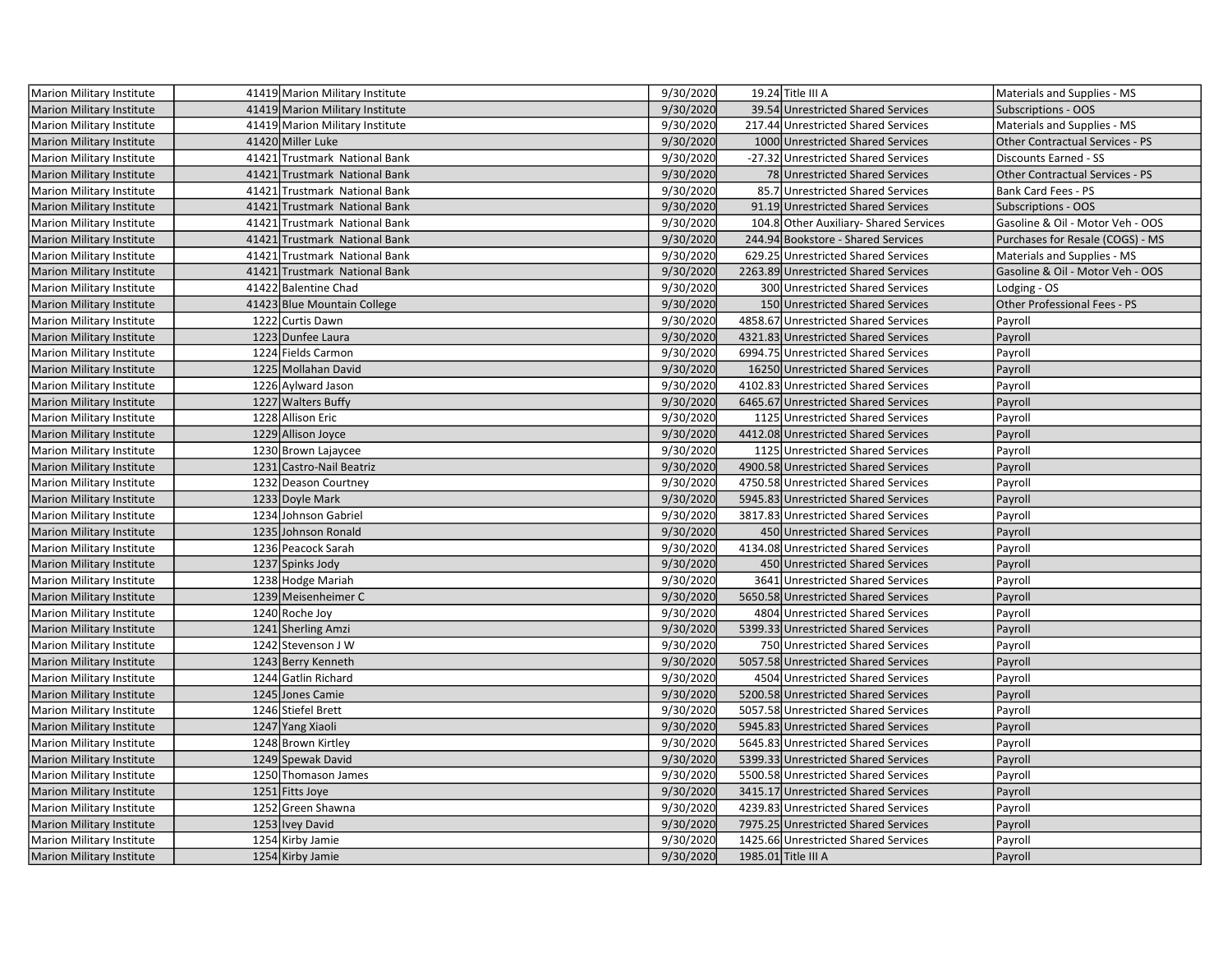| Marion Military Institute        | 41419 Marion Military Institute | 9/30/2020 | 19.24 Title III A                      | Materials and Supplies - MS            |
|----------------------------------|---------------------------------|-----------|----------------------------------------|----------------------------------------|
| Marion Military Institute        | 41419 Marion Military Institute | 9/30/2020 | 39.54 Unrestricted Shared Services     | <b>Subscriptions - OOS</b>             |
| Marion Military Institute        | 41419 Marion Military Institute | 9/30/2020 | 217.44 Unrestricted Shared Services    | Materials and Supplies - MS            |
| <b>Marion Military Institute</b> | 41420 Miller Luke               | 9/30/2020 | 1000 Unrestricted Shared Services      | Other Contractual Services - PS        |
| <b>Marion Military Institute</b> | 41421 Trustmark National Bank   | 9/30/2020 | -27.32 Unrestricted Shared Services    | Discounts Earned - SS                  |
| <b>Marion Military Institute</b> | 41421 Trustmark National Bank   | 9/30/2020 | 78 Unrestricted Shared Services        | <b>Other Contractual Services - PS</b> |
| <b>Marion Military Institute</b> | 41421 Trustmark National Bank   | 9/30/2020 | 85.7 Unrestricted Shared Services      | Bank Card Fees - PS                    |
| <b>Marion Military Institute</b> | 41421 Trustmark National Bank   | 9/30/2020 | 91.19 Unrestricted Shared Services     | Subscriptions - OOS                    |
| <b>Marion Military Institute</b> | 41421 Trustmark National Bank   | 9/30/2020 | 104.8 Other Auxiliary- Shared Services | Gasoline & Oil - Motor Veh - OOS       |
| Marion Military Institute        | 41421 Trustmark National Bank   | 9/30/2020 | 244.94 Bookstore - Shared Services     | Purchases for Resale (COGS) - MS       |
| Marion Military Institute        | 41421 Trustmark National Bank   | 9/30/2020 | 629.25 Unrestricted Shared Services    | Materials and Supplies - MS            |
| <b>Marion Military Institute</b> | 41421 Trustmark National Bank   | 9/30/2020 | 2263.89 Unrestricted Shared Services   | Gasoline & Oil - Motor Veh - OOS       |
| Marion Military Institute        | 41422 Balentine Chad            | 9/30/2020 | 300 Unrestricted Shared Services       | Lodging - OS                           |
| Marion Military Institute        | 41423 Blue Mountain College     | 9/30/2020 | 150 Unrestricted Shared Services       | Other Professional Fees - PS           |
| Marion Military Institute        | 1222 Curtis Dawn                | 9/30/2020 | 4858.67 Unrestricted Shared Services   | Payroll                                |
| <b>Marion Military Institute</b> | 1223 Dunfee Laura               | 9/30/2020 | 4321.83 Unrestricted Shared Services   | Payroll                                |
| <b>Marion Military Institute</b> | 1224 Fields Carmon              | 9/30/2020 | 6994.75 Unrestricted Shared Services   | Payroll                                |
| <b>Marion Military Institute</b> | 1225 Mollahan David             | 9/30/2020 | 16250 Unrestricted Shared Services     | Payroll                                |
| Marion Military Institute        | 1226 Aylward Jason              | 9/30/2020 | 4102.83 Unrestricted Shared Services   | Payroll                                |
| <b>Marion Military Institute</b> | 1227 Walters Buffy              | 9/30/2020 | 6465.67 Unrestricted Shared Services   | Payroll                                |
| Marion Military Institute        | 1228 Allison Eric               | 9/30/2020 | 1125 Unrestricted Shared Services      | Payroll                                |
| Marion Military Institute        | 1229 Allison Joyce              | 9/30/2020 | 4412.08 Unrestricted Shared Services   | Payroll                                |
| Marion Military Institute        | 1230 Brown Lajaycee             | 9/30/2020 | 1125 Unrestricted Shared Services      | Payroll                                |
| <b>Marion Military Institute</b> | 1231 Castro-Nail Beatriz        | 9/30/2020 | 4900.58 Unrestricted Shared Services   | Payroll                                |
| Marion Military Institute        | 1232 Deason Courtney            | 9/30/2020 | 4750.58 Unrestricted Shared Services   | Payroll                                |
| <b>Marion Military Institute</b> | 1233 Doyle Mark                 | 9/30/2020 | 5945.83 Unrestricted Shared Services   | Payroll                                |
| Marion Military Institute        | 1234 Johnson Gabriel            | 9/30/2020 | 3817.83 Unrestricted Shared Services   | Payroll                                |
| <b>Marion Military Institute</b> | 1235 Johnson Ronald             | 9/30/2020 | 450 Unrestricted Shared Services       | Payroll                                |
| <b>Marion Military Institute</b> | 1236 Peacock Sarah              | 9/30/2020 | 4134.08 Unrestricted Shared Services   | Payroll                                |
| <b>Marion Military Institute</b> | 1237 Spinks Jody                | 9/30/2020 | 450 Unrestricted Shared Services       | Payroll                                |
| Marion Military Institute        | 1238 Hodge Mariah               | 9/30/2020 | 3641 Unrestricted Shared Services      | Payroll                                |
| <b>Marion Military Institute</b> | 1239 Meisenheimer C             | 9/30/2020 | 5650.58 Unrestricted Shared Services   | Payroll                                |
| <b>Marion Military Institute</b> | 1240 Roche Joy                  | 9/30/2020 | 4804 Unrestricted Shared Services      | Payroll                                |
| Marion Military Institute        | 1241 Sherling Amzi              | 9/30/2020 | 5399.33 Unrestricted Shared Services   | Payroll                                |
| Marion Military Institute        | 1242 Stevenson J W              | 9/30/2020 | 750 Unrestricted Shared Services       | Payroll                                |
| <b>Marion Military Institute</b> | 1243 Berry Kenneth              | 9/30/2020 | 5057.58 Unrestricted Shared Services   | Payroll                                |
| Marion Military Institute        | 1244 Gatlin Richard             | 9/30/2020 | 4504 Unrestricted Shared Services      | Payroll                                |
| <b>Marion Military Institute</b> | 1245 Jones Camie                | 9/30/2020 | 5200.58 Unrestricted Shared Services   | Payroll                                |
| Marion Military Institute        | 1246 Stiefel Brett              | 9/30/2020 | 5057.58 Unrestricted Shared Services   | Payroll                                |
| Marion Military Institute        | 1247 Yang Xiaoli                | 9/30/2020 | 5945.83 Unrestricted Shared Services   | Payroll                                |
| Marion Military Institute        | 1248 Brown Kirtley              | 9/30/2020 | 5645.83 Unrestricted Shared Services   | Payroll                                |
| <b>Marion Military Institute</b> | 1249 Spewak David               | 9/30/2020 | 5399.33 Unrestricted Shared Services   | Payroll                                |
| Marion Military Institute        | 1250 Thomason James             | 9/30/2020 | 5500.58 Unrestricted Shared Services   | Payroll                                |
| <b>Marion Military Institute</b> | 1251 Fitts Joye                 | 9/30/2020 | 3415.17 Unrestricted Shared Services   | Payroll                                |
| <b>Marion Military Institute</b> | 1252 Green Shawna               | 9/30/2020 | 4239.83 Unrestricted Shared Services   | Payroll                                |
| Marion Military Institute        | 1253 Ivey David                 | 9/30/2020 | 7975.25 Unrestricted Shared Services   | Payroll                                |
| Marion Military Institute        | 1254 Kirby Jamie                | 9/30/2020 | 1425.66 Unrestricted Shared Services   | Payroll                                |
| <b>Marion Military Institute</b> | 1254 Kirby Jamie                | 9/30/2020 | 1985.01 Title III A                    | Payroll                                |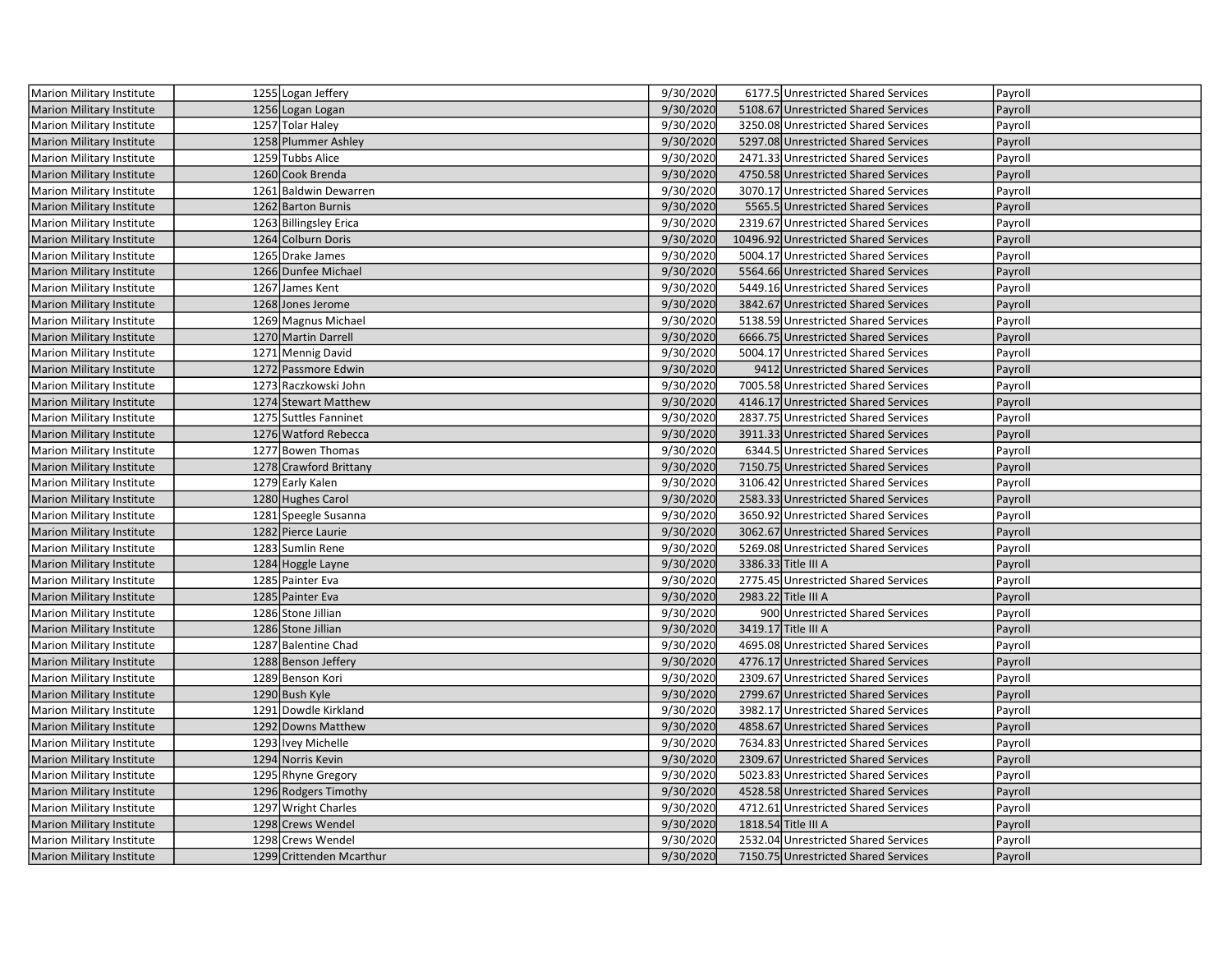| Marion Military Institute        | 1255 Logan Jeffery       | 9/30/2020 | 6177.5 Unrestricted Shared Services   | Payroll |
|----------------------------------|--------------------------|-----------|---------------------------------------|---------|
| <b>Marion Military Institute</b> | 1256 Logan Logan         | 9/30/2020 | 5108.67 Unrestricted Shared Services  | Payroll |
| Marion Military Institute        | 1257 Tolar Haley         | 9/30/2020 | 3250.08 Unrestricted Shared Services  | Payroll |
| Marion Military Institute        | 1258 Plummer Ashley      | 9/30/2020 | 5297.08 Unrestricted Shared Services  | Payroll |
| Marion Military Institute        | 1259 Tubbs Alice         | 9/30/2020 | 2471.33 Unrestricted Shared Services  | Payroll |
| Marion Military Institute        | 1260 Cook Brenda         | 9/30/2020 | 4750.58 Unrestricted Shared Services  | Payroll |
| Marion Military Institute        | 1261 Baldwin Dewarren    | 9/30/2020 | 3070.17 Unrestricted Shared Services  | Payroll |
| <b>Marion Military Institute</b> | 1262 Barton Burnis       | 9/30/2020 | 5565.5 Unrestricted Shared Services   | Payroll |
| Marion Military Institute        | 1263 Billingsley Erica   | 9/30/2020 | 2319.67 Unrestricted Shared Services  | Payroll |
| Marion Military Institute        | 1264 Colburn Doris       | 9/30/2020 | 10496.92 Unrestricted Shared Services | Payroll |
| Marion Military Institute        | 1265 Drake James         | 9/30/2020 | 5004.17 Unrestricted Shared Services  | Payroll |
| <b>Marion Military Institute</b> | 1266 Dunfee Michael      | 9/30/2020 | 5564.66 Unrestricted Shared Services  | Payroll |
| Marion Military Institute        | 1267 James Kent          | 9/30/2020 | 5449.16 Unrestricted Shared Services  | Payroll |
| <b>Marion Military Institute</b> | 1268 Jones Jerome        | 9/30/2020 | 3842.67 Unrestricted Shared Services  | Payroll |
| Marion Military Institute        | 1269 Magnus Michael      | 9/30/2020 | 5138.59 Unrestricted Shared Services  | Payroll |
| <b>Marion Military Institute</b> | 1270 Martin Darrell      | 9/30/2020 | 6666.75 Unrestricted Shared Services  | Payroll |
| Marion Military Institute        | 1271 Mennig David        | 9/30/2020 | 5004.17 Unrestricted Shared Services  | Payroll |
| <b>Marion Military Institute</b> | 1272 Passmore Edwin      | 9/30/2020 | 9412 Unrestricted Shared Services     | Payroll |
| <b>Marion Military Institute</b> | 1273 Raczkowski John     | 9/30/2020 | 7005.58 Unrestricted Shared Services  | Payroll |
| <b>Marion Military Institute</b> | 1274 Stewart Matthew     | 9/30/2020 | 4146.17 Unrestricted Shared Services  | Payroll |
| <b>Marion Military Institute</b> | 1275 Suttles Fanninet    | 9/30/2020 | 2837.75 Unrestricted Shared Services  | Payroll |
| <b>Marion Military Institute</b> | 1276 Watford Rebecca     | 9/30/2020 | 3911.33 Unrestricted Shared Services  | Payroll |
| Marion Military Institute        | 1277 Bowen Thomas        | 9/30/2020 | 6344.5 Unrestricted Shared Services   | Payroll |
| <b>Marion Military Institute</b> | 1278 Crawford Brittany   | 9/30/2020 | 7150.75 Unrestricted Shared Services  | Payroll |
| Marion Military Institute        | 1279 Early Kalen         | 9/30/2020 | 3106.42 Unrestricted Shared Services  | Payroll |
| <b>Marion Military Institute</b> | 1280 Hughes Carol        | 9/30/2020 | 2583.33 Unrestricted Shared Services  | Payroll |
| <b>Marion Military Institute</b> | 1281 Speegle Susanna     | 9/30/2020 | 3650.92 Unrestricted Shared Services  | Payroll |
| Marion Military Institute        | 1282 Pierce Laurie       | 9/30/2020 | 3062.67 Unrestricted Shared Services  | Payroll |
| Marion Military Institute        | 1283 Sumlin Rene         | 9/30/2020 | 5269.08 Unrestricted Shared Services  | Payroll |
| Marion Military Institute        | 1284 Hoggle Layne        | 9/30/2020 | 3386.33 Title III A                   | Payroll |
| Marion Military Institute        | 1285 Painter Eva         | 9/30/2020 | 2775.45 Unrestricted Shared Services  | Payroll |
| <b>Marion Military Institute</b> | 1285 Painter Eva         | 9/30/2020 | 2983.22 Title III A                   | Payroll |
| Marion Military Institute        | 1286 Stone Jillian       | 9/30/2020 | 900 Unrestricted Shared Services      | Payroll |
| <b>Marion Military Institute</b> | 1286 Stone Jillian       | 9/30/2020 | 3419.17 Title III A                   | Payroll |
| Marion Military Institute        | 1287 Balentine Chad      | 9/30/2020 | 4695.08 Unrestricted Shared Services  | Payroll |
| <b>Marion Military Institute</b> | 1288 Benson Jeffery      | 9/30/2020 | 4776.17 Unrestricted Shared Services  | Payroll |
| Marion Military Institute        | 1289 Benson Kori         | 9/30/2020 | 2309.67 Unrestricted Shared Services  | Payroll |
| <b>Marion Military Institute</b> | 1290 Bush Kyle           | 9/30/2020 | 2799.67 Unrestricted Shared Services  | Payroll |
| Marion Military Institute        | 1291 Dowdle Kirkland     | 9/30/2020 | 3982.17 Unrestricted Shared Services  | Payroll |
| <b>Marion Military Institute</b> | 1292 Downs Matthew       | 9/30/2020 | 4858.67 Unrestricted Shared Services  | Payroll |
| Marion Military Institute        | 1293 Ivey Michelle       | 9/30/2020 | 7634.83 Unrestricted Shared Services  | Payroll |
| <b>Marion Military Institute</b> | 1294 Norris Kevin        | 9/30/2020 | 2309.67 Unrestricted Shared Services  | Payroll |
| Marion Military Institute        | 1295 Rhyne Gregory       | 9/30/2020 | 5023.83 Unrestricted Shared Services  | Payroll |
| <b>Marion Military Institute</b> | 1296 Rodgers Timothy     | 9/30/2020 | 4528.58 Unrestricted Shared Services  | Payroll |
| Marion Military Institute        | 1297 Wright Charles      | 9/30/2020 | 4712.61 Unrestricted Shared Services  | Payroll |
| <b>Marion Military Institute</b> | 1298 Crews Wendel        | 9/30/2020 | 1818.54 Title III A                   | Payroll |
| Marion Military Institute        | 1298 Crews Wendel        | 9/30/2020 | 2532.04 Unrestricted Shared Services  | Payroll |
| Marion Military Institute        | 1299 Crittenden Mcarthur | 9/30/2020 | 7150.75 Unrestricted Shared Services  | Payroll |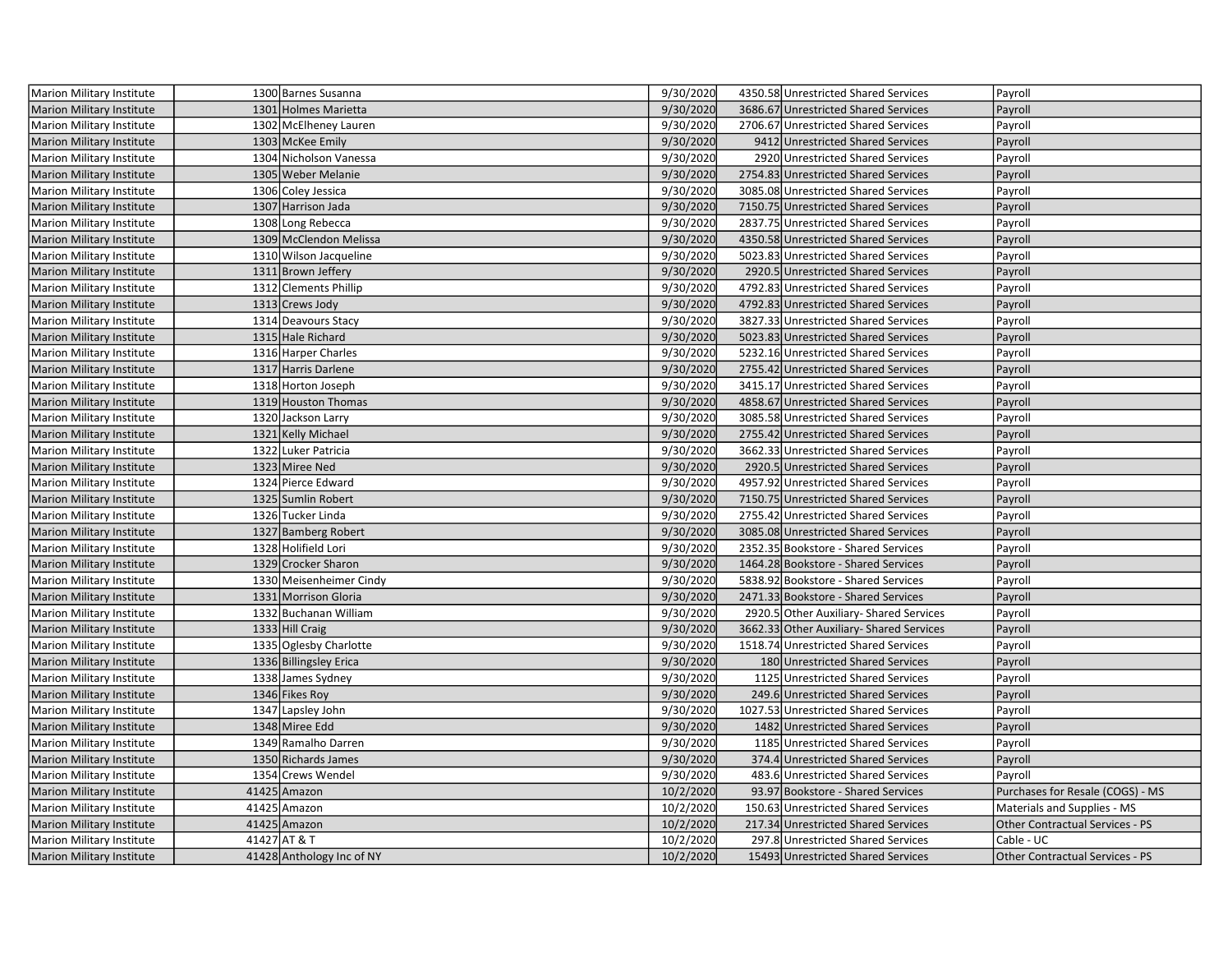| Marion Military Institute        | 1300 Barnes Susanna       | 9/30/2020 | 4350.58 Unrestricted Shared Services     | Payroll                                |
|----------------------------------|---------------------------|-----------|------------------------------------------|----------------------------------------|
| <b>Marion Military Institute</b> | 1301 Holmes Marietta      | 9/30/2020 | 3686.67 Unrestricted Shared Services     | Payroll                                |
| Marion Military Institute        | 1302 McElheney Lauren     | 9/30/2020 | 2706.67 Unrestricted Shared Services     | Payroll                                |
| <b>Marion Military Institute</b> | 1303 McKee Emily          | 9/30/2020 | 9412 Unrestricted Shared Services        | Payroll                                |
| <b>Marion Military Institute</b> | 1304 Nicholson Vanessa    | 9/30/2020 | 2920 Unrestricted Shared Services        | Payroll                                |
| <b>Marion Military Institute</b> | 1305 Weber Melanie        | 9/30/2020 | 2754.83 Unrestricted Shared Services     | Payroll                                |
| Marion Military Institute        | 1306 Coley Jessica        | 9/30/2020 | 3085.08 Unrestricted Shared Services     | Payroll                                |
| Marion Military Institute        | 1307 Harrison Jada        | 9/30/2020 | 7150.75 Unrestricted Shared Services     | Payroll                                |
| Marion Military Institute        | 1308 Long Rebecca         | 9/30/2020 | 2837.75 Unrestricted Shared Services     | Payroll                                |
| <b>Marion Military Institute</b> | 1309 McClendon Melissa    | 9/30/2020 | 4350.58 Unrestricted Shared Services     | Payroll                                |
| <b>Marion Military Institute</b> | 1310 Wilson Jacqueline    | 9/30/2020 | 5023.83 Unrestricted Shared Services     | Payroll                                |
| <b>Marion Military Institute</b> | 1311 Brown Jeffery        | 9/30/2020 | 2920.5 Unrestricted Shared Services      | Payroll                                |
| Marion Military Institute        | 1312 Clements Phillip     | 9/30/2020 | 4792.83 Unrestricted Shared Services     | Payroll                                |
| Marion Military Institute        | 1313 Crews Jody           | 9/30/2020 | 4792.83 Unrestricted Shared Services     | Payroll                                |
| <b>Marion Military Institute</b> | 1314 Deavours Stacy       | 9/30/2020 | 3827.33 Unrestricted Shared Services     | Payroll                                |
| Marion Military Institute        | 1315 Hale Richard         | 9/30/2020 | 5023.83 Unrestricted Shared Services     | Payroll                                |
| Marion Military Institute        | 1316 Harper Charles       | 9/30/2020 | 5232.16 Unrestricted Shared Services     | Payroll                                |
| Marion Military Institute        | 1317 Harris Darlene       | 9/30/2020 | 2755.42 Unrestricted Shared Services     | Payroll                                |
| <b>Marion Military Institute</b> | 1318 Horton Joseph        | 9/30/2020 | 3415.17 Unrestricted Shared Services     | Payroll                                |
| <b>Marion Military Institute</b> | 1319 Houston Thomas       | 9/30/2020 | 4858.67 Unrestricted Shared Services     | Payroll                                |
| <b>Marion Military Institute</b> | 1320 Jackson Larry        | 9/30/2020 | 3085.58 Unrestricted Shared Services     | Payroll                                |
| <b>Marion Military Institute</b> | 1321 Kelly Michael        | 9/30/2020 | 2755.42 Unrestricted Shared Services     | Payroll                                |
| Marion Military Institute        | 1322 Luker Patricia       | 9/30/2020 | 3662.33 Unrestricted Shared Services     | Payroll                                |
| <b>Marion Military Institute</b> | 1323 Miree Ned            | 9/30/2020 | 2920.5 Unrestricted Shared Services      | Payroll                                |
| Marion Military Institute        | 1324 Pierce Edward        | 9/30/2020 | 4957.92 Unrestricted Shared Services     | Payroll                                |
| <b>Marion Military Institute</b> | 1325 Sumlin Robert        | 9/30/2020 | 7150.75 Unrestricted Shared Services     | Payroll                                |
| <b>Marion Military Institute</b> | 1326 Tucker Linda         | 9/30/2020 | 2755.42 Unrestricted Shared Services     | Payroll                                |
| Marion Military Institute        | 1327 Bamberg Robert       | 9/30/2020 | 3085.08 Unrestricted Shared Services     | Payroll                                |
| <b>Marion Military Institute</b> | 1328 Holifield Lori       | 9/30/2020 | 2352.35 Bookstore - Shared Services      | Payroll                                |
| <b>Marion Military Institute</b> | 1329 Crocker Sharon       | 9/30/2020 | 1464.28 Bookstore - Shared Services      | Payroll                                |
| Marion Military Institute        | 1330 Meisenheimer Cindy   | 9/30/2020 | 5838.92 Bookstore - Shared Services      | Payroll                                |
| Marion Military Institute        | 1331 Morrison Gloria      | 9/30/2020 | 2471.33 Bookstore - Shared Services      | Payroll                                |
| <b>Marion Military Institute</b> | 1332 Buchanan William     | 9/30/2020 | 2920.5 Other Auxiliary- Shared Services  | Payroll                                |
| Marion Military Institute        | 1333 Hill Craig           | 9/30/2020 | 3662.33 Other Auxiliary- Shared Services | Payroll                                |
| <b>Marion Military Institute</b> | 1335 Oglesby Charlotte    | 9/30/2020 | 1518.74 Unrestricted Shared Services     | Payroll                                |
| <b>Marion Military Institute</b> | 1336 Billingsley Erica    | 9/30/2020 | 180 Unrestricted Shared Services         | Payroll                                |
| <b>Marion Military Institute</b> | 1338 James Sydney         | 9/30/2020 | 1125 Unrestricted Shared Services        | Payroll                                |
| <b>Marion Military Institute</b> | 1346 Fikes Roy            | 9/30/2020 | 249.6 Unrestricted Shared Services       | Payroll                                |
| Marion Military Institute        | 1347 Lapsley John         | 9/30/2020 | 1027.53 Unrestricted Shared Services     | Payroll                                |
| <b>Marion Military Institute</b> | 1348 Miree Edd            | 9/30/2020 | 1482 Unrestricted Shared Services        | Payroll                                |
| Marion Military Institute        | 1349 Ramalho Darren       | 9/30/2020 | 1185 Unrestricted Shared Services        | Payroll                                |
| Marion Military Institute        | 1350 Richards James       | 9/30/2020 | 374.4 Unrestricted Shared Services       | Payroll                                |
| Marion Military Institute        | 1354 Crews Wendel         | 9/30/2020 | 483.6 Unrestricted Shared Services       | Payroll                                |
| <b>Marion Military Institute</b> | 41425 Amazon              | 10/2/2020 | 93.97 Bookstore - Shared Services        | Purchases for Resale (COGS) - MS       |
| <b>Marion Military Institute</b> | 41425 Amazon              | 10/2/2020 | 150.63 Unrestricted Shared Services      | Materials and Supplies - MS            |
| Marion Military Institute        | 41425 Amazon              | 10/2/2020 | 217.34 Unrestricted Shared Services      | Other Contractual Services - PS        |
| <b>Marion Military Institute</b> | 41427 AT & T              | 10/2/2020 | 297.8 Unrestricted Shared Services       | Cable - UC                             |
| Marion Military Institute        | 41428 Anthology Inc of NY | 10/2/2020 | 15493 Unrestricted Shared Services       | <b>Other Contractual Services - PS</b> |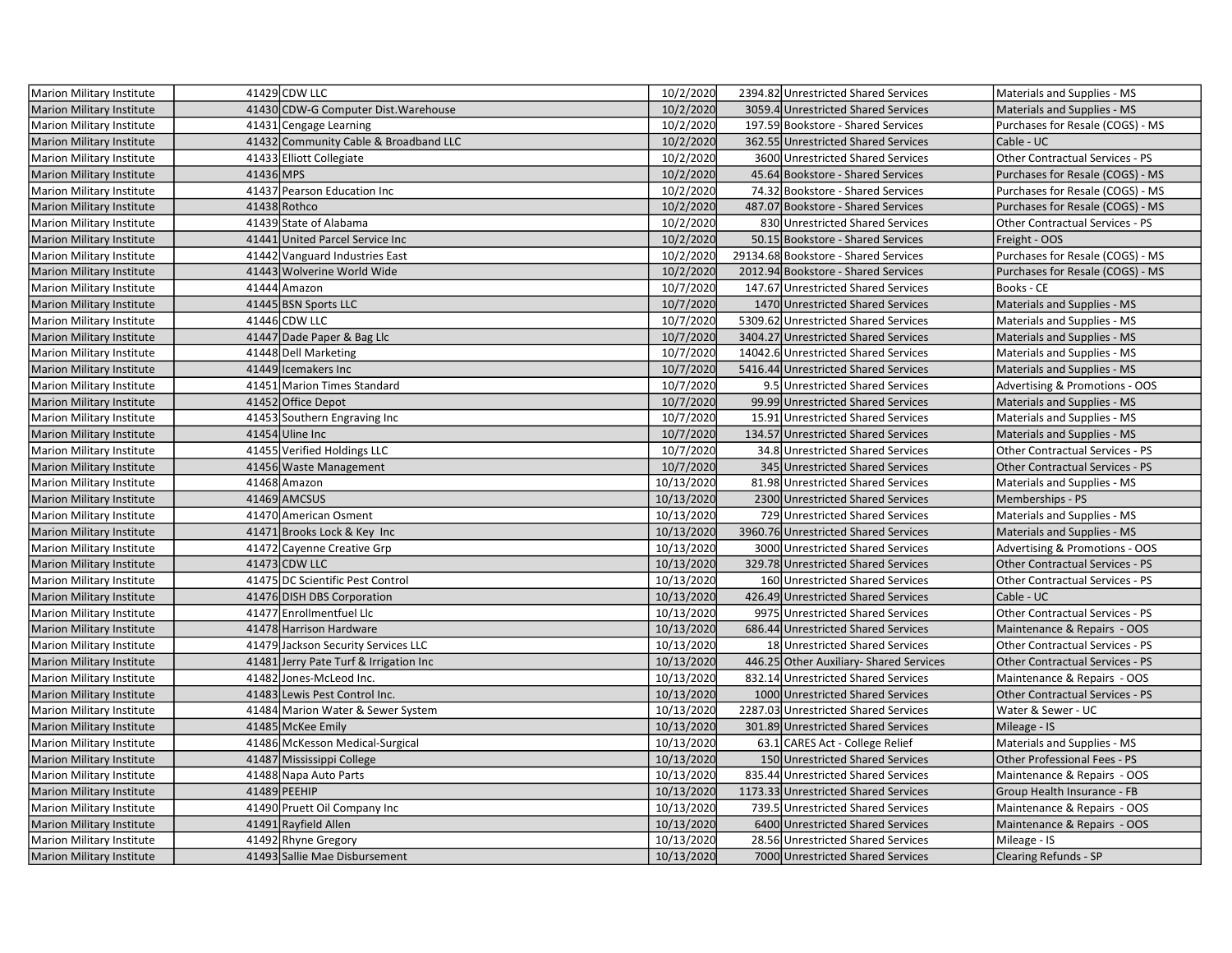| <b>Marion Military Institute</b> |           | 41429 CDW LLC                          | 10/2/2020  | 2394.82 Unrestricted Shared Services   | Materials and Supplies - MS               |
|----------------------------------|-----------|----------------------------------------|------------|----------------------------------------|-------------------------------------------|
| <b>Marion Military Institute</b> |           | 41430 CDW-G Computer Dist. Warehouse   | 10/2/2020  | 3059.4 Unrestricted Shared Services    | Materials and Supplies - MS               |
| Marion Military Institute        |           | 41431 Cengage Learning                 | 10/2/2020  | 197.59 Bookstore - Shared Services     | Purchases for Resale (COGS) - MS          |
| <b>Marion Military Institute</b> |           | 41432 Community Cable & Broadband LLC  | 10/2/2020  | 362.55 Unrestricted Shared Services    | Cable - UC                                |
| Marion Military Institute        |           | 41433 Elliott Collegiate               | 10/2/2020  | 3600 Unrestricted Shared Services      | Other Contractual Services - PS           |
| <b>Marion Military Institute</b> | 41436 MPS |                                        | 10/2/2020  | 45.64 Bookstore - Shared Services      | Purchases for Resale (COGS) - MS          |
| Marion Military Institute        |           | 41437 Pearson Education Inc            | 10/2/2020  | 74.32 Bookstore - Shared Services      | Purchases for Resale (COGS) - MS          |
| <b>Marion Military Institute</b> |           | 41438 Rothco                           | 10/2/2020  | 487.07 Bookstore - Shared Services     | Purchases for Resale (COGS) - MS          |
| <b>Marion Military Institute</b> |           | 41439 State of Alabama                 | 10/2/2020  | 830 Unrestricted Shared Services       | Other Contractual Services - PS           |
| <b>Marion Military Institute</b> |           | 41441 United Parcel Service Inc        | 10/2/2020  | 50.15 Bookstore - Shared Services      | Freight - OOS                             |
| Marion Military Institute        |           | 41442 Vanguard Industries East         | 10/2/2020  | 29134.68 Bookstore - Shared Services   | Purchases for Resale (COGS) - MS          |
| Marion Military Institute        |           | 41443 Wolverine World Wide             | 10/2/2020  | 2012.94 Bookstore - Shared Services    | Purchases for Resale (COGS) - MS          |
| Marion Military Institute        |           | 41444 Amazon                           | 10/7/2020  | 147.67 Unrestricted Shared Services    | Books - CE                                |
| <b>Marion Military Institute</b> |           | 41445 BSN Sports LLC                   | 10/7/2020  | 1470 Unrestricted Shared Services      | Materials and Supplies - MS               |
| Marion Military Institute        |           | 41446 CDW LLC                          | 10/7/2020  | 5309.62 Unrestricted Shared Services   | Materials and Supplies - MS               |
| <b>Marion Military Institute</b> |           | 41447 Dade Paper & Bag Llc             | 10/7/2020  | 3404.27 Unrestricted Shared Services   | Materials and Supplies - MS               |
| <b>Marion Military Institute</b> |           | 41448 Dell Marketing                   | 10/7/2020  | 14042.6 Unrestricted Shared Services   | Materials and Supplies - MS               |
| <b>Marion Military Institute</b> |           | 41449 Icemakers Inc                    | 10/7/2020  | 5416.44 Unrestricted Shared Services   | Materials and Supplies - MS               |
| <b>Marion Military Institute</b> |           | 41451 Marion Times Standard            | 10/7/2020  | 9.5 Unrestricted Shared Services       | <b>Advertising &amp; Promotions - OOS</b> |
| <b>Marion Military Institute</b> |           | 41452 Office Depot                     | 10/7/2020  | 99.99 Unrestricted Shared Services     | Materials and Supplies - MS               |
| Marion Military Institute        |           | 41453 Southern Engraving Inc           | 10/7/2020  | 15.91 Unrestricted Shared Services     | Materials and Supplies - MS               |
| <b>Marion Military Institute</b> |           | 41454 Uline Inc                        | 10/7/2020  | 134.57 Unrestricted Shared Services    | Materials and Supplies - MS               |
| <b>Marion Military Institute</b> |           | 41455 Verified Holdings LLC            | 10/7/2020  | 34.8 Unrestricted Shared Services      | Other Contractual Services - PS           |
| <b>Marion Military Institute</b> |           | 41456 Waste Management                 | 10/7/2020  | 345 Unrestricted Shared Services       | <b>Other Contractual Services - PS</b>    |
| Marion Military Institute        |           | 41468 Amazon                           | 10/13/2020 | 81.98 Unrestricted Shared Services     | Materials and Supplies - MS               |
| <b>Marion Military Institute</b> |           | 41469 AMCSUS                           | 10/13/2020 | 2300 Unrestricted Shared Services      | Memberships - PS                          |
| <b>Marion Military Institute</b> |           | 41470 American Osment                  | 10/13/2020 | 729 Unrestricted Shared Services       | Materials and Supplies - MS               |
| Marion Military Institute        |           | 41471 Brooks Lock & Key Inc            | 10/13/2020 | 3960.76 Unrestricted Shared Services   | Materials and Supplies - MS               |
| Marion Military Institute        |           | 41472 Cayenne Creative Grp             | 10/13/2020 | 3000 Unrestricted Shared Services      | Advertising & Promotions - OOS            |
| Marion Military Institute        |           | 41473 CDW LLC                          | 10/13/2020 | 329.78 Unrestricted Shared Services    | <b>Other Contractual Services - PS</b>    |
| Marion Military Institute        |           | 41475 DC Scientific Pest Control       | 10/13/2020 | 160 Unrestricted Shared Services       | Other Contractual Services - PS           |
| <b>Marion Military Institute</b> |           | 41476 DISH DBS Corporation             | 10/13/2020 | 426.49 Unrestricted Shared Services    | Cable - UC                                |
| Marion Military Institute        |           | 41477 Enrollmentfuel Llc               | 10/13/2020 | 9975 Unrestricted Shared Services      | Other Contractual Services - PS           |
| <b>Marion Military Institute</b> |           | 41478 Harrison Hardware                | 10/13/2020 | 686.44 Unrestricted Shared Services    | Maintenance & Repairs - OOS               |
| Marion Military Institute        |           | 41479 Jackson Security Services LLC    | 10/13/2020 | 18 Unrestricted Shared Services        | <b>Other Contractual Services - PS</b>    |
| <b>Marion Military Institute</b> |           | 41481 Jerry Pate Turf & Irrigation Inc | 10/13/2020 | 446.25 Other Auxiliary-Shared Services | <b>Other Contractual Services - PS</b>    |
| Marion Military Institute        |           | 41482 Jones-McLeod Inc.                | 10/13/2020 | 832.14 Unrestricted Shared Services    | Maintenance & Repairs - OOS               |
| <b>Marion Military Institute</b> |           | 41483 Lewis Pest Control Inc.          | 10/13/2020 | 1000 Unrestricted Shared Services      | <b>Other Contractual Services - PS</b>    |
| Marion Military Institute        |           | 41484 Marion Water & Sewer System      | 10/13/2020 | 2287.03 Unrestricted Shared Services   | Water & Sewer - UC                        |
| <b>Marion Military Institute</b> |           | 41485 McKee Emily                      | 10/13/2020 | 301.89 Unrestricted Shared Services    | Mileage - IS                              |
| Marion Military Institute        |           | 41486 McKesson Medical-Surgical        | 10/13/2020 | 63.1 CARES Act - College Relief        | Materials and Supplies - MS               |
| <b>Marion Military Institute</b> |           | 41487 Mississippi College              | 10/13/2020 | 150 Unrestricted Shared Services       | Other Professional Fees - PS              |
| Marion Military Institute        |           | 41488 Napa Auto Parts                  | 10/13/2020 | 835.44 Unrestricted Shared Services    | Maintenance & Repairs - OOS               |
| <b>Marion Military Institute</b> |           | 41489 PEEHIP                           | 10/13/2020 | 1173.33 Unrestricted Shared Services   | Group Health Insurance - FB               |
| Marion Military Institute        |           | 41490 Pruett Oil Company Inc           | 10/13/2020 | 739.5 Unrestricted Shared Services     | Maintenance & Repairs - OOS               |
| <b>Marion Military Institute</b> |           | 41491 Rayfield Allen                   | 10/13/2020 | 6400 Unrestricted Shared Services      | Maintenance & Repairs - OOS               |
| Marion Military Institute        |           | 41492 Rhyne Gregory                    | 10/13/2020 | 28.56 Unrestricted Shared Services     | Mileage - IS                              |
| <b>Marion Military Institute</b> |           | 41493 Sallie Mae Disbursement          | 10/13/2020 | 7000 Unrestricted Shared Services      | <b>Clearing Refunds - SP</b>              |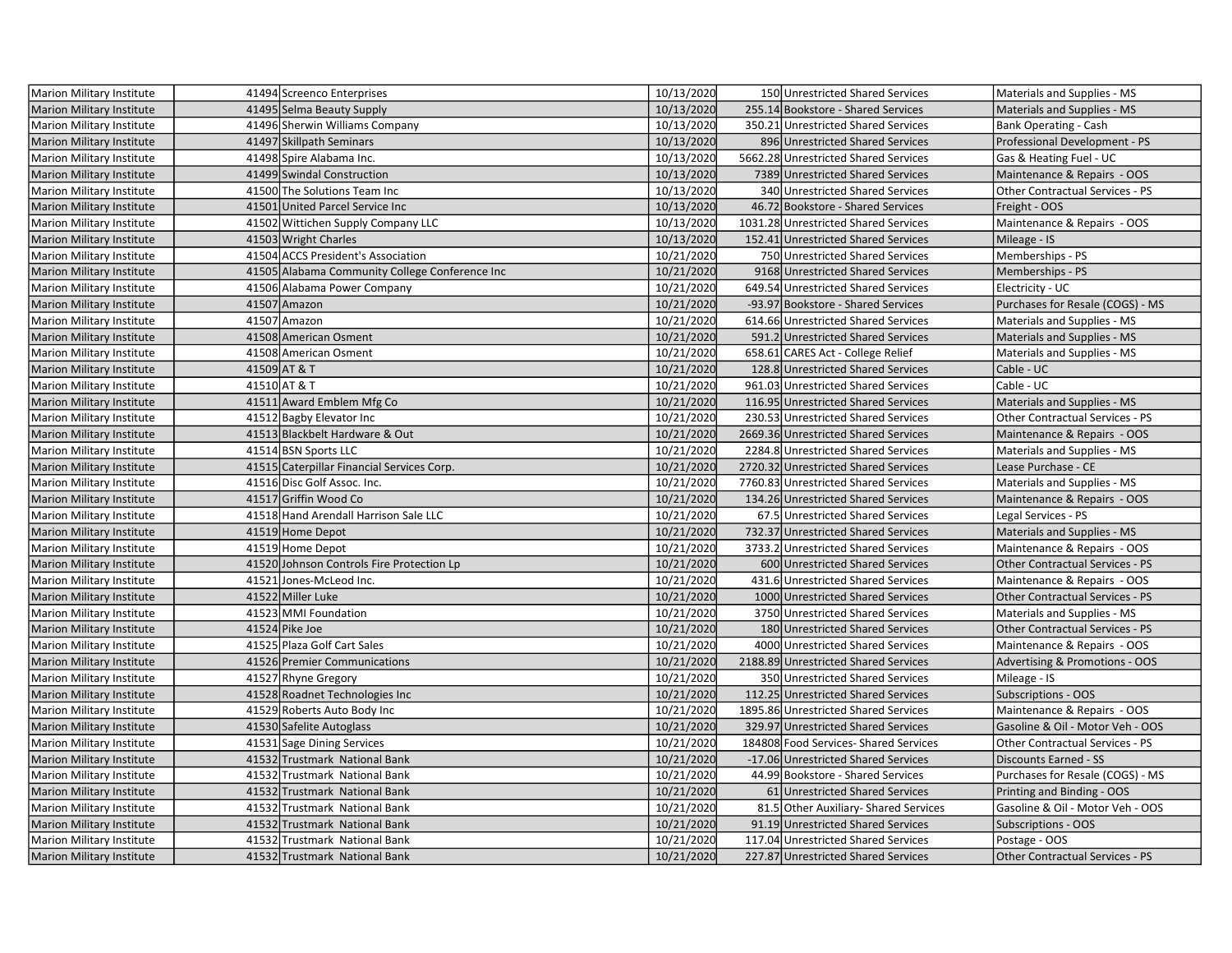| Marion Military Institute        | 41494 Screenco Enterprises                     | 10/13/2020 | 150 Unrestricted Shared Services      | Materials and Supplies - MS            |
|----------------------------------|------------------------------------------------|------------|---------------------------------------|----------------------------------------|
| <b>Marion Military Institute</b> | 41495 Selma Beauty Supply                      | 10/13/2020 | 255.14 Bookstore - Shared Services    | Materials and Supplies - MS            |
| <b>Marion Military Institute</b> | 41496 Sherwin Williams Company                 | 10/13/2020 | 350.21 Unrestricted Shared Services   | Bank Operating - Cash                  |
| <b>Marion Military Institute</b> | 41497 Skillpath Seminars                       | 10/13/2020 | 896 Unrestricted Shared Services      | Professional Development - PS          |
| Marion Military Institute        | 41498 Spire Alabama Inc.                       | 10/13/2020 | 5662.28 Unrestricted Shared Services  | Gas & Heating Fuel - UC                |
| <b>Marion Military Institute</b> | 41499 Swindal Construction                     | 10/13/2020 | 7389 Unrestricted Shared Services     | Maintenance & Repairs - OOS            |
| Marion Military Institute        | 41500 The Solutions Team Inc                   | 10/13/2020 | 340 Unrestricted Shared Services      | Other Contractual Services - PS        |
| <b>Marion Military Institute</b> | 41501 United Parcel Service Inc                | 10/13/2020 | 46.72 Bookstore - Shared Services     | Freight - OOS                          |
| Marion Military Institute        | 41502 Wittichen Supply Company LLC             | 10/13/2020 | 1031.28 Unrestricted Shared Services  | Maintenance & Repairs - OOS            |
| <b>Marion Military Institute</b> | 41503 Wright Charles                           | 10/13/2020 | 152.41 Unrestricted Shared Services   | Mileage - IS                           |
| Marion Military Institute        | 41504 ACCS President's Association             | 10/21/2020 | 750 Unrestricted Shared Services      | Memberships - PS                       |
| <b>Marion Military Institute</b> | 41505 Alabama Community College Conference Inc | 10/21/2020 | 9168 Unrestricted Shared Services     | Memberships - PS                       |
| Marion Military Institute        | 41506 Alabama Power Company                    | 10/21/2020 | 649.54 Unrestricted Shared Services   | Electricity - UC                       |
| <b>Marion Military Institute</b> | 41507 Amazon                                   | 10/21/2020 | -93.97 Bookstore - Shared Services    | Purchases for Resale (COGS) - MS       |
| Marion Military Institute        | 41507 Amazon                                   | 10/21/2020 | 614.66 Unrestricted Shared Services   | Materials and Supplies - MS            |
| <b>Marion Military Institute</b> | 41508 American Osment                          | 10/21/2020 | 591.2 Unrestricted Shared Services    | Materials and Supplies - MS            |
| Marion Military Institute        | 41508 American Osment                          | 10/21/2020 | 658.61 CARES Act - College Relief     | Materials and Supplies - MS            |
| <b>Marion Military Institute</b> | 41509 AT & T                                   | 10/21/2020 | 128.8 Unrestricted Shared Services    | Cable - UC                             |
| Marion Military Institute        | 41510 AT & T                                   | 10/21/2020 | 961.03 Unrestricted Shared Services   | Cable - UC                             |
| <b>Marion Military Institute</b> | 41511 Award Emblem Mfg Co                      | 10/21/2020 | 116.95 Unrestricted Shared Services   | Materials and Supplies - MS            |
| Marion Military Institute        | 41512 Bagby Elevator Inc                       | 10/21/2020 | 230.53 Unrestricted Shared Services   | Other Contractual Services - PS        |
| <b>Marion Military Institute</b> | 41513 Blackbelt Hardware & Out                 | 10/21/2020 | 2669.36 Unrestricted Shared Services  | Maintenance & Repairs - OOS            |
| Marion Military Institute        | 41514 BSN Sports LLC                           | 10/21/2020 | 2284.8 Unrestricted Shared Services   | Materials and Supplies - MS            |
| <b>Marion Military Institute</b> | 41515 Caterpillar Financial Services Corp.     | 10/21/2020 | 2720.32 Unrestricted Shared Services  | Lease Purchase - CE                    |
| Marion Military Institute        | 41516 Disc Golf Assoc. Inc.                    | 10/21/2020 | 7760.83 Unrestricted Shared Services  | Materials and Supplies - MS            |
| <b>Marion Military Institute</b> | 41517 Griffin Wood Co                          | 10/21/2020 | 134.26 Unrestricted Shared Services   | Maintenance & Repairs - OOS            |
| Marion Military Institute        | 41518 Hand Arendall Harrison Sale LLC          | 10/21/2020 | 67.5 Unrestricted Shared Services     | Legal Services - PS                    |
| <b>Marion Military Institute</b> | 41519 Home Depot                               | 10/21/2020 | 732.37 Unrestricted Shared Services   | Materials and Supplies - MS            |
| Marion Military Institute        | 41519 Home Depot                               | 10/21/2020 | 3733.2 Unrestricted Shared Services   | Maintenance & Repairs - OOS            |
| <b>Marion Military Institute</b> | 41520 Johnson Controls Fire Protection Lp      | 10/21/2020 | 600 Unrestricted Shared Services      | <b>Other Contractual Services - PS</b> |
| Marion Military Institute        | 41521 Jones-McLeod Inc.                        | 10/21/2020 | 431.6 Unrestricted Shared Services    | Maintenance & Repairs - OOS            |
| <b>Marion Military Institute</b> | 41522 Miller Luke                              | 10/21/2020 | 1000 Unrestricted Shared Services     | Other Contractual Services - PS        |
| Marion Military Institute        | 41523 MMI Foundation                           | 10/21/2020 | 3750 Unrestricted Shared Services     | Materials and Supplies - MS            |
| <b>Marion Military Institute</b> | 41524 Pike Joe                                 | 10/21/2020 | 180 Unrestricted Shared Services      | Other Contractual Services - PS        |
| Marion Military Institute        | 41525 Plaza Golf Cart Sales                    | 10/21/2020 | 4000 Unrestricted Shared Services     | Maintenance & Repairs - OOS            |
| <b>Marion Military Institute</b> | 41526 Premier Communications                   | 10/21/2020 | 2188.89 Unrestricted Shared Services  | Advertising & Promotions - OOS         |
| Marion Military Institute        | 41527 Rhyne Gregory                            | 10/21/2020 | 350 Unrestricted Shared Services      | Mileage - IS                           |
| <b>Marion Military Institute</b> | 41528 Roadnet Technologies Inc                 | 10/21/2020 | 112.25 Unrestricted Shared Services   | Subscriptions - OOS                    |
| Marion Military Institute        | 41529 Roberts Auto Body Inc                    | 10/21/2020 | 1895.86 Unrestricted Shared Services  | Maintenance & Repairs - OOS            |
| Marion Military Institute        | 41530 Safelite Autoglass                       | 10/21/2020 | 329.97 Unrestricted Shared Services   | Gasoline & Oil - Motor Veh - OOS       |
| Marion Military Institute        | 41531 Sage Dining Services                     | 10/21/2020 | 184808 Food Services-Shared Services  | Other Contractual Services - PS        |
| <b>Marion Military Institute</b> | 41532 Trustmark National Bank                  | 10/21/2020 | -17.06 Unrestricted Shared Services   | <b>Discounts Earned - SS</b>           |
| Marion Military Institute        | 41532 Trustmark National Bank                  | 10/21/2020 | 44.99 Bookstore - Shared Services     | Purchases for Resale (COGS) - MS       |
| <b>Marion Military Institute</b> | 41532 Trustmark National Bank                  | 10/21/2020 | 61 Unrestricted Shared Services       | Printing and Binding - OOS             |
| Marion Military Institute        | 41532 Trustmark National Bank                  | 10/21/2020 | 81.5 Other Auxiliary- Shared Services | Gasoline & Oil - Motor Veh - OOS       |
| <b>Marion Military Institute</b> | 41532 Trustmark National Bank                  | 10/21/2020 | 91.19 Unrestricted Shared Services    | Subscriptions - OOS                    |
| Marion Military Institute        | 41532 Trustmark National Bank                  | 10/21/2020 | 117.04 Unrestricted Shared Services   | Postage - OOS                          |
| <b>Marion Military Institute</b> | 41532 Trustmark National Bank                  | 10/21/2020 | 227.87 Unrestricted Shared Services   | Other Contractual Services - PS        |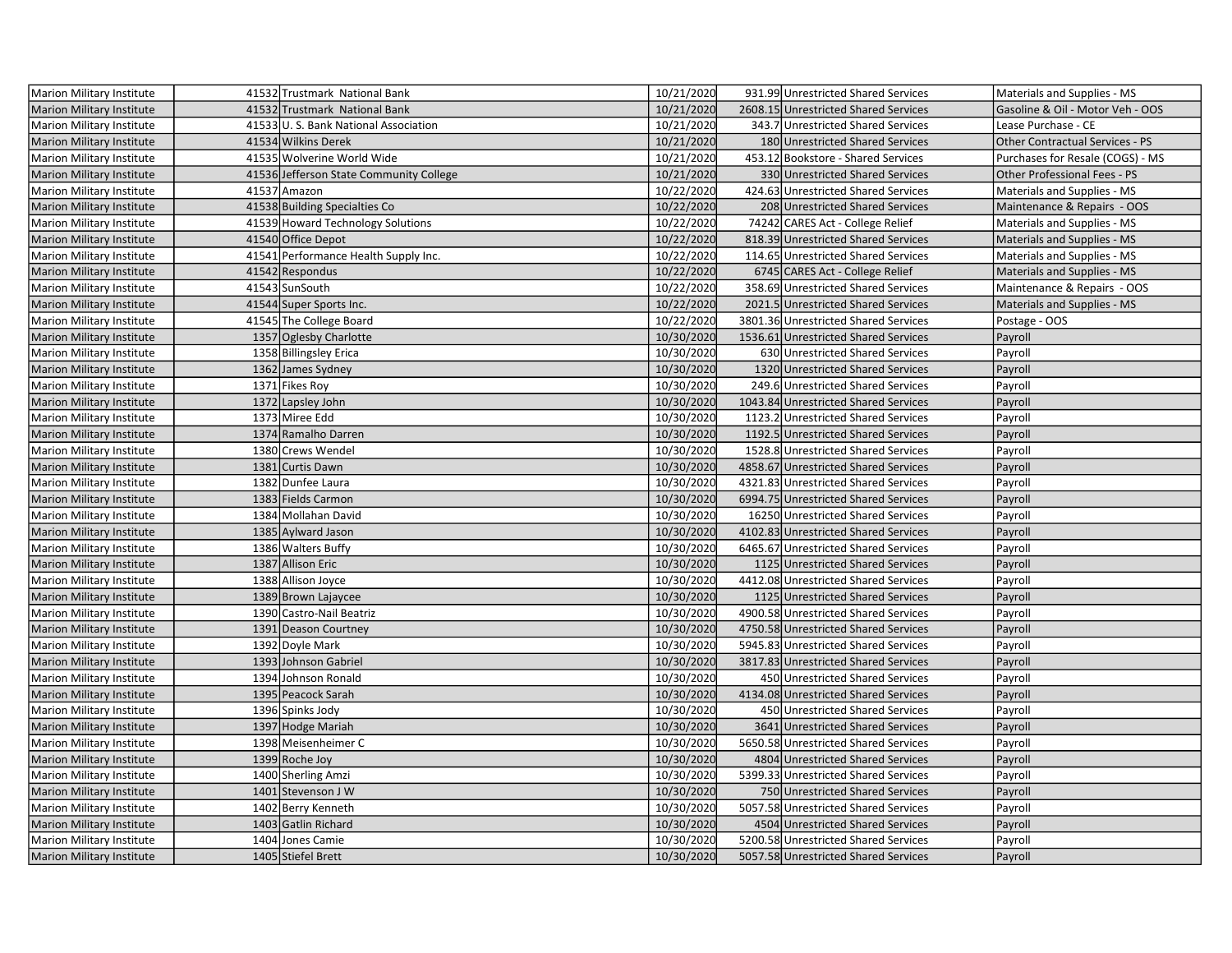| Marion Military Institute        | 41532 Trustmark National Bank           | 10/21/2020 | 931.99 Unrestricted Shared Services  | Materials and Supplies - MS            |
|----------------------------------|-----------------------------------------|------------|--------------------------------------|----------------------------------------|
| <b>Marion Military Institute</b> | 41532 Trustmark National Bank           | 10/21/2020 | 2608.15 Unrestricted Shared Services | Gasoline & Oil - Motor Veh - OOS       |
| Marion Military Institute        | 41533 U.S. Bank National Association    | 10/21/2020 | 343.7 Unrestricted Shared Services   | Lease Purchase - CE                    |
| <b>Marion Military Institute</b> | 41534 Wilkins Derek                     | 10/21/2020 | 180 Unrestricted Shared Services     | <b>Other Contractual Services - PS</b> |
| Marion Military Institute        | 41535 Wolverine World Wide              | 10/21/2020 | 453.12 Bookstore - Shared Services   | Purchases for Resale (COGS) - MS       |
| <b>Marion Military Institute</b> | 41536 Jefferson State Community College | 10/21/2020 | 330 Unrestricted Shared Services     | Other Professional Fees - PS           |
| Marion Military Institute        | 41537 Amazon                            | 10/22/2020 | 424.63 Unrestricted Shared Services  | Materials and Supplies - MS            |
| <b>Marion Military Institute</b> | 41538 Building Specialties Co           | 10/22/2020 | 208 Unrestricted Shared Services     | Maintenance & Repairs - OOS            |
| Marion Military Institute        | 41539 Howard Technology Solutions       | 10/22/2020 | 74242 CARES Act - College Relief     | Materials and Supplies - MS            |
| <b>Marion Military Institute</b> | 41540 Office Depot                      | 10/22/2020 | 818.39 Unrestricted Shared Services  | Materials and Supplies - MS            |
| <b>Marion Military Institute</b> | 41541 Performance Health Supply Inc.    | 10/22/2020 | 114.65 Unrestricted Shared Services  | Materials and Supplies - MS            |
| <b>Marion Military Institute</b> | 41542 Respondus                         | 10/22/2020 | 6745 CARES Act - College Relief      | Materials and Supplies - MS            |
| Marion Military Institute        | 41543 SunSouth                          | 10/22/2020 | 358.69 Unrestricted Shared Services  | Maintenance & Repairs - OOS            |
| Marion Military Institute        | 41544 Super Sports Inc.                 | 10/22/2020 | 2021.5 Unrestricted Shared Services  | Materials and Supplies - MS            |
| Marion Military Institute        | 41545 The College Board                 | 10/22/2020 | 3801.36 Unrestricted Shared Services | Postage - OOS                          |
| <b>Marion Military Institute</b> | 1357 Oglesby Charlotte                  | 10/30/2020 | 1536.61 Unrestricted Shared Services | Payroll                                |
| Marion Military Institute        | 1358 Billingsley Erica                  | 10/30/2020 | 630 Unrestricted Shared Services     | Payroll                                |
| <b>Marion Military Institute</b> | 1362 James Sydney                       | 10/30/2020 | 1320 Unrestricted Shared Services    | Payroll                                |
| <b>Marion Military Institute</b> | 1371 Fikes Roy                          | 10/30/2020 | 249.6 Unrestricted Shared Services   | Payroll                                |
| <b>Marion Military Institute</b> | 1372 Lapsley John                       | 10/30/2020 | 1043.84 Unrestricted Shared Services | Payroll                                |
| Marion Military Institute        | 1373 Miree Edd                          | 10/30/2020 | 1123.2 Unrestricted Shared Services  | Payroll                                |
| Marion Military Institute        | 1374 Ramalho Darren                     | 10/30/2020 | 1192.5 Unrestricted Shared Services  | Payroll                                |
| Marion Military Institute        | 1380 Crews Wendel                       | 10/30/2020 | 1528.8 Unrestricted Shared Services  | Payroll                                |
| <b>Marion Military Institute</b> | 1381 Curtis Dawn                        | 10/30/2020 | 4858.67 Unrestricted Shared Services | Payroll                                |
| Marion Military Institute        | 1382 Dunfee Laura                       | 10/30/2020 | 4321.83 Unrestricted Shared Services | Payroll                                |
| <b>Marion Military Institute</b> | 1383 Fields Carmon                      | 10/30/2020 | 6994.75 Unrestricted Shared Services | Payroll                                |
| Marion Military Institute        | 1384 Mollahan David                     | 10/30/2020 | 16250 Unrestricted Shared Services   | Payroll                                |
| Marion Military Institute        | 1385 Aylward Jason                      | 10/30/2020 | 4102.83 Unrestricted Shared Services | Payroll                                |
| Marion Military Institute        | 1386 Walters Buffy                      | 10/30/2020 | 6465.67 Unrestricted Shared Services | Payroll                                |
| Marion Military Institute        | 1387 Allison Eric                       | 10/30/2020 | 1125 Unrestricted Shared Services    | Payroll                                |
| Marion Military Institute        | 1388 Allison Joyce                      | 10/30/2020 | 4412.08 Unrestricted Shared Services | Payroll                                |
| <b>Marion Military Institute</b> | 1389 Brown Lajaycee                     | 10/30/2020 | 1125 Unrestricted Shared Services    | Payroll                                |
| Marion Military Institute        | 1390 Castro-Nail Beatriz                | 10/30/2020 | 4900.58 Unrestricted Shared Services | Payroll                                |
| <b>Marion Military Institute</b> | 1391 Deason Courtney                    | 10/30/2020 | 4750.58 Unrestricted Shared Services | Payroll                                |
| Marion Military Institute        | 1392 Doyle Mark                         | 10/30/2020 | 5945.83 Unrestricted Shared Services | Payroll                                |
| Marion Military Institute        | 1393 Johnson Gabriel                    | 10/30/2020 | 3817.83 Unrestricted Shared Services | Payroll                                |
| Marion Military Institute        | 1394 Johnson Ronald                     | 10/30/2020 | 450 Unrestricted Shared Services     | Payroll                                |
| Marion Military Institute        | 1395 Peacock Sarah                      | 10/30/2020 | 4134.08 Unrestricted Shared Services | Payroll                                |
| Marion Military Institute        | 1396 Spinks Jody                        | 10/30/2020 | 450 Unrestricted Shared Services     | Payroll                                |
| Marion Military Institute        | 1397 Hodge Mariah                       | 10/30/2020 | 3641 Unrestricted Shared Services    | Payroll                                |
| Marion Military Institute        | 1398 Meisenheimer C                     | 10/30/2020 | 5650.58 Unrestricted Shared Services | Payroll                                |
| <b>Marion Military Institute</b> | 1399 Roche Joy                          | 10/30/2020 | 4804 Unrestricted Shared Services    | Payroll                                |
| Marion Military Institute        | 1400 Sherling Amzi                      | 10/30/2020 | 5399.33 Unrestricted Shared Services | Payroll                                |
| <b>Marion Military Institute</b> | 1401 Stevenson J W                      | 10/30/2020 | 750 Unrestricted Shared Services     | Payroll                                |
| Marion Military Institute        | 1402 Berry Kenneth                      | 10/30/2020 | 5057.58 Unrestricted Shared Services | Payroll                                |
| <b>Marion Military Institute</b> | 1403 Gatlin Richard                     | 10/30/2020 | 4504 Unrestricted Shared Services    | Payroll                                |
| Marion Military Institute        | 1404 Jones Camie                        | 10/30/2020 | 5200.58 Unrestricted Shared Services | Payroll                                |
| Marion Military Institute        | 1405 Stiefel Brett                      | 10/30/2020 | 5057.58 Unrestricted Shared Services | Payroll                                |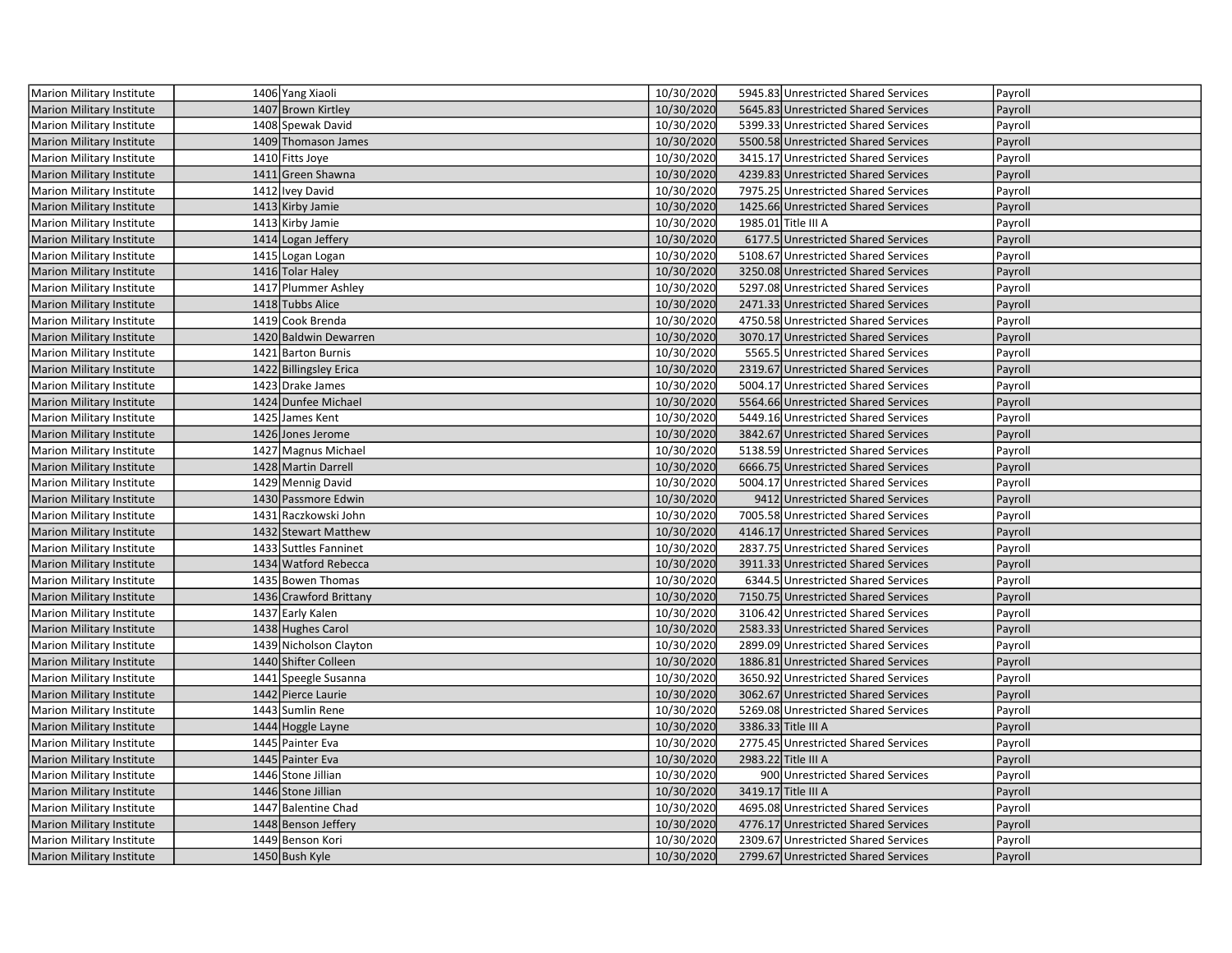| <b>Marion Military Institute</b> | 1406 Yang Xiaoli       | 10/30/2020 | 5945.83 Unrestricted Shared Services | Payroll |
|----------------------------------|------------------------|------------|--------------------------------------|---------|
| <b>Marion Military Institute</b> | 1407 Brown Kirtley     | 10/30/2020 | 5645.83 Unrestricted Shared Services | Payroll |
| Marion Military Institute        | 1408 Spewak David      | 10/30/2020 | 5399.33 Unrestricted Shared Services | Payroll |
| Marion Military Institute        | 1409 Thomason James    | 10/30/2020 | 5500.58 Unrestricted Shared Services | Payroll |
| Marion Military Institute        | 1410 Fitts Joye        | 10/30/2020 | 3415.17 Unrestricted Shared Services | Payroll |
| Marion Military Institute        | 1411 Green Shawna      | 10/30/2020 | 4239.83 Unrestricted Shared Services | Payroll |
| Marion Military Institute        | 1412 Ivey David        | 10/30/2020 | 7975.25 Unrestricted Shared Services | Payroll |
| <b>Marion Military Institute</b> | 1413 Kirby Jamie       | 10/30/2020 | 1425.66 Unrestricted Shared Services | Payroll |
| Marion Military Institute        | 1413 Kirby Jamie       | 10/30/2020 | 1985.01 Title III A                  | Payroll |
| <b>Marion Military Institute</b> | 1414 Logan Jeffery     | 10/30/2020 | 6177.5 Unrestricted Shared Services  | Payroll |
| Marion Military Institute        | 1415 Logan Logan       | 10/30/2020 | 5108.67 Unrestricted Shared Services | Payroll |
| <b>Marion Military Institute</b> | 1416 Tolar Haley       | 10/30/2020 | 3250.08 Unrestricted Shared Services | Payroll |
| Marion Military Institute        | 1417 Plummer Ashley    | 10/30/2020 | 5297.08 Unrestricted Shared Services | Payroll |
| <b>Marion Military Institute</b> | 1418 Tubbs Alice       | 10/30/2020 | 2471.33 Unrestricted Shared Services | Payroll |
| Marion Military Institute        | 1419 Cook Brenda       | 10/30/2020 | 4750.58 Unrestricted Shared Services | Payroll |
| <b>Marion Military Institute</b> | 1420 Baldwin Dewarren  | 10/30/2020 | 3070.17 Unrestricted Shared Services | Payroll |
| Marion Military Institute        | 1421 Barton Burnis     | 10/30/2020 | 5565.5 Unrestricted Shared Services  | Payroll |
| <b>Marion Military Institute</b> | 1422 Billingsley Erica | 10/30/2020 | 2319.67 Unrestricted Shared Services | Payroll |
| <b>Marion Military Institute</b> | 1423 Drake James       | 10/30/2020 | 5004.17 Unrestricted Shared Services | Payroll |
| <b>Marion Military Institute</b> | 1424 Dunfee Michael    | 10/30/2020 | 5564.66 Unrestricted Shared Services | Payroll |
| <b>Marion Military Institute</b> | 1425 James Kent        | 10/30/2020 | 5449.16 Unrestricted Shared Services | Payroll |
| <b>Marion Military Institute</b> | 1426 Jones Jerome      | 10/30/2020 | 3842.67 Unrestricted Shared Services | Payroll |
| Marion Military Institute        | 1427 Magnus Michael    | 10/30/2020 | 5138.59 Unrestricted Shared Services | Payroll |
| <b>Marion Military Institute</b> | 1428 Martin Darrell    | 10/30/2020 | 6666.75 Unrestricted Shared Services | Payroll |
| Marion Military Institute        | 1429 Mennig David      | 10/30/2020 | 5004.17 Unrestricted Shared Services | Payroll |
| <b>Marion Military Institute</b> | 1430 Passmore Edwin    | 10/30/2020 | 9412 Unrestricted Shared Services    | Payroll |
| <b>Marion Military Institute</b> | 1431 Raczkowski John   | 10/30/2020 | 7005.58 Unrestricted Shared Services | Payroll |
| Marion Military Institute        | 1432 Stewart Matthew   | 10/30/2020 | 4146.17 Unrestricted Shared Services | Payroll |
| Marion Military Institute        | 1433 Suttles Fanninet  | 10/30/2020 | 2837.75 Unrestricted Shared Services | Payroll |
| Marion Military Institute        | 1434 Watford Rebecca   | 10/30/2020 | 3911.33 Unrestricted Shared Services | Payroll |
| Marion Military Institute        | 1435 Bowen Thomas      | 10/30/2020 | 6344.5 Unrestricted Shared Services  | Payroll |
| <b>Marion Military Institute</b> | 1436 Crawford Brittany | 10/30/2020 | 7150.75 Unrestricted Shared Services | Payroll |
| Marion Military Institute        | 1437 Early Kalen       | 10/30/2020 | 3106.42 Unrestricted Shared Services | Payroll |
| <b>Marion Military Institute</b> | 1438 Hughes Carol      | 10/30/2020 | 2583.33 Unrestricted Shared Services | Payroll |
| Marion Military Institute        | 1439 Nicholson Clayton | 10/30/2020 | 2899.09 Unrestricted Shared Services | Payroll |
| <b>Marion Military Institute</b> | 1440 Shifter Colleen   | 10/30/2020 | 1886.81 Unrestricted Shared Services | Payroll |
| Marion Military Institute        | 1441 Speegle Susanna   | 10/30/2020 | 3650.92 Unrestricted Shared Services | Payroll |
| <b>Marion Military Institute</b> | 1442 Pierce Laurie     | 10/30/2020 | 3062.67 Unrestricted Shared Services | Payroll |
| Marion Military Institute        | 1443 Sumlin Rene       | 10/30/2020 | 5269.08 Unrestricted Shared Services | Payroll |
| <b>Marion Military Institute</b> | 1444 Hoggle Layne      | 10/30/2020 | 3386.33 Title III A                  | Payroll |
| Marion Military Institute        | 1445 Painter Eva       | 10/30/2020 | 2775.45 Unrestricted Shared Services | Payroll |
| <b>Marion Military Institute</b> | 1445 Painter Eva       | 10/30/2020 | 2983.22 Title III A                  | Payroll |
| Marion Military Institute        | 1446 Stone Jillian     | 10/30/2020 | 900 Unrestricted Shared Services     | Payroll |
| <b>Marion Military Institute</b> | 1446 Stone Jillian     | 10/30/2020 | 3419.17 Title III A                  | Payroll |
| Marion Military Institute        | 1447 Balentine Chad    | 10/30/2020 | 4695.08 Unrestricted Shared Services | Payroll |
| <b>Marion Military Institute</b> | 1448 Benson Jeffery    | 10/30/2020 | 4776.17 Unrestricted Shared Services | Payroll |
| Marion Military Institute        | 1449 Benson Kori       | 10/30/2020 | 2309.67 Unrestricted Shared Services | Payroll |
| Marion Military Institute        | 1450 Bush Kyle         | 10/30/2020 | 2799.67 Unrestricted Shared Services | Payroll |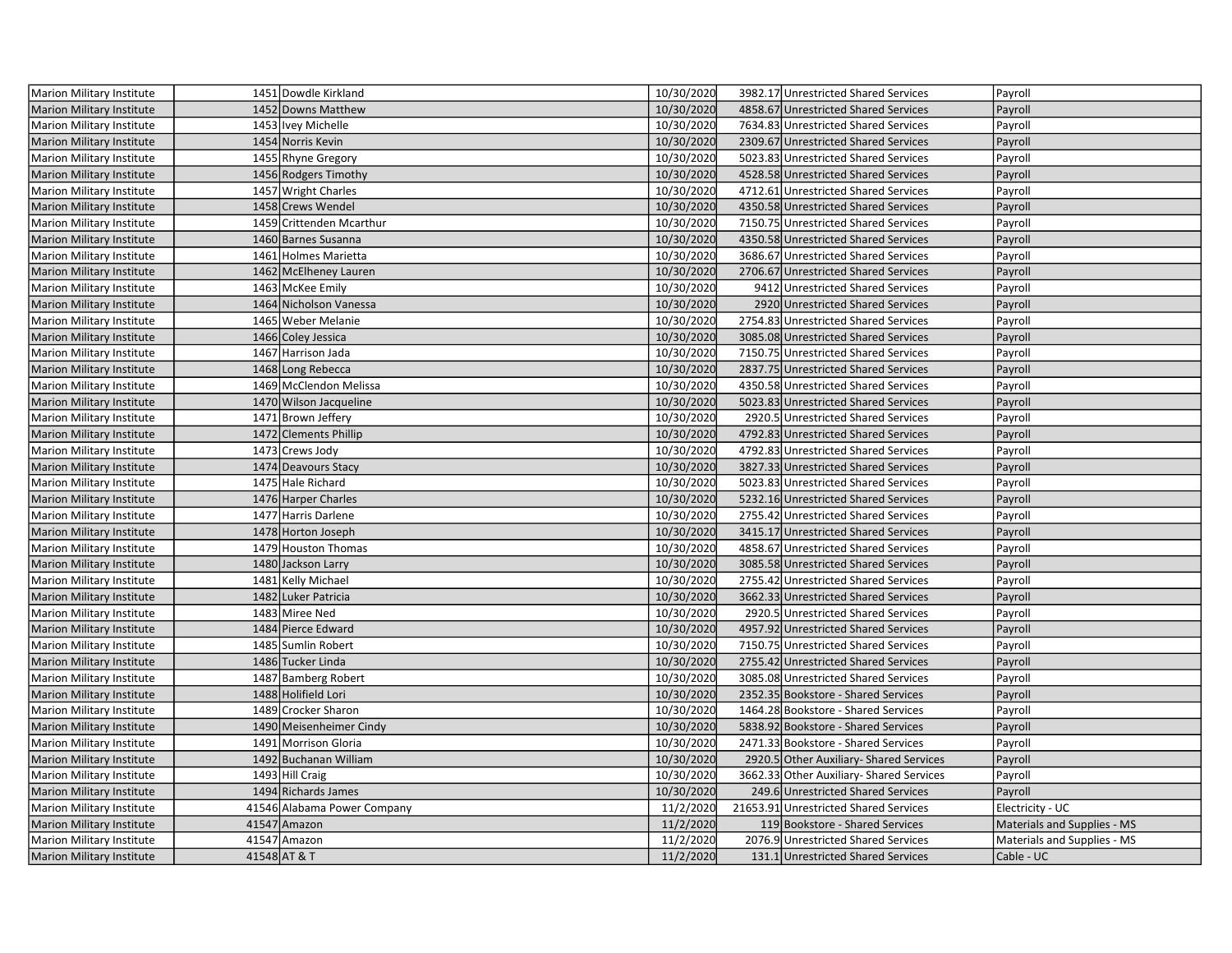| <b>Marion Military Institute</b> | 1451 Dowdle Kirkland        | 10/30/2020 | 3982.17 Unrestricted Shared Services    | Payroll                     |
|----------------------------------|-----------------------------|------------|-----------------------------------------|-----------------------------|
| <b>Marion Military Institute</b> | 1452 Downs Matthew          | 10/30/2020 | 4858.67 Unrestricted Shared Services    | Payroll                     |
| Marion Military Institute        | 1453   Ivey Michelle        | 10/30/2020 | 7634.83 Unrestricted Shared Services    | Payroll                     |
| Marion Military Institute        | 1454 Norris Kevin           | 10/30/2020 | 2309.67 Unrestricted Shared Services    | Payroll                     |
| Marion Military Institute        | 1455 Rhyne Gregory          | 10/30/2020 | 5023.83 Unrestricted Shared Services    | Payroll                     |
| <b>Marion Military Institute</b> | 1456 Rodgers Timothy        | 10/30/2020 | 4528.58 Unrestricted Shared Services    | Payroll                     |
| Marion Military Institute        | 1457 Wright Charles         | 10/30/2020 | 4712.61 Unrestricted Shared Services    | Payroll                     |
| <b>Marion Military Institute</b> | 1458 Crews Wendel           | 10/30/2020 | 4350.58 Unrestricted Shared Services    | Payroll                     |
| Marion Military Institute        | 1459 Crittenden Mcarthur    | 10/30/2020 | 7150.75 Unrestricted Shared Services    | Payroll                     |
| <b>Marion Military Institute</b> | 1460 Barnes Susanna         | 10/30/2020 | 4350.58 Unrestricted Shared Services    | Payroll                     |
| Marion Military Institute        | 1461 Holmes Marietta        | 10/30/2020 | 3686.67 Unrestricted Shared Services    | Payroll                     |
| <b>Marion Military Institute</b> | 1462 McElheney Lauren       | 10/30/2020 | 2706.67 Unrestricted Shared Services    | Payroll                     |
| Marion Military Institute        | 1463 McKee Emily            | 10/30/2020 | 9412 Unrestricted Shared Services       | Payroll                     |
| <b>Marion Military Institute</b> | 1464 Nicholson Vanessa      | 10/30/2020 | 2920 Unrestricted Shared Services       | Payroll                     |
| Marion Military Institute        | 1465 Weber Melanie          | 10/30/2020 | 2754.83 Unrestricted Shared Services    | Payroll                     |
| <b>Marion Military Institute</b> | 1466 Coley Jessica          | 10/30/2020 | 3085.08 Unrestricted Shared Services    | Payroll                     |
| Marion Military Institute        | 1467 Harrison Jada          | 10/30/2020 | 7150.75 Unrestricted Shared Services    | Payroll                     |
| <b>Marion Military Institute</b> | 1468 Long Rebecca           | 10/30/2020 | 2837.75 Unrestricted Shared Services    | Payroll                     |
| <b>Marion Military Institute</b> | 1469 McClendon Melissa      | 10/30/2020 | 4350.58 Unrestricted Shared Services    | Payroll                     |
| <b>Marion Military Institute</b> | 1470 Wilson Jacqueline      | 10/30/2020 | 5023.83 Unrestricted Shared Services    | Payroll                     |
| <b>Marion Military Institute</b> | 1471 Brown Jeffery          | 10/30/2020 | 2920.5 Unrestricted Shared Services     | Payroll                     |
| <b>Marion Military Institute</b> | 1472 Clements Phillip       | 10/30/2020 | 4792.83 Unrestricted Shared Services    | Payroll                     |
| Marion Military Institute        | 1473 Crews Jody             | 10/30/2020 | 4792.83 Unrestricted Shared Services    | Payroll                     |
| <b>Marion Military Institute</b> | 1474 Deavours Stacy         | 10/30/2020 | 3827.33 Unrestricted Shared Services    | Payroll                     |
| Marion Military Institute        | 1475 Hale Richard           | 10/30/2020 | 5023.83 Unrestricted Shared Services    | Payroll                     |
| <b>Marion Military Institute</b> | 1476 Harper Charles         | 10/30/2020 | 5232.16 Unrestricted Shared Services    | Payroll                     |
| <b>Marion Military Institute</b> | 1477 Harris Darlene         | 10/30/2020 | 2755.42 Unrestricted Shared Services    | Payroll                     |
| Marion Military Institute        | 1478 Horton Joseph          | 10/30/2020 | 3415.17 Unrestricted Shared Services    | Payroll                     |
| Marion Military Institute        | 1479 Houston Thomas         | 10/30/2020 | 4858.67 Unrestricted Shared Services    | Payroll                     |
| Marion Military Institute        | 1480 Jackson Larry          | 10/30/2020 | 3085.58 Unrestricted Shared Services    | Payroll                     |
| Marion Military Institute        | 1481 Kelly Michael          | 10/30/2020 | 2755.42 Unrestricted Shared Services    | Payroll                     |
| <b>Marion Military Institute</b> | 1482 Luker Patricia         | 10/30/2020 | 3662.33 Unrestricted Shared Services    | Payroll                     |
| Marion Military Institute        | 1483 Miree Ned              | 10/30/2020 | 2920.5 Unrestricted Shared Services     | Payroll                     |
| <b>Marion Military Institute</b> | 1484 Pierce Edward          | 10/30/2020 | 4957.92 Unrestricted Shared Services    | Payroll                     |
| Marion Military Institute        | 1485 Sumlin Robert          | 10/30/2020 | 7150.75 Unrestricted Shared Services    | Payroll                     |
| <b>Marion Military Institute</b> | 1486 Tucker Linda           | 10/30/2020 | 2755.42 Unrestricted Shared Services    | Payroll                     |
| Marion Military Institute        | 1487 Bamberg Robert         | 10/30/2020 | 3085.08 Unrestricted Shared Services    | Payroll                     |
| <b>Marion Military Institute</b> | 1488 Holifield Lori         | 10/30/2020 | 2352.35 Bookstore - Shared Services     | Payroll                     |
| Marion Military Institute        | 1489 Crocker Sharon         | 10/30/2020 | 1464.28 Bookstore - Shared Services     | Payroll                     |
| <b>Marion Military Institute</b> | 1490 Meisenheimer Cindy     | 10/30/2020 | 5838.92 Bookstore - Shared Services     | Payroll                     |
| Marion Military Institute        | 1491 Morrison Gloria        | 10/30/2020 | 2471.33 Bookstore - Shared Services     | Payroll                     |
| <b>Marion Military Institute</b> | 1492 Buchanan William       | 10/30/2020 | 2920.5 Other Auxiliary- Shared Services | Payroll                     |
| Marion Military Institute        | 1493 Hill Craig             | 10/30/2020 | 3662.33 Other Auxiliary-Shared Services | Payroll                     |
| <b>Marion Military Institute</b> | 1494 Richards James         | 10/30/2020 | 249.6 Unrestricted Shared Services      | Payroll                     |
| Marion Military Institute        | 41546 Alabama Power Company | 11/2/2020  | 21653.91 Unrestricted Shared Services   | Electricity - UC            |
| <b>Marion Military Institute</b> | 41547 Amazon                | 11/2/2020  | 119 Bookstore - Shared Services         | Materials and Supplies - MS |
| Marion Military Institute        | 41547 Amazon                | 11/2/2020  | 2076.9 Unrestricted Shared Services     | Materials and Supplies - MS |
| Marion Military Institute        | 41548 AT & T                | 11/2/2020  | 131.1 Unrestricted Shared Services      | Cable - UC                  |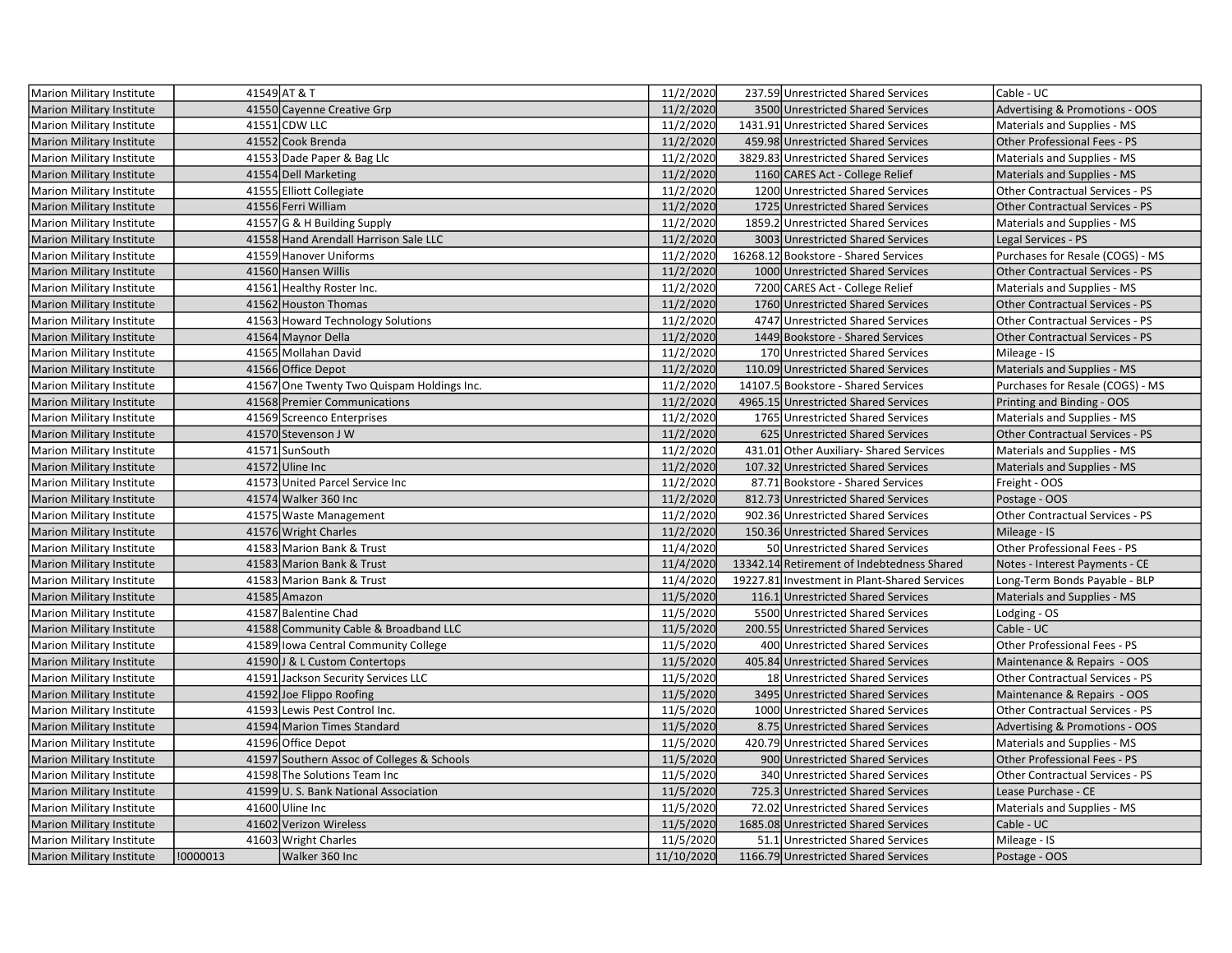| <b>Marion Military Institute</b> |          | 41549 AT & T                               | 11/2/2020  | 237.59 Unrestricted Shared Services          | Cable - UC                                |
|----------------------------------|----------|--------------------------------------------|------------|----------------------------------------------|-------------------------------------------|
| <b>Marion Military Institute</b> |          | 41550 Cayenne Creative Grp                 | 11/2/2020  | 3500 Unrestricted Shared Services            | <b>Advertising &amp; Promotions - OOS</b> |
| Marion Military Institute        |          | 41551 CDW LLC                              | 11/2/2020  | 1431.91 Unrestricted Shared Services         | Materials and Supplies - MS               |
| <b>Marion Military Institute</b> |          | 41552 Cook Brenda                          | 11/2/2020  | 459.98 Unrestricted Shared Services          | Other Professional Fees - PS              |
| Marion Military Institute        |          | 41553 Dade Paper & Bag Llc                 | 11/2/2020  | 3829.83 Unrestricted Shared Services         | Materials and Supplies - MS               |
| Marion Military Institute        |          | 41554 Dell Marketing                       | 11/2/2020  | 1160 CARES Act - College Relief              | Materials and Supplies - MS               |
| Marion Military Institute        |          | 41555 Elliott Collegiate                   | 11/2/2020  | 1200 Unrestricted Shared Services            | <b>Other Contractual Services - PS</b>    |
| <b>Marion Military Institute</b> |          | 41556 Ferri William                        | 11/2/2020  | 1725 Unrestricted Shared Services            | <b>Other Contractual Services - PS</b>    |
| Marion Military Institute        |          | 41557 G & H Building Supply                | 11/2/2020  | 1859.2 Unrestricted Shared Services          | Materials and Supplies - MS               |
| <b>Marion Military Institute</b> |          | 41558 Hand Arendall Harrison Sale LLC      | 11/2/2020  | 3003 Unrestricted Shared Services            | Legal Services - PS                       |
| Marion Military Institute        |          | 41559 Hanover Uniforms                     | 11/2/2020  | 16268.12 Bookstore - Shared Services         | Purchases for Resale (COGS) - MS          |
| <b>Marion Military Institute</b> |          | 41560 Hansen Willis                        | 11/2/2020  | 1000 Unrestricted Shared Services            | Other Contractual Services - PS           |
| Marion Military Institute        |          | 41561 Healthy Roster Inc.                  | 11/2/2020  | 7200 CARES Act - College Relief              | Materials and Supplies - MS               |
| <b>Marion Military Institute</b> |          | 41562 Houston Thomas                       | 11/2/2020  | 1760 Unrestricted Shared Services            | Other Contractual Services - PS           |
| <b>Marion Military Institute</b> |          | 41563 Howard Technology Solutions          | 11/2/2020  | 4747 Unrestricted Shared Services            | Other Contractual Services - PS           |
| Marion Military Institute        |          | 41564 Maynor Della                         | 11/2/2020  | 1449 Bookstore - Shared Services             | <b>Other Contractual Services - PS</b>    |
| <b>Marion Military Institute</b> |          | 41565 Mollahan David                       | 11/2/2020  | 170 Unrestricted Shared Services             | Mileage - IS                              |
| <b>Marion Military Institute</b> |          | 41566 Office Depot                         | 11/2/2020  | 110.09 Unrestricted Shared Services          | Materials and Supplies - MS               |
| Marion Military Institute        |          | 41567 One Twenty Two Quispam Holdings Inc. | 11/2/2020  | 14107.5 Bookstore - Shared Services          | Purchases for Resale (COGS) - MS          |
| <b>Marion Military Institute</b> |          | 41568 Premier Communications               | 11/2/2020  | 4965.15 Unrestricted Shared Services         | Printing and Binding - OOS                |
| Marion Military Institute        |          | 41569 Screenco Enterprises                 | 11/2/2020  | 1765 Unrestricted Shared Services            | Materials and Supplies - MS               |
| <b>Marion Military Institute</b> |          | 41570 Stevenson J W                        | 11/2/2020  | 625 Unrestricted Shared Services             | <b>Other Contractual Services - PS</b>    |
| Marion Military Institute        |          | 41571 SunSouth                             | 11/2/2020  | 431.01 Other Auxiliary- Shared Services      | Materials and Supplies - MS               |
| <b>Marion Military Institute</b> |          | 41572 Uline Inc                            | 11/2/2020  | 107.32 Unrestricted Shared Services          | Materials and Supplies - MS               |
| Marion Military Institute        |          | 41573 United Parcel Service Inc            | 11/2/2020  | 87.71 Bookstore - Shared Services            | Freight - OOS                             |
| <b>Marion Military Institute</b> |          | 41574 Walker 360 Inc                       | 11/2/2020  | 812.73 Unrestricted Shared Services          | Postage - OOS                             |
| Marion Military Institute        |          | 41575 Waste Management                     | 11/2/2020  | 902.36 Unrestricted Shared Services          | Other Contractual Services - PS           |
| <b>Marion Military Institute</b> |          | 41576 Wright Charles                       | 11/2/2020  | 150.36 Unrestricted Shared Services          | Mileage - IS                              |
| Marion Military Institute        |          | 41583 Marion Bank & Trust                  | 11/4/2020  | 50 Unrestricted Shared Services              | Other Professional Fees - PS              |
| <b>Marion Military Institute</b> |          | 41583 Marion Bank & Trust                  | 11/4/2020  | 13342.14 Retirement of Indebtedness Shared   | Notes - Interest Payments - CE            |
| <b>Marion Military Institute</b> |          | 41583 Marion Bank & Trust                  | 11/4/2020  | 19227.81 Investment in Plant-Shared Services | Long-Term Bonds Payable - BLP             |
| <b>Marion Military Institute</b> |          | 41585 Amazon                               | 11/5/2020  | 116.1 Unrestricted Shared Services           | Materials and Supplies - MS               |
| <b>Marion Military Institute</b> |          | 41587 Balentine Chad                       | 11/5/2020  | 5500 Unrestricted Shared Services            | Lodging - OS                              |
| <b>Marion Military Institute</b> |          | 41588 Community Cable & Broadband LLC      | 11/5/2020  | 200.55 Unrestricted Shared Services          | Cable - UC                                |
| Marion Military Institute        |          | 41589 Iowa Central Community College       | 11/5/2020  | 400 Unrestricted Shared Services             | Other Professional Fees - PS              |
| <b>Marion Military Institute</b> |          | 41590 J & L Custom Contertops              | 11/5/2020  | 405.84 Unrestricted Shared Services          | Maintenance & Repairs - OOS               |
| Marion Military Institute        |          | 41591 Jackson Security Services LLC        | 11/5/2020  | 18 Unrestricted Shared Services              | Other Contractual Services - PS           |
| <b>Marion Military Institute</b> |          | 41592 Joe Flippo Roofing                   | 11/5/2020  | 3495 Unrestricted Shared Services            | Maintenance & Repairs - OOS               |
| Marion Military Institute        |          | 41593 Lewis Pest Control Inc.              | 11/5/2020  | 1000 Unrestricted Shared Services            | <b>Other Contractual Services - PS</b>    |
| <b>Marion Military Institute</b> |          | 41594 Marion Times Standard                | 11/5/2020  | 8.75 Unrestricted Shared Services            | Advertising & Promotions - OOS            |
| Marion Military Institute        |          | 41596 Office Depot                         | 11/5/2020  | 420.79 Unrestricted Shared Services          | Materials and Supplies - MS               |
| <b>Marion Military Institute</b> |          | 41597 Southern Assoc of Colleges & Schools | 11/5/2020  | 900 Unrestricted Shared Services             | Other Professional Fees - PS              |
| Marion Military Institute        |          | 41598 The Solutions Team Inc               | 11/5/2020  | 340 Unrestricted Shared Services             | Other Contractual Services - PS           |
| <b>Marion Military Institute</b> |          | 41599 U.S. Bank National Association       | 11/5/2020  | 725.3 Unrestricted Shared Services           | Lease Purchase - CE                       |
| Marion Military Institute        |          | 41600 Uline Inc                            | 11/5/2020  | 72.02 Unrestricted Shared Services           | Materials and Supplies - MS               |
| <b>Marion Military Institute</b> |          | 41602 Verizon Wireless                     | 11/5/2020  | 1685.08 Unrestricted Shared Services         | Cable - UC                                |
| Marion Military Institute        |          | 41603 Wright Charles                       | 11/5/2020  | 51.1 Unrestricted Shared Services            | Mileage - IS                              |
| Marion Military Institute        | !0000013 | Walker 360 Inc                             | 11/10/2020 | 1166.79 Unrestricted Shared Services         | Postage - OOS                             |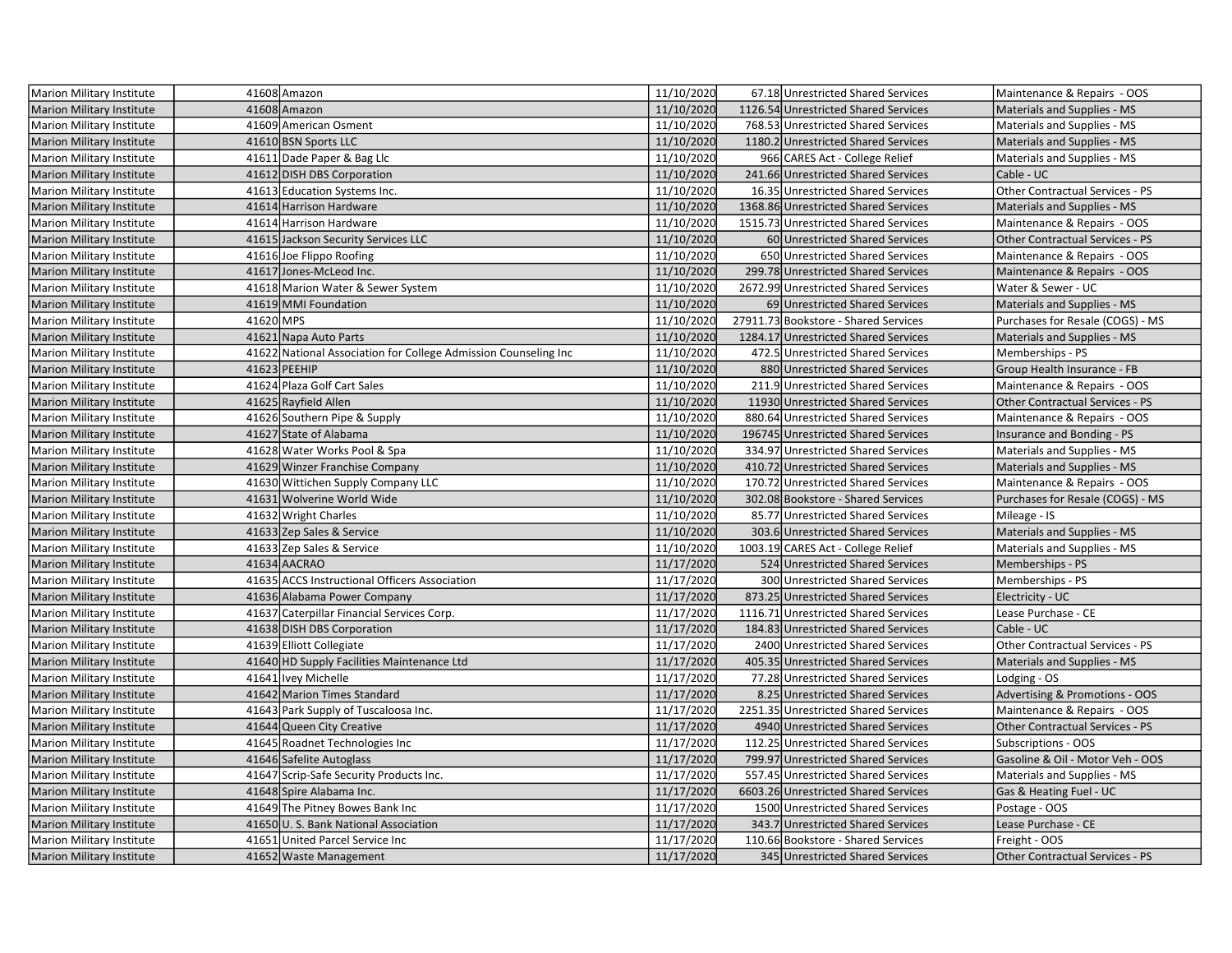| Marion Military Institute        |           | 41608 Amazon                                                    | 11/10/2020 | 67.18 Unrestricted Shared Services   | Maintenance & Repairs - OOS            |
|----------------------------------|-----------|-----------------------------------------------------------------|------------|--------------------------------------|----------------------------------------|
| <b>Marion Military Institute</b> |           | 41608 Amazon                                                    | 11/10/2020 | 1126.54 Unrestricted Shared Services | Materials and Supplies - MS            |
| Marion Military Institute        |           | 41609 American Osment                                           | 11/10/2020 | 768.53 Unrestricted Shared Services  | Materials and Supplies - MS            |
| <b>Marion Military Institute</b> |           | 41610 BSN Sports LLC                                            | 11/10/2020 | 1180.2 Unrestricted Shared Services  | Materials and Supplies - MS            |
| Marion Military Institute        |           | 41611 Dade Paper & Bag Llc                                      | 11/10/2020 | 966 CARES Act - College Relief       | Materials and Supplies - MS            |
| Marion Military Institute        |           | 41612 DISH DBS Corporation                                      | 11/10/2020 | 241.66 Unrestricted Shared Services  | Cable - UC                             |
| Marion Military Institute        |           | 41613 Education Systems Inc.                                    | 11/10/2020 | 16.35 Unrestricted Shared Services   | Other Contractual Services - PS        |
| <b>Marion Military Institute</b> |           | 41614 Harrison Hardware                                         | 11/10/2020 | 1368.86 Unrestricted Shared Services | <b>Materials and Supplies - MS</b>     |
| <b>Marion Military Institute</b> |           | 41614 Harrison Hardware                                         | 11/10/2020 | 1515.73 Unrestricted Shared Services | Maintenance & Repairs - OOS            |
| Marion Military Institute        |           | 41615 Jackson Security Services LLC                             | 11/10/2020 | 60 Unrestricted Shared Services      | <b>Other Contractual Services - PS</b> |
| <b>Marion Military Institute</b> |           | 41616 Joe Flippo Roofing                                        | 11/10/2020 | 650 Unrestricted Shared Services     | Maintenance & Repairs - OOS            |
| Marion Military Institute        |           | 41617 Jones-McLeod Inc.                                         | 11/10/2020 | 299.78 Unrestricted Shared Services  | Maintenance & Repairs - OOS            |
| Marion Military Institute        |           | 41618 Marion Water & Sewer System                               | 11/10/2020 | 2672.99 Unrestricted Shared Services | Water & Sewer - UC                     |
| <b>Marion Military Institute</b> |           | 41619 MMI Foundation                                            | 11/10/2020 | 69 Unrestricted Shared Services      | Materials and Supplies - MS            |
| <b>Marion Military Institute</b> | 41620 MPS |                                                                 | 11/10/2020 | 27911.73 Bookstore - Shared Services | Purchases for Resale (COGS) - MS       |
| Marion Military Institute        |           | 41621 Napa Auto Parts                                           | 11/10/2020 | 1284.17 Unrestricted Shared Services | Materials and Supplies - MS            |
| <b>Marion Military Institute</b> |           | 41622 National Association for College Admission Counseling Inc | 11/10/2020 | 472.5 Unrestricted Shared Services   | Memberships - PS                       |
| <b>Marion Military Institute</b> |           | 41623 PEEHIP                                                    | 11/10/2020 | 880 Unrestricted Shared Services     | Group Health Insurance - FB            |
| Marion Military Institute        |           | 41624 Plaza Golf Cart Sales                                     | 11/10/2020 | 211.9 Unrestricted Shared Services   | Maintenance & Repairs - OOS            |
| <b>Marion Military Institute</b> |           | 41625 Rayfield Allen                                            | 11/10/2020 | 11930 Unrestricted Shared Services   | Other Contractual Services - PS        |
| Marion Military Institute        |           | 41626 Southern Pipe & Supply                                    | 11/10/2020 | 880.64 Unrestricted Shared Services  | Maintenance & Repairs - OOS            |
| Marion Military Institute        |           | 41627 State of Alabama                                          | 11/10/2020 | 196745 Unrestricted Shared Services  | Insurance and Bonding - PS             |
| <b>Marion Military Institute</b> |           | 41628 Water Works Pool & Spa                                    | 11/10/2020 | 334.97 Unrestricted Shared Services  | Materials and Supplies - MS            |
| <b>Marion Military Institute</b> |           | 41629 Winzer Franchise Company                                  | 11/10/2020 | 410.72 Unrestricted Shared Services  | Materials and Supplies - MS            |
| <b>Marion Military Institute</b> |           | 41630 Wittichen Supply Company LLC                              | 11/10/2020 | 170.72 Unrestricted Shared Services  | Maintenance & Repairs - OOS            |
| <b>Marion Military Institute</b> |           | 41631 Wolverine World Wide                                      | 11/10/2020 | 302.08 Bookstore - Shared Services   | Purchases for Resale (COGS) - MS       |
| <b>Marion Military Institute</b> |           | 41632 Wright Charles                                            | 11/10/2020 | 85.77 Unrestricted Shared Services   | Mileage - IS                           |
| Marion Military Institute        |           | 41633 Zep Sales & Service                                       | 11/10/2020 | 303.6 Unrestricted Shared Services   | Materials and Supplies - MS            |
| Marion Military Institute        |           | 41633 Zep Sales & Service                                       | 11/10/2020 | 1003.19 CARES Act - College Relief   | Materials and Supplies - MS            |
| Marion Military Institute        |           | 41634 AACRAO                                                    | 11/17/2020 | 524 Unrestricted Shared Services     | Memberships - PS                       |
| <b>Marion Military Institute</b> |           | 41635 ACCS Instructional Officers Association                   | 11/17/2020 | 300 Unrestricted Shared Services     | Memberships - PS                       |
| <b>Marion Military Institute</b> |           | 41636 Alabama Power Company                                     | 11/17/2020 | 873.25 Unrestricted Shared Services  | Electricity - UC                       |
| <b>Marion Military Institute</b> |           | 41637 Caterpillar Financial Services Corp.                      | 11/17/2020 | 1116.71 Unrestricted Shared Services | Lease Purchase - CE                    |
| <b>Marion Military Institute</b> |           | 41638 DISH DBS Corporation                                      | 11/17/2020 | 184.83 Unrestricted Shared Services  | Cable - UC                             |
| Marion Military Institute        |           | 41639 Elliott Collegiate                                        | 11/17/2020 | 2400 Unrestricted Shared Services    | Other Contractual Services - PS        |
| <b>Marion Military Institute</b> |           | 41640 HD Supply Facilities Maintenance Ltd                      | 11/17/2020 | 405.35 Unrestricted Shared Services  | Materials and Supplies - MS            |
| Marion Military Institute        |           | 41641 Ivey Michelle                                             | 11/17/2020 | 77.28 Unrestricted Shared Services   | Lodging - OS                           |
| Marion Military Institute        |           | 41642 Marion Times Standard                                     | 11/17/2020 | 8.25 Unrestricted Shared Services    | Advertising & Promotions - OOS         |
| <b>Marion Military Institute</b> |           | 41643 Park Supply of Tuscaloosa Inc.                            | 11/17/2020 | 2251.35 Unrestricted Shared Services | Maintenance & Repairs - OOS            |
| Marion Military Institute        |           | 41644 Queen City Creative                                       | 11/17/2020 | 4940 Unrestricted Shared Services    | Other Contractual Services - PS        |
| <b>Marion Military Institute</b> |           | 41645 Roadnet Technologies Inc                                  | 11/17/2020 | 112.25 Unrestricted Shared Services  | Subscriptions - OOS                    |
| <b>Marion Military Institute</b> |           | 41646 Safelite Autoglass                                        | 11/17/2020 | 799.97 Unrestricted Shared Services  | Gasoline & Oil - Motor Veh - OOS       |
| <b>Marion Military Institute</b> |           | 41647 Scrip-Safe Security Products Inc.                         | 11/17/2020 | 557.45 Unrestricted Shared Services  | Materials and Supplies - MS            |
| <b>Marion Military Institute</b> |           | 41648 Spire Alabama Inc.                                        | 11/17/2020 | 6603.26 Unrestricted Shared Services | Gas & Heating Fuel - UC                |
| <b>Marion Military Institute</b> |           | 41649 The Pitney Bowes Bank Inc                                 | 11/17/2020 | 1500 Unrestricted Shared Services    | Postage - OOS                          |
| Marion Military Institute        |           | 41650 U.S. Bank National Association                            | 11/17/2020 | 343.7 Unrestricted Shared Services   | Lease Purchase - CE                    |
| Marion Military Institute        |           | 41651 United Parcel Service Inc                                 | 11/17/2020 | 110.66 Bookstore - Shared Services   | Freight - OOS                          |
| <b>Marion Military Institute</b> |           | 41652 Waste Management                                          | 11/17/2020 | 345 Unrestricted Shared Services     | <b>Other Contractual Services - PS</b> |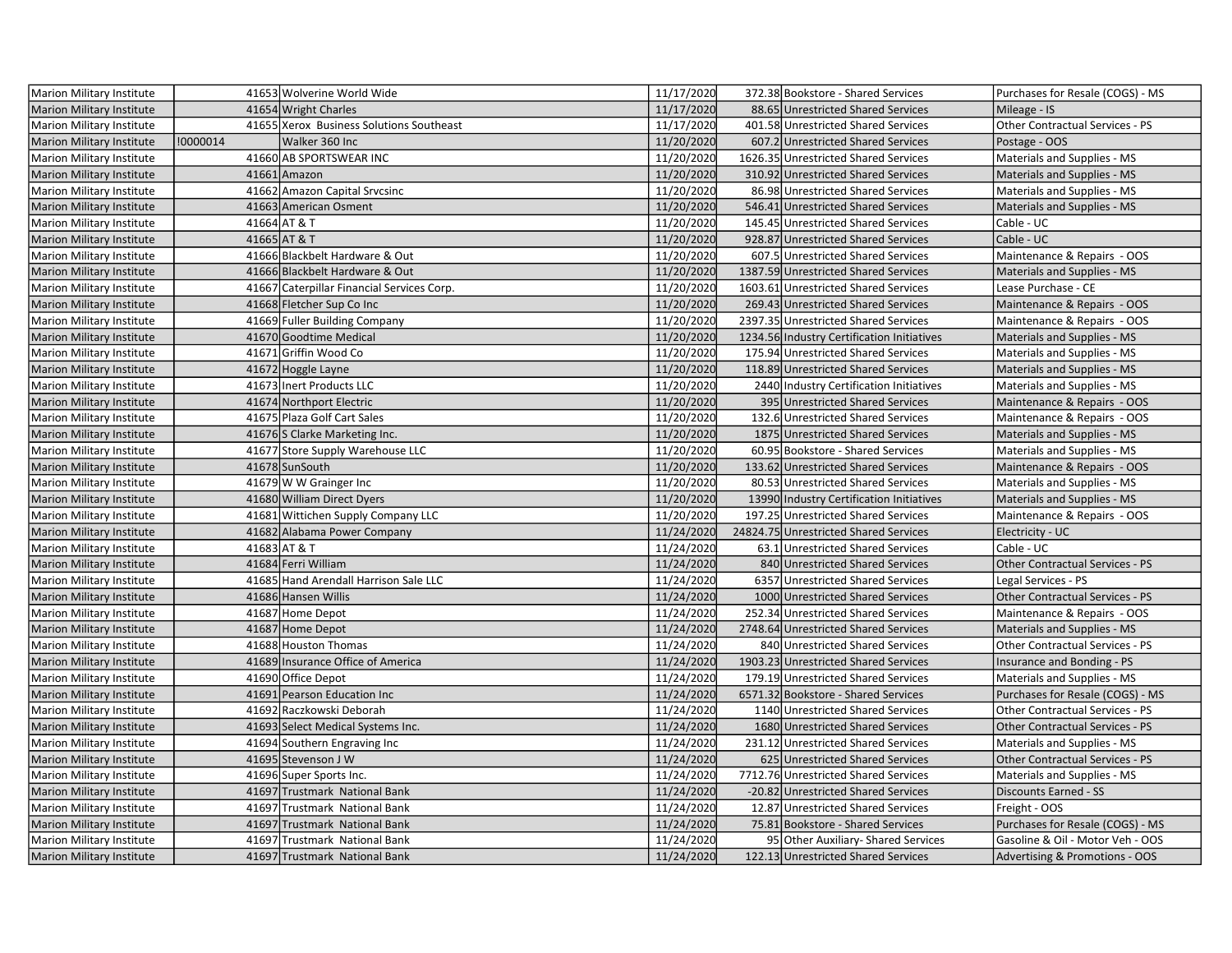| Marion Military Institute        |          | 41653 Wolverine World Wide                 | 11/17/2020 | 372.38 Bookstore - Shared Services         | Purchases for Resale (COGS) - MS       |
|----------------------------------|----------|--------------------------------------------|------------|--------------------------------------------|----------------------------------------|
| <b>Marion Military Institute</b> |          | 41654 Wright Charles                       | 11/17/2020 | 88.65 Unrestricted Shared Services         | Mileage - IS                           |
| <b>Marion Military Institute</b> |          | 41655 Xerox Business Solutions Southeast   | 11/17/2020 | 401.58 Unrestricted Shared Services        | Other Contractual Services - PS        |
| <b>Marion Military Institute</b> | !0000014 | Walker 360 Inc                             | 11/20/2020 | 607.2 Unrestricted Shared Services         | Postage - OOS                          |
| Marion Military Institute        |          | 41660 AB SPORTSWEAR INC                    | 11/20/2020 | 1626.35 Unrestricted Shared Services       | Materials and Supplies - MS            |
| <b>Marion Military Institute</b> |          | 41661 Amazon                               | 11/20/2020 | 310.92 Unrestricted Shared Services        | Materials and Supplies - MS            |
| Marion Military Institute        |          | 41662 Amazon Capital Srvcsinc              | 11/20/2020 | 86.98 Unrestricted Shared Services         | Materials and Supplies - MS            |
| <b>Marion Military Institute</b> |          | 41663 American Osment                      | 11/20/2020 | 546.41 Unrestricted Shared Services        | Materials and Supplies - MS            |
| Marion Military Institute        |          | 41664 AT & T                               | 11/20/2020 | 145.45 Unrestricted Shared Services        | Cable - UC                             |
| <b>Marion Military Institute</b> |          | 41665 AT & T                               | 11/20/2020 | 928.87 Unrestricted Shared Services        | Cable - UC                             |
| Marion Military Institute        |          | 41666 Blackbelt Hardware & Out             | 11/20/2020 | 607.5 Unrestricted Shared Services         | Maintenance & Repairs - OOS            |
| <b>Marion Military Institute</b> |          | 41666 Blackbelt Hardware & Out             | 11/20/2020 | 1387.59 Unrestricted Shared Services       | Materials and Supplies - MS            |
| Marion Military Institute        |          | 41667 Caterpillar Financial Services Corp. | 11/20/2020 | 1603.61 Unrestricted Shared Services       | Lease Purchase - CE                    |
| <b>Marion Military Institute</b> |          | 41668 Fletcher Sup Co Inc                  | 11/20/2020 | 269.43 Unrestricted Shared Services        | Maintenance & Repairs - OOS            |
| Marion Military Institute        |          | 41669 Fuller Building Company              | 11/20/2020 | 2397.35 Unrestricted Shared Services       | Maintenance & Repairs - OOS            |
| <b>Marion Military Institute</b> |          | 41670 Goodtime Medical                     | 11/20/2020 | 1234.56 Industry Certification Initiatives | Materials and Supplies - MS            |
| Marion Military Institute        |          | 41671 Griffin Wood Co                      | 11/20/2020 | 175.94 Unrestricted Shared Services        | Materials and Supplies - MS            |
| <b>Marion Military Institute</b> |          | 41672 Hoggle Layne                         | 11/20/2020 | 118.89 Unrestricted Shared Services        | Materials and Supplies - MS            |
| Marion Military Institute        |          | 41673 Inert Products LLC                   | 11/20/2020 | 2440 Industry Certification Initiatives    | Materials and Supplies - MS            |
| <b>Marion Military Institute</b> |          | 41674 Northport Electric                   | 11/20/2020 | 395 Unrestricted Shared Services           | Maintenance & Repairs - OOS            |
| Marion Military Institute        |          | 41675 Plaza Golf Cart Sales                | 11/20/2020 | 132.6 Unrestricted Shared Services         | Maintenance & Repairs - OOS            |
| Marion Military Institute        |          | 41676 S Clarke Marketing Inc.              | 11/20/2020 | 1875 Unrestricted Shared Services          | Materials and Supplies - MS            |
| Marion Military Institute        |          | 41677 Store Supply Warehouse LLC           | 11/20/2020 | 60.95 Bookstore - Shared Services          | Materials and Supplies - MS            |
| <b>Marion Military Institute</b> |          | 41678 SunSouth                             | 11/20/2020 | 133.62 Unrestricted Shared Services        | Maintenance & Repairs - OOS            |
| Marion Military Institute        |          | 41679 W W Grainger Inc                     | 11/20/2020 | 80.53 Unrestricted Shared Services         | Materials and Supplies - MS            |
| <b>Marion Military Institute</b> |          | 41680 William Direct Dyers                 | 11/20/2020 | 13990 Industry Certification Initiatives   | <b>Materials and Supplies - MS</b>     |
| Marion Military Institute        |          | 41681 Wittichen Supply Company LLC         | 11/20/2020 | 197.25 Unrestricted Shared Services        | Maintenance & Repairs - OOS            |
| <b>Marion Military Institute</b> |          | 41682 Alabama Power Company                | 11/24/2020 | 24824.75 Unrestricted Shared Services      | Electricity - UC                       |
| Marion Military Institute        |          | 41683 AT & T                               | 11/24/2020 | 63.1 Unrestricted Shared Services          | Cable - UC                             |
| Marion Military Institute        |          | 41684 Ferri William                        | 11/24/2020 | 840 Unrestricted Shared Services           | <b>Other Contractual Services - PS</b> |
| Marion Military Institute        |          | 41685 Hand Arendall Harrison Sale LLC      | 11/24/2020 | 6357 Unrestricted Shared Services          | Legal Services - PS                    |
| <b>Marion Military Institute</b> |          | 41686 Hansen Willis                        | 11/24/2020 | 1000 Unrestricted Shared Services          | Other Contractual Services - PS        |
| Marion Military Institute        |          | 41687 Home Depot                           | 11/24/2020 | 252.34 Unrestricted Shared Services        | Maintenance & Repairs - OOS            |
| <b>Marion Military Institute</b> |          | 41687 Home Depot                           | 11/24/2020 | 2748.64 Unrestricted Shared Services       | Materials and Supplies - MS            |
| <b>Marion Military Institute</b> |          | 41688 Houston Thomas                       | 11/24/2020 | 840 Unrestricted Shared Services           | <b>Other Contractual Services - PS</b> |
| <b>Marion Military Institute</b> |          | 41689 Insurance Office of America          | 11/24/2020 | 1903.23 Unrestricted Shared Services       | Insurance and Bonding - PS             |
| Marion Military Institute        |          | 41690 Office Depot                         | 11/24/2020 | 179.19 Unrestricted Shared Services        | Materials and Supplies - MS            |
| <b>Marion Military Institute</b> |          | 41691 Pearson Education Inc                | 11/24/2020 | 6571.32 Bookstore - Shared Services        | Purchases for Resale (COGS) - MS       |
| Marion Military Institute        |          | 41692 Raczkowski Deborah                   | 11/24/2020 | 1140 Unrestricted Shared Services          | Other Contractual Services - PS        |
| <b>Marion Military Institute</b> |          | 41693 Select Medical Systems Inc.          | 11/24/2020 | 1680 Unrestricted Shared Services          | Other Contractual Services - PS        |
| <b>Marion Military Institute</b> |          | 41694 Southern Engraving Inc               | 11/24/2020 | 231.12 Unrestricted Shared Services        | Materials and Supplies - MS            |
| <b>Marion Military Institute</b> |          | 41695 Stevenson J W                        | 11/24/2020 | 625 Unrestricted Shared Services           | Other Contractual Services - PS        |
| <b>Marion Military Institute</b> |          | 41696 Super Sports Inc.                    | 11/24/2020 | 7712.76 Unrestricted Shared Services       | Materials and Supplies - MS            |
| <b>Marion Military Institute</b> |          | 41697 Trustmark National Bank              | 11/24/2020 | -20.82 Unrestricted Shared Services        | <b>Discounts Earned - SS</b>           |
| <b>Marion Military Institute</b> |          | 41697 Trustmark National Bank              | 11/24/2020 | 12.87 Unrestricted Shared Services         | Freight - OOS                          |
| <b>Marion Military Institute</b> |          | 41697 Trustmark National Bank              | 11/24/2020 | 75.81 Bookstore - Shared Services          | Purchases for Resale (COGS) - MS       |
| Marion Military Institute        |          | 41697 Trustmark National Bank              | 11/24/2020 | 95 Other Auxiliary- Shared Services        | Gasoline & Oil - Motor Veh - OOS       |
| Marion Military Institute        |          | 41697 Trustmark National Bank              | 11/24/2020 | 122.13 Unrestricted Shared Services        | Advertising & Promotions - OOS         |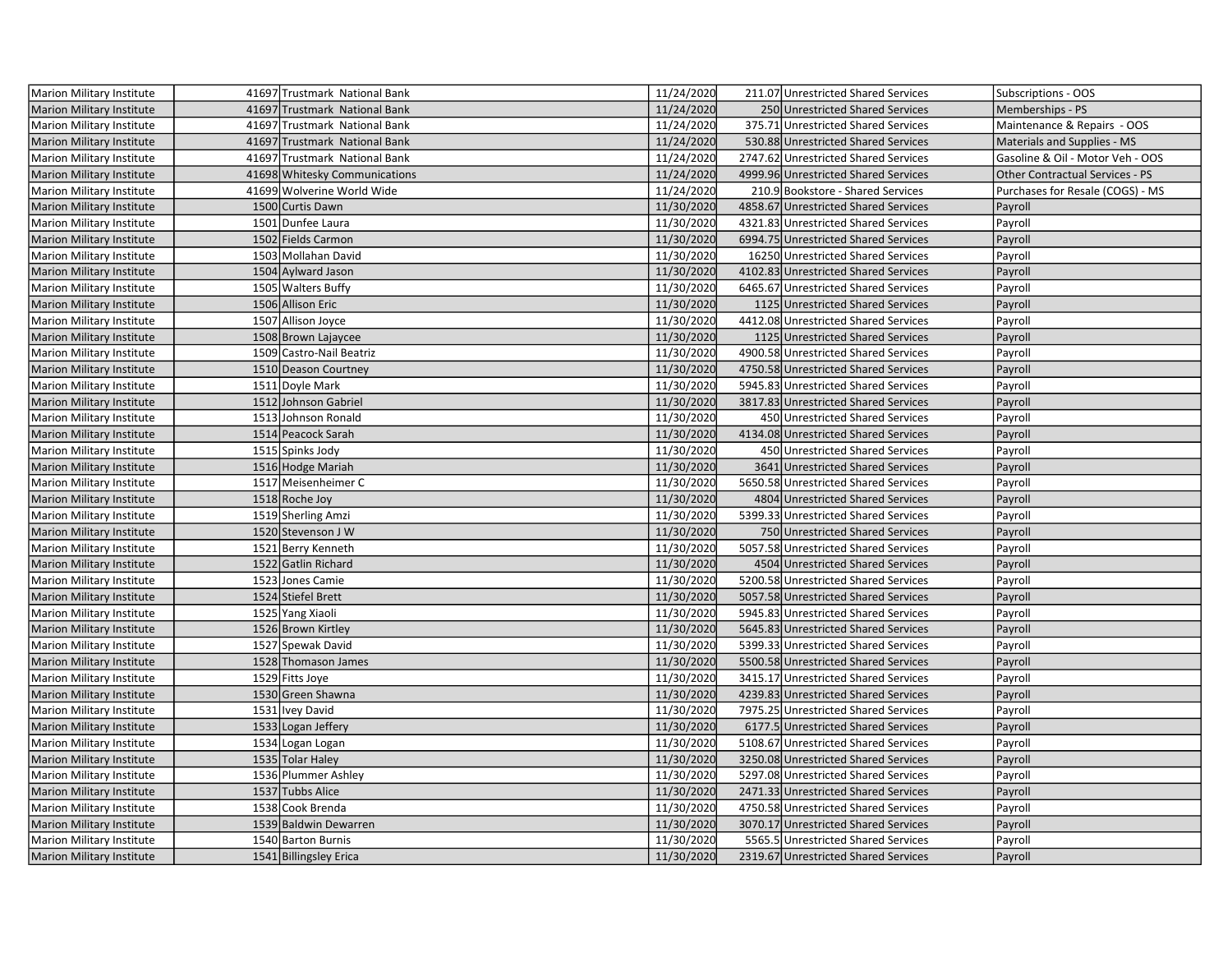| Marion Military Institute        | 41697 Trustmark National Bank | 11/24/2020 | 211.07 Unrestricted Shared Services  | Subscriptions - OOS              |
|----------------------------------|-------------------------------|------------|--------------------------------------|----------------------------------|
| <b>Marion Military Institute</b> | 41697 Trustmark National Bank | 11/24/2020 | 250 Unrestricted Shared Services     | Memberships - PS                 |
| Marion Military Institute        | 41697 Trustmark National Bank | 11/24/2020 | 375.71 Unrestricted Shared Services  | Maintenance & Repairs - OOS      |
| <b>Marion Military Institute</b> | 41697 Trustmark National Bank | 11/24/2020 | 530.88 Unrestricted Shared Services  | Materials and Supplies - MS      |
| <b>Marion Military Institute</b> | 41697 Trustmark National Bank | 11/24/2020 | 2747.62 Unrestricted Shared Services | Gasoline & Oil - Motor Veh - OOS |
| <b>Marion Military Institute</b> | 41698 Whitesky Communications | 11/24/2020 | 4999.96 Unrestricted Shared Services | Other Contractual Services - PS  |
| Marion Military Institute        | 41699 Wolverine World Wide    | 11/24/2020 | 210.9 Bookstore - Shared Services    | Purchases for Resale (COGS) - MS |
| <b>Marion Military Institute</b> | 1500 Curtis Dawn              | 11/30/2020 | 4858.67 Unrestricted Shared Services | Payroll                          |
| Marion Military Institute        | 1501 Dunfee Laura             | 11/30/2020 | 4321.83 Unrestricted Shared Services | Payroll                          |
| <b>Marion Military Institute</b> | 1502 Fields Carmon            | 11/30/2020 | 6994.75 Unrestricted Shared Services | Payroll                          |
| <b>Marion Military Institute</b> | 1503 Mollahan David           | 11/30/2020 | 16250 Unrestricted Shared Services   | Payroll                          |
| <b>Marion Military Institute</b> | 1504 Aylward Jason            | 11/30/2020 | 4102.83 Unrestricted Shared Services | Payroll                          |
| <b>Marion Military Institute</b> | 1505 Walters Buffy            | 11/30/2020 | 6465.67 Unrestricted Shared Services | Payroll                          |
| Marion Military Institute        | 1506 Allison Eric             | 11/30/2020 | 1125 Unrestricted Shared Services    | Payroll                          |
| Marion Military Institute        | 1507 Allison Joyce            | 11/30/2020 | 4412.08 Unrestricted Shared Services | Payroll                          |
| <b>Marion Military Institute</b> | 1508 Brown Lajaycee           | 11/30/2020 | 1125 Unrestricted Shared Services    | Payroll                          |
| Marion Military Institute        | 1509 Castro-Nail Beatriz      | 11/30/2020 | 4900.58 Unrestricted Shared Services | Payroll                          |
| <b>Marion Military Institute</b> | 1510 Deason Courtney          | 11/30/2020 | 4750.58 Unrestricted Shared Services | Payroll                          |
| <b>Marion Military Institute</b> | 1511 Doyle Mark               | 11/30/2020 | 5945.83 Unrestricted Shared Services | Payroll                          |
| <b>Marion Military Institute</b> | 1512 Johnson Gabriel          | 11/30/2020 | 3817.83 Unrestricted Shared Services | Payroll                          |
| Marion Military Institute        | 1513 Johnson Ronald           | 11/30/2020 | 450 Unrestricted Shared Services     | Payroll                          |
| Marion Military Institute        | 1514 Peacock Sarah            | 11/30/2020 | 4134.08 Unrestricted Shared Services | Payroll                          |
| Marion Military Institute        | 1515 Spinks Jody              | 11/30/2020 | 450 Unrestricted Shared Services     | Payroll                          |
| <b>Marion Military Institute</b> | 1516 Hodge Mariah             | 11/30/2020 | 3641 Unrestricted Shared Services    | Payroll                          |
| Marion Military Institute        | 1517 Meisenheimer C           | 11/30/2020 | 5650.58 Unrestricted Shared Services | Payroll                          |
| <b>Marion Military Institute</b> | 1518 Roche Joy                | 11/30/2020 | 4804 Unrestricted Shared Services    | Payroll                          |
| Marion Military Institute        | 1519 Sherling Amzi            | 11/30/2020 | 5399.33 Unrestricted Shared Services | Payroll                          |
| Marion Military Institute        | 1520 Stevenson J W            | 11/30/2020 | 750 Unrestricted Shared Services     | Payroll                          |
| Marion Military Institute        | 1521 Berry Kenneth            | 11/30/2020 | 5057.58 Unrestricted Shared Services | Payroll                          |
| Marion Military Institute        | 1522 Gatlin Richard           | 11/30/2020 | 4504 Unrestricted Shared Services    | Payroll                          |
| Marion Military Institute        | 1523 Jones Camie              | 11/30/2020 | 5200.58 Unrestricted Shared Services | Payroll                          |
| <b>Marion Military Institute</b> | 1524 Stiefel Brett            | 11/30/2020 | 5057.58 Unrestricted Shared Services | Payroll                          |
| Marion Military Institute        | 1525 Yang Xiaoli              | 11/30/2020 | 5945.83 Unrestricted Shared Services | Payroll                          |
| <b>Marion Military Institute</b> | 1526 Brown Kirtley            | 11/30/2020 | 5645.83 Unrestricted Shared Services | Payroll                          |
| Marion Military Institute        | 1527 Spewak David             | 11/30/2020 | 5399.33 Unrestricted Shared Services | Payroll                          |
| Marion Military Institute        | 1528 Thomason James           | 11/30/2020 | 5500.58 Unrestricted Shared Services | Payroll                          |
| Marion Military Institute        | 1529 Fitts Joye               | 11/30/2020 | 3415.17 Unrestricted Shared Services | Payroll                          |
| <b>Marion Military Institute</b> | 1530 Green Shawna             | 11/30/2020 | 4239.83 Unrestricted Shared Services | Payroll                          |
| Marion Military Institute        | 1531 Ivey David               | 11/30/2020 | 7975.25 Unrestricted Shared Services | Payroll                          |
| <b>Marion Military Institute</b> | 1533 Logan Jeffery            | 11/30/2020 | 6177.5 Unrestricted Shared Services  | Payroll                          |
| Marion Military Institute        | 1534 Logan Logan              | 11/30/2020 | 5108.67 Unrestricted Shared Services | Payroll                          |
| <b>Marion Military Institute</b> | 1535 Tolar Haley              | 11/30/2020 | 3250.08 Unrestricted Shared Services | Payroll                          |
| Marion Military Institute        | 1536 Plummer Ashley           | 11/30/2020 | 5297.08 Unrestricted Shared Services | Payroll                          |
| <b>Marion Military Institute</b> | 1537 Tubbs Alice              | 11/30/2020 | 2471.33 Unrestricted Shared Services | Payroll                          |
| Marion Military Institute        | 1538 Cook Brenda              | 11/30/2020 | 4750.58 Unrestricted Shared Services | Payroll                          |
| Marion Military Institute        | 1539 Baldwin Dewarren         | 11/30/2020 | 3070.17 Unrestricted Shared Services | Payroll                          |
| Marion Military Institute        | 1540 Barton Burnis            | 11/30/2020 | 5565.5 Unrestricted Shared Services  | Payroll                          |
| Marion Military Institute        | 1541 Billingsley Erica        | 11/30/2020 | 2319.67 Unrestricted Shared Services | Payroll                          |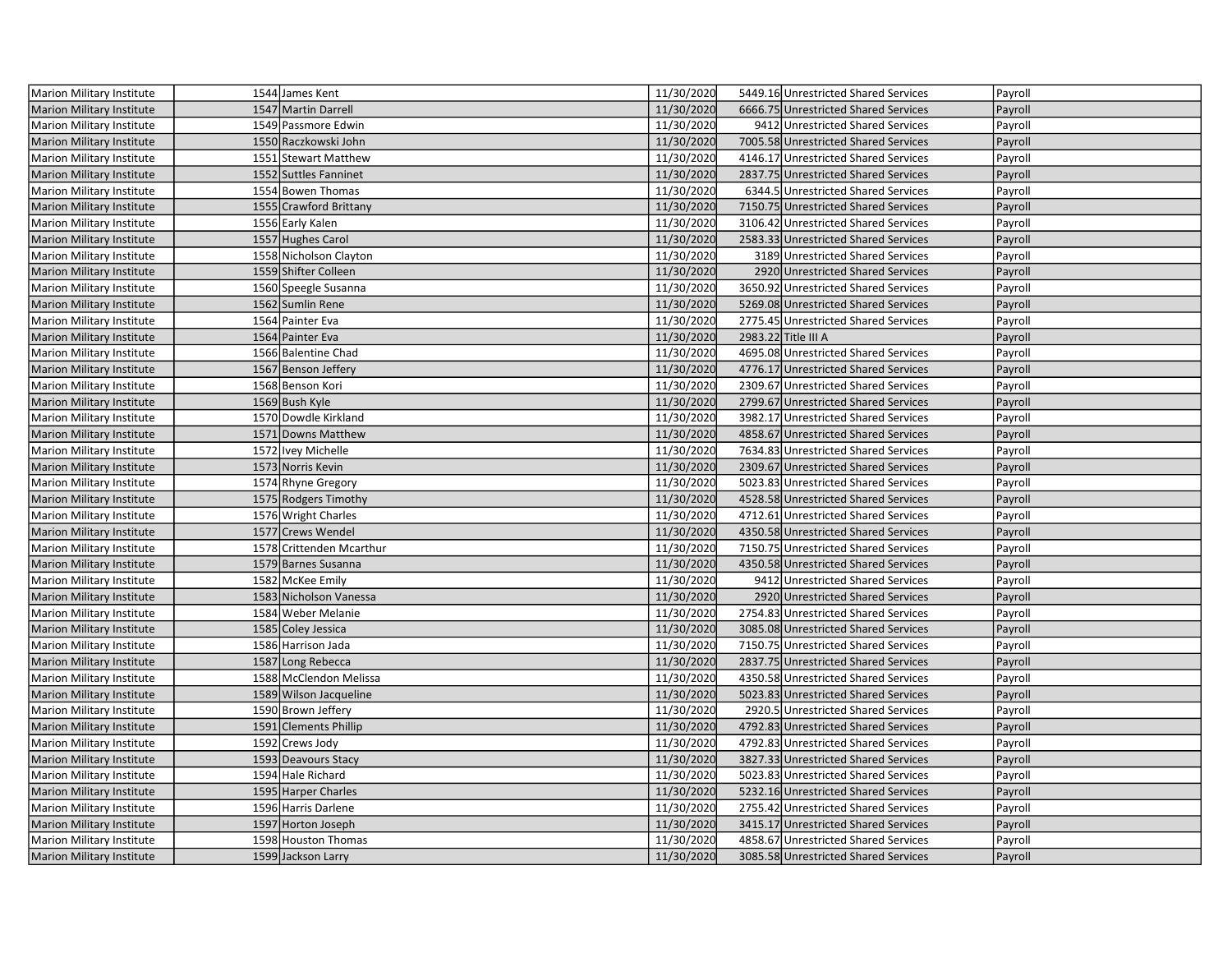| Marion Military Institute        | 1544 James Kent          | 11/30/2020 | 5449.16 Unrestricted Shared Services | Payroll |
|----------------------------------|--------------------------|------------|--------------------------------------|---------|
| <b>Marion Military Institute</b> | 1547 Martin Darrell      | 11/30/2020 | 6666.75 Unrestricted Shared Services | Payroll |
| Marion Military Institute        | 1549 Passmore Edwin      | 11/30/2020 | 9412 Unrestricted Shared Services    | Payroll |
| <b>Marion Military Institute</b> | 1550 Raczkowski John     | 11/30/2020 | 7005.58 Unrestricted Shared Services | Payroll |
| <b>Marion Military Institute</b> | 1551 Stewart Matthew     | 11/30/2020 | 4146.17 Unrestricted Shared Services | Payroll |
| <b>Marion Military Institute</b> | 1552 Suttles Fanninet    | 11/30/2020 | 2837.75 Unrestricted Shared Services | Payroll |
| Marion Military Institute        | 1554 Bowen Thomas        | 11/30/2020 | 6344.5 Unrestricted Shared Services  | Payroll |
| <b>Marion Military Institute</b> | 1555 Crawford Brittany   | 11/30/2020 | 7150.75 Unrestricted Shared Services | Payroll |
| Marion Military Institute        | 1556 Early Kalen         | 11/30/2020 | 3106.42 Unrestricted Shared Services | Payroll |
| <b>Marion Military Institute</b> | 1557 Hughes Carol        | 11/30/2020 | 2583.33 Unrestricted Shared Services | Payroll |
| <b>Marion Military Institute</b> | 1558 Nicholson Clayton   | 11/30/2020 | 3189 Unrestricted Shared Services    | Payroll |
| <b>Marion Military Institute</b> | 1559 Shifter Colleen     | 11/30/2020 | 2920 Unrestricted Shared Services    | Payroll |
| <b>Marion Military Institute</b> | 1560 Speegle Susanna     | 11/30/2020 | 3650.92 Unrestricted Shared Services | Payroll |
| Marion Military Institute        | 1562 Sumlin Rene         | 11/30/2020 | 5269.08 Unrestricted Shared Services | Payroll |
| <b>Marion Military Institute</b> | 1564 Painter Eva         | 11/30/2020 | 2775.45 Unrestricted Shared Services | Payroll |
| Marion Military Institute        | 1564 Painter Eva         | 11/30/2020 | 2983.22 Title III A                  | Payroll |
| <b>Marion Military Institute</b> | 1566 Balentine Chad      | 11/30/2020 | 4695.08 Unrestricted Shared Services | Payroll |
| Marion Military Institute        | 1567 Benson Jeffery      | 11/30/2020 | 4776.17 Unrestricted Shared Services | Payroll |
| <b>Marion Military Institute</b> | 1568 Benson Kori         | 11/30/2020 | 2309.67 Unrestricted Shared Services | Payroll |
| <b>Marion Military Institute</b> | 1569 Bush Kyle           | 11/30/2020 | 2799.67 Unrestricted Shared Services | Payroll |
| <b>Marion Military Institute</b> | 1570 Dowdle Kirkland     | 11/30/2020 | 3982.17 Unrestricted Shared Services | Payroll |
| <b>Marion Military Institute</b> | 1571 Downs Matthew       | 11/30/2020 | 4858.67 Unrestricted Shared Services | Payroll |
| Marion Military Institute        | 1572 Ivey Michelle       | 11/30/2020 | 7634.83 Unrestricted Shared Services | Payroll |
| Marion Military Institute        | 1573 Norris Kevin        | 11/30/2020 | 2309.67 Unrestricted Shared Services | Payroll |
| Marion Military Institute        | 1574 Rhyne Gregory       | 11/30/2020 | 5023.83 Unrestricted Shared Services | Payroll |
| <b>Marion Military Institute</b> | 1575 Rodgers Timothy     | 11/30/2020 | 4528.58 Unrestricted Shared Services | Payroll |
| <b>Marion Military Institute</b> | 1576 Wright Charles      | 11/30/2020 | 4712.61 Unrestricted Shared Services | Payroll |
| <b>Marion Military Institute</b> | 1577 Crews Wendel        | 11/30/2020 | 4350.58 Unrestricted Shared Services | Payroll |
| <b>Marion Military Institute</b> | 1578 Crittenden Mcarthur | 11/30/2020 | 7150.75 Unrestricted Shared Services | Payroll |
| <b>Marion Military Institute</b> | 1579 Barnes Susanna      | 11/30/2020 | 4350.58 Unrestricted Shared Services | Payroll |
| <b>Marion Military Institute</b> | 1582 McKee Emily         | 11/30/2020 | 9412 Unrestricted Shared Services    | Payroll |
| Marion Military Institute        | 1583 Nicholson Vanessa   | 11/30/2020 | 2920 Unrestricted Shared Services    | Payroll |
| <b>Marion Military Institute</b> | 1584 Weber Melanie       | 11/30/2020 | 2754.83 Unrestricted Shared Services | Payroll |
| Marion Military Institute        | 1585 Coley Jessica       | 11/30/2020 | 3085.08 Unrestricted Shared Services | Payroll |
| <b>Marion Military Institute</b> | 1586 Harrison Jada       | 11/30/2020 | 7150.75 Unrestricted Shared Services | Payroll |
| <b>Marion Military Institute</b> | 1587 Long Rebecca        | 11/30/2020 | 2837.75 Unrestricted Shared Services | Payroll |
| <b>Marion Military Institute</b> | 1588 McClendon Melissa   | 11/30/2020 | 4350.58 Unrestricted Shared Services | Payroll |
| <b>Marion Military Institute</b> | 1589 Wilson Jacqueline   | 11/30/2020 | 5023.83 Unrestricted Shared Services | Payroll |
| <b>Marion Military Institute</b> | 1590 Brown Jeffery       | 11/30/2020 | 2920.5 Unrestricted Shared Services  | Payroll |
| <b>Marion Military Institute</b> | 1591 Clements Phillip    | 11/30/2020 | 4792.83 Unrestricted Shared Services | Payroll |
| Marion Military Institute        | 1592 Crews Jody          | 11/30/2020 | 4792.83 Unrestricted Shared Services | Payroll |
| Marion Military Institute        | 1593 Deavours Stacy      | 11/30/2020 | 3827.33 Unrestricted Shared Services | Payroll |
| <b>Marion Military Institute</b> | 1594 Hale Richard        | 11/30/2020 | 5023.83 Unrestricted Shared Services | Payroll |
| <b>Marion Military Institute</b> | 1595 Harper Charles      | 11/30/2020 | 5232.16 Unrestricted Shared Services | Payroll |
| <b>Marion Military Institute</b> | 1596 Harris Darlene      | 11/30/2020 | 2755.42 Unrestricted Shared Services | Payroll |
| <b>Marion Military Institute</b> | 1597 Horton Joseph       | 11/30/2020 | 3415.17 Unrestricted Shared Services | Payroll |
| Marion Military Institute        | 1598 Houston Thomas      | 11/30/2020 | 4858.67 Unrestricted Shared Services | Payroll |
| <b>Marion Military Institute</b> | 1599 Jackson Larry       | 11/30/2020 | 3085.58 Unrestricted Shared Services | Payroll |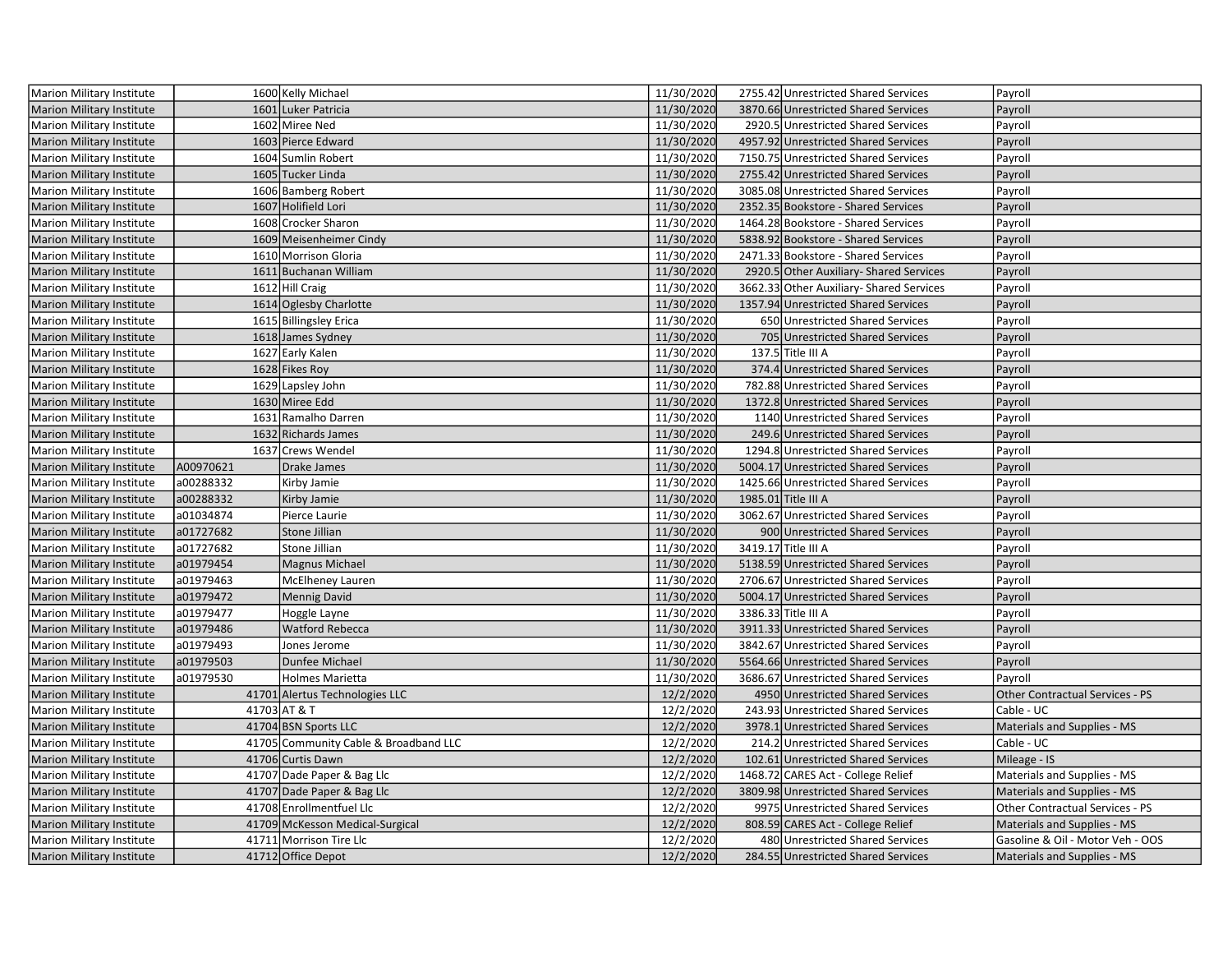| Marion Military Institute        |           | 1600 Kelly Michael                    | 11/30/2020 | 2755.42 Unrestricted Shared Services     | Payroll                          |
|----------------------------------|-----------|---------------------------------------|------------|------------------------------------------|----------------------------------|
| <b>Marion Military Institute</b> |           | 1601 Luker Patricia                   | 11/30/2020 | 3870.66 Unrestricted Shared Services     | Payroll                          |
| Marion Military Institute        |           | 1602 Miree Ned                        | 11/30/2020 | 2920.5 Unrestricted Shared Services      | Payroll                          |
| <b>Marion Military Institute</b> |           | 1603 Pierce Edward                    | 11/30/2020 | 4957.92 Unrestricted Shared Services     | Payroll                          |
| Marion Military Institute        |           | 1604 Sumlin Robert                    | 11/30/2020 | 7150.75 Unrestricted Shared Services     | Payroll                          |
| Marion Military Institute        |           | 1605 Tucker Linda                     | 11/30/2020 | 2755.42 Unrestricted Shared Services     | Payroll                          |
| Marion Military Institute        |           | 1606 Bamberg Robert                   | 11/30/2020 | 3085.08 Unrestricted Shared Services     | Payroll                          |
| <b>Marion Military Institute</b> |           | 1607 Holifield Lori                   | 11/30/2020 | 2352.35 Bookstore - Shared Services      | Payroll                          |
| Marion Military Institute        |           | 1608 Crocker Sharon                   | 11/30/2020 | 1464.28 Bookstore - Shared Services      | Payroll                          |
| <b>Marion Military Institute</b> |           | 1609 Meisenheimer Cindy               | 11/30/2020 | 5838.92 Bookstore - Shared Services      | Payroll                          |
| Marion Military Institute        |           | 1610 Morrison Gloria                  | 11/30/2020 | 2471.33 Bookstore - Shared Services      | Payroll                          |
| Marion Military Institute        |           | 1611 Buchanan William                 | 11/30/2020 | 2920.5 Other Auxiliary- Shared Services  | Payroll                          |
| Marion Military Institute        |           | 1612 Hill Craig                       | 11/30/2020 | 3662.33 Other Auxiliary- Shared Services | Payroll                          |
| Marion Military Institute        |           | 1614 Oglesby Charlotte                | 11/30/2020 | 1357.94 Unrestricted Shared Services     | Payroll                          |
| Marion Military Institute        |           | 1615 Billingsley Erica                | 11/30/2020 | 650 Unrestricted Shared Services         | Payroll                          |
| <b>Marion Military Institute</b> |           | 1618 James Sydney                     | 11/30/2020 | 705 Unrestricted Shared Services         | Payroll                          |
| Marion Military Institute        |           | 1627 Early Kalen                      | 11/30/2020 | 137.5 Title III A                        | Payroll                          |
| <b>Marion Military Institute</b> |           | 1628 Fikes Roy                        | 11/30/2020 | 374.4 Unrestricted Shared Services       | Payroll                          |
| Marion Military Institute        |           | 1629 Lapsley John                     | 11/30/2020 | 782.88 Unrestricted Shared Services      | Payroll                          |
| Marion Military Institute        |           | 1630 Miree Edd                        | 11/30/2020 | 1372.8 Unrestricted Shared Services      | Payroll                          |
| Marion Military Institute        |           | 1631 Ramalho Darren                   | 11/30/2020 | 1140 Unrestricted Shared Services        | Payroll                          |
| Marion Military Institute        |           | 1632 Richards James                   | 11/30/2020 | 249.6 Unrestricted Shared Services       | Payroll                          |
| Marion Military Institute        |           | 1637 Crews Wendel                     | 11/30/2020 | 1294.8 Unrestricted Shared Services      | Payroll                          |
| Marion Military Institute        | A00970621 | Drake James                           | 11/30/2020 | 5004.17 Unrestricted Shared Services     | Payroll                          |
| Marion Military Institute        | a00288332 | Kirby Jamie                           | 11/30/2020 | 1425.66 Unrestricted Shared Services     | Payroll                          |
| <b>Marion Military Institute</b> | a00288332 | Kirby Jamie                           | 11/30/2020 | 1985.01 Title III A                      | Payroll                          |
| Marion Military Institute        | a01034874 | Pierce Laurie                         | 11/30/2020 | 3062.67 Unrestricted Shared Services     | Payroll                          |
| <b>Marion Military Institute</b> | a01727682 | Stone Jillian                         | 11/30/2020 | 900 Unrestricted Shared Services         | Payroll                          |
| Marion Military Institute        | a01727682 | Stone Jillian                         | 11/30/2020 | 3419.17 Title III A                      | Payroll                          |
| Marion Military Institute        | a01979454 | Magnus Michael                        | 11/30/2020 | 5138.59 Unrestricted Shared Services     | Payroll                          |
| Marion Military Institute        | a01979463 | McElheney Lauren                      | 11/30/2020 | 2706.67 Unrestricted Shared Services     | Payroll                          |
| <b>Marion Military Institute</b> | a01979472 | Mennig David                          | 11/30/2020 | 5004.17 Unrestricted Shared Services     | Payroll                          |
| Marion Military Institute        | a01979477 | Hoggle Layne                          | 11/30/2020 | 3386.33 Title III A                      | Payroll                          |
| <b>Marion Military Institute</b> | a01979486 | Watford Rebecca                       | 11/30/2020 | 3911.33 Unrestricted Shared Services     | Payroll                          |
| Marion Military Institute        | a01979493 | Jones Jerome                          | 11/30/2020 | 3842.67 Unrestricted Shared Services     | Payroll                          |
| <b>Marion Military Institute</b> | a01979503 | Dunfee Michael                        | 11/30/2020 | 5564.66 Unrestricted Shared Services     | Payroll                          |
| Marion Military Institute        | a01979530 | Holmes Marietta                       | 11/30/2020 | 3686.67 Unrestricted Shared Services     | Payroll                          |
| <b>Marion Military Institute</b> |           | 41701 Alertus Technologies LLC        | 12/2/2020  | 4950 Unrestricted Shared Services        | Other Contractual Services - PS  |
| Marion Military Institute        |           | 41703 AT & T                          | 12/2/2020  | 243.93 Unrestricted Shared Services      | Cable - UC                       |
| Marion Military Institute        |           | 41704 BSN Sports LLC                  | 12/2/2020  | 3978.1 Unrestricted Shared Services      | Materials and Supplies - MS      |
| Marion Military Institute        |           | 41705 Community Cable & Broadband LLC | 12/2/2020  | 214.2 Unrestricted Shared Services       | Cable - UC                       |
| <b>Marion Military Institute</b> |           | 41706 Curtis Dawn                     | 12/2/2020  | 102.61 Unrestricted Shared Services      | Mileage - IS                     |
| Marion Military Institute        |           | 41707 Dade Paper & Bag Llc            | 12/2/2020  | 1468.72 CARES Act - College Relief       | Materials and Supplies - MS      |
| <b>Marion Military Institute</b> |           | 41707 Dade Paper & Bag Llc            | 12/2/2020  | 3809.98 Unrestricted Shared Services     | Materials and Supplies - MS      |
| Marion Military Institute        |           | 41708 Enrollmentfuel Llc              | 12/2/2020  | 9975 Unrestricted Shared Services        | Other Contractual Services - PS  |
| Marion Military Institute        |           | 41709 McKesson Medical-Surgical       | 12/2/2020  | 808.59 CARES Act - College Relief        | Materials and Supplies - MS      |
| Marion Military Institute        |           | 41711 Morrison Tire Llc               | 12/2/2020  | 480 Unrestricted Shared Services         | Gasoline & Oil - Motor Veh - OOS |
| Marion Military Institute        |           | 41712 Office Depot                    | 12/2/2020  | 284.55 Unrestricted Shared Services      | Materials and Supplies - MS      |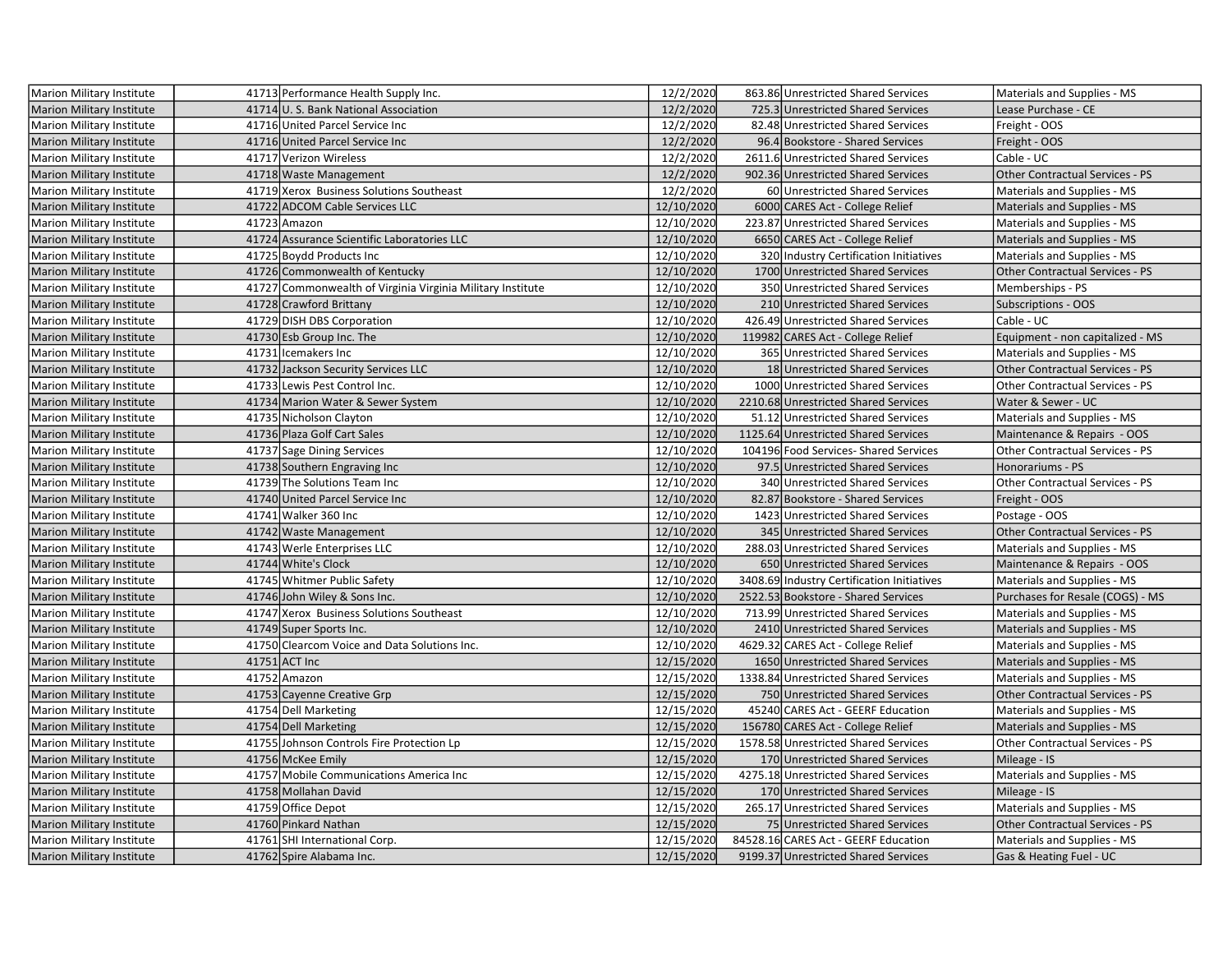| Marion Military Institute        | 41713 Performance Health Supply Inc.                       | 12/2/2020  | 863.86 Unrestricted Shared Services        | Materials and Supplies - MS            |
|----------------------------------|------------------------------------------------------------|------------|--------------------------------------------|----------------------------------------|
| <b>Marion Military Institute</b> | 41714 U. S. Bank National Association                      | 12/2/2020  | 725.3 Unrestricted Shared Services         | Lease Purchase - CE                    |
| Marion Military Institute        | 41716 United Parcel Service Inc                            | 12/2/2020  | 82.48 Unrestricted Shared Services         | Freight - OOS                          |
| <b>Marion Military Institute</b> | 41716 United Parcel Service Inc                            | 12/2/2020  | 96.4 Bookstore - Shared Services           | Freight - OOS                          |
| Marion Military Institute        | 41717 Verizon Wireless                                     | 12/2/2020  | 2611.6 Unrestricted Shared Services        | Cable - UC                             |
| <b>Marion Military Institute</b> | 41718 Waste Management                                     | 12/2/2020  | 902.36 Unrestricted Shared Services        | <b>Other Contractual Services - PS</b> |
| Marion Military Institute        | 41719 Xerox Business Solutions Southeast                   | 12/2/2020  | 60 Unrestricted Shared Services            | Materials and Supplies - MS            |
| <b>Marion Military Institute</b> | 41722 ADCOM Cable Services LLC                             | 12/10/2020 | 6000 CARES Act - College Relief            | Materials and Supplies - MS            |
| Marion Military Institute        | 41723 Amazon                                               | 12/10/2020 | 223.87 Unrestricted Shared Services        | Materials and Supplies - MS            |
| <b>Marion Military Institute</b> | 41724 Assurance Scientific Laboratories LLC                | 12/10/2020 | 6650 CARES Act - College Relief            | Materials and Supplies - MS            |
| Marion Military Institute        | 41725 Boydd Products Inc                                   | 12/10/2020 | 320 Industry Certification Initiatives     | Materials and Supplies - MS            |
| <b>Marion Military Institute</b> | 41726 Commonwealth of Kentucky                             | 12/10/2020 | 1700 Unrestricted Shared Services          | <b>Other Contractual Services - PS</b> |
| Marion Military Institute        | 41727 Commonwealth of Virginia Virginia Military Institute | 12/10/2020 | 350 Unrestricted Shared Services           | Memberships - PS                       |
| <b>Marion Military Institute</b> | 41728 Crawford Brittany                                    | 12/10/2020 | 210 Unrestricted Shared Services           | Subscriptions - OOS                    |
| Marion Military Institute        | 41729 DISH DBS Corporation                                 | 12/10/2020 | 426.49 Unrestricted Shared Services        | Cable - UC                             |
| <b>Marion Military Institute</b> | 41730 Esb Group Inc. The                                   | 12/10/2020 | 119982 CARES Act - College Relief          | Equipment - non capitalized - MS       |
| Marion Military Institute        | 41731 Icemakers Inc                                        | 12/10/2020 | 365 Unrestricted Shared Services           | Materials and Supplies - MS            |
| <b>Marion Military Institute</b> | 41732 Jackson Security Services LLC                        | 12/10/2020 | 18 Unrestricted Shared Services            | <b>Other Contractual Services - PS</b> |
| Marion Military Institute        | 41733 Lewis Pest Control Inc.                              | 12/10/2020 | 1000 Unrestricted Shared Services          | Other Contractual Services - PS        |
| Marion Military Institute        | 41734 Marion Water & Sewer System                          | 12/10/2020 | 2210.68 Unrestricted Shared Services       | Water & Sewer - UC                     |
| Marion Military Institute        | 41735 Nicholson Clayton                                    | 12/10/2020 | 51.12 Unrestricted Shared Services         | Materials and Supplies - MS            |
| <b>Marion Military Institute</b> | 41736 Plaza Golf Cart Sales                                | 12/10/2020 | 1125.64 Unrestricted Shared Services       | Maintenance & Repairs - OOS            |
| Marion Military Institute        | 41737 Sage Dining Services                                 | 12/10/2020 | 104196 Food Services-Shared Services       | Other Contractual Services - PS        |
| Marion Military Institute        | 41738 Southern Engraving Inc                               | 12/10/2020 | 97.5 Unrestricted Shared Services          | Honorariums - PS                       |
| Marion Military Institute        | 41739 The Solutions Team Inc                               | 12/10/2020 | 340 Unrestricted Shared Services           | Other Contractual Services - PS        |
| <b>Marion Military Institute</b> | 41740 United Parcel Service Inc                            | 12/10/2020 | 82.87 Bookstore - Shared Services          | Freight - OOS                          |
| Marion Military Institute        | 41741 Walker 360 Inc                                       | 12/10/2020 | 1423 Unrestricted Shared Services          | Postage - OOS                          |
| <b>Marion Military Institute</b> | 41742 Waste Management                                     | 12/10/2020 | 345 Unrestricted Shared Services           | Other Contractual Services - PS        |
| Marion Military Institute        | 41743 Werle Enterprises LLC                                | 12/10/2020 | 288.03 Unrestricted Shared Services        | Materials and Supplies - MS            |
| <b>Marion Military Institute</b> | 41744 White's Clock                                        | 12/10/2020 | 650 Unrestricted Shared Services           | Maintenance & Repairs - OOS            |
| Marion Military Institute        | 41745 Whitmer Public Safety                                | 12/10/2020 | 3408.69 Industry Certification Initiatives | Materials and Supplies - MS            |
| <b>Marion Military Institute</b> | 41746 John Wiley & Sons Inc.                               | 12/10/2020 | 2522.53 Bookstore - Shared Services        | Purchases for Resale (COGS) - MS       |
| Marion Military Institute        | 41747 Xerox Business Solutions Southeast                   | 12/10/2020 | 713.99 Unrestricted Shared Services        | Materials and Supplies - MS            |
| <b>Marion Military Institute</b> | 41749 Super Sports Inc.                                    | 12/10/2020 | 2410 Unrestricted Shared Services          | Materials and Supplies - MS            |
| Marion Military Institute        | 41750 Clearcom Voice and Data Solutions Inc.               | 12/10/2020 | 4629.32 CARES Act - College Relief         | Materials and Supplies - MS            |
| Marion Military Institute        | 41751 ACT Inc                                              | 12/15/2020 | 1650 Unrestricted Shared Services          | Materials and Supplies - MS            |
| <b>Marion Military Institute</b> | 41752 Amazon                                               | 12/15/2020 | 1338.84 Unrestricted Shared Services       | Materials and Supplies - MS            |
| <b>Marion Military Institute</b> | 41753 Cayenne Creative Grp                                 | 12/15/2020 | 750 Unrestricted Shared Services           | Other Contractual Services - PS        |
| Marion Military Institute        | 41754 Dell Marketing                                       | 12/15/2020 | 45240 CARES Act - GEERF Education          | Materials and Supplies - MS            |
| Marion Military Institute        | 41754 Dell Marketing                                       | 12/15/2020 | 156780 CARES Act - College Relief          | Materials and Supplies - MS            |
| Marion Military Institute        | 41755 Johnson Controls Fire Protection Lp                  | 12/15/2020 | 1578.58 Unrestricted Shared Services       | Other Contractual Services - PS        |
| <b>Marion Military Institute</b> | 41756 McKee Emily                                          | 12/15/2020 | 170 Unrestricted Shared Services           | Mileage - IS                           |
| Marion Military Institute        | 41757 Mobile Communications America Inc                    | 12/15/2020 | 4275.18 Unrestricted Shared Services       | Materials and Supplies - MS            |
| <b>Marion Military Institute</b> | 41758 Mollahan David                                       | 12/15/2020 | 170 Unrestricted Shared Services           | Mileage - IS                           |
| Marion Military Institute        | 41759 Office Depot                                         | 12/15/2020 | 265.17 Unrestricted Shared Services        | Materials and Supplies - MS            |
| <b>Marion Military Institute</b> | 41760 Pinkard Nathan                                       | 12/15/2020 | 75 Unrestricted Shared Services            | Other Contractual Services - PS        |
| Marion Military Institute        | 41761 SHI International Corp.                              | 12/15/2020 | 84528.16 CARES Act - GEERF Education       | Materials and Supplies - MS            |
| Marion Military Institute        | 41762 Spire Alabama Inc.                                   | 12/15/2020 | 9199.37 Unrestricted Shared Services       | Gas & Heating Fuel - UC                |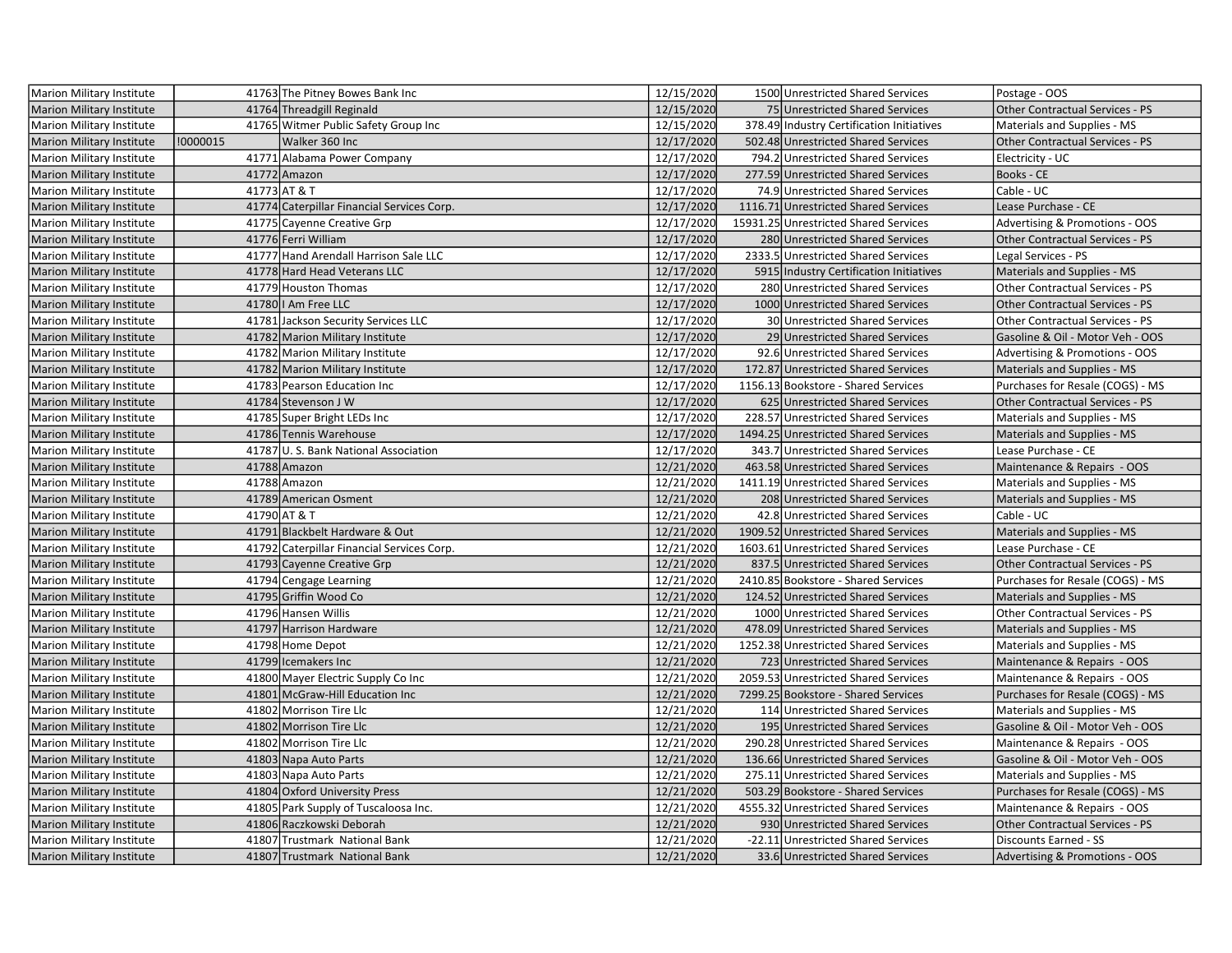| Marion Military Institute        |          | 41763 The Pitney Bowes Bank Inc            | 12/15/2020 | 1500 Unrestricted Shared Services         | Postage - OOS                          |
|----------------------------------|----------|--------------------------------------------|------------|-------------------------------------------|----------------------------------------|
| Marion Military Institute        |          | 41764 Threadgill Reginald                  | 12/15/2020 | 75 Unrestricted Shared Services           | Other Contractual Services - PS        |
| Marion Military Institute        |          | 41765 Witmer Public Safety Group Inc       | 12/15/2020 | 378.49 Industry Certification Initiatives | Materials and Supplies - MS            |
| <b>Marion Military Institute</b> | !0000015 | Walker 360 Inc                             | 12/17/2020 | 502.48 Unrestricted Shared Services       | <b>Other Contractual Services - PS</b> |
| <b>Marion Military Institute</b> |          | 41771 Alabama Power Company                | 12/17/2020 | 794.2 Unrestricted Shared Services        | Electricity - UC                       |
| <b>Marion Military Institute</b> |          | 41772 Amazon                               | 12/17/2020 | 277.59 Unrestricted Shared Services       | Books - CE                             |
| <b>Marion Military Institute</b> |          | 41773 AT & T                               | 12/17/2020 | 74.9 Unrestricted Shared Services         | Cable - UC                             |
| <b>Marion Military Institute</b> |          | 41774 Caterpillar Financial Services Corp. | 12/17/2020 | 1116.71 Unrestricted Shared Services      | Lease Purchase - CE                    |
| Marion Military Institute        |          | 41775 Cayenne Creative Grp                 | 12/17/2020 | 15931.25 Unrestricted Shared Services     | Advertising & Promotions - OOS         |
| <b>Marion Military Institute</b> |          | 41776 Ferri William                        | 12/17/2020 | 280 Unrestricted Shared Services          | <b>Other Contractual Services - PS</b> |
| <b>Marion Military Institute</b> |          | 41777 Hand Arendall Harrison Sale LLC      | 12/17/2020 | 2333.5 Unrestricted Shared Services       | Legal Services - PS                    |
| <b>Marion Military Institute</b> |          | 41778 Hard Head Veterans LLC               | 12/17/2020 | 5915 Industry Certification Initiatives   | Materials and Supplies - MS            |
| <b>Marion Military Institute</b> |          | 41779 Houston Thomas                       | 12/17/2020 | 280 Unrestricted Shared Services          | Other Contractual Services - PS        |
| Marion Military Institute        |          | 41780 I Am Free LLC                        | 12/17/2020 | 1000 Unrestricted Shared Services         | Other Contractual Services - PS        |
| Marion Military Institute        |          | 41781 Jackson Security Services LLC        | 12/17/2020 | 30 Unrestricted Shared Services           | Other Contractual Services - PS        |
| <b>Marion Military Institute</b> |          | 41782 Marion Military Institute            | 12/17/2020 | 29 Unrestricted Shared Services           | Gasoline & Oil - Motor Veh - OOS       |
| Marion Military Institute        |          | 41782 Marion Military Institute            | 12/17/2020 | 92.6 Unrestricted Shared Services         | Advertising & Promotions - OOS         |
| Marion Military Institute        |          | 41782 Marion Military Institute            | 12/17/2020 | 172.87 Unrestricted Shared Services       | Materials and Supplies - MS            |
| <b>Marion Military Institute</b> |          | 41783 Pearson Education Inc                | 12/17/2020 | 1156.13 Bookstore - Shared Services       | Purchases for Resale (COGS) - MS       |
| <b>Marion Military Institute</b> |          | 41784 Stevenson J W                        | 12/17/2020 | 625 Unrestricted Shared Services          | Other Contractual Services - PS        |
| Marion Military Institute        |          | 41785 Super Bright LEDs Inc                | 12/17/2020 | 228.57 Unrestricted Shared Services       | Materials and Supplies - MS            |
| <b>Marion Military Institute</b> |          | 41786 Tennis Warehouse                     | 12/17/2020 | 1494.25 Unrestricted Shared Services      | Materials and Supplies - MS            |
| <b>Marion Military Institute</b> |          | 41787 U.S. Bank National Association       | 12/17/2020 | 343.7 Unrestricted Shared Services        | Lease Purchase - CE                    |
| <b>Marion Military Institute</b> |          | 41788 Amazon                               | 12/21/2020 | 463.58 Unrestricted Shared Services       | Maintenance & Repairs - OOS            |
| Marion Military Institute        |          | 41788 Amazon                               | 12/21/2020 | 1411.19 Unrestricted Shared Services      | Materials and Supplies - MS            |
| <b>Marion Military Institute</b> |          | 41789 American Osment                      | 12/21/2020 | 208 Unrestricted Shared Services          | Materials and Supplies - MS            |
| Marion Military Institute        |          | 41790 AT & T                               | 12/21/2020 | 42.8 Unrestricted Shared Services         | Cable - UC                             |
| <b>Marion Military Institute</b> |          | 41791 Blackbelt Hardware & Out             | 12/21/2020 | 1909.52 Unrestricted Shared Services      | Materials and Supplies - MS            |
| <b>Marion Military Institute</b> |          | 41792 Caterpillar Financial Services Corp. | 12/21/2020 | 1603.61 Unrestricted Shared Services      | Lease Purchase - CE                    |
| <b>Marion Military Institute</b> |          | 41793 Cayenne Creative Grp                 | 12/21/2020 | 837.5 Unrestricted Shared Services        | Other Contractual Services - PS        |
| <b>Marion Military Institute</b> |          | 41794 Cengage Learning                     | 12/21/2020 | 2410.85 Bookstore - Shared Services       | Purchases for Resale (COGS) - MS       |
| <b>Marion Military Institute</b> |          | 41795 Griffin Wood Co                      | 12/21/2020 | 124.52 Unrestricted Shared Services       | Materials and Supplies - MS            |
| <b>Marion Military Institute</b> |          | 41796 Hansen Willis                        | 12/21/2020 | 1000 Unrestricted Shared Services         | Other Contractual Services - PS        |
| Marion Military Institute        |          | 41797 Harrison Hardware                    | 12/21/2020 | 478.09 Unrestricted Shared Services       | Materials and Supplies - MS            |
| <b>Marion Military Institute</b> |          | 41798 Home Depot                           | 12/21/2020 | 1252.38 Unrestricted Shared Services      | Materials and Supplies - MS            |
| <b>Marion Military Institute</b> |          | 41799 Icemakers Inc                        | 12/21/2020 | 723 Unrestricted Shared Services          | Maintenance & Repairs - OOS            |
| Marion Military Institute        |          | 41800 Mayer Electric Supply Co Inc         | 12/21/2020 | 2059.53 Unrestricted Shared Services      | Maintenance & Repairs - OOS            |
| <b>Marion Military Institute</b> |          | 41801 McGraw-Hill Education Inc            | 12/21/2020 | 7299.25 Bookstore - Shared Services       | Purchases for Resale (COGS) - MS       |
| Marion Military Institute        |          | 41802 Morrison Tire Llc                    | 12/21/2020 | 114 Unrestricted Shared Services          | Materials and Supplies - MS            |
| Marion Military Institute        |          | 41802 Morrison Tire Llc                    | 12/21/2020 | 195 Unrestricted Shared Services          | Gasoline & Oil - Motor Veh - OOS       |
| <b>Marion Military Institute</b> |          | 41802 Morrison Tire Llc                    | 12/21/2020 | 290.28 Unrestricted Shared Services       | Maintenance & Repairs - OOS            |
| <b>Marion Military Institute</b> |          | 41803 Napa Auto Parts                      | 12/21/2020 | 136.66 Unrestricted Shared Services       | Gasoline & Oil - Motor Veh - OOS       |
| Marion Military Institute        |          | 41803 Napa Auto Parts                      | 12/21/2020 | 275.11 Unrestricted Shared Services       | Materials and Supplies - MS            |
| <b>Marion Military Institute</b> |          | 41804 Oxford University Press              | 12/21/2020 | 503.29 Bookstore - Shared Services        | Purchases for Resale (COGS) - MS       |
| <b>Marion Military Institute</b> |          | 41805 Park Supply of Tuscaloosa Inc.       | 12/21/2020 | 4555.32 Unrestricted Shared Services      | Maintenance & Repairs - OOS            |
| <b>Marion Military Institute</b> |          | 41806 Raczkowski Deborah                   | 12/21/2020 | 930 Unrestricted Shared Services          | Other Contractual Services - PS        |
| Marion Military Institute        |          | 41807 Trustmark National Bank              | 12/21/2020 | -22.11 Unrestricted Shared Services       | <b>Discounts Earned - SS</b>           |
| <b>Marion Military Institute</b> |          | 41807 Trustmark National Bank              | 12/21/2020 | 33.6 Unrestricted Shared Services         | Advertising & Promotions - OOS         |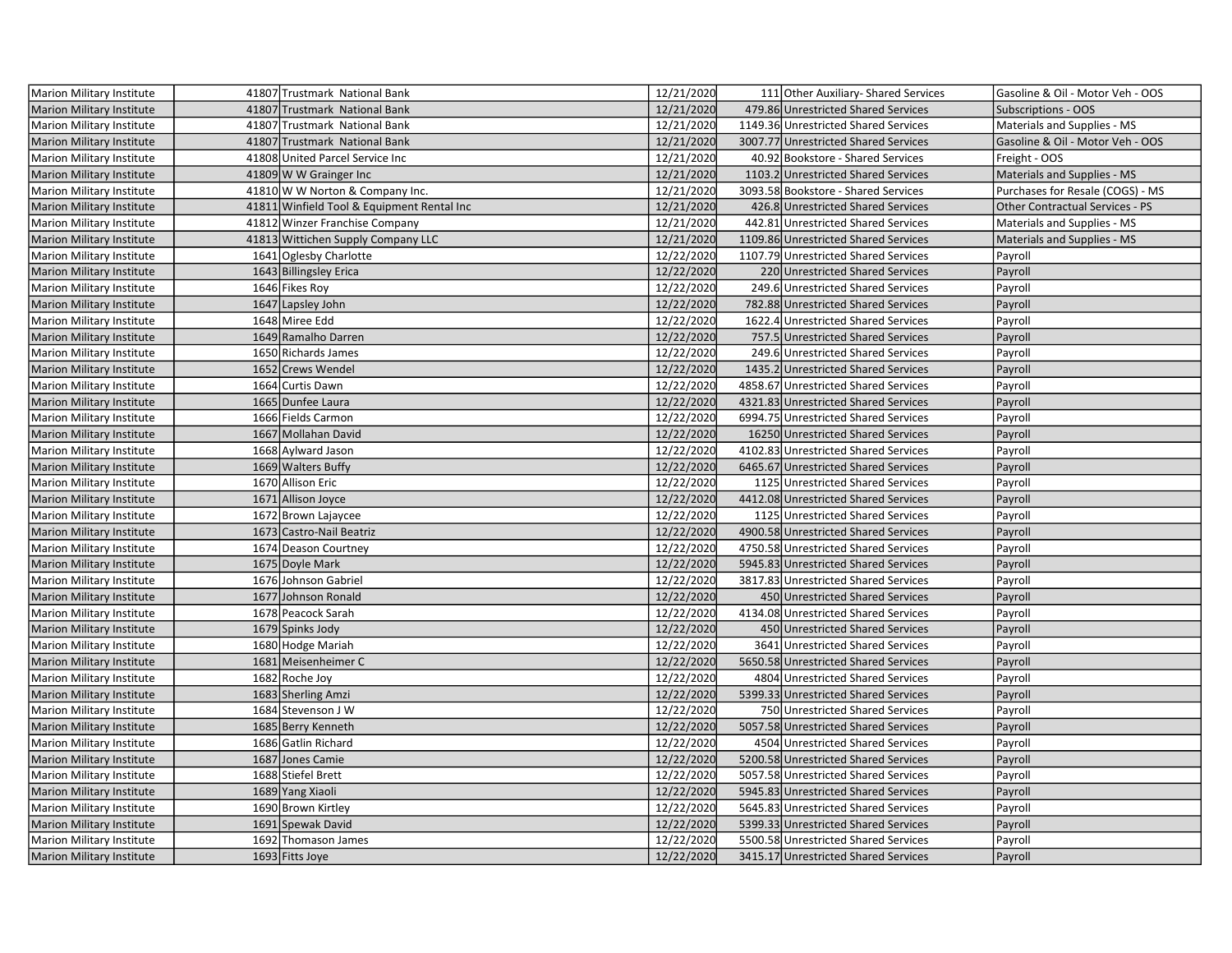| Marion Military Institute        | 41807 Trustmark National Bank              | 12/21/2020 | 111 Other Auxiliary- Shared Services | Gasoline & Oil - Motor Veh - OOS |
|----------------------------------|--------------------------------------------|------------|--------------------------------------|----------------------------------|
| <b>Marion Military Institute</b> | 41807 Trustmark National Bank              | 12/21/2020 | 479.86 Unrestricted Shared Services  | Subscriptions - OOS              |
| Marion Military Institute        | 41807 Trustmark National Bank              | 12/21/2020 | 1149.36 Unrestricted Shared Services | Materials and Supplies - MS      |
| <b>Marion Military Institute</b> | 41807 Trustmark National Bank              | 12/21/2020 | 3007.77 Unrestricted Shared Services | Gasoline & Oil - Motor Veh - OOS |
| Marion Military Institute        | 41808 United Parcel Service Inc            | 12/21/2020 | 40.92 Bookstore - Shared Services    | Freight - OOS                    |
| <b>Marion Military Institute</b> | 41809 W W Grainger Inc                     | 12/21/2020 | 1103.2 Unrestricted Shared Services  | Materials and Supplies - MS      |
| Marion Military Institute        | 41810 W W Norton & Company Inc.            | 12/21/2020 | 3093.58 Bookstore - Shared Services  | Purchases for Resale (COGS) - MS |
| <b>Marion Military Institute</b> | 41811 Winfield Tool & Equipment Rental Inc | 12/21/2020 | 426.8 Unrestricted Shared Services   | Other Contractual Services - PS  |
| Marion Military Institute        | 41812 Winzer Franchise Company             | 12/21/2020 | 442.81 Unrestricted Shared Services  | Materials and Supplies - MS      |
| <b>Marion Military Institute</b> | 41813 Wittichen Supply Company LLC         | 12/21/2020 | 1109.86 Unrestricted Shared Services | Materials and Supplies - MS      |
| <b>Marion Military Institute</b> | 1641 Oglesby Charlotte                     | 12/22/2020 | 1107.79 Unrestricted Shared Services | Payroll                          |
| <b>Marion Military Institute</b> | 1643 Billingsley Erica                     | 12/22/2020 | 220 Unrestricted Shared Services     | Payroll                          |
| <b>Marion Military Institute</b> | 1646 Fikes Roy                             | 12/22/2020 | 249.6 Unrestricted Shared Services   | Payroll                          |
| Marion Military Institute        | 1647 Lapsley John                          | 12/22/2020 | 782.88 Unrestricted Shared Services  | Payroll                          |
| Marion Military Institute        | 1648 Miree Edd                             | 12/22/2020 | 1622.4 Unrestricted Shared Services  | Payroll                          |
| <b>Marion Military Institute</b> | 1649 Ramalho Darren                        | 12/22/2020 | 757.5 Unrestricted Shared Services   | Payroll                          |
| Marion Military Institute        | 1650 Richards James                        | 12/22/2020 | 249.6 Unrestricted Shared Services   | Payroll                          |
| <b>Marion Military Institute</b> | 1652 Crews Wendel                          | 12/22/2020 | 1435.2 Unrestricted Shared Services  | Payroll                          |
| <b>Marion Military Institute</b> | 1664 Curtis Dawn                           | 12/22/2020 | 4858.67 Unrestricted Shared Services | Payroll                          |
| <b>Marion Military Institute</b> | 1665 Dunfee Laura                          | 12/22/2020 | 4321.83 Unrestricted Shared Services | Payroll                          |
| Marion Military Institute        | 1666 Fields Carmon                         | 12/22/2020 | 6994.75 Unrestricted Shared Services | Payroll                          |
| Marion Military Institute        | 1667 Mollahan David                        | 12/22/2020 | 16250 Unrestricted Shared Services   | Payroll                          |
| Marion Military Institute        | 1668 Aylward Jason                         | 12/22/2020 | 4102.83 Unrestricted Shared Services | Payroll                          |
| <b>Marion Military Institute</b> | 1669 Walters Buffy                         | 12/22/2020 | 6465.67 Unrestricted Shared Services | Payroll                          |
| Marion Military Institute        | 1670 Allison Eric                          | 12/22/2020 | 1125 Unrestricted Shared Services    | Payroll                          |
| <b>Marion Military Institute</b> | 1671 Allison Joyce                         | 12/22/2020 | 4412.08 Unrestricted Shared Services | Payroll                          |
| Marion Military Institute        | 1672 Brown Lajaycee                        | 12/22/2020 | 1125 Unrestricted Shared Services    | Payroll                          |
| Marion Military Institute        | 1673 Castro-Nail Beatriz                   | 12/22/2020 | 4900.58 Unrestricted Shared Services | Payroll                          |
| Marion Military Institute        | 1674 Deason Courtney                       | 12/22/2020 | 4750.58 Unrestricted Shared Services | Payroll                          |
| Marion Military Institute        | 1675 Doyle Mark                            | 12/22/2020 | 5945.83 Unrestricted Shared Services | Payroll                          |
| Marion Military Institute        | 1676 Johnson Gabriel                       | 12/22/2020 | 3817.83 Unrestricted Shared Services | Payroll                          |
| <b>Marion Military Institute</b> | 1677 Johnson Ronald                        | 12/22/2020 | 450 Unrestricted Shared Services     | Payroll                          |
| <b>Marion Military Institute</b> | 1678 Peacock Sarah                         | 12/22/2020 | 4134.08 Unrestricted Shared Services | Payroll                          |
| <b>Marion Military Institute</b> | 1679 Spinks Jody                           | 12/22/2020 | 450 Unrestricted Shared Services     | Payroll                          |
| Marion Military Institute        | 1680 Hodge Mariah                          | 12/22/2020 | 3641 Unrestricted Shared Services    | Payroll                          |
| Marion Military Institute        | 1681 Meisenheimer C                        | 12/22/2020 | 5650.58 Unrestricted Shared Services | Payroll                          |
| Marion Military Institute        | 1682 Roche Joy                             | 12/22/2020 | 4804 Unrestricted Shared Services    | Payroll                          |
| <b>Marion Military Institute</b> | 1683 Sherling Amzi                         | 12/22/2020 | 5399.33 Unrestricted Shared Services | Payroll                          |
| Marion Military Institute        | 1684 Stevenson J W                         | 12/22/2020 | 750 Unrestricted Shared Services     | Payroll                          |
| <b>Marion Military Institute</b> | 1685 Berry Kenneth                         | 12/22/2020 | 5057.58 Unrestricted Shared Services | Payroll                          |
| Marion Military Institute        | 1686 Gatlin Richard                        | 12/22/2020 | 4504 Unrestricted Shared Services    | Payroll                          |
| <b>Marion Military Institute</b> | 1687 Jones Camie                           | 12/22/2020 | 5200.58 Unrestricted Shared Services | Payroll                          |
| Marion Military Institute        | 1688 Stiefel Brett                         | 12/22/2020 | 5057.58 Unrestricted Shared Services | Payroll                          |
| <b>Marion Military Institute</b> | 1689 Yang Xiaoli                           | 12/22/2020 | 5945.83 Unrestricted Shared Services | Payroll                          |
| Marion Military Institute        | 1690 Brown Kirtley                         | 12/22/2020 | 5645.83 Unrestricted Shared Services | Payroll                          |
| Marion Military Institute        | 1691 Spewak David                          | 12/22/2020 | 5399.33 Unrestricted Shared Services | Payroll                          |
| Marion Military Institute        | 1692 Thomason James                        | 12/22/2020 | 5500.58 Unrestricted Shared Services | Payroll                          |
| Marion Military Institute        | 1693 Fitts Joye                            | 12/22/2020 | 3415.17 Unrestricted Shared Services | Payroll                          |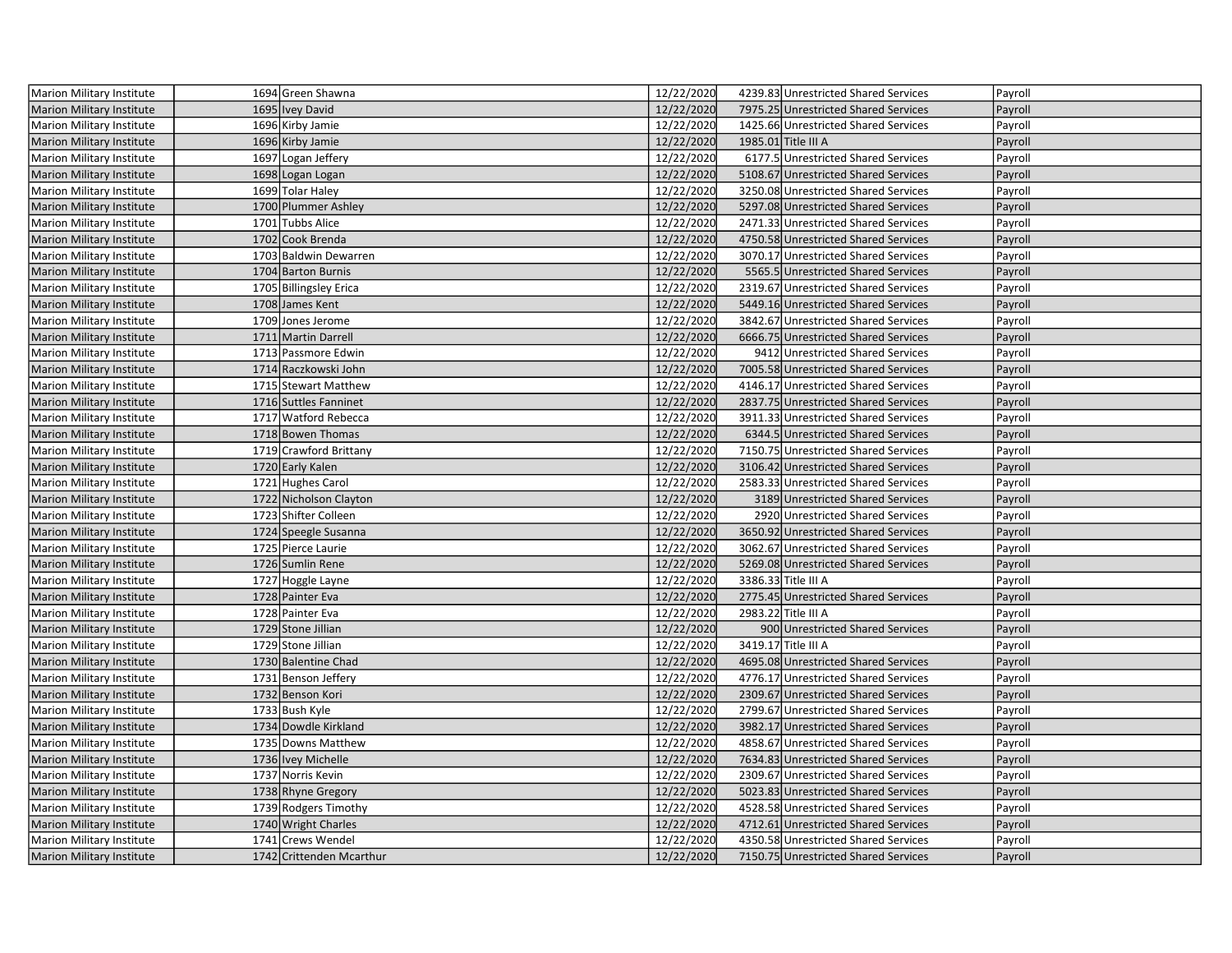| Marion Military Institute        | 1694 Green Shawna        | 12/22/2020 | 4239.83 Unrestricted Shared Services | Payroll |
|----------------------------------|--------------------------|------------|--------------------------------------|---------|
| <b>Marion Military Institute</b> | 1695 Ivey David          | 12/22/2020 | 7975.25 Unrestricted Shared Services | Payroll |
| Marion Military Institute        | 1696 Kirby Jamie         | 12/22/2020 | 1425.66 Unrestricted Shared Services | Payroll |
| Marion Military Institute        | 1696 Kirby Jamie         | 12/22/2020 | 1985.01 Title III A                  | Payroll |
| Marion Military Institute        | 1697 Logan Jeffery       | 12/22/2020 | 6177.5 Unrestricted Shared Services  | Payroll |
| <b>Marion Military Institute</b> | 1698 Logan Logan         | 12/22/2020 | 5108.67 Unrestricted Shared Services | Payroll |
| Marion Military Institute        | 1699 Tolar Haley         | 12/22/2020 | 3250.08 Unrestricted Shared Services | Payroll |
| <b>Marion Military Institute</b> | 1700 Plummer Ashley      | 12/22/2020 | 5297.08 Unrestricted Shared Services | Payroll |
| Marion Military Institute        | 1701 Tubbs Alice         | 12/22/2020 | 2471.33 Unrestricted Shared Services | Payroll |
| Marion Military Institute        | 1702 Cook Brenda         | 12/22/2020 | 4750.58 Unrestricted Shared Services | Payroll |
| Marion Military Institute        | 1703 Baldwin Dewarren    | 12/22/2020 | 3070.17 Unrestricted Shared Services | Payroll |
| Marion Military Institute        | 1704 Barton Burnis       | 12/22/2020 | 5565.5 Unrestricted Shared Services  | Payroll |
| Marion Military Institute        | 1705 Billingsley Erica   | 12/22/2020 | 2319.67 Unrestricted Shared Services | Payroll |
| <b>Marion Military Institute</b> | 1708 James Kent          | 12/22/2020 | 5449.16 Unrestricted Shared Services | Payroll |
| Marion Military Institute        | 1709 Jones Jerome        | 12/22/2020 | 3842.67 Unrestricted Shared Services | Payroll |
| Marion Military Institute        | 1711 Martin Darrell      | 12/22/2020 | 6666.75 Unrestricted Shared Services | Payroll |
| Marion Military Institute        | 1713 Passmore Edwin      | 12/22/2020 | 9412 Unrestricted Shared Services    | Payroll |
| <b>Marion Military Institute</b> | 1714 Raczkowski John     | 12/22/2020 | 7005.58 Unrestricted Shared Services | Payroll |
| Marion Military Institute        | 1715 Stewart Matthew     | 12/22/2020 | 4146.17 Unrestricted Shared Services | Payroll |
| Marion Military Institute        | 1716 Suttles Fanninet    | 12/22/2020 | 2837.75 Unrestricted Shared Services | Payroll |
| Marion Military Institute        | 1717 Watford Rebecca     | 12/22/2020 | 3911.33 Unrestricted Shared Services | Payroll |
| Marion Military Institute        | 1718 Bowen Thomas        | 12/22/2020 | 6344.5 Unrestricted Shared Services  | Payroll |
| Marion Military Institute        | 1719 Crawford Brittany   | 12/22/2020 | 7150.75 Unrestricted Shared Services | Payroll |
| <b>Marion Military Institute</b> | 1720 Early Kalen         | 12/22/2020 | 3106.42 Unrestricted Shared Services | Payroll |
| Marion Military Institute        | 1721 Hughes Carol        | 12/22/2020 | 2583.33 Unrestricted Shared Services | Payroll |
| Marion Military Institute        | 1722 Nicholson Clayton   | 12/22/2020 | 3189 Unrestricted Shared Services    | Payroll |
| Marion Military Institute        | 1723 Shifter Colleen     | 12/22/2020 | 2920 Unrestricted Shared Services    | Payroll |
| Marion Military Institute        | 1724 Speegle Susanna     | 12/22/2020 | 3650.92 Unrestricted Shared Services | Payroll |
| Marion Military Institute        | 1725 Pierce Laurie       | 12/22/2020 | 3062.67 Unrestricted Shared Services | Payroll |
| <b>Marion Military Institute</b> | 1726 Sumlin Rene         | 12/22/2020 | 5269.08 Unrestricted Shared Services | Payroll |
| Marion Military Institute        | 1727 Hoggle Layne        | 12/22/2020 | 3386.33 Title III A                  | Payroll |
| <b>Marion Military Institute</b> | 1728 Painter Eva         | 12/22/2020 | 2775.45 Unrestricted Shared Services | Payroll |
| Marion Military Institute        | 1728 Painter Eva         | 12/22/2020 | 2983.22 Title III A                  | Payroll |
| <b>Marion Military Institute</b> | 1729 Stone Jillian       | 12/22/2020 | 900 Unrestricted Shared Services     | Payroll |
| Marion Military Institute        | 1729 Stone Jillian       | 12/22/2020 | 3419.17 Title III A                  | Payroll |
| <b>Marion Military Institute</b> | 1730 Balentine Chad      | 12/22/2020 | 4695.08 Unrestricted Shared Services | Payroll |
| Marion Military Institute        | 1731 Benson Jeffery      | 12/22/2020 | 4776.17 Unrestricted Shared Services | Payroll |
| <b>Marion Military Institute</b> | 1732 Benson Kori         | 12/22/2020 | 2309.67 Unrestricted Shared Services | Payroll |
| Marion Military Institute        | 1733 Bush Kyle           | 12/22/2020 | 2799.67 Unrestricted Shared Services | Payroll |
| <b>Marion Military Institute</b> | 1734 Dowdle Kirkland     | 12/22/2020 | 3982.17 Unrestricted Shared Services | Payroll |
| Marion Military Institute        | 1735 Downs Matthew       | 12/22/2020 | 4858.67 Unrestricted Shared Services | Payroll |
| <b>Marion Military Institute</b> | 1736 Ivey Michelle       | 12/22/2020 | 7634.83 Unrestricted Shared Services | Payroll |
| Marion Military Institute        | 1737 Norris Kevin        | 12/22/2020 | 2309.67 Unrestricted Shared Services | Payroll |
| <b>Marion Military Institute</b> | 1738 Rhyne Gregory       | 12/22/2020 | 5023.83 Unrestricted Shared Services | Payroll |
| Marion Military Institute        | 1739 Rodgers Timothy     | 12/22/2020 | 4528.58 Unrestricted Shared Services | Payroll |
| <b>Marion Military Institute</b> | 1740 Wright Charles      | 12/22/2020 | 4712.61 Unrestricted Shared Services | Payroll |
| Marion Military Institute        | 1741 Crews Wendel        | 12/22/2020 | 4350.58 Unrestricted Shared Services | Payroll |
| Marion Military Institute        | 1742 Crittenden Mcarthur | 12/22/2020 | 7150.75 Unrestricted Shared Services | Payroll |
|                                  |                          |            |                                      |         |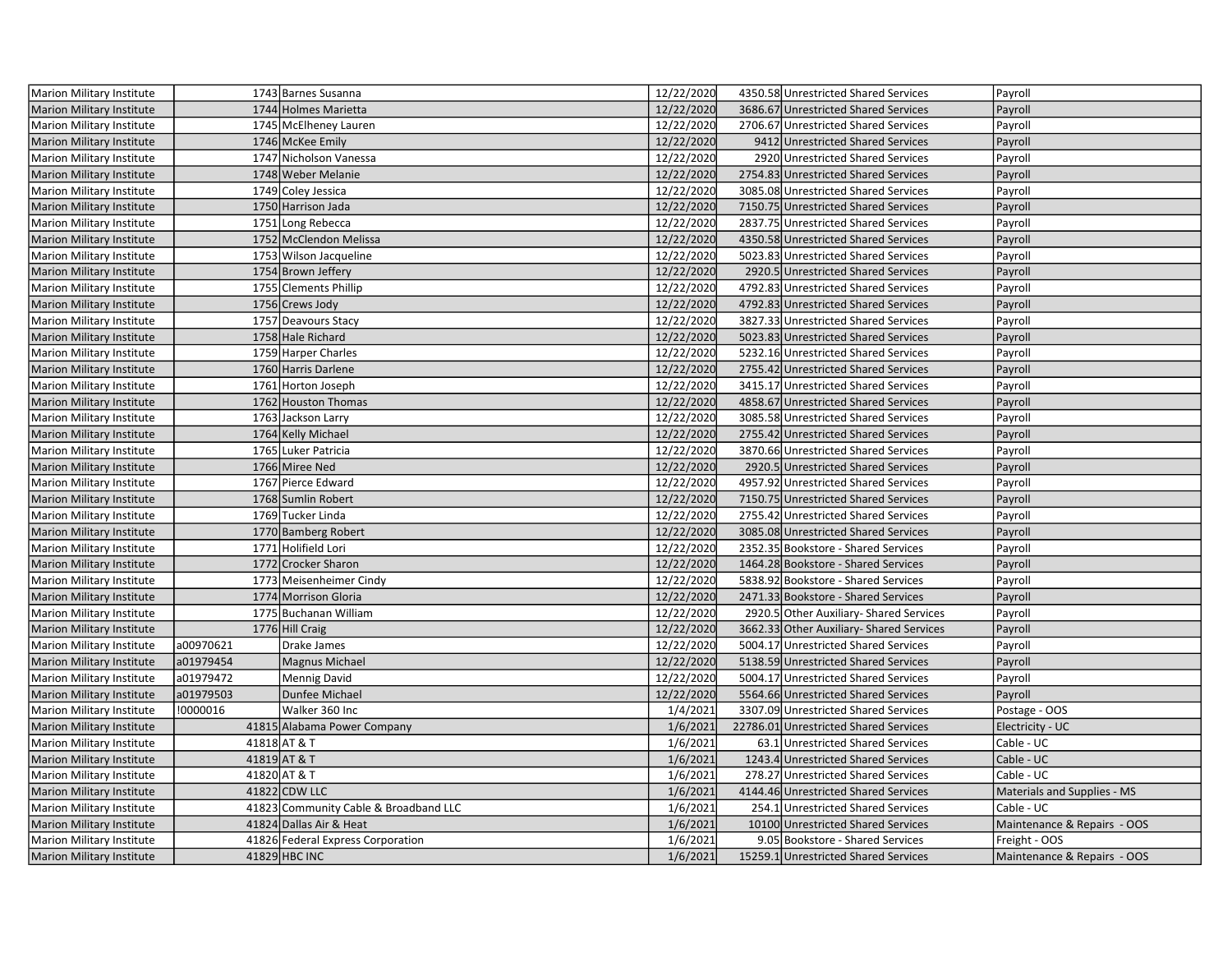| Marion Military Institute        |           | 1743 Barnes Susanna                   | 12/22/2020 | 4350.58 Unrestricted Shared Services     | Payroll                     |
|----------------------------------|-----------|---------------------------------------|------------|------------------------------------------|-----------------------------|
| <b>Marion Military Institute</b> |           | 1744 Holmes Marietta                  | 12/22/2020 | 3686.67 Unrestricted Shared Services     | Payroll                     |
| Marion Military Institute        |           | 1745 McElheney Lauren                 | 12/22/2020 | 2706.67 Unrestricted Shared Services     | Payroll                     |
| Marion Military Institute        |           | 1746 McKee Emily                      | 12/22/2020 | 9412 Unrestricted Shared Services        | Payroll                     |
| Marion Military Institute        |           | 1747 Nicholson Vanessa                | 12/22/2020 | 2920 Unrestricted Shared Services        | Payroll                     |
| Marion Military Institute        |           | 1748 Weber Melanie                    | 12/22/2020 | 2754.83 Unrestricted Shared Services     | Payroll                     |
| Marion Military Institute        |           | 1749 Coley Jessica                    | 12/22/2020 | 3085.08 Unrestricted Shared Services     | Payroll                     |
| <b>Marion Military Institute</b> |           | 1750 Harrison Jada                    | 12/22/2020 | 7150.75 Unrestricted Shared Services     | Payroll                     |
| <b>Marion Military Institute</b> |           | 1751 Long Rebecca                     | 12/22/2020 | 2837.75 Unrestricted Shared Services     | Payroll                     |
| <b>Marion Military Institute</b> |           | 1752 McClendon Melissa                | 12/22/2020 | 4350.58 Unrestricted Shared Services     | Payroll                     |
| Marion Military Institute        |           | 1753 Wilson Jacqueline                | 12/22/2020 | 5023.83 Unrestricted Shared Services     | Payroll                     |
| Marion Military Institute        |           | 1754 Brown Jeffery                    | 12/22/2020 | 2920.5 Unrestricted Shared Services      | Payroll                     |
| Marion Military Institute        |           | 1755 Clements Phillip                 | 12/22/2020 | 4792.83 Unrestricted Shared Services     | Payroll                     |
| <b>Marion Military Institute</b> |           | 1756 Crews Jody                       | 12/22/2020 | 4792.83 Unrestricted Shared Services     | Payroll                     |
| Marion Military Institute        |           | 1757 Deavours Stacy                   | 12/22/2020 | 3827.33 Unrestricted Shared Services     | Payroll                     |
| Marion Military Institute        |           | 1758 Hale Richard                     | 12/22/2020 | 5023.83 Unrestricted Shared Services     | Payroll                     |
| Marion Military Institute        |           | 1759 Harper Charles                   | 12/22/2020 | 5232.16 Unrestricted Shared Services     | Payroll                     |
| <b>Marion Military Institute</b> |           | 1760 Harris Darlene                   | 12/22/2020 | 2755.42 Unrestricted Shared Services     | Payroll                     |
| <b>Marion Military Institute</b> |           | 1761 Horton Joseph                    | 12/22/2020 | 3415.17 Unrestricted Shared Services     | Payroll                     |
| <b>Marion Military Institute</b> |           | 1762 Houston Thomas                   | 12/22/2020 | 4858.67 Unrestricted Shared Services     | Payroll                     |
| Marion Military Institute        |           | 1763 Jackson Larry                    | 12/22/2020 | 3085.58 Unrestricted Shared Services     | Payroll                     |
| Marion Military Institute        |           | 1764 Kelly Michael                    | 12/22/2020 | 2755.42 Unrestricted Shared Services     | Payroll                     |
| Marion Military Institute        |           | 1765 Luker Patricia                   | 12/22/2020 | 3870.66 Unrestricted Shared Services     | Payroll                     |
| Marion Military Institute        |           | 1766 Miree Ned                        | 12/22/2020 | 2920.5 Unrestricted Shared Services      | Payroll                     |
| Marion Military Institute        |           | 1767 Pierce Edward                    | 12/22/2020 | 4957.92 Unrestricted Shared Services     | Payroll                     |
| <b>Marion Military Institute</b> |           | 1768 Sumlin Robert                    | 12/22/2020 | 7150.75 Unrestricted Shared Services     | Payroll                     |
| <b>Marion Military Institute</b> |           | 1769 Tucker Linda                     | 12/22/2020 | 2755.42 Unrestricted Shared Services     | Payroll                     |
| Marion Military Institute        |           | 1770 Bamberg Robert                   | 12/22/2020 | 3085.08 Unrestricted Shared Services     | Payroll                     |
| Marion Military Institute        |           | 1771 Holifield Lori                   | 12/22/2020 | 2352.35 Bookstore - Shared Services      | Payroll                     |
| Marion Military Institute        |           | 1772 Crocker Sharon                   | 12/22/2020 | 1464.28 Bookstore - Shared Services      | Payroll                     |
| Marion Military Institute        |           | 1773 Meisenheimer Cindy               | 12/22/2020 | 5838.92 Bookstore - Shared Services      | Payroll                     |
| <b>Marion Military Institute</b> |           | 1774 Morrison Gloria                  | 12/22/2020 | 2471.33 Bookstore - Shared Services      | Payroll                     |
| Marion Military Institute        |           | 1775 Buchanan William                 | 12/22/2020 | 2920.5 Other Auxiliary- Shared Services  | Payroll                     |
| <b>Marion Military Institute</b> |           | 1776 Hill Craig                       | 12/22/2020 | 3662.33 Other Auxiliary- Shared Services | Payroll                     |
| Marion Military Institute        | a00970621 | Drake James                           | 12/22/2020 | 5004.17 Unrestricted Shared Services     | Payroll                     |
| <b>Marion Military Institute</b> | a01979454 | <b>Magnus Michael</b>                 | 12/22/2020 | 5138.59 Unrestricted Shared Services     | Payroll                     |
| Marion Military Institute        | a01979472 | Mennig David                          | 12/22/2020 | 5004.17 Unrestricted Shared Services     | Payroll                     |
| Marion Military Institute        | a01979503 | Dunfee Michael                        | 12/22/2020 | 5564.66 Unrestricted Shared Services     | Payroll                     |
| Marion Military Institute        | !0000016  | Walker 360 Inc                        | 1/4/2021   | 3307.09 Unrestricted Shared Services     | Postage - OOS               |
| <b>Marion Military Institute</b> |           | 41815 Alabama Power Company           | 1/6/2021   | 22786.01 Unrestricted Shared Services    | Electricity - UC            |
| Marion Military Institute        |           | 41818 AT & T                          | 1/6/2021   | 63.1 Unrestricted Shared Services        | Cable - UC                  |
| <b>Marion Military Institute</b> |           | 41819 AT & T                          | 1/6/2021   | 1243.4 Unrestricted Shared Services      | Cable - UC                  |
| Marion Military Institute        |           | 41820 AT & T                          | 1/6/2021   | 278.27 Unrestricted Shared Services      | Cable - UC                  |
| <b>Marion Military Institute</b> |           | 41822 CDW LLC                         | 1/6/2021   | 4144.46 Unrestricted Shared Services     | Materials and Supplies - MS |
| Marion Military Institute        |           | 41823 Community Cable & Broadband LLC | 1/6/2021   | 254.1 Unrestricted Shared Services       | Cable - UC                  |
| <b>Marion Military Institute</b> |           | 41824 Dallas Air & Heat               | 1/6/2021   | 10100 Unrestricted Shared Services       | Maintenance & Repairs - OOS |
| Marion Military Institute        |           | 41826 Federal Express Corporation     | 1/6/2021   | 9.05 Bookstore - Shared Services         | Freight - OOS               |
| Marion Military Institute        |           | 41829 HBC INC                         | 1/6/2021   | 15259.1 Unrestricted Shared Services     | Maintenance & Repairs - OOS |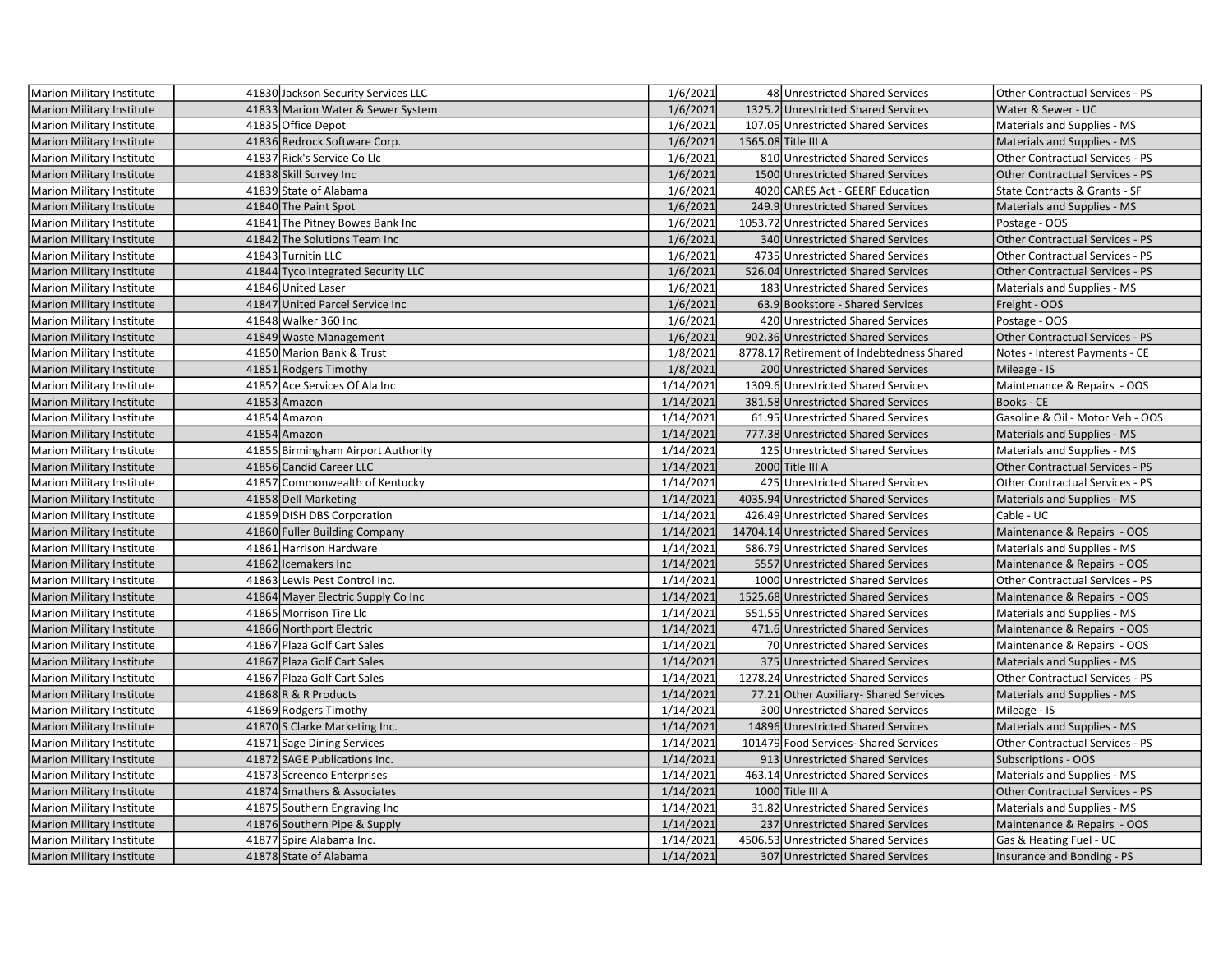| Marion Military Institute        | 41830 Jackson Security Services LLC | 1/6/2021  | 48 Unrestricted Shared Services           | Other Contractual Services - PS        |
|----------------------------------|-------------------------------------|-----------|-------------------------------------------|----------------------------------------|
| Marion Military Institute        | 41833 Marion Water & Sewer System   | 1/6/2021  | 1325.2 Unrestricted Shared Services       | Water & Sewer - UC                     |
| <b>Marion Military Institute</b> | 41835 Office Depot                  | 1/6/2021  | 107.05 Unrestricted Shared Services       | Materials and Supplies - MS            |
| <b>Marion Military Institute</b> | 41836 Redrock Software Corp.        | 1/6/2021  | 1565.08 Title III A                       | Materials and Supplies - MS            |
| Marion Military Institute        | 41837 Rick's Service Co Llc         | 1/6/2021  | 810 Unrestricted Shared Services          | Other Contractual Services - PS        |
| <b>Marion Military Institute</b> | 41838 Skill Survey Inc              | 1/6/2021  | 1500 Unrestricted Shared Services         | <b>Other Contractual Services - PS</b> |
| Marion Military Institute        | 41839 State of Alabama              | 1/6/2021  | 4020 CARES Act - GEERF Education          | State Contracts & Grants - SF          |
| <b>Marion Military Institute</b> | 41840 The Paint Spot                | 1/6/2021  | 249.9 Unrestricted Shared Services        | Materials and Supplies - MS            |
| <b>Marion Military Institute</b> | 41841 The Pitney Bowes Bank Inc     | 1/6/2021  | 1053.72 Unrestricted Shared Services      | Postage - OOS                          |
| <b>Marion Military Institute</b> | 41842 The Solutions Team Inc        | 1/6/2021  | 340 Unrestricted Shared Services          | Other Contractual Services - PS        |
| <b>Marion Military Institute</b> | 41843 Turnitin LLC                  | 1/6/2021  | 4735 Unrestricted Shared Services         | Other Contractual Services - PS        |
| Marion Military Institute        | 41844 Tyco Integrated Security LLC  | 1/6/2021  | 526.04 Unrestricted Shared Services       | <b>Other Contractual Services - PS</b> |
| <b>Marion Military Institute</b> | 41846 United Laser                  | 1/6/2021  | 183 Unrestricted Shared Services          | Materials and Supplies - MS            |
| <b>Marion Military Institute</b> | 41847 United Parcel Service Inc     | 1/6/2021  | 63.9 Bookstore - Shared Services          | Freight - OOS                          |
| <b>Marion Military Institute</b> | 41848 Walker 360 Inc                | 1/6/2021  | 420 Unrestricted Shared Services          | Postage - OOS                          |
| <b>Marion Military Institute</b> | 41849 Waste Management              | 1/6/2021  | 902.36 Unrestricted Shared Services       | <b>Other Contractual Services - PS</b> |
| <b>Marion Military Institute</b> | 41850 Marion Bank & Trust           | 1/8/2021  | 8778.17 Retirement of Indebtedness Shared | Notes - Interest Payments - CE         |
| <b>Marion Military Institute</b> | 41851 Rodgers Timothy               | 1/8/2021  | 200 Unrestricted Shared Services          | Mileage - IS                           |
| Marion Military Institute        | 41852 Ace Services Of Ala Inc       | 1/14/2021 | 1309.6 Unrestricted Shared Services       | Maintenance & Repairs - OOS            |
| <b>Marion Military Institute</b> | 41853 Amazon                        | 1/14/2021 | 381.58 Unrestricted Shared Services       | Books - CE                             |
| Marion Military Institute        | 41854 Amazon                        | 1/14/2021 | 61.95 Unrestricted Shared Services        | Gasoline & Oil - Motor Veh - OOS       |
| <b>Marion Military Institute</b> | 41854 Amazon                        | 1/14/2021 | 777.38 Unrestricted Shared Services       | Materials and Supplies - MS            |
| <b>Marion Military Institute</b> | 41855 Birmingham Airport Authority  | 1/14/2021 | 125 Unrestricted Shared Services          | Materials and Supplies - MS            |
| Marion Military Institute        | 41856 Candid Career LLC             | 1/14/2021 | 2000 Title III A                          | Other Contractual Services - PS        |
| <b>Marion Military Institute</b> | 41857 Commonwealth of Kentucky      | 1/14/2021 | 425 Unrestricted Shared Services          | Other Contractual Services - PS        |
| <b>Marion Military Institute</b> | 41858 Dell Marketing                | 1/14/2021 | 4035.94 Unrestricted Shared Services      | Materials and Supplies - MS            |
| <b>Marion Military Institute</b> | 41859 DISH DBS Corporation          | 1/14/2021 | 426.49 Unrestricted Shared Services       | Cable - UC                             |
| <b>Marion Military Institute</b> | 41860 Fuller Building Company       | 1/14/2021 | 14704.14 Unrestricted Shared Services     | Maintenance & Repairs - OOS            |
| <b>Marion Military Institute</b> | 41861 Harrison Hardware             | 1/14/2021 | 586.79 Unrestricted Shared Services       | Materials and Supplies - MS            |
| Marion Military Institute        | 41862 Icemakers Inc                 | 1/14/2021 | 5557 Unrestricted Shared Services         | Maintenance & Repairs - OOS            |
| Marion Military Institute        | 41863 Lewis Pest Control Inc.       | 1/14/2021 | 1000 Unrestricted Shared Services         | Other Contractual Services - PS        |
| Marion Military Institute        | 41864 Mayer Electric Supply Co Inc  | 1/14/2021 | 1525.68 Unrestricted Shared Services      | Maintenance & Repairs - OOS            |
| Marion Military Institute        | 41865 Morrison Tire Llc             | 1/14/2021 | 551.55 Unrestricted Shared Services       | Materials and Supplies - MS            |
| <b>Marion Military Institute</b> | 41866 Northport Electric            | 1/14/2021 | 471.6 Unrestricted Shared Services        | Maintenance & Repairs - OOS            |
| Marion Military Institute        | 41867 Plaza Golf Cart Sales         | 1/14/2021 | 70 Unrestricted Shared Services           | Maintenance & Repairs - OOS            |
| <b>Marion Military Institute</b> | 41867 Plaza Golf Cart Sales         | 1/14/2021 | 375 Unrestricted Shared Services          | Materials and Supplies - MS            |
| <b>Marion Military Institute</b> | 41867 Plaza Golf Cart Sales         | 1/14/2021 | 1278.24 Unrestricted Shared Services      | Other Contractual Services - PS        |
| <b>Marion Military Institute</b> | 41868 R & R Products                | 1/14/2021 | 77.21 Other Auxiliary- Shared Services    | Materials and Supplies - MS            |
| Marion Military Institute        | 41869 Rodgers Timothy               | 1/14/2021 | 300 Unrestricted Shared Services          | Mileage - IS                           |
| Marion Military Institute        | 41870 S Clarke Marketing Inc.       | 1/14/2021 | 14896 Unrestricted Shared Services        | Materials and Supplies - MS            |
| <b>Marion Military Institute</b> | 41871 Sage Dining Services          | 1/14/2021 | 101479 Food Services- Shared Services     | Other Contractual Services - PS        |
| <b>Marion Military Institute</b> | 41872 SAGE Publications Inc.        | 1/14/2021 | 913 Unrestricted Shared Services          | <b>Subscriptions - OOS</b>             |
| Marion Military Institute        | 41873 Screenco Enterprises          | 1/14/2021 | 463.14 Unrestricted Shared Services       | Materials and Supplies - MS            |
| <b>Marion Military Institute</b> | 41874 Smathers & Associates         | 1/14/2021 | 1000 Title III A                          | Other Contractual Services - PS        |
| <b>Marion Military Institute</b> | 41875 Southern Engraving Inc        | 1/14/2021 | 31.82 Unrestricted Shared Services        | Materials and Supplies - MS            |
| Marion Military Institute        | 41876 Southern Pipe & Supply        | 1/14/2021 | 237 Unrestricted Shared Services          | Maintenance & Repairs - OOS            |
| Marion Military Institute        | 41877 Spire Alabama Inc.            | 1/14/2021 | 4506.53 Unrestricted Shared Services      | Gas & Heating Fuel - UC                |
| <b>Marion Military Institute</b> | 41878 State of Alabama              | 1/14/2021 | 307 Unrestricted Shared Services          | Insurance and Bonding - PS             |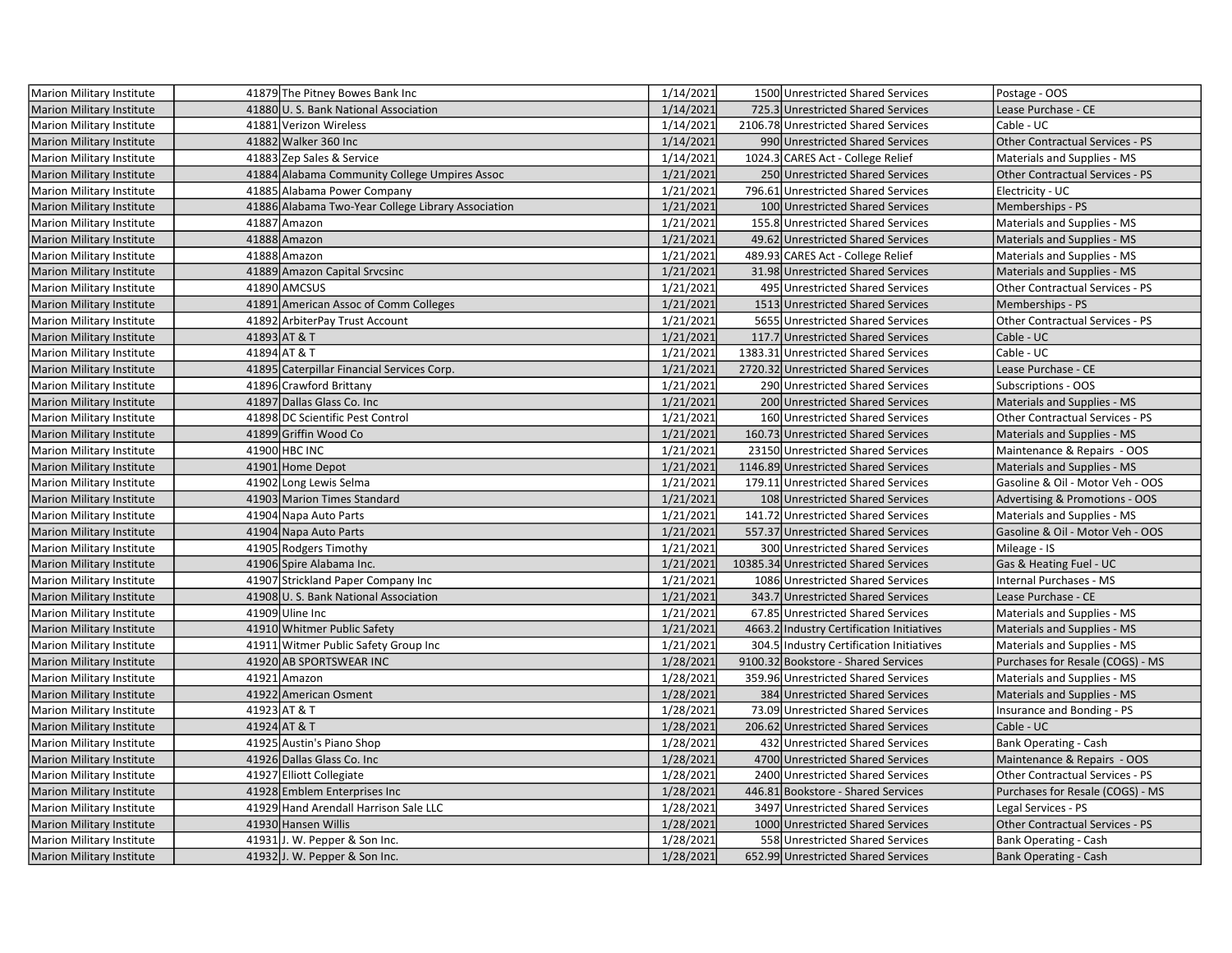| Marion Military Institute        | 41879 The Pitney Bowes Bank Inc                    | 1/14/2021 | 1500 Unrestricted Shared Services         | Postage - OOS                          |
|----------------------------------|----------------------------------------------------|-----------|-------------------------------------------|----------------------------------------|
| Marion Military Institute        | 41880 U. S. Bank National Association              | 1/14/2021 | 725.3 Unrestricted Shared Services        | Lease Purchase - CE                    |
| Marion Military Institute        | 41881 Verizon Wireless                             | 1/14/2021 | 2106.78 Unrestricted Shared Services      | Cable - UC                             |
| <b>Marion Military Institute</b> | 41882 Walker 360 Inc                               | 1/14/2021 | 990 Unrestricted Shared Services          | Other Contractual Services - PS        |
| <b>Marion Military Institute</b> | 41883 Zep Sales & Service                          | 1/14/2021 | 1024.3 CARES Act - College Relief         | Materials and Supplies - MS            |
| <b>Marion Military Institute</b> | 41884 Alabama Community College Umpires Assoc      | 1/21/2021 | 250 Unrestricted Shared Services          | <b>Other Contractual Services - PS</b> |
| <b>Marion Military Institute</b> | 41885 Alabama Power Company                        | 1/21/2021 | 796.61 Unrestricted Shared Services       | Electricity - UC                       |
| <b>Marion Military Institute</b> | 41886 Alabama Two-Year College Library Association | 1/21/2021 | 100 Unrestricted Shared Services          | Memberships - PS                       |
| Marion Military Institute        | 41887 Amazon                                       | 1/21/2021 | 155.8 Unrestricted Shared Services        | Materials and Supplies - MS            |
| <b>Marion Military Institute</b> | 41888 Amazon                                       | 1/21/2021 | 49.62 Unrestricted Shared Services        | Materials and Supplies - MS            |
| <b>Marion Military Institute</b> | 41888 Amazon                                       | 1/21/2021 | 489.93 CARES Act - College Relief         | Materials and Supplies - MS            |
| <b>Marion Military Institute</b> | 41889 Amazon Capital Srvcsinc                      | 1/21/2021 | 31.98 Unrestricted Shared Services        | Materials and Supplies - MS            |
| <b>Marion Military Institute</b> | 41890 AMCSUS                                       | 1/21/2021 | 495 Unrestricted Shared Services          | Other Contractual Services - PS        |
| Marion Military Institute        | 41891 American Assoc of Comm Colleges              | 1/21/2021 | 1513 Unrestricted Shared Services         | Memberships - PS                       |
| Marion Military Institute        | 41892 ArbiterPay Trust Account                     | 1/21/2021 | 5655 Unrestricted Shared Services         | Other Contractual Services - PS        |
| <b>Marion Military Institute</b> | 41893 AT & T                                       | 1/21/2021 | 117.7 Unrestricted Shared Services        | Cable - UC                             |
| Marion Military Institute        | 41894 AT & T                                       | 1/21/2021 | 1383.31 Unrestricted Shared Services      | Cable - UC                             |
| Marion Military Institute        | 41895 Caterpillar Financial Services Corp.         | 1/21/2021 | 2720.32 Unrestricted Shared Services      | Lease Purchase - CE                    |
| Marion Military Institute        | 41896 Crawford Brittany                            | 1/21/2021 | 290 Unrestricted Shared Services          | <b>Subscriptions - OOS</b>             |
| <b>Marion Military Institute</b> | 41897 Dallas Glass Co. Inc.                        | 1/21/2021 | 200 Unrestricted Shared Services          | Materials and Supplies - MS            |
| Marion Military Institute        | 41898 DC Scientific Pest Control                   | 1/21/2021 | 160 Unrestricted Shared Services          | Other Contractual Services - PS        |
| <b>Marion Military Institute</b> | 41899 Griffin Wood Co                              | 1/21/2021 | 160.73 Unrestricted Shared Services       | Materials and Supplies - MS            |
| Marion Military Institute        | 41900 HBC INC                                      | 1/21/2021 | 23150 Unrestricted Shared Services        | Maintenance & Repairs - OOS            |
| <b>Marion Military Institute</b> | 41901 Home Depot                                   | 1/21/2021 | 1146.89 Unrestricted Shared Services      | Materials and Supplies - MS            |
| Marion Military Institute        | 41902 Long Lewis Selma                             | 1/21/2021 | 179.11 Unrestricted Shared Services       | Gasoline & Oil - Motor Veh - OOS       |
| <b>Marion Military Institute</b> | 41903 Marion Times Standard                        | 1/21/2021 | 108 Unrestricted Shared Services          | Advertising & Promotions - OOS         |
| <b>Marion Military Institute</b> | 41904 Napa Auto Parts                              | 1/21/2021 | 141.72 Unrestricted Shared Services       | Materials and Supplies - MS            |
| <b>Marion Military Institute</b> | 41904 Napa Auto Parts                              | 1/21/2021 | 557.37 Unrestricted Shared Services       | Gasoline & Oil - Motor Veh - OOS       |
| Marion Military Institute        | 41905 Rodgers Timothy                              | 1/21/2021 | 300 Unrestricted Shared Services          | Mileage - IS                           |
| <b>Marion Military Institute</b> | 41906 Spire Alabama Inc.                           | 1/21/2021 | 10385.34 Unrestricted Shared Services     | Gas & Heating Fuel - UC                |
| Marion Military Institute        | 41907 Strickland Paper Company Inc                 | 1/21/2021 | 1086 Unrestricted Shared Services         | Internal Purchases - MS                |
| <b>Marion Military Institute</b> | 41908 U.S. Bank National Association               | 1/21/2021 | 343.7 Unrestricted Shared Services        | Lease Purchase - CE                    |
| <b>Marion Military Institute</b> | 41909 Uline Inc                                    | 1/21/2021 | 67.85 Unrestricted Shared Services        | Materials and Supplies - MS            |
| Marion Military Institute        | 41910 Whitmer Public Safety                        | 1/21/2021 | 4663.2 Industry Certification Initiatives | Materials and Supplies - MS            |
| <b>Marion Military Institute</b> | 41911 Witmer Public Safety Group Inc               | 1/21/2021 | 304.5 Industry Certification Initiatives  | Materials and Supplies - MS            |
| <b>Marion Military Institute</b> | 41920 AB SPORTSWEAR INC                            | 1/28/2021 | 9100.32 Bookstore - Shared Services       | Purchases for Resale (COGS) - MS       |
| Marion Military Institute        | 41921 Amazon                                       | 1/28/2021 | 359.96 Unrestricted Shared Services       | Materials and Supplies - MS            |
| <b>Marion Military Institute</b> | 41922 American Osment                              | 1/28/2021 | 384 Unrestricted Shared Services          | Materials and Supplies - MS            |
| Marion Military Institute        | 41923 AT & T                                       | 1/28/2021 | 73.09 Unrestricted Shared Services        | Insurance and Bonding - PS             |
| Marion Military Institute        | 41924 AT & T                                       | 1/28/2021 | 206.62 Unrestricted Shared Services       | Cable - UC                             |
| Marion Military Institute        | 41925 Austin's Piano Shop                          | 1/28/2021 | 432 Unrestricted Shared Services          | <b>Bank Operating - Cash</b>           |
| <b>Marion Military Institute</b> | 41926 Dallas Glass Co. Inc                         | 1/28/2021 | 4700 Unrestricted Shared Services         | Maintenance & Repairs - OOS            |
| Marion Military Institute        | 41927 Elliott Collegiate                           | 1/28/2021 | 2400 Unrestricted Shared Services         | Other Contractual Services - PS        |
| Marion Military Institute        | 41928 Emblem Enterprises Inc                       | 1/28/2021 | 446.81 Bookstore - Shared Services        | Purchases for Resale (COGS) - MS       |
| Marion Military Institute        | 41929 Hand Arendall Harrison Sale LLC              | 1/28/2021 | 3497 Unrestricted Shared Services         | Legal Services - PS                    |
| <b>Marion Military Institute</b> | 41930 Hansen Willis                                | 1/28/2021 | 1000 Unrestricted Shared Services         | Other Contractual Services - PS        |
| Marion Military Institute        | 41931J. W. Pepper & Son Inc.                       | 1/28/2021 | 558 Unrestricted Shared Services          | <b>Bank Operating - Cash</b>           |
| <b>Marion Military Institute</b> | 41932J. W. Pepper & Son Inc.                       | 1/28/2021 | 652.99 Unrestricted Shared Services       | <b>Bank Operating - Cash</b>           |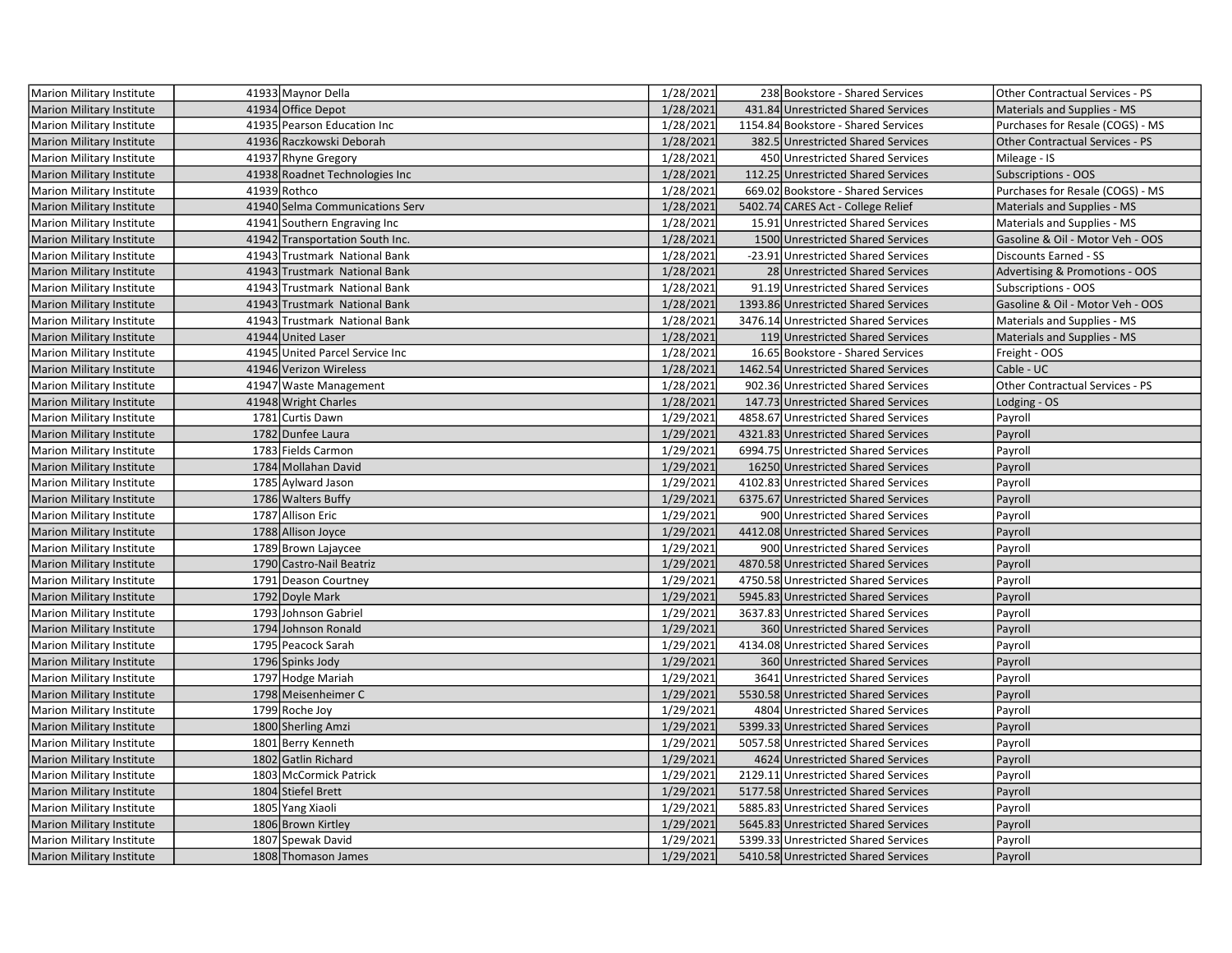| Marion Military Institute        | 41933 Maynor Della              | 1/28/2021 | 238 Bookstore - Shared Services      | Other Contractual Services - PS  |
|----------------------------------|---------------------------------|-----------|--------------------------------------|----------------------------------|
| <b>Marion Military Institute</b> | 41934 Office Depot              | 1/28/2021 | 431.84 Unrestricted Shared Services  | Materials and Supplies - MS      |
| Marion Military Institute        | 41935 Pearson Education Inc     | 1/28/2021 | 1154.84 Bookstore - Shared Services  | Purchases for Resale (COGS) - MS |
| <b>Marion Military Institute</b> | 41936 Raczkowski Deborah        | 1/28/2021 | 382.5 Unrestricted Shared Services   | Other Contractual Services - PS  |
| Marion Military Institute        | 41937 Rhyne Gregory             | 1/28/2021 | 450 Unrestricted Shared Services     | Mileage - IS                     |
| Marion Military Institute        | 41938 Roadnet Technologies Inc  | 1/28/2021 | 112.25 Unrestricted Shared Services  | <b>Subscriptions - OOS</b>       |
| Marion Military Institute        | 41939 Rothco                    | 1/28/2021 | 669.02 Bookstore - Shared Services   | Purchases for Resale (COGS) - MS |
| <b>Marion Military Institute</b> | 41940 Selma Communications Serv | 1/28/2021 | 5402.74 CARES Act - College Relief   | Materials and Supplies - MS      |
| <b>Marion Military Institute</b> | 41941 Southern Engraving Inc    | 1/28/2021 | 15.91 Unrestricted Shared Services   | Materials and Supplies - MS      |
| <b>Marion Military Institute</b> | 41942 Transportation South Inc. | 1/28/2021 | 1500 Unrestricted Shared Services    | Gasoline & Oil - Motor Veh - OOS |
| Marion Military Institute        | 41943 Trustmark National Bank   | 1/28/2021 | -23.91 Unrestricted Shared Services  | <b>Discounts Earned - SS</b>     |
| <b>Marion Military Institute</b> | 41943 Trustmark National Bank   | 1/28/2021 | 28 Unrestricted Shared Services      | Advertising & Promotions - OOS   |
| Marion Military Institute        | 41943 Trustmark National Bank   | 1/28/2021 | 91.19 Unrestricted Shared Services   | Subscriptions - OOS              |
| <b>Marion Military Institute</b> | 41943 Trustmark National Bank   | 1/28/2021 | 1393.86 Unrestricted Shared Services | Gasoline & Oil - Motor Veh - OOS |
| Marion Military Institute        | 41943 Trustmark National Bank   | 1/28/2021 | 3476.14 Unrestricted Shared Services | Materials and Supplies - MS      |
| Marion Military Institute        | 41944 United Laser              | 1/28/2021 | 119 Unrestricted Shared Services     | Materials and Supplies - MS      |
| Marion Military Institute        | 41945 United Parcel Service Inc | 1/28/2021 | 16.65 Bookstore - Shared Services    | Freight - OOS                    |
| <b>Marion Military Institute</b> | 41946 Verizon Wireless          | 1/28/2021 | 1462.54 Unrestricted Shared Services | Cable - UC                       |
| Marion Military Institute        | 41947 Waste Management          | 1/28/2021 | 902.36 Unrestricted Shared Services  | Other Contractual Services - PS  |
| <b>Marion Military Institute</b> | 41948 Wright Charles            | 1/28/2021 | 147.73 Unrestricted Shared Services  | Lodging - OS                     |
| Marion Military Institute        | 1781 Curtis Dawn                | 1/29/2021 | 4858.67 Unrestricted Shared Services | Payroll                          |
| <b>Marion Military Institute</b> | 1782 Dunfee Laura               | 1/29/2021 | 4321.83 Unrestricted Shared Services | Payroll                          |
| Marion Military Institute        | 1783 Fields Carmon              | 1/29/2021 | 6994.75 Unrestricted Shared Services | Payroll                          |
| <b>Marion Military Institute</b> | 1784 Mollahan David             | 1/29/2021 | 16250 Unrestricted Shared Services   | Payroll                          |
| Marion Military Institute        | 1785 Aylward Jason              | 1/29/2021 | 4102.83 Unrestricted Shared Services | Payroll                          |
| <b>Marion Military Institute</b> | 1786 Walters Buffy              | 1/29/2021 | 6375.67 Unrestricted Shared Services | Payroll                          |
| Marion Military Institute        | 1787 Allison Eric               | 1/29/2021 | 900 Unrestricted Shared Services     | Payroll                          |
| <b>Marion Military Institute</b> | 1788 Allison Joyce              | 1/29/2021 | 4412.08 Unrestricted Shared Services | Payroll                          |
| Marion Military Institute        | 1789 Brown Lajaycee             | 1/29/2021 | 900 Unrestricted Shared Services     | Payroll                          |
| Marion Military Institute        | 1790 Castro-Nail Beatriz        | 1/29/2021 | 4870.58 Unrestricted Shared Services | Payroll                          |
| Marion Military Institute        | 1791 Deason Courtney            | 1/29/2021 | 4750.58 Unrestricted Shared Services | Payroll                          |
| <b>Marion Military Institute</b> | 1792 Doyle Mark                 | 1/29/2021 | 5945.83 Unrestricted Shared Services | Payroll                          |
| Marion Military Institute        | 1793 Johnson Gabriel            | 1/29/2021 | 3637.83 Unrestricted Shared Services | Payroll                          |
| <b>Marion Military Institute</b> | 1794 Johnson Ronald             | 1/29/2021 | 360 Unrestricted Shared Services     | Payroll                          |
| Marion Military Institute        | 1795 Peacock Sarah              | 1/29/2021 | 4134.08 Unrestricted Shared Services | Payroll                          |
| <b>Marion Military Institute</b> | 1796 Spinks Jody                | 1/29/2021 | 360 Unrestricted Shared Services     | Payroll                          |
| Marion Military Institute        | 1797 Hodge Mariah               | 1/29/2021 | 3641 Unrestricted Shared Services    | Payroll                          |
| <b>Marion Military Institute</b> | 1798 Meisenheimer C             | 1/29/2021 | 5530.58 Unrestricted Shared Services | Payroll                          |
| Marion Military Institute        | 1799 Roche Joy                  | 1/29/2021 | 4804 Unrestricted Shared Services    | Payroll                          |
| <b>Marion Military Institute</b> | 1800 Sherling Amzi              | 1/29/2021 | 5399.33 Unrestricted Shared Services | Payroll                          |
| Marion Military Institute        | 1801 Berry Kenneth              | 1/29/2021 | 5057.58 Unrestricted Shared Services | Payroll                          |
| <b>Marion Military Institute</b> | 1802 Gatlin Richard             | 1/29/2021 | 4624 Unrestricted Shared Services    | Payroll                          |
| Marion Military Institute        | 1803 McCormick Patrick          | 1/29/2021 | 2129.11 Unrestricted Shared Services | Payroll                          |
| <b>Marion Military Institute</b> | 1804 Stiefel Brett              | 1/29/2021 | 5177.58 Unrestricted Shared Services | Payroll                          |
| Marion Military Institute        | 1805 Yang Xiaoli                | 1/29/2021 | 5885.83 Unrestricted Shared Services | Payroll                          |
| Marion Military Institute        | 1806 Brown Kirtley              | 1/29/2021 | 5645.83 Unrestricted Shared Services | Payroll                          |
| Marion Military Institute        | 1807 Spewak David               | 1/29/2021 | 5399.33 Unrestricted Shared Services | Payroll                          |
| Marion Military Institute        | 1808 Thomason James             | 1/29/2021 | 5410.58 Unrestricted Shared Services | Payroll                          |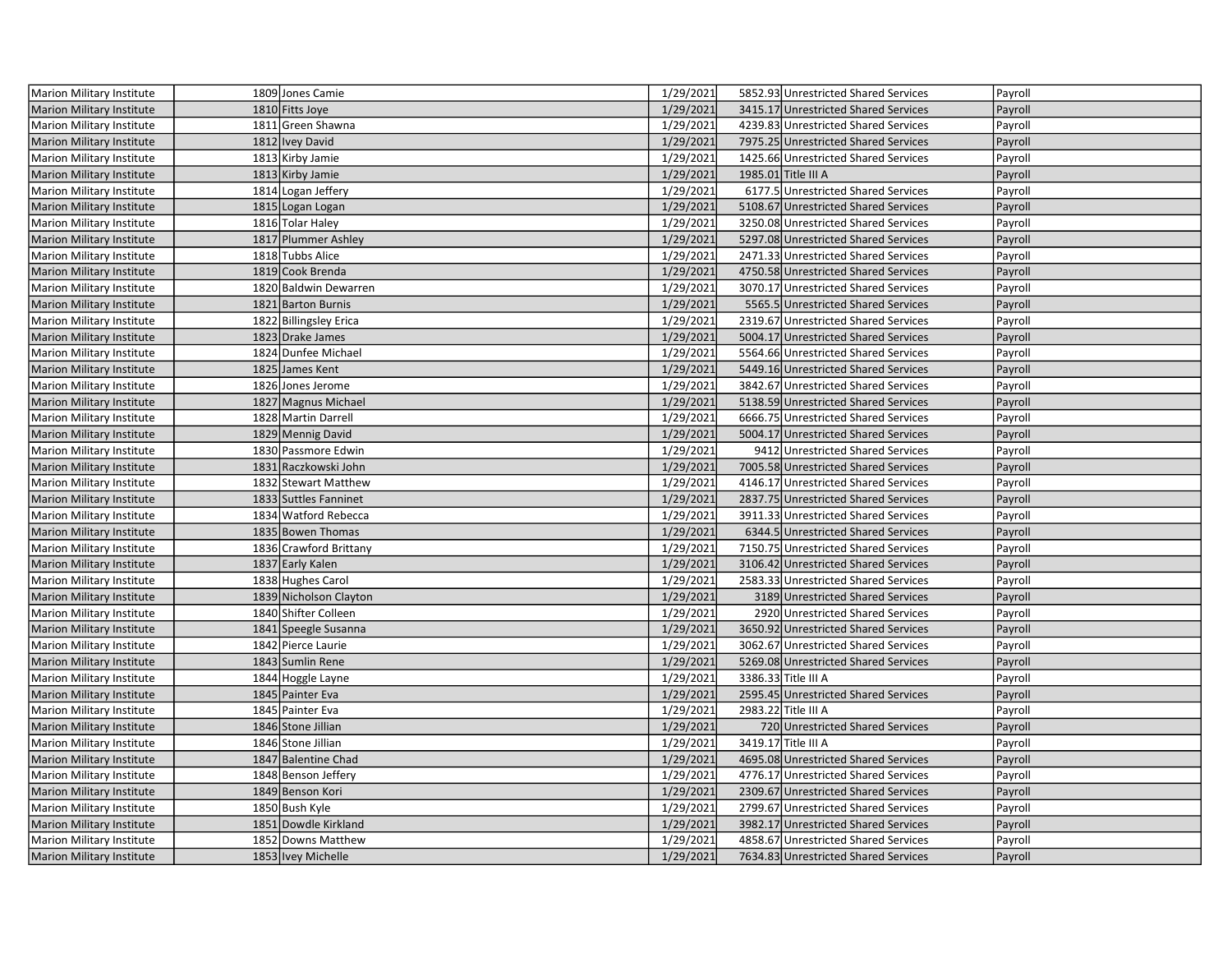| Marion Military Institute        | 1809 Jones Camie       | 1/29/2021 | 5852.93 Unrestricted Shared Services | Payroll |
|----------------------------------|------------------------|-----------|--------------------------------------|---------|
| <b>Marion Military Institute</b> | 1810 Fitts Joye        | 1/29/2021 | 3415.17 Unrestricted Shared Services | Payroll |
| Marion Military Institute        | 1811 Green Shawna      | 1/29/2021 | 4239.83 Unrestricted Shared Services | Payroll |
| Marion Military Institute        | 1812 Ivey David        | 1/29/2021 | 7975.25 Unrestricted Shared Services | Payroll |
| Marion Military Institute        | 1813 Kirby Jamie       | 1/29/2021 | 1425.66 Unrestricted Shared Services | Payroll |
| <b>Marion Military Institute</b> | 1813 Kirby Jamie       | 1/29/2021 | 1985.01 Title III A                  | Payroll |
| Marion Military Institute        | 1814 Logan Jeffery     | 1/29/2021 | 6177.5 Unrestricted Shared Services  | Payroll |
| <b>Marion Military Institute</b> | 1815 Logan Logan       | 1/29/2021 | 5108.67 Unrestricted Shared Services | Payroll |
| Marion Military Institute        | 1816 Tolar Haley       | 1/29/2021 | 3250.08 Unrestricted Shared Services | Payroll |
| <b>Marion Military Institute</b> | 1817 Plummer Ashley    | 1/29/2021 | 5297.08 Unrestricted Shared Services | Payroll |
| Marion Military Institute        | 1818 Tubbs Alice       | 1/29/2021 | 2471.33 Unrestricted Shared Services | Payroll |
| Marion Military Institute        | 1819 Cook Brenda       | 1/29/2021 | 4750.58 Unrestricted Shared Services | Payroll |
| Marion Military Institute        | 1820 Baldwin Dewarren  | 1/29/2021 | 3070.17 Unrestricted Shared Services | Payroll |
| <b>Marion Military Institute</b> | 1821 Barton Burnis     | 1/29/2021 | 5565.5 Unrestricted Shared Services  | Payroll |
| Marion Military Institute        | 1822 Billingsley Erica | 1/29/2021 | 2319.67 Unrestricted Shared Services | Payroll |
| <b>Marion Military Institute</b> | 1823 Drake James       | 1/29/2021 | 5004.17 Unrestricted Shared Services | Payroll |
| Marion Military Institute        | 1824 Dunfee Michael    | 1/29/2021 | 5564.66 Unrestricted Shared Services | Payroll |
| <b>Marion Military Institute</b> | 1825 James Kent        | 1/29/2021 | 5449.16 Unrestricted Shared Services | Payroll |
| <b>Marion Military Institute</b> | 1826 Jones Jerome      | 1/29/2021 | 3842.67 Unrestricted Shared Services | Payroll |
| <b>Marion Military Institute</b> | 1827 Magnus Michael    | 1/29/2021 | 5138.59 Unrestricted Shared Services | Payroll |
| <b>Marion Military Institute</b> | 1828 Martin Darrell    | 1/29/2021 | 6666.75 Unrestricted Shared Services | Payroll |
| <b>Marion Military Institute</b> | 1829 Mennig David      | 1/29/2021 | 5004.17 Unrestricted Shared Services | Payroll |
| Marion Military Institute        | 1830 Passmore Edwin    | 1/29/2021 | 9412 Unrestricted Shared Services    | Payroll |
| <b>Marion Military Institute</b> | 1831 Raczkowski John   | 1/29/2021 | 7005.58 Unrestricted Shared Services | Payroll |
| Marion Military Institute        | 1832 Stewart Matthew   | 1/29/2021 | 4146.17 Unrestricted Shared Services | Payroll |
| <b>Marion Military Institute</b> | 1833 Suttles Fanninet  | 1/29/2021 | 2837.75 Unrestricted Shared Services | Payroll |
| <b>Marion Military Institute</b> | 1834 Watford Rebecca   | 1/29/2021 | 3911.33 Unrestricted Shared Services | Payroll |
| Marion Military Institute        | 1835 Bowen Thomas      | 1/29/2021 | 6344.5 Unrestricted Shared Services  | Payroll |
| Marion Military Institute        | 1836 Crawford Brittany | 1/29/2021 | 7150.75 Unrestricted Shared Services | Payroll |
| Marion Military Institute        | 1837 Early Kalen       | 1/29/2021 | 3106.42 Unrestricted Shared Services | Payroll |
| Marion Military Institute        | 1838 Hughes Carol      | 1/29/2021 | 2583.33 Unrestricted Shared Services | Payroll |
| <b>Marion Military Institute</b> | 1839 Nicholson Clayton | 1/29/2021 | 3189 Unrestricted Shared Services    | Payroll |
| Marion Military Institute        | 1840 Shifter Colleen   | 1/29/2021 | 2920 Unrestricted Shared Services    | Payroll |
| <b>Marion Military Institute</b> | 1841 Speegle Susanna   | 1/29/2021 | 3650.92 Unrestricted Shared Services | Payroll |
| Marion Military Institute        | 1842 Pierce Laurie     | 1/29/2021 | 3062.67 Unrestricted Shared Services | Payroll |
| <b>Marion Military Institute</b> | 1843 Sumlin Rene       | 1/29/2021 | 5269.08 Unrestricted Shared Services | Payroll |
| Marion Military Institute        | 1844 Hoggle Layne      | 1/29/2021 | 3386.33 Title III A                  | Payroll |
| <b>Marion Military Institute</b> | 1845 Painter Eva       | 1/29/2021 | 2595.45 Unrestricted Shared Services | Payroll |
| Marion Military Institute        | 1845 Painter Eva       | 1/29/2021 | 2983.22 Title III A                  | Payroll |
| <b>Marion Military Institute</b> | 1846 Stone Jillian     | 1/29/2021 | 720 Unrestricted Shared Services     | Payroll |
| Marion Military Institute        | 1846 Stone Jillian     | 1/29/2021 | 3419.17 Title III A                  | Payroll |
| <b>Marion Military Institute</b> | 1847 Balentine Chad    | 1/29/2021 | 4695.08 Unrestricted Shared Services | Payroll |
| Marion Military Institute        | 1848 Benson Jeffery    | 1/29/2021 | 4776.17 Unrestricted Shared Services | Payroll |
| <b>Marion Military Institute</b> | 1849 Benson Kori       | 1/29/2021 | 2309.67 Unrestricted Shared Services | Payroll |
| Marion Military Institute        | 1850 Bush Kyle         | 1/29/2021 | 2799.67 Unrestricted Shared Services | Payroll |
| <b>Marion Military Institute</b> | 1851 Dowdle Kirkland   | 1/29/2021 | 3982.17 Unrestricted Shared Services | Payroll |
| Marion Military Institute        | 1852 Downs Matthew     | 1/29/2021 | 4858.67 Unrestricted Shared Services | Payroll |
| Marion Military Institute        | 1853 Ivey Michelle     | 1/29/2021 | 7634.83 Unrestricted Shared Services | Payroll |
|                                  |                        |           |                                      |         |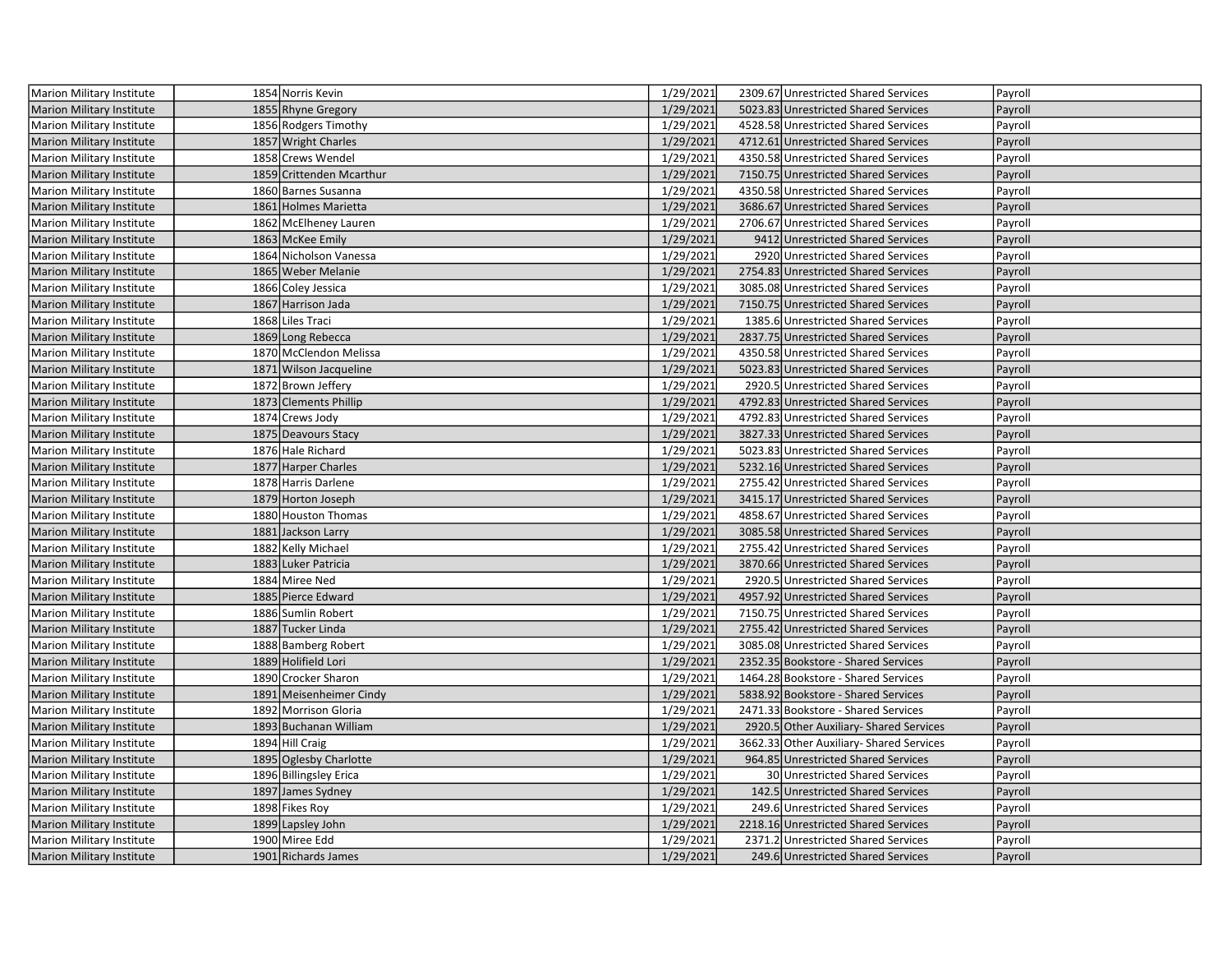| <b>Marion Military Institute</b> | 1854 Norris Kevin        | 1/29/2021 | 2309.67 Unrestricted Shared Services    | Payroll |
|----------------------------------|--------------------------|-----------|-----------------------------------------|---------|
| <b>Marion Military Institute</b> | 1855 Rhyne Gregory       | 1/29/2021 | 5023.83 Unrestricted Shared Services    | Payroll |
| Marion Military Institute        | 1856 Rodgers Timothy     | 1/29/2021 | 4528.58 Unrestricted Shared Services    | Payroll |
| Marion Military Institute        | 1857 Wright Charles      | 1/29/2021 | 4712.61 Unrestricted Shared Services    | Payroll |
| Marion Military Institute        | 1858 Crews Wendel        | 1/29/2021 | 4350.58 Unrestricted Shared Services    | Payroll |
| <b>Marion Military Institute</b> | 1859 Crittenden Mcarthur | 1/29/2021 | 7150.75 Unrestricted Shared Services    | Payroll |
| Marion Military Institute        | 1860 Barnes Susanna      | 1/29/2021 | 4350.58 Unrestricted Shared Services    | Payroll |
| <b>Marion Military Institute</b> | 1861 Holmes Marietta     | 1/29/2021 | 3686.67 Unrestricted Shared Services    | Payroll |
| Marion Military Institute        | 1862 McElheney Lauren    | 1/29/2021 | 2706.67 Unrestricted Shared Services    | Payroll |
| <b>Marion Military Institute</b> | 1863 McKee Emily         | 1/29/2021 | 9412 Unrestricted Shared Services       | Payroll |
| Marion Military Institute        | 1864 Nicholson Vanessa   | 1/29/2021 | 2920 Unrestricted Shared Services       | Payroll |
| Marion Military Institute        | 1865 Weber Melanie       | 1/29/2021 | 2754.83 Unrestricted Shared Services    | Payroll |
| Marion Military Institute        | 1866 Coley Jessica       | 1/29/2021 | 3085.08 Unrestricted Shared Services    | Payroll |
| <b>Marion Military Institute</b> | 1867 Harrison Jada       | 1/29/2021 | 7150.75 Unrestricted Shared Services    | Payroll |
| Marion Military Institute        | 1868 Liles Traci         | 1/29/2021 | 1385.6 Unrestricted Shared Services     | Payroll |
| <b>Marion Military Institute</b> | 1869 Long Rebecca        | 1/29/2021 | 2837.75 Unrestricted Shared Services    | Payroll |
| Marion Military Institute        | 1870 McClendon Melissa   | 1/29/2021 | 4350.58 Unrestricted Shared Services    | Payroll |
| <b>Marion Military Institute</b> | 1871 Wilson Jacqueline   | 1/29/2021 | 5023.83 Unrestricted Shared Services    | Payroll |
| <b>Marion Military Institute</b> | 1872 Brown Jeffery       | 1/29/2021 | 2920.5 Unrestricted Shared Services     | Payroll |
| <b>Marion Military Institute</b> | 1873 Clements Phillip    | 1/29/2021 | 4792.83 Unrestricted Shared Services    | Payroll |
| <b>Marion Military Institute</b> | 1874 Crews Jody          | 1/29/2021 | 4792.83 Unrestricted Shared Services    | Payroll |
| <b>Marion Military Institute</b> | 1875 Deavours Stacy      | 1/29/2021 | 3827.33 Unrestricted Shared Services    | Payroll |
| Marion Military Institute        | 1876 Hale Richard        | 1/29/2021 | 5023.83 Unrestricted Shared Services    | Payroll |
| <b>Marion Military Institute</b> | 1877 Harper Charles      | 1/29/2021 | 5232.16 Unrestricted Shared Services    | Payroll |
| Marion Military Institute        | 1878 Harris Darlene      | 1/29/2021 | 2755.42 Unrestricted Shared Services    | Payroll |
| <b>Marion Military Institute</b> | 1879 Horton Joseph       | 1/29/2021 | 3415.17 Unrestricted Shared Services    | Payroll |
| <b>Marion Military Institute</b> | 1880 Houston Thomas      | 1/29/2021 | 4858.67 Unrestricted Shared Services    | Payroll |
| Marion Military Institute        | 1881 Jackson Larry       | 1/29/2021 | 3085.58 Unrestricted Shared Services    | Payroll |
| Marion Military Institute        | 1882 Kelly Michael       | 1/29/2021 | 2755.42 Unrestricted Shared Services    | Payroll |
| Marion Military Institute        | 1883 Luker Patricia      | 1/29/2021 | 3870.66 Unrestricted Shared Services    | Payroll |
| Marion Military Institute        | 1884 Miree Ned           | 1/29/2021 | 2920.5 Unrestricted Shared Services     | Payroll |
| <b>Marion Military Institute</b> | 1885 Pierce Edward       | 1/29/2021 | 4957.92 Unrestricted Shared Services    | Payroll |
| Marion Military Institute        | 1886 Sumlin Robert       | 1/29/2021 | 7150.75 Unrestricted Shared Services    | Payroll |
| <b>Marion Military Institute</b> | 1887 Tucker Linda        | 1/29/2021 | 2755.42 Unrestricted Shared Services    | Payroll |
| Marion Military Institute        | 1888 Bamberg Robert      | 1/29/2021 | 3085.08 Unrestricted Shared Services    | Payroll |
| <b>Marion Military Institute</b> | 1889 Holifield Lori      | 1/29/2021 | 2352.35 Bookstore - Shared Services     | Payroll |
| Marion Military Institute        | 1890 Crocker Sharon      | 1/29/2021 | 1464.28 Bookstore - Shared Services     | Payroll |
| <b>Marion Military Institute</b> | 1891 Meisenheimer Cindy  | 1/29/2021 | 5838.92 Bookstore - Shared Services     | Payroll |
| Marion Military Institute        | 1892 Morrison Gloria     | 1/29/2021 | 2471.33 Bookstore - Shared Services     | Payroll |
| <b>Marion Military Institute</b> | 1893 Buchanan William    | 1/29/2021 | 2920.5 Other Auxiliary- Shared Services | Payroll |
| Marion Military Institute        | 1894 Hill Craig          | 1/29/2021 | 3662.33 Other Auxiliary-Shared Services | Payroll |
| <b>Marion Military Institute</b> | 1895 Oglesby Charlotte   | 1/29/2021 | 964.85 Unrestricted Shared Services     | Payroll |
| Marion Military Institute        | 1896 Billingsley Erica   | 1/29/2021 | 30 Unrestricted Shared Services         | Payroll |
| <b>Marion Military Institute</b> | 1897 James Sydney        | 1/29/2021 | 142.5 Unrestricted Shared Services      | Payroll |
| Marion Military Institute        | 1898 Fikes Roy           | 1/29/2021 | 249.6 Unrestricted Shared Services      | Payroll |
| <b>Marion Military Institute</b> | 1899 Lapsley John        | 1/29/2021 | 2218.16 Unrestricted Shared Services    | Payroll |
| Marion Military Institute        | 1900 Miree Edd           | 1/29/2021 | 2371.2 Unrestricted Shared Services     | Payroll |
| Marion Military Institute        | 1901 Richards James      | 1/29/2021 | 249.6 Unrestricted Shared Services      | Payroll |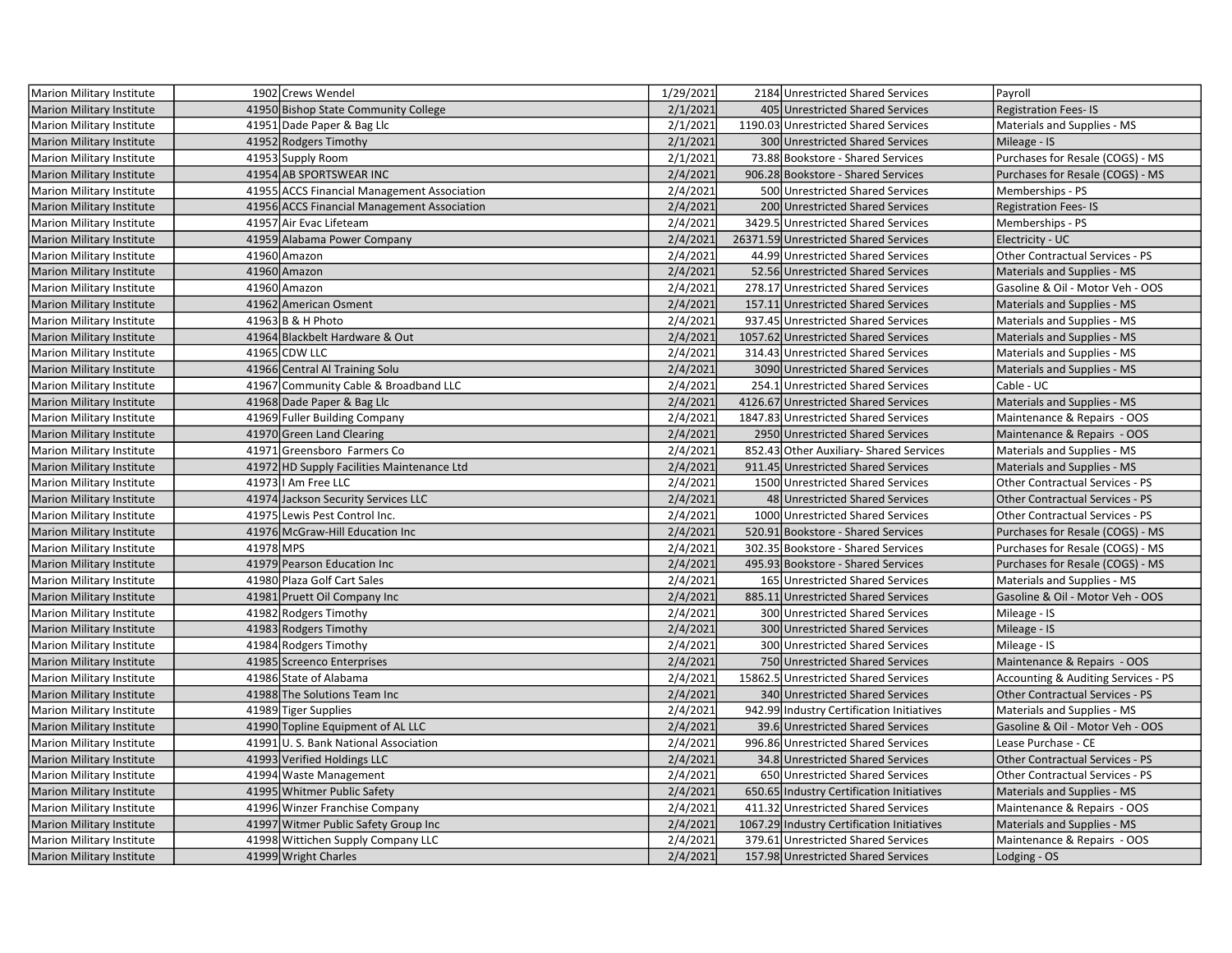| <b>Marion Military Institute</b> |           | 1902 Crews Wendel                           | 1/29/2021 | 2184 Unrestricted Shared Services          | Payroll                                |
|----------------------------------|-----------|---------------------------------------------|-----------|--------------------------------------------|----------------------------------------|
| <b>Marion Military Institute</b> |           | 41950 Bishop State Community College        | 2/1/2021  | 405 Unrestricted Shared Services           | <b>Registration Fees-IS</b>            |
| Marion Military Institute        |           | 41951 Dade Paper & Bag Llc                  | 2/1/2021  | 1190.03 Unrestricted Shared Services       | Materials and Supplies - MS            |
| Marion Military Institute        |           | 41952 Rodgers Timothy                       | 2/1/2021  | 300 Unrestricted Shared Services           | Mileage - IS                           |
| Marion Military Institute        |           | 41953 Supply Room                           | 2/1/2021  | 73.88 Bookstore - Shared Services          | Purchases for Resale (COGS) - MS       |
| <b>Marion Military Institute</b> |           | 41954 AB SPORTSWEAR INC                     | 2/4/2021  | 906.28 Bookstore - Shared Services         | Purchases for Resale (COGS) - MS       |
| Marion Military Institute        |           | 41955 ACCS Financial Management Association | 2/4/2021  | 500 Unrestricted Shared Services           | Memberships - PS                       |
| <b>Marion Military Institute</b> |           | 41956 ACCS Financial Management Association | 2/4/2021  | 200 Unrestricted Shared Services           | <b>Registration Fees-IS</b>            |
| Marion Military Institute        |           | 41957 Air Evac Lifeteam                     | 2/4/2021  | 3429.5 Unrestricted Shared Services        | Memberships - PS                       |
| <b>Marion Military Institute</b> |           | 41959 Alabama Power Company                 | 2/4/2021  | 26371.59 Unrestricted Shared Services      | Electricity - UC                       |
| Marion Military Institute        |           | 41960 Amazon                                | 2/4/2021  | 44.99 Unrestricted Shared Services         | Other Contractual Services - PS        |
| Marion Military Institute        |           | 41960 Amazon                                | 2/4/2021  | 52.56 Unrestricted Shared Services         | Materials and Supplies - MS            |
| Marion Military Institute        |           | 41960 Amazon                                | 2/4/2021  | 278.17 Unrestricted Shared Services        | Gasoline & Oil - Motor Veh - OOS       |
| <b>Marion Military Institute</b> |           | 41962 American Osment                       | 2/4/2021  | 157.11 Unrestricted Shared Services        | Materials and Supplies - MS            |
| Marion Military Institute        |           | 41963 B & H Photo                           | 2/4/2021  | 937.45 Unrestricted Shared Services        | Materials and Supplies - MS            |
| <b>Marion Military Institute</b> |           | 41964 Blackbelt Hardware & Out              | 2/4/2021  | 1057.62 Unrestricted Shared Services       | Materials and Supplies - MS            |
| Marion Military Institute        |           | 41965 CDW LLC                               | 2/4/2021  | 314.43 Unrestricted Shared Services        | Materials and Supplies - MS            |
| <b>Marion Military Institute</b> |           | 41966 Central Al Training Solu              | 2/4/2021  | 3090 Unrestricted Shared Services          | Materials and Supplies - MS            |
| <b>Marion Military Institute</b> |           | 41967 Community Cable & Broadband LLC       | 2/4/2021  | 254.1 Unrestricted Shared Services         | Cable - UC                             |
| <b>Marion Military Institute</b> |           | 41968 Dade Paper & Bag Llc                  | 2/4/2021  | 4126.67 Unrestricted Shared Services       | Materials and Supplies - MS            |
| <b>Marion Military Institute</b> |           | 41969 Fuller Building Company               | 2/4/2021  | 1847.83 Unrestricted Shared Services       | Maintenance & Repairs - OOS            |
| <b>Marion Military Institute</b> |           | 41970 Green Land Clearing                   | 2/4/2021  | 2950 Unrestricted Shared Services          | Maintenance & Repairs - OOS            |
| <b>Marion Military Institute</b> |           | 41971 Greensboro Farmers Co                 | 2/4/2021  | 852.43 Other Auxiliary- Shared Services    | Materials and Supplies - MS            |
| <b>Marion Military Institute</b> |           | 41972 HD Supply Facilities Maintenance Ltd  | 2/4/2021  | 911.45 Unrestricted Shared Services        | Materials and Supplies - MS            |
| Marion Military Institute        |           | 41973   Am Free LLC                         | 2/4/2021  | 1500 Unrestricted Shared Services          | Other Contractual Services - PS        |
| <b>Marion Military Institute</b> |           | 41974 Jackson Security Services LLC         | 2/4/2021  | 48 Unrestricted Shared Services            | <b>Other Contractual Services - PS</b> |
| <b>Marion Military Institute</b> |           | 41975 Lewis Pest Control Inc.               | 2/4/2021  | 1000 Unrestricted Shared Services          | <b>Other Contractual Services - PS</b> |
| <b>Marion Military Institute</b> |           | 41976 McGraw-Hill Education Inc             | 2/4/2021  | 520.91 Bookstore - Shared Services         | Purchases for Resale (COGS) - MS       |
| Marion Military Institute        | 41978 MPS |                                             | 2/4/2021  | 302.35 Bookstore - Shared Services         | Purchases for Resale (COGS) - MS       |
| Marion Military Institute        |           | 41979 Pearson Education Inc                 | 2/4/2021  | 495.93 Bookstore - Shared Services         | Purchases for Resale (COGS) - MS       |
| Marion Military Institute        |           | 41980 Plaza Golf Cart Sales                 | 2/4/2021  | 165 Unrestricted Shared Services           | Materials and Supplies - MS            |
| <b>Marion Military Institute</b> |           | 41981 Pruett Oil Company Inc                | 2/4/2021  | 885.11 Unrestricted Shared Services        | Gasoline & Oil - Motor Veh - OOS       |
| Marion Military Institute        |           | 41982 Rodgers Timothy                       | 2/4/2021  | 300 Unrestricted Shared Services           | Mileage - IS                           |
| <b>Marion Military Institute</b> |           | 41983 Rodgers Timothy                       | 2/4/2021  | 300 Unrestricted Shared Services           | Mileage - IS                           |
| Marion Military Institute        |           | 41984 Rodgers Timothy                       | 2/4/2021  | 300 Unrestricted Shared Services           | Mileage - IS                           |
| <b>Marion Military Institute</b> |           | 41985 Screenco Enterprises                  | 2/4/2021  | 750 Unrestricted Shared Services           | Maintenance & Repairs - OOS            |
| Marion Military Institute        |           | 41986 State of Alabama                      | 2/4/2021  | 15862.5 Unrestricted Shared Services       | Accounting & Auditing Services - PS    |
| <b>Marion Military Institute</b> |           | 41988 The Solutions Team Inc                | 2/4/2021  | 340 Unrestricted Shared Services           | Other Contractual Services - PS        |
| Marion Military Institute        |           | 41989 Tiger Supplies                        | 2/4/2021  | 942.99 Industry Certification Initiatives  | Materials and Supplies - MS            |
| <b>Marion Military Institute</b> |           | 41990 Topline Equipment of AL LLC           | 2/4/2021  | 39.6 Unrestricted Shared Services          | Gasoline & Oil - Motor Veh - OOS       |
| Marion Military Institute        |           | 41991 U.S. Bank National Association        | 2/4/2021  | 996.86 Unrestricted Shared Services        | Lease Purchase - CE                    |
| <b>Marion Military Institute</b> |           | 41993 Verified Holdings LLC                 | 2/4/2021  | 34.8 Unrestricted Shared Services          | Other Contractual Services - PS        |
| Marion Military Institute        |           | 41994 Waste Management                      | 2/4/2021  | 650 Unrestricted Shared Services           | Other Contractual Services - PS        |
| <b>Marion Military Institute</b> |           | 41995 Whitmer Public Safety                 | 2/4/2021  | 650.65 Industry Certification Initiatives  | Materials and Supplies - MS            |
| <b>Marion Military Institute</b> |           | 41996 Winzer Franchise Company              | 2/4/2021  | 411.32 Unrestricted Shared Services        | Maintenance & Repairs - OOS            |
| <b>Marion Military Institute</b> |           | 41997 Witmer Public Safety Group Inc        | 2/4/2021  | 1067.29 Industry Certification Initiatives | Materials and Supplies - MS            |
| Marion Military Institute        |           | 41998 Wittichen Supply Company LLC          | 2/4/2021  | 379.61 Unrestricted Shared Services        | Maintenance & Repairs - OOS            |
| <b>Marion Military Institute</b> |           | 41999 Wright Charles                        | 2/4/2021  | 157.98 Unrestricted Shared Services        | Lodging - OS                           |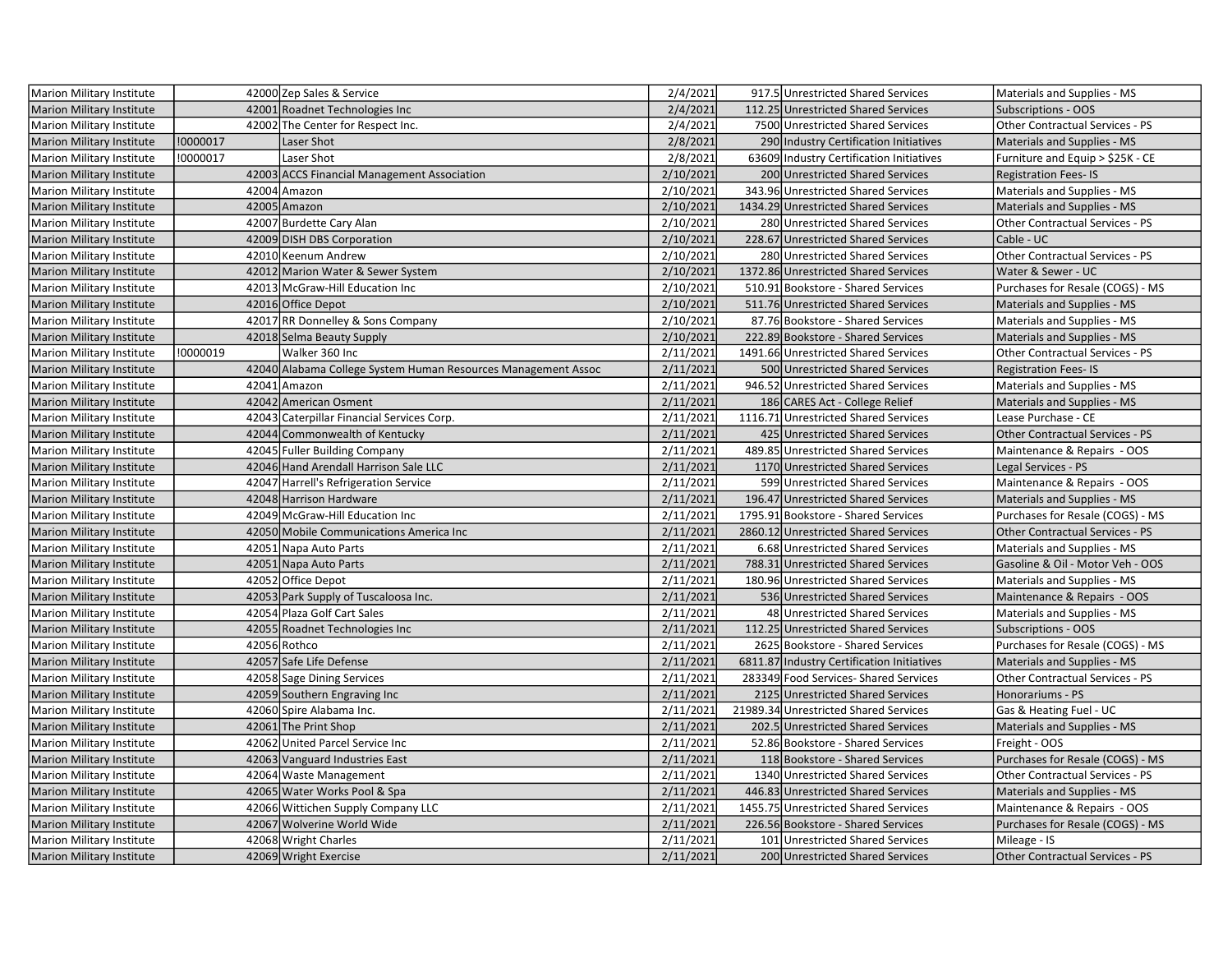| Marion Military Institute        |          | 42000 Zep Sales & Service                                     | 2/4/2021  | 917.5 Unrestricted Shared Services         | Materials and Supplies - MS            |
|----------------------------------|----------|---------------------------------------------------------------|-----------|--------------------------------------------|----------------------------------------|
| <b>Marion Military Institute</b> |          | 42001 Roadnet Technologies Inc                                | 2/4/2021  | 112.25 Unrestricted Shared Services        | <b>Subscriptions - OOS</b>             |
| <b>Marion Military Institute</b> |          | 42002 The Center for Respect Inc.                             | 2/4/2021  | 7500 Unrestricted Shared Services          | Other Contractual Services - PS        |
| <b>Marion Military Institute</b> | !0000017 | Laser Shot                                                    | 2/8/2021  | 290 Industry Certification Initiatives     | Materials and Supplies - MS            |
| <b>Marion Military Institute</b> | !0000017 | Laser Shot                                                    | 2/8/2021  | 63609 Industry Certification Initiatives   | Furniture and Equip > \$25K - CE       |
| <b>Marion Military Institute</b> |          | 42003 ACCS Financial Management Association                   | 2/10/2021 | 200 Unrestricted Shared Services           | <b>Registration Fees-IS</b>            |
| Marion Military Institute        |          | 42004 Amazon                                                  | 2/10/2021 | 343.96 Unrestricted Shared Services        | Materials and Supplies - MS            |
| <b>Marion Military Institute</b> |          | 42005 Amazon                                                  | 2/10/2021 | 1434.29 Unrestricted Shared Services       | Materials and Supplies - MS            |
| Marion Military Institute        |          | 42007 Burdette Cary Alan                                      | 2/10/2021 | 280 Unrestricted Shared Services           | Other Contractual Services - PS        |
| <b>Marion Military Institute</b> |          | 42009 DISH DBS Corporation                                    | 2/10/2021 | 228.67 Unrestricted Shared Services        | Cable - UC                             |
| Marion Military Institute        |          | 42010 Keenum Andrew                                           | 2/10/2021 | 280 Unrestricted Shared Services           | Other Contractual Services - PS        |
| <b>Marion Military Institute</b> |          | 42012 Marion Water & Sewer System                             | 2/10/2021 | 1372.86 Unrestricted Shared Services       | Water & Sewer - UC                     |
| Marion Military Institute        |          | 42013 McGraw-Hill Education Inc                               | 2/10/2021 | 510.91 Bookstore - Shared Services         | Purchases for Resale (COGS) - MS       |
| <b>Marion Military Institute</b> |          | 42016 Office Depot                                            | 2/10/2021 | 511.76 Unrestricted Shared Services        | Materials and Supplies - MS            |
| Marion Military Institute        |          | 42017 RR Donnelley & Sons Company                             | 2/10/2021 | 87.76 Bookstore - Shared Services          | Materials and Supplies - MS            |
| <b>Marion Military Institute</b> |          | 42018 Selma Beauty Supply                                     | 2/10/2021 | 222.89 Bookstore - Shared Services         | Materials and Supplies - MS            |
| Marion Military Institute        | !0000019 | Walker 360 Inc                                                | 2/11/2021 | 1491.66 Unrestricted Shared Services       | Other Contractual Services - PS        |
| <b>Marion Military Institute</b> |          | 42040 Alabama College System Human Resources Management Assoc | 2/11/2021 | 500 Unrestricted Shared Services           | <b>Registration Fees-IS</b>            |
| Marion Military Institute        |          | 42041 Amazon                                                  | 2/11/2021 | 946.52 Unrestricted Shared Services        | Materials and Supplies - MS            |
| Marion Military Institute        |          | 42042 American Osment                                         | 2/11/2021 | 186 CARES Act - College Relief             | Materials and Supplies - MS            |
| Marion Military Institute        |          | 42043 Caterpillar Financial Services Corp.                    | 2/11/2021 | 1116.71 Unrestricted Shared Services       | Lease Purchase - CE                    |
| <b>Marion Military Institute</b> |          | 42044 Commonwealth of Kentucky                                | 2/11/2021 | 425 Unrestricted Shared Services           | <b>Other Contractual Services - PS</b> |
| Marion Military Institute        |          | 42045 Fuller Building Company                                 | 2/11/2021 | 489.85 Unrestricted Shared Services        | Maintenance & Repairs - OOS            |
| <b>Marion Military Institute</b> |          | 42046 Hand Arendall Harrison Sale LLC                         | 2/11/2021 | 1170 Unrestricted Shared Services          | Legal Services - PS                    |
| Marion Military Institute        |          | 42047 Harrell's Refrigeration Service                         | 2/11/2021 | 599 Unrestricted Shared Services           | Maintenance & Repairs - OOS            |
| <b>Marion Military Institute</b> |          | 42048 Harrison Hardware                                       | 2/11/2021 | 196.47 Unrestricted Shared Services        | Materials and Supplies - MS            |
| Marion Military Institute        |          | 42049 McGraw-Hill Education Inc                               | 2/11/2021 | 1795.91 Bookstore - Shared Services        | Purchases for Resale (COGS) - MS       |
| <b>Marion Military Institute</b> |          | 42050 Mobile Communications America Inc                       | 2/11/2021 | 2860.12 Unrestricted Shared Services       | <b>Other Contractual Services - PS</b> |
| Marion Military Institute        |          | 42051 Napa Auto Parts                                         | 2/11/2021 | 6.68 Unrestricted Shared Services          | Materials and Supplies - MS            |
| <b>Marion Military Institute</b> |          | 42051 Napa Auto Parts                                         | 2/11/2021 | 788.31 Unrestricted Shared Services        | Gasoline & Oil - Motor Veh - OOS       |
| Marion Military Institute        |          | 42052 Office Depot                                            | 2/11/2021 | 180.96 Unrestricted Shared Services        | Materials and Supplies - MS            |
| <b>Marion Military Institute</b> |          | 42053 Park Supply of Tuscaloosa Inc.                          | 2/11/2021 | 536 Unrestricted Shared Services           | Maintenance & Repairs - OOS            |
| Marion Military Institute        |          | 42054 Plaza Golf Cart Sales                                   | 2/11/2021 | 48 Unrestricted Shared Services            | Materials and Supplies - MS            |
| <b>Marion Military Institute</b> |          | 42055 Roadnet Technologies Inc                                | 2/11/2021 | 112.25 Unrestricted Shared Services        | <b>Subscriptions - OOS</b>             |
| Marion Military Institute        |          | 42056 Rothco                                                  | 2/11/2021 | 2625 Bookstore - Shared Services           | Purchases for Resale (COGS) - MS       |
| Marion Military Institute        |          | 42057 Safe Life Defense                                       | 2/11/2021 | 6811.87 Industry Certification Initiatives | Materials and Supplies - MS            |
| Marion Military Institute        |          | 42058 Sage Dining Services                                    | 2/11/2021 | 283349 Food Services- Shared Services      | Other Contractual Services - PS        |
| <b>Marion Military Institute</b> |          | 42059 Southern Engraving Inc                                  | 2/11/2021 | 2125 Unrestricted Shared Services          | Honorariums - PS                       |
| Marion Military Institute        |          | 42060 Spire Alabama Inc.                                      | 2/11/2021 | 21989.34 Unrestricted Shared Services      | Gas & Heating Fuel - UC                |
| <b>Marion Military Institute</b> |          | 42061 The Print Shop                                          | 2/11/2021 | 202.5 Unrestricted Shared Services         | Materials and Supplies - MS            |
| Marion Military Institute        |          | 42062 United Parcel Service Inc                               | 2/11/2021 | 52.86 Bookstore - Shared Services          | Freight - OOS                          |
| <b>Marion Military Institute</b> |          | 42063 Vanguard Industries East                                | 2/11/2021 | 118 Bookstore - Shared Services            | Purchases for Resale (COGS) - MS       |
| Marion Military Institute        |          | 42064 Waste Management                                        | 2/11/2021 | 1340 Unrestricted Shared Services          | Other Contractual Services - PS        |
| <b>Marion Military Institute</b> |          | 42065 Water Works Pool & Spa                                  | 2/11/2021 | 446.83 Unrestricted Shared Services        | Materials and Supplies - MS            |
| Marion Military Institute        |          | 42066 Wittichen Supply Company LLC                            | 2/11/2021 | 1455.75 Unrestricted Shared Services       | Maintenance & Repairs - OOS            |
| Marion Military Institute        |          | 42067 Wolverine World Wide                                    | 2/11/2021 | 226.56 Bookstore - Shared Services         | Purchases for Resale (COGS) - MS       |
| Marion Military Institute        |          | 42068 Wright Charles                                          | 2/11/2021 | 101 Unrestricted Shared Services           | Mileage - IS                           |
| Marion Military Institute        |          | 42069 Wright Exercise                                         | 2/11/2021 | 200 Unrestricted Shared Services           | Other Contractual Services - PS        |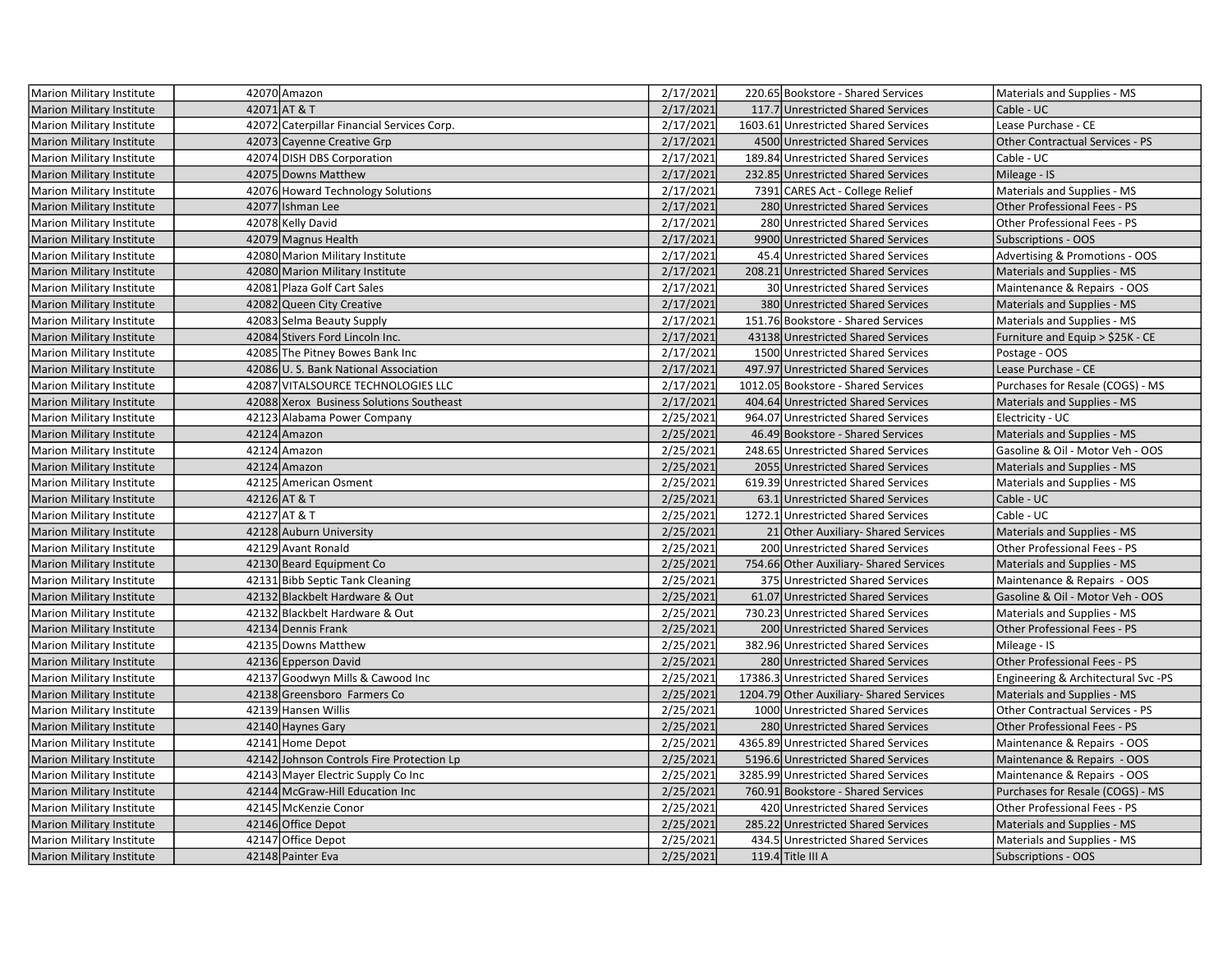| Marion Military Institute        | 42070 Amazon                               | 2/17/2021 | 220.65 Bookstore - Shared Services       | Materials and Supplies - MS         |
|----------------------------------|--------------------------------------------|-----------|------------------------------------------|-------------------------------------|
| <b>Marion Military Institute</b> | 42071 AT & T                               | 2/17/2021 | 117.7 Unrestricted Shared Services       | Cable - UC                          |
| <b>Marion Military Institute</b> | 42072 Caterpillar Financial Services Corp. | 2/17/2021 | 1603.61 Unrestricted Shared Services     | Lease Purchase - CE                 |
| <b>Marion Military Institute</b> | 42073 Cayenne Creative Grp                 | 2/17/2021 | 4500 Unrestricted Shared Services        | Other Contractual Services - PS     |
| Marion Military Institute        | 42074 DISH DBS Corporation                 | 2/17/2021 | 189.84 Unrestricted Shared Services      | Cable - UC                          |
| Marion Military Institute        | 42075 Downs Matthew                        | 2/17/2021 | 232.85 Unrestricted Shared Services      | Mileage - IS                        |
| Marion Military Institute        | 42076 Howard Technology Solutions          | 2/17/2021 | 7391 CARES Act - College Relief          | Materials and Supplies - MS         |
| <b>Marion Military Institute</b> | 42077 Ishman Lee                           | 2/17/2021 | 280 Unrestricted Shared Services         | Other Professional Fees - PS        |
| Marion Military Institute        | 42078 Kelly David                          | 2/17/2021 | 280 Unrestricted Shared Services         | Other Professional Fees - PS        |
| <b>Marion Military Institute</b> | 42079 Magnus Health                        | 2/17/2021 | 9900 Unrestricted Shared Services        | <b>Subscriptions - OOS</b>          |
| Marion Military Institute        | 42080 Marion Military Institute            | 2/17/2021 | 45.4 Unrestricted Shared Services        | Advertising & Promotions - OOS      |
| <b>Marion Military Institute</b> | 42080 Marion Military Institute            | 2/17/2021 | 208.21 Unrestricted Shared Services      | Materials and Supplies - MS         |
| Marion Military Institute        | 42081 Plaza Golf Cart Sales                | 2/17/2021 | 30 Unrestricted Shared Services          | Maintenance & Repairs - OOS         |
| <b>Marion Military Institute</b> | 42082 Queen City Creative                  | 2/17/2021 | 380 Unrestricted Shared Services         | Materials and Supplies - MS         |
| Marion Military Institute        | 42083 Selma Beauty Supply                  | 2/17/2021 | 151.76 Bookstore - Shared Services       | Materials and Supplies - MS         |
| <b>Marion Military Institute</b> | 42084 Stivers Ford Lincoln Inc.            | 2/17/2021 | 43138 Unrestricted Shared Services       | Furniture and Equip > \$25K - CE    |
| Marion Military Institute        | 42085 The Pitney Bowes Bank Inc            | 2/17/2021 | 1500 Unrestricted Shared Services        | Postage - OOS                       |
| <b>Marion Military Institute</b> | 42086 U.S. Bank National Association       | 2/17/2021 | 497.97 Unrestricted Shared Services      | Lease Purchase - CE                 |
| Marion Military Institute        | 42087 VITALSOURCE TECHNOLOGIES LLC         | 2/17/2021 | 1012.05 Bookstore - Shared Services      | Purchases for Resale (COGS) - MS    |
| Marion Military Institute        | 42088 Xerox Business Solutions Southeast   | 2/17/2021 | 404.64 Unrestricted Shared Services      | Materials and Supplies - MS         |
| Marion Military Institute        | 42123 Alabama Power Company                | 2/25/2021 | 964.07 Unrestricted Shared Services      | Electricity - UC                    |
| <b>Marion Military Institute</b> | 42124 Amazon                               | 2/25/2021 | 46.49 Bookstore - Shared Services        | Materials and Supplies - MS         |
| <b>Marion Military Institute</b> | 42124 Amazon                               | 2/25/2021 | 248.65 Unrestricted Shared Services      | Gasoline & Oil - Motor Veh - OOS    |
| <b>Marion Military Institute</b> | 42124 Amazon                               | 2/25/2021 | 2055 Unrestricted Shared Services        | Materials and Supplies - MS         |
| Marion Military Institute        | 42125 American Osment                      | 2/25/2021 | 619.39 Unrestricted Shared Services      | Materials and Supplies - MS         |
| <b>Marion Military Institute</b> | 42126 AT & T                               | 2/25/2021 | 63.1 Unrestricted Shared Services        | Cable - UC                          |
| Marion Military Institute        | 42127 AT & T                               | 2/25/2021 | 1272.1 Unrestricted Shared Services      | Cable - UC                          |
| <b>Marion Military Institute</b> | 42128 Auburn University                    | 2/25/2021 | 21 Other Auxiliary- Shared Services      | Materials and Supplies - MS         |
| Marion Military Institute        | 42129 Avant Ronald                         | 2/25/2021 | 200 Unrestricted Shared Services         | Other Professional Fees - PS        |
| <b>Marion Military Institute</b> | 42130 Beard Equipment Co                   | 2/25/2021 | 754.66 Other Auxiliary- Shared Services  | Materials and Supplies - MS         |
| Marion Military Institute        | 42131 Bibb Septic Tank Cleaning            | 2/25/2021 | 375 Unrestricted Shared Services         | Maintenance & Repairs - OOS         |
| <b>Marion Military Institute</b> | 42132 Blackbelt Hardware & Out             | 2/25/2021 | 61.07 Unrestricted Shared Services       | Gasoline & Oil - Motor Veh - OOS    |
| Marion Military Institute        | 42132 Blackbelt Hardware & Out             | 2/25/2021 | 730.23 Unrestricted Shared Services      | Materials and Supplies - MS         |
| <b>Marion Military Institute</b> | 42134 Dennis Frank                         | 2/25/2021 | 200 Unrestricted Shared Services         | Other Professional Fees - PS        |
| Marion Military Institute        | 42135 Downs Matthew                        | 2/25/2021 | 382.96 Unrestricted Shared Services      | Mileage - IS                        |
| <b>Marion Military Institute</b> | 42136 Epperson David                       | 2/25/2021 | 280 Unrestricted Shared Services         | Other Professional Fees - PS        |
| Marion Military Institute        | 42137 Goodwyn Mills & Cawood Inc           | 2/25/2021 | 17386.3 Unrestricted Shared Services     | Engineering & Architectural Svc -PS |
| <b>Marion Military Institute</b> | 42138 Greensboro Farmers Co                | 2/25/2021 | 1204.79 Other Auxiliary- Shared Services | Materials and Supplies - MS         |
| Marion Military Institute        | 42139 Hansen Willis                        | 2/25/2021 | 1000 Unrestricted Shared Services        | Other Contractual Services - PS     |
| Marion Military Institute        | 42140 Haynes Gary                          | 2/25/2021 | 280 Unrestricted Shared Services         | Other Professional Fees - PS        |
| Marion Military Institute        | 42141 Home Depot                           | 2/25/2021 | 4365.89 Unrestricted Shared Services     | Maintenance & Repairs - OOS         |
| <b>Marion Military Institute</b> | 42142 Johnson Controls Fire Protection Lp  | 2/25/2021 | 5196.6 Unrestricted Shared Services      | Maintenance & Repairs - OOS         |
| Marion Military Institute        | 42143 Mayer Electric Supply Co Inc         | 2/25/2021 | 3285.99 Unrestricted Shared Services     | Maintenance & Repairs - OOS         |
| <b>Marion Military Institute</b> | 42144 McGraw-Hill Education Inc            | 2/25/2021 | 760.91 Bookstore - Shared Services       | Purchases for Resale (COGS) - MS    |
| Marion Military Institute        | 42145 McKenzie Conor                       | 2/25/2021 | 420 Unrestricted Shared Services         | Other Professional Fees - PS        |
| <b>Marion Military Institute</b> | 42146 Office Depot                         | 2/25/2021 | 285.22 Unrestricted Shared Services      | Materials and Supplies - MS         |
| Marion Military Institute        | 42147 Office Depot                         | 2/25/2021 | 434.5 Unrestricted Shared Services       | Materials and Supplies - MS         |
| Marion Military Institute        | 42148 Painter Eva                          | 2/25/2021 | $119.4$ Title III A                      | <b>Subscriptions - OOS</b>          |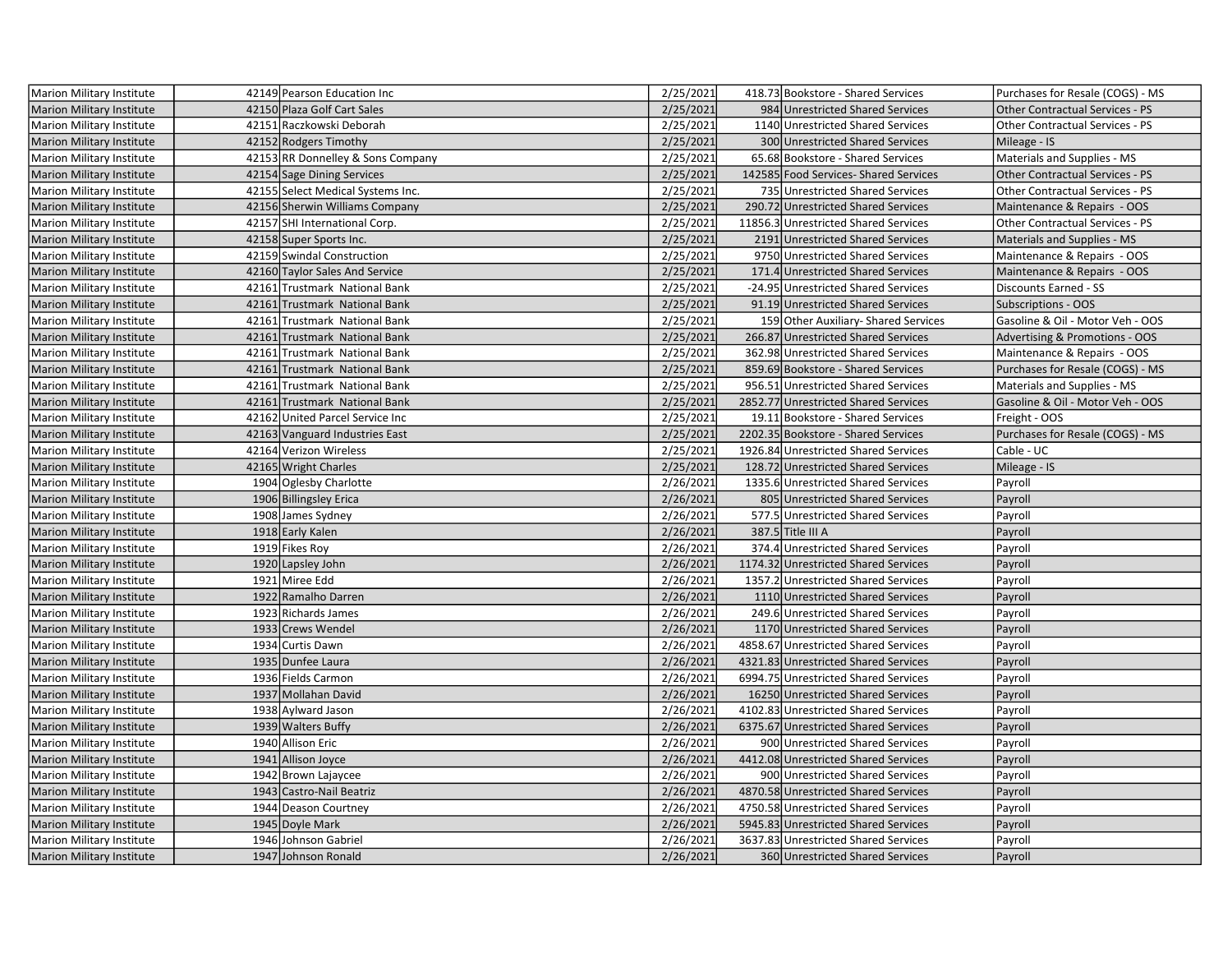| Marion Military Institute        | 42149 Pearson Education Inc       | 2/25/2021 | 418.73 Bookstore - Shared Services    | Purchases for Resale (COGS) - MS       |
|----------------------------------|-----------------------------------|-----------|---------------------------------------|----------------------------------------|
| <b>Marion Military Institute</b> | 42150 Plaza Golf Cart Sales       | 2/25/2021 | 984 Unrestricted Shared Services      | <b>Other Contractual Services - PS</b> |
| Marion Military Institute        | 42151 Raczkowski Deborah          | 2/25/2021 | 1140 Unrestricted Shared Services     | Other Contractual Services - PS        |
| <b>Marion Military Institute</b> | 42152 Rodgers Timothy             | 2/25/2021 | 300 Unrestricted Shared Services      | Mileage - IS                           |
| Marion Military Institute        | 42153 RR Donnelley & Sons Company | 2/25/2021 | 65.68 Bookstore - Shared Services     | Materials and Supplies - MS            |
| <b>Marion Military Institute</b> | 42154 Sage Dining Services        | 2/25/2021 | 142585 Food Services- Shared Services | Other Contractual Services - PS        |
| Marion Military Institute        | 42155 Select Medical Systems Inc. | 2/25/2021 | 735 Unrestricted Shared Services      | Other Contractual Services - PS        |
| <b>Marion Military Institute</b> | 42156 Sherwin Williams Company    | 2/25/2021 | 290.72 Unrestricted Shared Services   | Maintenance & Repairs - OOS            |
| Marion Military Institute        | 42157 SHI International Corp.     | 2/25/2021 | 11856.3 Unrestricted Shared Services  | Other Contractual Services - PS        |
| Marion Military Institute        | 42158 Super Sports Inc.           | 2/25/2021 | 2191 Unrestricted Shared Services     | Materials and Supplies - MS            |
| Marion Military Institute        | 42159 Swindal Construction        | 2/25/2021 | 9750 Unrestricted Shared Services     | Maintenance & Repairs - OOS            |
| <b>Marion Military Institute</b> | 42160 Taylor Sales And Service    | 2/25/2021 | 171.4 Unrestricted Shared Services    | Maintenance & Repairs - OOS            |
| Marion Military Institute        | 42161 Trustmark National Bank     | 2/25/2021 | -24.95 Unrestricted Shared Services   | Discounts Earned - SS                  |
| Marion Military Institute        | 42161 Trustmark National Bank     | 2/25/2021 | 91.19 Unrestricted Shared Services    | <b>Subscriptions - OOS</b>             |
| Marion Military Institute        | 42161 Trustmark National Bank     | 2/25/2021 | 159 Other Auxiliary- Shared Services  | Gasoline & Oil - Motor Veh - OOS       |
| Marion Military Institute        | 42161 Trustmark National Bank     | 2/25/2021 | 266.87 Unrestricted Shared Services   | Advertising & Promotions - OOS         |
| Marion Military Institute        | 42161 Trustmark National Bank     | 2/25/2021 | 362.98 Unrestricted Shared Services   | Maintenance & Repairs - OOS            |
| <b>Marion Military Institute</b> | 42161 Trustmark National Bank     | 2/25/2021 | 859.69 Bookstore - Shared Services    | Purchases for Resale (COGS) - MS       |
| Marion Military Institute        | 42161 Trustmark National Bank     | 2/25/2021 | 956.51 Unrestricted Shared Services   | Materials and Supplies - MS            |
| <b>Marion Military Institute</b> | 42161 Trustmark National Bank     | 2/25/2021 | 2852.77 Unrestricted Shared Services  | Gasoline & Oil - Motor Veh - OOS       |
| Marion Military Institute        | 42162 United Parcel Service Inc   | 2/25/2021 | 19.11 Bookstore - Shared Services     | Freight - OOS                          |
| <b>Marion Military Institute</b> | 42163 Vanguard Industries East    | 2/25/2021 | 2202.35 Bookstore - Shared Services   | Purchases for Resale (COGS) - MS       |
| Marion Military Institute        | 42164 Verizon Wireless            | 2/25/2021 | 1926.84 Unrestricted Shared Services  | Cable - UC                             |
| <b>Marion Military Institute</b> | 42165 Wright Charles              | 2/25/2021 | 128.72 Unrestricted Shared Services   | Mileage - IS                           |
| Marion Military Institute        | 1904 Oglesby Charlotte            | 2/26/2021 | 1335.6 Unrestricted Shared Services   | Payroll                                |
| <b>Marion Military Institute</b> | 1906 Billingsley Erica            | 2/26/2021 | 805 Unrestricted Shared Services      | Payroll                                |
| Marion Military Institute        | 1908 James Sydney                 | 2/26/2021 | 577.5 Unrestricted Shared Services    | Payroll                                |
| <b>Marion Military Institute</b> | 1918 Early Kalen                  | 2/26/2021 | 387.5 Title III A                     | Payroll                                |
| Marion Military Institute        | 1919 Fikes Roy                    | 2/26/2021 | 374.4 Unrestricted Shared Services    | Payroll                                |
| <b>Marion Military Institute</b> | 1920 Lapsley John                 | 2/26/2021 | 1174.32 Unrestricted Shared Services  | Payroll                                |
| Marion Military Institute        | 1921 Miree Edd                    | 2/26/2021 | 1357.2 Unrestricted Shared Services   | Payroll                                |
| <b>Marion Military Institute</b> | 1922 Ramalho Darren               | 2/26/2021 | 1110 Unrestricted Shared Services     | Payroll                                |
| Marion Military Institute        | 1923 Richards James               | 2/26/2021 | 249.6 Unrestricted Shared Services    | Payroll                                |
| <b>Marion Military Institute</b> | 1933 Crews Wendel                 | 2/26/2021 | 1170 Unrestricted Shared Services     | Payroll                                |
| Marion Military Institute        | 1934 Curtis Dawn                  | 2/26/2021 | 4858.67 Unrestricted Shared Services  | Payroll                                |
| <b>Marion Military Institute</b> | 1935 Dunfee Laura                 | 2/26/2021 | 4321.83 Unrestricted Shared Services  | Payroll                                |
| Marion Military Institute        | 1936 Fields Carmon                | 2/26/2021 | 6994.75 Unrestricted Shared Services  | Payroll                                |
| <b>Marion Military Institute</b> | 1937 Mollahan David               | 2/26/2021 | 16250 Unrestricted Shared Services    | Payroll                                |
| Marion Military Institute        | 1938 Aylward Jason                | 2/26/2021 | 4102.83 Unrestricted Shared Services  | Payroll                                |
| Marion Military Institute        | 1939 Walters Buffy                | 2/26/2021 | 6375.67 Unrestricted Shared Services  | Payroll                                |
| Marion Military Institute        | 1940 Allison Eric                 | 2/26/2021 | 900 Unrestricted Shared Services      | Payroll                                |
| <b>Marion Military Institute</b> | 1941 Allison Joyce                | 2/26/2021 | 4412.08 Unrestricted Shared Services  | Payroll                                |
| Marion Military Institute        | 1942 Brown Lajaycee               | 2/26/2021 | 900 Unrestricted Shared Services      | Payroll                                |
| <b>Marion Military Institute</b> | 1943 Castro-Nail Beatriz          | 2/26/2021 | 4870.58 Unrestricted Shared Services  | Payroll                                |
| Marion Military Institute        | 1944 Deason Courtney              | 2/26/2021 | 4750.58 Unrestricted Shared Services  | Payroll                                |
| Marion Military Institute        | 1945 Doyle Mark                   | 2/26/2021 | 5945.83 Unrestricted Shared Services  | Payroll                                |
| Marion Military Institute        | 1946 Johnson Gabriel              | 2/26/2021 | 3637.83 Unrestricted Shared Services  | Payroll                                |
| Marion Military Institute        | 1947 Johnson Ronald               | 2/26/2021 | 360 Unrestricted Shared Services      | Payroll                                |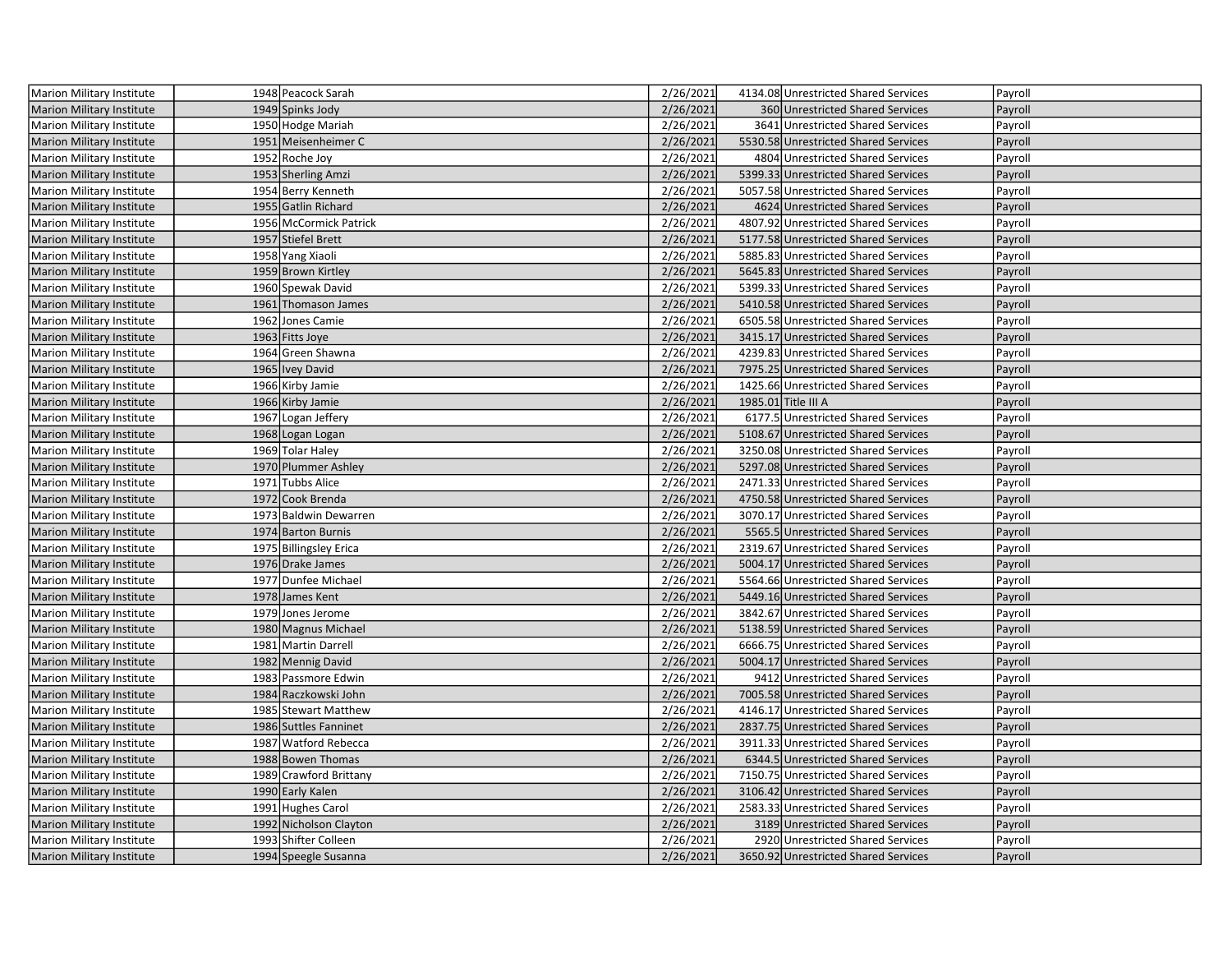| Marion Military Institute        | 1948 Peacock Sarah     | 2/26/2021 | 4134.08 Unrestricted Shared Services | Payroll |
|----------------------------------|------------------------|-----------|--------------------------------------|---------|
| <b>Marion Military Institute</b> | 1949 Spinks Jody       | 2/26/2021 | 360 Unrestricted Shared Services     | Payroll |
| Marion Military Institute        | 1950 Hodge Mariah      | 2/26/2021 | 3641 Unrestricted Shared Services    | Payroll |
| <b>Marion Military Institute</b> | 1951 Meisenheimer C    | 2/26/2021 | 5530.58 Unrestricted Shared Services | Payroll |
| <b>Marion Military Institute</b> | 1952 Roche Joy         | 2/26/2021 | 4804 Unrestricted Shared Services    | Payroll |
| <b>Marion Military Institute</b> | 1953 Sherling Amzi     | 2/26/2021 | 5399.33 Unrestricted Shared Services | Payroll |
| Marion Military Institute        | 1954 Berry Kenneth     | 2/26/2021 | 5057.58 Unrestricted Shared Services | Payroll |
| <b>Marion Military Institute</b> | 1955 Gatlin Richard    | 2/26/2021 | 4624 Unrestricted Shared Services    | Payroll |
| Marion Military Institute        | 1956 McCormick Patrick | 2/26/2021 | 4807.92 Unrestricted Shared Services | Payroll |
| <b>Marion Military Institute</b> | 1957 Stiefel Brett     | 2/26/2021 | 5177.58 Unrestricted Shared Services | Payroll |
| <b>Marion Military Institute</b> | 1958 Yang Xiaoli       | 2/26/2021 | 5885.83 Unrestricted Shared Services | Payroll |
| Marion Military Institute        | 1959 Brown Kirtley     | 2/26/2021 | 5645.83 Unrestricted Shared Services | Payroll |
| <b>Marion Military Institute</b> | 1960 Spewak David      | 2/26/2021 | 5399.33 Unrestricted Shared Services | Payroll |
| Marion Military Institute        | 1961 Thomason James    | 2/26/2021 | 5410.58 Unrestricted Shared Services | Payroll |
| <b>Marion Military Institute</b> | 1962 Jones Camie       | 2/26/2021 | 6505.58 Unrestricted Shared Services | Payroll |
| Marion Military Institute        | 1963 Fitts Joye        | 2/26/2021 | 3415.17 Unrestricted Shared Services | Payroll |
| <b>Marion Military Institute</b> | 1964 Green Shawna      | 2/26/2021 | 4239.83 Unrestricted Shared Services | Payroll |
| Marion Military Institute        | 1965 Ivey David        | 2/26/2021 | 7975.25 Unrestricted Shared Services | Payroll |
| <b>Marion Military Institute</b> | 1966 Kirby Jamie       | 2/26/2021 | 1425.66 Unrestricted Shared Services | Payroll |
| <b>Marion Military Institute</b> | 1966 Kirby Jamie       | 2/26/2021 | 1985.01 Title III A                  | Payroll |
| <b>Marion Military Institute</b> | 1967 Logan Jeffery     | 2/26/2021 | 6177.5 Unrestricted Shared Services  | Payroll |
| <b>Marion Military Institute</b> | 1968 Logan Logan       | 2/26/2021 | 5108.67 Unrestricted Shared Services | Payroll |
| Marion Military Institute        | 1969 Tolar Haley       | 2/26/2021 | 3250.08 Unrestricted Shared Services | Payroll |
| Marion Military Institute        | 1970 Plummer Ashley    | 2/26/2021 | 5297.08 Unrestricted Shared Services | Payroll |
| Marion Military Institute        | 1971 Tubbs Alice       | 2/26/2021 | 2471.33 Unrestricted Shared Services | Payroll |
| <b>Marion Military Institute</b> | 1972 Cook Brenda       | 2/26/2021 | 4750.58 Unrestricted Shared Services | Payroll |
| <b>Marion Military Institute</b> | 1973 Baldwin Dewarren  | 2/26/2021 | 3070.17 Unrestricted Shared Services | Payroll |
| <b>Marion Military Institute</b> | 1974 Barton Burnis     | 2/26/2021 | 5565.5 Unrestricted Shared Services  | Payroll |
| <b>Marion Military Institute</b> | 1975 Billingsley Erica | 2/26/2021 | 2319.67 Unrestricted Shared Services | Payroll |
| <b>Marion Military Institute</b> | 1976 Drake James       | 2/26/2021 | 5004.17 Unrestricted Shared Services | Payroll |
| <b>Marion Military Institute</b> | 1977 Dunfee Michael    | 2/26/2021 | 5564.66 Unrestricted Shared Services | Payroll |
| Marion Military Institute        | 1978 James Kent        | 2/26/2021 | 5449.16 Unrestricted Shared Services | Payroll |
| <b>Marion Military Institute</b> | 1979 Jones Jerome      | 2/26/2021 | 3842.67 Unrestricted Shared Services | Payroll |
| Marion Military Institute        | 1980 Magnus Michael    | 2/26/2021 | 5138.59 Unrestricted Shared Services | Payroll |
| <b>Marion Military Institute</b> | 1981 Martin Darrell    | 2/26/2021 | 6666.75 Unrestricted Shared Services | Payroll |
| <b>Marion Military Institute</b> | 1982 Mennig David      | 2/26/2021 | 5004.17 Unrestricted Shared Services | Payroll |
| <b>Marion Military Institute</b> | 1983 Passmore Edwin    | 2/26/2021 | 9412 Unrestricted Shared Services    | Payroll |
| <b>Marion Military Institute</b> | 1984 Raczkowski John   | 2/26/2021 | 7005.58 Unrestricted Shared Services | Payroll |
| Marion Military Institute        | 1985 Stewart Matthew   | 2/26/2021 | 4146.17 Unrestricted Shared Services | Payroll |
| <b>Marion Military Institute</b> | 1986 Suttles Fanninet  | 2/26/2021 | 2837.75 Unrestricted Shared Services | Payroll |
| Marion Military Institute        | 1987 Watford Rebecca   | 2/26/2021 | 3911.33 Unrestricted Shared Services | Payroll |
| <b>Marion Military Institute</b> | 1988 Bowen Thomas      | 2/26/2021 | 6344.5 Unrestricted Shared Services  | Payroll |
| <b>Marion Military Institute</b> | 1989 Crawford Brittany | 2/26/2021 | 7150.75 Unrestricted Shared Services | Payroll |
| <b>Marion Military Institute</b> | 1990 Early Kalen       | 2/26/2021 | 3106.42 Unrestricted Shared Services | Payroll |
| <b>Marion Military Institute</b> | 1991 Hughes Carol      | 2/26/2021 | 2583.33 Unrestricted Shared Services | Payroll |
| <b>Marion Military Institute</b> | 1992 Nicholson Clayton | 2/26/2021 | 3189 Unrestricted Shared Services    | Payroll |
| Marion Military Institute        | 1993 Shifter Colleen   | 2/26/2021 | 2920 Unrestricted Shared Services    | Payroll |
| <b>Marion Military Institute</b> | 1994 Speegle Susanna   | 2/26/2021 | 3650.92 Unrestricted Shared Services | Payroll |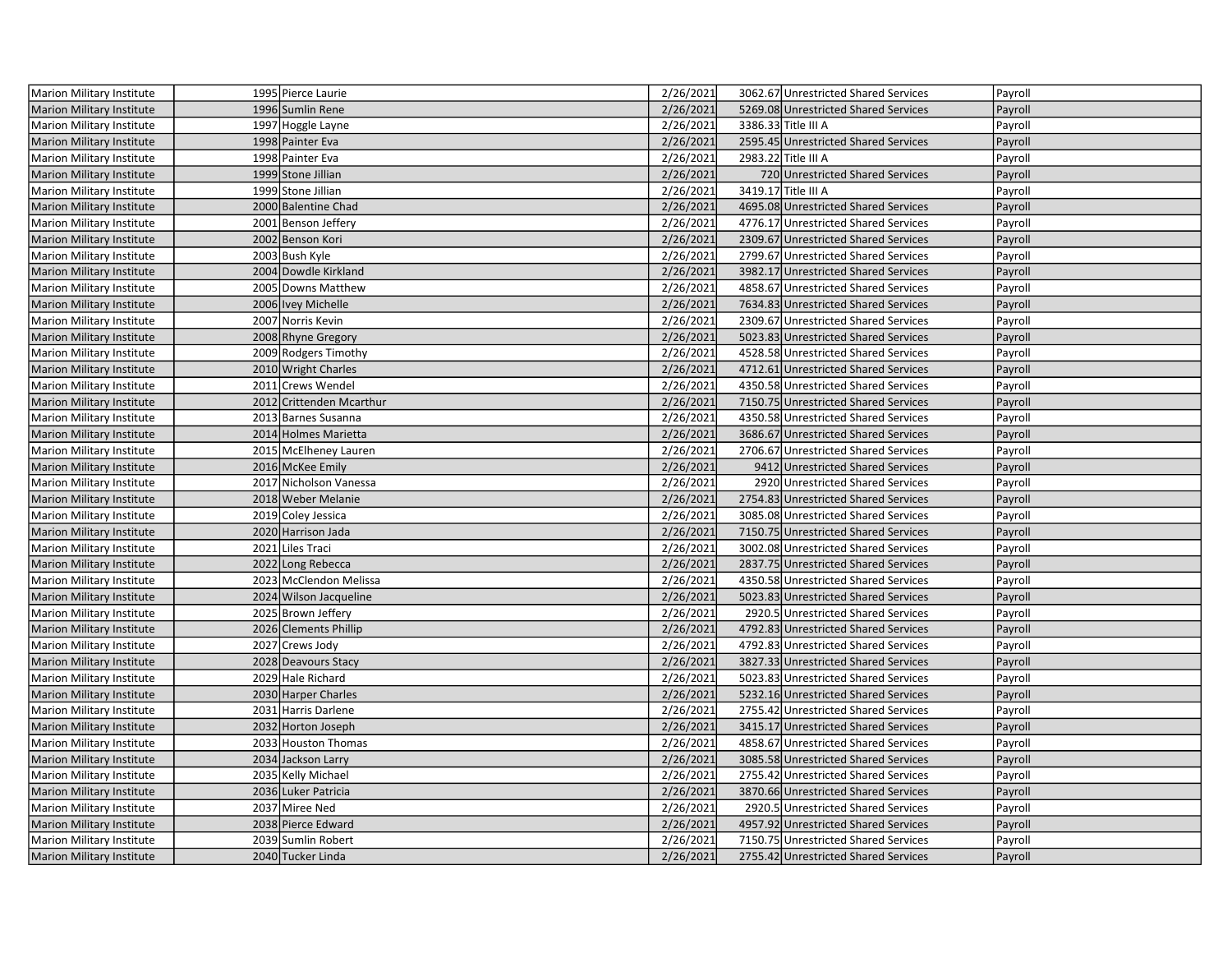| Marion Military Institute        | 1995 Pierce Laurie       | 2/26/2021 | 3062.67 Unrestricted Shared Services | Payroll |
|----------------------------------|--------------------------|-----------|--------------------------------------|---------|
| <b>Marion Military Institute</b> | 1996 Sumlin Rene         | 2/26/2021 | 5269.08 Unrestricted Shared Services | Payroll |
| Marion Military Institute        | 1997 Hoggle Layne        | 2/26/2021 | 3386.33 Title III A                  | Payroll |
| Marion Military Institute        | 1998 Painter Eva         | 2/26/2021 | 2595.45 Unrestricted Shared Services | Payroll |
| Marion Military Institute        | 1998 Painter Eva         | 2/26/2021 | 2983.22 Title III A                  | Payroll |
| <b>Marion Military Institute</b> | 1999 Stone Jillian       | 2/26/2021 | 720 Unrestricted Shared Services     | Payroll |
| Marion Military Institute        | 1999 Stone Jillian       | 2/26/2021 | 3419.17 Title III A                  | Payroll |
| <b>Marion Military Institute</b> | 2000 Balentine Chad      | 2/26/2021 | 4695.08 Unrestricted Shared Services | Payroll |
| Marion Military Institute        | 2001 Benson Jeffery      | 2/26/2021 | 4776.17 Unrestricted Shared Services | Payroll |
| <b>Marion Military Institute</b> | 2002 Benson Kori         | 2/26/2021 | 2309.67 Unrestricted Shared Services | Payroll |
| Marion Military Institute        | 2003 Bush Kyle           | 2/26/2021 | 2799.67 Unrestricted Shared Services | Payroll |
| <b>Marion Military Institute</b> | 2004 Dowdle Kirkland     | 2/26/2021 | 3982.17 Unrestricted Shared Services | Payroll |
| Marion Military Institute        | 2005 Downs Matthew       | 2/26/2021 | 4858.67 Unrestricted Shared Services | Payroll |
| <b>Marion Military Institute</b> | 2006 Ivey Michelle       | 2/26/2021 | 7634.83 Unrestricted Shared Services | Payroll |
| Marion Military Institute        | 2007 Norris Kevin        | 2/26/2021 | 2309.67 Unrestricted Shared Services | Payroll |
| <b>Marion Military Institute</b> | 2008 Rhyne Gregory       | 2/26/2021 | 5023.83 Unrestricted Shared Services | Payroll |
| Marion Military Institute        | 2009 Rodgers Timothy     | 2/26/2021 | 4528.58 Unrestricted Shared Services | Payroll |
| <b>Marion Military Institute</b> | 2010 Wright Charles      | 2/26/2021 | 4712.61 Unrestricted Shared Services | Payroll |
| <b>Marion Military Institute</b> | 2011 Crews Wendel        | 2/26/2021 | 4350.58 Unrestricted Shared Services | Payroll |
| <b>Marion Military Institute</b> | 2012 Crittenden Mcarthur | 2/26/2021 | 7150.75 Unrestricted Shared Services | Payroll |
| <b>Marion Military Institute</b> | 2013 Barnes Susanna      | 2/26/2021 | 4350.58 Unrestricted Shared Services | Payroll |
| <b>Marion Military Institute</b> | 2014 Holmes Marietta     | 2/26/2021 | 3686.67 Unrestricted Shared Services | Payroll |
| Marion Military Institute        | 2015 McElheney Lauren    | 2/26/2021 | 2706.67 Unrestricted Shared Services | Payroll |
| <b>Marion Military Institute</b> | 2016 McKee Emily         | 2/26/2021 | 9412 Unrestricted Shared Services    | Payroll |
| Marion Military Institute        | 2017 Nicholson Vanessa   | 2/26/2021 | 2920 Unrestricted Shared Services    | Payroll |
| <b>Marion Military Institute</b> | 2018 Weber Melanie       | 2/26/2021 | 2754.83 Unrestricted Shared Services | Payroll |
| <b>Marion Military Institute</b> | 2019 Coley Jessica       | 2/26/2021 | 3085.08 Unrestricted Shared Services | Payroll |
| <b>Marion Military Institute</b> | 2020 Harrison Jada       | 2/26/2021 | 7150.75 Unrestricted Shared Services | Payroll |
| Marion Military Institute        | 2021 Liles Traci         | 2/26/2021 | 3002.08 Unrestricted Shared Services | Payroll |
| <b>Marion Military Institute</b> | 2022 Long Rebecca        | 2/26/2021 | 2837.75 Unrestricted Shared Services | Payroll |
| Marion Military Institute        | 2023 McClendon Melissa   | 2/26/2021 | 4350.58 Unrestricted Shared Services | Payroll |
| <b>Marion Military Institute</b> | 2024 Wilson Jacqueline   | 2/26/2021 | 5023.83 Unrestricted Shared Services | Payroll |
| Marion Military Institute        | 2025 Brown Jeffery       | 2/26/2021 | 2920.5 Unrestricted Shared Services  | Payroll |
| <b>Marion Military Institute</b> | 2026 Clements Phillip    | 2/26/2021 | 4792.83 Unrestricted Shared Services | Payroll |
| Marion Military Institute        | 2027 Crews Jody          | 2/26/2021 | 4792.83 Unrestricted Shared Services | Payroll |
| <b>Marion Military Institute</b> | 2028 Deavours Stacy      | 2/26/2021 | 3827.33 Unrestricted Shared Services | Payroll |
| Marion Military Institute        | 2029 Hale Richard        | 2/26/2021 | 5023.83 Unrestricted Shared Services | Payroll |
| <b>Marion Military Institute</b> | 2030 Harper Charles      | 2/26/2021 | 5232.16 Unrestricted Shared Services | Payroll |
| Marion Military Institute        | 2031 Harris Darlene      | 2/26/2021 | 2755.42 Unrestricted Shared Services | Payroll |
| <b>Marion Military Institute</b> | 2032 Horton Joseph       | 2/26/2021 | 3415.17 Unrestricted Shared Services | Payroll |
| Marion Military Institute        | 2033 Houston Thomas      | 2/26/2021 | 4858.67 Unrestricted Shared Services | Payroll |
| <b>Marion Military Institute</b> | 2034 Jackson Larry       | 2/26/2021 | 3085.58 Unrestricted Shared Services | Payroll |
| Marion Military Institute        | 2035 Kelly Michael       | 2/26/2021 | 2755.42 Unrestricted Shared Services | Payroll |
| <b>Marion Military Institute</b> | 2036 Luker Patricia      | 2/26/2021 | 3870.66 Unrestricted Shared Services | Payroll |
| Marion Military Institute        | 2037 Miree Ned           | 2/26/2021 | 2920.5 Unrestricted Shared Services  | Payroll |
| <b>Marion Military Institute</b> | 2038 Pierce Edward       | 2/26/2021 | 4957.92 Unrestricted Shared Services | Payroll |
| Marion Military Institute        | 2039 Sumlin Robert       | 2/26/2021 | 7150.75 Unrestricted Shared Services | Payroll |
| Marion Military Institute        | 2040 Tucker Linda        | 2/26/2021 | 2755.42 Unrestricted Shared Services | Payroll |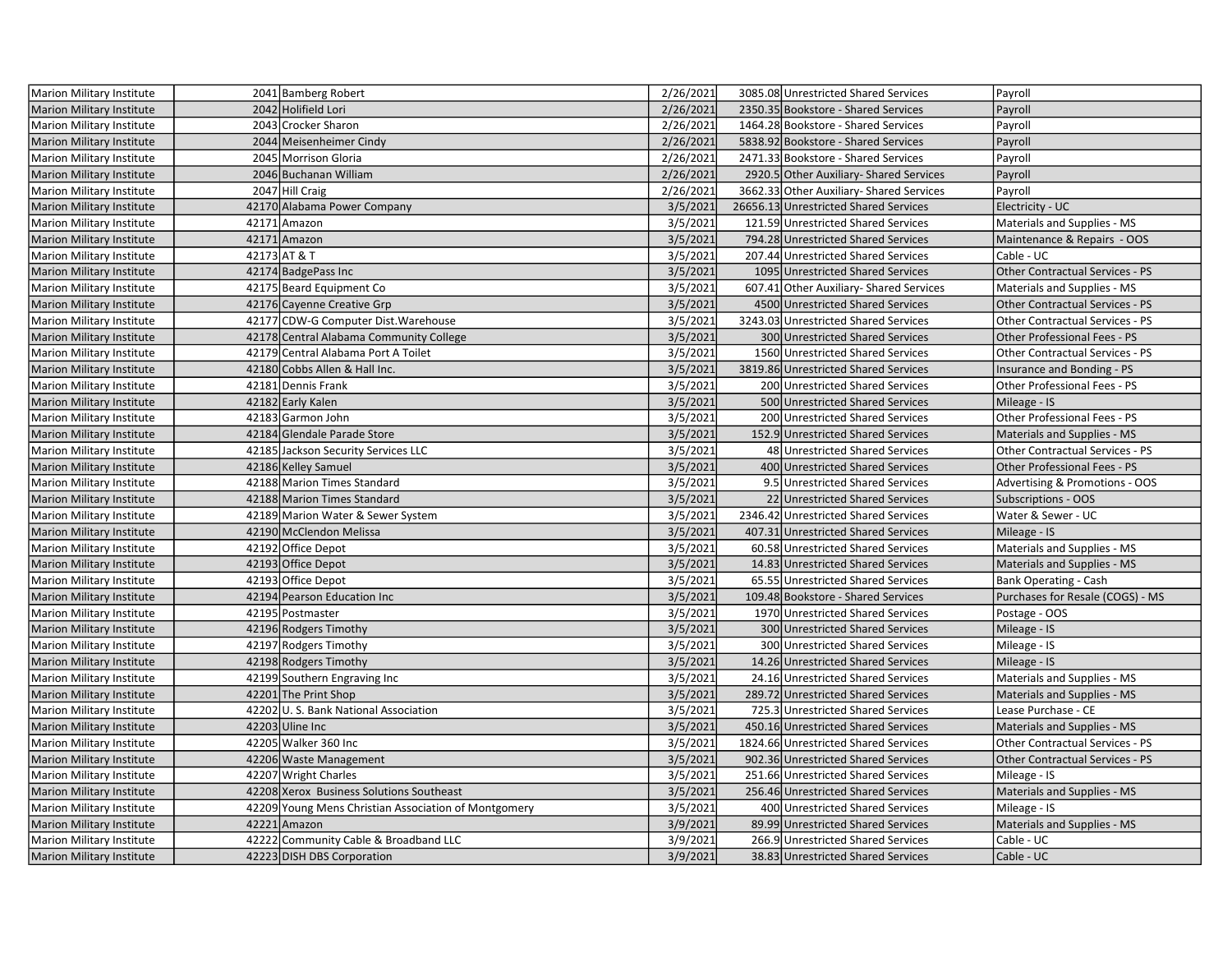| Marion Military Institute        | 2041 Bamberg Robert                                  | 2/26/2021 | 3085.08 Unrestricted Shared Services    | Payroll                                |
|----------------------------------|------------------------------------------------------|-----------|-----------------------------------------|----------------------------------------|
| Marion Military Institute        | 2042 Holifield Lori                                  | 2/26/2021 | 2350.35 Bookstore - Shared Services     | Payroll                                |
| Marion Military Institute        | 2043 Crocker Sharon                                  | 2/26/2021 | 1464.28 Bookstore - Shared Services     | Payroll                                |
| <b>Marion Military Institute</b> | 2044 Meisenheimer Cindy                              | 2/26/2021 | 5838.92 Bookstore - Shared Services     | Payroll                                |
| <b>Marion Military Institute</b> | 2045 Morrison Gloria                                 | 2/26/2021 | 2471.33 Bookstore - Shared Services     | Payroll                                |
| Marion Military Institute        | 2046 Buchanan William                                | 2/26/2021 | 2920.5 Other Auxiliary- Shared Services | Payroll                                |
| <b>Marion Military Institute</b> | 2047 Hill Craig                                      | 2/26/2021 | 3662.33 Other Auxiliary-Shared Services | Payroll                                |
| <b>Marion Military Institute</b> | 42170 Alabama Power Company                          | 3/5/2021  | 26656.13 Unrestricted Shared Services   | Electricity - UC                       |
| <b>Marion Military Institute</b> | 42171 Amazon                                         | 3/5/2021  | 121.59 Unrestricted Shared Services     | Materials and Supplies - MS            |
| Marion Military Institute        | 42171 Amazon                                         | 3/5/2021  | 794.28 Unrestricted Shared Services     | Maintenance & Repairs - OOS            |
| <b>Marion Military Institute</b> | 42173 AT & T                                         | 3/5/2021  | 207.44 Unrestricted Shared Services     | Cable - UC                             |
| <b>Marion Military Institute</b> | 42174 BadgePass Inc                                  | 3/5/2021  | 1095 Unrestricted Shared Services       | Other Contractual Services - PS        |
| Marion Military Institute        | 42175 Beard Equipment Co                             | 3/5/2021  | 607.41 Other Auxiliary- Shared Services | Materials and Supplies - MS            |
| Marion Military Institute        | 42176 Cayenne Creative Grp                           | 3/5/2021  | 4500 Unrestricted Shared Services       | Other Contractual Services - PS        |
| Marion Military Institute        | 42177 CDW-G Computer Dist. Warehouse                 | 3/5/2021  | 3243.03 Unrestricted Shared Services    | Other Contractual Services - PS        |
| <b>Marion Military Institute</b> | 42178 Central Alabama Community College              | 3/5/2021  | 300 Unrestricted Shared Services        | Other Professional Fees - PS           |
| <b>Marion Military Institute</b> | 42179 Central Alabama Port A Toilet                  | 3/5/2021  | 1560 Unrestricted Shared Services       | Other Contractual Services - PS        |
| <b>Marion Military Institute</b> | 42180 Cobbs Allen & Hall Inc.                        | 3/5/2021  | 3819.86 Unrestricted Shared Services    | Insurance and Bonding - PS             |
| Marion Military Institute        | 42181 Dennis Frank                                   | 3/5/2021  | 200 Unrestricted Shared Services        | Other Professional Fees - PS           |
| <b>Marion Military Institute</b> | 42182 Early Kalen                                    | 3/5/2021  | 500 Unrestricted Shared Services        | Mileage - IS                           |
| Marion Military Institute        | 42183 Garmon John                                    | 3/5/2021  | 200 Unrestricted Shared Services        | Other Professional Fees - PS           |
| <b>Marion Military Institute</b> | 42184 Glendale Parade Store                          | 3/5/2021  | 152.9 Unrestricted Shared Services      | Materials and Supplies - MS            |
| Marion Military Institute        | 42185 Jackson Security Services LLC                  | 3/5/2021  | 48 Unrestricted Shared Services         | Other Contractual Services - PS        |
| <b>Marion Military Institute</b> | 42186 Kelley Samuel                                  | 3/5/2021  | 400 Unrestricted Shared Services        | Other Professional Fees - PS           |
| <b>Marion Military Institute</b> | 42188 Marion Times Standard                          | 3/5/2021  | 9.5 Unrestricted Shared Services        | Advertising & Promotions - OOS         |
| <b>Marion Military Institute</b> | 42188 Marion Times Standard                          | 3/5/2021  | 22 Unrestricted Shared Services         | Subscriptions - OOS                    |
| Marion Military Institute        | 42189 Marion Water & Sewer System                    | 3/5/2021  | 2346.42 Unrestricted Shared Services    | Water & Sewer - UC                     |
| <b>Marion Military Institute</b> | 42190 McClendon Melissa                              | 3/5/2021  | 407.31 Unrestricted Shared Services     | Mileage - IS                           |
| <b>Marion Military Institute</b> | 42192 Office Depot                                   | 3/5/2021  | 60.58 Unrestricted Shared Services      | Materials and Supplies - MS            |
| <b>Marion Military Institute</b> | 42193 Office Depot                                   | 3/5/2021  | 14.83 Unrestricted Shared Services      | Materials and Supplies - MS            |
| Marion Military Institute        | 42193 Office Depot                                   | 3/5/2021  | 65.55 Unrestricted Shared Services      | Bank Operating - Cash                  |
| <b>Marion Military Institute</b> | 42194 Pearson Education Inc                          | 3/5/2021  | 109.48 Bookstore - Shared Services      | Purchases for Resale (COGS) - MS       |
| <b>Marion Military Institute</b> | 42195 Postmaster                                     | 3/5/2021  | 1970 Unrestricted Shared Services       | Postage - OOS                          |
| Marion Military Institute        | 42196 Rodgers Timothy                                | 3/5/2021  | 300 Unrestricted Shared Services        | Mileage - IS                           |
| Marion Military Institute        | 42197 Rodgers Timothy                                | 3/5/2021  | 300 Unrestricted Shared Services        | Mileage - IS                           |
| <b>Marion Military Institute</b> | 42198 Rodgers Timothy                                | 3/5/2021  | 14.26 Unrestricted Shared Services      | Mileage - IS                           |
| <b>Marion Military Institute</b> | 42199 Southern Engraving Inc                         | 3/5/2021  | 24.16 Unrestricted Shared Services      | Materials and Supplies - MS            |
| <b>Marion Military Institute</b> | 42201 The Print Shop                                 | 3/5/2021  | 289.72 Unrestricted Shared Services     | Materials and Supplies - MS            |
| Marion Military Institute        | 42202 U.S. Bank National Association                 | 3/5/2021  | 725.3 Unrestricted Shared Services      | Lease Purchase - CE                    |
| Marion Military Institute        | 42203 Uline Inc                                      | 3/5/2021  | 450.16 Unrestricted Shared Services     | Materials and Supplies - MS            |
| Marion Military Institute        | 42205 Walker 360 Inc                                 | 3/5/2021  | 1824.66 Unrestricted Shared Services    | Other Contractual Services - PS        |
| <b>Marion Military Institute</b> | 42206 Waste Management                               | 3/5/2021  | 902.36 Unrestricted Shared Services     | <b>Other Contractual Services - PS</b> |
| Marion Military Institute        | 42207 Wright Charles                                 | 3/5/2021  | 251.66 Unrestricted Shared Services     | Mileage - IS                           |
| <b>Marion Military Institute</b> | 42208 Xerox Business Solutions Southeast             | 3/5/2021  | 256.46 Unrestricted Shared Services     | Materials and Supplies - MS            |
| <b>Marion Military Institute</b> | 42209 Young Mens Christian Association of Montgomery | 3/5/2021  | 400 Unrestricted Shared Services        | Mileage - IS                           |
| Marion Military Institute        | 42221 Amazon                                         | 3/9/2021  | 89.99 Unrestricted Shared Services      | Materials and Supplies - MS            |
| Marion Military Institute        | 42222 Community Cable & Broadband LLC                | 3/9/2021  | 266.9 Unrestricted Shared Services      | Cable - UC                             |
| <b>Marion Military Institute</b> | 42223 DISH DBS Corporation                           | 3/9/2021  | 38.83 Unrestricted Shared Services      | Cable - UC                             |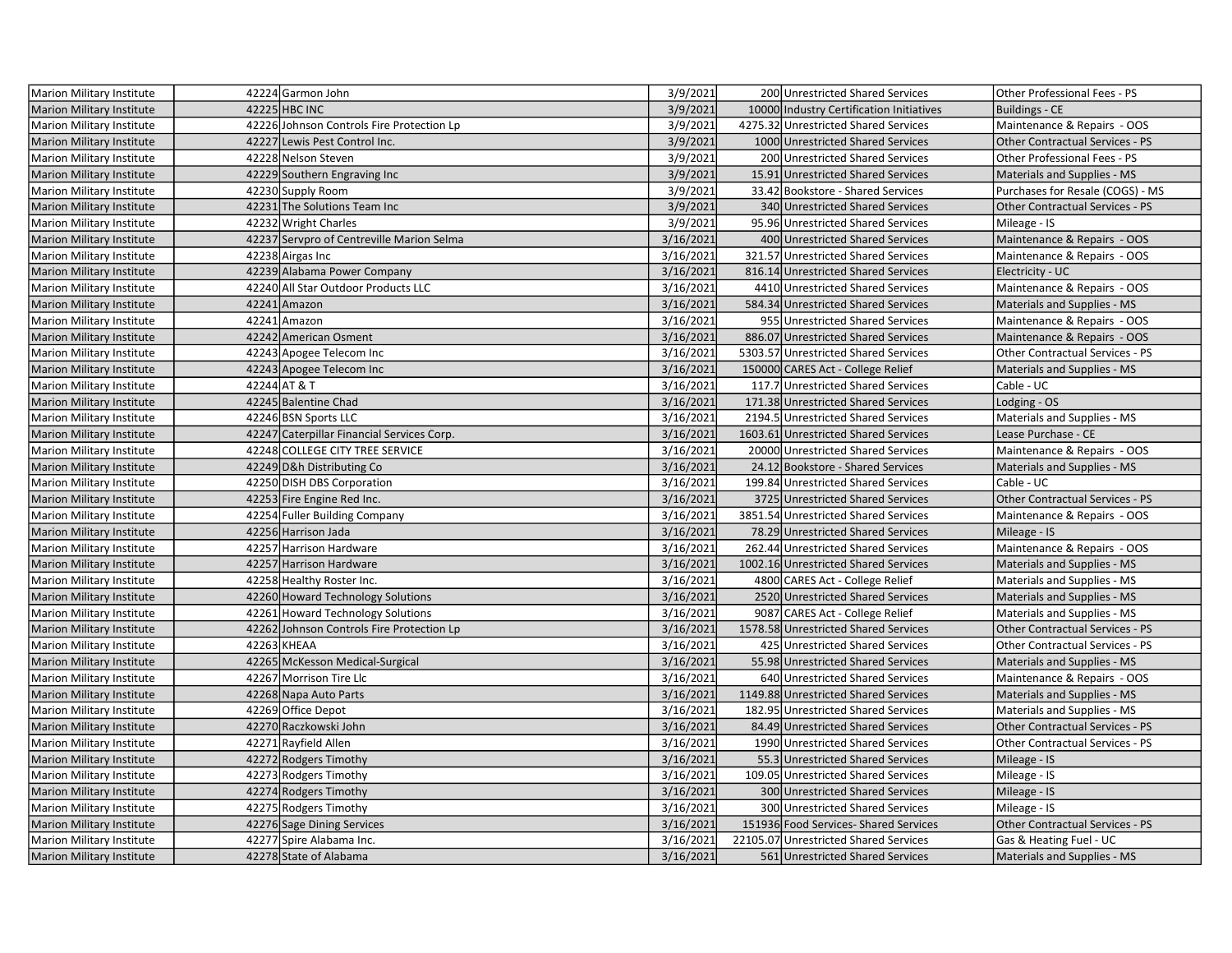| <b>Marion Military Institute</b> | 42224 Garmon John                          | 3/9/2021  | 200 Unrestricted Shared Services         | Other Professional Fees - PS           |
|----------------------------------|--------------------------------------------|-----------|------------------------------------------|----------------------------------------|
| <b>Marion Military Institute</b> | 42225 HBC INC                              | 3/9/2021  | 10000 Industry Certification Initiatives | <b>Buildings - CE</b>                  |
| Marion Military Institute        | 42226 Johnson Controls Fire Protection Lp  | 3/9/2021  | 4275.32 Unrestricted Shared Services     | Maintenance & Repairs - OOS            |
| Marion Military Institute        | 42227 Lewis Pest Control Inc.              | 3/9/2021  | 1000 Unrestricted Shared Services        | Other Contractual Services - PS        |
| Marion Military Institute        | 42228 Nelson Steven                        | 3/9/2021  | 200 Unrestricted Shared Services         | Other Professional Fees - PS           |
| <b>Marion Military Institute</b> | 42229 Southern Engraving Inc               | 3/9/2021  | 15.91 Unrestricted Shared Services       | Materials and Supplies - MS            |
| Marion Military Institute        | 42230 Supply Room                          | 3/9/2021  | 33.42 Bookstore - Shared Services        | Purchases for Resale (COGS) - MS       |
| <b>Marion Military Institute</b> | 42231 The Solutions Team Inc               | 3/9/2021  | 340 Unrestricted Shared Services         | <b>Other Contractual Services - PS</b> |
| <b>Marion Military Institute</b> | 42232 Wright Charles                       | 3/9/2021  | 95.96 Unrestricted Shared Services       | Mileage - IS                           |
| <b>Marion Military Institute</b> | 42237 Servpro of Centreville Marion Selma  | 3/16/2021 | 400 Unrestricted Shared Services         | Maintenance & Repairs - OOS            |
| Marion Military Institute        | 42238 Airgas Inc                           | 3/16/2021 | 321.57 Unrestricted Shared Services      | Maintenance & Repairs - OOS            |
| Marion Military Institute        | 42239 Alabama Power Company                | 3/16/2021 | 816.14 Unrestricted Shared Services      | Electricity - UC                       |
| Marion Military Institute        | 42240 All Star Outdoor Products LLC        | 3/16/2021 | 4410 Unrestricted Shared Services        | Maintenance & Repairs - OOS            |
| <b>Marion Military Institute</b> | 42241 Amazon                               | 3/16/2021 | 584.34 Unrestricted Shared Services      | Materials and Supplies - MS            |
| Marion Military Institute        | 42241 Amazon                               | 3/16/2021 | 955 Unrestricted Shared Services         | Maintenance & Repairs - OOS            |
| <b>Marion Military Institute</b> | 42242 American Osment                      | 3/16/2021 | 886.07 Unrestricted Shared Services      | Maintenance & Repairs - OOS            |
| <b>Marion Military Institute</b> | 42243 Apogee Telecom Inc                   | 3/16/2021 | 5303.57 Unrestricted Shared Services     | <b>Other Contractual Services - PS</b> |
| <b>Marion Military Institute</b> | 42243 Apogee Telecom Inc                   | 3/16/2021 | 150000 CARES Act - College Relief        | Materials and Supplies - MS            |
| <b>Marion Military Institute</b> | 42244 AT & T                               | 3/16/2021 | 117.7 Unrestricted Shared Services       | Cable - UC                             |
| <b>Marion Military Institute</b> | 42245 Balentine Chad                       | 3/16/2021 | 171.38 Unrestricted Shared Services      | Lodging - OS                           |
| Marion Military Institute        | 42246 BSN Sports LLC                       | 3/16/2021 | 2194.5 Unrestricted Shared Services      | Materials and Supplies - MS            |
| <b>Marion Military Institute</b> | 42247 Caterpillar Financial Services Corp. | 3/16/2021 | 1603.61 Unrestricted Shared Services     | Lease Purchase - CE                    |
| <b>Marion Military Institute</b> | 42248 COLLEGE CITY TREE SERVICE            | 3/16/2021 | 20000 Unrestricted Shared Services       | Maintenance & Repairs - OOS            |
| <b>Marion Military Institute</b> | 42249 D&h Distributing Co                  | 3/16/2021 | 24.12 Bookstore - Shared Services        | Materials and Supplies - MS            |
| Marion Military Institute        | 42250 DISH DBS Corporation                 | 3/16/2021 | 199.84 Unrestricted Shared Services      | Cable - UC                             |
| <b>Marion Military Institute</b> | 42253 Fire Engine Red Inc.                 | 3/16/2021 | 3725 Unrestricted Shared Services        | <b>Other Contractual Services - PS</b> |
| <b>Marion Military Institute</b> | 42254 Fuller Building Company              | 3/16/2021 | 3851.54 Unrestricted Shared Services     | Maintenance & Repairs - OOS            |
| <b>Marion Military Institute</b> | 42256 Harrison Jada                        | 3/16/2021 | 78.29 Unrestricted Shared Services       | Mileage - IS                           |
| Marion Military Institute        | 42257 Harrison Hardware                    | 3/16/2021 | 262.44 Unrestricted Shared Services      | Maintenance & Repairs - OOS            |
| Marion Military Institute        | 42257 Harrison Hardware                    | 3/16/2021 | 1002.16 Unrestricted Shared Services     | Materials and Supplies - MS            |
| Marion Military Institute        | 42258 Healthy Roster Inc.                  | 3/16/2021 | 4800 CARES Act - College Relief          | Materials and Supplies - MS            |
| <b>Marion Military Institute</b> | 42260 Howard Technology Solutions          | 3/16/2021 | 2520 Unrestricted Shared Services        | Materials and Supplies - MS            |
| Marion Military Institute        | 42261 Howard Technology Solutions          | 3/16/2021 | 9087 CARES Act - College Relief          | Materials and Supplies - MS            |
| <b>Marion Military Institute</b> | 42262 Johnson Controls Fire Protection Lp  | 3/16/2021 | 1578.58 Unrestricted Shared Services     | <b>Other Contractual Services - PS</b> |
| Marion Military Institute        | 42263 KHEAA                                | 3/16/2021 | 425 Unrestricted Shared Services         | <b>Other Contractual Services - PS</b> |
| <b>Marion Military Institute</b> | 42265 McKesson Medical-Surgical            | 3/16/2021 | 55.98 Unrestricted Shared Services       | Materials and Supplies - MS            |
| Marion Military Institute        | 42267 Morrison Tire Llc                    | 3/16/2021 | 640 Unrestricted Shared Services         | Maintenance & Repairs - OOS            |
| <b>Marion Military Institute</b> | 42268 Napa Auto Parts                      | 3/16/2021 | 1149.88 Unrestricted Shared Services     | Materials and Supplies - MS            |
| Marion Military Institute        | 42269 Office Depot                         | 3/16/2021 | 182.95 Unrestricted Shared Services      | Materials and Supplies - MS            |
| <b>Marion Military Institute</b> | 42270 Raczkowski John                      | 3/16/2021 | 84.49 Unrestricted Shared Services       | <b>Other Contractual Services - PS</b> |
| Marion Military Institute        | 42271 Rayfield Allen                       | 3/16/2021 | 1990 Unrestricted Shared Services        | Other Contractual Services - PS        |
| <b>Marion Military Institute</b> | 42272 Rodgers Timothy                      | 3/16/2021 | 55.3 Unrestricted Shared Services        | Mileage - IS                           |
| Marion Military Institute        | 42273 Rodgers Timothy                      | 3/16/2021 | 109.05 Unrestricted Shared Services      | Mileage - IS                           |
| <b>Marion Military Institute</b> | 42274 Rodgers Timothy                      | 3/16/2021 | 300 Unrestricted Shared Services         | Mileage - IS                           |
| Marion Military Institute        | 42275 Rodgers Timothy                      | 3/16/2021 | 300 Unrestricted Shared Services         | Mileage - IS                           |
| <b>Marion Military Institute</b> | 42276 Sage Dining Services                 | 3/16/2021 | 151936 Food Services-Shared Services     | <b>Other Contractual Services - PS</b> |
| Marion Military Institute        | 42277 Spire Alabama Inc.                   | 3/16/2021 | 22105.07 Unrestricted Shared Services    | Gas & Heating Fuel - UC                |
| <b>Marion Military Institute</b> | 42278 State of Alabama                     | 3/16/2021 | 561 Unrestricted Shared Services         | Materials and Supplies - MS            |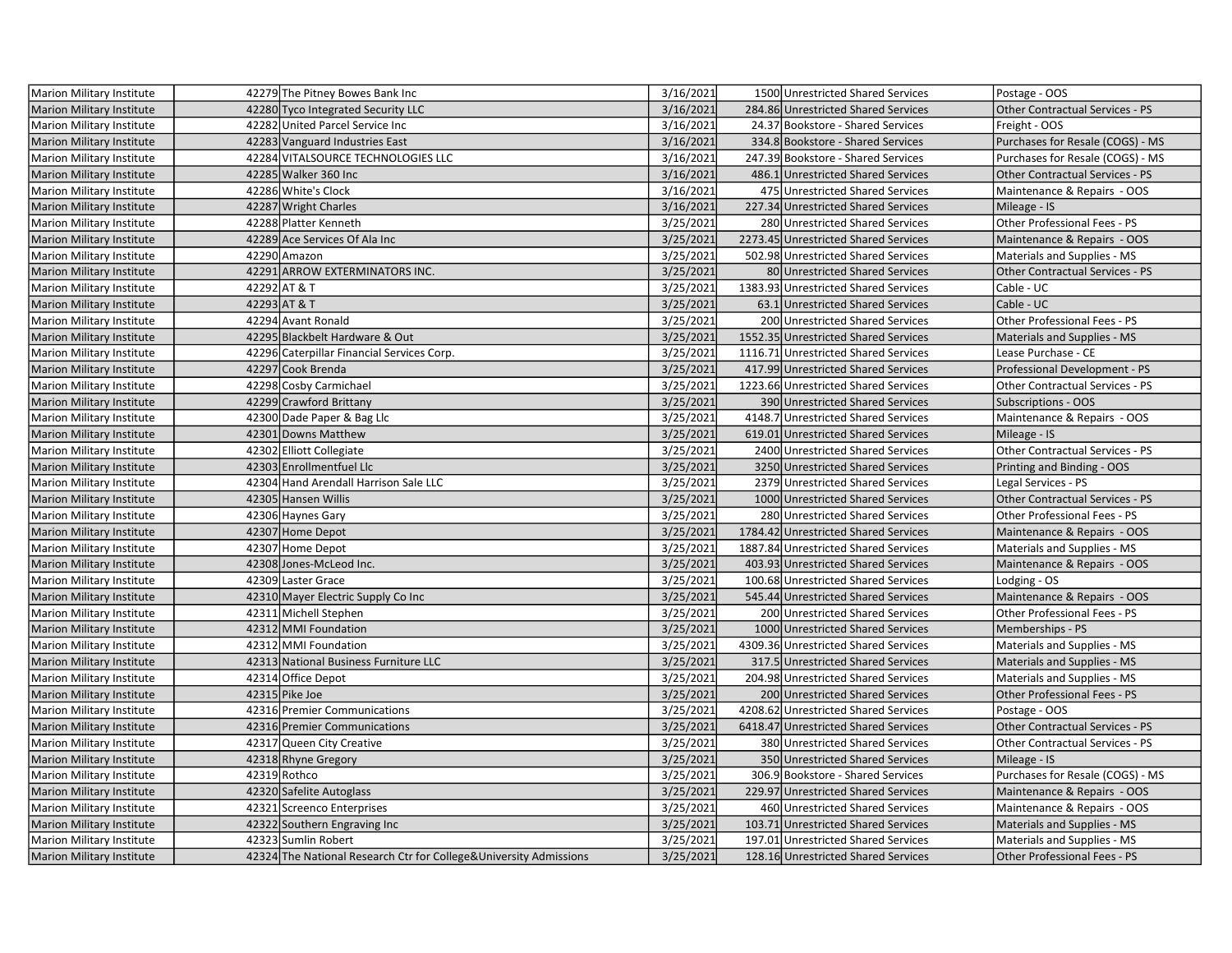| Marion Military Institute        | 42279 The Pitney Bowes Bank Inc                                    | 3/16/2021 | 1500 Unrestricted Shared Services    | Postage - OOS                          |
|----------------------------------|--------------------------------------------------------------------|-----------|--------------------------------------|----------------------------------------|
| Marion Military Institute        | 42280 Tyco Integrated Security LLC                                 | 3/16/2021 | 284.86 Unrestricted Shared Services  | Other Contractual Services - PS        |
| Marion Military Institute        | 42282 United Parcel Service Inc                                    | 3/16/2021 | 24.37 Bookstore - Shared Services    | Freight - OOS                          |
| <b>Marion Military Institute</b> | 42283 Vanguard Industries East                                     | 3/16/2021 | 334.8 Bookstore - Shared Services    | Purchases for Resale (COGS) - MS       |
| Marion Military Institute        | 42284 VITALSOURCE TECHNOLOGIES LLC                                 | 3/16/2021 | 247.39 Bookstore - Shared Services   | Purchases for Resale (COGS) - MS       |
| <b>Marion Military Institute</b> | 42285 Walker 360 Inc                                               | 3/16/2021 | 486.1 Unrestricted Shared Services   | <b>Other Contractual Services - PS</b> |
| Marion Military Institute        | 42286 White's Clock                                                | 3/16/2021 | 475 Unrestricted Shared Services     | Maintenance & Repairs - OOS            |
| <b>Marion Military Institute</b> | 42287 Wright Charles                                               | 3/16/2021 | 227.34 Unrestricted Shared Services  | Mileage - IS                           |
| Marion Military Institute        | 42288 Platter Kenneth                                              | 3/25/2021 | 280 Unrestricted Shared Services     | Other Professional Fees - PS           |
| <b>Marion Military Institute</b> | 42289 Ace Services Of Ala Inc                                      | 3/25/2021 | 2273.45 Unrestricted Shared Services | Maintenance & Repairs - OOS            |
| <b>Marion Military Institute</b> | 42290 Amazon                                                       | 3/25/2021 | 502.98 Unrestricted Shared Services  | Materials and Supplies - MS            |
| <b>Marion Military Institute</b> | 42291 ARROW EXTERMINATORS INC.                                     | 3/25/2021 | 80 Unrestricted Shared Services      | Other Contractual Services - PS        |
| Marion Military Institute        | 42292 AT & T                                                       | 3/25/2021 | 1383.93 Unrestricted Shared Services | Cable - UC                             |
| <b>Marion Military Institute</b> | 42293 AT & T                                                       | 3/25/2021 | 63.1 Unrestricted Shared Services    | Cable - UC                             |
| Marion Military Institute        | 42294 Avant Ronald                                                 | 3/25/2021 | 200 Unrestricted Shared Services     | Other Professional Fees - PS           |
| <b>Marion Military Institute</b> | 42295 Blackbelt Hardware & Out                                     | 3/25/2021 | 1552.35 Unrestricted Shared Services | Materials and Supplies - MS            |
| Marion Military Institute        | 42296 Caterpillar Financial Services Corp.                         | 3/25/2021 | 1116.71 Unrestricted Shared Services | Lease Purchase - CE                    |
| <b>Marion Military Institute</b> | 42297 Cook Brenda                                                  | 3/25/2021 | 417.99 Unrestricted Shared Services  | Professional Development - PS          |
| Marion Military Institute        | 42298 Cosby Carmichael                                             | 3/25/2021 | 1223.66 Unrestricted Shared Services | Other Contractual Services - PS        |
| <b>Marion Military Institute</b> | 42299 Crawford Brittany                                            | 3/25/2021 | 390 Unrestricted Shared Services     | <b>Subscriptions - OOS</b>             |
| Marion Military Institute        | 42300 Dade Paper & Bag Llc                                         | 3/25/2021 | 4148.7 Unrestricted Shared Services  | Maintenance & Repairs - OOS            |
| <b>Marion Military Institute</b> | 42301 Downs Matthew                                                | 3/25/2021 | 619.01 Unrestricted Shared Services  | Mileage - IS                           |
| Marion Military Institute        | 42302 Elliott Collegiate                                           | 3/25/2021 | 2400 Unrestricted Shared Services    | Other Contractual Services - PS        |
| Marion Military Institute        | 42303 Enrollmentfuel Llc                                           | 3/25/2021 | 3250 Unrestricted Shared Services    | Printing and Binding - OOS             |
| <b>Marion Military Institute</b> | 42304 Hand Arendall Harrison Sale LLC                              | 3/25/2021 | 2379 Unrestricted Shared Services    | Legal Services - PS                    |
| <b>Marion Military Institute</b> | 42305 Hansen Willis                                                | 3/25/2021 | 1000 Unrestricted Shared Services    | Other Contractual Services - PS        |
| <b>Marion Military Institute</b> | 42306 Haynes Gary                                                  | 3/25/2021 | 280 Unrestricted Shared Services     | Other Professional Fees - PS           |
| <b>Marion Military Institute</b> | 42307 Home Depot                                                   | 3/25/2021 | 1784.42 Unrestricted Shared Services | Maintenance & Repairs - OOS            |
| <b>Marion Military Institute</b> | 42307 Home Depot                                                   | 3/25/2021 | 1887.84 Unrestricted Shared Services | Materials and Supplies - MS            |
| Marion Military Institute        | 42308 Jones-McLeod Inc.                                            | 3/25/2021 | 403.93 Unrestricted Shared Services  | Maintenance & Repairs - OOS            |
| <b>Marion Military Institute</b> | 42309 Laster Grace                                                 | 3/25/2021 | 100.68 Unrestricted Shared Services  | Lodging - OS                           |
| Marion Military Institute        | 42310 Mayer Electric Supply Co Inc                                 | 3/25/2021 | 545.44 Unrestricted Shared Services  | Maintenance & Repairs - OOS            |
| Marion Military Institute        | 42311 Michell Stephen                                              | 3/25/2021 | 200 Unrestricted Shared Services     | Other Professional Fees - PS           |
| <b>Marion Military Institute</b> | 42312 MMI Foundation                                               | 3/25/2021 | 1000 Unrestricted Shared Services    | Memberships - PS                       |
| <b>Marion Military Institute</b> | 42312 MMI Foundation                                               | 3/25/2021 | 4309.36 Unrestricted Shared Services | Materials and Supplies - MS            |
| <b>Marion Military Institute</b> | 42313 National Business Furniture LLC                              | 3/25/2021 | 317.5 Unrestricted Shared Services   | Materials and Supplies - MS            |
| <b>Marion Military Institute</b> | 42314 Office Depot                                                 | 3/25/2021 | 204.98 Unrestricted Shared Services  | Materials and Supplies - MS            |
| <b>Marion Military Institute</b> | 42315 Pike Joe                                                     | 3/25/2021 | 200 Unrestricted Shared Services     | Other Professional Fees - PS           |
| Marion Military Institute        | 42316 Premier Communications                                       | 3/25/2021 | 4208.62 Unrestricted Shared Services | Postage - OOS                          |
| Marion Military Institute        | 42316 Premier Communications                                       | 3/25/2021 | 6418.47 Unrestricted Shared Services | Other Contractual Services - PS        |
| <b>Marion Military Institute</b> | 42317 Queen City Creative                                          | 3/25/2021 | 380 Unrestricted Shared Services     | Other Contractual Services - PS        |
| <b>Marion Military Institute</b> | 42318 Rhyne Gregory                                                | 3/25/2021 | 350 Unrestricted Shared Services     | Mileage - IS                           |
| <b>Marion Military Institute</b> | 42319 Rothco                                                       | 3/25/2021 | 306.9 Bookstore - Shared Services    | Purchases for Resale (COGS) - MS       |
| <b>Marion Military Institute</b> | 42320 Safelite Autoglass                                           | 3/25/2021 | 229.97 Unrestricted Shared Services  | Maintenance & Repairs - OOS            |
| Marion Military Institute        | 42321 Screenco Enterprises                                         | 3/25/2021 | 460 Unrestricted Shared Services     | Maintenance & Repairs - OOS            |
| Marion Military Institute        | 42322 Southern Engraving Inc                                       | 3/25/2021 | 103.71 Unrestricted Shared Services  | Materials and Supplies - MS            |
| Marion Military Institute        | 42323 Sumlin Robert                                                | 3/25/2021 | 197.01 Unrestricted Shared Services  | Materials and Supplies - MS            |
| <b>Marion Military Institute</b> | 42324 The National Research Ctr for College& University Admissions | 3/25/2021 | 128.16 Unrestricted Shared Services  | Other Professional Fees - PS           |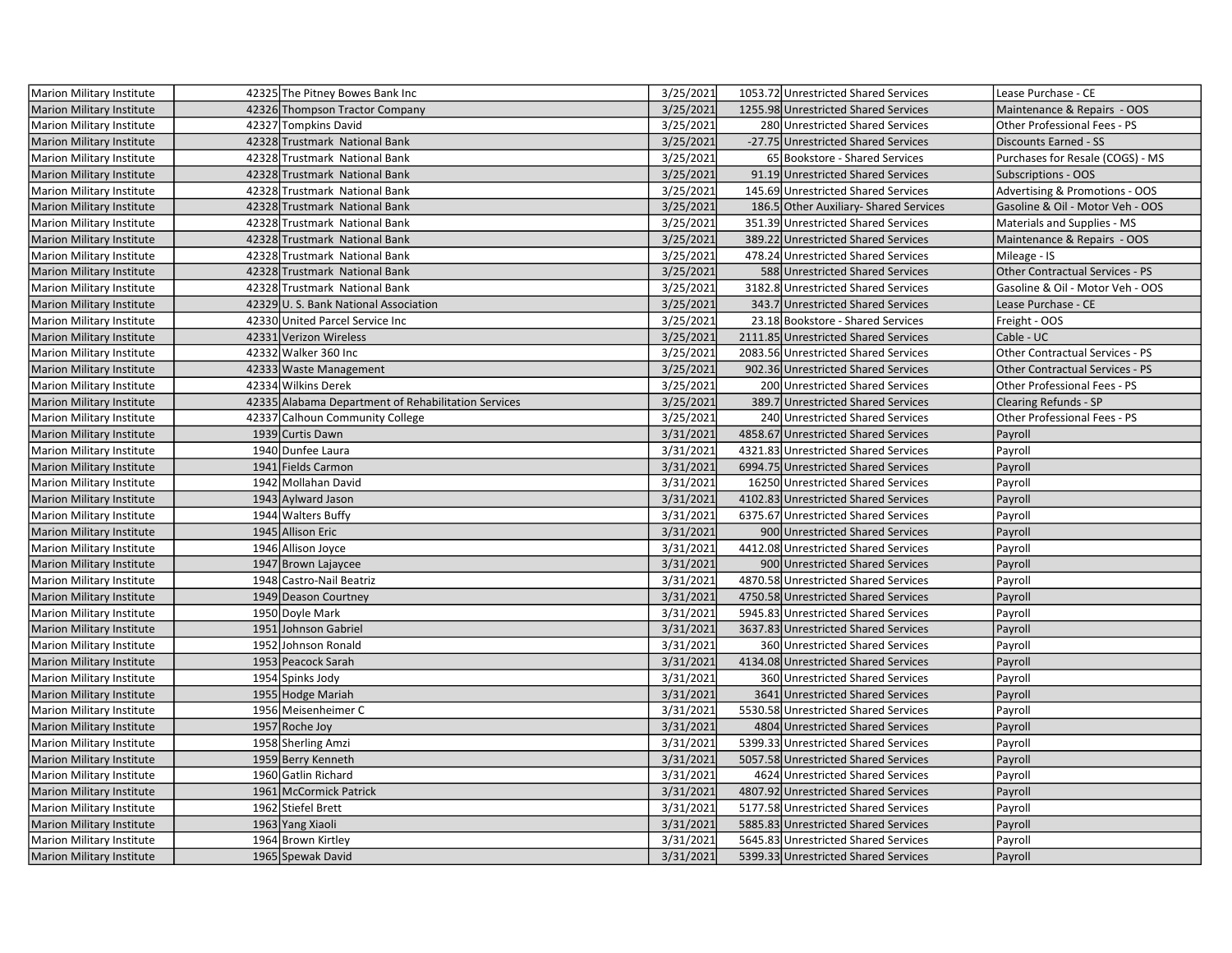| Marion Military Institute        | 42325 The Pitney Bowes Bank Inc                     | 3/25/2021 | 1053.72 Unrestricted Shared Services   | Lease Purchase - CE                    |
|----------------------------------|-----------------------------------------------------|-----------|----------------------------------------|----------------------------------------|
| Marion Military Institute        | 42326 Thompson Tractor Company                      | 3/25/2021 | 1255.98 Unrestricted Shared Services   | Maintenance & Repairs - OOS            |
| Marion Military Institute        | 42327 Tompkins David                                | 3/25/2021 | 280 Unrestricted Shared Services       | Other Professional Fees - PS           |
| <b>Marion Military Institute</b> | 42328 Trustmark National Bank                       | 3/25/2021 | -27.75 Unrestricted Shared Services    | <b>Discounts Earned - SS</b>           |
| <b>Marion Military Institute</b> | 42328 Trustmark National Bank                       | 3/25/2021 | 65 Bookstore - Shared Services         | Purchases for Resale (COGS) - MS       |
| <b>Marion Military Institute</b> | 42328 Trustmark National Bank                       | 3/25/2021 | 91.19 Unrestricted Shared Services     | <b>Subscriptions - OOS</b>             |
| Marion Military Institute        | 42328 Trustmark National Bank                       | 3/25/2021 | 145.69 Unrestricted Shared Services    | Advertising & Promotions - OOS         |
| <b>Marion Military Institute</b> | 42328 Trustmark National Bank                       | 3/25/2021 | 186.5 Other Auxiliary- Shared Services | Gasoline & Oil - Motor Veh - OOS       |
| <b>Marion Military Institute</b> | 42328 Trustmark National Bank                       | 3/25/2021 | 351.39 Unrestricted Shared Services    | Materials and Supplies - MS            |
| <b>Marion Military Institute</b> | 42328 Trustmark National Bank                       | 3/25/2021 | 389.22 Unrestricted Shared Services    | Maintenance & Repairs - OOS            |
| <b>Marion Military Institute</b> | 42328 Trustmark National Bank                       | 3/25/2021 | 478.24 Unrestricted Shared Services    | Mileage - IS                           |
| <b>Marion Military Institute</b> | 42328 Trustmark National Bank                       | 3/25/2021 | 588 Unrestricted Shared Services       | Other Contractual Services - PS        |
| <b>Marion Military Institute</b> | 42328 Trustmark National Bank                       | 3/25/2021 | 3182.8 Unrestricted Shared Services    | Gasoline & Oil - Motor Veh - OOS       |
| Marion Military Institute        | 42329 U.S. Bank National Association                | 3/25/2021 | 343.7 Unrestricted Shared Services     | Lease Purchase - CE                    |
| Marion Military Institute        | 42330 United Parcel Service Inc                     | 3/25/2021 | 23.18 Bookstore - Shared Services      | Freight - OOS                          |
| <b>Marion Military Institute</b> | 42331 Verizon Wireless                              | 3/25/2021 | 2111.85 Unrestricted Shared Services   | Cable - UC                             |
| Marion Military Institute        | 42332 Walker 360 Inc                                | 3/25/2021 | 2083.56 Unrestricted Shared Services   | Other Contractual Services - PS        |
| <b>Marion Military Institute</b> | 42333 Waste Management                              | 3/25/2021 | 902.36 Unrestricted Shared Services    | <b>Other Contractual Services - PS</b> |
| Marion Military Institute        | 42334 Wilkins Derek                                 | 3/25/2021 | 200 Unrestricted Shared Services       | Other Professional Fees - PS           |
| <b>Marion Military Institute</b> | 42335 Alabama Department of Rehabilitation Services | 3/25/2021 | 389.7 Unrestricted Shared Services     | <b>Clearing Refunds - SP</b>           |
| Marion Military Institute        | 42337 Calhoun Community College                     | 3/25/2021 | 240 Unrestricted Shared Services       | Other Professional Fees - PS           |
| Marion Military Institute        | 1939 Curtis Dawn                                    | 3/31/2021 | 4858.67 Unrestricted Shared Services   | Payroll                                |
| Marion Military Institute        | 1940 Dunfee Laura                                   | 3/31/2021 | 4321.83 Unrestricted Shared Services   | Payroll                                |
| <b>Marion Military Institute</b> | 1941 Fields Carmon                                  | 3/31/2021 | 6994.75 Unrestricted Shared Services   | Payroll                                |
| <b>Marion Military Institute</b> | 1942 Mollahan David                                 | 3/31/2021 | 16250 Unrestricted Shared Services     | Payroll                                |
| <b>Marion Military Institute</b> | 1943 Aylward Jason                                  | 3/31/2021 | 4102.83 Unrestricted Shared Services   | Payroll                                |
| <b>Marion Military Institute</b> | 1944 Walters Buffy                                  | 3/31/2021 | 6375.67 Unrestricted Shared Services   | Payroll                                |
| <b>Marion Military Institute</b> | 1945 Allison Eric                                   | 3/31/2021 | 900 Unrestricted Shared Services       | Payroll                                |
| Marion Military Institute        | 1946 Allison Joyce                                  | 3/31/2021 | 4412.08 Unrestricted Shared Services   | Payroll                                |
| Marion Military Institute        | 1947 Brown Lajaycee                                 | 3/31/2021 | 900 Unrestricted Shared Services       | Payroll                                |
| Marion Military Institute        | 1948 Castro-Nail Beatriz                            | 3/31/2021 | 4870.58 Unrestricted Shared Services   | Payroll                                |
| <b>Marion Military Institute</b> | 1949 Deason Courtney                                | 3/31/2021 | 4750.58 Unrestricted Shared Services   | Payroll                                |
| <b>Marion Military Institute</b> | 1950 Doyle Mark                                     | 3/31/2021 | 5945.83 Unrestricted Shared Services   | Payroll                                |
| Marion Military Institute        | 1951 Johnson Gabriel                                | 3/31/2021 | 3637.83 Unrestricted Shared Services   | Payroll                                |
| <b>Marion Military Institute</b> | 1952 Johnson Ronald                                 | 3/31/2021 | 360 Unrestricted Shared Services       | Payroll                                |
| <b>Marion Military Institute</b> | 1953 Peacock Sarah                                  | 3/31/2021 | 4134.08 Unrestricted Shared Services   | Payroll                                |
| Marion Military Institute        | 1954 Spinks Jody                                    | 3/31/2021 | 360 Unrestricted Shared Services       | Payroll                                |
| <b>Marion Military Institute</b> | 1955 Hodge Mariah                                   | 3/31/2021 | 3641 Unrestricted Shared Services      | Payroll                                |
| Marion Military Institute        | 1956 Meisenheimer C                                 | 3/31/2021 | 5530.58 Unrestricted Shared Services   | Payroll                                |
| Marion Military Institute        | 1957 Roche Joy                                      | 3/31/2021 | 4804 Unrestricted Shared Services      | Payroll                                |
| <b>Marion Military Institute</b> | 1958 Sherling Amzi                                  | 3/31/2021 | 5399.33 Unrestricted Shared Services   | Payroll                                |
| <b>Marion Military Institute</b> | 1959 Berry Kenneth                                  | 3/31/2021 | 5057.58 Unrestricted Shared Services   | Payroll                                |
| Marion Military Institute        | 1960 Gatlin Richard                                 | 3/31/2021 | 4624 Unrestricted Shared Services      | Payroll                                |
| <b>Marion Military Institute</b> | 1961 McCormick Patrick                              | 3/31/2021 | 4807.92 Unrestricted Shared Services   | Payroll                                |
| <b>Marion Military Institute</b> | 1962 Stiefel Brett                                  | 3/31/2021 | 5177.58 Unrestricted Shared Services   | Payroll                                |
| Marion Military Institute        | 1963 Yang Xiaoli                                    | 3/31/2021 | 5885.83 Unrestricted Shared Services   | Payroll                                |
| Marion Military Institute        | 1964 Brown Kirtley                                  | 3/31/2021 | 5645.83 Unrestricted Shared Services   | Payroll                                |
| <b>Marion Military Institute</b> | 1965 Spewak David                                   | 3/31/2021 | 5399.33 Unrestricted Shared Services   | Payroll                                |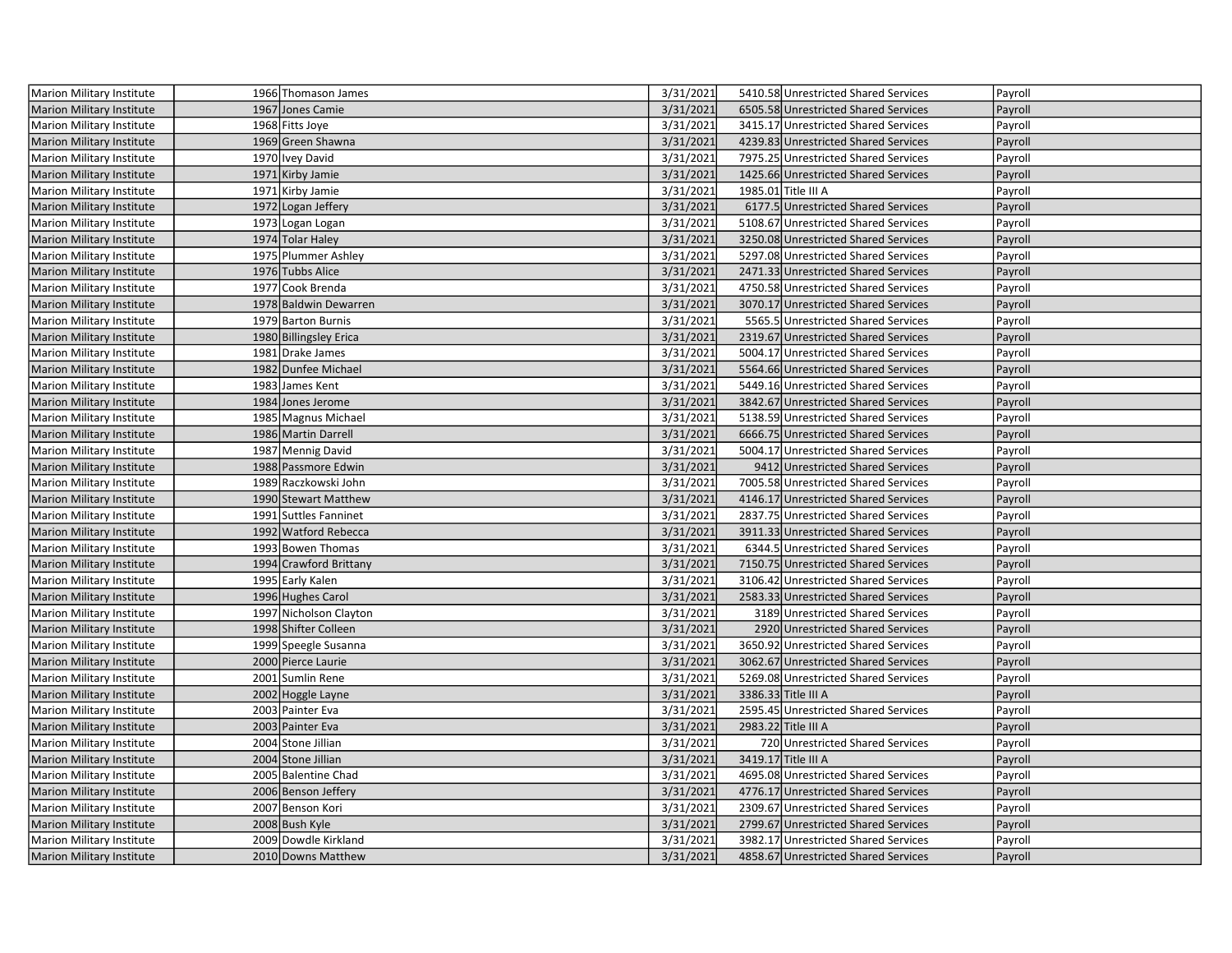| Marion Military Institute        | 1966 Thomason James    | 3/31/2021 | 5410.58 Unrestricted Shared Services | Payroll |
|----------------------------------|------------------------|-----------|--------------------------------------|---------|
| <b>Marion Military Institute</b> | 1967 Jones Camie       | 3/31/2021 | 6505.58 Unrestricted Shared Services | Payroll |
| Marion Military Institute        | 1968 Fitts Joye        | 3/31/2021 | 3415.17 Unrestricted Shared Services | Payroll |
| <b>Marion Military Institute</b> | 1969 Green Shawna      | 3/31/2021 | 4239.83 Unrestricted Shared Services | Payroll |
| <b>Marion Military Institute</b> | 1970 Ivey David        | 3/31/2021 | 7975.25 Unrestricted Shared Services | Payroll |
| Marion Military Institute        | 1971 Kirby Jamie       | 3/31/2021 | 1425.66 Unrestricted Shared Services | Payroll |
| Marion Military Institute        | 1971 Kirby Jamie       | 3/31/2021 | 1985.01 Title III A                  | Payroll |
| Marion Military Institute        | 1972 Logan Jeffery     | 3/31/2021 | 6177.5 Unrestricted Shared Services  | Payroll |
| Marion Military Institute        | 1973 Logan Logan       | 3/31/2021 | 5108.67 Unrestricted Shared Services | Payroll |
| <b>Marion Military Institute</b> | 1974 Tolar Haley       | 3/31/2021 | 3250.08 Unrestricted Shared Services | Payroll |
| <b>Marion Military Institute</b> | 1975 Plummer Ashley    | 3/31/2021 | 5297.08 Unrestricted Shared Services | Payroll |
| Marion Military Institute        | 1976 Tubbs Alice       | 3/31/2021 | 2471.33 Unrestricted Shared Services | Payroll |
| Marion Military Institute        | 1977 Cook Brenda       | 3/31/2021 | 4750.58 Unrestricted Shared Services | Payroll |
| Marion Military Institute        | 1978 Baldwin Dewarren  | 3/31/2021 | 3070.17 Unrestricted Shared Services | Payroll |
| <b>Marion Military Institute</b> | 1979 Barton Burnis     | 3/31/2021 | 5565.5 Unrestricted Shared Services  | Payroll |
| Marion Military Institute        | 1980 Billingsley Erica | 3/31/2021 | 2319.67 Unrestricted Shared Services | Payroll |
| Marion Military Institute        | 1981 Drake James       | 3/31/2021 | 5004.17 Unrestricted Shared Services | Payroll |
| Marion Military Institute        | 1982 Dunfee Michael    | 3/31/2021 | 5564.66 Unrestricted Shared Services | Payroll |
| <b>Marion Military Institute</b> | 1983 James Kent        | 3/31/2021 | 5449.16 Unrestricted Shared Services | Payroll |
| <b>Marion Military Institute</b> | 1984 Jones Jerome      | 3/31/2021 | 3842.67 Unrestricted Shared Services | Payroll |
| <b>Marion Military Institute</b> | 1985 Magnus Michael    | 3/31/2021 | 5138.59 Unrestricted Shared Services | Payroll |
| <b>Marion Military Institute</b> | 1986 Martin Darrell    | 3/31/2021 | 6666.75 Unrestricted Shared Services | Payroll |
| Marion Military Institute        | 1987 Mennig David      | 3/31/2021 | 5004.17 Unrestricted Shared Services | Payroll |
| <b>Marion Military Institute</b> | 1988 Passmore Edwin    | 3/31/2021 | 9412 Unrestricted Shared Services    | Payroll |
| Marion Military Institute        | 1989 Raczkowski John   | 3/31/2021 | 7005.58 Unrestricted Shared Services | Payroll |
| <b>Marion Military Institute</b> | 1990 Stewart Matthew   | 3/31/2021 | 4146.17 Unrestricted Shared Services | Payroll |
| <b>Marion Military Institute</b> | 1991 Suttles Fanninet  | 3/31/2021 | 2837.75 Unrestricted Shared Services | Payroll |
| <b>Marion Military Institute</b> | 1992 Watford Rebecca   | 3/31/2021 | 3911.33 Unrestricted Shared Services | Payroll |
| <b>Marion Military Institute</b> | 1993 Bowen Thomas      | 3/31/2021 | 6344.5 Unrestricted Shared Services  | Payroll |
| <b>Marion Military Institute</b> | 1994 Crawford Brittany | 3/31/2021 | 7150.75 Unrestricted Shared Services | Payroll |
| <b>Marion Military Institute</b> | 1995 Early Kalen       | 3/31/2021 | 3106.42 Unrestricted Shared Services | Payroll |
| Marion Military Institute        | 1996 Hughes Carol      | 3/31/2021 | 2583.33 Unrestricted Shared Services | Payroll |
| <b>Marion Military Institute</b> | 1997 Nicholson Clayton | 3/31/2021 | 3189 Unrestricted Shared Services    | Payroll |
| Marion Military Institute        | 1998 Shifter Colleen   | 3/31/2021 | 2920 Unrestricted Shared Services    | Payroll |
| <b>Marion Military Institute</b> | 1999 Speegle Susanna   | 3/31/2021 | 3650.92 Unrestricted Shared Services | Payroll |
| <b>Marion Military Institute</b> | 2000 Pierce Laurie     | 3/31/2021 | 3062.67 Unrestricted Shared Services | Payroll |
| Marion Military Institute        | 2001 Sumlin Rene       | 3/31/2021 | 5269.08 Unrestricted Shared Services | Payroll |
| <b>Marion Military Institute</b> | 2002 Hoggle Layne      | 3/31/2021 | 3386.33 Title III A                  | Payroll |
| Marion Military Institute        | 2003 Painter Eva       | 3/31/2021 | 2595.45 Unrestricted Shared Services | Payroll |
| <b>Marion Military Institute</b> | 2003 Painter Eva       | 3/31/2021 | 2983.22 Title III A                  | Payroll |
| Marion Military Institute        | 2004 Stone Jillian     | 3/31/2021 | 720 Unrestricted Shared Services     | Payroll |
| Marion Military Institute        | 2004 Stone Jillian     | 3/31/2021 | 3419.17 Title III A                  | Payroll |
| Marion Military Institute        | 2005 Balentine Chad    | 3/31/2021 | 4695.08 Unrestricted Shared Services | Payroll |
| <b>Marion Military Institute</b> | 2006 Benson Jeffery    | 3/31/2021 | 4776.17 Unrestricted Shared Services | Payroll |
| <b>Marion Military Institute</b> | 2007 Benson Kori       | 3/31/2021 | 2309.67 Unrestricted Shared Services | Payroll |
| <b>Marion Military Institute</b> | 2008 Bush Kyle         | 3/31/2021 | 2799.67 Unrestricted Shared Services | Payroll |
| <b>Marion Military Institute</b> | 2009 Dowdle Kirkland   | 3/31/2021 | 3982.17 Unrestricted Shared Services | Payroll |
| Marion Military Institute        | 2010 Downs Matthew     | 3/31/2021 | 4858.67 Unrestricted Shared Services | Payroll |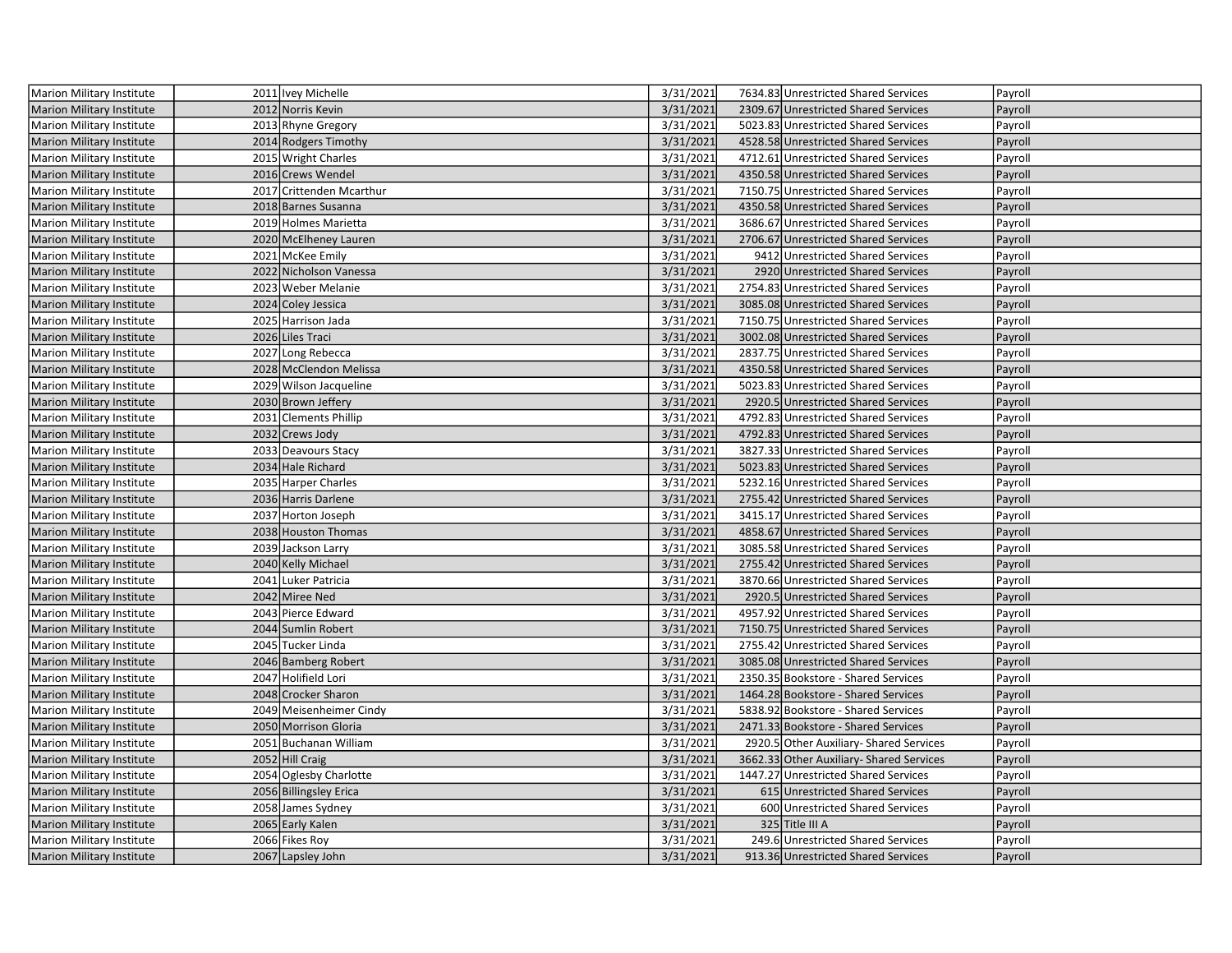| Marion Military Institute        | 2011 Ivey Michelle       | 3/31/2021 | 7634.83 Unrestricted Shared Services    | Payroll |
|----------------------------------|--------------------------|-----------|-----------------------------------------|---------|
| <b>Marion Military Institute</b> | 2012 Norris Kevin        | 3/31/2021 | 2309.67 Unrestricted Shared Services    | Payroll |
| Marion Military Institute        | 2013 Rhyne Gregory       | 3/31/2021 | 5023.83 Unrestricted Shared Services    | Payroll |
| Marion Military Institute        | 2014 Rodgers Timothy     | 3/31/2021 | 4528.58 Unrestricted Shared Services    | Payroll |
| Marion Military Institute        | 2015 Wright Charles      | 3/31/2021 | 4712.61 Unrestricted Shared Services    | Payroll |
| <b>Marion Military Institute</b> | 2016 Crews Wendel        | 3/31/2021 | 4350.58 Unrestricted Shared Services    | Payroll |
| Marion Military Institute        | 2017 Crittenden Mcarthur | 3/31/2021 | 7150.75 Unrestricted Shared Services    | Payroll |
| <b>Marion Military Institute</b> | 2018 Barnes Susanna      | 3/31/2021 | 4350.58 Unrestricted Shared Services    | Payroll |
| Marion Military Institute        | 2019 Holmes Marietta     | 3/31/2021 | 3686.67 Unrestricted Shared Services    | Payroll |
| <b>Marion Military Institute</b> | 2020 McElheney Lauren    | 3/31/2021 | 2706.67 Unrestricted Shared Services    | Payroll |
| Marion Military Institute        | 2021 McKee Emily         | 3/31/2021 | 9412 Unrestricted Shared Services       | Payroll |
| <b>Marion Military Institute</b> | 2022 Nicholson Vanessa   | 3/31/2021 | 2920 Unrestricted Shared Services       | Payroll |
| Marion Military Institute        | 2023 Weber Melanie       | 3/31/2021 | 2754.83 Unrestricted Shared Services    | Payroll |
| <b>Marion Military Institute</b> | 2024 Coley Jessica       | 3/31/2021 | 3085.08 Unrestricted Shared Services    | Payroll |
| Marion Military Institute        | 2025 Harrison Jada       | 3/31/2021 | 7150.75 Unrestricted Shared Services    | Payroll |
| <b>Marion Military Institute</b> | 2026 Liles Traci         | 3/31/2021 | 3002.08 Unrestricted Shared Services    | Payroll |
| Marion Military Institute        | 2027 Long Rebecca        | 3/31/2021 | 2837.75 Unrestricted Shared Services    | Payroll |
| <b>Marion Military Institute</b> | 2028 McClendon Melissa   | 3/31/2021 | 4350.58 Unrestricted Shared Services    | Payroll |
| <b>Marion Military Institute</b> | 2029 Wilson Jacqueline   | 3/31/2021 | 5023.83 Unrestricted Shared Services    | Payroll |
| <b>Marion Military Institute</b> | 2030 Brown Jeffery       | 3/31/2021 | 2920.5 Unrestricted Shared Services     | Payroll |
| <b>Marion Military Institute</b> | 2031 Clements Phillip    | 3/31/2021 | 4792.83 Unrestricted Shared Services    | Payroll |
| <b>Marion Military Institute</b> | 2032 Crews Jody          | 3/31/2021 | 4792.83 Unrestricted Shared Services    | Payroll |
| Marion Military Institute        | 2033 Deavours Stacy      | 3/31/2021 | 3827.33 Unrestricted Shared Services    | Payroll |
| <b>Marion Military Institute</b> | 2034 Hale Richard        | 3/31/2021 | 5023.83 Unrestricted Shared Services    | Payroll |
| Marion Military Institute        | 2035 Harper Charles      | 3/31/2021 | 5232.16 Unrestricted Shared Services    | Payroll |
| <b>Marion Military Institute</b> | 2036 Harris Darlene      | 3/31/2021 | 2755.42 Unrestricted Shared Services    | Payroll |
| <b>Marion Military Institute</b> | 2037 Horton Joseph       | 3/31/2021 | 3415.17 Unrestricted Shared Services    | Payroll |
| Marion Military Institute        | 2038 Houston Thomas      | 3/31/2021 | 4858.67 Unrestricted Shared Services    | Payroll |
| Marion Military Institute        | 2039 Jackson Larry       | 3/31/2021 | 3085.58 Unrestricted Shared Services    | Payroll |
| Marion Military Institute        | 2040 Kelly Michael       | 3/31/2021 | 2755.42 Unrestricted Shared Services    | Payroll |
| Marion Military Institute        | 2041 Luker Patricia      | 3/31/2021 | 3870.66 Unrestricted Shared Services    | Payroll |
| <b>Marion Military Institute</b> | 2042 Miree Ned           | 3/31/2021 | 2920.5 Unrestricted Shared Services     | Payroll |
| Marion Military Institute        | 2043 Pierce Edward       | 3/31/2021 | 4957.92 Unrestricted Shared Services    | Payroll |
| <b>Marion Military Institute</b> | 2044 Sumlin Robert       | 3/31/2021 | 7150.75 Unrestricted Shared Services    | Payroll |
| Marion Military Institute        | 2045 Tucker Linda        | 3/31/2021 | 2755.42 Unrestricted Shared Services    | Payroll |
| <b>Marion Military Institute</b> | 2046 Bamberg Robert      | 3/31/2021 | 3085.08 Unrestricted Shared Services    | Payroll |
| Marion Military Institute        | 2047 Holifield Lori      | 3/31/2021 | 2350.35 Bookstore - Shared Services     | Payroll |
| <b>Marion Military Institute</b> | 2048 Crocker Sharon      | 3/31/2021 | 1464.28 Bookstore - Shared Services     | Payroll |
| Marion Military Institute        | 2049 Meisenheimer Cindy  | 3/31/2021 | 5838.92 Bookstore - Shared Services     | Payroll |
| <b>Marion Military Institute</b> | 2050 Morrison Gloria     | 3/31/2021 | 2471.33 Bookstore - Shared Services     | Payroll |
| Marion Military Institute        | 2051 Buchanan William    | 3/31/2021 | 2920.5 Other Auxiliary- Shared Services | Payroll |
| <b>Marion Military Institute</b> | 2052 Hill Craig          | 3/31/2021 | 3662.33 Other Auxiliary-Shared Services | Payroll |
| Marion Military Institute        | 2054 Oglesby Charlotte   | 3/31/2021 | 1447.27 Unrestricted Shared Services    | Payroll |
| <b>Marion Military Institute</b> | 2056 Billingsley Erica   | 3/31/2021 | 615 Unrestricted Shared Services        | Payroll |
| Marion Military Institute        | 2058 James Sydney        | 3/31/2021 | 600 Unrestricted Shared Services        | Payroll |
| <b>Marion Military Institute</b> | 2065 Early Kalen         | 3/31/2021 | 325 Title III A                         | Payroll |
| Marion Military Institute        | 2066 Fikes Roy           | 3/31/2021 | 249.6 Unrestricted Shared Services      | Payroll |
| Marion Military Institute        | 2067 Lapsley John        | 3/31/2021 | 913.36 Unrestricted Shared Services     | Payroll |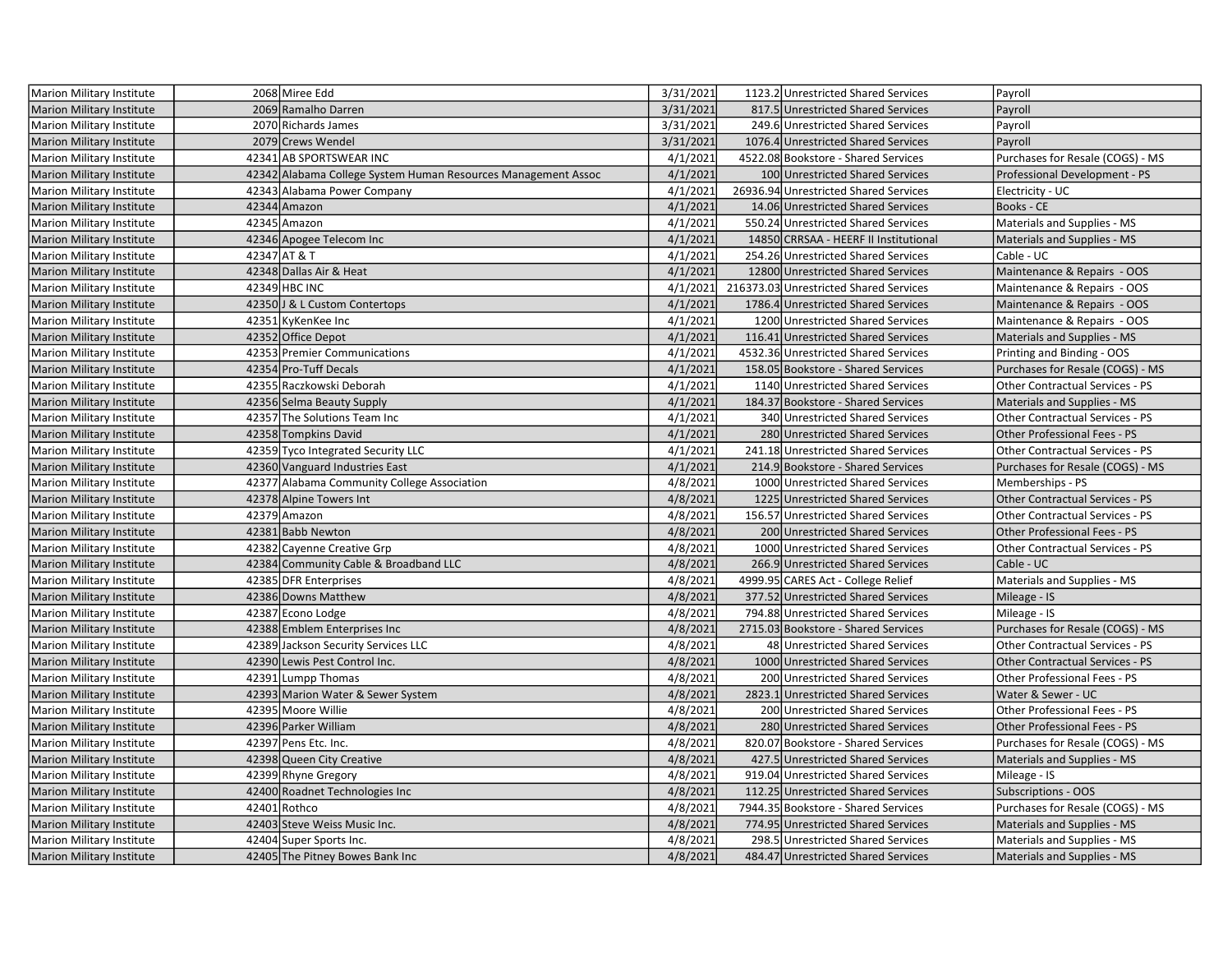| Marion Military Institute        | 2068 Miree Edd                                                | 3/31/2021 | 1123.2 Unrestricted Shared Services    | Payroll                                |
|----------------------------------|---------------------------------------------------------------|-----------|----------------------------------------|----------------------------------------|
| <b>Marion Military Institute</b> | 2069 Ramalho Darren                                           | 3/31/2021 | 817.5 Unrestricted Shared Services     | Payroll                                |
| Marion Military Institute        | 2070 Richards James                                           | 3/31/2021 | 249.6 Unrestricted Shared Services     | Payroll                                |
| <b>Marion Military Institute</b> | 2079 Crews Wendel                                             | 3/31/2021 | 1076.4 Unrestricted Shared Services    | Payroll                                |
| Marion Military Institute        | 42341 AB SPORTSWEAR INC                                       | 4/1/2021  | 4522.08 Bookstore - Shared Services    | Purchases for Resale (COGS) - MS       |
| <b>Marion Military Institute</b> | 42342 Alabama College System Human Resources Management Assoc | 4/1/2021  | 100 Unrestricted Shared Services       | Professional Development - PS          |
| Marion Military Institute        | 42343 Alabama Power Company                                   | 4/1/2021  | 26936.94 Unrestricted Shared Services  | Electricity - UC                       |
| <b>Marion Military Institute</b> | 42344 Amazon                                                  | 4/1/2021  | 14.06 Unrestricted Shared Services     | Books - CE                             |
| Marion Military Institute        | 42345 Amazon                                                  | 4/1/2021  | 550.24 Unrestricted Shared Services    | Materials and Supplies - MS            |
| <b>Marion Military Institute</b> | 42346 Apogee Telecom Inc                                      | 4/1/2021  | 14850 CRRSAA - HEERF II Institutional  | Materials and Supplies - MS            |
| Marion Military Institute        | 42347 AT & T                                                  | 4/1/2021  | 254.26 Unrestricted Shared Services    | Cable - UC                             |
| <b>Marion Military Institute</b> | 42348 Dallas Air & Heat                                       | 4/1/2021  | 12800 Unrestricted Shared Services     | Maintenance & Repairs - OOS            |
| Marion Military Institute        | 42349 HBC INC                                                 | 4/1/2021  | 216373.03 Unrestricted Shared Services | Maintenance & Repairs - OOS            |
| <b>Marion Military Institute</b> | 42350 J & L Custom Contertops                                 | 4/1/2021  | 1786.4 Unrestricted Shared Services    | Maintenance & Repairs - OOS            |
| Marion Military Institute        | 42351 KyKenKee Inc                                            | 4/1/2021  | 1200 Unrestricted Shared Services      | Maintenance & Repairs - OOS            |
| <b>Marion Military Institute</b> | 42352 Office Depot                                            | 4/1/2021  | 116.41 Unrestricted Shared Services    | Materials and Supplies - MS            |
| Marion Military Institute        | 42353 Premier Communications                                  | 4/1/2021  | 4532.36 Unrestricted Shared Services   | Printing and Binding - OOS             |
| <b>Marion Military Institute</b> | 42354 Pro-Tuff Decals                                         | 4/1/2021  | 158.05 Bookstore - Shared Services     | Purchases for Resale (COGS) - MS       |
| Marion Military Institute        | 42355 Raczkowski Deborah                                      | 4/1/2021  | 1140 Unrestricted Shared Services      | Other Contractual Services - PS        |
| <b>Marion Military Institute</b> | 42356 Selma Beauty Supply                                     | 4/1/2021  | 184.37 Bookstore - Shared Services     | Materials and Supplies - MS            |
| Marion Military Institute        | 42357 The Solutions Team Inc                                  | 4/1/2021  | 340 Unrestricted Shared Services       | Other Contractual Services - PS        |
| <b>Marion Military Institute</b> | 42358 Tompkins David                                          | 4/1/2021  | 280 Unrestricted Shared Services       | Other Professional Fees - PS           |
| Marion Military Institute        | 42359 Tyco Integrated Security LLC                            | 4/1/2021  | 241.18 Unrestricted Shared Services    | Other Contractual Services - PS        |
| <b>Marion Military Institute</b> | 42360 Vanguard Industries East                                | 4/1/2021  | 214.9 Bookstore - Shared Services      | Purchases for Resale (COGS) - MS       |
| Marion Military Institute        | 42377 Alabama Community College Association                   | 4/8/2021  | 1000 Unrestricted Shared Services      | Memberships - PS                       |
| <b>Marion Military Institute</b> | 42378 Alpine Towers Int                                       | 4/8/2021  | 1225 Unrestricted Shared Services      | <b>Other Contractual Services - PS</b> |
| Marion Military Institute        | 42379 Amazon                                                  | 4/8/2021  | 156.57 Unrestricted Shared Services    | Other Contractual Services - PS        |
| <b>Marion Military Institute</b> | 42381 Babb Newton                                             | 4/8/2021  | 200 Unrestricted Shared Services       | Other Professional Fees - PS           |
| Marion Military Institute        | 42382 Cayenne Creative Grp                                    | 4/8/2021  | 1000 Unrestricted Shared Services      | Other Contractual Services - PS        |
| <b>Marion Military Institute</b> | 42384 Community Cable & Broadband LLC                         | 4/8/2021  | 266.9 Unrestricted Shared Services     | Cable - UC                             |
| Marion Military Institute        | 42385 DFR Enterprises                                         | 4/8/2021  | 4999.95 CARES Act - College Relief     | Materials and Supplies - MS            |
| <b>Marion Military Institute</b> | 42386 Downs Matthew                                           | 4/8/2021  | 377.52 Unrestricted Shared Services    | Mileage - IS                           |
| Marion Military Institute        | 42387 Econo Lodge                                             | 4/8/2021  | 794.88 Unrestricted Shared Services    | Mileage - IS                           |
| <b>Marion Military Institute</b> | 42388 Emblem Enterprises Inc                                  | 4/8/2021  | 2715.03 Bookstore - Shared Services    | Purchases for Resale (COGS) - MS       |
| Marion Military Institute        | 42389 Jackson Security Services LLC                           | 4/8/2021  | 48 Unrestricted Shared Services        | Other Contractual Services - PS        |
| <b>Marion Military Institute</b> | 42390 Lewis Pest Control Inc.                                 | 4/8/2021  | 1000 Unrestricted Shared Services      | <b>Other Contractual Services - PS</b> |
| Marion Military Institute        | 42391 Lumpp Thomas                                            | 4/8/2021  | 200 Unrestricted Shared Services       | Other Professional Fees - PS           |
| <b>Marion Military Institute</b> | 42393 Marion Water & Sewer System                             | 4/8/2021  | 2823.1 Unrestricted Shared Services    | Water & Sewer - UC                     |
| Marion Military Institute        | 42395 Moore Willie                                            | 4/8/2021  | 200 Unrestricted Shared Services       | Other Professional Fees - PS           |
| Marion Military Institute        | 42396 Parker William                                          | 4/8/2021  | 280 Unrestricted Shared Services       | Other Professional Fees - PS           |
| Marion Military Institute        | 42397 Pens Etc. Inc.                                          | 4/8/2021  | 820.07 Bookstore - Shared Services     | Purchases for Resale (COGS) - MS       |
| <b>Marion Military Institute</b> | 42398 Queen City Creative                                     | 4/8/2021  | 427.5 Unrestricted Shared Services     | Materials and Supplies - MS            |
| Marion Military Institute        | 42399 Rhyne Gregory                                           | 4/8/2021  | 919.04 Unrestricted Shared Services    | Mileage - IS                           |
| <b>Marion Military Institute</b> | 42400 Roadnet Technologies Inc                                | 4/8/2021  | 112.25 Unrestricted Shared Services    | Subscriptions - OOS                    |
| Marion Military Institute        | 42401 Rothco                                                  | 4/8/2021  | 7944.35 Bookstore - Shared Services    | Purchases for Resale (COGS) - MS       |
| <b>Marion Military Institute</b> | 42403 Steve Weiss Music Inc.                                  | 4/8/2021  | 774.95 Unrestricted Shared Services    | Materials and Supplies - MS            |
| Marion Military Institute        | 42404 Super Sports Inc.                                       | 4/8/2021  | 298.5 Unrestricted Shared Services     | Materials and Supplies - MS            |
| Marion Military Institute        | 42405 The Pitney Bowes Bank Inc                               | 4/8/2021  | 484.47 Unrestricted Shared Services    | <b>Materials and Supplies - MS</b>     |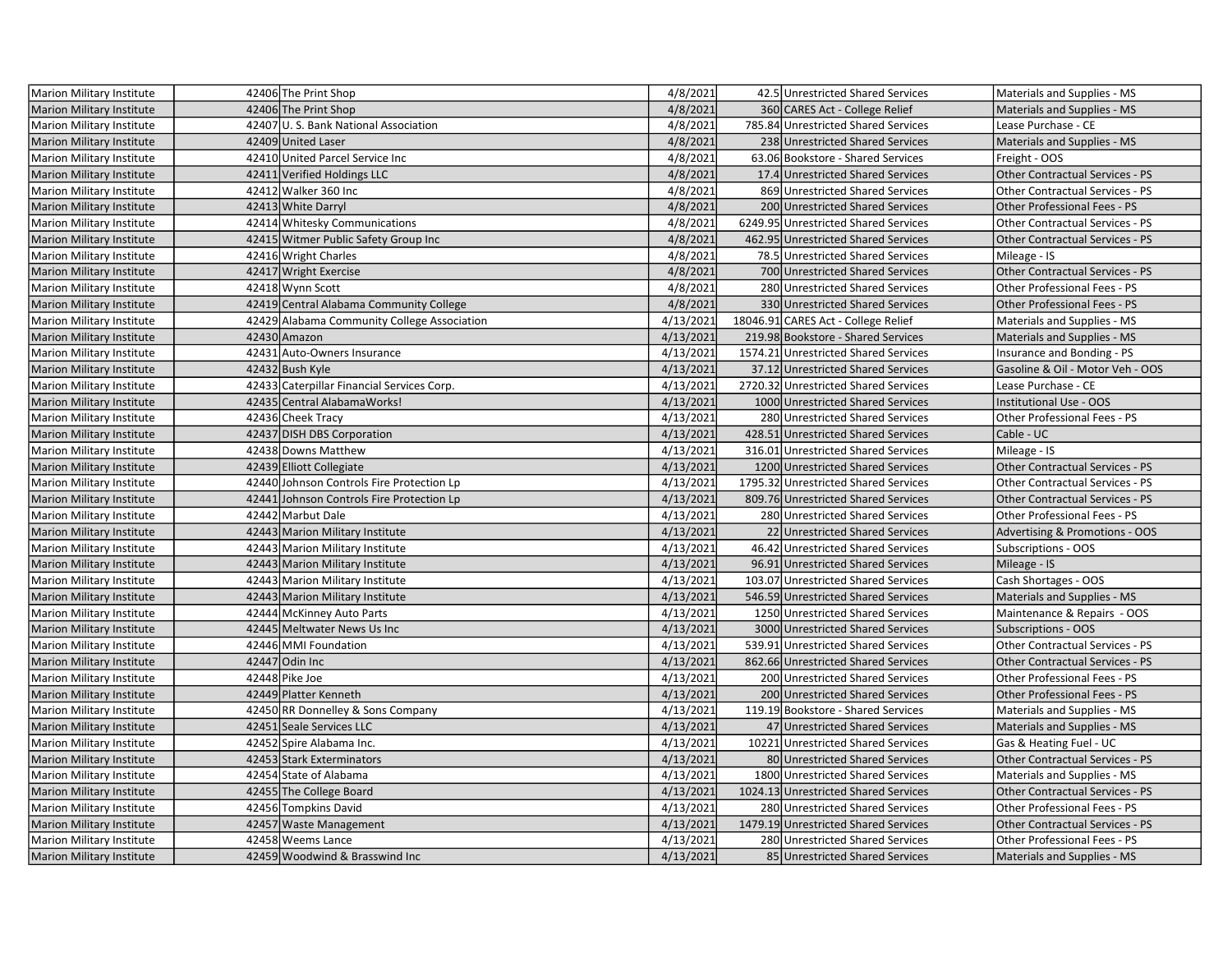| Marion Military Institute        | 42406 The Print Shop                        | 4/8/2021  | 42.5 Unrestricted Shared Services    | Materials and Supplies - MS            |
|----------------------------------|---------------------------------------------|-----------|--------------------------------------|----------------------------------------|
| <b>Marion Military Institute</b> | 42406 The Print Shop                        | 4/8/2021  | 360 CARES Act - College Relief       | Materials and Supplies - MS            |
| <b>Marion Military Institute</b> | 42407 U.S. Bank National Association        | 4/8/2021  | 785.84 Unrestricted Shared Services  | Lease Purchase - CE                    |
| <b>Marion Military Institute</b> | 42409 United Laser                          | 4/8/2021  | 238 Unrestricted Shared Services     | Materials and Supplies - MS            |
| Marion Military Institute        | 42410 United Parcel Service Inc             | 4/8/2021  | 63.06 Bookstore - Shared Services    | Freight - OOS                          |
| <b>Marion Military Institute</b> | 42411 Verified Holdings LLC                 | 4/8/2021  | 17.4 Unrestricted Shared Services    | <b>Other Contractual Services - PS</b> |
| Marion Military Institute        | 42412 Walker 360 Inc                        | 4/8/2021  | 869 Unrestricted Shared Services     | <b>Other Contractual Services - PS</b> |
| <b>Marion Military Institute</b> | 42413 White Darryl                          | 4/8/2021  | 200 Unrestricted Shared Services     | Other Professional Fees - PS           |
| Marion Military Institute        | 42414 Whitesky Communications               | 4/8/2021  | 6249.95 Unrestricted Shared Services | Other Contractual Services - PS        |
| <b>Marion Military Institute</b> | 42415 Witmer Public Safety Group Inc        | 4/8/2021  | 462.95 Unrestricted Shared Services  | Other Contractual Services - PS        |
| Marion Military Institute        | 42416 Wright Charles                        | 4/8/2021  | 78.5 Unrestricted Shared Services    | Mileage - IS                           |
| <b>Marion Military Institute</b> | 42417 Wright Exercise                       | 4/8/2021  | 700 Unrestricted Shared Services     | <b>Other Contractual Services - PS</b> |
| Marion Military Institute        | 42418 Wynn Scott                            | 4/8/2021  | 280 Unrestricted Shared Services     | Other Professional Fees - PS           |
| <b>Marion Military Institute</b> | 42419 Central Alabama Community College     | 4/8/2021  | 330 Unrestricted Shared Services     | Other Professional Fees - PS           |
| Marion Military Institute        | 42429 Alabama Community College Association | 4/13/2021 | 18046.91 CARES Act - College Relief  | Materials and Supplies - MS            |
| <b>Marion Military Institute</b> | 42430 Amazon                                | 4/13/2021 | 219.98 Bookstore - Shared Services   | Materials and Supplies - MS            |
| Marion Military Institute        | 42431 Auto-Owners Insurance                 | 4/13/2021 | 1574.21 Unrestricted Shared Services | Insurance and Bonding - PS             |
| <b>Marion Military Institute</b> | 42432 Bush Kyle                             | 4/13/2021 | 37.12 Unrestricted Shared Services   | Gasoline & Oil - Motor Veh - OOS       |
| Marion Military Institute        | 42433 Caterpillar Financial Services Corp.  | 4/13/2021 | 2720.32 Unrestricted Shared Services | Lease Purchase - CE                    |
| Marion Military Institute        | 42435 Central Alabama Works!                | 4/13/2021 | 1000 Unrestricted Shared Services    | Institutional Use - OOS                |
| Marion Military Institute        | 42436 Cheek Tracy                           | 4/13/2021 | 280 Unrestricted Shared Services     | Other Professional Fees - PS           |
| <b>Marion Military Institute</b> | 42437 DISH DBS Corporation                  | 4/13/2021 | 428.51 Unrestricted Shared Services  | Cable - UC                             |
| Marion Military Institute        | 42438 Downs Matthew                         | 4/13/2021 | 316.01 Unrestricted Shared Services  | Mileage - IS                           |
| <b>Marion Military Institute</b> | 42439 Elliott Collegiate                    | 4/13/2021 | 1200 Unrestricted Shared Services    | Other Contractual Services - PS        |
| Marion Military Institute        | 42440 Johnson Controls Fire Protection Lp   | 4/13/2021 | 1795.32 Unrestricted Shared Services | Other Contractual Services - PS        |
| <b>Marion Military Institute</b> | 42441 Johnson Controls Fire Protection Lp   | 4/13/2021 | 809.76 Unrestricted Shared Services  | Other Contractual Services - PS        |
| Marion Military Institute        | 42442 Marbut Dale                           | 4/13/2021 | 280 Unrestricted Shared Services     | Other Professional Fees - PS           |
| <b>Marion Military Institute</b> | 42443 Marion Military Institute             | 4/13/2021 | 22 Unrestricted Shared Services      | Advertising & Promotions - OOS         |
| Marion Military Institute        | 42443 Marion Military Institute             | 4/13/2021 | 46.42 Unrestricted Shared Services   | Subscriptions - OOS                    |
| <b>Marion Military Institute</b> | 42443 Marion Military Institute             | 4/13/2021 | 96.91 Unrestricted Shared Services   | Mileage - IS                           |
| Marion Military Institute        | 42443 Marion Military Institute             | 4/13/2021 | 103.07 Unrestricted Shared Services  | Cash Shortages - OOS                   |
| <b>Marion Military Institute</b> | 42443 Marion Military Institute             | 4/13/2021 | 546.59 Unrestricted Shared Services  | Materials and Supplies - MS            |
| Marion Military Institute        | 42444 McKinney Auto Parts                   | 4/13/2021 | 1250 Unrestricted Shared Services    | Maintenance & Repairs - OOS            |
| <b>Marion Military Institute</b> | 42445 Meltwater News Us Inc                 | 4/13/2021 | 3000 Unrestricted Shared Services    | <b>Subscriptions - OOS</b>             |
| Marion Military Institute        | 42446 MMI Foundation                        | 4/13/2021 | 539.91 Unrestricted Shared Services  | <b>Other Contractual Services - PS</b> |
| Marion Military Institute        | 42447 Odin Inc                              | 4/13/2021 | 862.66 Unrestricted Shared Services  | <b>Other Contractual Services - PS</b> |
| Marion Military Institute        | 42448 Pike Joe                              | 4/13/2021 | 200 Unrestricted Shared Services     | Other Professional Fees - PS           |
| <b>Marion Military Institute</b> | 42449 Platter Kenneth                       | 4/13/2021 | 200 Unrestricted Shared Services     | Other Professional Fees - PS           |
| Marion Military Institute        | 42450 RR Donnelley & Sons Company           | 4/13/2021 | 119.19 Bookstore - Shared Services   | Materials and Supplies - MS            |
| <b>Marion Military Institute</b> | 42451 Seale Services LLC                    | 4/13/2021 | 47 Unrestricted Shared Services      | Materials and Supplies - MS            |
| Marion Military Institute        | 42452 Spire Alabama Inc.                    | 4/13/2021 | 10221 Unrestricted Shared Services   | Gas & Heating Fuel - UC                |
| <b>Marion Military Institute</b> | 42453 Stark Exterminators                   | 4/13/2021 | 80 Unrestricted Shared Services      | Other Contractual Services - PS        |
| Marion Military Institute        | 42454 State of Alabama                      | 4/13/2021 | 1800 Unrestricted Shared Services    | Materials and Supplies - MS            |
| <b>Marion Military Institute</b> | 42455 The College Board                     | 4/13/2021 | 1024.13 Unrestricted Shared Services | <b>Other Contractual Services - PS</b> |
| Marion Military Institute        | 42456 Tompkins David                        | 4/13/2021 | 280 Unrestricted Shared Services     | Other Professional Fees - PS           |
| <b>Marion Military Institute</b> | 42457 Waste Management                      | 4/13/2021 | 1479.19 Unrestricted Shared Services | <b>Other Contractual Services - PS</b> |
| Marion Military Institute        | 42458 Weems Lance                           | 4/13/2021 | 280 Unrestricted Shared Services     | Other Professional Fees - PS           |
| <b>Marion Military Institute</b> | 42459 Woodwind & Brasswind Inc              | 4/13/2021 | 85 Unrestricted Shared Services      | <b>Materials and Supplies - MS</b>     |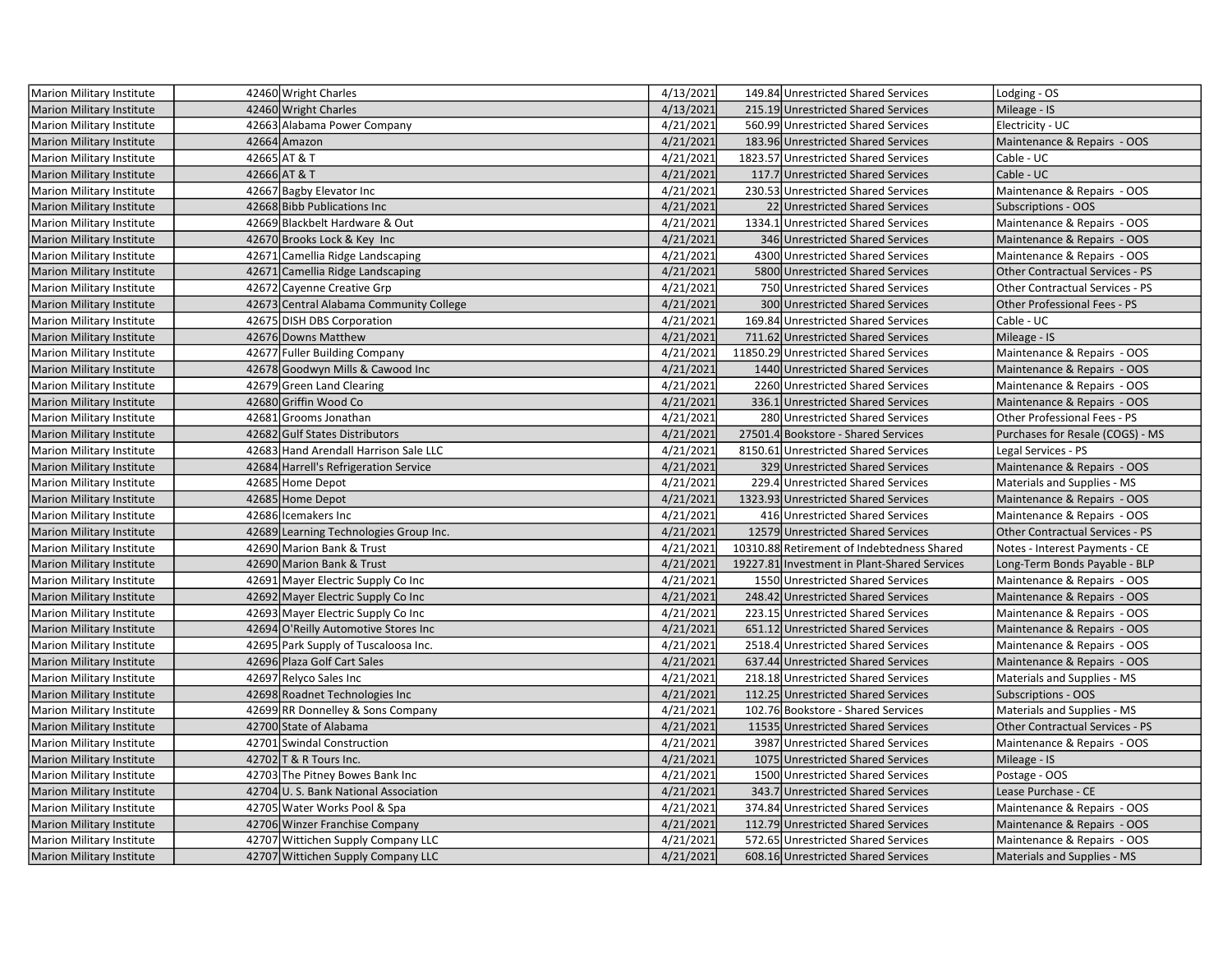| <b>Marion Military Institute</b> | 42460 Wright Charles                    | 4/13/2021 | 149.84 Unrestricted Shared Services          | Lodging - OS                           |
|----------------------------------|-----------------------------------------|-----------|----------------------------------------------|----------------------------------------|
| <b>Marion Military Institute</b> | 42460 Wright Charles                    | 4/13/2021 | 215.19 Unrestricted Shared Services          | Mileage - IS                           |
| Marion Military Institute        | 42663 Alabama Power Company             | 4/21/2021 | 560.99 Unrestricted Shared Services          | Electricity - UC                       |
| Marion Military Institute        | 42664 Amazon                            | 4/21/2021 | 183.96 Unrestricted Shared Services          | Maintenance & Repairs - OOS            |
| Marion Military Institute        | 42665 AT & T                            | 4/21/2021 | 1823.57 Unrestricted Shared Services         | Cable - UC                             |
| <b>Marion Military Institute</b> | 42666 AT & T                            | 4/21/2021 | 117.7 Unrestricted Shared Services           | Cable - UC                             |
| Marion Military Institute        | 42667 Bagby Elevator Inc                | 4/21/2021 | 230.53 Unrestricted Shared Services          | Maintenance & Repairs - OOS            |
| <b>Marion Military Institute</b> | 42668 Bibb Publications Inc             | 4/21/2021 | 22 Unrestricted Shared Services              | <b>Subscriptions - OOS</b>             |
| <b>Marion Military Institute</b> | 42669 Blackbelt Hardware & Out          | 4/21/2021 | 1334.1 Unrestricted Shared Services          | Maintenance & Repairs - OOS            |
| <b>Marion Military Institute</b> | 42670 Brooks Lock & Key Inc             | 4/21/2021 | 346 Unrestricted Shared Services             | Maintenance & Repairs - OOS            |
| Marion Military Institute        | 42671 Camellia Ridge Landscaping        | 4/21/2021 | 4300 Unrestricted Shared Services            | Maintenance & Repairs - OOS            |
| Marion Military Institute        | 42671 Camellia Ridge Landscaping        | 4/21/2021 | 5800 Unrestricted Shared Services            | <b>Other Contractual Services - PS</b> |
| Marion Military Institute        | 42672 Cayenne Creative Grp              | 4/21/2021 | 750 Unrestricted Shared Services             | Other Contractual Services - PS        |
| <b>Marion Military Institute</b> | 42673 Central Alabama Community College | 4/21/2021 | 300 Unrestricted Shared Services             | Other Professional Fees - PS           |
| Marion Military Institute        | 42675 DISH DBS Corporation              | 4/21/2021 | 169.84 Unrestricted Shared Services          | Cable - UC                             |
| <b>Marion Military Institute</b> | 42676 Downs Matthew                     | 4/21/2021 | 711.62 Unrestricted Shared Services          | Mileage - IS                           |
| Marion Military Institute        | 42677 Fuller Building Company           | 4/21/2021 | 11850.29 Unrestricted Shared Services        | Maintenance & Repairs - OOS            |
| <b>Marion Military Institute</b> | 42678 Goodwyn Mills & Cawood Inc        | 4/21/2021 | 1440 Unrestricted Shared Services            | Maintenance & Repairs - OOS            |
| <b>Marion Military Institute</b> | 42679 Green Land Clearing               | 4/21/2021 | 2260 Unrestricted Shared Services            | Maintenance & Repairs - OOS            |
| <b>Marion Military Institute</b> | 42680 Griffin Wood Co                   | 4/21/2021 | 336.1 Unrestricted Shared Services           | Maintenance & Repairs - OOS            |
| <b>Marion Military Institute</b> | 42681 Grooms Jonathan                   | 4/21/2021 | 280 Unrestricted Shared Services             | Other Professional Fees - PS           |
| <b>Marion Military Institute</b> | 42682 Gulf States Distributors          | 4/21/2021 | 27501.4 Bookstore - Shared Services          | Purchases for Resale (COGS) - MS       |
| <b>Marion Military Institute</b> | 42683 Hand Arendall Harrison Sale LLC   | 4/21/2021 | 8150.61 Unrestricted Shared Services         | Legal Services - PS                    |
| <b>Marion Military Institute</b> | 42684 Harrell's Refrigeration Service   | 4/21/2021 | 329 Unrestricted Shared Services             | Maintenance & Repairs - OOS            |
| Marion Military Institute        | 42685 Home Depot                        | 4/21/2021 | 229.4 Unrestricted Shared Services           | Materials and Supplies - MS            |
| <b>Marion Military Institute</b> | 42685 Home Depot                        | 4/21/2021 | 1323.93 Unrestricted Shared Services         | Maintenance & Repairs - OOS            |
| <b>Marion Military Institute</b> | 42686 Icemakers Inc                     | 4/21/2021 | 416 Unrestricted Shared Services             | Maintenance & Repairs - OOS            |
| <b>Marion Military Institute</b> | 42689 Learning Technologies Group Inc.  | 4/21/2021 | 12579 Unrestricted Shared Services           | <b>Other Contractual Services - PS</b> |
| Marion Military Institute        | 42690 Marion Bank & Trust               | 4/21/2021 | 10310.88 Retirement of Indebtedness Shared   | Notes - Interest Payments - CE         |
| Marion Military Institute        | 42690 Marion Bank & Trust               | 4/21/2021 | 19227.81 Investment in Plant-Shared Services | Long-Term Bonds Payable - BLP          |
| Marion Military Institute        | 42691 Mayer Electric Supply Co Inc      | 4/21/2021 | 1550 Unrestricted Shared Services            | Maintenance & Repairs - OOS            |
| <b>Marion Military Institute</b> | 42692 Mayer Electric Supply Co Inc      | 4/21/2021 | 248.42 Unrestricted Shared Services          | Maintenance & Repairs - OOS            |
| Marion Military Institute        | 42693 Mayer Electric Supply Co Inc      | 4/21/2021 | 223.15 Unrestricted Shared Services          | Maintenance & Repairs - OOS            |
| <b>Marion Military Institute</b> | 42694 O'Reilly Automotive Stores Inc    | 4/21/2021 | 651.12 Unrestricted Shared Services          | Maintenance & Repairs - OOS            |
| Marion Military Institute        | 42695 Park Supply of Tuscaloosa Inc.    | 4/21/2021 | 2518.4 Unrestricted Shared Services          | Maintenance & Repairs - OOS            |
| <b>Marion Military Institute</b> | 42696 Plaza Golf Cart Sales             | 4/21/2021 | 637.44 Unrestricted Shared Services          | Maintenance & Repairs - OOS            |
| Marion Military Institute        | 42697 Relyco Sales Inc                  | 4/21/2021 | 218.18 Unrestricted Shared Services          | Materials and Supplies - MS            |
| <b>Marion Military Institute</b> | 42698 Roadnet Technologies Inc          | 4/21/2021 | 112.25 Unrestricted Shared Services          | <b>Subscriptions - OOS</b>             |
| Marion Military Institute        | 42699 RR Donnelley & Sons Company       | 4/21/2021 | 102.76 Bookstore - Shared Services           | Materials and Supplies - MS            |
| <b>Marion Military Institute</b> | 42700 State of Alabama                  | 4/21/2021 | 11535 Unrestricted Shared Services           | <b>Other Contractual Services - PS</b> |
| Marion Military Institute        | 42701 Swindal Construction              | 4/21/2021 | 3987 Unrestricted Shared Services            | Maintenance & Repairs - OOS            |
| <b>Marion Military Institute</b> | 42702 T & R Tours Inc.                  | 4/21/2021 | 1075 Unrestricted Shared Services            | Mileage - IS                           |
| Marion Military Institute        | 42703 The Pitney Bowes Bank Inc         | 4/21/2021 | 1500 Unrestricted Shared Services            | Postage - OOS                          |
| <b>Marion Military Institute</b> | 42704 U.S. Bank National Association    | 4/21/2021 | 343.7 Unrestricted Shared Services           | Lease Purchase - CE                    |
| Marion Military Institute        | 42705 Water Works Pool & Spa            | 4/21/2021 | 374.84 Unrestricted Shared Services          | Maintenance & Repairs - OOS            |
| <b>Marion Military Institute</b> | 42706 Winzer Franchise Company          | 4/21/2021 | 112.79 Unrestricted Shared Services          | Maintenance & Repairs - OOS            |
| Marion Military Institute        | 42707 Wittichen Supply Company LLC      | 4/21/2021 | 572.65 Unrestricted Shared Services          | Maintenance & Repairs - OOS            |
| <b>Marion Military Institute</b> | 42707 Wittichen Supply Company LLC      | 4/21/2021 | 608.16 Unrestricted Shared Services          | Materials and Supplies - MS            |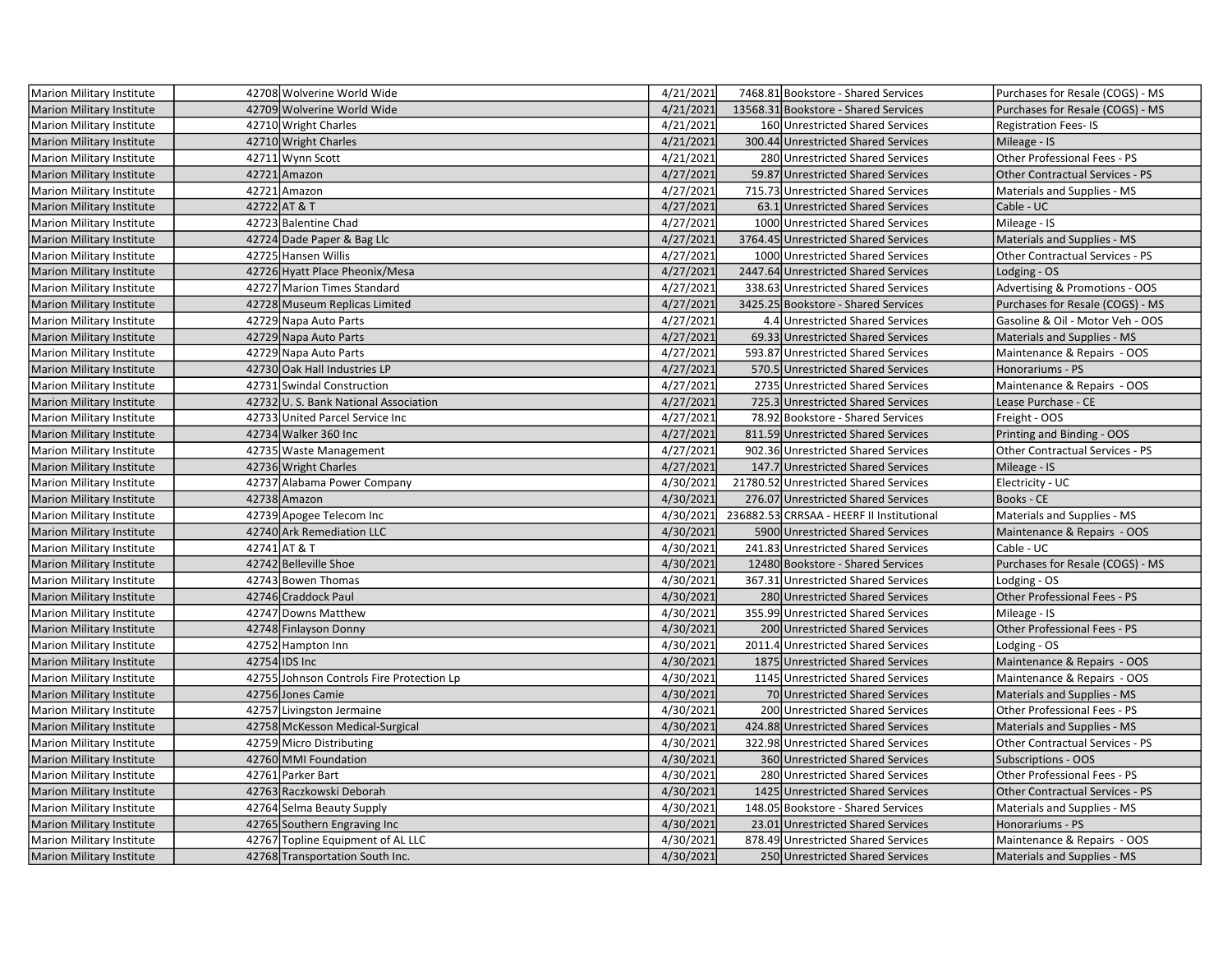| Marion Military Institute        | 42708 Wolverine World Wide                | 4/21/2021 | 7468.81 Bookstore - Shared Services       | Purchases for Resale (COGS) - MS       |
|----------------------------------|-------------------------------------------|-----------|-------------------------------------------|----------------------------------------|
| <b>Marion Military Institute</b> | 42709 Wolverine World Wide                | 4/21/2021 | 13568.31 Bookstore - Shared Services      | Purchases for Resale (COGS) - MS       |
| Marion Military Institute        | 42710 Wright Charles                      | 4/21/2021 | 160 Unrestricted Shared Services          | <b>Registration Fees-IS</b>            |
| <b>Marion Military Institute</b> | 42710 Wright Charles                      | 4/21/2021 | 300.44 Unrestricted Shared Services       | Mileage - IS                           |
| Marion Military Institute        | 42711 Wynn Scott                          | 4/21/2021 | 280 Unrestricted Shared Services          | Other Professional Fees - PS           |
| Marion Military Institute        | 42721 Amazon                              | 4/27/2021 | 59.87 Unrestricted Shared Services        | <b>Other Contractual Services - PS</b> |
| <b>Marion Military Institute</b> | 42721 Amazon                              | 4/27/2021 | 715.73 Unrestricted Shared Services       | Materials and Supplies - MS            |
| <b>Marion Military Institute</b> | 42722 AT & T                              | 4/27/2021 | 63.1 Unrestricted Shared Services         | Cable - UC                             |
| <b>Marion Military Institute</b> | 42723 Balentine Chad                      | 4/27/2021 | 1000 Unrestricted Shared Services         | Mileage - IS                           |
| Marion Military Institute        | 42724 Dade Paper & Bag Llc                | 4/27/2021 | 3764.45 Unrestricted Shared Services      | Materials and Supplies - MS            |
| Marion Military Institute        | 42725 Hansen Willis                       | 4/27/2021 | 1000 Unrestricted Shared Services         | Other Contractual Services - PS        |
| Marion Military Institute        | 42726 Hyatt Place Pheonix/Mesa            | 4/27/2021 | 2447.64 Unrestricted Shared Services      | Lodging - OS                           |
| Marion Military Institute        | 42727 Marion Times Standard               | 4/27/2021 | 338.63 Unrestricted Shared Services       | Advertising & Promotions - OOS         |
| Marion Military Institute        | 42728 Museum Replicas Limited             | 4/27/2021 | 3425.25 Bookstore - Shared Services       | Purchases for Resale (COGS) - MS       |
| Marion Military Institute        | 42729 Napa Auto Parts                     | 4/27/2021 | 4.4 Unrestricted Shared Services          | Gasoline & Oil - Motor Veh - OOS       |
| <b>Marion Military Institute</b> | 42729 Napa Auto Parts                     | 4/27/2021 | 69.33 Unrestricted Shared Services        | Materials and Supplies - MS            |
| Marion Military Institute        | 42729 Napa Auto Parts                     | 4/27/2021 | 593.87 Unrestricted Shared Services       | Maintenance & Repairs - OOS            |
| <b>Marion Military Institute</b> | 42730 Oak Hall Industries LP              | 4/27/2021 | 570.5 Unrestricted Shared Services        | Honorariums - PS                       |
| Marion Military Institute        | 42731 Swindal Construction                | 4/27/2021 | 2735 Unrestricted Shared Services         | Maintenance & Repairs - OOS            |
| <b>Marion Military Institute</b> | 42732 U.S. Bank National Association      | 4/27/2021 | 725.3 Unrestricted Shared Services        | Lease Purchase - CE                    |
| Marion Military Institute        | 42733 United Parcel Service Inc           | 4/27/2021 | 78.92 Bookstore - Shared Services         | Freight - OOS                          |
| <b>Marion Military Institute</b> | 42734 Walker 360 Inc                      | 4/27/2021 | 811.59 Unrestricted Shared Services       | Printing and Binding - OOS             |
| Marion Military Institute        | 42735 Waste Management                    | 4/27/2021 | 902.36 Unrestricted Shared Services       | Other Contractual Services - PS        |
| Marion Military Institute        | 42736 Wright Charles                      | 4/27/2021 | 147.7 Unrestricted Shared Services        | Mileage - IS                           |
| <b>Marion Military Institute</b> | 42737 Alabama Power Company               | 4/30/2021 | 21780.52 Unrestricted Shared Services     | Electricity - UC                       |
| <b>Marion Military Institute</b> | 42738 Amazon                              | 4/30/2021 | 276.07 Unrestricted Shared Services       | Books - CE                             |
| Marion Military Institute        | 42739 Apogee Telecom Inc                  | 4/30/2021 | 236882.53 CRRSAA - HEERF II Institutional | Materials and Supplies - MS            |
| <b>Marion Military Institute</b> | 42740 Ark Remediation LLC                 | 4/30/2021 | 5900 Unrestricted Shared Services         | Maintenance & Repairs - OOS            |
| <b>Marion Military Institute</b> | 42741 AT & T                              | 4/30/2021 | 241.83 Unrestricted Shared Services       | Cable - UC                             |
| <b>Marion Military Institute</b> | 42742 Belleville Shoe                     | 4/30/2021 | 12480 Bookstore - Shared Services         | Purchases for Resale (COGS) - MS       |
| Marion Military Institute        | 42743 Bowen Thomas                        | 4/30/2021 | 367.31 Unrestricted Shared Services       | Lodging - OS                           |
| <b>Marion Military Institute</b> | 42746 Craddock Paul                       | 4/30/2021 | 280 Unrestricted Shared Services          | Other Professional Fees - PS           |
| Marion Military Institute        | 42747 Downs Matthew                       | 4/30/2021 | 355.99 Unrestricted Shared Services       | Mileage - IS                           |
| <b>Marion Military Institute</b> | 42748 Finlayson Donny                     | 4/30/2021 | 200 Unrestricted Shared Services          | Other Professional Fees - PS           |
| Marion Military Institute        | 42752 Hampton Inn                         | 4/30/2021 | 2011.4 Unrestricted Shared Services       | Lodging - OS                           |
| Marion Military Institute        | 42754 IDS Inc                             | 4/30/2021 | 1875 Unrestricted Shared Services         | Maintenance & Repairs - OOS            |
| Marion Military Institute        | 42755 Johnson Controls Fire Protection Lp | 4/30/2021 | 1145 Unrestricted Shared Services         | Maintenance & Repairs - OOS            |
| <b>Marion Military Institute</b> | 42756 Jones Camie                         | 4/30/2021 | 70 Unrestricted Shared Services           | Materials and Supplies - MS            |
| Marion Military Institute        | 42757 Livingston Jermaine                 | 4/30/2021 | 200 Unrestricted Shared Services          | Other Professional Fees - PS           |
| Marion Military Institute        | 42758 McKesson Medical-Surgical           | 4/30/2021 | 424.88 Unrestricted Shared Services       | Materials and Supplies - MS            |
| <b>Marion Military Institute</b> | 42759 Micro Distributing                  | 4/30/2021 | 322.98 Unrestricted Shared Services       | Other Contractual Services - PS        |
| <b>Marion Military Institute</b> | 42760 MMI Foundation                      | 4/30/2021 | 360 Unrestricted Shared Services          | <b>Subscriptions - OOS</b>             |
| Marion Military Institute        | 42761 Parker Bart                         | 4/30/2021 | 280 Unrestricted Shared Services          | Other Professional Fees - PS           |
| Marion Military Institute        | 42763 Raczkowski Deborah                  | 4/30/2021 | 1425 Unrestricted Shared Services         | <b>Other Contractual Services - PS</b> |
| <b>Marion Military Institute</b> | 42764 Selma Beauty Supply                 | 4/30/2021 | 148.05 Bookstore - Shared Services        | Materials and Supplies - MS            |
| <b>Marion Military Institute</b> | 42765 Southern Engraving Inc              | 4/30/2021 | 23.01 Unrestricted Shared Services        | Honorariums - PS                       |
| Marion Military Institute        | 42767 Topline Equipment of AL LLC         | 4/30/2021 | 878.49 Unrestricted Shared Services       | Maintenance & Repairs - OOS            |
| <b>Marion Military Institute</b> | 42768 Transportation South Inc.           | 4/30/2021 | 250 Unrestricted Shared Services          | <b>Materials and Supplies - MS</b>     |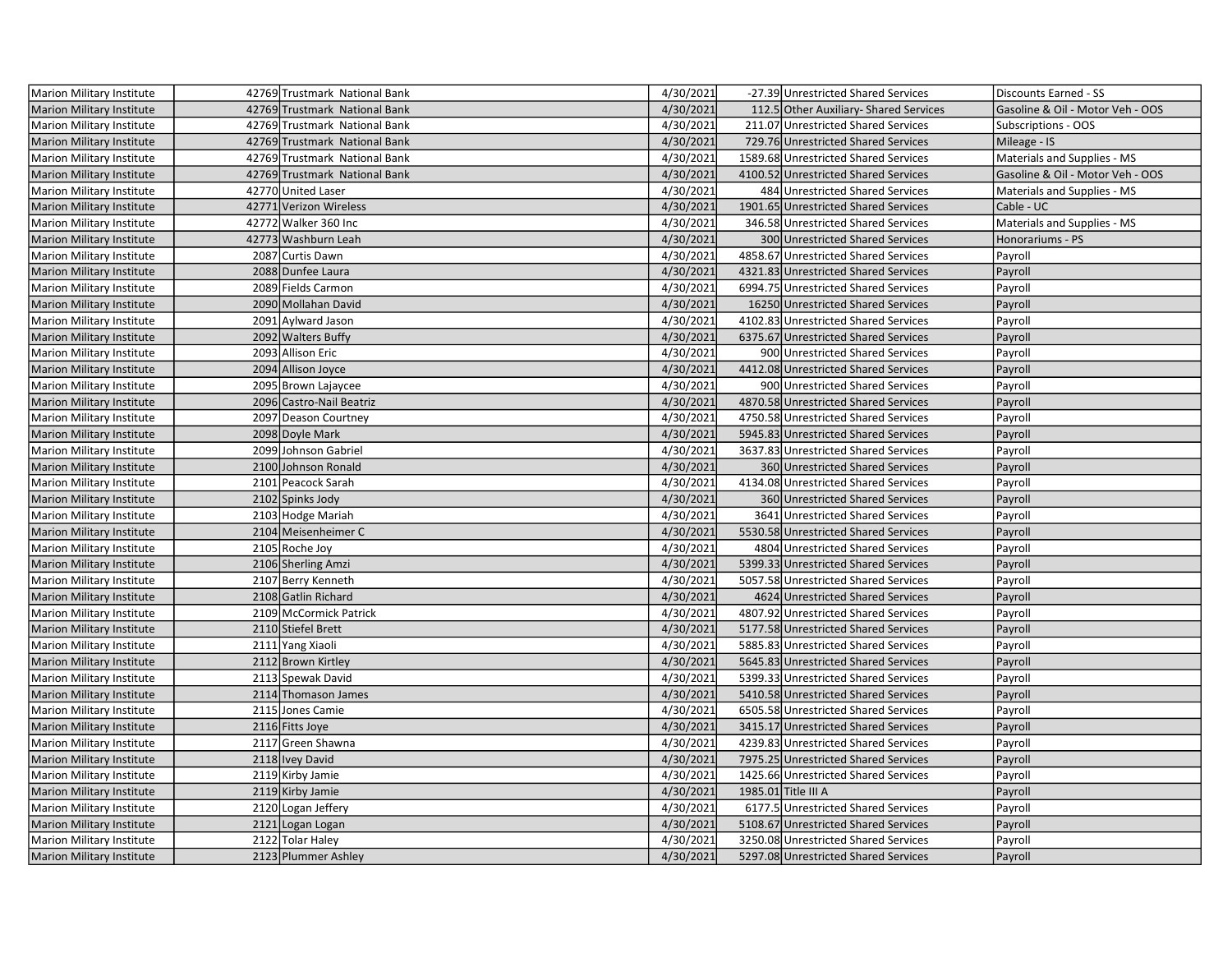| Marion Military Institute        | 42769 Trustmark National Bank | 4/30/2021 | -27.39 Unrestricted Shared Services    | Discounts Earned - SS            |
|----------------------------------|-------------------------------|-----------|----------------------------------------|----------------------------------|
| <b>Marion Military Institute</b> | 42769 Trustmark National Bank | 4/30/2021 | 112.5 Other Auxiliary- Shared Services | Gasoline & Oil - Motor Veh - OOS |
| Marion Military Institute        | 42769 Trustmark National Bank | 4/30/2021 | 211.07 Unrestricted Shared Services    | Subscriptions - OOS              |
| <b>Marion Military Institute</b> | 42769 Trustmark National Bank | 4/30/2021 | 729.76 Unrestricted Shared Services    | Mileage - IS                     |
| Marion Military Institute        | 42769 Trustmark National Bank | 4/30/2021 | 1589.68 Unrestricted Shared Services   | Materials and Supplies - MS      |
| <b>Marion Military Institute</b> | 42769 Trustmark National Bank | 4/30/2021 | 4100.52 Unrestricted Shared Services   | Gasoline & Oil - Motor Veh - OOS |
| Marion Military Institute        | 42770 United Laser            | 4/30/2021 | 484 Unrestricted Shared Services       | Materials and Supplies - MS      |
| <b>Marion Military Institute</b> | 42771 Verizon Wireless        | 4/30/2021 | 1901.65 Unrestricted Shared Services   | Cable - UC                       |
| Marion Military Institute        | 42772 Walker 360 Inc          | 4/30/2021 | 346.58 Unrestricted Shared Services    | Materials and Supplies - MS      |
| Marion Military Institute        | 42773 Washburn Leah           | 4/30/2021 | 300 Unrestricted Shared Services       | Honorariums - PS                 |
| Marion Military Institute        | 2087 Curtis Dawn              | 4/30/2021 | 4858.67 Unrestricted Shared Services   | Payroll                          |
| <b>Marion Military Institute</b> | 2088 Dunfee Laura             | 4/30/2021 | 4321.83 Unrestricted Shared Services   | Payroll                          |
| <b>Marion Military Institute</b> | 2089 Fields Carmon            | 4/30/2021 | 6994.75 Unrestricted Shared Services   | Payroll                          |
| Marion Military Institute        | 2090 Mollahan David           | 4/30/2021 | 16250 Unrestricted Shared Services     | Payroll                          |
| Marion Military Institute        | 2091 Aylward Jason            | 4/30/2021 | 4102.83 Unrestricted Shared Services   | Payroll                          |
| <b>Marion Military Institute</b> | 2092 Walters Buffy            | 4/30/2021 | 6375.67 Unrestricted Shared Services   | Payroll                          |
| Marion Military Institute        | 2093 Allison Eric             | 4/30/2021 | 900 Unrestricted Shared Services       | Payroll                          |
| <b>Marion Military Institute</b> | 2094 Allison Joyce            | 4/30/2021 | 4412.08 Unrestricted Shared Services   | Payroll                          |
| <b>Marion Military Institute</b> | 2095 Brown Lajaycee           | 4/30/2021 | 900 Unrestricted Shared Services       | Payroll                          |
| <b>Marion Military Institute</b> | 2096 Castro-Nail Beatriz      | 4/30/2021 | 4870.58 Unrestricted Shared Services   | Payroll                          |
| Marion Military Institute        | 2097 Deason Courtney          | 4/30/2021 | 4750.58 Unrestricted Shared Services   | Payroll                          |
| Marion Military Institute        | 2098 Doyle Mark               | 4/30/2021 | 5945.83 Unrestricted Shared Services   | Payroll                          |
| Marion Military Institute        | 2099 Johnson Gabriel          | 4/30/2021 | 3637.83 Unrestricted Shared Services   | Payroll                          |
| Marion Military Institute        | 2100 Johnson Ronald           | 4/30/2021 | 360 Unrestricted Shared Services       | Payroll                          |
| Marion Military Institute        | 2101 Peacock Sarah            | 4/30/2021 | 4134.08 Unrestricted Shared Services   | Payroll                          |
| Marion Military Institute        | 2102 Spinks Jody              | 4/30/2021 | 360 Unrestricted Shared Services       | Payroll                          |
| Marion Military Institute        | 2103 Hodge Mariah             | 4/30/2021 | 3641 Unrestricted Shared Services      | Payroll                          |
| Marion Military Institute        | 2104 Meisenheimer C           | 4/30/2021 | 5530.58 Unrestricted Shared Services   | Payroll                          |
| Marion Military Institute        | 2105 Roche Joy                | 4/30/2021 | 4804 Unrestricted Shared Services      | Payroll                          |
| Marion Military Institute        | 2106 Sherling Amzi            | 4/30/2021 | 5399.33 Unrestricted Shared Services   | Payroll                          |
| Marion Military Institute        | 2107 Berry Kenneth            | 4/30/2021 | 5057.58 Unrestricted Shared Services   | Payroll                          |
| <b>Marion Military Institute</b> | 2108 Gatlin Richard           | 4/30/2021 | 4624 Unrestricted Shared Services      | Payroll                          |
| <b>Marion Military Institute</b> | 2109 McCormick Patrick        | 4/30/2021 | 4807.92 Unrestricted Shared Services   | Payroll                          |
| <b>Marion Military Institute</b> | 2110 Stiefel Brett            | 4/30/2021 | 5177.58 Unrestricted Shared Services   | Payroll                          |
| Marion Military Institute        | 2111 Yang Xiaoli              | 4/30/2021 | 5885.83 Unrestricted Shared Services   | Payroll                          |
| Marion Military Institute        | 2112 Brown Kirtley            | 4/30/2021 | 5645.83 Unrestricted Shared Services   | Payroll                          |
| Marion Military Institute        | 2113 Spewak David             | 4/30/2021 | 5399.33 Unrestricted Shared Services   | Payroll                          |
| Marion Military Institute        | 2114 Thomason James           | 4/30/2021 | 5410.58 Unrestricted Shared Services   | Payroll                          |
| Marion Military Institute        | 2115 Jones Camie              | 4/30/2021 | 6505.58 Unrestricted Shared Services   | Payroll                          |
| <b>Marion Military Institute</b> | 2116 Fitts Joye               | 4/30/2021 | 3415.17 Unrestricted Shared Services   | Payroll                          |
| Marion Military Institute        | 2117 Green Shawna             | 4/30/2021 | 4239.83 Unrestricted Shared Services   | Payroll                          |
| <b>Marion Military Institute</b> | 2118 Ivey David               | 4/30/2021 | 7975.25 Unrestricted Shared Services   | Payroll                          |
| Marion Military Institute        | 2119 Kirby Jamie              | 4/30/2021 | 1425.66 Unrestricted Shared Services   | Payroll                          |
| <b>Marion Military Institute</b> | 2119 Kirby Jamie              | 4/30/2021 | 1985.01 Title III A                    | Payroll                          |
| Marion Military Institute        | 2120 Logan Jeffery            | 4/30/2021 | 6177.5 Unrestricted Shared Services    | Payroll                          |
| Marion Military Institute        | 2121 Logan Logan              | 4/30/2021 | 5108.67 Unrestricted Shared Services   | Payroll                          |
| Marion Military Institute        | 2122 Tolar Haley              | 4/30/2021 | 3250.08 Unrestricted Shared Services   | Payroll                          |
| Marion Military Institute        | 2123 Plummer Ashley           | 4/30/2021 | 5297.08 Unrestricted Shared Services   | Payroll                          |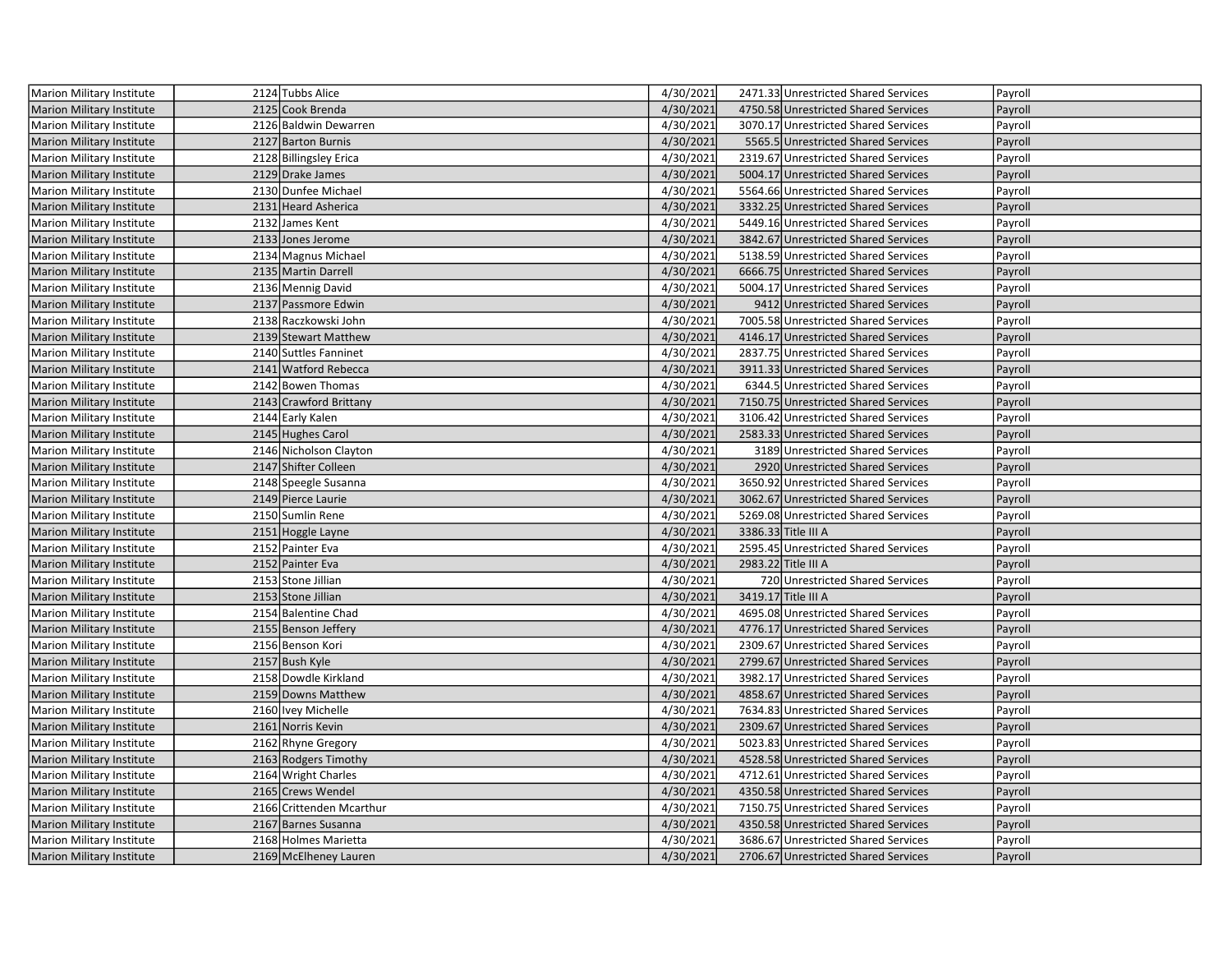| Marion Military Institute        | 2124 Tubbs Alice         | 4/30/2021 | 2471.33 Unrestricted Shared Services | Payroll |
|----------------------------------|--------------------------|-----------|--------------------------------------|---------|
| Marion Military Institute        | 2125 Cook Brenda         | 4/30/2021 | 4750.58 Unrestricted Shared Services | Payroll |
| <b>Marion Military Institute</b> | 2126 Baldwin Dewarren    | 4/30/2021 | 3070.17 Unrestricted Shared Services | Payroll |
| <b>Marion Military Institute</b> | 2127 Barton Burnis       | 4/30/2021 | 5565.5 Unrestricted Shared Services  | Payroll |
| <b>Marion Military Institute</b> | 2128 Billingsley Erica   | 4/30/2021 | 2319.67 Unrestricted Shared Services | Payroll |
| <b>Marion Military Institute</b> | 2129 Drake James         | 4/30/2021 | 5004.17 Unrestricted Shared Services | Payroll |
| Marion Military Institute        | 2130 Dunfee Michael      | 4/30/2021 | 5564.66 Unrestricted Shared Services | Payroll |
| Marion Military Institute        | 2131 Heard Asherica      | 4/30/2021 | 3332.25 Unrestricted Shared Services | Payroll |
| Marion Military Institute        | 2132 James Kent          | 4/30/2021 | 5449.16 Unrestricted Shared Services | Payroll |
| <b>Marion Military Institute</b> | 2133 Jones Jerome        | 4/30/2021 | 3842.67 Unrestricted Shared Services | Payroll |
| <b>Marion Military Institute</b> | 2134 Magnus Michael      | 4/30/2021 | 5138.59 Unrestricted Shared Services | Payroll |
| <b>Marion Military Institute</b> | 2135 Martin Darrell      | 4/30/2021 | 6666.75 Unrestricted Shared Services | Payroll |
| <b>Marion Military Institute</b> | 2136 Mennig David        | 4/30/2021 | 5004.17 Unrestricted Shared Services | Payroll |
| Marion Military Institute        | 2137 Passmore Edwin      | 4/30/2021 | 9412 Unrestricted Shared Services    | Payroll |
| <b>Marion Military Institute</b> | 2138 Raczkowski John     | 4/30/2021 | 7005.58 Unrestricted Shared Services | Payroll |
| Marion Military Institute        | 2139 Stewart Matthew     | 4/30/2021 | 4146.17 Unrestricted Shared Services | Payroll |
| Marion Military Institute        | 2140 Suttles Fanninet    | 4/30/2021 | 2837.75 Unrestricted Shared Services | Payroll |
| Marion Military Institute        | 2141 Watford Rebecca     | 4/30/2021 | 3911.33 Unrestricted Shared Services | Payroll |
| <b>Marion Military Institute</b> | 2142 Bowen Thomas        | 4/30/2021 | 6344.5 Unrestricted Shared Services  | Payroll |
| Marion Military Institute        | 2143 Crawford Brittany   | 4/30/2021 | 7150.75 Unrestricted Shared Services | Payroll |
| <b>Marion Military Institute</b> | 2144 Early Kalen         | 4/30/2021 | 3106.42 Unrestricted Shared Services | Payroll |
| <b>Marion Military Institute</b> | 2145 Hughes Carol        | 4/30/2021 | 2583.33 Unrestricted Shared Services | Payroll |
| Marion Military Institute        | 2146 Nicholson Clayton   | 4/30/2021 | 3189 Unrestricted Shared Services    | Payroll |
| Marion Military Institute        | 2147 Shifter Colleen     | 4/30/2021 | 2920 Unrestricted Shared Services    | Payroll |
| Marion Military Institute        | 2148 Speegle Susanna     | 4/30/2021 | 3650.92 Unrestricted Shared Services | Payroll |
| Marion Military Institute        | 2149 Pierce Laurie       | 4/30/2021 | 3062.67 Unrestricted Shared Services | Payroll |
| <b>Marion Military Institute</b> | 2150 Sumlin Rene         | 4/30/2021 | 5269.08 Unrestricted Shared Services | Payroll |
| <b>Marion Military Institute</b> | 2151 Hoggle Layne        | 4/30/2021 | 3386.33 Title III A                  | Payroll |
| <b>Marion Military Institute</b> | 2152 Painter Eva         | 4/30/2021 | 2595.45 Unrestricted Shared Services | Payroll |
| <b>Marion Military Institute</b> | 2152 Painter Eva         | 4/30/2021 | 2983.22 Title III A                  | Payroll |
| <b>Marion Military Institute</b> | 2153 Stone Jillian       | 4/30/2021 | 720 Unrestricted Shared Services     | Payroll |
| Marion Military Institute        | 2153 Stone Jillian       | 4/30/2021 | 3419.17 Title III A                  | Payroll |
| <b>Marion Military Institute</b> | 2154 Balentine Chad      | 4/30/2021 | 4695.08 Unrestricted Shared Services | Payroll |
| Marion Military Institute        | 2155 Benson Jeffery      | 4/30/2021 | 4776.17 Unrestricted Shared Services | Payroll |
| <b>Marion Military Institute</b> | 2156 Benson Kori         | 4/30/2021 | 2309.67 Unrestricted Shared Services | Payroll |
| <b>Marion Military Institute</b> | 2157 Bush Kyle           | 4/30/2021 | 2799.67 Unrestricted Shared Services | Payroll |
| <b>Marion Military Institute</b> | 2158 Dowdle Kirkland     | 4/30/2021 | 3982.17 Unrestricted Shared Services | Payroll |
| <b>Marion Military Institute</b> | 2159 Downs Matthew       | 4/30/2021 | 4858.67 Unrestricted Shared Services | Payroll |
| Marion Military Institute        | 2160 Ivey Michelle       | 4/30/2021 | 7634.83 Unrestricted Shared Services | Payroll |
| <b>Marion Military Institute</b> | 2161 Norris Kevin        | 4/30/2021 | 2309.67 Unrestricted Shared Services | Payroll |
| Marion Military Institute        | 2162 Rhyne Gregory       | 4/30/2021 | 5023.83 Unrestricted Shared Services | Payroll |
| Marion Military Institute        | 2163 Rodgers Timothy     | 4/30/2021 | 4528.58 Unrestricted Shared Services | Payroll |
| Marion Military Institute        | 2164 Wright Charles      | 4/30/2021 | 4712.61 Unrestricted Shared Services | Payroll |
| <b>Marion Military Institute</b> | 2165 Crews Wendel        | 4/30/2021 | 4350.58 Unrestricted Shared Services | Payroll |
| Marion Military Institute        | 2166 Crittenden Mcarthur | 4/30/2021 | 7150.75 Unrestricted Shared Services | Payroll |
| <b>Marion Military Institute</b> | 2167 Barnes Susanna      | 4/30/2021 | 4350.58 Unrestricted Shared Services | Payroll |
| Marion Military Institute        | 2168 Holmes Marietta     | 4/30/2021 | 3686.67 Unrestricted Shared Services | Payroll |
| <b>Marion Military Institute</b> | 2169 McElheney Lauren    | 4/30/2021 | 2706.67 Unrestricted Shared Services | Payroll |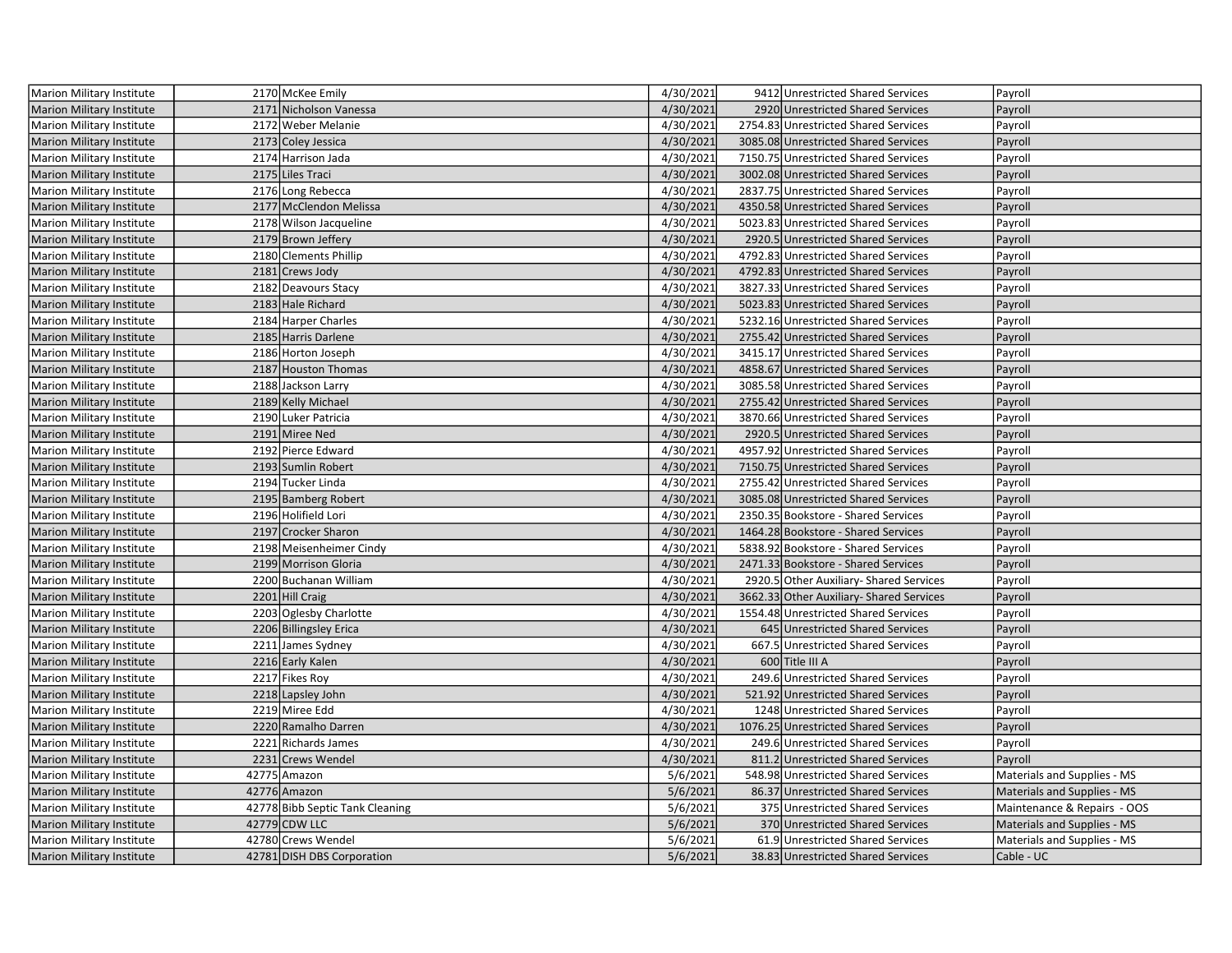| Marion Military Institute        | 2170 McKee Emily                | 4/30/2021 | 9412 Unrestricted Shared Services        | Payroll                     |
|----------------------------------|---------------------------------|-----------|------------------------------------------|-----------------------------|
| <b>Marion Military Institute</b> | 2171 Nicholson Vanessa          | 4/30/2021 | 2920 Unrestricted Shared Services        | Payroll                     |
| Marion Military Institute        | 2172 Weber Melanie              | 4/30/2021 | 2754.83 Unrestricted Shared Services     | Payroll                     |
| Marion Military Institute        | 2173 Coley Jessica              | 4/30/2021 | 3085.08 Unrestricted Shared Services     | Payroll                     |
| Marion Military Institute        | 2174 Harrison Jada              | 4/30/2021 | 7150.75 Unrestricted Shared Services     | Payroll                     |
| Marion Military Institute        | 2175 Liles Traci                | 4/30/2021 | 3002.08 Unrestricted Shared Services     | Payroll                     |
| Marion Military Institute        | 2176 Long Rebecca               | 4/30/2021 | 2837.75 Unrestricted Shared Services     | Payroll                     |
| <b>Marion Military Institute</b> | 2177 McClendon Melissa          | 4/30/2021 | 4350.58 Unrestricted Shared Services     | Payroll                     |
| Marion Military Institute        | 2178 Wilson Jacqueline          | 4/30/2021 | 5023.83 Unrestricted Shared Services     | Payroll                     |
| <b>Marion Military Institute</b> | 2179 Brown Jeffery              | 4/30/2021 | 2920.5 Unrestricted Shared Services      | Payroll                     |
| Marion Military Institute        | 2180 Clements Phillip           | 4/30/2021 | 4792.83 Unrestricted Shared Services     | Payroll                     |
| Marion Military Institute        | 2181 Crews Jody                 | 4/30/2021 | 4792.83 Unrestricted Shared Services     | Payroll                     |
| Marion Military Institute        | 2182 Deavours Stacy             | 4/30/2021 | 3827.33 Unrestricted Shared Services     | Payroll                     |
| <b>Marion Military Institute</b> | 2183 Hale Richard               | 4/30/2021 | 5023.83 Unrestricted Shared Services     | Payroll                     |
| Marion Military Institute        | 2184 Harper Charles             | 4/30/2021 | 5232.16 Unrestricted Shared Services     | Payroll                     |
| <b>Marion Military Institute</b> | 2185 Harris Darlene             | 4/30/2021 | 2755.42 Unrestricted Shared Services     | Payroll                     |
| Marion Military Institute        | 2186 Horton Joseph              | 4/30/2021 | 3415.17 Unrestricted Shared Services     | Payroll                     |
| <b>Marion Military Institute</b> | 2187 Houston Thomas             | 4/30/2021 | 4858.67 Unrestricted Shared Services     | Payroll                     |
| <b>Marion Military Institute</b> | 2188 Jackson Larry              | 4/30/2021 | 3085.58 Unrestricted Shared Services     | Payroll                     |
| <b>Marion Military Institute</b> | 2189 Kelly Michael              | 4/30/2021 | 2755.42 Unrestricted Shared Services     | Payroll                     |
| Marion Military Institute        | 2190 Luker Patricia             | 4/30/2021 | 3870.66 Unrestricted Shared Services     | Payroll                     |
| Marion Military Institute        | 2191 Miree Ned                  | 4/30/2021 | 2920.5 Unrestricted Shared Services      | Payroll                     |
| Marion Military Institute        | 2192 Pierce Edward              | 4/30/2021 | 4957.92 Unrestricted Shared Services     | Payroll                     |
| <b>Marion Military Institute</b> | 2193 Sumlin Robert              | 4/30/2021 | 7150.75 Unrestricted Shared Services     | Payroll                     |
| Marion Military Institute        | 2194 Tucker Linda               | 4/30/2021 | 2755.42 Unrestricted Shared Services     | Payroll                     |
| <b>Marion Military Institute</b> | 2195 Bamberg Robert             | 4/30/2021 | 3085.08 Unrestricted Shared Services     | Payroll                     |
| <b>Marion Military Institute</b> | 2196 Holifield Lori             | 4/30/2021 | 2350.35 Bookstore - Shared Services      | Payroll                     |
| Marion Military Institute        | 2197 Crocker Sharon             | 4/30/2021 | 1464.28 Bookstore - Shared Services      | Payroll                     |
| Marion Military Institute        | 2198 Meisenheimer Cindy         | 4/30/2021 | 5838.92 Bookstore - Shared Services      | Payroll                     |
| Marion Military Institute        | 2199 Morrison Gloria            | 4/30/2021 | 2471.33 Bookstore - Shared Services      | Payroll                     |
| Marion Military Institute        | 2200 Buchanan William           | 4/30/2021 | 2920.5 Other Auxiliary- Shared Services  | Payroll                     |
| <b>Marion Military Institute</b> | 2201 Hill Craig                 | 4/30/2021 | 3662.33 Other Auxiliary- Shared Services | Payroll                     |
| Marion Military Institute        | 2203 Oglesby Charlotte          | 4/30/2021 | 1554.48 Unrestricted Shared Services     | Payroll                     |
| <b>Marion Military Institute</b> | 2206 Billingsley Erica          | 4/30/2021 | 645 Unrestricted Shared Services         | Payroll                     |
| Marion Military Institute        | 2211 James Sydney               | 4/30/2021 | 667.5 Unrestricted Shared Services       | Payroll                     |
| <b>Marion Military Institute</b> | 2216 Early Kalen                | 4/30/2021 | 600 Title III A                          | Payroll                     |
| Marion Military Institute        | 2217 Fikes Roy                  | 4/30/2021 | 249.6 Unrestricted Shared Services       | Payroll                     |
| <b>Marion Military Institute</b> | 2218 Lapsley John               | 4/30/2021 | 521.92 Unrestricted Shared Services      | Payroll                     |
| Marion Military Institute        | 2219 Miree Edd                  | 4/30/2021 | 1248 Unrestricted Shared Services        | Payroll                     |
| <b>Marion Military Institute</b> | 2220 Ramalho Darren             | 4/30/2021 | 1076.25 Unrestricted Shared Services     | Payroll                     |
| Marion Military Institute        | 2221 Richards James             | 4/30/2021 | 249.6 Unrestricted Shared Services       | Payroll                     |
| <b>Marion Military Institute</b> | 2231 Crews Wendel               | 4/30/2021 | 811.2 Unrestricted Shared Services       | Payroll                     |
| Marion Military Institute        | 42775 Amazon                    | 5/6/2021  | 548.98 Unrestricted Shared Services      | Materials and Supplies - MS |
| <b>Marion Military Institute</b> | 42776 Amazon                    | 5/6/2021  | 86.37 Unrestricted Shared Services       | Materials and Supplies - MS |
| Marion Military Institute        | 42778 Bibb Septic Tank Cleaning | 5/6/2021  | 375 Unrestricted Shared Services         | Maintenance & Repairs - OOS |
| <b>Marion Military Institute</b> | 42779 CDW LLC                   | 5/6/2021  | 370 Unrestricted Shared Services         | Materials and Supplies - MS |
| Marion Military Institute        | 42780 Crews Wendel              | 5/6/2021  | 61.9 Unrestricted Shared Services        | Materials and Supplies - MS |
| Marion Military Institute        | 42781 DISH DBS Corporation      | 5/6/2021  | 38.83 Unrestricted Shared Services       | Cable - UC                  |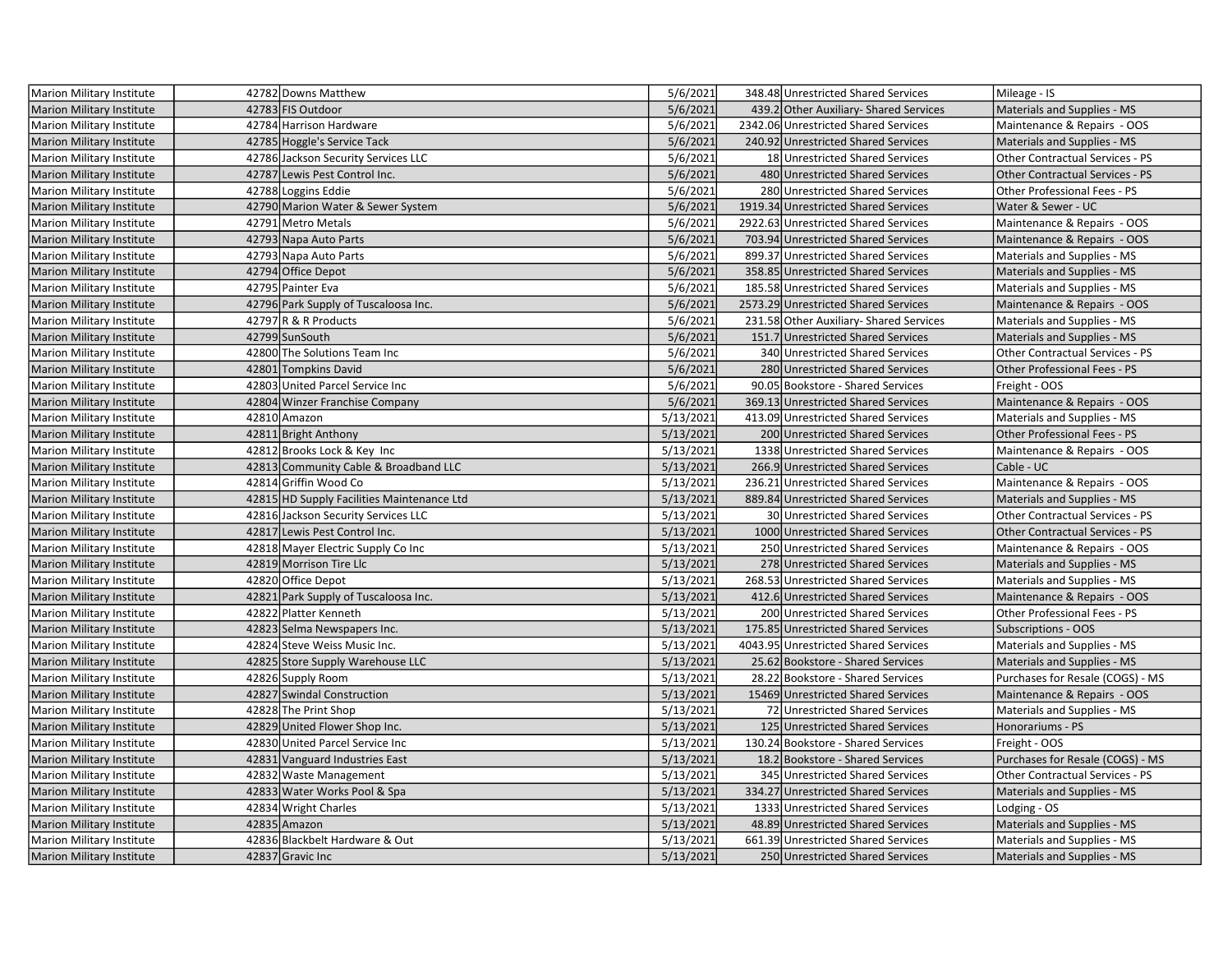| Marion Military Institute        | 42782 Downs Matthew                        | 5/6/2021  | 348.48 Unrestricted Shared Services     | Mileage - IS                           |
|----------------------------------|--------------------------------------------|-----------|-----------------------------------------|----------------------------------------|
| Marion Military Institute        | 42783 FIS Outdoor                          | 5/6/2021  | 439.2 Other Auxiliary- Shared Services  | Materials and Supplies - MS            |
| Marion Military Institute        | 42784 Harrison Hardware                    | 5/6/2021  | 2342.06 Unrestricted Shared Services    | Maintenance & Repairs - OOS            |
| <b>Marion Military Institute</b> | 42785 Hoggle's Service Tack                | 5/6/2021  | 240.92 Unrestricted Shared Services     | Materials and Supplies - MS            |
| <b>Marion Military Institute</b> | 42786 Jackson Security Services LLC        | 5/6/2021  | 18 Unrestricted Shared Services         | Other Contractual Services - PS        |
| <b>Marion Military Institute</b> | 42787 Lewis Pest Control Inc.              | 5/6/2021  | 480 Unrestricted Shared Services        | <b>Other Contractual Services - PS</b> |
| <b>Marion Military Institute</b> | 42788 Loggins Eddie                        | 5/6/2021  | 280 Unrestricted Shared Services        | Other Professional Fees - PS           |
| <b>Marion Military Institute</b> | 42790 Marion Water & Sewer System          | 5/6/2021  | 1919.34 Unrestricted Shared Services    | Water & Sewer - UC                     |
| <b>Marion Military Institute</b> | 42791 Metro Metals                         | 5/6/2021  | 2922.63 Unrestricted Shared Services    | Maintenance & Repairs - OOS            |
| <b>Marion Military Institute</b> | 42793 Napa Auto Parts                      | 5/6/2021  | 703.94 Unrestricted Shared Services     | Maintenance & Repairs - OOS            |
| <b>Marion Military Institute</b> | 42793 Napa Auto Parts                      | 5/6/2021  | 899.37 Unrestricted Shared Services     | Materials and Supplies - MS            |
| <b>Marion Military Institute</b> | 42794 Office Depot                         | 5/6/2021  | 358.85 Unrestricted Shared Services     | Materials and Supplies - MS            |
| Marion Military Institute        | 42795 Painter Eva                          | 5/6/2021  | 185.58 Unrestricted Shared Services     | Materials and Supplies - MS            |
| <b>Marion Military Institute</b> | 42796 Park Supply of Tuscaloosa Inc.       | 5/6/2021  | 2573.29 Unrestricted Shared Services    | Maintenance & Repairs - OOS            |
| <b>Marion Military Institute</b> | 42797 R & R Products                       | 5/6/2021  | 231.58 Other Auxiliary- Shared Services | Materials and Supplies - MS            |
| <b>Marion Military Institute</b> | 42799 SunSouth                             | 5/6/2021  | 151.7 Unrestricted Shared Services      | Materials and Supplies - MS            |
| <b>Marion Military Institute</b> | 42800 The Solutions Team Inc               | 5/6/2021  | 340 Unrestricted Shared Services        | Other Contractual Services - PS        |
| <b>Marion Military Institute</b> | 42801 Tompkins David                       | 5/6/2021  | 280 Unrestricted Shared Services        | Other Professional Fees - PS           |
| Marion Military Institute        | 42803 United Parcel Service Inc            | 5/6/2021  | 90.05 Bookstore - Shared Services       | Freight - OOS                          |
| <b>Marion Military Institute</b> | 42804 Winzer Franchise Company             | 5/6/2021  | 369.13 Unrestricted Shared Services     | Maintenance & Repairs - OOS            |
| Marion Military Institute        | 42810 Amazon                               | 5/13/2021 | 413.09 Unrestricted Shared Services     | Materials and Supplies - MS            |
| <b>Marion Military Institute</b> | 42811 Bright Anthony                       | 5/13/2021 | 200 Unrestricted Shared Services        | Other Professional Fees - PS           |
| <b>Marion Military Institute</b> | 42812 Brooks Lock & Key Inc                | 5/13/2021 | 1338 Unrestricted Shared Services       | Maintenance & Repairs - OOS            |
| <b>Marion Military Institute</b> | 42813 Community Cable & Broadband LLC      | 5/13/2021 | 266.9 Unrestricted Shared Services      | Cable - UC                             |
| Marion Military Institute        | 42814 Griffin Wood Co                      | 5/13/2021 | 236.21 Unrestricted Shared Services     | Maintenance & Repairs - OOS            |
| <b>Marion Military Institute</b> | 42815 HD Supply Facilities Maintenance Ltd | 5/13/2021 | 889.84 Unrestricted Shared Services     | Materials and Supplies - MS            |
| Marion Military Institute        | 42816 Jackson Security Services LLC        | 5/13/2021 | 30 Unrestricted Shared Services         | Other Contractual Services - PS        |
| <b>Marion Military Institute</b> | 42817 Lewis Pest Control Inc.              | 5/13/2021 | 1000 Unrestricted Shared Services       | <b>Other Contractual Services - PS</b> |
| <b>Marion Military Institute</b> | 42818 Mayer Electric Supply Co Inc         | 5/13/2021 | 250 Unrestricted Shared Services        | Maintenance & Repairs - OOS            |
| <b>Marion Military Institute</b> | 42819 Morrison Tire Llc                    | 5/13/2021 | 278 Unrestricted Shared Services        | Materials and Supplies - MS            |
| <b>Marion Military Institute</b> | 42820 Office Depot                         | 5/13/2021 | 268.53 Unrestricted Shared Services     | Materials and Supplies - MS            |
| <b>Marion Military Institute</b> | 42821 Park Supply of Tuscaloosa Inc.       | 5/13/2021 | 412.6 Unrestricted Shared Services      | Maintenance & Repairs - OOS            |
| <b>Marion Military Institute</b> | 42822 Platter Kenneth                      | 5/13/2021 | 200 Unrestricted Shared Services        | Other Professional Fees - PS           |
| Marion Military Institute        | 42823 Selma Newspapers Inc.                | 5/13/2021 | 175.85 Unrestricted Shared Services     | <b>Subscriptions - OOS</b>             |
| <b>Marion Military Institute</b> | 42824 Steve Weiss Music Inc.               | 5/13/2021 | 4043.95 Unrestricted Shared Services    | Materials and Supplies - MS            |
| <b>Marion Military Institute</b> | 42825 Store Supply Warehouse LLC           | 5/13/2021 | 25.62 Bookstore - Shared Services       | Materials and Supplies - MS            |
| <b>Marion Military Institute</b> | 42826 Supply Room                          | 5/13/2021 | 28.22 Bookstore - Shared Services       | Purchases for Resale (COGS) - MS       |
| <b>Marion Military Institute</b> | 42827 Swindal Construction                 | 5/13/2021 | 15469 Unrestricted Shared Services      | Maintenance & Repairs - OOS            |
| Marion Military Institute        | 42828 The Print Shop                       | 5/13/2021 | 72 Unrestricted Shared Services         | Materials and Supplies - MS            |
| <b>Marion Military Institute</b> | 42829 United Flower Shop Inc.              | 5/13/2021 | 125 Unrestricted Shared Services        | Honorariums - PS                       |
| <b>Marion Military Institute</b> | 42830 United Parcel Service Inc            | 5/13/2021 | 130.24 Bookstore - Shared Services      | Freight - OOS                          |
| <b>Marion Military Institute</b> | 42831 Vanguard Industries East             | 5/13/2021 | 18.2 Bookstore - Shared Services        | Purchases for Resale (COGS) - MS       |
| Marion Military Institute        | 42832 Waste Management                     | 5/13/2021 | 345 Unrestricted Shared Services        | Other Contractual Services - PS        |
| <b>Marion Military Institute</b> | 42833 Water Works Pool & Spa               | 5/13/2021 | 334.27 Unrestricted Shared Services     | Materials and Supplies - MS            |
| Marion Military Institute        | 42834 Wright Charles                       | 5/13/2021 | 1333 Unrestricted Shared Services       | Lodging - OS                           |
| <b>Marion Military Institute</b> | 42835 Amazon                               | 5/13/2021 | 48.89 Unrestricted Shared Services      | Materials and Supplies - MS            |
| Marion Military Institute        | 42836 Blackbelt Hardware & Out             | 5/13/2021 | 661.39 Unrestricted Shared Services     | Materials and Supplies - MS            |
| <b>Marion Military Institute</b> | 42837 Gravic Inc                           | 5/13/2021 | 250 Unrestricted Shared Services        | Materials and Supplies - MS            |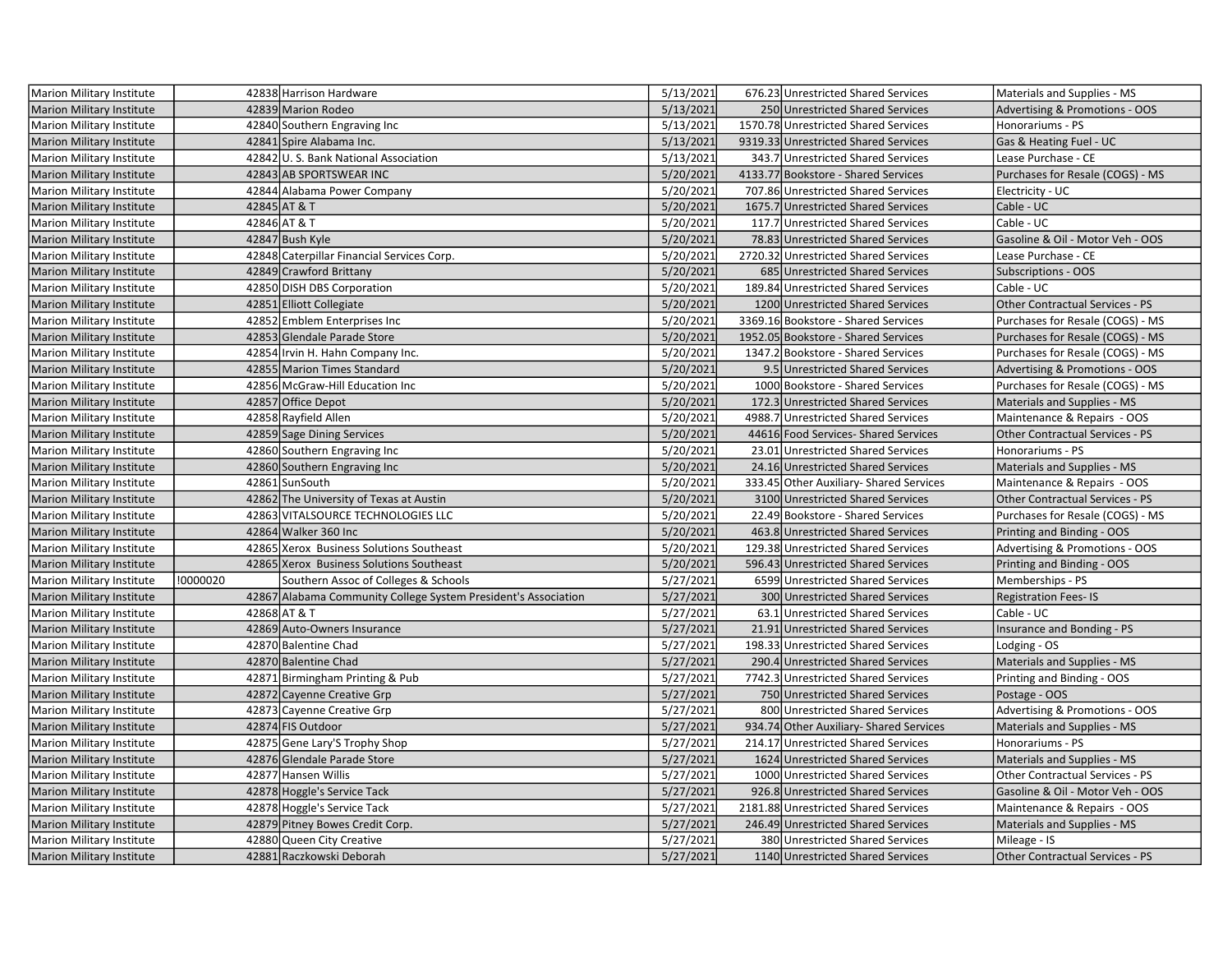| Marion Military Institute        |          | 42838 Harrison Hardware                                        | 5/13/2021 | 676.23 Unrestricted Shared Services     | Materials and Supplies - MS               |
|----------------------------------|----------|----------------------------------------------------------------|-----------|-----------------------------------------|-------------------------------------------|
| <b>Marion Military Institute</b> |          | 42839 Marion Rodeo                                             | 5/13/2021 | 250 Unrestricted Shared Services        | <b>Advertising &amp; Promotions - OOS</b> |
| Marion Military Institute        |          | 42840 Southern Engraving Inc                                   | 5/13/2021 | 1570.78 Unrestricted Shared Services    | Honorariums - PS                          |
| <b>Marion Military Institute</b> |          | 42841 Spire Alabama Inc.                                       | 5/13/2021 | 9319.33 Unrestricted Shared Services    | Gas & Heating Fuel - UC                   |
| Marion Military Institute        |          | 42842 U.S. Bank National Association                           | 5/13/2021 | 343.7 Unrestricted Shared Services      | Lease Purchase - CE                       |
| Marion Military Institute        |          | 42843 AB SPORTSWEAR INC                                        | 5/20/2021 | 4133.77 Bookstore - Shared Services     | Purchases for Resale (COGS) - MS          |
| Marion Military Institute        |          | 42844 Alabama Power Company                                    | 5/20/2021 | 707.86 Unrestricted Shared Services     | Electricity - UC                          |
| <b>Marion Military Institute</b> |          | 42845 AT & T                                                   | 5/20/2021 | 1675.7 Unrestricted Shared Services     | Cable - UC                                |
| <b>Marion Military Institute</b> |          | 42846 AT & T                                                   | 5/20/2021 | 117.7 Unrestricted Shared Services      | Cable - UC                                |
| <b>Marion Military Institute</b> |          | 42847 Bush Kyle                                                | 5/20/2021 | 78.83 Unrestricted Shared Services      | Gasoline & Oil - Motor Veh - OOS          |
| <b>Marion Military Institute</b> |          | 42848 Caterpillar Financial Services Corp.                     | 5/20/2021 | 2720.32 Unrestricted Shared Services    | Lease Purchase - CE                       |
| Marion Military Institute        |          | 42849 Crawford Brittany                                        | 5/20/2021 | 685 Unrestricted Shared Services        | <b>Subscriptions - OOS</b>                |
| Marion Military Institute        |          | 42850 DISH DBS Corporation                                     | 5/20/2021 | 189.84 Unrestricted Shared Services     | Cable - UC                                |
| Marion Military Institute        |          | 42851 Elliott Collegiate                                       | 5/20/2021 | 1200 Unrestricted Shared Services       | Other Contractual Services - PS           |
| Marion Military Institute        |          | 42852 Emblem Enterprises Inc                                   | 5/20/2021 | 3369.16 Bookstore - Shared Services     | Purchases for Resale (COGS) - MS          |
| <b>Marion Military Institute</b> |          | 42853 Glendale Parade Store                                    | 5/20/2021 | 1952.05 Bookstore - Shared Services     | Purchases for Resale (COGS) - MS          |
| Marion Military Institute        |          | 42854 Irvin H. Hahn Company Inc.                               | 5/20/2021 | 1347.2 Bookstore - Shared Services      | Purchases for Resale (COGS) - MS          |
| <b>Marion Military Institute</b> |          | 42855 Marion Times Standard                                    | 5/20/2021 | 9.5 Unrestricted Shared Services        | Advertising & Promotions - OOS            |
| <b>Marion Military Institute</b> |          | 42856 McGraw-Hill Education Inc                                | 5/20/2021 | 1000 Bookstore - Shared Services        | Purchases for Resale (COGS) - MS          |
| <b>Marion Military Institute</b> |          | 42857 Office Depot                                             | 5/20/2021 | 172.3 Unrestricted Shared Services      | Materials and Supplies - MS               |
| Marion Military Institute        |          | 42858 Rayfield Allen                                           | 5/20/2021 | 4988.7 Unrestricted Shared Services     | Maintenance & Repairs - OOS               |
| Marion Military Institute        |          | 42859 Sage Dining Services                                     | 5/20/2021 | 44616 Food Services-Shared Services     | Other Contractual Services - PS           |
| <b>Marion Military Institute</b> |          | 42860 Southern Engraving Inc                                   | 5/20/2021 | 23.01 Unrestricted Shared Services      | Honorariums - PS                          |
| Marion Military Institute        |          | 42860 Southern Engraving Inc                                   | 5/20/2021 | 24.16 Unrestricted Shared Services      | Materials and Supplies - MS               |
| <b>Marion Military Institute</b> |          | 42861 SunSouth                                                 | 5/20/2021 | 333.45 Other Auxiliary-Shared Services  | Maintenance & Repairs - OOS               |
| Marion Military Institute        |          | 42862 The University of Texas at Austin                        | 5/20/2021 | 3100 Unrestricted Shared Services       | <b>Other Contractual Services - PS</b>    |
| <b>Marion Military Institute</b> |          | 42863 VITALSOURCE TECHNOLOGIES LLC                             | 5/20/2021 | 22.49 Bookstore - Shared Services       | Purchases for Resale (COGS) - MS          |
| Marion Military Institute        |          | 42864 Walker 360 Inc                                           | 5/20/2021 | 463.8 Unrestricted Shared Services      | Printing and Binding - OOS                |
| <b>Marion Military Institute</b> |          | 42865 Xerox Business Solutions Southeast                       | 5/20/2021 | 129.38 Unrestricted Shared Services     | Advertising & Promotions - OOS            |
| Marion Military Institute        |          | 42865 Xerox Business Solutions Southeast                       | 5/20/2021 | 596.43 Unrestricted Shared Services     | Printing and Binding - OOS                |
| Marion Military Institute        | !0000020 | Southern Assoc of Colleges & Schools                           | 5/27/2021 | 6599 Unrestricted Shared Services       | Memberships - PS                          |
| <b>Marion Military Institute</b> |          | 42867 Alabama Community College System President's Association | 5/27/2021 | 300 Unrestricted Shared Services        | <b>Registration Fees-IS</b>               |
| Marion Military Institute        |          | 42868 AT & T                                                   | 5/27/2021 | 63.1 Unrestricted Shared Services       | Cable - UC                                |
| <b>Marion Military Institute</b> |          | 42869 Auto-Owners Insurance                                    | 5/27/2021 | 21.91 Unrestricted Shared Services      | Insurance and Bonding - PS                |
| Marion Military Institute        |          | 42870 Balentine Chad                                           | 5/27/2021 | 198.33 Unrestricted Shared Services     | Lodging - OS                              |
| <b>Marion Military Institute</b> |          | 42870 Balentine Chad                                           | 5/27/2021 | 290.4 Unrestricted Shared Services      | Materials and Supplies - MS               |
| Marion Military Institute        |          | 42871 Birmingham Printing & Pub                                | 5/27/2021 | 7742.3 Unrestricted Shared Services     | Printing and Binding - OOS                |
| <b>Marion Military Institute</b> |          | 42872 Cayenne Creative Grp                                     | 5/27/2021 | 750 Unrestricted Shared Services        | Postage - OOS                             |
| Marion Military Institute        |          | 42873 Cayenne Creative Grp                                     | 5/27/2021 | 800 Unrestricted Shared Services        | Advertising & Promotions - OOS            |
| Marion Military Institute        |          | 42874 FIS Outdoor                                              | 5/27/2021 | 934.74 Other Auxiliary- Shared Services | Materials and Supplies - MS               |
| Marion Military Institute        |          | 42875 Gene Lary'S Trophy Shop                                  | 5/27/2021 | 214.17 Unrestricted Shared Services     | Honorariums - PS                          |
| <b>Marion Military Institute</b> |          | 42876 Glendale Parade Store                                    | 5/27/2021 | 1624 Unrestricted Shared Services       | Materials and Supplies - MS               |
| Marion Military Institute        |          | 42877 Hansen Willis                                            | 5/27/2021 | 1000 Unrestricted Shared Services       | Other Contractual Services - PS           |
| <b>Marion Military Institute</b> |          | 42878 Hoggle's Service Tack                                    | 5/27/2021 | 926.8 Unrestricted Shared Services      | Gasoline & Oil - Motor Veh - OOS          |
| <b>Marion Military Institute</b> |          | 42878 Hoggle's Service Tack                                    | 5/27/2021 | 2181.88 Unrestricted Shared Services    | Maintenance & Repairs - OOS               |
| Marion Military Institute        |          | 42879 Pitney Bowes Credit Corp.                                | 5/27/2021 | 246.49 Unrestricted Shared Services     | Materials and Supplies - MS               |
| Marion Military Institute        |          | 42880 Queen City Creative                                      | 5/27/2021 | 380 Unrestricted Shared Services        | Mileage - IS                              |
| <b>Marion Military Institute</b> |          | 42881 Raczkowski Deborah                                       | 5/27/2021 | 1140 Unrestricted Shared Services       | <b>Other Contractual Services - PS</b>    |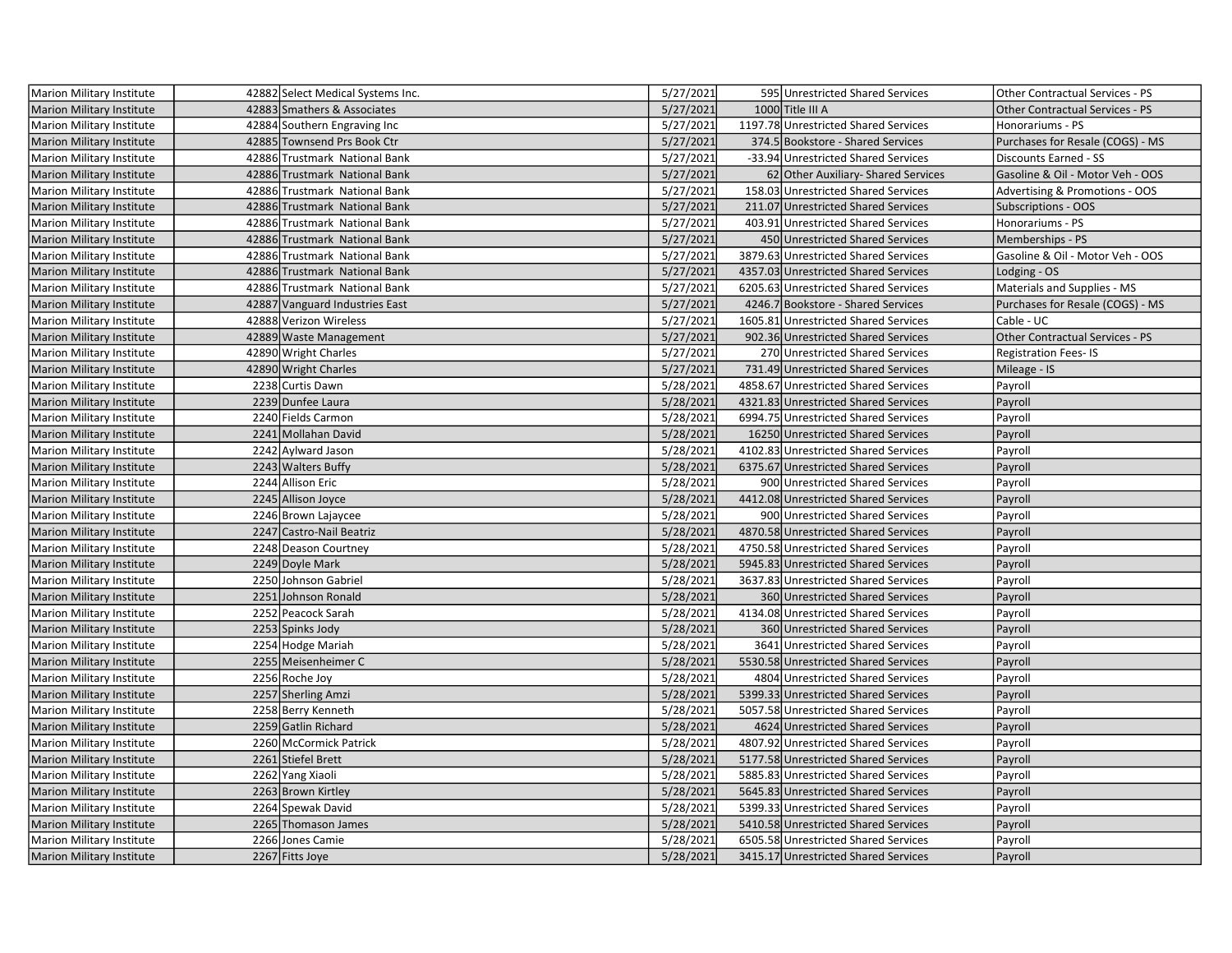| Marion Military Institute        | 42882 Select Medical Systems Inc. | 5/27/2021 | 595 Unrestricted Shared Services     | Other Contractual Services - PS        |
|----------------------------------|-----------------------------------|-----------|--------------------------------------|----------------------------------------|
| <b>Marion Military Institute</b> | 42883 Smathers & Associates       | 5/27/2021 | 1000 Title III A                     | <b>Other Contractual Services - PS</b> |
| Marion Military Institute        | 42884 Southern Engraving Inc      | 5/27/2021 | 1197.78 Unrestricted Shared Services | Honorariums - PS                       |
| <b>Marion Military Institute</b> | 42885 Townsend Prs Book Ctr       | 5/27/2021 | 374.5 Bookstore - Shared Services    | Purchases for Resale (COGS) - MS       |
| Marion Military Institute        | 42886 Trustmark National Bank     | 5/27/2021 | -33.94 Unrestricted Shared Services  | Discounts Earned - SS                  |
| <b>Marion Military Institute</b> | 42886 Trustmark National Bank     | 5/27/2021 | 62 Other Auxiliary- Shared Services  | Gasoline & Oil - Motor Veh - OOS       |
| Marion Military Institute        | 42886 Trustmark National Bank     | 5/27/2021 | 158.03 Unrestricted Shared Services  | Advertising & Promotions - OOS         |
| <b>Marion Military Institute</b> | 42886 Trustmark National Bank     | 5/27/2021 | 211.07 Unrestricted Shared Services  | Subscriptions - OOS                    |
| Marion Military Institute        | 42886 Trustmark National Bank     | 5/27/2021 | 403.91 Unrestricted Shared Services  | Honorariums - PS                       |
| Marion Military Institute        | 42886 Trustmark National Bank     | 5/27/2021 | 450 Unrestricted Shared Services     | Memberships - PS                       |
| Marion Military Institute        | 42886 Trustmark National Bank     | 5/27/2021 | 3879.63 Unrestricted Shared Services | Gasoline & Oil - Motor Veh - OOS       |
| <b>Marion Military Institute</b> | 42886 Trustmark National Bank     | 5/27/2021 | 4357.03 Unrestricted Shared Services | Lodging - OS                           |
| Marion Military Institute        | 42886 Trustmark National Bank     | 5/27/2021 | 6205.63 Unrestricted Shared Services | Materials and Supplies - MS            |
| Marion Military Institute        | 42887 Vanguard Industries East    | 5/27/2021 | 4246.7 Bookstore - Shared Services   | Purchases for Resale (COGS) - MS       |
| Marion Military Institute        | 42888 Verizon Wireless            | 5/27/2021 | 1605.81 Unrestricted Shared Services | Cable - UC                             |
| <b>Marion Military Institute</b> | 42889 Waste Management            | 5/27/2021 | 902.36 Unrestricted Shared Services  | Other Contractual Services - PS        |
| Marion Military Institute        | 42890 Wright Charles              | 5/27/2021 | 270 Unrestricted Shared Services     | <b>Registration Fees-IS</b>            |
| <b>Marion Military Institute</b> | 42890 Wright Charles              | 5/27/2021 | 731.49 Unrestricted Shared Services  | Mileage - IS                           |
| Marion Military Institute        | 2238 Curtis Dawn                  | 5/28/2021 | 4858.67 Unrestricted Shared Services | Payroll                                |
| <b>Marion Military Institute</b> | 2239 Dunfee Laura                 | 5/28/2021 | 4321.83 Unrestricted Shared Services | Payroll                                |
| Marion Military Institute        | 2240 Fields Carmon                | 5/28/2021 | 6994.75 Unrestricted Shared Services | Payroll                                |
| Marion Military Institute        | 2241 Mollahan David               | 5/28/2021 | 16250 Unrestricted Shared Services   | Payroll                                |
| Marion Military Institute        | 2242 Aylward Jason                | 5/28/2021 | 4102.83 Unrestricted Shared Services | Payroll                                |
| Marion Military Institute        | 2243 Walters Buffy                | 5/28/2021 | 6375.67 Unrestricted Shared Services | Payroll                                |
| Marion Military Institute        | 2244 Allison Eric                 | 5/28/2021 | 900 Unrestricted Shared Services     | Payroll                                |
| <b>Marion Military Institute</b> | 2245 Allison Joyce                | 5/28/2021 | 4412.08 Unrestricted Shared Services | Payroll                                |
| Marion Military Institute        | 2246 Brown Lajaycee               | 5/28/2021 | 900 Unrestricted Shared Services     | Payroll                                |
| <b>Marion Military Institute</b> | 2247 Castro-Nail Beatriz          | 5/28/2021 | 4870.58 Unrestricted Shared Services | Payroll                                |
| Marion Military Institute        | 2248 Deason Courtney              | 5/28/2021 | 4750.58 Unrestricted Shared Services | Payroll                                |
| <b>Marion Military Institute</b> | 2249 Doyle Mark                   | 5/28/2021 | 5945.83 Unrestricted Shared Services | Payroll                                |
| Marion Military Institute        | 2250 Johnson Gabriel              | 5/28/2021 | 3637.83 Unrestricted Shared Services | Payroll                                |
| <b>Marion Military Institute</b> | 2251 Johnson Ronald               | 5/28/2021 | 360 Unrestricted Shared Services     | Payroll                                |
| Marion Military Institute        | 2252 Peacock Sarah                | 5/28/2021 | 4134.08 Unrestricted Shared Services | Payroll                                |
| <b>Marion Military Institute</b> | 2253 Spinks Jody                  | 5/28/2021 | 360 Unrestricted Shared Services     | Payroll                                |
| Marion Military Institute        | 2254 Hodge Mariah                 | 5/28/2021 | 3641 Unrestricted Shared Services    | Payroll                                |
| <b>Marion Military Institute</b> | 2255 Meisenheimer C               | 5/28/2021 | 5530.58 Unrestricted Shared Services | Payroll                                |
| Marion Military Institute        | 2256 Roche Joy                    | 5/28/2021 | 4804 Unrestricted Shared Services    | Payroll                                |
| <b>Marion Military Institute</b> | 2257 Sherling Amzi                | 5/28/2021 | 5399.33 Unrestricted Shared Services | Payroll                                |
| Marion Military Institute        | 2258 Berry Kenneth                | 5/28/2021 | 5057.58 Unrestricted Shared Services | Payroll                                |
| Marion Military Institute        | 2259 Gatlin Richard               | 5/28/2021 | 4624 Unrestricted Shared Services    | Payroll                                |
| Marion Military Institute        | 2260 McCormick Patrick            | 5/28/2021 | 4807.92 Unrestricted Shared Services | Payroll                                |
| <b>Marion Military Institute</b> | 2261 Stiefel Brett                | 5/28/2021 | 5177.58 Unrestricted Shared Services | Payroll                                |
| Marion Military Institute        | 2262 Yang Xiaoli                  | 5/28/2021 | 5885.83 Unrestricted Shared Services | Payroll                                |
| <b>Marion Military Institute</b> | 2263 Brown Kirtley                | 5/28/2021 | 5645.83 Unrestricted Shared Services | Payroll                                |
| Marion Military Institute        | 2264 Spewak David                 | 5/28/2021 | 5399.33 Unrestricted Shared Services | Payroll                                |
| Marion Military Institute        | 2265 Thomason James               | 5/28/2021 | 5410.58 Unrestricted Shared Services | Payroll                                |
| Marion Military Institute        | 2266 Jones Camie                  | 5/28/2021 | 6505.58 Unrestricted Shared Services | Payroll                                |
| Marion Military Institute        | 2267 Fitts Joye                   | 5/28/2021 | 3415.17 Unrestricted Shared Services | Payroll                                |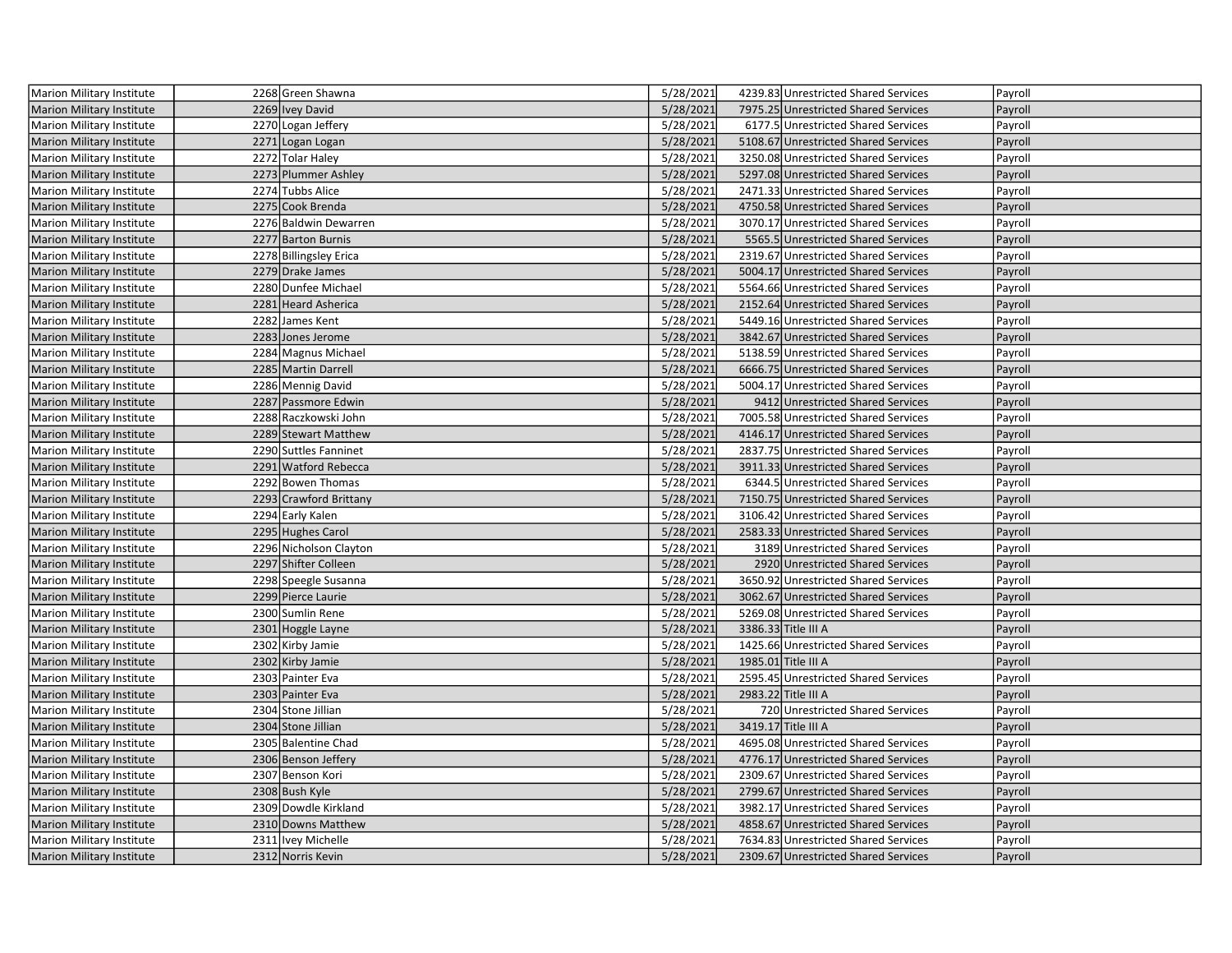| 2268 Green Shawna<br>5/28/2021<br>4239.83 Unrestricted Shared Services<br>Marion Military Institute<br>Payroll                                                                                                                            |  |
|-------------------------------------------------------------------------------------------------------------------------------------------------------------------------------------------------------------------------------------------|--|
| 2269 Ivey David<br>5/28/2021<br>7975.25 Unrestricted Shared Services<br><b>Marion Military Institute</b><br>Payroll                                                                                                                       |  |
| 2270 Logan Jeffery<br>5/28/2021<br>Marion Military Institute<br>6177.5 Unrestricted Shared Services<br>Payroll                                                                                                                            |  |
| 2271 Logan Logan<br>5/28/2021<br>5108.67 Unrestricted Shared Services<br>Marion Military Institute<br>Payroll                                                                                                                             |  |
| 2272 Tolar Haley<br>5/28/2021<br>3250.08 Unrestricted Shared Services<br>Payroll<br>Marion Military Institute                                                                                                                             |  |
| 2273 Plummer Ashley<br>5/28/2021<br>5297.08 Unrestricted Shared Services<br>Marion Military Institute<br>Payroll                                                                                                                          |  |
| 2274 Tubbs Alice<br>5/28/2021<br>Marion Military Institute<br>2471.33 Unrestricted Shared Services<br>Payroll                                                                                                                             |  |
| 2275 Cook Brenda<br>5/28/2021<br><b>Marion Military Institute</b><br>4750.58 Unrestricted Shared Services<br>Payroll                                                                                                                      |  |
| 5/28/2021<br>Marion Military Institute<br>2276 Baldwin Dewarren<br>3070.17 Unrestricted Shared Services<br>Payroll                                                                                                                        |  |
| 2277 Barton Burnis<br>5/28/2021<br>5565.5 Unrestricted Shared Services<br><b>Marion Military Institute</b><br>Payroll                                                                                                                     |  |
| 2278 Billingsley Erica<br>5/28/2021<br>2319.67 Unrestricted Shared Services<br>Marion Military Institute<br>Payroll                                                                                                                       |  |
| 2279 Drake James<br>5/28/2021<br>5004.17 Unrestricted Shared Services<br><b>Marion Military Institute</b><br>Payroll                                                                                                                      |  |
| 2280 Dunfee Michael<br>5/28/2021<br>5564.66 Unrestricted Shared Services<br>Marion Military Institute<br>Payroll                                                                                                                          |  |
| 2281 Heard Asherica<br>5/28/2021<br>2152.64 Unrestricted Shared Services<br>Payroll<br><b>Marion Military Institute</b>                                                                                                                   |  |
| 2282 James Kent<br>5/28/2021<br>5449.16 Unrestricted Shared Services<br>Payroll<br>Marion Military Institute                                                                                                                              |  |
| 2283 Jones Jerome<br>5/28/2021<br>3842.67 Unrestricted Shared Services<br>Marion Military Institute<br>Payroll                                                                                                                            |  |
| 2284 Magnus Michael<br>5/28/2021<br>Marion Military Institute<br>5138.59 Unrestricted Shared Services<br>Payroll                                                                                                                          |  |
| 5/28/2021<br>2285 Martin Darrell<br>6666.75 Unrestricted Shared Services<br><b>Marion Military Institute</b><br>Payroll                                                                                                                   |  |
| 5/28/2021<br>2286 Mennig David<br>5004.17 Unrestricted Shared Services<br><b>Marion Military Institute</b><br>Payroll                                                                                                                     |  |
| 2287 Passmore Edwin<br>5/28/2021<br>9412 Unrestricted Shared Services<br><b>Marion Military Institute</b><br>Payroll                                                                                                                      |  |
| 2288 Raczkowski John<br>5/28/2021<br>7005.58 Unrestricted Shared Services<br><b>Marion Military Institute</b><br>Payroll                                                                                                                  |  |
| 2289 Stewart Matthew<br>5/28/2021<br>4146.17 Unrestricted Shared Services<br>Payroll<br><b>Marion Military Institute</b>                                                                                                                  |  |
| 2290 Suttles Fanninet<br>5/28/2021<br>2837.75 Unrestricted Shared Services<br>Payroll<br>Marion Military Institute                                                                                                                        |  |
| 2291 Watford Rebecca<br>5/28/2021<br>3911.33 Unrestricted Shared Services<br>Payroll<br><b>Marion Military Institute</b>                                                                                                                  |  |
| 5/28/2021<br>Marion Military Institute<br>2292 Bowen Thomas<br>6344.5 Unrestricted Shared Services<br>Payroll                                                                                                                             |  |
| 2293 Crawford Brittany<br>5/28/2021<br>7150.75 Unrestricted Shared Services<br>Payroll<br><b>Marion Military Institute</b>                                                                                                                |  |
| 2294 Early Kalen<br>5/28/2021<br>3106.42 Unrestricted Shared Services<br><b>Marion Military Institute</b><br>Payroll                                                                                                                      |  |
| 2295 Hughes Carol<br>5/28/2021<br>2583.33 Unrestricted Shared Services<br>Marion Military Institute<br>Payroll                                                                                                                            |  |
| 2296 Nicholson Clayton<br>5/28/2021<br>3189 Unrestricted Shared Services<br>Marion Military Institute<br>Payroll                                                                                                                          |  |
| 2297 Shifter Colleen<br>5/28/2021<br>2920 Unrestricted Shared Services<br><b>Marion Military Institute</b><br>Payroll                                                                                                                     |  |
| 2298 Speegle Susanna<br>5/28/2021<br>3650.92 Unrestricted Shared Services<br>Marion Military Institute<br>Payroll                                                                                                                         |  |
| 2299 Pierce Laurie<br>5/28/2021<br><b>Marion Military Institute</b><br>3062.67 Unrestricted Shared Services<br>Payroll                                                                                                                    |  |
| 2300 Sumlin Rene<br>5/28/2021<br>5269.08 Unrestricted Shared Services<br>Marion Military Institute<br>Payroll                                                                                                                             |  |
| 5/28/2021<br><b>Marion Military Institute</b><br>2301 Hoggle Layne<br>3386.33 Title III A<br>Payroll                                                                                                                                      |  |
| 2302 Kirby Jamie<br>5/28/2021<br>1425.66 Unrestricted Shared Services<br>Marion Military Institute<br>Payroll                                                                                                                             |  |
| 2302 Kirby Jamie<br>5/28/2021<br>1985.01 Title III A<br><b>Marion Military Institute</b><br>Payroll                                                                                                                                       |  |
| 2303 Painter Eva<br>5/28/2021<br>2595.45 Unrestricted Shared Services<br>Marion Military Institute<br>Payroll                                                                                                                             |  |
| 2303 Painter Eva<br>5/28/2021<br>2983.22 Title III A<br>Payroll<br><b>Marion Military Institute</b>                                                                                                                                       |  |
| 2304 Stone Jillian<br>5/28/2021<br>720 Unrestricted Shared Services<br>Marion Military Institute<br>Payroll                                                                                                                               |  |
| 2304 Stone Jillian<br>5/28/2021<br>3419.17 Title III A<br>Payroll<br><b>Marion Military Institute</b>                                                                                                                                     |  |
| 2305 Balentine Chad<br>5/28/2021<br>4695.08 Unrestricted Shared Services<br>Marion Military Institute<br>Payroll                                                                                                                          |  |
| 2306 Benson Jeffery<br>5/28/2021<br>4776.17 Unrestricted Shared Services<br><b>Marion Military Institute</b><br>Payroll                                                                                                                   |  |
| 2307 Benson Kori<br>5/28/2021<br>2309.67 Unrestricted Shared Services<br>Marion Military Institute<br>Payroll                                                                                                                             |  |
| 2308 Bush Kyle<br>5/28/2021<br>2799.67 Unrestricted Shared Services<br>Payroll<br><b>Marion Military Institute</b>                                                                                                                        |  |
| 5/28/2021<br>2309 Dowdle Kirkland<br>3982.17 Unrestricted Shared Services<br>Marion Military Institute<br>Payroll                                                                                                                         |  |
|                                                                                                                                                                                                                                           |  |
|                                                                                                                                                                                                                                           |  |
| 5/28/2021<br>4858.67 Unrestricted Shared Services<br>2310 Downs Matthew<br><b>Marion Military Institute</b><br>Payroll<br>2311 Ivey Michelle<br>5/28/2021<br>7634.83 Unrestricted Shared Services<br>Marion Military Institute<br>Payroll |  |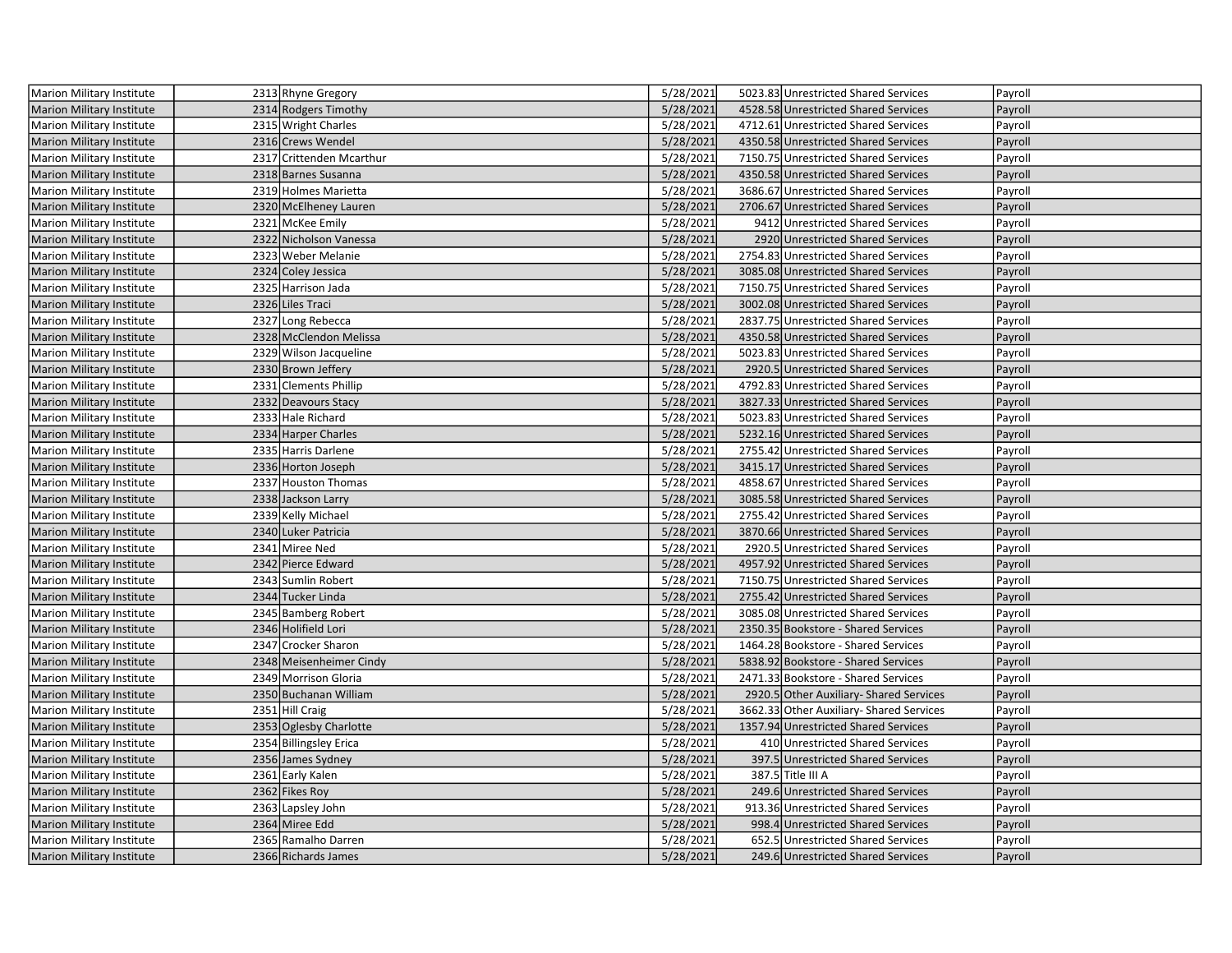| <b>Marion Military Institute</b> | 2313 Rhyne Gregory       | 5/28/2021 | 5023.83 Unrestricted Shared Services     | Payroll |
|----------------------------------|--------------------------|-----------|------------------------------------------|---------|
| <b>Marion Military Institute</b> | 2314 Rodgers Timothy     | 5/28/2021 | 4528.58 Unrestricted Shared Services     | Payroll |
| Marion Military Institute        | 2315 Wright Charles      | 5/28/2021 | 4712.61 Unrestricted Shared Services     | Payroll |
| Marion Military Institute        | 2316 Crews Wendel        | 5/28/2021 | 4350.58 Unrestricted Shared Services     | Payroll |
| Marion Military Institute        | 2317 Crittenden Mcarthur | 5/28/2021 | 7150.75 Unrestricted Shared Services     | Payroll |
| Marion Military Institute        | 2318 Barnes Susanna      | 5/28/2021 | 4350.58 Unrestricted Shared Services     | Payroll |
| Marion Military Institute        | 2319 Holmes Marietta     | 5/28/2021 | 3686.67 Unrestricted Shared Services     | Payroll |
| <b>Marion Military Institute</b> | 2320 McElheney Lauren    | 5/28/2021 | 2706.67 Unrestricted Shared Services     | Payroll |
| Marion Military Institute        | 2321 McKee Emily         | 5/28/2021 | 9412 Unrestricted Shared Services        | Payroll |
| <b>Marion Military Institute</b> | 2322 Nicholson Vanessa   | 5/28/2021 | 2920 Unrestricted Shared Services        | Payroll |
| Marion Military Institute        | 2323 Weber Melanie       | 5/28/2021 | 2754.83 Unrestricted Shared Services     | Payroll |
| <b>Marion Military Institute</b> | 2324 Coley Jessica       | 5/28/2021 | 3085.08 Unrestricted Shared Services     | Payroll |
| Marion Military Institute        | 2325 Harrison Jada       | 5/28/2021 | 7150.75 Unrestricted Shared Services     | Payroll |
| <b>Marion Military Institute</b> | 2326 Liles Traci         | 5/28/2021 | 3002.08 Unrestricted Shared Services     | Payroll |
| Marion Military Institute        | 2327 Long Rebecca        | 5/28/2021 | 2837.75 Unrestricted Shared Services     | Payroll |
| <b>Marion Military Institute</b> | 2328 McClendon Melissa   | 5/28/2021 | 4350.58 Unrestricted Shared Services     | Payroll |
| Marion Military Institute        | 2329 Wilson Jacqueline   | 5/28/2021 | 5023.83 Unrestricted Shared Services     | Payroll |
| <b>Marion Military Institute</b> | 2330 Brown Jeffery       | 5/28/2021 | 2920.5 Unrestricted Shared Services      | Payroll |
| <b>Marion Military Institute</b> | 2331 Clements Phillip    | 5/28/2021 | 4792.83 Unrestricted Shared Services     | Payroll |
| <b>Marion Military Institute</b> | 2332 Deavours Stacy      | 5/28/2021 | 3827.33 Unrestricted Shared Services     | Payroll |
| <b>Marion Military Institute</b> | 2333 Hale Richard        | 5/28/2021 | 5023.83 Unrestricted Shared Services     | Payroll |
| <b>Marion Military Institute</b> | 2334 Harper Charles      | 5/28/2021 | 5232.16 Unrestricted Shared Services     | Payroll |
| Marion Military Institute        | 2335 Harris Darlene      | 5/28/2021 | 2755.42 Unrestricted Shared Services     | Payroll |
| <b>Marion Military Institute</b> | 2336 Horton Joseph       | 5/28/2021 | 3415.17 Unrestricted Shared Services     | Payroll |
| Marion Military Institute        | 2337 Houston Thomas      | 5/28/2021 | 4858.67 Unrestricted Shared Services     | Payroll |
| <b>Marion Military Institute</b> | 2338 Jackson Larry       | 5/28/2021 | 3085.58 Unrestricted Shared Services     | Payroll |
| <b>Marion Military Institute</b> | 2339 Kelly Michael       | 5/28/2021 | 2755.42 Unrestricted Shared Services     | Payroll |
| Marion Military Institute        | 2340 Luker Patricia      | 5/28/2021 | 3870.66 Unrestricted Shared Services     | Payroll |
| Marion Military Institute        | 2341 Miree Ned           | 5/28/2021 | 2920.5 Unrestricted Shared Services      | Payroll |
| Marion Military Institute        | 2342 Pierce Edward       | 5/28/2021 | 4957.92 Unrestricted Shared Services     | Payroll |
| Marion Military Institute        | 2343 Sumlin Robert       | 5/28/2021 | 7150.75 Unrestricted Shared Services     | Payroll |
| <b>Marion Military Institute</b> | 2344 Tucker Linda        | 5/28/2021 | 2755.42 Unrestricted Shared Services     | Payroll |
| Marion Military Institute        | 2345 Bamberg Robert      | 5/28/2021 | 3085.08 Unrestricted Shared Services     | Payroll |
| <b>Marion Military Institute</b> | 2346 Holifield Lori      | 5/28/2021 | 2350.35 Bookstore - Shared Services      | Payroll |
| Marion Military Institute        | 2347 Crocker Sharon      | 5/28/2021 | 1464.28 Bookstore - Shared Services      | Payroll |
| <b>Marion Military Institute</b> | 2348 Meisenheimer Cindy  | 5/28/2021 | 5838.92 Bookstore - Shared Services      | Payroll |
| Marion Military Institute        | 2349 Morrison Gloria     | 5/28/2021 | 2471.33 Bookstore - Shared Services      | Payroll |
| <b>Marion Military Institute</b> | 2350 Buchanan William    | 5/28/2021 | 2920.5 Other Auxiliary- Shared Services  | Payroll |
| Marion Military Institute        | 2351 Hill Craig          | 5/28/2021 | 3662.33 Other Auxiliary- Shared Services | Payroll |
| <b>Marion Military Institute</b> | 2353 Oglesby Charlotte   | 5/28/2021 | 1357.94 Unrestricted Shared Services     | Payroll |
| Marion Military Institute        | 2354 Billingsley Erica   | 5/28/2021 | 410 Unrestricted Shared Services         | Payroll |
| <b>Marion Military Institute</b> | 2356 James Sydney        | 5/28/2021 | 397.5 Unrestricted Shared Services       | Payroll |
| Marion Military Institute        | 2361 Early Kalen         | 5/28/2021 | 387.5 Title III A                        | Payroll |
| <b>Marion Military Institute</b> | 2362 Fikes Roy           | 5/28/2021 | 249.6 Unrestricted Shared Services       | Payroll |
| Marion Military Institute        | 2363 Lapsley John        | 5/28/2021 | 913.36 Unrestricted Shared Services      | Payroll |
| <b>Marion Military Institute</b> | 2364 Miree Edd           | 5/28/2021 | 998.4 Unrestricted Shared Services       | Payroll |
| Marion Military Institute        | 2365 Ramalho Darren      | 5/28/2021 | 652.5 Unrestricted Shared Services       | Payroll |
| Marion Military Institute        | 2366 Richards James      | 5/28/2021 | 249.6 Unrestricted Shared Services       | Payroll |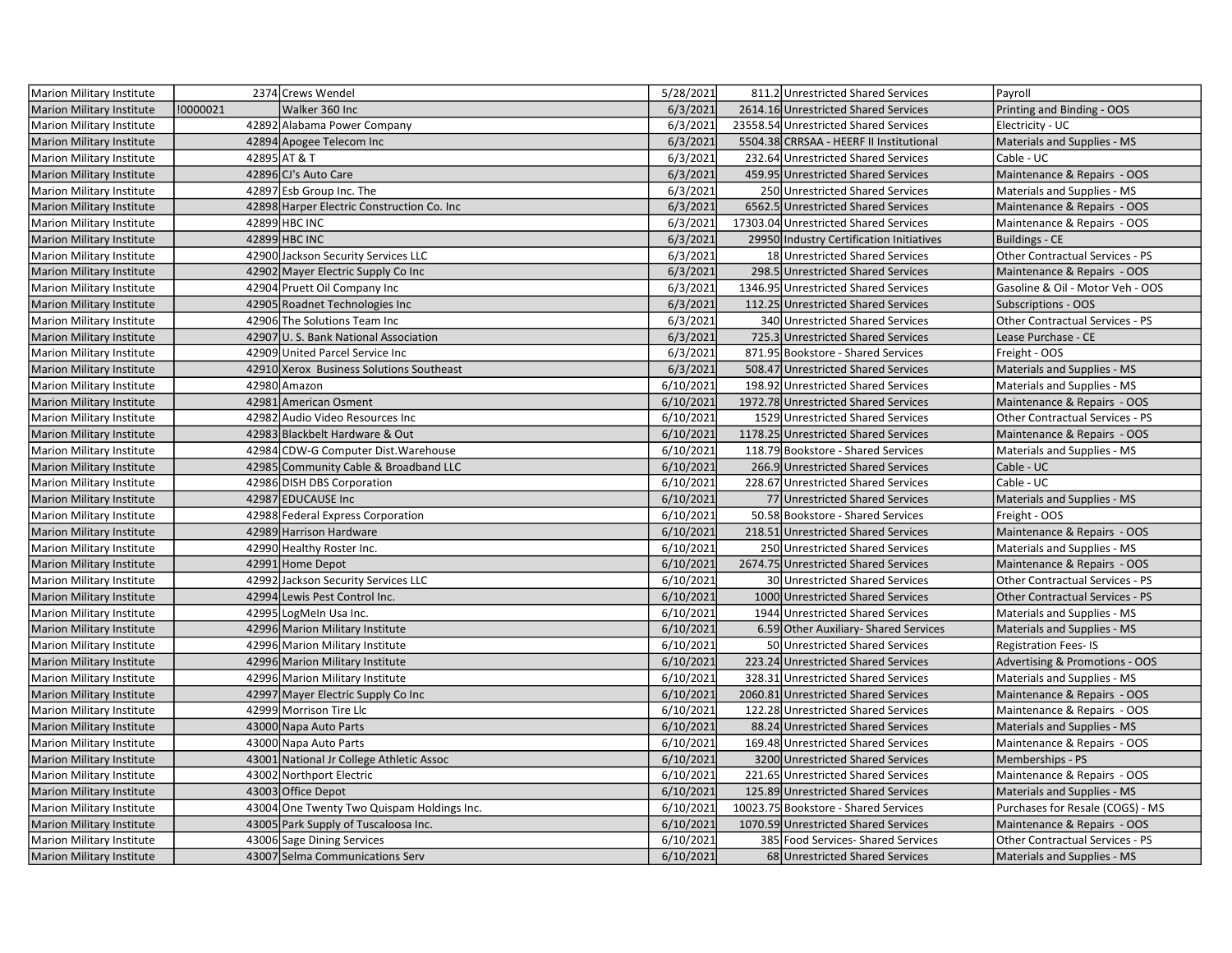| Marion Military Institute        |          | 2374 Crews Wendel                           | 5/28/2021 | 811.2 Unrestricted Shared Services       | Payroll                          |
|----------------------------------|----------|---------------------------------------------|-----------|------------------------------------------|----------------------------------|
| <b>Marion Military Institute</b> | !0000021 | Walker 360 Inc                              | 6/3/2021  | 2614.16 Unrestricted Shared Services     | Printing and Binding - OOS       |
| <b>Marion Military Institute</b> |          | 42892 Alabama Power Company                 | 6/3/2021  | 23558.54 Unrestricted Shared Services    | Electricity - UC                 |
| <b>Marion Military Institute</b> |          | 42894 Apogee Telecom Inc                    | 6/3/2021  | 5504.38 CRRSAA - HEERF II Institutional  | Materials and Supplies - MS      |
| Marion Military Institute        |          | 42895 AT & T                                | 6/3/2021  | 232.64 Unrestricted Shared Services      | Cable - UC                       |
| <b>Marion Military Institute</b> |          | 42896 CJ's Auto Care                        | 6/3/2021  | 459.95 Unrestricted Shared Services      | Maintenance & Repairs - OOS      |
| <b>Marion Military Institute</b> |          | 42897 Esb Group Inc. The                    | 6/3/2021  | 250 Unrestricted Shared Services         | Materials and Supplies - MS      |
| <b>Marion Military Institute</b> |          | 42898 Harper Electric Construction Co. Inc. | 6/3/2021  | 6562.5 Unrestricted Shared Services      | Maintenance & Repairs - OOS      |
| Marion Military Institute        |          | 42899 HBC INC                               | 6/3/2021  | 17303.04 Unrestricted Shared Services    | Maintenance & Repairs - OOS      |
| <b>Marion Military Institute</b> |          | 42899 HBC INC                               | 6/3/2021  | 29950 Industry Certification Initiatives | <b>Buildings - CE</b>            |
| Marion Military Institute        |          | 42900 Jackson Security Services LLC         | 6/3/2021  | 18 Unrestricted Shared Services          | Other Contractual Services - PS  |
| <b>Marion Military Institute</b> |          | 42902 Mayer Electric Supply Co Inc          | 6/3/2021  | 298.5 Unrestricted Shared Services       | Maintenance & Repairs - OOS      |
| Marion Military Institute        |          | 42904 Pruett Oil Company Inc                | 6/3/2021  | 1346.95 Unrestricted Shared Services     | Gasoline & Oil - Motor Veh - OOS |
| <b>Marion Military Institute</b> |          | 42905 Roadnet Technologies Inc              | 6/3/2021  | 112.25 Unrestricted Shared Services      | <b>Subscriptions - OOS</b>       |
| Marion Military Institute        |          | 42906 The Solutions Team Inc                | 6/3/2021  | 340 Unrestricted Shared Services         | Other Contractual Services - PS  |
| <b>Marion Military Institute</b> |          | 42907 U.S. Bank National Association        | 6/3/2021  | 725.3 Unrestricted Shared Services       | Lease Purchase - CE              |
| <b>Marion Military Institute</b> |          | 42909 United Parcel Service Inc             | 6/3/2021  | 871.95 Bookstore - Shared Services       | Freight - OOS                    |
| <b>Marion Military Institute</b> |          | 42910 Xerox Business Solutions Southeast    | 6/3/2021  | 508.47 Unrestricted Shared Services      | Materials and Supplies - MS      |
| Marion Military Institute        |          | 42980 Amazon                                | 6/10/2021 | 198.92 Unrestricted Shared Services      | Materials and Supplies - MS      |
| <b>Marion Military Institute</b> |          | 42981 American Osment                       | 6/10/2021 | 1972.78 Unrestricted Shared Services     | Maintenance & Repairs - OOS      |
| <b>Marion Military Institute</b> |          | 42982 Audio Video Resources Inc             | 6/10/2021 | 1529 Unrestricted Shared Services        | Other Contractual Services - PS  |
| <b>Marion Military Institute</b> |          | 42983 Blackbelt Hardware & Out              | 6/10/2021 | 1178.25 Unrestricted Shared Services     | Maintenance & Repairs - OOS      |
| Marion Military Institute        |          | 42984 CDW-G Computer Dist. Warehouse        | 6/10/2021 | 118.79 Bookstore - Shared Services       | Materials and Supplies - MS      |
| <b>Marion Military Institute</b> |          | 42985 Community Cable & Broadband LLC       | 6/10/2021 | 266.9 Unrestricted Shared Services       | Cable - UC                       |
| <b>Marion Military Institute</b> |          | 42986 DISH DBS Corporation                  | 6/10/2021 | 228.67 Unrestricted Shared Services      | Cable - UC                       |
| <b>Marion Military Institute</b> |          | 42987 EDUCAUSE Inc                          | 6/10/2021 | 77 Unrestricted Shared Services          | Materials and Supplies - MS      |
| Marion Military Institute        |          | 42988 Federal Express Corporation           | 6/10/2021 | 50.58 Bookstore - Shared Services        | Freight - OOS                    |
| <b>Marion Military Institute</b> |          | 42989 Harrison Hardware                     | 6/10/2021 | 218.51 Unrestricted Shared Services      | Maintenance & Repairs - OOS      |
| <b>Marion Military Institute</b> |          | 42990 Healthy Roster Inc.                   | 6/10/2021 | 250 Unrestricted Shared Services         | Materials and Supplies - MS      |
| Marion Military Institute        |          | 42991 Home Depot                            | 6/10/2021 | 2674.75 Unrestricted Shared Services     | Maintenance & Repairs - OOS      |
| Marion Military Institute        |          | 42992 Jackson Security Services LLC         | 6/10/2021 | 30 Unrestricted Shared Services          | Other Contractual Services - PS  |
| <b>Marion Military Institute</b> |          | 42994 Lewis Pest Control Inc.               | 6/10/2021 | 1000 Unrestricted Shared Services        | Other Contractual Services - PS  |
| Marion Military Institute        |          | 42995 LogMeIn Usa Inc.                      | 6/10/2021 | 1944 Unrestricted Shared Services        | Materials and Supplies - MS      |
| <b>Marion Military Institute</b> |          | 42996 Marion Military Institute             | 6/10/2021 | 6.59 Other Auxiliary- Shared Services    | Materials and Supplies - MS      |
| <b>Marion Military Institute</b> |          | 42996 Marion Military Institute             | 6/10/2021 | 50 Unrestricted Shared Services          | <b>Registration Fees-IS</b>      |
| <b>Marion Military Institute</b> |          | 42996 Marion Military Institute             | 6/10/2021 | 223.24 Unrestricted Shared Services      | Advertising & Promotions - OOS   |
| Marion Military Institute        |          | 42996 Marion Military Institute             | 6/10/2021 | 328.31 Unrestricted Shared Services      | Materials and Supplies - MS      |
| <b>Marion Military Institute</b> |          | 42997 Mayer Electric Supply Co Inc          | 6/10/2021 | 2060.81 Unrestricted Shared Services     | Maintenance & Repairs - OOS      |
| <b>Marion Military Institute</b> |          | 42999 Morrison Tire Llc                     | 6/10/2021 | 122.28 Unrestricted Shared Services      | Maintenance & Repairs - OOS      |
| <b>Marion Military Institute</b> |          | 43000 Napa Auto Parts                       | 6/10/2021 | 88.24 Unrestricted Shared Services       | Materials and Supplies - MS      |
| <b>Marion Military Institute</b> |          | 43000 Napa Auto Parts                       | 6/10/2021 | 169.48 Unrestricted Shared Services      | Maintenance & Repairs - OOS      |
| <b>Marion Military Institute</b> |          | 43001 National Jr College Athletic Assoc    | 6/10/2021 | 3200 Unrestricted Shared Services        | Memberships - PS                 |
| <b>Marion Military Institute</b> |          | 43002 Northport Electric                    | 6/10/2021 | 221.65 Unrestricted Shared Services      | Maintenance & Repairs - OOS      |
| <b>Marion Military Institute</b> |          | 43003 Office Depot                          | 6/10/2021 | 125.89 Unrestricted Shared Services      | Materials and Supplies - MS      |
| <b>Marion Military Institute</b> |          | 43004 One Twenty Two Quispam Holdings Inc.  | 6/10/2021 | 10023.75 Bookstore - Shared Services     | Purchases for Resale (COGS) - MS |
| <b>Marion Military Institute</b> |          | 43005 Park Supply of Tuscaloosa Inc.        | 6/10/2021 | 1070.59 Unrestricted Shared Services     | Maintenance & Repairs - OOS      |
| Marion Military Institute        |          | 43006 Sage Dining Services                  | 6/10/2021 | 385 Food Services-Shared Services        | Other Contractual Services - PS  |
| Marion Military Institute        |          | 43007 Selma Communications Serv             | 6/10/2021 | 68 Unrestricted Shared Services          | Materials and Supplies - MS      |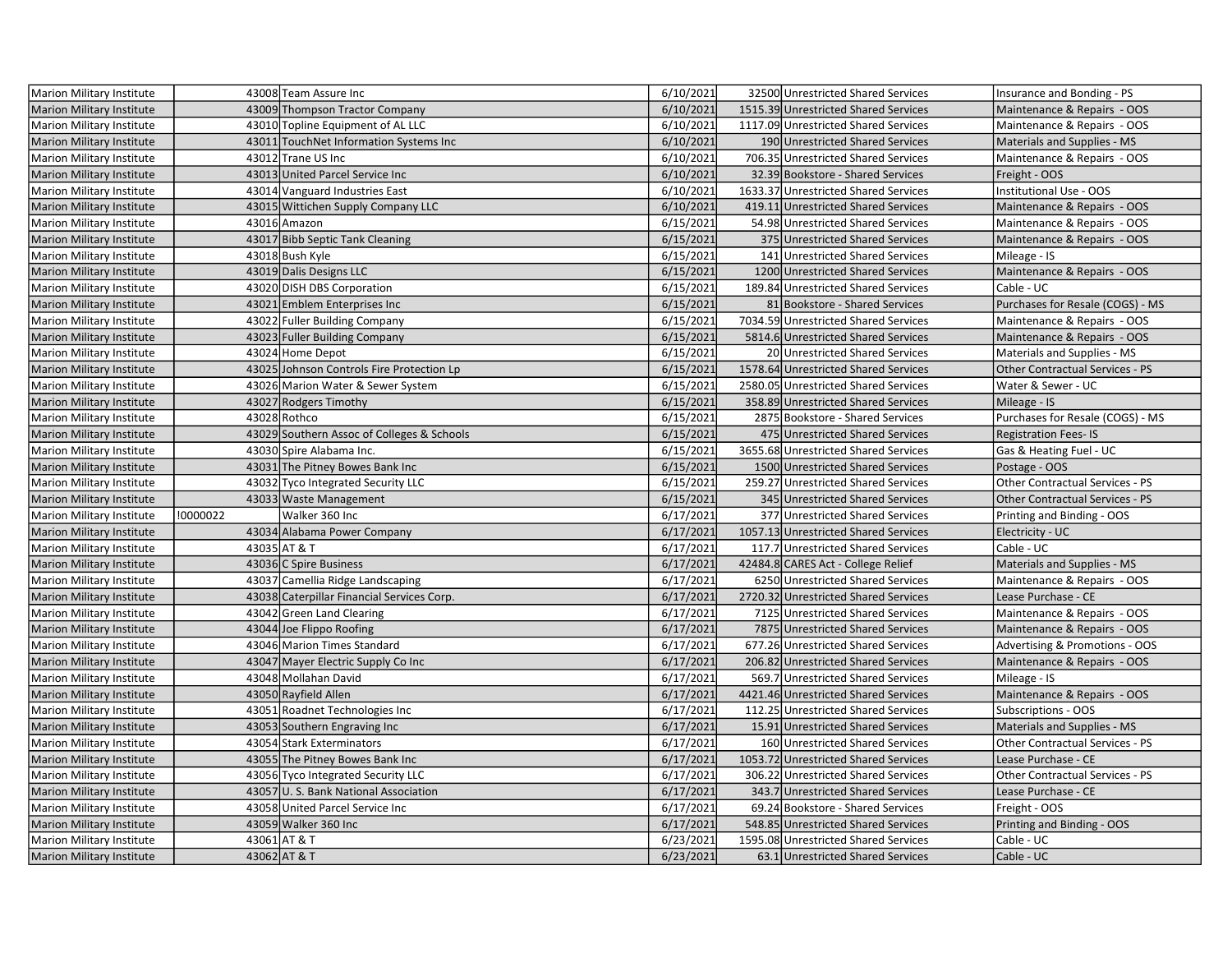| Marion Military Institute        |          | 43008 Team Assure Inc                      | 6/10/2021 | 32500 Unrestricted Shared Services   | Insurance and Bonding - PS             |
|----------------------------------|----------|--------------------------------------------|-----------|--------------------------------------|----------------------------------------|
| <b>Marion Military Institute</b> |          | 43009 Thompson Tractor Company             | 6/10/2021 | 1515.39 Unrestricted Shared Services | Maintenance & Repairs - OOS            |
| Marion Military Institute        |          | 43010 Topline Equipment of AL LLC          | 6/10/2021 | 1117.09 Unrestricted Shared Services | Maintenance & Repairs - OOS            |
| <b>Marion Military Institute</b> |          | 43011 TouchNet Information Systems Inc     | 6/10/2021 | 190 Unrestricted Shared Services     | Materials and Supplies - MS            |
| <b>Marion Military Institute</b> |          | 43012 Trane US Inc                         | 6/10/2021 | 706.35 Unrestricted Shared Services  | Maintenance & Repairs - OOS            |
| <b>Marion Military Institute</b> |          | 43013 United Parcel Service Inc            | 6/10/2021 | 32.39 Bookstore - Shared Services    | Freight - OOS                          |
| Marion Military Institute        |          | 43014 Vanguard Industries East             | 6/10/2021 | 1633.37 Unrestricted Shared Services | Institutional Use - OOS                |
| <b>Marion Military Institute</b> |          | 43015 Wittichen Supply Company LLC         | 6/10/2021 | 419.11 Unrestricted Shared Services  | Maintenance & Repairs - OOS            |
| Marion Military Institute        |          | 43016 Amazon                               | 6/15/2021 | 54.98 Unrestricted Shared Services   | Maintenance & Repairs - OOS            |
| <b>Marion Military Institute</b> |          | 43017 Bibb Septic Tank Cleaning            | 6/15/2021 | 375 Unrestricted Shared Services     | Maintenance & Repairs - OOS            |
| Marion Military Institute        |          | 43018 Bush Kyle                            | 6/15/2021 | 141 Unrestricted Shared Services     | Mileage - IS                           |
| <b>Marion Military Institute</b> |          | 43019 Dalis Designs LLC                    | 6/15/2021 | 1200 Unrestricted Shared Services    | Maintenance & Repairs - OOS            |
| Marion Military Institute        |          | 43020 DISH DBS Corporation                 | 6/15/2021 | 189.84 Unrestricted Shared Services  | Cable - UC                             |
| <b>Marion Military Institute</b> |          | 43021 Emblem Enterprises Inc               | 6/15/2021 | 81 Bookstore - Shared Services       | Purchases for Resale (COGS) - MS       |
| <b>Marion Military Institute</b> |          | 43022 Fuller Building Company              | 6/15/2021 | 7034.59 Unrestricted Shared Services | Maintenance & Repairs - OOS            |
| <b>Marion Military Institute</b> |          | 43023 Fuller Building Company              | 6/15/2021 | 5814.6 Unrestricted Shared Services  | Maintenance & Repairs - OOS            |
| Marion Military Institute        |          | 43024 Home Depot                           | 6/15/2021 | 20 Unrestricted Shared Services      | Materials and Supplies - MS            |
| <b>Marion Military Institute</b> |          | 43025 Johnson Controls Fire Protection Lp  | 6/15/2021 | 1578.64 Unrestricted Shared Services | Other Contractual Services - PS        |
| Marion Military Institute        |          | 43026 Marion Water & Sewer System          | 6/15/2021 | 2580.05 Unrestricted Shared Services | Water & Sewer - UC                     |
| <b>Marion Military Institute</b> |          | 43027 Rodgers Timothy                      | 6/15/2021 | 358.89 Unrestricted Shared Services  | Mileage - IS                           |
| <b>Marion Military Institute</b> |          | 43028 Rothco                               | 6/15/2021 | 2875 Bookstore - Shared Services     | Purchases for Resale (COGS) - MS       |
| <b>Marion Military Institute</b> |          | 43029 Southern Assoc of Colleges & Schools | 6/15/2021 | 475 Unrestricted Shared Services     | <b>Registration Fees-IS</b>            |
| Marion Military Institute        |          | 43030 Spire Alabama Inc.                   | 6/15/2021 | 3655.68 Unrestricted Shared Services | Gas & Heating Fuel - UC                |
| <b>Marion Military Institute</b> |          | 43031 The Pitney Bowes Bank Inc            | 6/15/2021 | 1500 Unrestricted Shared Services    | Postage - OOS                          |
| Marion Military Institute        |          | 43032 Tyco Integrated Security LLC         | 6/15/2021 | 259.27 Unrestricted Shared Services  | Other Contractual Services - PS        |
| <b>Marion Military Institute</b> |          | 43033 Waste Management                     | 6/15/2021 | 345 Unrestricted Shared Services     | <b>Other Contractual Services - PS</b> |
| <b>Marion Military Institute</b> | !0000022 | Walker 360 Inc                             | 6/17/2021 | 377 Unrestricted Shared Services     | Printing and Binding - OOS             |
| <b>Marion Military Institute</b> |          | 43034 Alabama Power Company                | 6/17/2021 | 1057.13 Unrestricted Shared Services | Electricity - UC                       |
| Marion Military Institute        |          | 43035 AT & T                               | 6/17/2021 | 117.7 Unrestricted Shared Services   | Cable - UC                             |
| <b>Marion Military Institute</b> |          | 43036 C Spire Business                     | 6/17/2021 | 42484.8 CARES Act - College Relief   | Materials and Supplies - MS            |
| Marion Military Institute        |          | 43037 Camellia Ridge Landscaping           | 6/17/2021 | 6250 Unrestricted Shared Services    | Maintenance & Repairs - OOS            |
| Marion Military Institute        |          | 43038 Caterpillar Financial Services Corp. | 6/17/2021 | 2720.32 Unrestricted Shared Services | Lease Purchase - CE                    |
| Marion Military Institute        |          | 43042 Green Land Clearing                  | 6/17/2021 | 7125 Unrestricted Shared Services    | Maintenance & Repairs - OOS            |
| Marion Military Institute        |          | 43044 Joe Flippo Roofing                   | 6/17/2021 | 7875 Unrestricted Shared Services    | Maintenance & Repairs - OOS            |
| Marion Military Institute        |          | 43046 Marion Times Standard                | 6/17/2021 | 677.26 Unrestricted Shared Services  | Advertising & Promotions - OOS         |
| <b>Marion Military Institute</b> |          | 43047 Mayer Electric Supply Co Inc         | 6/17/2021 | 206.82 Unrestricted Shared Services  | Maintenance & Repairs - OOS            |
| Marion Military Institute        |          | 43048 Mollahan David                       | 6/17/2021 | 569.7 Unrestricted Shared Services   | Mileage - IS                           |
| <b>Marion Military Institute</b> |          | 43050 Rayfield Allen                       | 6/17/2021 | 4421.46 Unrestricted Shared Services | Maintenance & Repairs - OOS            |
| Marion Military Institute        |          | 43051 Roadnet Technologies Inc             | 6/17/2021 | 112.25 Unrestricted Shared Services  | Subscriptions - OOS                    |
| <b>Marion Military Institute</b> |          | 43053 Southern Engraving Inc               | 6/17/2021 | 15.91 Unrestricted Shared Services   | Materials and Supplies - MS            |
| Marion Military Institute        |          | 43054 Stark Exterminators                  | 6/17/2021 | 160 Unrestricted Shared Services     | Other Contractual Services - PS        |
| <b>Marion Military Institute</b> |          | 43055 The Pitney Bowes Bank Inc            | 6/17/2021 | 1053.72 Unrestricted Shared Services | Lease Purchase - CE                    |
| Marion Military Institute        |          | 43056 Tyco Integrated Security LLC         | 6/17/2021 | 306.22 Unrestricted Shared Services  | Other Contractual Services - PS        |
| <b>Marion Military Institute</b> |          | 43057 U.S. Bank National Association       | 6/17/2021 | 343.7 Unrestricted Shared Services   | Lease Purchase - CE                    |
| Marion Military Institute        |          | 43058 United Parcel Service Inc            | 6/17/2021 | 69.24 Bookstore - Shared Services    | Freight - OOS                          |
| <b>Marion Military Institute</b> |          | 43059 Walker 360 Inc                       | 6/17/2021 | 548.85 Unrestricted Shared Services  | Printing and Binding - OOS             |
| Marion Military Institute        |          | 43061 AT & T                               | 6/23/2021 | 1595.08 Unrestricted Shared Services | Cable - UC                             |
| Marion Military Institute        |          | 43062 AT & T                               | 6/23/2021 | 63.1 Unrestricted Shared Services    | Cable - UC                             |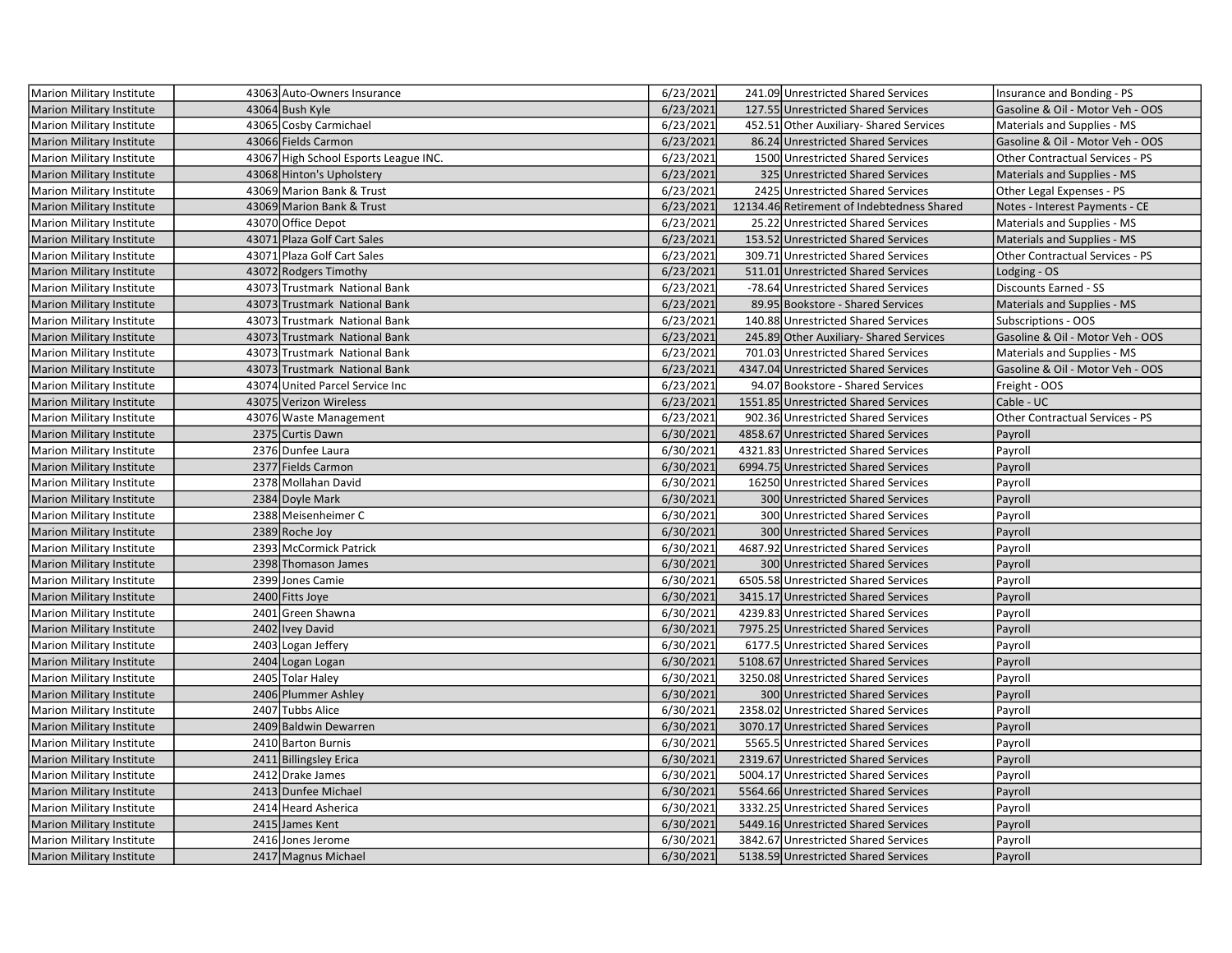| Marion Military Institute        | 43063 Auto-Owners Insurance           | 6/23/2021 | 241.09 Unrestricted Shared Services        | Insurance and Bonding - PS       |
|----------------------------------|---------------------------------------|-----------|--------------------------------------------|----------------------------------|
| <b>Marion Military Institute</b> | 43064 Bush Kyle                       | 6/23/2021 | 127.55 Unrestricted Shared Services        | Gasoline & Oil - Motor Veh - OOS |
| Marion Military Institute        | 43065 Cosby Carmichael                | 6/23/2021 | 452.51 Other Auxiliary- Shared Services    | Materials and Supplies - MS      |
| <b>Marion Military Institute</b> | 43066 Fields Carmon                   | 6/23/2021 | 86.24 Unrestricted Shared Services         | Gasoline & Oil - Motor Veh - OOS |
| Marion Military Institute        | 43067 High School Esports League INC. | 6/23/2021 | 1500 Unrestricted Shared Services          | Other Contractual Services - PS  |
| <b>Marion Military Institute</b> | 43068 Hinton's Upholstery             | 6/23/2021 | 325 Unrestricted Shared Services           | Materials and Supplies - MS      |
| Marion Military Institute        | 43069 Marion Bank & Trust             | 6/23/2021 | 2425 Unrestricted Shared Services          | Other Legal Expenses - PS        |
| <b>Marion Military Institute</b> | 43069 Marion Bank & Trust             | 6/23/2021 | 12134.46 Retirement of Indebtedness Shared | Notes - Interest Payments - CE   |
| <b>Marion Military Institute</b> | 43070 Office Depot                    | 6/23/2021 | 25.22 Unrestricted Shared Services         | Materials and Supplies - MS      |
| Marion Military Institute        | 43071 Plaza Golf Cart Sales           | 6/23/2021 | 153.52 Unrestricted Shared Services        | Materials and Supplies - MS      |
| Marion Military Institute        | 43071 Plaza Golf Cart Sales           | 6/23/2021 | 309.71 Unrestricted Shared Services        | Other Contractual Services - PS  |
| Marion Military Institute        | 43072 Rodgers Timothy                 | 6/23/2021 | 511.01 Unrestricted Shared Services        | Lodging - OS                     |
| Marion Military Institute        | 43073 Trustmark National Bank         | 6/23/2021 | -78.64 Unrestricted Shared Services        | Discounts Earned - SS            |
| <b>Marion Military Institute</b> | 43073 Trustmark National Bank         | 6/23/2021 | 89.95 Bookstore - Shared Services          | Materials and Supplies - MS      |
| <b>Marion Military Institute</b> | 43073 Trustmark National Bank         | 6/23/2021 | 140.88 Unrestricted Shared Services        | Subscriptions - OOS              |
| <b>Marion Military Institute</b> | 43073 Trustmark National Bank         | 6/23/2021 | 245.89 Other Auxiliary- Shared Services    | Gasoline & Oil - Motor Veh - OOS |
| <b>Marion Military Institute</b> | 43073 Trustmark National Bank         | 6/23/2021 | 701.03 Unrestricted Shared Services        | Materials and Supplies - MS      |
| <b>Marion Military Institute</b> | 43073 Trustmark National Bank         | 6/23/2021 | 4347.04 Unrestricted Shared Services       | Gasoline & Oil - Motor Veh - OOS |
| Marion Military Institute        | 43074 United Parcel Service Inc       | 6/23/2021 | 94.07 Bookstore - Shared Services          | Freight - OOS                    |
| <b>Marion Military Institute</b> | 43075 Verizon Wireless                | 6/23/2021 | 1551.85 Unrestricted Shared Services       | Cable - UC                       |
| Marion Military Institute        | 43076 Waste Management                | 6/23/2021 | 902.36 Unrestricted Shared Services        | Other Contractual Services - PS  |
| <b>Marion Military Institute</b> | 2375 Curtis Dawn                      | 6/30/2021 | 4858.67 Unrestricted Shared Services       | Payroll                          |
| <b>Marion Military Institute</b> | 2376 Dunfee Laura                     | 6/30/2021 | 4321.83 Unrestricted Shared Services       | Payroll                          |
| <b>Marion Military Institute</b> | 2377 Fields Carmon                    | 6/30/2021 | 6994.75 Unrestricted Shared Services       | Payroll                          |
| Marion Military Institute        | 2378 Mollahan David                   | 6/30/2021 | 16250 Unrestricted Shared Services         | Payroll                          |
| Marion Military Institute        | 2384 Doyle Mark                       | 6/30/2021 | 300 Unrestricted Shared Services           | Payroll                          |
| <b>Marion Military Institute</b> | 2388 Meisenheimer C                   | 6/30/2021 | 300 Unrestricted Shared Services           | Payroll                          |
| Marion Military Institute        | 2389 Roche Joy                        | 6/30/2021 | 300 Unrestricted Shared Services           | Payroll                          |
| Marion Military Institute        | 2393 McCormick Patrick                | 6/30/2021 | 4687.92 Unrestricted Shared Services       | Payroll                          |
| Marion Military Institute        | 2398 Thomason James                   | 6/30/2021 | 300 Unrestricted Shared Services           | Payroll                          |
| Marion Military Institute        | 2399 Jones Camie                      | 6/30/2021 | 6505.58 Unrestricted Shared Services       | Payroll                          |
| <b>Marion Military Institute</b> | 2400 Fitts Joye                       | 6/30/2021 | 3415.17 Unrestricted Shared Services       | Payroll                          |
| Marion Military Institute        | 2401 Green Shawna                     | 6/30/2021 | 4239.83 Unrestricted Shared Services       | Payroll                          |
| <b>Marion Military Institute</b> | 2402 Ivey David                       | 6/30/2021 | 7975.25 Unrestricted Shared Services       | Payroll                          |
| Marion Military Institute        | 2403 Logan Jeffery                    | 6/30/2021 | 6177.5 Unrestricted Shared Services        | Payroll                          |
| <b>Marion Military Institute</b> | 2404 Logan Logan                      | 6/30/2021 | 5108.67 Unrestricted Shared Services       | Payroll                          |
| Marion Military Institute        | 2405 Tolar Haley                      | 6/30/2021 | 3250.08 Unrestricted Shared Services       | Payroll                          |
| <b>Marion Military Institute</b> | 2406 Plummer Ashley                   | 6/30/2021 | 300 Unrestricted Shared Services           | Payroll                          |
| <b>Marion Military Institute</b> | 2407 Tubbs Alice                      | 6/30/2021 | 2358.02 Unrestricted Shared Services       | Payroll                          |
| Marion Military Institute        | 2409 Baldwin Dewarren                 | 6/30/2021 | 3070.17 Unrestricted Shared Services       | Payroll                          |
| <b>Marion Military Institute</b> | 2410 Barton Burnis                    | 6/30/2021 | 5565.5 Unrestricted Shared Services        | Payroll                          |
| <b>Marion Military Institute</b> | 2411 Billingsley Erica                | 6/30/2021 | 2319.67 Unrestricted Shared Services       | Payroll                          |
| <b>Marion Military Institute</b> | 2412 Drake James                      | 6/30/2021 | 5004.17 Unrestricted Shared Services       | Payroll                          |
| <b>Marion Military Institute</b> | 2413 Dunfee Michael                   | 6/30/2021 | 5564.66 Unrestricted Shared Services       | Payroll                          |
| Marion Military Institute        | 2414 Heard Asherica                   | 6/30/2021 | 3332.25 Unrestricted Shared Services       | Payroll                          |
| Marion Military Institute        | 2415 James Kent                       | 6/30/2021 | 5449.16 Unrestricted Shared Services       | Payroll                          |
| Marion Military Institute        | 2416 Jones Jerome                     | 6/30/2021 | 3842.67 Unrestricted Shared Services       | Payroll                          |
| <b>Marion Military Institute</b> | 2417 Magnus Michael                   | 6/30/2021 | 5138.59 Unrestricted Shared Services       | Payroll                          |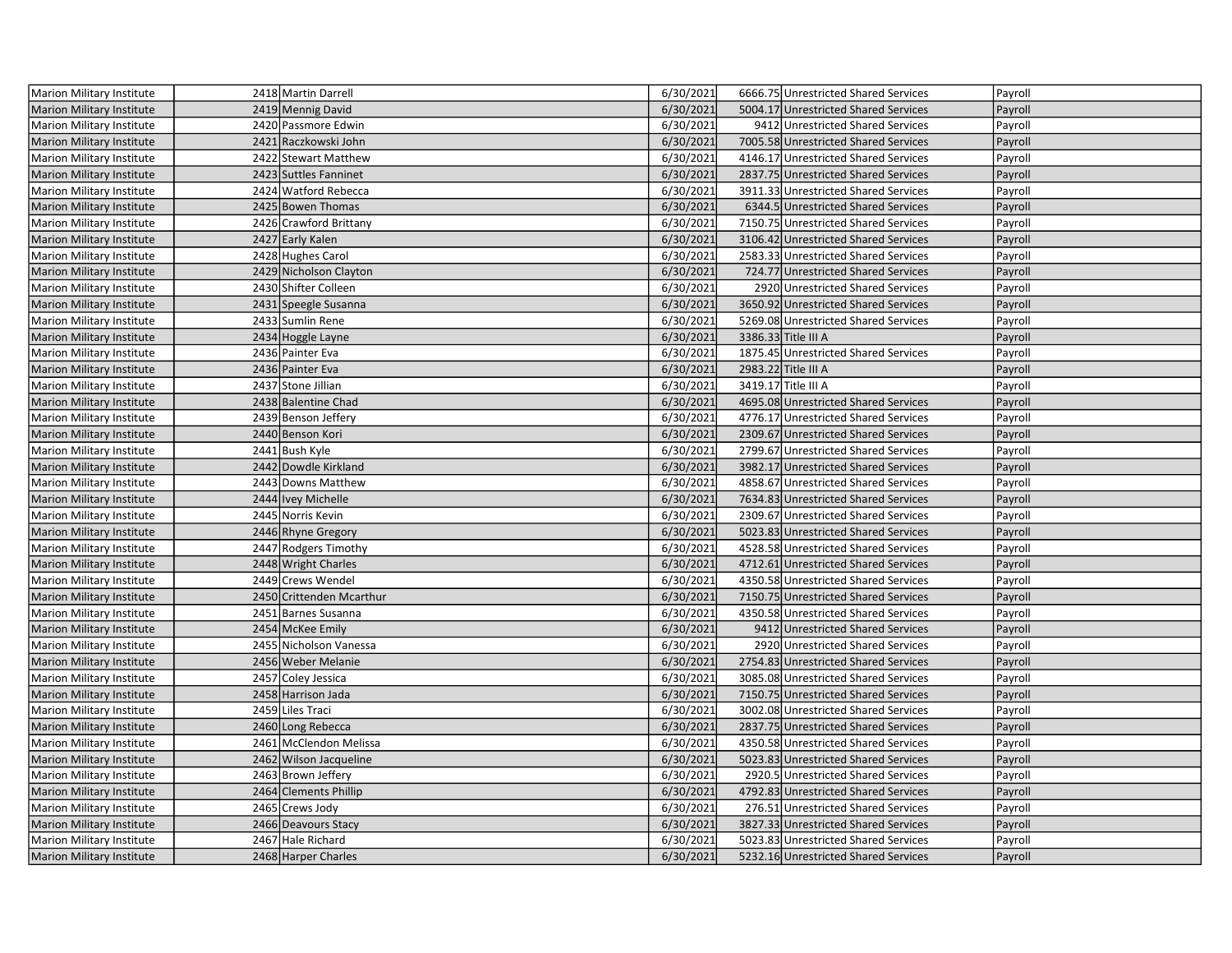| Marion Military Institute        | 2418 Martin Darrell      | 6/30/2021 | 6666.75 Unrestricted Shared Services | Payroll |
|----------------------------------|--------------------------|-----------|--------------------------------------|---------|
| <b>Marion Military Institute</b> | 2419 Mennig David        | 6/30/2021 | 5004.17 Unrestricted Shared Services | Payroll |
| Marion Military Institute        | 2420 Passmore Edwin      | 6/30/2021 | 9412 Unrestricted Shared Services    | Payroll |
| <b>Marion Military Institute</b> | 2421 Raczkowski John     | 6/30/2021 | 7005.58 Unrestricted Shared Services | Payroll |
| <b>Marion Military Institute</b> | 2422 Stewart Matthew     | 6/30/2021 | 4146.17 Unrestricted Shared Services | Payroll |
| <b>Marion Military Institute</b> | 2423 Suttles Fanninet    | 6/30/2021 | 2837.75 Unrestricted Shared Services | Payroll |
| Marion Military Institute        | 2424 Watford Rebecca     | 6/30/2021 | 3911.33 Unrestricted Shared Services | Payroll |
| Marion Military Institute        | 2425 Bowen Thomas        | 6/30/2021 | 6344.5 Unrestricted Shared Services  | Payroll |
| Marion Military Institute        | 2426 Crawford Brittany   | 6/30/2021 | 7150.75 Unrestricted Shared Services | Payroll |
| Marion Military Institute        | 2427 Early Kalen         | 6/30/2021 | 3106.42 Unrestricted Shared Services | Payroll |
| <b>Marion Military Institute</b> | 2428 Hughes Carol        | 6/30/2021 | 2583.33 Unrestricted Shared Services | Payroll |
| <b>Marion Military Institute</b> | 2429 Nicholson Clayton   | 6/30/2021 | 724.77 Unrestricted Shared Services  | Payroll |
| Marion Military Institute        | 2430 Shifter Colleen     | 6/30/2021 | 2920 Unrestricted Shared Services    | Payroll |
| Marion Military Institute        | 2431 Speegle Susanna     | 6/30/2021 | 3650.92 Unrestricted Shared Services | Payroll |
| <b>Marion Military Institute</b> | 2433 Sumlin Rene         | 6/30/2021 | 5269.08 Unrestricted Shared Services | Payroll |
| Marion Military Institute        | 2434 Hoggle Layne        | 6/30/2021 | 3386.33 Title III A                  | Payroll |
| Marion Military Institute        | 2436 Painter Eva         | 6/30/2021 | 1875.45 Unrestricted Shared Services | Payroll |
| Marion Military Institute        | 2436 Painter Eva         | 6/30/2021 | 2983.22 Title III A                  | Payroll |
| <b>Marion Military Institute</b> | 2437 Stone Jillian       | 6/30/2021 | 3419.17 Title III A                  | Payroll |
| <b>Marion Military Institute</b> | 2438 Balentine Chad      | 6/30/2021 | 4695.08 Unrestricted Shared Services | Payroll |
| <b>Marion Military Institute</b> | 2439 Benson Jeffery      | 6/30/2021 | 4776.17 Unrestricted Shared Services | Payroll |
| <b>Marion Military Institute</b> | 2440 Benson Kori         | 6/30/2021 | 2309.67 Unrestricted Shared Services | Payroll |
| Marion Military Institute        | 2441 Bush Kyle           | 6/30/2021 | 2799.67 Unrestricted Shared Services | Payroll |
| Marion Military Institute        | 2442 Dowdle Kirkland     | 6/30/2021 | 3982.17 Unrestricted Shared Services | Payroll |
| Marion Military Institute        | 2443 Downs Matthew       | 6/30/2021 | 4858.67 Unrestricted Shared Services | Payroll |
| <b>Marion Military Institute</b> | 2444 Ivey Michelle       | 6/30/2021 | 7634.83 Unrestricted Shared Services | Payroll |
| <b>Marion Military Institute</b> | 2445 Norris Kevin        | 6/30/2021 | 2309.67 Unrestricted Shared Services | Payroll |
| <b>Marion Military Institute</b> | 2446 Rhyne Gregory       | 6/30/2021 | 5023.83 Unrestricted Shared Services | Payroll |
| <b>Marion Military Institute</b> | 2447 Rodgers Timothy     | 6/30/2021 | 4528.58 Unrestricted Shared Services | Payroll |
| <b>Marion Military Institute</b> | 2448 Wright Charles      | 6/30/2021 | 4712.61 Unrestricted Shared Services | Payroll |
| Marion Military Institute        | 2449 Crews Wendel        | 6/30/2021 | 4350.58 Unrestricted Shared Services | Payroll |
| Marion Military Institute        | 2450 Crittenden Mcarthur | 6/30/2021 | 7150.75 Unrestricted Shared Services | Payroll |
| <b>Marion Military Institute</b> | 2451 Barnes Susanna      | 6/30/2021 | 4350.58 Unrestricted Shared Services | Payroll |
| Marion Military Institute        | 2454 McKee Emily         | 6/30/2021 | 9412 Unrestricted Shared Services    | Payroll |
| <b>Marion Military Institute</b> | 2455 Nicholson Vanessa   | 6/30/2021 | 2920 Unrestricted Shared Services    | Payroll |
| <b>Marion Military Institute</b> | 2456 Weber Melanie       | 6/30/2021 | 2754.83 Unrestricted Shared Services | Payroll |
| <b>Marion Military Institute</b> | 2457 Coley Jessica       | 6/30/2021 | 3085.08 Unrestricted Shared Services | Payroll |
| <b>Marion Military Institute</b> | 2458 Harrison Jada       | 6/30/2021 | 7150.75 Unrestricted Shared Services | Payroll |
| Marion Military Institute        | 2459 Liles Traci         | 6/30/2021 | 3002.08 Unrestricted Shared Services | Payroll |
| Marion Military Institute        | 2460 Long Rebecca        | 6/30/2021 | 2837.75 Unrestricted Shared Services | Payroll |
| Marion Military Institute        | 2461 McClendon Melissa   | 6/30/2021 | 4350.58 Unrestricted Shared Services | Payroll |
| Marion Military Institute        | 2462 Wilson Jacqueline   | 6/30/2021 | 5023.83 Unrestricted Shared Services | Payroll |
| Marion Military Institute        | 2463 Brown Jeffery       | 6/30/2021 | 2920.5 Unrestricted Shared Services  | Payroll |
| <b>Marion Military Institute</b> | 2464 Clements Phillip    | 6/30/2021 | 4792.83 Unrestricted Shared Services | Payroll |
| <b>Marion Military Institute</b> | 2465 Crews Jody          | 6/30/2021 | 276.51 Unrestricted Shared Services  | Payroll |
| <b>Marion Military Institute</b> | 2466 Deavours Stacy      | 6/30/2021 | 3827.33 Unrestricted Shared Services | Payroll |
| <b>Marion Military Institute</b> | 2467 Hale Richard        | 6/30/2021 | 5023.83 Unrestricted Shared Services | Payroll |
| Marion Military Institute        | 2468 Harper Charles      | 6/30/2021 | 5232.16 Unrestricted Shared Services | Payroll |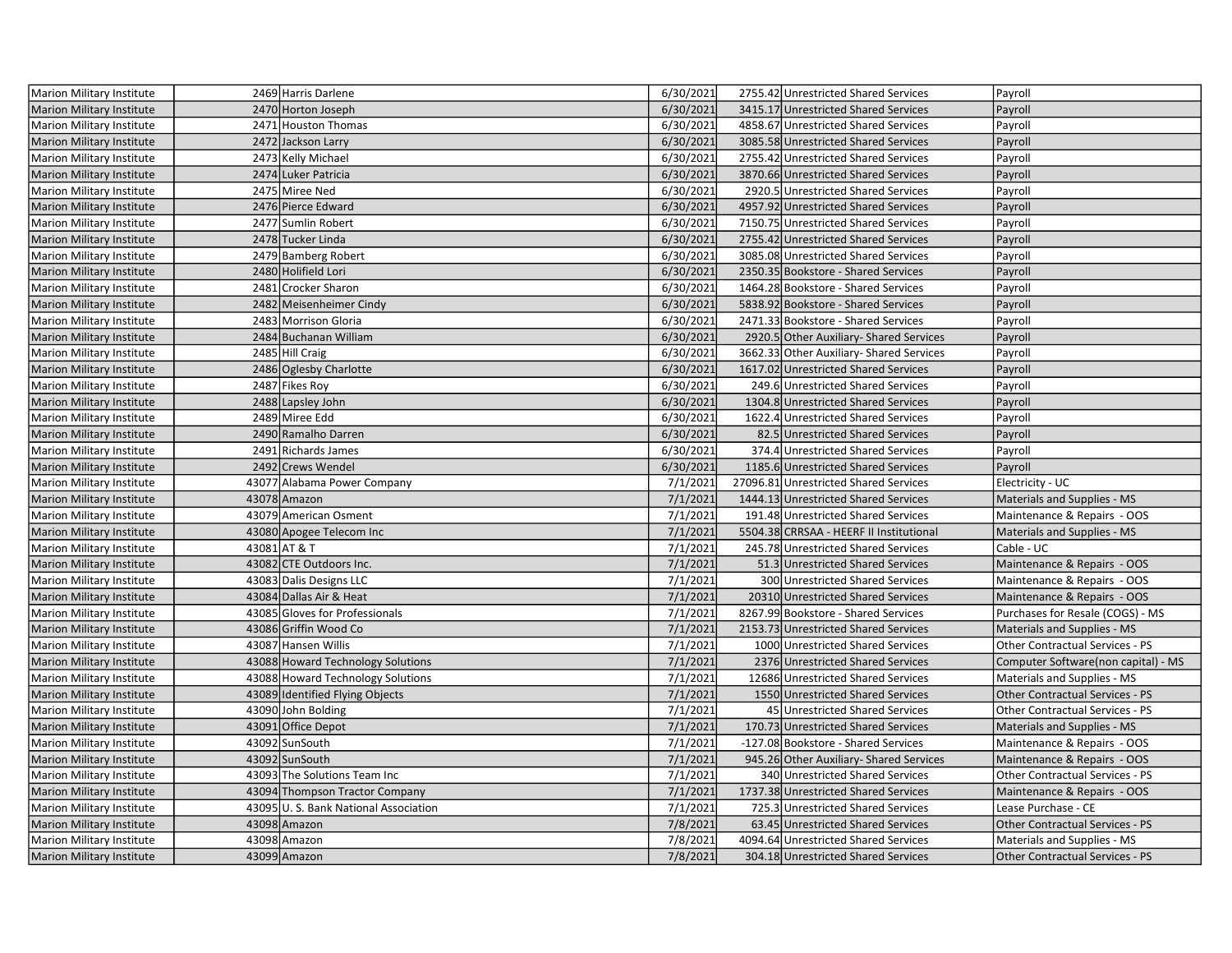| Marion Military Institute        | 2469 Harris Darlene                  | 6/30/2021 | 2755.42 Unrestricted Shared Services     | Payroll                                |
|----------------------------------|--------------------------------------|-----------|------------------------------------------|----------------------------------------|
| <b>Marion Military Institute</b> | 2470 Horton Joseph                   | 6/30/2021 | 3415.17 Unrestricted Shared Services     | Payroll                                |
| Marion Military Institute        | 2471 Houston Thomas                  | 6/30/2021 | 4858.67 Unrestricted Shared Services     | Payroll                                |
| Marion Military Institute        | 2472 Jackson Larry                   | 6/30/2021 | 3085.58 Unrestricted Shared Services     | Payroll                                |
| Marion Military Institute        | 2473 Kelly Michael                   | 6/30/2021 | 2755.42 Unrestricted Shared Services     | Payroll                                |
| Marion Military Institute        | 2474 Luker Patricia                  | 6/30/2021 | 3870.66 Unrestricted Shared Services     | Payroll                                |
| Marion Military Institute        | 2475 Miree Ned                       | 6/30/2021 | 2920.5 Unrestricted Shared Services      | Payroll                                |
| <b>Marion Military Institute</b> | 2476 Pierce Edward                   | 6/30/2021 | 4957.92 Unrestricted Shared Services     | Payroll                                |
| Marion Military Institute        | 2477 Sumlin Robert                   | 6/30/2021 | 7150.75 Unrestricted Shared Services     | Payroll                                |
| <b>Marion Military Institute</b> | 2478 Tucker Linda                    | 6/30/2021 | 2755.42 Unrestricted Shared Services     | Payroll                                |
| <b>Marion Military Institute</b> | 2479 Bamberg Robert                  | 6/30/2021 | 3085.08 Unrestricted Shared Services     | Payroll                                |
| <b>Marion Military Institute</b> | 2480 Holifield Lori                  | 6/30/2021 | 2350.35 Bookstore - Shared Services      | Payroll                                |
| <b>Marion Military Institute</b> | 2481 Crocker Sharon                  | 6/30/2021 | 1464.28 Bookstore - Shared Services      | Payroll                                |
| <b>Marion Military Institute</b> | 2482 Meisenheimer Cindy              | 6/30/2021 | 5838.92 Bookstore - Shared Services      | Payroll                                |
| Marion Military Institute        | 2483 Morrison Gloria                 | 6/30/2021 | 2471.33 Bookstore - Shared Services      | Payroll                                |
| <b>Marion Military Institute</b> | 2484 Buchanan William                | 6/30/2021 | 2920.5 Other Auxiliary-Shared Services   | Payroll                                |
| Marion Military Institute        | 2485 Hill Craig                      | 6/30/2021 | 3662.33 Other Auxiliary- Shared Services | Payroll                                |
| Marion Military Institute        | 2486 Oglesby Charlotte               | 6/30/2021 | 1617.02 Unrestricted Shared Services     | Payroll                                |
| Marion Military Institute        | 2487 Fikes Roy                       | 6/30/2021 | 249.6 Unrestricted Shared Services       | Payroll                                |
| Marion Military Institute        | 2488 Lapsley John                    | 6/30/2021 | 1304.8 Unrestricted Shared Services      | Payroll                                |
| Marion Military Institute        | 2489 Miree Edd                       | 6/30/2021 | 1622.4 Unrestricted Shared Services      | Payroll                                |
| <b>Marion Military Institute</b> | 2490 Ramalho Darren                  | 6/30/2021 | 82.5 Unrestricted Shared Services        | Payroll                                |
| Marion Military Institute        | 2491 Richards James                  | 6/30/2021 | 374.4 Unrestricted Shared Services       | Payroll                                |
| <b>Marion Military Institute</b> | 2492 Crews Wendel                    | 6/30/2021 | 1185.6 Unrestricted Shared Services      | Payroll                                |
| Marion Military Institute        | 43077 Alabama Power Company          | 7/1/2021  | 27096.81 Unrestricted Shared Services    | Electricity - UC                       |
| <b>Marion Military Institute</b> | 43078 Amazon                         | 7/1/2021  | 1444.13 Unrestricted Shared Services     | Materials and Supplies - MS            |
| Marion Military Institute        | 43079 American Osment                | 7/1/2021  | 191.48 Unrestricted Shared Services      | Maintenance & Repairs - OOS            |
| <b>Marion Military Institute</b> | 43080 Apogee Telecom Inc             | 7/1/2021  | 5504.38 CRRSAA - HEERF II Institutional  | Materials and Supplies - MS            |
| Marion Military Institute        | 43081 AT & T                         | 7/1/2021  | 245.78 Unrestricted Shared Services      | Cable - UC                             |
| <b>Marion Military Institute</b> | 43082 CTE Outdoors Inc.              | 7/1/2021  | 51.3 Unrestricted Shared Services        | Maintenance & Repairs - OOS            |
| Marion Military Institute        | 43083 Dalis Designs LLC              | 7/1/2021  | 300 Unrestricted Shared Services         | Maintenance & Repairs - OOS            |
| <b>Marion Military Institute</b> | 43084 Dallas Air & Heat              | 7/1/2021  | 20310 Unrestricted Shared Services       | Maintenance & Repairs - OOS            |
| <b>Marion Military Institute</b> | 43085 Gloves for Professionals       | 7/1/2021  | 8267.99 Bookstore - Shared Services      | Purchases for Resale (COGS) - MS       |
| <b>Marion Military Institute</b> | 43086 Griffin Wood Co                | 7/1/2021  | 2153.73 Unrestricted Shared Services     | Materials and Supplies - MS            |
| Marion Military Institute        | 43087 Hansen Willis                  | 7/1/2021  | 1000 Unrestricted Shared Services        | Other Contractual Services - PS        |
| <b>Marion Military Institute</b> | 43088 Howard Technology Solutions    | 7/1/2021  | 2376 Unrestricted Shared Services        | Computer Software(non capital) - MS    |
| Marion Military Institute        | 43088 Howard Technology Solutions    | 7/1/2021  | 12686 Unrestricted Shared Services       | Materials and Supplies - MS            |
| Marion Military Institute        | 43089 Identified Flying Objects      | 7/1/2021  | 1550 Unrestricted Shared Services        | Other Contractual Services - PS        |
| Marion Military Institute        | 43090 John Bolding                   | 7/1/2021  | 45 Unrestricted Shared Services          | Other Contractual Services - PS        |
| <b>Marion Military Institute</b> | 43091 Office Depot                   | 7/1/2021  | 170.73 Unrestricted Shared Services      | Materials and Supplies - MS            |
| Marion Military Institute        | 43092 SunSouth                       | 7/1/2021  | -127.08 Bookstore - Shared Services      | Maintenance & Repairs - OOS            |
| Marion Military Institute        | 43092 SunSouth                       | 7/1/2021  | 945.26 Other Auxiliary-Shared Services   | Maintenance & Repairs - OOS            |
| Marion Military Institute        | 43093 The Solutions Team Inc         | 7/1/2021  | 340 Unrestricted Shared Services         | Other Contractual Services - PS        |
| <b>Marion Military Institute</b> | 43094 Thompson Tractor Company       | 7/1/2021  | 1737.38 Unrestricted Shared Services     | Maintenance & Repairs - OOS            |
| <b>Marion Military Institute</b> | 43095 U.S. Bank National Association | 7/1/2021  | 725.3 Unrestricted Shared Services       | Lease Purchase - CE                    |
| <b>Marion Military Institute</b> | 43098 Amazon                         | 7/8/2021  | 63.45 Unrestricted Shared Services       | Other Contractual Services - PS        |
| Marion Military Institute        | 43098 Amazon                         | 7/8/2021  | 4094.64 Unrestricted Shared Services     | Materials and Supplies - MS            |
| Marion Military Institute        | 43099 Amazon                         | 7/8/2021  | 304.18 Unrestricted Shared Services      | <b>Other Contractual Services - PS</b> |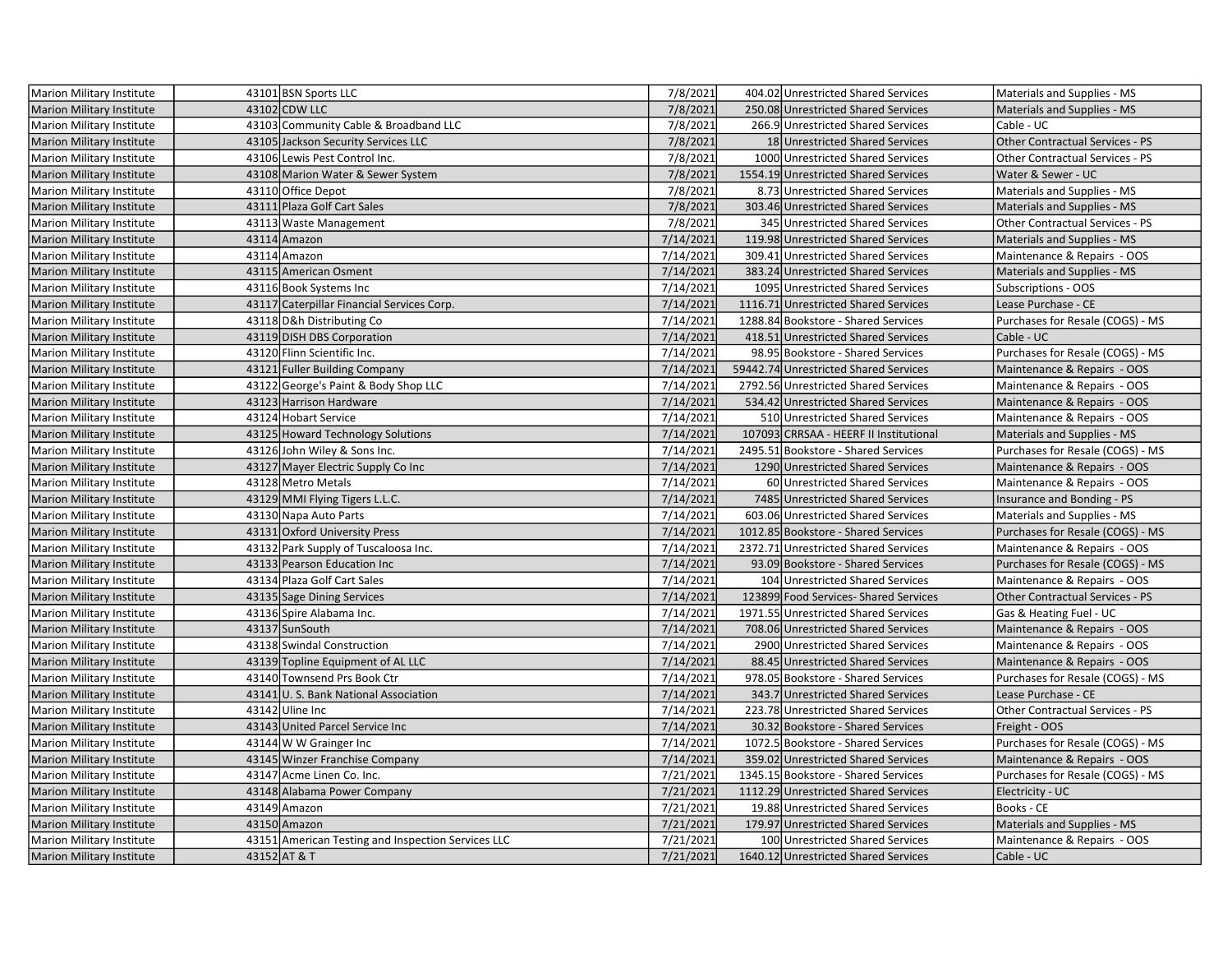| Marion Military Institute        | 43101 BSN Sports LLC                               | 7/8/2021             | 404.02 Unrestricted Shared Services    | Materials and Supplies - MS            |
|----------------------------------|----------------------------------------------------|----------------------|----------------------------------------|----------------------------------------|
| <b>Marion Military Institute</b> | 43102 CDW LLC                                      | 7/8/2021             | 250.08 Unrestricted Shared Services    | Materials and Supplies - MS            |
| Marion Military Institute        | 43103 Community Cable & Broadband LLC              | 7/8/2021             | 266.9 Unrestricted Shared Services     | Cable - UC                             |
| <b>Marion Military Institute</b> | 43105 Jackson Security Services LLC                | 7/8/2021             | 18 Unrestricted Shared Services        | Other Contractual Services - PS        |
| Marion Military Institute        | 43106 Lewis Pest Control Inc.                      | 7/8/2021             | 1000 Unrestricted Shared Services      | Other Contractual Services - PS        |
| <b>Marion Military Institute</b> | 43108 Marion Water & Sewer System                  | 7/8/2021             | 1554.19 Unrestricted Shared Services   | Water & Sewer - UC                     |
| Marion Military Institute        | 43110 Office Depot                                 | 7/8/2021             | 8.73 Unrestricted Shared Services      | Materials and Supplies - MS            |
| <b>Marion Military Institute</b> | 43111 Plaza Golf Cart Sales                        | 7/8/2021             | 303.46 Unrestricted Shared Services    | Materials and Supplies - MS            |
| <b>Marion Military Institute</b> | 43113 Waste Management                             | $\frac{1}{7}/8/2021$ | 345 Unrestricted Shared Services       | <b>Other Contractual Services - PS</b> |
| <b>Marion Military Institute</b> | 43114 Amazon                                       | 7/14/2021            | 119.98 Unrestricted Shared Services    | Materials and Supplies - MS            |
| <b>Marion Military Institute</b> | 43114 Amazon                                       | 7/14/2021            | 309.41 Unrestricted Shared Services    | Maintenance & Repairs - OOS            |
| <b>Marion Military Institute</b> | 43115 American Osment                              | 7/14/2021            | 383.24 Unrestricted Shared Services    | Materials and Supplies - MS            |
| Marion Military Institute        | 43116 Book Systems Inc                             | 7/14/2021            | 1095 Unrestricted Shared Services      | Subscriptions - OOS                    |
| <b>Marion Military Institute</b> | 43117 Caterpillar Financial Services Corp.         | 7/14/2021            | 1116.71 Unrestricted Shared Services   | Lease Purchase - CE                    |
| Marion Military Institute        | 43118 D&h Distributing Co                          | 7/14/2021            | 1288.84 Bookstore - Shared Services    | Purchases for Resale (COGS) - MS       |
| <b>Marion Military Institute</b> | 43119 DISH DBS Corporation                         | 7/14/2021            | 418.51 Unrestricted Shared Services    | Cable - UC                             |
| Marion Military Institute        | 43120 Flinn Scientific Inc.                        | 7/14/2021            | 98.95 Bookstore - Shared Services      | Purchases for Resale (COGS) - MS       |
| <b>Marion Military Institute</b> | 43121 Fuller Building Company                      | 7/14/2021            | 59442.74 Unrestricted Shared Services  | Maintenance & Repairs - OOS            |
| Marion Military Institute        | 43122 George's Paint & Body Shop LLC               | 7/14/2021            | 2792.56 Unrestricted Shared Services   | Maintenance & Repairs - OOS            |
| <b>Marion Military Institute</b> | 43123 Harrison Hardware                            | 7/14/2021            | 534.42 Unrestricted Shared Services    | Maintenance & Repairs - OOS            |
| Marion Military Institute        | 43124 Hobart Service                               | 7/14/2021            | 510 Unrestricted Shared Services       | Maintenance & Repairs - OOS            |
| <b>Marion Military Institute</b> | 43125 Howard Technology Solutions                  | 7/14/2021            | 107093 CRRSAA - HEERF II Institutional | Materials and Supplies - MS            |
| Marion Military Institute        | 43126 John Wiley & Sons Inc.                       | 7/14/2021            | 2495.51 Bookstore - Shared Services    | Purchases for Resale (COGS) - MS       |
| <b>Marion Military Institute</b> | 43127 Mayer Electric Supply Co Inc                 | 7/14/2021            | 1290 Unrestricted Shared Services      | Maintenance & Repairs - OOS            |
| Marion Military Institute        | 43128 Metro Metals                                 | 7/14/2021            | 60 Unrestricted Shared Services        | Maintenance & Repairs - OOS            |
| <b>Marion Military Institute</b> | 43129 MMI Flying Tigers L.L.C.                     | 7/14/2021            | 7485 Unrestricted Shared Services      | Insurance and Bonding - PS             |
| Marion Military Institute        | 43130 Napa Auto Parts                              | 7/14/2021            | 603.06 Unrestricted Shared Services    | Materials and Supplies - MS            |
| <b>Marion Military Institute</b> | 43131 Oxford University Press                      | 7/14/2021            | 1012.85 Bookstore - Shared Services    | Purchases for Resale (COGS) - MS       |
| Marion Military Institute        | 43132 Park Supply of Tuscaloosa Inc.               | 7/14/2021            | 2372.71 Unrestricted Shared Services   | Maintenance & Repairs - OOS            |
| <b>Marion Military Institute</b> | 43133 Pearson Education Inc                        | 7/14/2021            | 93.09 Bookstore - Shared Services      | Purchases for Resale (COGS) - MS       |
| Marion Military Institute        | 43134 Plaza Golf Cart Sales                        | 7/14/2021            | 104 Unrestricted Shared Services       | Maintenance & Repairs - OOS            |
| <b>Marion Military Institute</b> | 43135 Sage Dining Services                         | 7/14/2021            | 123899 Food Services-Shared Services   | <b>Other Contractual Services - PS</b> |
| <b>Marion Military Institute</b> | 43136 Spire Alabama Inc.                           | 7/14/2021            | 1971.55 Unrestricted Shared Services   | Gas & Heating Fuel - UC                |
| <b>Marion Military Institute</b> | 43137 SunSouth                                     | 7/14/2021            | 708.06 Unrestricted Shared Services    | Maintenance & Repairs - OOS            |
| Marion Military Institute        | 43138 Swindal Construction                         | 7/14/2021            | 2900 Unrestricted Shared Services      | Maintenance & Repairs - OOS            |
| <b>Marion Military Institute</b> | 43139 Topline Equipment of AL LLC                  | 7/14/2021            | 88.45 Unrestricted Shared Services     | Maintenance & Repairs - OOS            |
| Marion Military Institute        | 43140 Townsend Prs Book Ctr                        | 7/14/2021            | 978.05 Bookstore - Shared Services     | Purchases for Resale (COGS) - MS       |
| <b>Marion Military Institute</b> | 43141 U.S. Bank National Association               | 7/14/2021            | 343.7 Unrestricted Shared Services     | Lease Purchase - CE                    |
| Marion Military Institute        | 43142 Uline Inc                                    | 7/14/2021            | 223.78 Unrestricted Shared Services    | Other Contractual Services - PS        |
| <b>Marion Military Institute</b> | 43143 United Parcel Service Inc                    | 7/14/2021            | 30.32 Bookstore - Shared Services      | Freight - OOS                          |
| <b>Marion Military Institute</b> | 43144 W W Grainger Inc                             | 7/14/2021            | 1072.5 Bookstore - Shared Services     | Purchases for Resale (COGS) - MS       |
| <b>Marion Military Institute</b> | 43145 Winzer Franchise Company                     | 7/14/2021            | 359.02 Unrestricted Shared Services    | Maintenance & Repairs - OOS            |
| <b>Marion Military Institute</b> | 43147 Acme Linen Co. Inc.                          | 7/21/2021            | 1345.15 Bookstore - Shared Services    | Purchases for Resale (COGS) - MS       |
| <b>Marion Military Institute</b> | 43148 Alabama Power Company                        | 7/21/2021            | 1112.29 Unrestricted Shared Services   | Electricity - UC                       |
| <b>Marion Military Institute</b> | 43149 Amazon                                       | 7/21/2021            | 19.88 Unrestricted Shared Services     | Books - CE                             |
| Marion Military Institute        | 43150 Amazon                                       | 7/21/2021            | 179.97 Unrestricted Shared Services    | Materials and Supplies - MS            |
| Marion Military Institute        | 43151 American Testing and Inspection Services LLC | 7/21/2021            | 100 Unrestricted Shared Services       | Maintenance & Repairs - OOS            |
| Marion Military Institute        | 43152 AT & T                                       | 7/21/2021            | 1640.12 Unrestricted Shared Services   | Cable - UC                             |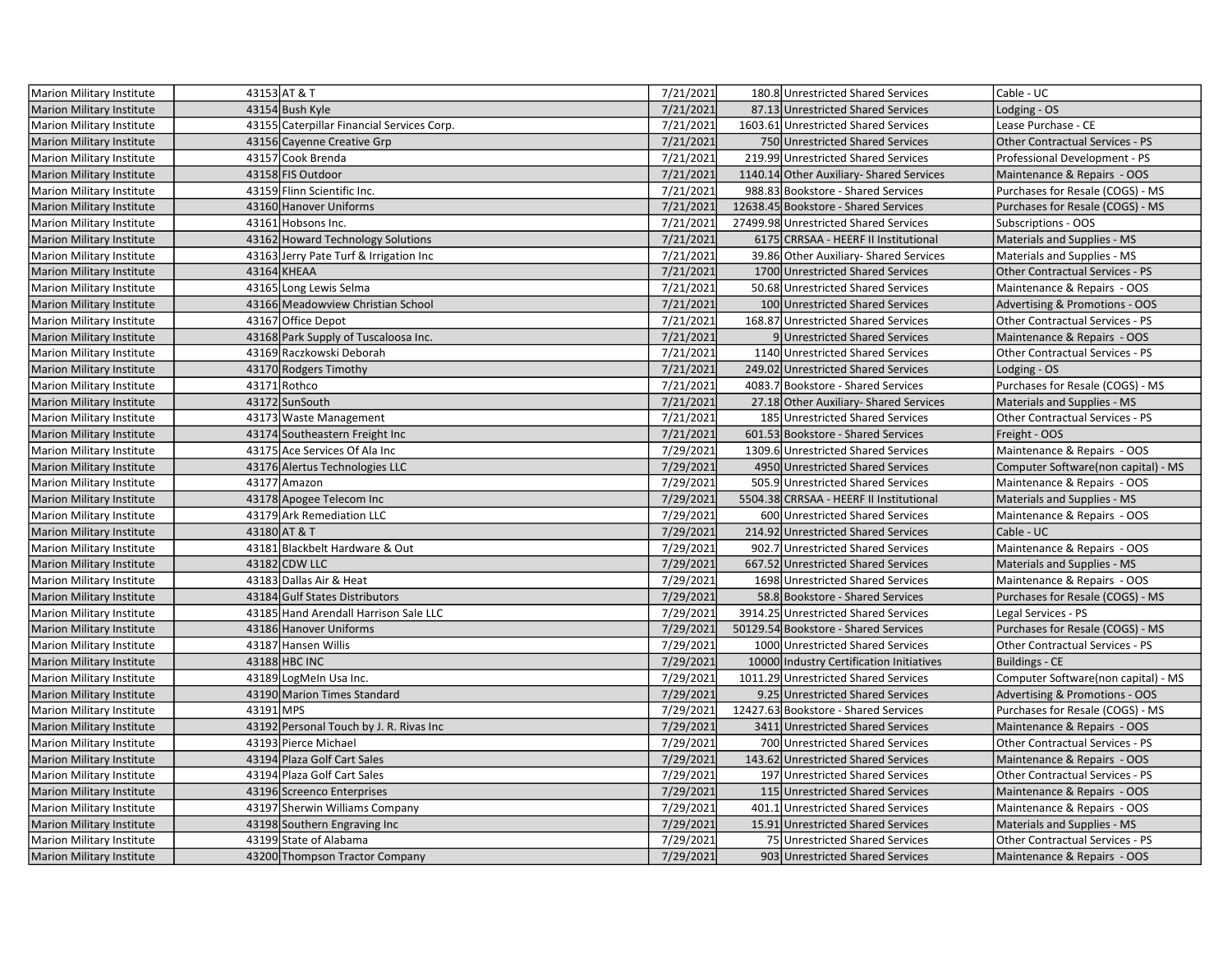| Marion Military Institute        |           | 43153 AT & T                               | 7/21/2021 | 180.8 Unrestricted Shared Services       | Cable - UC                                |
|----------------------------------|-----------|--------------------------------------------|-----------|------------------------------------------|-------------------------------------------|
| <b>Marion Military Institute</b> |           | 43154 Bush Kyle                            | 7/21/2021 | 87.13 Unrestricted Shared Services       | Lodging - OS                              |
| Marion Military Institute        |           | 43155 Caterpillar Financial Services Corp. | 7/21/2021 | 1603.61 Unrestricted Shared Services     | Lease Purchase - CE                       |
| <b>Marion Military Institute</b> |           | 43156 Cayenne Creative Grp                 | 7/21/2021 | 750 Unrestricted Shared Services         | Other Contractual Services - PS           |
| Marion Military Institute        |           | 43157 Cook Brenda                          | 7/21/2021 | 219.99 Unrestricted Shared Services      | Professional Development - PS             |
| Marion Military Institute        |           | 43158 FIS Outdoor                          | 7/21/2021 | 1140.14 Other Auxiliary- Shared Services | Maintenance & Repairs - OOS               |
| <b>Marion Military Institute</b> |           | 43159 Flinn Scientific Inc.                | 7/21/2021 | 988.83 Bookstore - Shared Services       | Purchases for Resale (COGS) - MS          |
| <b>Marion Military Institute</b> |           | 43160 Hanover Uniforms                     | 7/21/2021 | 12638.45 Bookstore - Shared Services     | Purchases for Resale (COGS) - MS          |
| <b>Marion Military Institute</b> |           | 43161 Hobsons Inc.                         | 7/21/2021 | 27499.98 Unrestricted Shared Services    | <b>Subscriptions - OOS</b>                |
| Marion Military Institute        |           | 43162 Howard Technology Solutions          | 7/21/2021 | 6175 CRRSAA - HEERF II Institutional     | Materials and Supplies - MS               |
| <b>Marion Military Institute</b> |           | 43163 Jerry Pate Turf & Irrigation Inc     | 7/21/2021 | 39.86 Other Auxiliary-Shared Services    | Materials and Supplies - MS               |
| Marion Military Institute        |           | 43164 KHEAA                                | 7/21/2021 | 1700 Unrestricted Shared Services        | <b>Other Contractual Services - PS</b>    |
| Marion Military Institute        |           | 43165 Long Lewis Selma                     | 7/21/2021 | 50.68 Unrestricted Shared Services       | Maintenance & Repairs - OOS               |
| <b>Marion Military Institute</b> |           | 43166 Meadowview Christian School          | 7/21/2021 | 100 Unrestricted Shared Services         | Advertising & Promotions - OOS            |
| <b>Marion Military Institute</b> |           | 43167 Office Depot                         | 7/21/2021 | 168.87 Unrestricted Shared Services      | Other Contractual Services - PS           |
| <b>Marion Military Institute</b> |           | 43168 Park Supply of Tuscaloosa Inc.       | 7/21/2021 | 9 Unrestricted Shared Services           | Maintenance & Repairs - OOS               |
| <b>Marion Military Institute</b> |           | 43169 Raczkowski Deborah                   | 7/21/2021 | 1140 Unrestricted Shared Services        | Other Contractual Services - PS           |
| <b>Marion Military Institute</b> |           | 43170 Rodgers Timothy                      | 7/21/2021 | 249.02 Unrestricted Shared Services      | Lodging - OS                              |
| Marion Military Institute        |           | 43171 Rothco                               | 7/21/2021 | 4083.7 Bookstore - Shared Services       | Purchases for Resale (COGS) - MS          |
| <b>Marion Military Institute</b> |           | 43172 SunSouth                             | 7/21/2021 | 27.18 Other Auxiliary- Shared Services   | Materials and Supplies - MS               |
| Marion Military Institute        |           | 43173 Waste Management                     | 7/21/2021 | 185 Unrestricted Shared Services         | Other Contractual Services - PS           |
| <b>Marion Military Institute</b> |           | 43174 Southeastern Freight Inc             | 7/21/2021 | 601.53 Bookstore - Shared Services       | Freight - OOS                             |
| <b>Marion Military Institute</b> |           | 43175 Ace Services Of Ala Inc              | 7/29/2021 | 1309.6 Unrestricted Shared Services      | Maintenance & Repairs - OOS               |
| <b>Marion Military Institute</b> |           | 43176 Alertus Technologies LLC             | 7/29/2021 | 4950 Unrestricted Shared Services        | Computer Software(non capital) - MS       |
| <b>Marion Military Institute</b> |           | 43177 Amazon                               | 7/29/2021 | 505.9 Unrestricted Shared Services       | Maintenance & Repairs - OOS               |
| <b>Marion Military Institute</b> |           | 43178 Apogee Telecom Inc                   | 7/29/2021 | 5504.38 CRRSAA - HEERF II Institutional  | Materials and Supplies - MS               |
| <b>Marion Military Institute</b> |           | 43179 Ark Remediation LLC                  | 7/29/2021 | 600 Unrestricted Shared Services         | Maintenance & Repairs - OOS               |
| Marion Military Institute        |           | 43180 AT & T                               | 7/29/2021 | 214.92 Unrestricted Shared Services      | Cable - UC                                |
| <b>Marion Military Institute</b> |           | 43181 Blackbelt Hardware & Out             | 7/29/2021 | 902.7 Unrestricted Shared Services       | Maintenance & Repairs - OOS               |
| <b>Marion Military Institute</b> |           | 43182 CDW LLC                              | 7/29/2021 | 667.52 Unrestricted Shared Services      | Materials and Supplies - MS               |
| <b>Marion Military Institute</b> |           | 43183 Dallas Air & Heat                    | 7/29/2021 | 1698 Unrestricted Shared Services        | Maintenance & Repairs - OOS               |
| <b>Marion Military Institute</b> |           | 43184 Gulf States Distributors             | 7/29/2021 | 58.8 Bookstore - Shared Services         | Purchases for Resale (COGS) - MS          |
| Marion Military Institute        |           | 43185 Hand Arendall Harrison Sale LLC      | 7/29/2021 | 3914.25 Unrestricted Shared Services     | Legal Services - PS                       |
| <b>Marion Military Institute</b> |           | 43186 Hanover Uniforms                     | 7/29/2021 | 50129.54 Bookstore - Shared Services     | Purchases for Resale (COGS) - MS          |
| Marion Military Institute        |           | 43187 Hansen Willis                        | 7/29/2021 | 1000 Unrestricted Shared Services        | Other Contractual Services - PS           |
| <b>Marion Military Institute</b> |           | 43188 HBC INC                              | 7/29/2021 | 10000 Industry Certification Initiatives | <b>Buildings - CE</b>                     |
| Marion Military Institute        |           | 43189 LogMeIn Usa Inc.                     | 7/29/2021 | 1011.29 Unrestricted Shared Services     | Computer Software(non capital) - MS       |
| Marion Military Institute        |           | 43190 Marion Times Standard                | 7/29/2021 | 9.25 Unrestricted Shared Services        | <b>Advertising &amp; Promotions - OOS</b> |
| <b>Marion Military Institute</b> | 43191 MPS |                                            | 7/29/2021 | 12427.63 Bookstore - Shared Services     | Purchases for Resale (COGS) - MS          |
| Marion Military Institute        |           | 43192 Personal Touch by J. R. Rivas Inc    | 7/29/2021 | 3411 Unrestricted Shared Services        | Maintenance & Repairs - OOS               |
| <b>Marion Military Institute</b> |           | 43193 Pierce Michael                       | 7/29/2021 | 700 Unrestricted Shared Services         | Other Contractual Services - PS           |
| <b>Marion Military Institute</b> |           | 43194 Plaza Golf Cart Sales                | 7/29/2021 | 143.62 Unrestricted Shared Services      | Maintenance & Repairs - OOS               |
| <b>Marion Military Institute</b> |           | 43194 Plaza Golf Cart Sales                | 7/29/2021 | 197 Unrestricted Shared Services         | <b>Other Contractual Services - PS</b>    |
| <b>Marion Military Institute</b> |           | 43196 Screenco Enterprises                 | 7/29/2021 | 115 Unrestricted Shared Services         | Maintenance & Repairs - OOS               |
| Marion Military Institute        |           | 43197 Sherwin Williams Company             | 7/29/2021 | 401.1 Unrestricted Shared Services       | Maintenance & Repairs - OOS               |
| Marion Military Institute        |           | 43198 Southern Engraving Inc               | 7/29/2021 | 15.91 Unrestricted Shared Services       | Materials and Supplies - MS               |
| Marion Military Institute        |           | 43199 State of Alabama                     | 7/29/2021 | 75 Unrestricted Shared Services          | <b>Other Contractual Services - PS</b>    |
| <b>Marion Military Institute</b> |           | 43200 Thompson Tractor Company             | 7/29/2021 | 903 Unrestricted Shared Services         | Maintenance & Repairs - OOS               |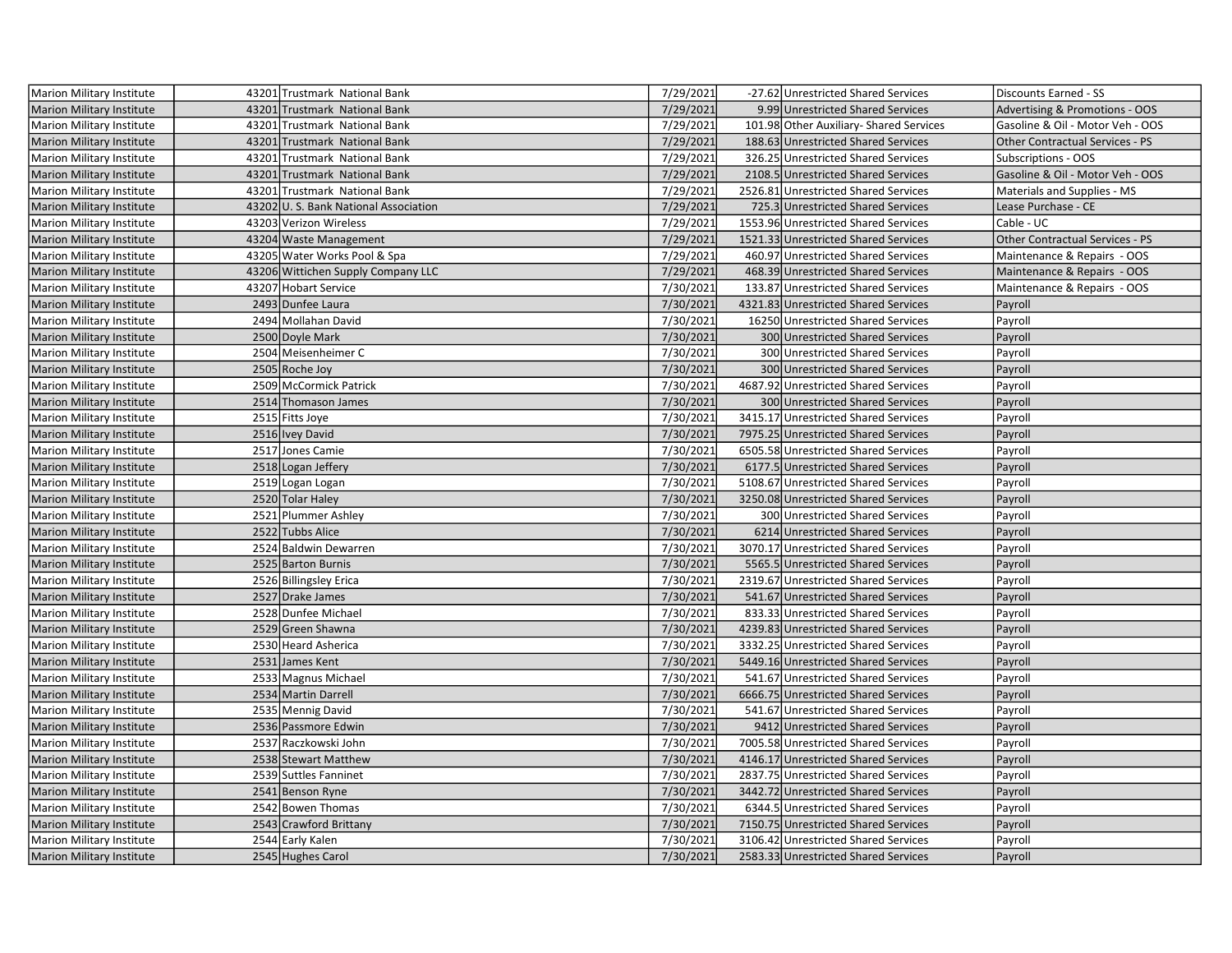| Marion Military Institute        | 43201 Trustmark National Bank        | 7/29/2021 | -27.62 Unrestricted Shared Services     | Discounts Earned - SS            |
|----------------------------------|--------------------------------------|-----------|-----------------------------------------|----------------------------------|
| <b>Marion Military Institute</b> | 43201 Trustmark National Bank        | 7/29/2021 | 9.99 Unrestricted Shared Services       | Advertising & Promotions - OOS   |
| Marion Military Institute        | 43201 Trustmark National Bank        | 7/29/2021 | 101.98 Other Auxiliary- Shared Services | Gasoline & Oil - Motor Veh - OOS |
| <b>Marion Military Institute</b> | 43201 Trustmark National Bank        | 7/29/2021 | 188.63 Unrestricted Shared Services     | Other Contractual Services - PS  |
| Marion Military Institute        | 43201 Trustmark National Bank        | 7/29/2021 | 326.25 Unrestricted Shared Services     | Subscriptions - OOS              |
| <b>Marion Military Institute</b> | 43201 Trustmark National Bank        | 7/29/2021 | 2108.5 Unrestricted Shared Services     | Gasoline & Oil - Motor Veh - OOS |
| Marion Military Institute        | 43201 Trustmark National Bank        | 7/29/2021 | 2526.81 Unrestricted Shared Services    | Materials and Supplies - MS      |
| <b>Marion Military Institute</b> | 43202 U.S. Bank National Association | 7/29/2021 | 725.3 Unrestricted Shared Services      | Lease Purchase - CE              |
| Marion Military Institute        | 43203 Verizon Wireless               | 7/29/2021 | 1553.96 Unrestricted Shared Services    | Cable - UC                       |
| Marion Military Institute        | 43204 Waste Management               | 7/29/2021 | 1521.33 Unrestricted Shared Services    | Other Contractual Services - PS  |
| Marion Military Institute        | 43205 Water Works Pool & Spa         | 7/29/2021 | 460.97 Unrestricted Shared Services     | Maintenance & Repairs - OOS      |
| <b>Marion Military Institute</b> | 43206 Wittichen Supply Company LLC   | 7/29/2021 | 468.39 Unrestricted Shared Services     | Maintenance & Repairs - OOS      |
| Marion Military Institute        | 43207 Hobart Service                 | 7/30/2021 | 133.87 Unrestricted Shared Services     | Maintenance & Repairs - OOS      |
| Marion Military Institute        | 2493 Dunfee Laura                    | 7/30/2021 | 4321.83 Unrestricted Shared Services    | Payroll                          |
| Marion Military Institute        | 2494 Mollahan David                  | 7/30/2021 | 16250 Unrestricted Shared Services      | Payroll                          |
| <b>Marion Military Institute</b> | 2500 Doyle Mark                      | 7/30/2021 | 300 Unrestricted Shared Services        | Payroll                          |
| Marion Military Institute        | 2504 Meisenheimer C                  | 7/30/2021 | 300 Unrestricted Shared Services        | Payroll                          |
| <b>Marion Military Institute</b> | 2505 Roche Joy                       | 7/30/2021 | 300 Unrestricted Shared Services        | Payroll                          |
| Marion Military Institute        | 2509 McCormick Patrick               | 7/30/2021 | 4687.92 Unrestricted Shared Services    | Payroll                          |
| <b>Marion Military Institute</b> | 2514 Thomason James                  | 7/30/2021 | 300 Unrestricted Shared Services        | Payroll                          |
| Marion Military Institute        | 2515 Fitts Joye                      | 7/30/2021 | 3415.17 Unrestricted Shared Services    | Payroll                          |
| Marion Military Institute        | 2516 Ivey David                      | 7/30/2021 | 7975.25 Unrestricted Shared Services    | Payroll                          |
| Marion Military Institute        | 2517 Jones Camie                     | 7/30/2021 | 6505.58 Unrestricted Shared Services    | Payroll                          |
| <b>Marion Military Institute</b> | 2518 Logan Jeffery                   | 7/30/2021 | 6177.5 Unrestricted Shared Services     | Payroll                          |
| Marion Military Institute        | 2519 Logan Logan                     | 7/30/2021 | 5108.67 Unrestricted Shared Services    | Payroll                          |
| <b>Marion Military Institute</b> | 2520 Tolar Haley                     | 7/30/2021 | 3250.08 Unrestricted Shared Services    | Payroll                          |
| Marion Military Institute        | 2521 Plummer Ashley                  | 7/30/2021 | 300 Unrestricted Shared Services        | Payroll                          |
| <b>Marion Military Institute</b> | 2522 Tubbs Alice                     | 7/30/2021 | 6214 Unrestricted Shared Services       | Payroll                          |
| Marion Military Institute        | 2524 Baldwin Dewarren                | 7/30/2021 | 3070.17 Unrestricted Shared Services    | Payroll                          |
| <b>Marion Military Institute</b> | 2525 Barton Burnis                   | 7/30/2021 | 5565.5 Unrestricted Shared Services     | Payroll                          |
| Marion Military Institute        | 2526 Billingsley Erica               | 7/30/2021 | 2319.67 Unrestricted Shared Services    | Payroll                          |
| <b>Marion Military Institute</b> | 2527 Drake James                     | 7/30/2021 | 541.67 Unrestricted Shared Services     | Payroll                          |
| Marion Military Institute        | 2528 Dunfee Michael                  | 7/30/2021 | 833.33 Unrestricted Shared Services     | Payroll                          |
| <b>Marion Military Institute</b> | 2529 Green Shawna                    | 7/30/2021 | 4239.83 Unrestricted Shared Services    | Payroll                          |
| Marion Military Institute        | 2530 Heard Asherica                  | 7/30/2021 | 3332.25 Unrestricted Shared Services    | Payroll                          |
| <b>Marion Military Institute</b> | 2531 James Kent                      | 7/30/2021 | 5449.16 Unrestricted Shared Services    | Payroll                          |
| Marion Military Institute        | 2533 Magnus Michael                  | 7/30/2021 | 541.67 Unrestricted Shared Services     | Payroll                          |
| <b>Marion Military Institute</b> | 2534 Martin Darrell                  | 7/30/2021 | 6666.75 Unrestricted Shared Services    | Payroll                          |
| Marion Military Institute        | 2535 Mennig David                    | 7/30/2021 | 541.67 Unrestricted Shared Services     | Payroll                          |
| Marion Military Institute        | 2536 Passmore Edwin                  | 7/30/2021 | 9412 Unrestricted Shared Services       | Payroll                          |
| Marion Military Institute        | 2537 Raczkowski John                 | 7/30/2021 | 7005.58 Unrestricted Shared Services    | Payroll                          |
| <b>Marion Military Institute</b> | 2538 Stewart Matthew                 | 7/30/2021 | 4146.17 Unrestricted Shared Services    | Payroll                          |
| Marion Military Institute        | 2539 Suttles Fanninet                | 7/30/2021 | 2837.75 Unrestricted Shared Services    | Payroll                          |
| <b>Marion Military Institute</b> | 2541 Benson Ryne                     | 7/30/2021 | 3442.72 Unrestricted Shared Services    | Payroll                          |
| Marion Military Institute        | 2542 Bowen Thomas                    | 7/30/2021 | 6344.5 Unrestricted Shared Services     | Payroll                          |
| Marion Military Institute        | 2543 Crawford Brittany               | 7/30/2021 | 7150.75 Unrestricted Shared Services    | Payroll                          |
| Marion Military Institute        | 2544 Early Kalen                     | 7/30/2021 | 3106.42 Unrestricted Shared Services    | Payroll                          |
| Marion Military Institute        | 2545 Hughes Carol                    | 7/30/2021 | 2583.33 Unrestricted Shared Services    | Payroll                          |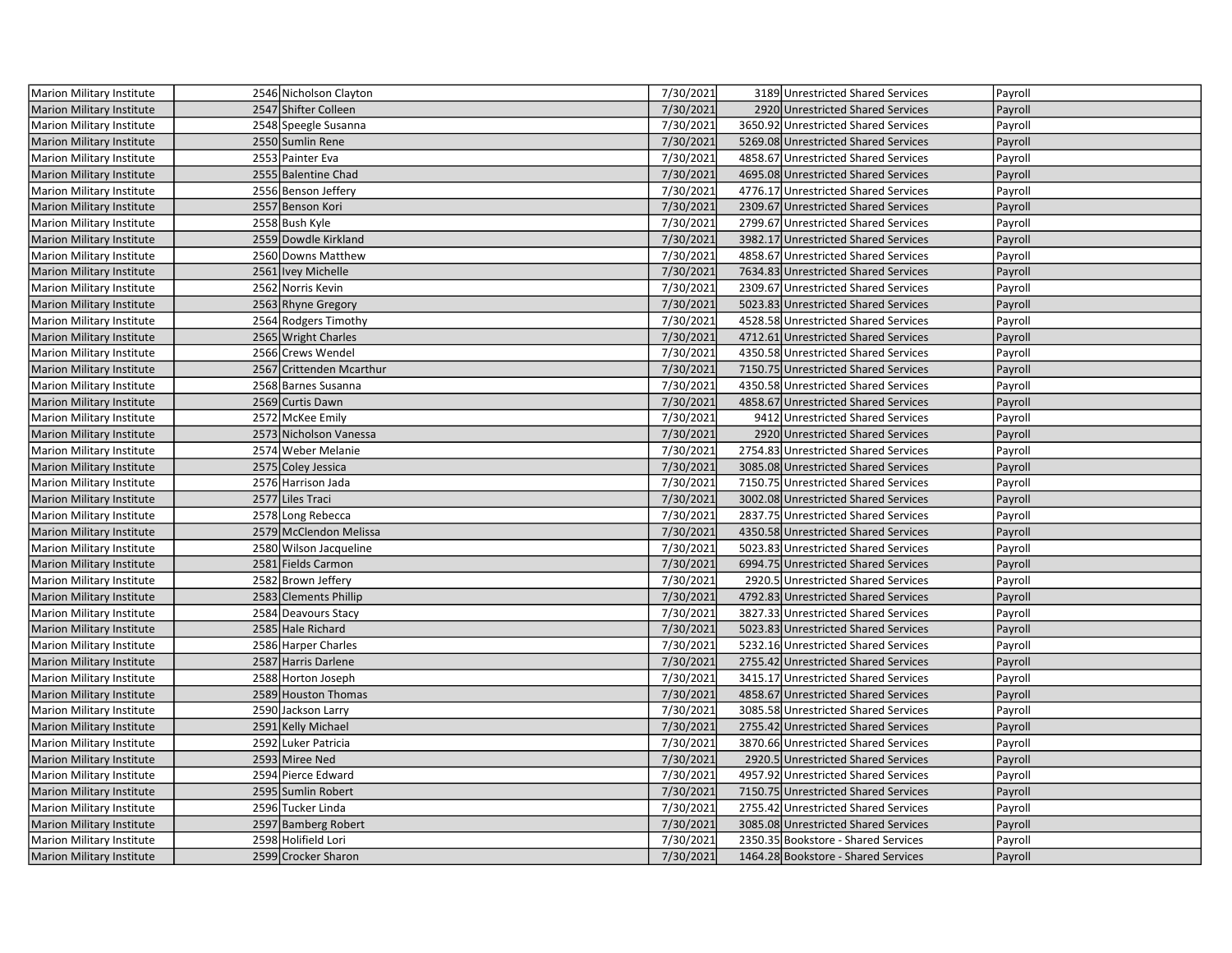| Marion Military Institute        | 2546 Nicholson Clayton   | 7/30/2021 | 3189 Unrestricted Shared Services    | Payroll |
|----------------------------------|--------------------------|-----------|--------------------------------------|---------|
| <b>Marion Military Institute</b> | 2547 Shifter Colleen     | 7/30/2021 | 2920 Unrestricted Shared Services    | Payroll |
| Marion Military Institute        | 2548 Speegle Susanna     | 7/30/2021 | 3650.92 Unrestricted Shared Services | Payroll |
| Marion Military Institute        | 2550 Sumlin Rene         | 7/30/2021 | 5269.08 Unrestricted Shared Services | Payroll |
| Marion Military Institute        | 2553 Painter Eva         | 7/30/2021 | 4858.67 Unrestricted Shared Services | Payroll |
| <b>Marion Military Institute</b> | 2555 Balentine Chad      | 7/30/2021 | 4695.08 Unrestricted Shared Services | Payroll |
| Marion Military Institute        | 2556 Benson Jeffery      | 7/30/2021 | 4776.17 Unrestricted Shared Services | Payroll |
| <b>Marion Military Institute</b> | 2557 Benson Kori         | 7/30/2021 | 2309.67 Unrestricted Shared Services | Payroll |
| Marion Military Institute        | 2558 Bush Kyle           | 7/30/2021 | 2799.67 Unrestricted Shared Services | Payroll |
| Marion Military Institute        | 2559 Dowdle Kirkland     | 7/30/2021 | 3982.17 Unrestricted Shared Services | Payroll |
| Marion Military Institute        | 2560 Downs Matthew       | 7/30/2021 | 4858.67 Unrestricted Shared Services | Payroll |
| Marion Military Institute        | 2561   Ivey Michelle     | 7/30/2021 | 7634.83 Unrestricted Shared Services | Payroll |
| Marion Military Institute        | 2562 Norris Kevin        | 7/30/2021 | 2309.67 Unrestricted Shared Services | Payroll |
| <b>Marion Military Institute</b> | 2563 Rhyne Gregory       | 7/30/2021 | 5023.83 Unrestricted Shared Services | Payroll |
| Marion Military Institute        | 2564 Rodgers Timothy     | 7/30/2021 | 4528.58 Unrestricted Shared Services | Payroll |
| Marion Military Institute        | 2565 Wright Charles      | 7/30/2021 | 4712.61 Unrestricted Shared Services | Payroll |
| Marion Military Institute        | 2566 Crews Wendel        | 7/30/2021 | 4350.58 Unrestricted Shared Services | Payroll |
| <b>Marion Military Institute</b> | 2567 Crittenden Mcarthur | 7/30/2021 | 7150.75 Unrestricted Shared Services | Payroll |
| Marion Military Institute        | 2568 Barnes Susanna      | 7/30/2021 | 4350.58 Unrestricted Shared Services | Payroll |
| <b>Marion Military Institute</b> | 2569 Curtis Dawn         | 7/30/2021 | 4858.67 Unrestricted Shared Services | Payroll |
| Marion Military Institute        | 2572 McKee Emily         | 7/30/2021 | 9412 Unrestricted Shared Services    | Payroll |
| Marion Military Institute        | 2573 Nicholson Vanessa   | 7/30/2021 | 2920 Unrestricted Shared Services    | Payroll |
| Marion Military Institute        | 2574 Weber Melanie       | 7/30/2021 | 2754.83 Unrestricted Shared Services | Payroll |
| <b>Marion Military Institute</b> | 2575 Coley Jessica       | 7/30/2021 | 3085.08 Unrestricted Shared Services | Payroll |
| Marion Military Institute        | 2576 Harrison Jada       | 7/30/2021 | 7150.75 Unrestricted Shared Services | Payroll |
| Marion Military Institute        | 2577 Liles Traci         | 7/30/2021 | 3002.08 Unrestricted Shared Services | Payroll |
| Marion Military Institute        | 2578 Long Rebecca        | 7/30/2021 | 2837.75 Unrestricted Shared Services | Payroll |
| Marion Military Institute        | 2579 McClendon Melissa   | 7/30/2021 | 4350.58 Unrestricted Shared Services | Payroll |
| Marion Military Institute        | 2580 Wilson Jacqueline   | 7/30/2021 | 5023.83 Unrestricted Shared Services | Payroll |
| <b>Marion Military Institute</b> | 2581 Fields Carmon       | 7/30/2021 | 6994.75 Unrestricted Shared Services | Payroll |
| Marion Military Institute        | 2582 Brown Jeffery       | 7/30/2021 | 2920.5 Unrestricted Shared Services  | Payroll |
| <b>Marion Military Institute</b> | 2583 Clements Phillip    | 7/30/2021 | 4792.83 Unrestricted Shared Services | Payroll |
| Marion Military Institute        | 2584 Deavours Stacy      | 7/30/2021 | 3827.33 Unrestricted Shared Services | Payroll |
| <b>Marion Military Institute</b> | 2585 Hale Richard        | 7/30/2021 | 5023.83 Unrestricted Shared Services | Payroll |
| Marion Military Institute        | 2586 Harper Charles      | 7/30/2021 | 5232.16 Unrestricted Shared Services | Payroll |
| <b>Marion Military Institute</b> | 2587 Harris Darlene      | 7/30/2021 | 2755.42 Unrestricted Shared Services | Payroll |
| Marion Military Institute        | 2588 Horton Joseph       | 7/30/2021 | 3415.17 Unrestricted Shared Services | Payroll |
| <b>Marion Military Institute</b> | 2589 Houston Thomas      | 7/30/2021 | 4858.67 Unrestricted Shared Services | Payroll |
| Marion Military Institute        | 2590 Jackson Larry       | 7/30/2021 | 3085.58 Unrestricted Shared Services | Payroll |
| <b>Marion Military Institute</b> | 2591 Kelly Michael       | 7/30/2021 | 2755.42 Unrestricted Shared Services | Payroll |
| Marion Military Institute        | 2592 Luker Patricia      | 7/30/2021 | 3870.66 Unrestricted Shared Services | Payroll |
| <b>Marion Military Institute</b> | 2593 Miree Ned           | 7/30/2021 | 2920.5 Unrestricted Shared Services  | Payroll |
| Marion Military Institute        | 2594 Pierce Edward       | 7/30/2021 | 4957.92 Unrestricted Shared Services | Payroll |
| <b>Marion Military Institute</b> | 2595 Sumlin Robert       | 7/30/2021 | 7150.75 Unrestricted Shared Services | Payroll |
| Marion Military Institute        | 2596 Tucker Linda        | 7/30/2021 | 2755.42 Unrestricted Shared Services | Payroll |
| <b>Marion Military Institute</b> | 2597 Bamberg Robert      | 7/30/2021 | 3085.08 Unrestricted Shared Services | Payroll |
| Marion Military Institute        | 2598 Holifield Lori      | 7/30/2021 | 2350.35 Bookstore - Shared Services  | Payroll |
| <b>Marion Military Institute</b> | 2599 Crocker Sharon      | 7/30/2021 | 1464.28 Bookstore - Shared Services  | Payroll |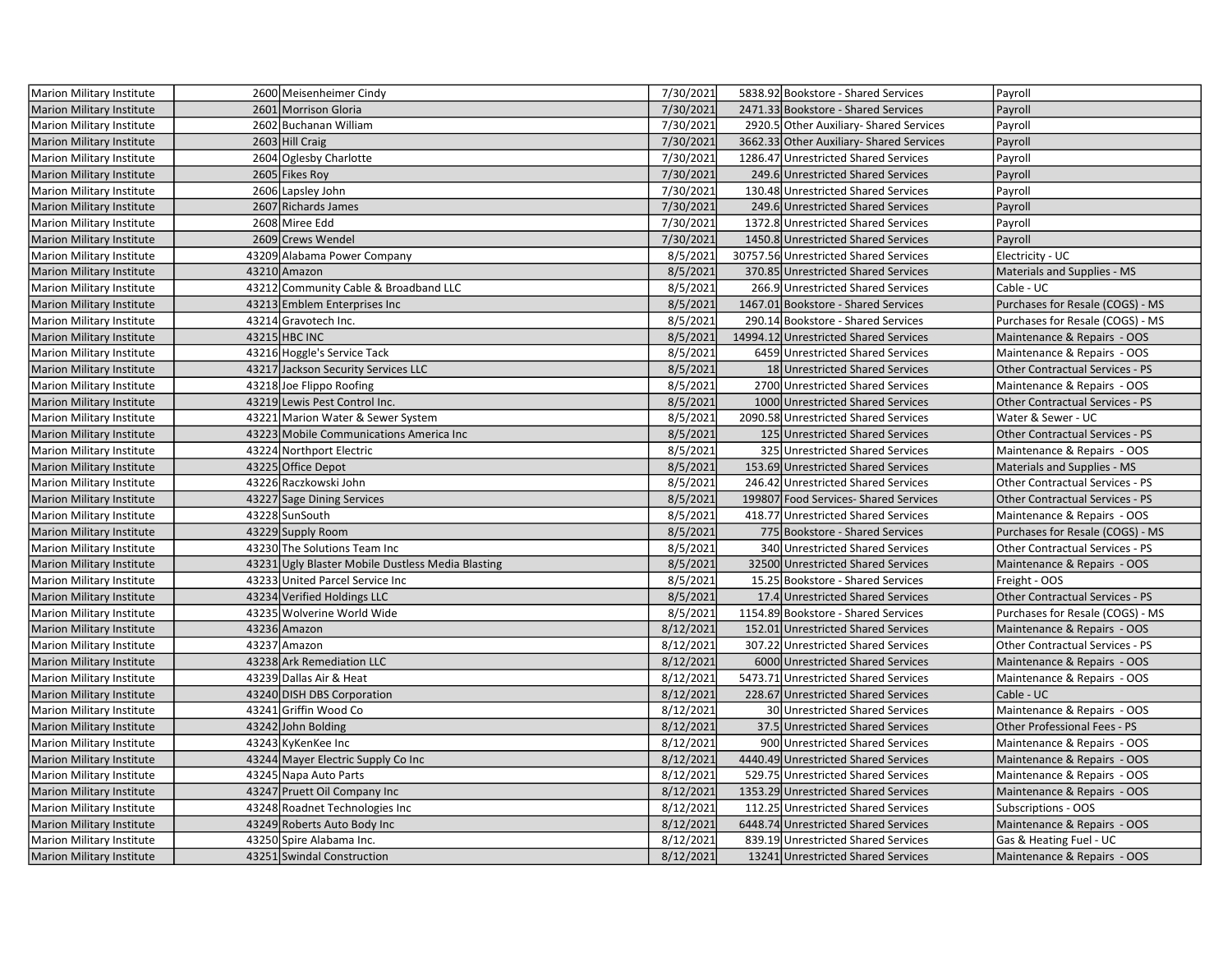| <b>Marion Military Institute</b> | 2600 Meisenheimer Cindy                           | 7/30/2021 | 5838.92 Bookstore - Shared Services      | Payroll                                |
|----------------------------------|---------------------------------------------------|-----------|------------------------------------------|----------------------------------------|
| <b>Marion Military Institute</b> | 2601 Morrison Gloria                              | 7/30/2021 | 2471.33 Bookstore - Shared Services      | Payroll                                |
| Marion Military Institute        | 2602 Buchanan William                             | 7/30/2021 | 2920.5 Other Auxiliary- Shared Services  | Payroll                                |
| Marion Military Institute        | 2603 Hill Craig                                   | 7/30/2021 | 3662.33 Other Auxiliary- Shared Services | Payroll                                |
| Marion Military Institute        | 2604 Oglesby Charlotte                            | 7/30/2021 | 1286.47 Unrestricted Shared Services     | Payroll                                |
| Marion Military Institute        | 2605 Fikes Roy                                    | 7/30/2021 | 249.6 Unrestricted Shared Services       | Payroll                                |
| Marion Military Institute        | 2606 Lapsley John                                 | 7/30/2021 | 130.48 Unrestricted Shared Services      | Payroll                                |
| Marion Military Institute        | 2607 Richards James                               | 7/30/2021 | 249.6 Unrestricted Shared Services       | Payroll                                |
| Marion Military Institute        | 2608 Miree Edd                                    | 7/30/2021 | 1372.8 Unrestricted Shared Services      | Payroll                                |
| <b>Marion Military Institute</b> | 2609 Crews Wendel                                 | 7/30/2021 | 1450.8 Unrestricted Shared Services      | Payroll                                |
| Marion Military Institute        | 43209 Alabama Power Company                       | 8/5/2021  | 30757.56 Unrestricted Shared Services    | Electricity - UC                       |
| Marion Military Institute        | 43210 Amazon                                      | 8/5/2021  | 370.85 Unrestricted Shared Services      | Materials and Supplies - MS            |
| Marion Military Institute        | 43212 Community Cable & Broadband LLC             | 8/5/2021  | 266.9 Unrestricted Shared Services       | Cable - UC                             |
| <b>Marion Military Institute</b> | 43213 Emblem Enterprises Inc                      | 8/5/2021  | 1467.01 Bookstore - Shared Services      | Purchases for Resale (COGS) - MS       |
| Marion Military Institute        | 43214 Gravotech Inc.                              | 8/5/2021  | 290.14 Bookstore - Shared Services       | Purchases for Resale (COGS) - MS       |
| Marion Military Institute        | 43215 HBC INC                                     | 8/5/2021  | 14994.12 Unrestricted Shared Services    | Maintenance & Repairs - OOS            |
| Marion Military Institute        | 43216 Hoggle's Service Tack                       | 8/5/2021  | 6459 Unrestricted Shared Services        | Maintenance & Repairs - OOS            |
| <b>Marion Military Institute</b> | 43217 Jackson Security Services LLC               | 8/5/2021  | 18 Unrestricted Shared Services          | <b>Other Contractual Services - PS</b> |
| Marion Military Institute        | 43218 Joe Flippo Roofing                          | 8/5/2021  | 2700 Unrestricted Shared Services        | Maintenance & Repairs - OOS            |
| <b>Marion Military Institute</b> | 43219 Lewis Pest Control Inc.                     | 8/5/2021  | 1000 Unrestricted Shared Services        | <b>Other Contractual Services - PS</b> |
| Marion Military Institute        | 43221 Marion Water & Sewer System                 | 8/5/2021  | 2090.58 Unrestricted Shared Services     | Water & Sewer - UC                     |
| Marion Military Institute        | 43223 Mobile Communications America Inc           | 8/5/2021  | 125 Unrestricted Shared Services         | <b>Other Contractual Services - PS</b> |
| Marion Military Institute        | 43224 Northport Electric                          | 8/5/2021  | 325 Unrestricted Shared Services         | Maintenance & Repairs - OOS            |
| <b>Marion Military Institute</b> | 43225 Office Depot                                | 8/5/2021  | 153.69 Unrestricted Shared Services      | Materials and Supplies - MS            |
| Marion Military Institute        | 43226 Raczkowski John                             | 8/5/2021  | 246.42 Unrestricted Shared Services      | Other Contractual Services - PS        |
| <b>Marion Military Institute</b> | 43227 Sage Dining Services                        | 8/5/2021  | 199807 Food Services-Shared Services     | Other Contractual Services - PS        |
| Marion Military Institute        | 43228 SunSouth                                    | 8/5/2021  | 418.77 Unrestricted Shared Services      | Maintenance & Repairs - OOS            |
| Marion Military Institute        | 43229 Supply Room                                 | 8/5/2021  | 775 Bookstore - Shared Services          | Purchases for Resale (COGS) - MS       |
| Marion Military Institute        | 43230 The Solutions Team Inc                      | 8/5/2021  | 340 Unrestricted Shared Services         | Other Contractual Services - PS        |
| Marion Military Institute        | 43231 Ugly Blaster Mobile Dustless Media Blasting | 8/5/2021  | 32500 Unrestricted Shared Services       | Maintenance & Repairs - OOS            |
| Marion Military Institute        | 43233 United Parcel Service Inc                   | 8/5/2021  | 15.25 Bookstore - Shared Services        | Freight - OOS                          |
| <b>Marion Military Institute</b> | 43234 Verified Holdings LLC                       | 8/5/2021  | 17.4 Unrestricted Shared Services        | Other Contractual Services - PS        |
| Marion Military Institute        | 43235 Wolverine World Wide                        | 8/5/2021  | 1154.89 Bookstore - Shared Services      | Purchases for Resale (COGS) - MS       |
| <b>Marion Military Institute</b> | 43236 Amazon                                      | 8/12/2021 | 152.01 Unrestricted Shared Services      | Maintenance & Repairs - OOS            |
| Marion Military Institute        | 43237 Amazon                                      | 8/12/2021 | 307.22 Unrestricted Shared Services      | <b>Other Contractual Services - PS</b> |
| <b>Marion Military Institute</b> | 43238 Ark Remediation LLC                         | 8/12/2021 | 6000 Unrestricted Shared Services        | Maintenance & Repairs - OOS            |
| Marion Military Institute        | 43239 Dallas Air & Heat                           | 8/12/2021 | 5473.71 Unrestricted Shared Services     | Maintenance & Repairs - OOS            |
| <b>Marion Military Institute</b> | 43240 DISH DBS Corporation                        | 8/12/2021 | 228.67 Unrestricted Shared Services      | Cable - UC                             |
| Marion Military Institute        | 43241 Griffin Wood Co                             | 8/12/2021 | 30 Unrestricted Shared Services          | Maintenance & Repairs - OOS            |
| Marion Military Institute        | 43242 John Bolding                                | 8/12/2021 | 37.5 Unrestricted Shared Services        | Other Professional Fees - PS           |
| Marion Military Institute        | 43243 KyKenKee Inc                                | 8/12/2021 | 900 Unrestricted Shared Services         | Maintenance & Repairs - OOS            |
| <b>Marion Military Institute</b> | 43244 Mayer Electric Supply Co Inc                | 8/12/2021 | 4440.49 Unrestricted Shared Services     | Maintenance & Repairs - OOS            |
| Marion Military Institute        | 43245 Napa Auto Parts                             | 8/12/2021 | 529.75 Unrestricted Shared Services      | Maintenance & Repairs - OOS            |
| <b>Marion Military Institute</b> | 43247 Pruett Oil Company Inc                      | 8/12/2021 | 1353.29 Unrestricted Shared Services     | Maintenance & Repairs - OOS            |
| Marion Military Institute        | 43248 Roadnet Technologies Inc                    | 8/12/2021 | 112.25 Unrestricted Shared Services      | Subscriptions - OOS                    |
| <b>Marion Military Institute</b> | 43249 Roberts Auto Body Inc                       | 8/12/2021 | 6448.74 Unrestricted Shared Services     | Maintenance & Repairs - OOS            |
| Marion Military Institute        | 43250 Spire Alabama Inc.                          | 8/12/2021 | 839.19 Unrestricted Shared Services      | Gas & Heating Fuel - UC                |
| Marion Military Institute        | 43251 Swindal Construction                        | 8/12/2021 | 13241 Unrestricted Shared Services       | Maintenance & Repairs - OOS            |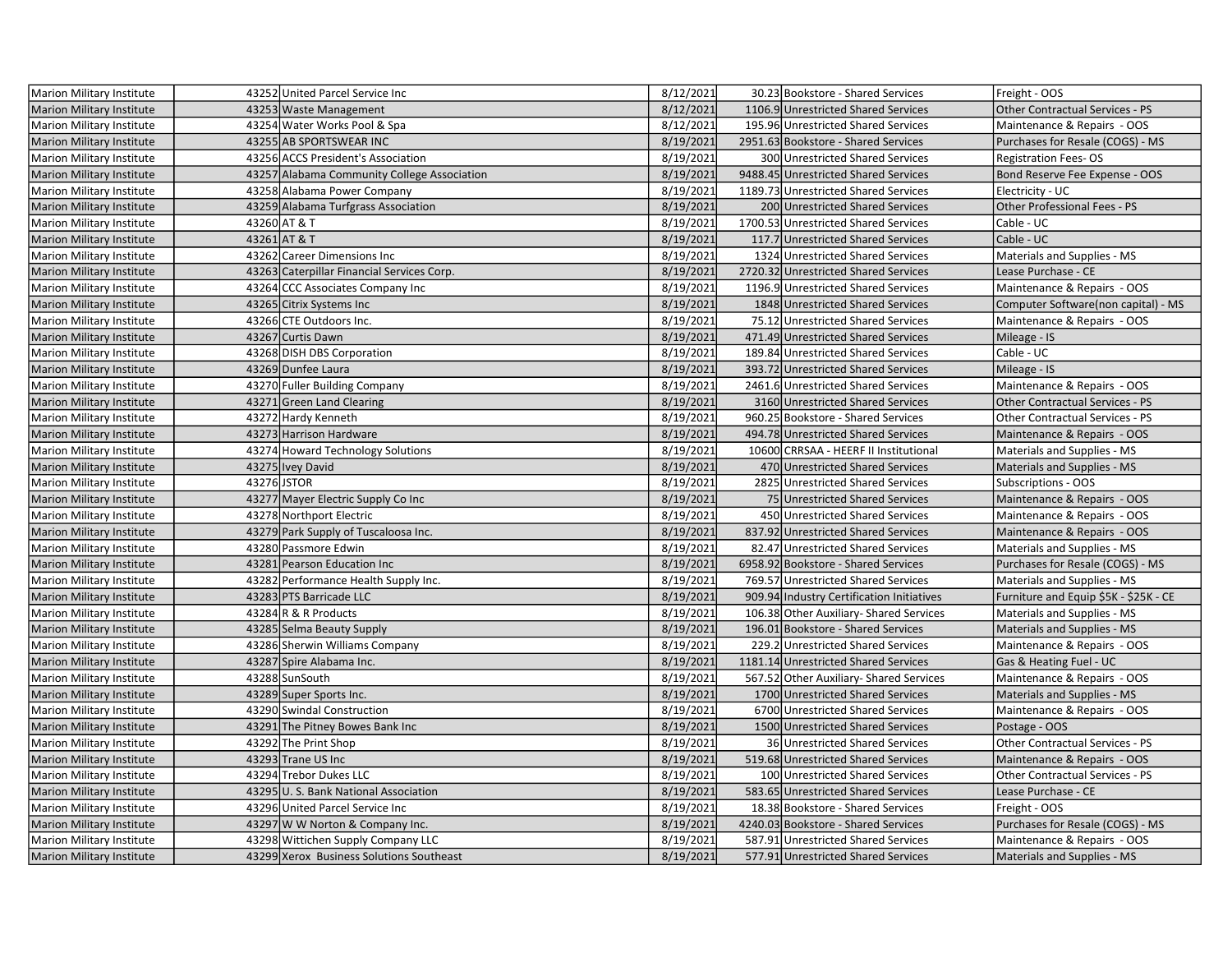| Marion Military Institute        |             | 43252 United Parcel Service Inc             | 8/12/2021 | 30.23 Bookstore - Shared Services         | Freight - OOS                          |
|----------------------------------|-------------|---------------------------------------------|-----------|-------------------------------------------|----------------------------------------|
| <b>Marion Military Institute</b> |             | 43253 Waste Management                      | 8/12/2021 | 1106.9 Unrestricted Shared Services       | Other Contractual Services - PS        |
| Marion Military Institute        |             | 43254 Water Works Pool & Spa                | 8/12/2021 | 195.96 Unrestricted Shared Services       | Maintenance & Repairs - OOS            |
| <b>Marion Military Institute</b> |             | 43255 AB SPORTSWEAR INC                     | 8/19/2021 | 2951.63 Bookstore - Shared Services       | Purchases for Resale (COGS) - MS       |
| Marion Military Institute        |             | 43256 ACCS President's Association          | 8/19/2021 | 300 Unrestricted Shared Services          | <b>Registration Fees-OS</b>            |
| <b>Marion Military Institute</b> |             | 43257 Alabama Community College Association | 8/19/2021 | 9488.45 Unrestricted Shared Services      | Bond Reserve Fee Expense - OOS         |
| Marion Military Institute        |             | 43258 Alabama Power Company                 | 8/19/2021 | 1189.73 Unrestricted Shared Services      | Electricity - UC                       |
| <b>Marion Military Institute</b> |             | 43259 Alabama Turfgrass Association         | 8/19/2021 | 200 Unrestricted Shared Services          | Other Professional Fees - PS           |
| Marion Military Institute        |             | 43260 AT & T                                | 8/19/2021 | 1700.53 Unrestricted Shared Services      | Cable - UC                             |
| <b>Marion Military Institute</b> |             | 43261 AT & T                                | 8/19/2021 | 117.7 Unrestricted Shared Services        | Cable - UC                             |
| <b>Marion Military Institute</b> |             | 43262 Career Dimensions Inc                 | 8/19/2021 | 1324 Unrestricted Shared Services         | Materials and Supplies - MS            |
| <b>Marion Military Institute</b> |             | 43263 Caterpillar Financial Services Corp.  | 8/19/2021 | 2720.32 Unrestricted Shared Services      | Lease Purchase - CE                    |
| Marion Military Institute        |             | 43264 CCC Associates Company Inc            | 8/19/2021 | 1196.9 Unrestricted Shared Services       | Maintenance & Repairs - OOS            |
| Marion Military Institute        |             | 43265 Citrix Systems Inc                    | 8/19/2021 | 1848 Unrestricted Shared Services         | Computer Software(non capital) - MS    |
| Marion Military Institute        |             | 43266 CTE Outdoors Inc.                     | 8/19/2021 | 75.12 Unrestricted Shared Services        | Maintenance & Repairs - OOS            |
| <b>Marion Military Institute</b> |             | 43267 Curtis Dawn                           | 8/19/2021 | 471.49 Unrestricted Shared Services       | Mileage - IS                           |
| Marion Military Institute        |             | 43268 DISH DBS Corporation                  | 8/19/2021 | 189.84 Unrestricted Shared Services       | Cable - UC                             |
| <b>Marion Military Institute</b> |             | 43269 Dunfee Laura                          | 8/19/2021 | 393.72 Unrestricted Shared Services       | Mileage - IS                           |
| <b>Marion Military Institute</b> |             | 43270 Fuller Building Company               | 8/19/2021 | 2461.6 Unrestricted Shared Services       | Maintenance & Repairs - OOS            |
| <b>Marion Military Institute</b> |             | 43271 Green Land Clearing                   | 8/19/2021 | 3160 Unrestricted Shared Services         | <b>Other Contractual Services - PS</b> |
| Marion Military Institute        |             | 43272 Hardy Kenneth                         | 8/19/2021 | 960.25 Bookstore - Shared Services        | Other Contractual Services - PS        |
| Marion Military Institute        |             | 43273 Harrison Hardware                     | 8/19/2021 | 494.78 Unrestricted Shared Services       | Maintenance & Repairs - OOS            |
| Marion Military Institute        |             | 43274 Howard Technology Solutions           | 8/19/2021 | 10600 CRRSAA - HEERF II Institutional     | Materials and Supplies - MS            |
| <b>Marion Military Institute</b> |             | 43275 Ivey David                            | 8/19/2021 | 470 Unrestricted Shared Services          | Materials and Supplies - MS            |
| Marion Military Institute        | 43276 JSTOR |                                             | 8/19/2021 | 2825 Unrestricted Shared Services         | Subscriptions - OOS                    |
| <b>Marion Military Institute</b> |             | 43277 Mayer Electric Supply Co Inc          | 8/19/2021 | 75 Unrestricted Shared Services           | Maintenance & Repairs - OOS            |
| Marion Military Institute        |             | 43278 Northport Electric                    | 8/19/2021 | 450 Unrestricted Shared Services          | Maintenance & Repairs - OOS            |
| Marion Military Institute        |             | 43279 Park Supply of Tuscaloosa Inc.        | 8/19/2021 | 837.92 Unrestricted Shared Services       | Maintenance & Repairs - OOS            |
| Marion Military Institute        |             | 43280 Passmore Edwin                        | 8/19/2021 | 82.47 Unrestricted Shared Services        | Materials and Supplies - MS            |
| Marion Military Institute        |             | 43281 Pearson Education Inc                 | 8/19/2021 | 6958.92 Bookstore - Shared Services       | Purchases for Resale (COGS) - MS       |
| Marion Military Institute        |             | 43282 Performance Health Supply Inc.        | 8/19/2021 | 769.57 Unrestricted Shared Services       | Materials and Supplies - MS            |
| <b>Marion Military Institute</b> |             | 43283 PTS Barricade LLC                     | 8/19/2021 | 909.94 Industry Certification Initiatives | Furniture and Equip \$5K - \$25K - CE  |
| <b>Marion Military Institute</b> |             | 43284 R & R Products                        | 8/19/2021 | 106.38 Other Auxiliary- Shared Services   | Materials and Supplies - MS            |
| <b>Marion Military Institute</b> |             | 43285 Selma Beauty Supply                   | 8/19/2021 | 196.01 Bookstore - Shared Services        | Materials and Supplies - MS            |
| <b>Marion Military Institute</b> |             | 43286 Sherwin Williams Company              | 8/19/2021 | 229.2 Unrestricted Shared Services        | Maintenance & Repairs - OOS            |
| <b>Marion Military Institute</b> |             | 43287 Spire Alabama Inc.                    | 8/19/2021 | 1181.14 Unrestricted Shared Services      | Gas & Heating Fuel - UC                |
| Marion Military Institute        |             | 43288 SunSouth                              | 8/19/2021 | 567.52 Other Auxiliary- Shared Services   | Maintenance & Repairs - OOS            |
| Marion Military Institute        |             | 43289 Super Sports Inc.                     | 8/19/2021 | 1700 Unrestricted Shared Services         | Materials and Supplies - MS            |
| Marion Military Institute        |             | 43290 Swindal Construction                  | 8/19/2021 | 6700 Unrestricted Shared Services         | Maintenance & Repairs - OOS            |
| <b>Marion Military Institute</b> |             | 43291 The Pitney Bowes Bank Inc             | 8/19/2021 | 1500 Unrestricted Shared Services         | Postage - OOS                          |
| Marion Military Institute        |             | 43292 The Print Shop                        | 8/19/2021 | 36 Unrestricted Shared Services           | Other Contractual Services - PS        |
| <b>Marion Military Institute</b> |             | 43293 Trane US Inc                          | 8/19/2021 | 519.68 Unrestricted Shared Services       | Maintenance & Repairs - OOS            |
| Marion Military Institute        |             | 43294 Trebor Dukes LLC                      | 8/19/2021 | 100 Unrestricted Shared Services          | Other Contractual Services - PS        |
| <b>Marion Military Institute</b> |             | 43295 U.S. Bank National Association        | 8/19/2021 | 583.65 Unrestricted Shared Services       | Lease Purchase - CE                    |
| Marion Military Institute        |             | 43296 United Parcel Service Inc             | 8/19/2021 | 18.38 Bookstore - Shared Services         | Freight - OOS                          |
| <b>Marion Military Institute</b> |             | 43297 W W Norton & Company Inc.             | 8/19/2021 | 4240.03 Bookstore - Shared Services       | Purchases for Resale (COGS) - MS       |
| Marion Military Institute        |             | 43298 Wittichen Supply Company LLC          | 8/19/2021 | 587.91 Unrestricted Shared Services       | Maintenance & Repairs - OOS            |
| <b>Marion Military Institute</b> |             | 43299 Xerox Business Solutions Southeast    | 8/19/2021 | 577.91 Unrestricted Shared Services       | Materials and Supplies - MS            |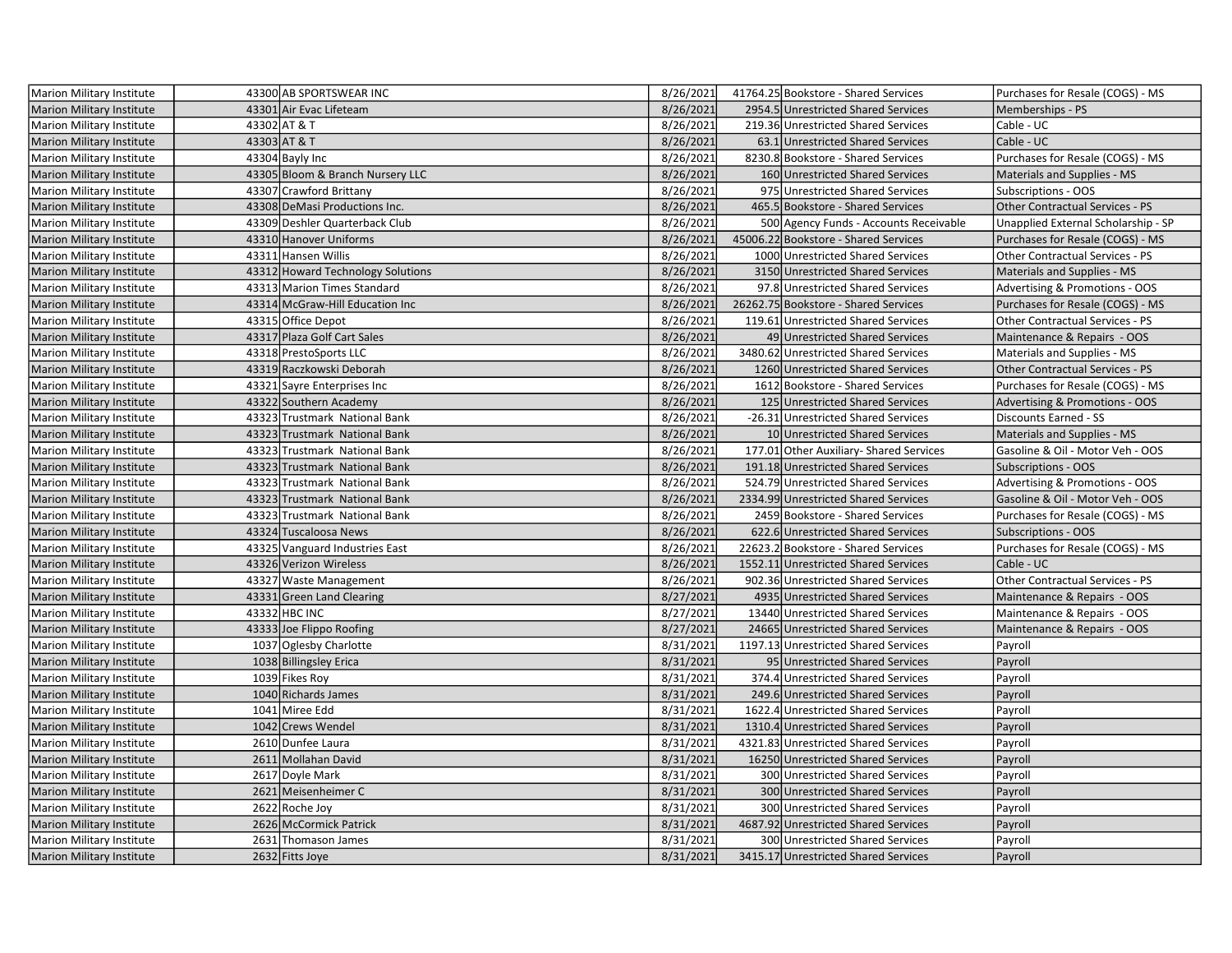| Marion Military Institute        | 43300 AB SPORTSWEAR INC           | 8/26/2021 | 41764.25 Bookstore - Shared Services    | Purchases for Resale (COGS) - MS       |
|----------------------------------|-----------------------------------|-----------|-----------------------------------------|----------------------------------------|
| <b>Marion Military Institute</b> | 43301 Air Evac Lifeteam           | 8/26/2021 | 2954.5 Unrestricted Shared Services     | Memberships - PS                       |
| Marion Military Institute        | 43302 AT & T                      | 8/26/2021 | 219.36 Unrestricted Shared Services     | Cable - UC                             |
| <b>Marion Military Institute</b> | 43303 AT & T                      | 8/26/2021 | 63.1 Unrestricted Shared Services       | Cable - UC                             |
| Marion Military Institute        | 43304 Bayly Inc                   | 8/26/2021 | 8230.8 Bookstore - Shared Services      | Purchases for Resale (COGS) - MS       |
| <b>Marion Military Institute</b> | 43305 Bloom & Branch Nursery LLC  | 8/26/2021 | 160 Unrestricted Shared Services        | Materials and Supplies - MS            |
| Marion Military Institute        | 43307 Crawford Brittany           | 8/26/2021 | 975 Unrestricted Shared Services        | Subscriptions - OOS                    |
| <b>Marion Military Institute</b> | 43308 DeMasi Productions Inc.     | 8/26/2021 | 465.5 Bookstore - Shared Services       | Other Contractual Services - PS        |
| <b>Marion Military Institute</b> | 43309 Deshler Quarterback Club    | 8/26/2021 | 500 Agency Funds - Accounts Receivable  | Unapplied External Scholarship - SP    |
| <b>Marion Military Institute</b> | 43310 Hanover Uniforms            | 8/26/2021 | 45006.22 Bookstore - Shared Services    | Purchases for Resale (COGS) - MS       |
| <b>Marion Military Institute</b> | 43311 Hansen Willis               | 8/26/2021 | 1000 Unrestricted Shared Services       | Other Contractual Services - PS        |
| Marion Military Institute        | 43312 Howard Technology Solutions | 8/26/2021 | 3150 Unrestricted Shared Services       | Materials and Supplies - MS            |
| Marion Military Institute        | 43313 Marion Times Standard       | 8/26/2021 | 97.8 Unrestricted Shared Services       | Advertising & Promotions - OOS         |
| <b>Marion Military Institute</b> | 43314 McGraw-Hill Education Inc   | 8/26/2021 | 26262.75 Bookstore - Shared Services    | Purchases for Resale (COGS) - MS       |
| Marion Military Institute        | 43315 Office Depot                | 8/26/2021 | 119.61 Unrestricted Shared Services     | Other Contractual Services - PS        |
| Marion Military Institute        | 43317 Plaza Golf Cart Sales       | 8/26/2021 | 49 Unrestricted Shared Services         | Maintenance & Repairs - OOS            |
| <b>Marion Military Institute</b> | 43318 PrestoSports LLC            | 8/26/2021 | 3480.62 Unrestricted Shared Services    | Materials and Supplies - MS            |
| <b>Marion Military Institute</b> | 43319 Raczkowski Deborah          | 8/26/2021 | 1260 Unrestricted Shared Services       | <b>Other Contractual Services - PS</b> |
| Marion Military Institute        | 43321 Sayre Enterprises Inc       | 8/26/2021 | 1612 Bookstore - Shared Services        | Purchases for Resale (COGS) - MS       |
| <b>Marion Military Institute</b> | 43322 Southern Academy            | 8/26/2021 | 125 Unrestricted Shared Services        | Advertising & Promotions - OOS         |
| Marion Military Institute        | 43323 Trustmark National Bank     | 8/26/2021 | -26.31 Unrestricted Shared Services     | Discounts Earned - SS                  |
| Marion Military Institute        | 43323 Trustmark National Bank     | 8/26/2021 | 10 Unrestricted Shared Services         | Materials and Supplies - MS            |
| <b>Marion Military Institute</b> | 43323 Trustmark National Bank     | 8/26/2021 | 177.01 Other Auxiliary- Shared Services | Gasoline & Oil - Motor Veh - OOS       |
| <b>Marion Military Institute</b> | 43323 Trustmark National Bank     | 8/26/2021 | 191.18 Unrestricted Shared Services     | <b>Subscriptions - OOS</b>             |
| <b>Marion Military Institute</b> | 43323 Trustmark National Bank     | 8/26/2021 | 524.79 Unrestricted Shared Services     | Advertising & Promotions - OOS         |
| <b>Marion Military Institute</b> | 43323 Trustmark National Bank     | 8/26/2021 | 2334.99 Unrestricted Shared Services    | Gasoline & Oil - Motor Veh - OOS       |
| Marion Military Institute        | 43323 Trustmark National Bank     | 8/26/2021 | 2459 Bookstore - Shared Services        | Purchases for Resale (COGS) - MS       |
| Marion Military Institute        | 43324 Tuscaloosa News             | 8/26/2021 | 622.6 Unrestricted Shared Services      | <b>Subscriptions - OOS</b>             |
| <b>Marion Military Institute</b> | 43325 Vanguard Industries East    | 8/26/2021 | 22623.2 Bookstore - Shared Services     | Purchases for Resale (COGS) - MS       |
| Marion Military Institute        | 43326 Verizon Wireless            | 8/26/2021 | 1552.11 Unrestricted Shared Services    | Cable - UC                             |
| Marion Military Institute        | 43327 Waste Management            | 8/26/2021 | 902.36 Unrestricted Shared Services     | Other Contractual Services - PS        |
| <b>Marion Military Institute</b> | 43331 Green Land Clearing         | 8/27/2021 | 4935 Unrestricted Shared Services       | Maintenance & Repairs - OOS            |
| <b>Marion Military Institute</b> | 43332 HBC INC                     | 8/27/2021 | 13440 Unrestricted Shared Services      | Maintenance & Repairs - OOS            |
| Marion Military Institute        | 43333 Joe Flippo Roofing          | 8/27/2021 | 24665 Unrestricted Shared Services      | Maintenance & Repairs - OOS            |
| Marion Military Institute        | 1037 Oglesby Charlotte            | 8/31/2021 | 1197.13 Unrestricted Shared Services    | Payroll                                |
| <b>Marion Military Institute</b> | 1038 Billingsley Erica            | 8/31/2021 | 95 Unrestricted Shared Services         | Payroll                                |
| Marion Military Institute        | 1039 Fikes Roy                    | 8/31/2021 | 374.4 Unrestricted Shared Services      | Payroll                                |
| <b>Marion Military Institute</b> | 1040 Richards James               | 8/31/2021 | 249.6 Unrestricted Shared Services      | Payroll                                |
| Marion Military Institute        | 1041 Miree Edd                    | 8/31/2021 | 1622.4 Unrestricted Shared Services     | Payroll                                |
| Marion Military Institute        | 1042 Crews Wendel                 | 8/31/2021 | 1310.4 Unrestricted Shared Services     | Payroll                                |
| Marion Military Institute        | 2610 Dunfee Laura                 | 8/31/2021 | 4321.83 Unrestricted Shared Services    | Payroll                                |
| <b>Marion Military Institute</b> | 2611 Mollahan David               | 8/31/2021 | 16250 Unrestricted Shared Services      | Payroll                                |
| Marion Military Institute        | 2617 Doyle Mark                   | 8/31/2021 | 300 Unrestricted Shared Services        | Payroll                                |
| <b>Marion Military Institute</b> | 2621 Meisenheimer C               | 8/31/2021 | 300 Unrestricted Shared Services        | Payroll                                |
| <b>Marion Military Institute</b> | 2622 Roche Joy                    | 8/31/2021 | 300 Unrestricted Shared Services        | Payroll                                |
| <b>Marion Military Institute</b> | 2626 McCormick Patrick            | 8/31/2021 | 4687.92 Unrestricted Shared Services    | Payroll                                |
| Marion Military Institute        | 2631 Thomason James               | 8/31/2021 | 300 Unrestricted Shared Services        | Payroll                                |
| <b>Marion Military Institute</b> | 2632 Fitts Joye                   | 8/31/2021 | 3415.17 Unrestricted Shared Services    | Payroll                                |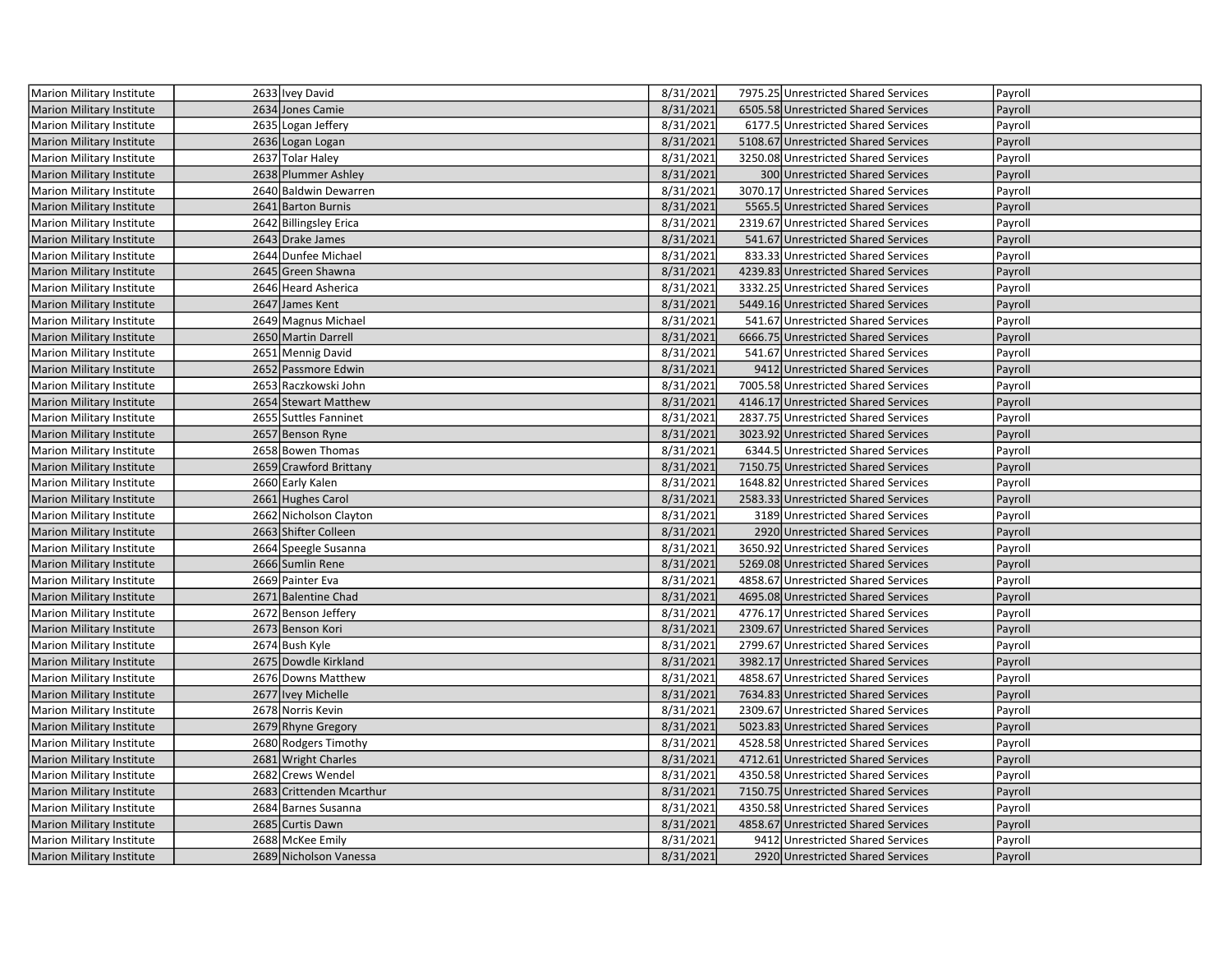| <b>Marion Military Institute</b> | 2633 Ivey David          | 8/31/2021 | 7975.25 Unrestricted Shared Services | Payroll |
|----------------------------------|--------------------------|-----------|--------------------------------------|---------|
| <b>Marion Military Institute</b> | 2634 Jones Camie         | 8/31/2021 | 6505.58 Unrestricted Shared Services | Payroll |
| Marion Military Institute        | 2635 Logan Jeffery       | 8/31/2021 | 6177.5 Unrestricted Shared Services  | Payroll |
| Marion Military Institute        | 2636 Logan Logan         | 8/31/2021 | 5108.67 Unrestricted Shared Services | Payroll |
| Marion Military Institute        | 2637 Tolar Haley         | 8/31/2021 | 3250.08 Unrestricted Shared Services | Payroll |
| <b>Marion Military Institute</b> | 2638 Plummer Ashley      | 8/31/2021 | 300 Unrestricted Shared Services     | Payroll |
| Marion Military Institute        | 2640 Baldwin Dewarren    | 8/31/2021 | 3070.17 Unrestricted Shared Services | Payroll |
| <b>Marion Military Institute</b> | 2641 Barton Burnis       | 8/31/2021 | 5565.5 Unrestricted Shared Services  | Payroll |
| Marion Military Institute        | 2642 Billingsley Erica   | 8/31/2021 | 2319.67 Unrestricted Shared Services | Payroll |
| Marion Military Institute        | 2643 Drake James         | 8/31/2021 | 541.67 Unrestricted Shared Services  | Payroll |
| Marion Military Institute        | 2644 Dunfee Michael      | 8/31/2021 | 833.33 Unrestricted Shared Services  | Payroll |
| <b>Marion Military Institute</b> | 2645 Green Shawna        | 8/31/2021 | 4239.83 Unrestricted Shared Services | Payroll |
| Marion Military Institute        | 2646 Heard Asherica      | 8/31/2021 | 3332.25 Unrestricted Shared Services | Payroll |
| <b>Marion Military Institute</b> | 2647 James Kent          | 8/31/2021 | 5449.16 Unrestricted Shared Services | Payroll |
| Marion Military Institute        | 2649 Magnus Michael      | 8/31/2021 | 541.67 Unrestricted Shared Services  | Payroll |
| Marion Military Institute        | 2650 Martin Darrell      | 8/31/2021 | 6666.75 Unrestricted Shared Services | Payroll |
| Marion Military Institute        | 2651 Mennig David        | 8/31/2021 | 541.67 Unrestricted Shared Services  | Payroll |
| <b>Marion Military Institute</b> | 2652 Passmore Edwin      | 8/31/2021 | 9412 Unrestricted Shared Services    | Payroll |
| Marion Military Institute        | 2653 Raczkowski John     | 8/31/2021 | 7005.58 Unrestricted Shared Services | Payroll |
| Marion Military Institute        | 2654 Stewart Matthew     | 8/31/2021 | 4146.17 Unrestricted Shared Services | Payroll |
| Marion Military Institute        | 2655 Suttles Fanninet    | 8/31/2021 | 2837.75 Unrestricted Shared Services | Payroll |
| Marion Military Institute        | 2657 Benson Ryne         | 8/31/2021 | 3023.92 Unrestricted Shared Services | Payroll |
| Marion Military Institute        | 2658 Bowen Thomas        | 8/31/2021 | 6344.5 Unrestricted Shared Services  | Payroll |
| <b>Marion Military Institute</b> | 2659 Crawford Brittany   | 8/31/2021 | 7150.75 Unrestricted Shared Services | Payroll |
| Marion Military Institute        | 2660 Early Kalen         | 8/31/2021 | 1648.82 Unrestricted Shared Services | Payroll |
| <b>Marion Military Institute</b> | 2661 Hughes Carol        | 8/31/2021 | 2583.33 Unrestricted Shared Services | Payroll |
| Marion Military Institute        | 2662 Nicholson Clayton   | 8/31/2021 | 3189 Unrestricted Shared Services    | Payroll |
| Marion Military Institute        | 2663 Shifter Colleen     | 8/31/2021 | 2920 Unrestricted Shared Services    | Payroll |
| Marion Military Institute        | 2664 Speegle Susanna     | 8/31/2021 | 3650.92 Unrestricted Shared Services | Payroll |
| <b>Marion Military Institute</b> | 2666 Sumlin Rene         | 8/31/2021 | 5269.08 Unrestricted Shared Services | Payroll |
| Marion Military Institute        | 2669 Painter Eva         | 8/31/2021 | 4858.67 Unrestricted Shared Services | Payroll |
| <b>Marion Military Institute</b> | 2671 Balentine Chad      | 8/31/2021 | 4695.08 Unrestricted Shared Services | Payroll |
| Marion Military Institute        | 2672 Benson Jeffery      | 8/31/2021 | 4776.17 Unrestricted Shared Services | Payroll |
| <b>Marion Military Institute</b> | 2673 Benson Kori         | 8/31/2021 | 2309.67 Unrestricted Shared Services | Payroll |
| Marion Military Institute        | 2674 Bush Kyle           | 8/31/2021 | 2799.67 Unrestricted Shared Services | Payroll |
| <b>Marion Military Institute</b> | 2675 Dowdle Kirkland     | 8/31/2021 | 3982.17 Unrestricted Shared Services | Payroll |
| Marion Military Institute        | 2676 Downs Matthew       | 8/31/2021 | 4858.67 Unrestricted Shared Services | Payroll |
| <b>Marion Military Institute</b> | 2677 Ivey Michelle       | 8/31/2021 | 7634.83 Unrestricted Shared Services | Payroll |
| Marion Military Institute        | 2678 Norris Kevin        | 8/31/2021 | 2309.67 Unrestricted Shared Services | Payroll |
| <b>Marion Military Institute</b> | 2679 Rhyne Gregory       | 8/31/2021 | 5023.83 Unrestricted Shared Services | Payroll |
| Marion Military Institute        | 2680 Rodgers Timothy     | 8/31/2021 | 4528.58 Unrestricted Shared Services | Payroll |
| <b>Marion Military Institute</b> | 2681 Wright Charles      | 8/31/2021 | 4712.61 Unrestricted Shared Services | Payroll |
| Marion Military Institute        | 2682 Crews Wendel        | 8/31/2021 | 4350.58 Unrestricted Shared Services | Payroll |
| <b>Marion Military Institute</b> | 2683 Crittenden Mcarthur | 8/31/2021 | 7150.75 Unrestricted Shared Services | Payroll |
| Marion Military Institute        | 2684 Barnes Susanna      | 8/31/2021 | 4350.58 Unrestricted Shared Services | Payroll |
| <b>Marion Military Institute</b> | 2685 Curtis Dawn         | 8/31/2021 | 4858.67 Unrestricted Shared Services | Payroll |
| Marion Military Institute        | 2688 McKee Emily         | 8/31/2021 | 9412 Unrestricted Shared Services    | Payroll |
| <b>Marion Military Institute</b> | 2689 Nicholson Vanessa   | 8/31/2021 | 2920 Unrestricted Shared Services    | Payroll |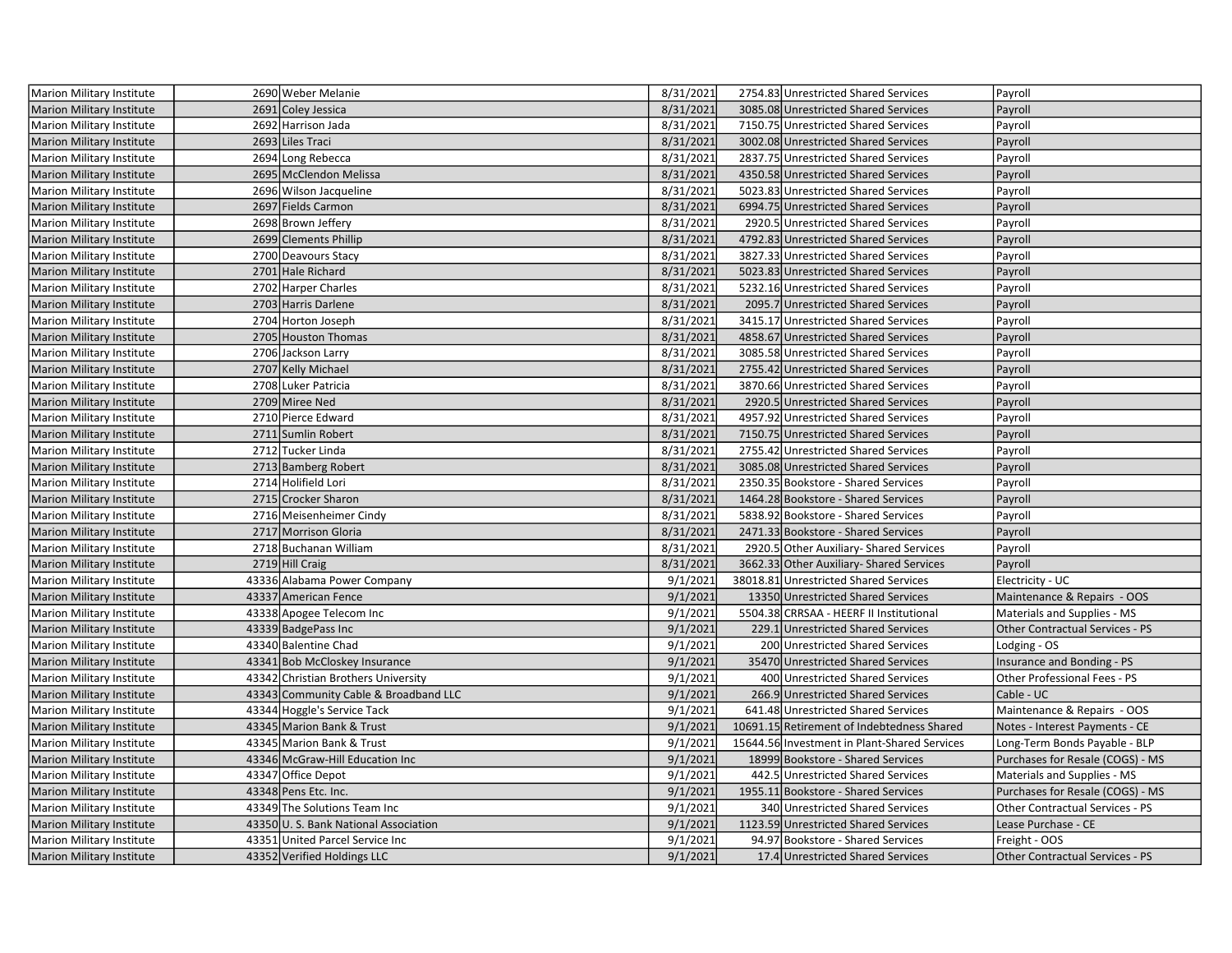| Marion Military Institute        | 2690 Weber Melanie                    | 8/31/2021 | 2754.83 Unrestricted Shared Services         | Payroll                                |
|----------------------------------|---------------------------------------|-----------|----------------------------------------------|----------------------------------------|
| <b>Marion Military Institute</b> | 2691 Coley Jessica                    | 8/31/2021 | 3085.08 Unrestricted Shared Services         | Payroll                                |
| Marion Military Institute        | 2692 Harrison Jada                    | 8/31/2021 | 7150.75 Unrestricted Shared Services         | Payroll                                |
| Marion Military Institute        | 2693 Liles Traci                      | 8/31/2021 | 3002.08 Unrestricted Shared Services         | Payroll                                |
| Marion Military Institute        | 2694 Long Rebecca                     | 8/31/2021 | 2837.75 Unrestricted Shared Services         | Payroll                                |
| <b>Marion Military Institute</b> | 2695 McClendon Melissa                | 8/31/2021 | 4350.58 Unrestricted Shared Services         | Payroll                                |
| Marion Military Institute        | 2696 Wilson Jacqueline                | 8/31/2021 | 5023.83 Unrestricted Shared Services         | Payroll                                |
| <b>Marion Military Institute</b> | 2697 Fields Carmon                    | 8/31/2021 | 6994.75 Unrestricted Shared Services         | Payroll                                |
| Marion Military Institute        | 2698 Brown Jeffery                    | 8/31/2021 | 2920.5 Unrestricted Shared Services          | Payroll                                |
| Marion Military Institute        | 2699 Clements Phillip                 | 8/31/2021 | 4792.83 Unrestricted Shared Services         | Payroll                                |
| Marion Military Institute        | 2700 Deavours Stacy                   | 8/31/2021 | 3827.33 Unrestricted Shared Services         | Payroll                                |
| Marion Military Institute        | 2701 Hale Richard                     | 8/31/2021 | 5023.83 Unrestricted Shared Services         | Payroll                                |
| Marion Military Institute        | 2702 Harper Charles                   | 8/31/2021 | 5232.16 Unrestricted Shared Services         | Payroll                                |
| <b>Marion Military Institute</b> | 2703 Harris Darlene                   | 8/31/2021 | 2095.7 Unrestricted Shared Services          | Payroll                                |
| Marion Military Institute        | 2704 Horton Joseph                    | 8/31/2021 | 3415.17 Unrestricted Shared Services         | Payroll                                |
| <b>Marion Military Institute</b> | 2705 Houston Thomas                   | 8/31/2021 | 4858.67 Unrestricted Shared Services         | Payroll                                |
| Marion Military Institute        | 2706 Jackson Larry                    | 8/31/2021 | 3085.58 Unrestricted Shared Services         | Payroll                                |
| <b>Marion Military Institute</b> | 2707 Kelly Michael                    | 8/31/2021 | 2755.42 Unrestricted Shared Services         | Payroll                                |
| Marion Military Institute        | 2708 Luker Patricia                   | 8/31/2021 | 3870.66 Unrestricted Shared Services         | Payroll                                |
| Marion Military Institute        | 2709 Miree Ned                        | 8/31/2021 | 2920.5 Unrestricted Shared Services          | Payroll                                |
| Marion Military Institute        | 2710 Pierce Edward                    | 8/31/2021 | 4957.92 Unrestricted Shared Services         | Payroll                                |
| Marion Military Institute        | 2711 Sumlin Robert                    | 8/31/2021 | 7150.75 Unrestricted Shared Services         | Payroll                                |
| Marion Military Institute        | 2712 Tucker Linda                     | 8/31/2021 | 2755.42 Unrestricted Shared Services         | Payroll                                |
| <b>Marion Military Institute</b> | 2713 Bamberg Robert                   | 8/31/2021 | 3085.08 Unrestricted Shared Services         | Payroll                                |
| Marion Military Institute        | 2714 Holifield Lori                   | 8/31/2021 | 2350.35 Bookstore - Shared Services          | Payroll                                |
| Marion Military Institute        | 2715 Crocker Sharon                   | 8/31/2021 | 1464.28 Bookstore - Shared Services          | Payroll                                |
| Marion Military Institute        | 2716 Meisenheimer Cindy               | 8/31/2021 | 5838.92 Bookstore - Shared Services          | Payroll                                |
| Marion Military Institute        | 2717 Morrison Gloria                  | 8/31/2021 | 2471.33 Bookstore - Shared Services          | Payroll                                |
| Marion Military Institute        | 2718 Buchanan William                 | 8/31/2021 | 2920.5 Other Auxiliary- Shared Services      | Payroll                                |
| <b>Marion Military Institute</b> | 2719 Hill Craig                       | 8/31/2021 | 3662.33 Other Auxiliary- Shared Services     | Payroll                                |
| <b>Marion Military Institute</b> | 43336 Alabama Power Company           | 9/1/2021  | 38018.81 Unrestricted Shared Services        | Electricity - UC                       |
| <b>Marion Military Institute</b> | 43337 American Fence                  | 9/1/2021  | 13350 Unrestricted Shared Services           | Maintenance & Repairs - OOS            |
| Marion Military Institute        | 43338 Apogee Telecom Inc              | 9/1/2021  | 5504.38 CRRSAA - HEERF II Institutional      | Materials and Supplies - MS            |
| <b>Marion Military Institute</b> | 43339 BadgePass Inc                   | 9/1/2021  | 229.1 Unrestricted Shared Services           | <b>Other Contractual Services - PS</b> |
| Marion Military Institute        | 43340 Balentine Chad                  | 9/1/2021  | 200 Unrestricted Shared Services             | Lodging - OS                           |
| <b>Marion Military Institute</b> | 43341 Bob McCloskey Insurance         | 9/1/2021  | 35470 Unrestricted Shared Services           | Insurance and Bonding - PS             |
| Marion Military Institute        | 43342 Christian Brothers University   | 9/1/2021  | 400 Unrestricted Shared Services             | Other Professional Fees - PS           |
| <b>Marion Military Institute</b> | 43343 Community Cable & Broadband LLC | 9/1/2021  | 266.9 Unrestricted Shared Services           | Cable - UC                             |
| Marion Military Institute        | 43344 Hoggle's Service Tack           | 9/1/2021  | 641.48 Unrestricted Shared Services          | Maintenance & Repairs - OOS            |
| <b>Marion Military Institute</b> | 43345 Marion Bank & Trust             | 9/1/2021  | 10691.15 Retirement of Indebtedness Shared   | Notes - Interest Payments - CE         |
| Marion Military Institute        | 43345 Marion Bank & Trust             | 9/1/2021  | 15644.56 Investment in Plant-Shared Services | Long-Term Bonds Payable - BLP          |
| Marion Military Institute        | 43346 McGraw-Hill Education Inc       | 9/1/2021  | 18999 Bookstore - Shared Services            | Purchases for Resale (COGS) - MS       |
| Marion Military Institute        | 43347 Office Depot                    | 9/1/2021  | 442.5 Unrestricted Shared Services           | Materials and Supplies - MS            |
| <b>Marion Military Institute</b> | 43348 Pens Etc. Inc.                  | 9/1/2021  | 1955.11 Bookstore - Shared Services          | Purchases for Resale (COGS) - MS       |
| Marion Military Institute        | 43349 The Solutions Team Inc          | 9/1/2021  | 340 Unrestricted Shared Services             | Other Contractual Services - PS        |
| Marion Military Institute        | 43350 U.S. Bank National Association  | 9/1/2021  | 1123.59 Unrestricted Shared Services         | Lease Purchase - CE                    |
| Marion Military Institute        | 43351 United Parcel Service Inc       | 9/1/2021  | 94.97 Bookstore - Shared Services            | Freight - OOS                          |
| Marion Military Institute        | 43352 Verified Holdings LLC           | 9/1/2021  | 17.4 Unrestricted Shared Services            | <b>Other Contractual Services - PS</b> |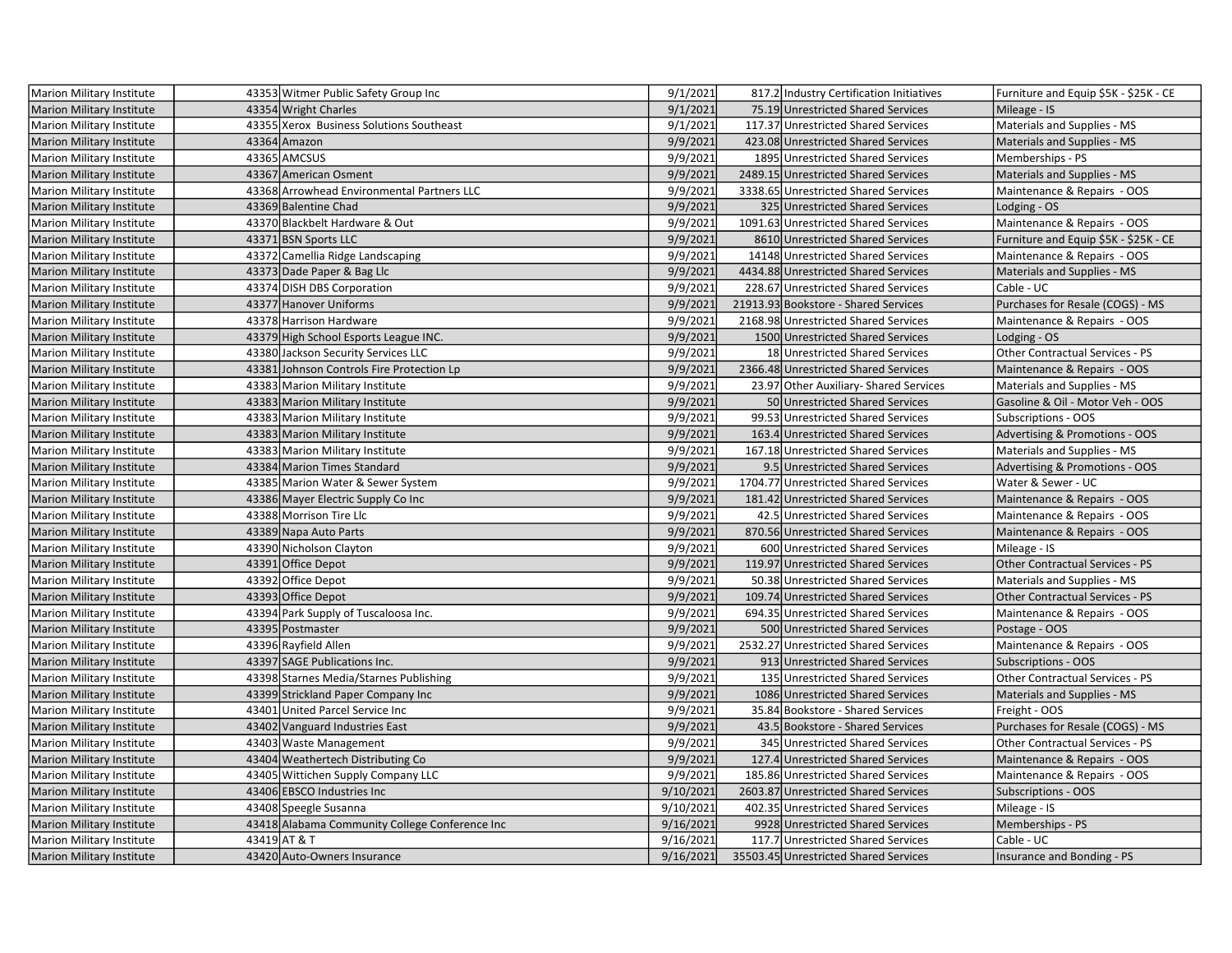| Marion Military Institute        | 43353 Witmer Public Safety Group Inc           | 9/1/2021  | 817.2 Industry Certification Initiatives | Furniture and Equip \$5K - \$25K - CE |
|----------------------------------|------------------------------------------------|-----------|------------------------------------------|---------------------------------------|
| Marion Military Institute        | 43354 Wright Charles                           | 9/1/2021  | 75.19 Unrestricted Shared Services       | Mileage - IS                          |
| <b>Marion Military Institute</b> | 43355 Xerox Business Solutions Southeast       | 9/1/2021  | 117.37 Unrestricted Shared Services      | Materials and Supplies - MS           |
| <b>Marion Military Institute</b> | 43364 Amazon                                   | 9/9/2021  | 423.08 Unrestricted Shared Services      | Materials and Supplies - MS           |
| <b>Marion Military Institute</b> | 43365 AMCSUS                                   | 9/9/2021  | 1895 Unrestricted Shared Services        | Memberships - PS                      |
| <b>Marion Military Institute</b> | 43367 American Osment                          | 9/9/2021  | 2489.15 Unrestricted Shared Services     | Materials and Supplies - MS           |
| Marion Military Institute        | 43368 Arrowhead Environmental Partners LLC     | 9/9/2021  | 3338.65 Unrestricted Shared Services     | Maintenance & Repairs - OOS           |
| <b>Marion Military Institute</b> | 43369 Balentine Chad                           | 9/9/2021  | 325 Unrestricted Shared Services         | Lodging - OS                          |
| <b>Marion Military Institute</b> | 43370 Blackbelt Hardware & Out                 | 9/9/2021  | 1091.63 Unrestricted Shared Services     | Maintenance & Repairs - OOS           |
| <b>Marion Military Institute</b> | 43371 BSN Sports LLC                           | 9/9/2021  | 8610 Unrestricted Shared Services        | Furniture and Equip \$5K - \$25K - CE |
| Marion Military Institute        | 43372 Camellia Ridge Landscaping               | 9/9/2021  | 14148 Unrestricted Shared Services       | Maintenance & Repairs - OOS           |
| <b>Marion Military Institute</b> | 43373 Dade Paper & Bag Llc                     | 9/9/2021  | 4434.88 Unrestricted Shared Services     | Materials and Supplies - MS           |
| Marion Military Institute        | 43374 DISH DBS Corporation                     | 9/9/2021  | 228.67 Unrestricted Shared Services      | Cable - UC                            |
| Marion Military Institute        | 43377 Hanover Uniforms                         | 9/9/2021  | 21913.93 Bookstore - Shared Services     | Purchases for Resale (COGS) - MS      |
| <b>Marion Military Institute</b> | 43378 Harrison Hardware                        | 9/9/2021  | 2168.98 Unrestricted Shared Services     | Maintenance & Repairs - OOS           |
| <b>Marion Military Institute</b> | 43379 High School Esports League INC.          | 9/9/2021  | 1500 Unrestricted Shared Services        | Lodging - OS                          |
| <b>Marion Military Institute</b> | 43380 Jackson Security Services LLC            | 9/9/2021  | 18 Unrestricted Shared Services          | Other Contractual Services - PS       |
| <b>Marion Military Institute</b> | 43381 Johnson Controls Fire Protection Lp      | 9/9/2021  | 2366.48 Unrestricted Shared Services     | Maintenance & Repairs - OOS           |
| <b>Marion Military Institute</b> | 43383 Marion Military Institute                | 9/9/2021  | 23.97 Other Auxiliary- Shared Services   | Materials and Supplies - MS           |
| <b>Marion Military Institute</b> | 43383 Marion Military Institute                | 9/9/2021  | 50 Unrestricted Shared Services          | Gasoline & Oil - Motor Veh - OOS      |
| Marion Military Institute        | 43383 Marion Military Institute                | 9/9/2021  | 99.53 Unrestricted Shared Services       | Subscriptions - OOS                   |
| <b>Marion Military Institute</b> | 43383 Marion Military Institute                | 9/9/2021  | 163.4 Unrestricted Shared Services       | Advertising & Promotions - OOS        |
| <b>Marion Military Institute</b> | 43383 Marion Military Institute                | 9/9/2021  | 167.18 Unrestricted Shared Services      | Materials and Supplies - MS           |
| <b>Marion Military Institute</b> | 43384 Marion Times Standard                    | 9/9/2021  | 9.5 Unrestricted Shared Services         | Advertising & Promotions - OOS        |
| <b>Marion Military Institute</b> | 43385 Marion Water & Sewer System              | 9/9/2021  | 1704.77 Unrestricted Shared Services     | Water & Sewer - UC                    |
| <b>Marion Military Institute</b> | 43386 Mayer Electric Supply Co Inc             | 9/9/2021  | 181.42 Unrestricted Shared Services      | Maintenance & Repairs - OOS           |
| <b>Marion Military Institute</b> | 43388 Morrison Tire Llc                        | 9/9/2021  | 42.5 Unrestricted Shared Services        | Maintenance & Repairs - OOS           |
| Marion Military Institute        | 43389 Napa Auto Parts                          | 9/9/2021  | 870.56 Unrestricted Shared Services      | Maintenance & Repairs - OOS           |
| Marion Military Institute        | 43390 Nicholson Clayton                        | 9/9/2021  | 600 Unrestricted Shared Services         | Mileage - IS                          |
| <b>Marion Military Institute</b> | 43391 Office Depot                             | 9/9/2021  | 119.97 Unrestricted Shared Services      | Other Contractual Services - PS       |
| Marion Military Institute        | 43392 Office Depot                             | 9/9/2021  | 50.38 Unrestricted Shared Services       | Materials and Supplies - MS           |
| <b>Marion Military Institute</b> | 43393 Office Depot                             | 9/9/2021  | 109.74 Unrestricted Shared Services      | Other Contractual Services - PS       |
| Marion Military Institute        | 43394 Park Supply of Tuscaloosa Inc.           | 9/9/2021  | 694.35 Unrestricted Shared Services      | Maintenance & Repairs - OOS           |
| <b>Marion Military Institute</b> | 43395 Postmaster                               | 9/9/2021  | 500 Unrestricted Shared Services         | Postage - OOS                         |
| <b>Marion Military Institute</b> | 43396 Rayfield Allen                           | 9/9/2021  | 2532.27 Unrestricted Shared Services     | Maintenance & Repairs - OOS           |
| <b>Marion Military Institute</b> | 43397 SAGE Publications Inc.                   | 9/9/2021  | 913 Unrestricted Shared Services         | <b>Subscriptions - OOS</b>            |
| Marion Military Institute        | 43398 Starnes Media/Starnes Publishing         | 9/9/2021  | 135 Unrestricted Shared Services         | Other Contractual Services - PS       |
| <b>Marion Military Institute</b> | 43399 Strickland Paper Company Inc             | 9/9/2021  | 1086 Unrestricted Shared Services        | Materials and Supplies - MS           |
| Marion Military Institute        | 43401 United Parcel Service Inc                | 9/9/2021  | 35.84 Bookstore - Shared Services        | Freight - OOS                         |
| <b>Marion Military Institute</b> | 43402 Vanguard Industries East                 | 9/9/2021  | 43.5 Bookstore - Shared Services         | Purchases for Resale (COGS) - MS      |
| <b>Marion Military Institute</b> | 43403 Waste Management                         | 9/9/2021  | 345 Unrestricted Shared Services         | Other Contractual Services - PS       |
| <b>Marion Military Institute</b> | 43404 Weathertech Distributing Co              | 9/9/2021  | 127.4 Unrestricted Shared Services       | Maintenance & Repairs - OOS           |
| Marion Military Institute        | 43405 Wittichen Supply Company LLC             | 9/9/2021  | 185.86 Unrestricted Shared Services      | Maintenance & Repairs - OOS           |
| <b>Marion Military Institute</b> | 43406 EBSCO Industries Inc                     | 9/10/2021 | 2603.87 Unrestricted Shared Services     | <b>Subscriptions - OOS</b>            |
| <b>Marion Military Institute</b> | 43408 Speegle Susanna                          | 9/10/2021 | 402.35 Unrestricted Shared Services      | Mileage - IS                          |
| Marion Military Institute        | 43418 Alabama Community College Conference Inc | 9/16/2021 | 9928 Unrestricted Shared Services        | Memberships - PS                      |
| Marion Military Institute        | 43419 AT & T                                   | 9/16/2021 | 117.7 Unrestricted Shared Services       | Cable - UC                            |
| Marion Military Institute        | 43420 Auto-Owners Insurance                    | 9/16/2021 | 35503.45 Unrestricted Shared Services    | Insurance and Bonding - PS            |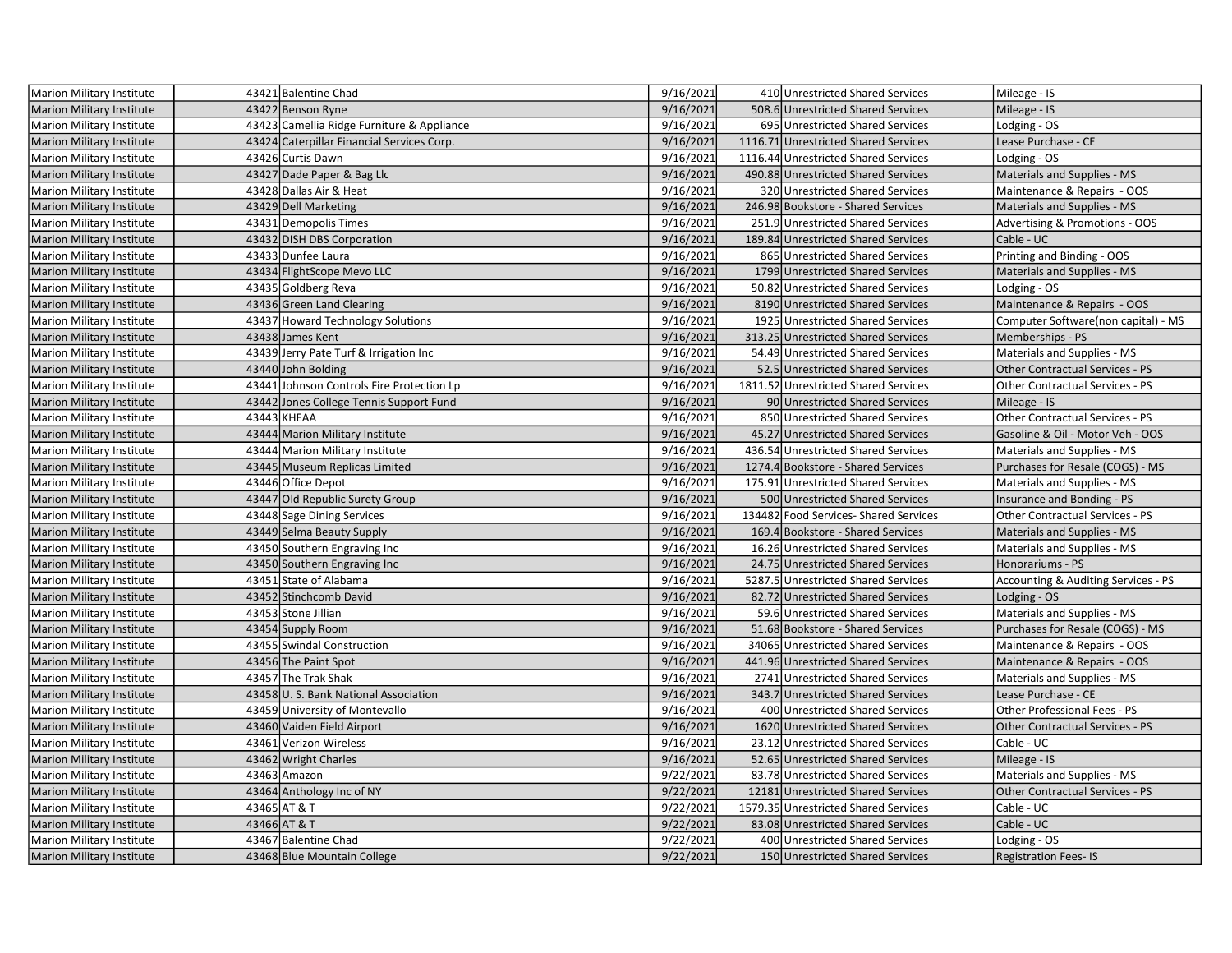| Marion Military Institute        | 43421 Balentine Chad                       | 9/16/2021 | 410 Unrestricted Shared Services     | Mileage - IS                           |
|----------------------------------|--------------------------------------------|-----------|--------------------------------------|----------------------------------------|
| <b>Marion Military Institute</b> | 43422 Benson Ryne                          | 9/16/2021 | 508.6 Unrestricted Shared Services   | Mileage - IS                           |
| Marion Military Institute        | 43423 Camellia Ridge Furniture & Appliance | 9/16/2021 | 695 Unrestricted Shared Services     | Lodging - OS                           |
| <b>Marion Military Institute</b> | 43424 Caterpillar Financial Services Corp. | 9/16/2021 | 1116.71 Unrestricted Shared Services | Lease Purchase - CE                    |
| Marion Military Institute        | 43426 Curtis Dawn                          | 9/16/2021 | 1116.44 Unrestricted Shared Services | Lodging - OS                           |
| Marion Military Institute        | 43427 Dade Paper & Bag Llc                 | 9/16/2021 | 490.88 Unrestricted Shared Services  | Materials and Supplies - MS            |
| Marion Military Institute        | 43428 Dallas Air & Heat                    | 9/16/2021 | 320 Unrestricted Shared Services     | Maintenance & Repairs - OOS            |
| <b>Marion Military Institute</b> | 43429 Dell Marketing                       | 9/16/2021 | 246.98 Bookstore - Shared Services   | Materials and Supplies - MS            |
| <b>Marion Military Institute</b> | 43431 Demopolis Times                      | 9/16/2021 | 251.9 Unrestricted Shared Services   | Advertising & Promotions - OOS         |
| <b>Marion Military Institute</b> | 43432 DISH DBS Corporation                 | 9/16/2021 | 189.84 Unrestricted Shared Services  | Cable - UC                             |
| <b>Marion Military Institute</b> | 43433 Dunfee Laura                         | 9/16/2021 | 865 Unrestricted Shared Services     | Printing and Binding - OOS             |
| Marion Military Institute        | 43434 FlightScope Mevo LLC                 | 9/16/2021 | 1799 Unrestricted Shared Services    | Materials and Supplies - MS            |
| Marion Military Institute        | 43435 Goldberg Reva                        | 9/16/2021 | 50.82 Unrestricted Shared Services   | Lodging - OS                           |
| Marion Military Institute        | 43436 Green Land Clearing                  | 9/16/2021 | 8190 Unrestricted Shared Services    | Maintenance & Repairs - OOS            |
| Marion Military Institute        | 43437 Howard Technology Solutions          | 9/16/2021 | 1925 Unrestricted Shared Services    | Computer Software(non capital) - MS    |
| <b>Marion Military Institute</b> | 43438 James Kent                           | 9/16/2021 | 313.25 Unrestricted Shared Services  | Memberships - PS                       |
| <b>Marion Military Institute</b> | 43439 Jerry Pate Turf & Irrigation Inc     | 9/16/2021 | 54.49 Unrestricted Shared Services   | Materials and Supplies - MS            |
| <b>Marion Military Institute</b> | 43440 John Bolding                         | 9/16/2021 | 52.5 Unrestricted Shared Services    | <b>Other Contractual Services - PS</b> |
| <b>Marion Military Institute</b> | 43441 Johnson Controls Fire Protection Lp  | 9/16/2021 | 1811.52 Unrestricted Shared Services | Other Contractual Services - PS        |
| <b>Marion Military Institute</b> | 43442 Jones College Tennis Support Fund    | 9/16/2021 | 90 Unrestricted Shared Services      | Mileage - IS                           |
| Marion Military Institute        | 43443 KHEAA                                | 9/16/2021 | 850 Unrestricted Shared Services     | Other Contractual Services - PS        |
| Marion Military Institute        | 43444 Marion Military Institute            | 9/16/2021 | 45.27 Unrestricted Shared Services   | Gasoline & Oil - Motor Veh - OOS       |
| Marion Military Institute        | 43444 Marion Military Institute            | 9/16/2021 | 436.54 Unrestricted Shared Services  | Materials and Supplies - MS            |
| Marion Military Institute        | 43445 Museum Replicas Limited              | 9/16/2021 | 1274.4 Bookstore - Shared Services   | Purchases for Resale (COGS) - MS       |
| <b>Marion Military Institute</b> | 43446 Office Depot                         | 9/16/2021 | 175.91 Unrestricted Shared Services  | Materials and Supplies - MS            |
| <b>Marion Military Institute</b> | 43447 Old Republic Surety Group            | 9/16/2021 | 500 Unrestricted Shared Services     | Insurance and Bonding - PS             |
| Marion Military Institute        | 43448 Sage Dining Services                 | 9/16/2021 | 134482 Food Services-Shared Services | <b>Other Contractual Services - PS</b> |
| Marion Military Institute        | 43449 Selma Beauty Supply                  | 9/16/2021 | 169.4 Bookstore - Shared Services    | Materials and Supplies - MS            |
| <b>Marion Military Institute</b> | 43450 Southern Engraving Inc               | 9/16/2021 | 16.26 Unrestricted Shared Services   | Materials and Supplies - MS            |
| Marion Military Institute        | 43450 Southern Engraving Inc               | 9/16/2021 | 24.75 Unrestricted Shared Services   | Honorariums - PS                       |
| Marion Military Institute        | 43451 State of Alabama                     | 9/16/2021 | 5287.5 Unrestricted Shared Services  | Accounting & Auditing Services - PS    |
| <b>Marion Military Institute</b> | 43452 Stinchcomb David                     | 9/16/2021 | 82.72 Unrestricted Shared Services   | Lodging - OS                           |
| Marion Military Institute        | 43453 Stone Jillian                        | 9/16/2021 | 59.6 Unrestricted Shared Services    | Materials and Supplies - MS            |
| <b>Marion Military Institute</b> | 43454 Supply Room                          | 9/16/2021 | 51.68 Bookstore - Shared Services    | Purchases for Resale (COGS) - MS       |
| Marion Military Institute        | 43455 Swindal Construction                 | 9/16/2021 | 34065 Unrestricted Shared Services   | Maintenance & Repairs - OOS            |
| <b>Marion Military Institute</b> | 43456 The Paint Spot                       | 9/16/2021 | 441.96 Unrestricted Shared Services  | Maintenance & Repairs - OOS            |
| Marion Military Institute        | 43457 The Trak Shak                        | 9/16/2021 | 2741 Unrestricted Shared Services    | Materials and Supplies - MS            |
| <b>Marion Military Institute</b> | 43458 U.S. Bank National Association       | 9/16/2021 | 343.7 Unrestricted Shared Services   | Lease Purchase - CE                    |
| Marion Military Institute        | 43459 University of Montevallo             | 9/16/2021 | 400 Unrestricted Shared Services     | Other Professional Fees - PS           |
| Marion Military Institute        | 43460 Vaiden Field Airport                 | 9/16/2021 | 1620 Unrestricted Shared Services    | <b>Other Contractual Services - PS</b> |
| Marion Military Institute        | 43461 Verizon Wireless                     | 9/16/2021 | 23.12 Unrestricted Shared Services   | Cable - UC                             |
| <b>Marion Military Institute</b> | 43462 Wright Charles                       | 9/16/2021 | 52.65 Unrestricted Shared Services   | Mileage - IS                           |
| Marion Military Institute        | 43463 Amazon                               | 9/22/2021 | 83.78 Unrestricted Shared Services   | Materials and Supplies - MS            |
| <b>Marion Military Institute</b> | 43464 Anthology Inc of NY                  | 9/22/2021 | 12181 Unrestricted Shared Services   | <b>Other Contractual Services - PS</b> |
| <b>Marion Military Institute</b> | 43465 AT & T                               | 9/22/2021 | 1579.35 Unrestricted Shared Services | Cable - UC                             |
| <b>Marion Military Institute</b> | 43466 AT & T                               | 9/22/2021 | 83.08 Unrestricted Shared Services   | Cable - UC                             |
| Marion Military Institute        | 43467 Balentine Chad                       | 9/22/2021 | 400 Unrestricted Shared Services     | Lodging - OS                           |
| <b>Marion Military Institute</b> | 43468 Blue Mountain College                | 9/22/2021 | 150 Unrestricted Shared Services     | <b>Registration Fees-IS</b>            |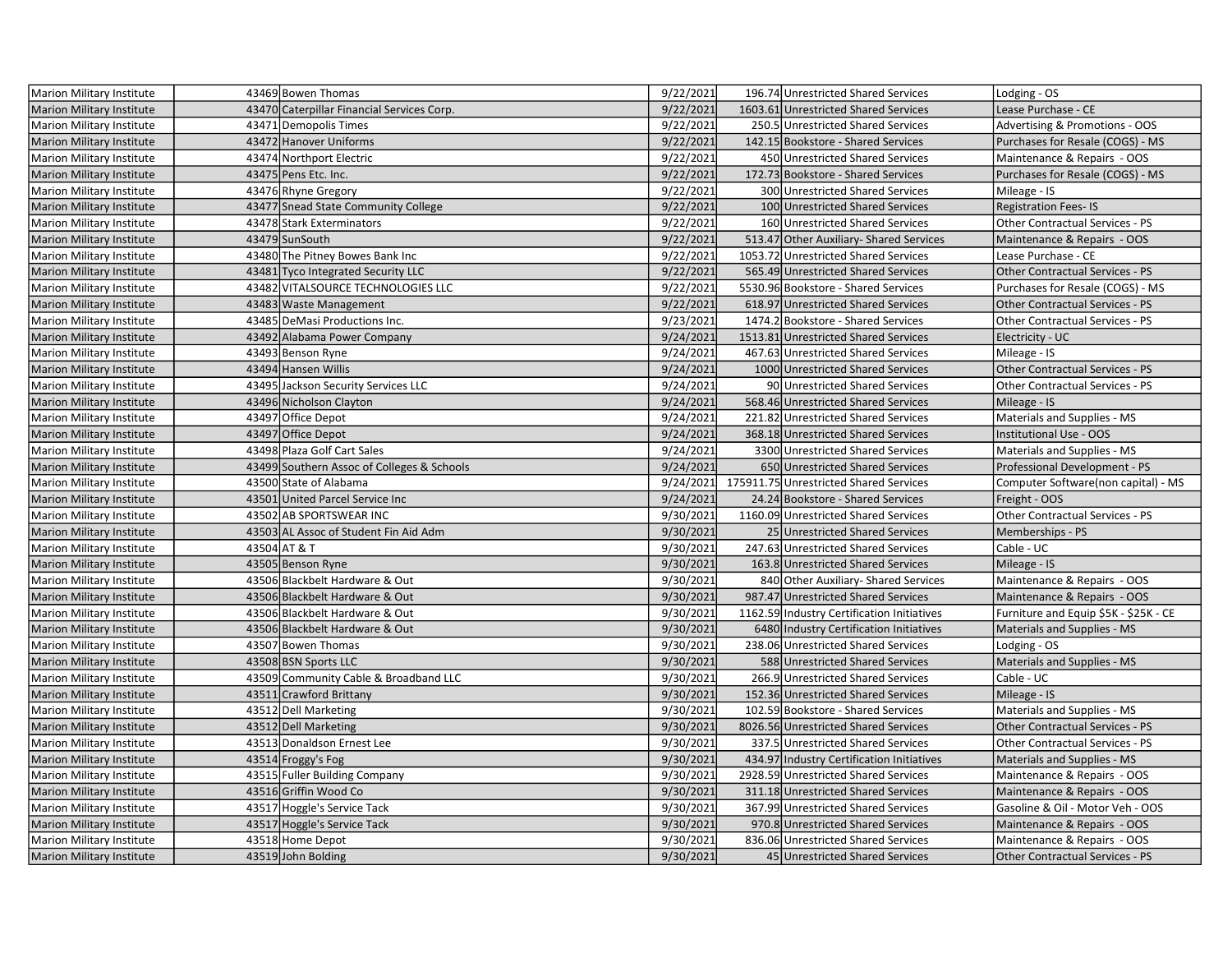| Marion Military Institute        | 43469 Bowen Thomas                         | 9/22/2021 | 196.74 Unrestricted Shared Services        | Lodging - OS                           |
|----------------------------------|--------------------------------------------|-----------|--------------------------------------------|----------------------------------------|
| <b>Marion Military Institute</b> | 43470 Caterpillar Financial Services Corp. | 9/22/2021 | 1603.61 Unrestricted Shared Services       | Lease Purchase - CE                    |
| <b>Marion Military Institute</b> | 43471 Demopolis Times                      | 9/22/2021 | 250.5 Unrestricted Shared Services         | Advertising & Promotions - OOS         |
| <b>Marion Military Institute</b> | 43472 Hanover Uniforms                     | 9/22/2021 | 142.15 Bookstore - Shared Services         | Purchases for Resale (COGS) - MS       |
| Marion Military Institute        | 43474 Northport Electric                   | 9/22/2021 | 450 Unrestricted Shared Services           | Maintenance & Repairs - OOS            |
| <b>Marion Military Institute</b> | 43475 Pens Etc. Inc.                       | 9/22/2021 | 172.73 Bookstore - Shared Services         | Purchases for Resale (COGS) - MS       |
| <b>Marion Military Institute</b> | 43476 Rhyne Gregory                        | 9/22/2021 | 300 Unrestricted Shared Services           | Mileage - IS                           |
| <b>Marion Military Institute</b> | 43477 Snead State Community College        | 9/22/2021 | 100 Unrestricted Shared Services           | <b>Registration Fees-IS</b>            |
| Marion Military Institute        | 43478 Stark Exterminators                  | 9/22/2021 | 160 Unrestricted Shared Services           | Other Contractual Services - PS        |
| <b>Marion Military Institute</b> | 43479 SunSouth                             | 9/22/2021 | 513.47 Other Auxiliary-Shared Services     | Maintenance & Repairs - OOS            |
| Marion Military Institute        | 43480 The Pitney Bowes Bank Inc            | 9/22/2021 | 1053.72 Unrestricted Shared Services       | Lease Purchase - CE                    |
| <b>Marion Military Institute</b> | 43481 Tyco Integrated Security LLC         | 9/22/2021 | 565.49 Unrestricted Shared Services        | Other Contractual Services - PS        |
| Marion Military Institute        | 43482 VITALSOURCE TECHNOLOGIES LLC         | 9/22/2021 | 5530.96 Bookstore - Shared Services        | Purchases for Resale (COGS) - MS       |
| <b>Marion Military Institute</b> | 43483 Waste Management                     | 9/22/2021 | 618.97 Unrestricted Shared Services        | Other Contractual Services - PS        |
| Marion Military Institute        | 43485 DeMasi Productions Inc.              | 9/23/2021 | 1474.2 Bookstore - Shared Services         | Other Contractual Services - PS        |
| <b>Marion Military Institute</b> | 43492 Alabama Power Company                | 9/24/2021 | 1513.81 Unrestricted Shared Services       | Electricity - UC                       |
| Marion Military Institute        | 43493 Benson Ryne                          | 9/24/2021 | 467.63 Unrestricted Shared Services        | Mileage - IS                           |
| <b>Marion Military Institute</b> | 43494 Hansen Willis                        | 9/24/2021 | 1000 Unrestricted Shared Services          | Other Contractual Services - PS        |
| Marion Military Institute        | 43495 Jackson Security Services LLC        | 9/24/2021 | 90 Unrestricted Shared Services            | Other Contractual Services - PS        |
| Marion Military Institute        | 43496 Nicholson Clayton                    | 9/24/2021 | 568.46 Unrestricted Shared Services        | Mileage - IS                           |
| Marion Military Institute        | 43497 Office Depot                         | 9/24/2021 | 221.82 Unrestricted Shared Services        | Materials and Supplies - MS            |
| <b>Marion Military Institute</b> | 43497 Office Depot                         | 9/24/2021 | 368.18 Unrestricted Shared Services        | Institutional Use - OOS                |
| Marion Military Institute        | 43498 Plaza Golf Cart Sales                | 9/24/2021 | 3300 Unrestricted Shared Services          | Materials and Supplies - MS            |
| <b>Marion Military Institute</b> | 43499 Southern Assoc of Colleges & Schools | 9/24/2021 | 650 Unrestricted Shared Services           | Professional Development - PS          |
| Marion Military Institute        | 43500 State of Alabama                     | 9/24/2021 | 175911.75 Unrestricted Shared Services     | Computer Software(non capital) - MS    |
| <b>Marion Military Institute</b> | 43501 United Parcel Service Inc            | 9/24/2021 | 24.24 Bookstore - Shared Services          | Freight - OOS                          |
| Marion Military Institute        | 43502 AB SPORTSWEAR INC                    | 9/30/2021 | 1160.09 Unrestricted Shared Services       | Other Contractual Services - PS        |
| <b>Marion Military Institute</b> | 43503 AL Assoc of Student Fin Aid Adm      | 9/30/2021 | 25 Unrestricted Shared Services            | Memberships - PS                       |
| Marion Military Institute        | 43504 AT & T                               | 9/30/2021 | 247.63 Unrestricted Shared Services        | Cable - UC                             |
| <b>Marion Military Institute</b> | 43505 Benson Ryne                          | 9/30/2021 | 163.8 Unrestricted Shared Services         | Mileage - IS                           |
| Marion Military Institute        | 43506 Blackbelt Hardware & Out             | 9/30/2021 | 840 Other Auxiliary- Shared Services       | Maintenance & Repairs - OOS            |
| <b>Marion Military Institute</b> | 43506 Blackbelt Hardware & Out             | 9/30/2021 | 987.47 Unrestricted Shared Services        | Maintenance & Repairs - OOS            |
| Marion Military Institute        | 43506 Blackbelt Hardware & Out             | 9/30/2021 | 1162.59 Industry Certification Initiatives | Furniture and Equip \$5K - \$25K - CE  |
| <b>Marion Military Institute</b> | 43506 Blackbelt Hardware & Out             | 9/30/2021 | 6480 Industry Certification Initiatives    | Materials and Supplies - MS            |
| <b>Marion Military Institute</b> | 43507 Bowen Thomas                         | 9/30/2021 | 238.06 Unrestricted Shared Services        | Lodging - OS                           |
| <b>Marion Military Institute</b> | 43508 BSN Sports LLC                       | 9/30/2021 | 588 Unrestricted Shared Services           | Materials and Supplies - MS            |
| Marion Military Institute        |                                            | 9/30/2021 |                                            |                                        |
|                                  | 43509 Community Cable & Broadband LLC      |           | 266.9 Unrestricted Shared Services         | Cable - UC                             |
| <b>Marion Military Institute</b> | 43511 Crawford Brittany                    | 9/30/2021 | 152.36 Unrestricted Shared Services        | Mileage - IS                           |
| Marion Military Institute        | 43512 Dell Marketing                       | 9/30/2021 | 102.59 Bookstore - Shared Services         | Materials and Supplies - MS            |
| <b>Marion Military Institute</b> | 43512 Dell Marketing                       | 9/30/2021 | 8026.56 Unrestricted Shared Services       | <b>Other Contractual Services - PS</b> |
| Marion Military Institute        | 43513 Donaldson Ernest Lee                 | 9/30/2021 | 337.5 Unrestricted Shared Services         | Other Contractual Services - PS        |
| <b>Marion Military Institute</b> | 43514 Froggy's Fog                         | 9/30/2021 | 434.97 Industry Certification Initiatives  | Materials and Supplies - MS            |
| Marion Military Institute        | 43515 Fuller Building Company              | 9/30/2021 | 2928.59 Unrestricted Shared Services       | Maintenance & Repairs - OOS            |
| <b>Marion Military Institute</b> | 43516 Griffin Wood Co                      | 9/30/2021 | 311.18 Unrestricted Shared Services        | Maintenance & Repairs - OOS            |
| Marion Military Institute        | 43517 Hoggle's Service Tack                | 9/30/2021 | 367.99 Unrestricted Shared Services        | Gasoline & Oil - Motor Veh - OOS       |
| <b>Marion Military Institute</b> | 43517 Hoggle's Service Tack                | 9/30/2021 | 970.8 Unrestricted Shared Services         | Maintenance & Repairs - OOS            |
| Marion Military Institute        | 43518 Home Depot                           | 9/30/2021 | 836.06 Unrestricted Shared Services        | Maintenance & Repairs - OOS            |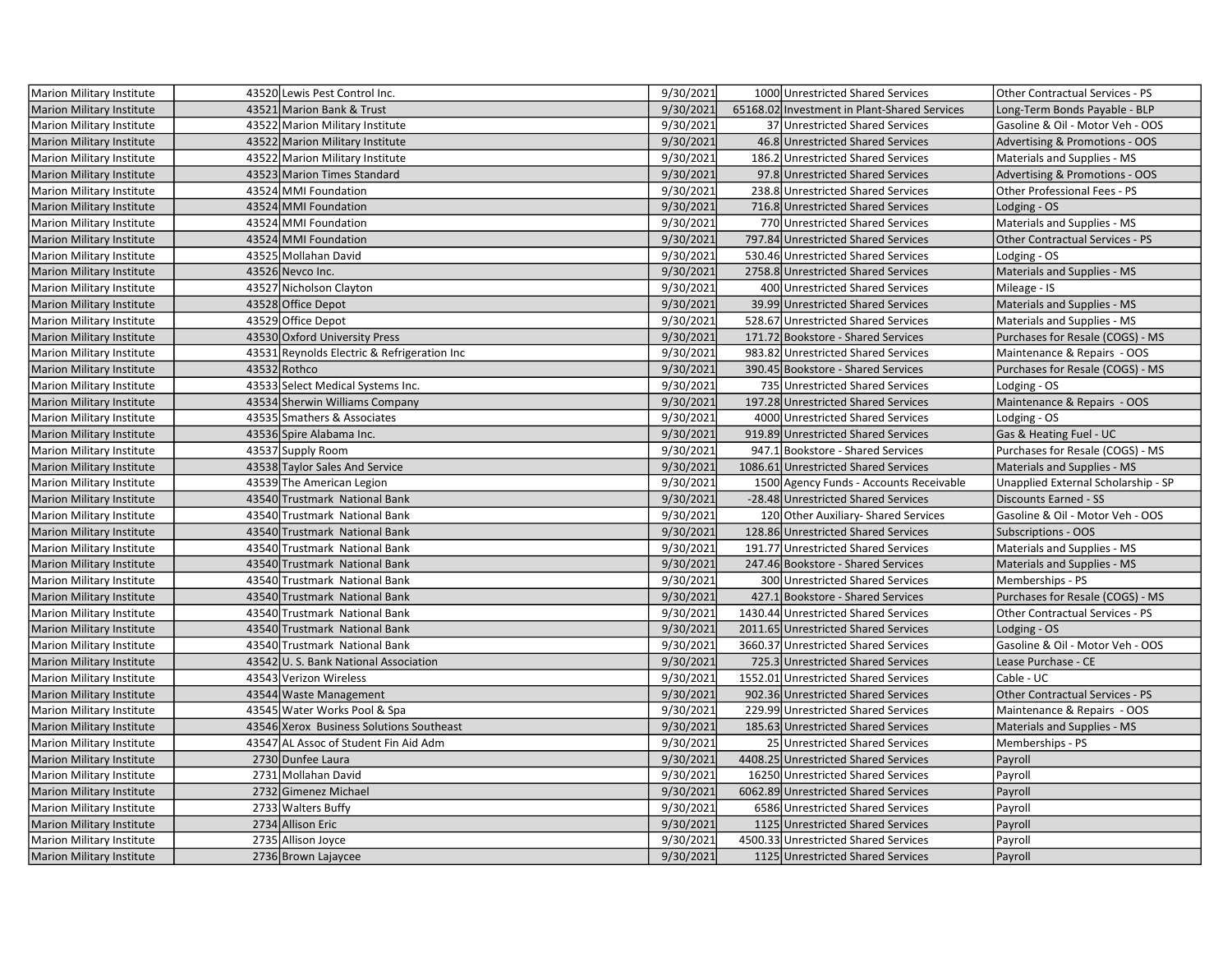| Marion Military Institute                                     | 43520 Lewis Pest Control Inc.               | 9/30/2021 | 1000 Unrestricted Shared Services            | Other Contractual Services - PS     |
|---------------------------------------------------------------|---------------------------------------------|-----------|----------------------------------------------|-------------------------------------|
| <b>Marion Military Institute</b>                              | 43521 Marion Bank & Trust                   | 9/30/2021 | 65168.02 Investment in Plant-Shared Services | Long-Term Bonds Payable - BLP       |
| Marion Military Institute                                     | 43522 Marion Military Institute             | 9/30/2021 | 37 Unrestricted Shared Services              | Gasoline & Oil - Motor Veh - OOS    |
| Marion Military Institute                                     | 43522 Marion Military Institute             | 9/30/2021 | 46.8 Unrestricted Shared Services            | Advertising & Promotions - OOS      |
| Marion Military Institute                                     | 43522 Marion Military Institute             | 9/30/2021 | 186.2 Unrestricted Shared Services           | Materials and Supplies - MS         |
| <b>Marion Military Institute</b>                              | 43523 Marion Times Standard                 | 9/30/2021 | 97.8 Unrestricted Shared Services            | Advertising & Promotions - OOS      |
| Marion Military Institute                                     | 43524 MMI Foundation                        | 9/30/2021 | 238.8 Unrestricted Shared Services           | Other Professional Fees - PS        |
| <b>Marion Military Institute</b>                              | 43524 MMI Foundation                        | 9/30/2021 | 716.8 Unrestricted Shared Services           | Lodging - OS                        |
| Marion Military Institute                                     | 43524 MMI Foundation                        | 9/30/2021 | 770 Unrestricted Shared Services             | Materials and Supplies - MS         |
| Marion Military Institute                                     | 43524 MMI Foundation                        | 9/30/2021 | 797.84 Unrestricted Shared Services          | Other Contractual Services - PS     |
| Marion Military Institute                                     | 43525 Mollahan David                        | 9/30/2021 | 530.46 Unrestricted Shared Services          | Lodging - OS                        |
| <b>Marion Military Institute</b>                              | 43526 Nevco Inc.                            | 9/30/2021 | 2758.8 Unrestricted Shared Services          | Materials and Supplies - MS         |
| Marion Military Institute                                     | 43527 Nicholson Clayton                     | 9/30/2021 | 400 Unrestricted Shared Services             | Mileage - IS                        |
| <b>Marion Military Institute</b>                              | 43528 Office Depot                          | 9/30/2021 | 39.99 Unrestricted Shared Services           | Materials and Supplies - MS         |
| Marion Military Institute                                     | 43529 Office Depot                          | 9/30/2021 | 528.67 Unrestricted Shared Services          | Materials and Supplies - MS         |
| <b>Marion Military Institute</b>                              | 43530 Oxford University Press               | 9/30/2021 | 171.72 Bookstore - Shared Services           | Purchases for Resale (COGS) - MS    |
| Marion Military Institute                                     | 43531 Reynolds Electric & Refrigeration Inc | 9/30/2021 | 983.82 Unrestricted Shared Services          | Maintenance & Repairs - OOS         |
| <b>Marion Military Institute</b>                              | 43532 Rothco                                | 9/30/2021 | 390.45 Bookstore - Shared Services           | Purchases for Resale (COGS) - MS    |
| Marion Military Institute                                     | 43533 Select Medical Systems Inc.           | 9/30/2021 | 735 Unrestricted Shared Services             | Lodging - OS                        |
| Marion Military Institute                                     | 43534 Sherwin Williams Company              | 9/30/2021 | 197.28 Unrestricted Shared Services          | Maintenance & Repairs - OOS         |
| Marion Military Institute                                     | 43535 Smathers & Associates                 | 9/30/2021 | 4000 Unrestricted Shared Services            | Lodging - OS                        |
| <b>Marion Military Institute</b>                              | 43536 Spire Alabama Inc.                    | 9/30/2021 | 919.89 Unrestricted Shared Services          | Gas & Heating Fuel - UC             |
| Marion Military Institute                                     | 43537 Supply Room                           | 9/30/2021 | 947.1 Bookstore - Shared Services            | Purchases for Resale (COGS) - MS    |
| Marion Military Institute                                     | 43538 Taylor Sales And Service              | 9/30/2021 | 1086.61 Unrestricted Shared Services         | Materials and Supplies - MS         |
| Marion Military Institute                                     | 43539 The American Legion                   | 9/30/2021 | 1500 Agency Funds - Accounts Receivable      | Unapplied External Scholarship - SP |
| <b>Marion Military Institute</b>                              | 43540 Trustmark National Bank               | 9/30/2021 | -28.48 Unrestricted Shared Services          | <b>Discounts Earned - SS</b>        |
| Marion Military Institute                                     | 43540 Trustmark National Bank               | 9/30/2021 | 120 Other Auxiliary- Shared Services         | Gasoline & Oil - Motor Veh - OOS    |
| <b>Marion Military Institute</b>                              | 43540 Trustmark National Bank               | 9/30/2021 | 128.86 Unrestricted Shared Services          | Subscriptions - OOS                 |
| Marion Military Institute                                     | 43540 Trustmark National Bank               | 9/30/2021 | 191.77 Unrestricted Shared Services          | Materials and Supplies - MS         |
| <b>Marion Military Institute</b>                              | 43540 Trustmark National Bank               |           |                                              |                                     |
|                                                               |                                             | 9/30/2021 | 247.46 Bookstore - Shared Services           | Materials and Supplies - MS         |
| Marion Military Institute                                     | 43540 Trustmark National Bank               | 9/30/2021 | 300 Unrestricted Shared Services             | Memberships - PS                    |
| <b>Marion Military Institute</b>                              | 43540 Trustmark National Bank               | 9/30/2021 | 427.1 Bookstore - Shared Services            | Purchases for Resale (COGS) - MS    |
| Marion Military Institute                                     | 43540 Trustmark National Bank               | 9/30/2021 | 1430.44 Unrestricted Shared Services         | Other Contractual Services - PS     |
| <b>Marion Military Institute</b>                              | 43540 Trustmark National Bank               | 9/30/2021 | 2011.65 Unrestricted Shared Services         | Lodging - OS                        |
| Marion Military Institute                                     | 43540 Trustmark National Bank               | 9/30/2021 | 3660.37 Unrestricted Shared Services         | Gasoline & Oil - Motor Veh - OOS    |
| <b>Marion Military Institute</b>                              | 43542 U.S. Bank National Association        | 9/30/2021 | 725.3 Unrestricted Shared Services           | Lease Purchase - CE                 |
| Marion Military Institute                                     | 43543 Verizon Wireless                      | 9/30/2021 | 1552.01 Unrestricted Shared Services         | Cable - UC                          |
| <b>Marion Military Institute</b>                              | 43544 Waste Management                      | 9/30/2021 | 902.36 Unrestricted Shared Services          | Other Contractual Services - PS     |
| Marion Military Institute                                     | 43545 Water Works Pool & Spa                | 9/30/2021 | 229.99 Unrestricted Shared Services          | Maintenance & Repairs - OOS         |
| Marion Military Institute                                     | 43546 Xerox Business Solutions Southeast    | 9/30/2021 | 185.63 Unrestricted Shared Services          | Materials and Supplies - MS         |
| Marion Military Institute                                     | 43547 AL Assoc of Student Fin Aid Adm       | 9/30/2021 | 25 Unrestricted Shared Services              | Memberships - PS                    |
| <b>Marion Military Institute</b>                              | 2730 Dunfee Laura                           | 9/30/2021 | 4408.25 Unrestricted Shared Services         | Payroll                             |
| Marion Military Institute                                     | 2731 Mollahan David                         | 9/30/2021 | 16250 Unrestricted Shared Services           | Payroll                             |
| <b>Marion Military Institute</b>                              | 2732 Gimenez Michael                        | 9/30/2021 | 6062.89 Unrestricted Shared Services         | Payroll                             |
| Marion Military Institute                                     | 2733 Walters Buffy                          | 9/30/2021 | 6586 Unrestricted Shared Services            | Payroll                             |
|                                                               | 2734 Allison Eric                           | 9/30/2021 | 1125 Unrestricted Shared Services            | Payroll                             |
| <b>Marion Military Institute</b><br>Marion Military Institute | 2735 Allison Joyce                          | 9/30/2021 | 4500.33 Unrestricted Shared Services         | Payroll                             |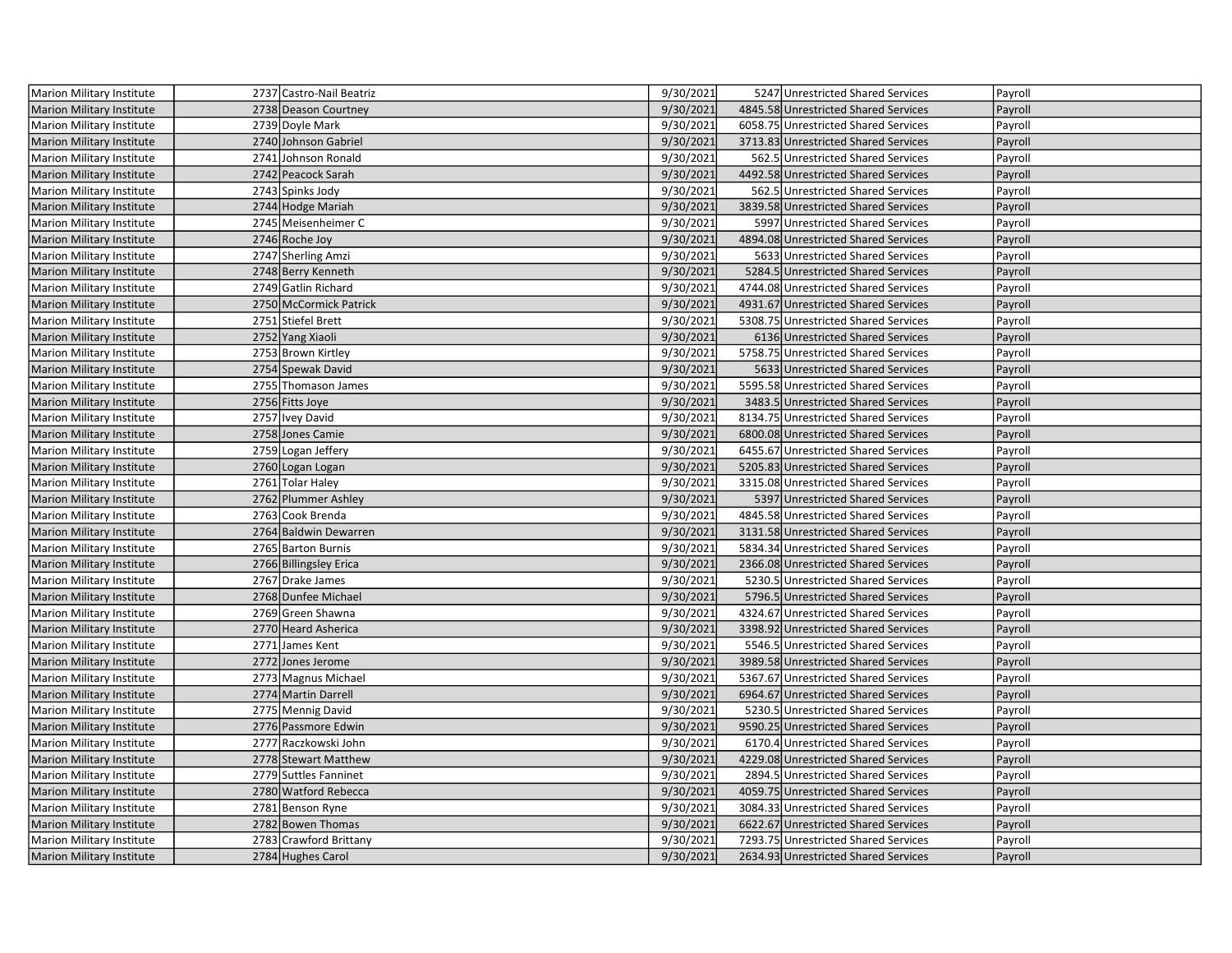| <b>Marion Military Institute</b> | 2737 Castro-Nail Beatriz | 9/30/2021 | 5247 Unrestricted Shared Services    | Payroll |
|----------------------------------|--------------------------|-----------|--------------------------------------|---------|
| <b>Marion Military Institute</b> | 2738 Deason Courtney     | 9/30/2021 | 4845.58 Unrestricted Shared Services | Payroll |
| Marion Military Institute        | 2739 Doyle Mark          | 9/30/2021 | 6058.75 Unrestricted Shared Services | Payroll |
| Marion Military Institute        | 2740 Johnson Gabriel     | 9/30/2021 | 3713.83 Unrestricted Shared Services | Payroll |
| Marion Military Institute        | 2741 Johnson Ronald      | 9/30/2021 | 562.5 Unrestricted Shared Services   | Payroll |
| Marion Military Institute        | 2742 Peacock Sarah       | 9/30/2021 | 4492.58 Unrestricted Shared Services | Payroll |
| Marion Military Institute        | 2743 Spinks Jody         | 9/30/2021 | 562.5 Unrestricted Shared Services   | Payroll |
| <b>Marion Military Institute</b> | 2744 Hodge Mariah        | 9/30/2021 | 3839.58 Unrestricted Shared Services | Payroll |
| Marion Military Institute        | 2745 Meisenheimer C      | 9/30/2021 | 5997 Unrestricted Shared Services    | Payroll |
| <b>Marion Military Institute</b> | 2746 Roche Joy           | 9/30/2021 | 4894.08 Unrestricted Shared Services | Payroll |
| Marion Military Institute        | 2747 Sherling Amzi       | 9/30/2021 | 5633 Unrestricted Shared Services    | Payroll |
| <b>Marion Military Institute</b> | 2748 Berry Kenneth       | 9/30/2021 | 5284.5 Unrestricted Shared Services  | Payroll |
| Marion Military Institute        | 2749 Gatlin Richard      | 9/30/2021 | 4744.08 Unrestricted Shared Services | Payroll |
| <b>Marion Military Institute</b> | 2750 McCormick Patrick   | 9/30/2021 | 4931.67 Unrestricted Shared Services | Payroll |
| Marion Military Institute        | 2751 Stiefel Brett       | 9/30/2021 | 5308.75 Unrestricted Shared Services | Payroll |
| Marion Military Institute        | 2752 Yang Xiaoli         | 9/30/2021 | 6136 Unrestricted Shared Services    | Payroll |
| <b>Marion Military Institute</b> | 2753 Brown Kirtley       | 9/30/2021 | 5758.75 Unrestricted Shared Services | Payroll |
| <b>Marion Military Institute</b> | 2754 Spewak David        | 9/30/2021 | 5633 Unrestricted Shared Services    | Payroll |
| <b>Marion Military Institute</b> | 2755 Thomason James      | 9/30/2021 | 5595.58 Unrestricted Shared Services | Payroll |
| <b>Marion Military Institute</b> | 2756 Fitts Joye          | 9/30/2021 | 3483.5 Unrestricted Shared Services  | Payroll |
| <b>Marion Military Institute</b> | 2757 Ivey David          | 9/30/2021 | 8134.75 Unrestricted Shared Services | Payroll |
| <b>Marion Military Institute</b> | 2758 Jones Camie         | 9/30/2021 | 6800.08 Unrestricted Shared Services | Payroll |
| Marion Military Institute        | 2759 Logan Jeffery       | 9/30/2021 | 6455.67 Unrestricted Shared Services | Payroll |
| <b>Marion Military Institute</b> | 2760 Logan Logan         | 9/30/2021 | 5205.83 Unrestricted Shared Services | Payroll |
| Marion Military Institute        | 2761 Tolar Haley         | 9/30/2021 | 3315.08 Unrestricted Shared Services | Payroll |
| <b>Marion Military Institute</b> | 2762 Plummer Ashley      | 9/30/2021 | 5397 Unrestricted Shared Services    | Payroll |
| <b>Marion Military Institute</b> | 2763 Cook Brenda         | 9/30/2021 | 4845.58 Unrestricted Shared Services | Payroll |
| Marion Military Institute        | 2764 Baldwin Dewarren    | 9/30/2021 | 3131.58 Unrestricted Shared Services | Payroll |
| Marion Military Institute        | 2765 Barton Burnis       | 9/30/2021 | 5834.34 Unrestricted Shared Services | Payroll |
| <b>Marion Military Institute</b> | 2766 Billingsley Erica   | 9/30/2021 | 2366.08 Unrestricted Shared Services | Payroll |
| Marion Military Institute        | 2767 Drake James         | 9/30/2021 | 5230.5 Unrestricted Shared Services  | Payroll |
| <b>Marion Military Institute</b> | 2768 Dunfee Michael      | 9/30/2021 | 5796.5 Unrestricted Shared Services  | Payroll |
| Marion Military Institute        | 2769 Green Shawna        | 9/30/2021 | 4324.67 Unrestricted Shared Services | Payroll |
| <b>Marion Military Institute</b> | 2770 Heard Asherica      | 9/30/2021 | 3398.92 Unrestricted Shared Services | Payroll |
| Marion Military Institute        | 2771 James Kent          | 9/30/2021 | 5546.5 Unrestricted Shared Services  | Payroll |
| <b>Marion Military Institute</b> | 2772 Jones Jerome        | 9/30/2021 | 3989.58 Unrestricted Shared Services | Payroll |
| Marion Military Institute        | 2773 Magnus Michael      | 9/30/2021 | 5367.67 Unrestricted Shared Services | Payroll |
| <b>Marion Military Institute</b> | 2774 Martin Darrell      | 9/30/2021 | 6964.67 Unrestricted Shared Services | Payroll |
| Marion Military Institute        | 2775 Mennig David        | 9/30/2021 | 5230.5 Unrestricted Shared Services  | Payroll |
| <b>Marion Military Institute</b> | 2776 Passmore Edwin      | 9/30/2021 | 9590.25 Unrestricted Shared Services | Payroll |
| Marion Military Institute        | 2777 Raczkowski John     | 9/30/2021 | 6170.4 Unrestricted Shared Services  | Payroll |
| <b>Marion Military Institute</b> | 2778 Stewart Matthew     | 9/30/2021 | 4229.08 Unrestricted Shared Services | Payroll |
| Marion Military Institute        | 2779 Suttles Fanninet    | 9/30/2021 | 2894.5 Unrestricted Shared Services  | Payroll |
| <b>Marion Military Institute</b> | 2780 Watford Rebecca     | 9/30/2021 | 4059.75 Unrestricted Shared Services | Payroll |
| Marion Military Institute        | 2781 Benson Ryne         | 9/30/2021 | 3084.33 Unrestricted Shared Services | Payroll |
| <b>Marion Military Institute</b> | 2782 Bowen Thomas        | 9/30/2021 | 6622.67 Unrestricted Shared Services | Payroll |
| Marion Military Institute        | 2783 Crawford Brittany   | 9/30/2021 | 7293.75 Unrestricted Shared Services | Payroll |
| Marion Military Institute        | 2784 Hughes Carol        | 9/30/2021 | 2634.93 Unrestricted Shared Services | Payroll |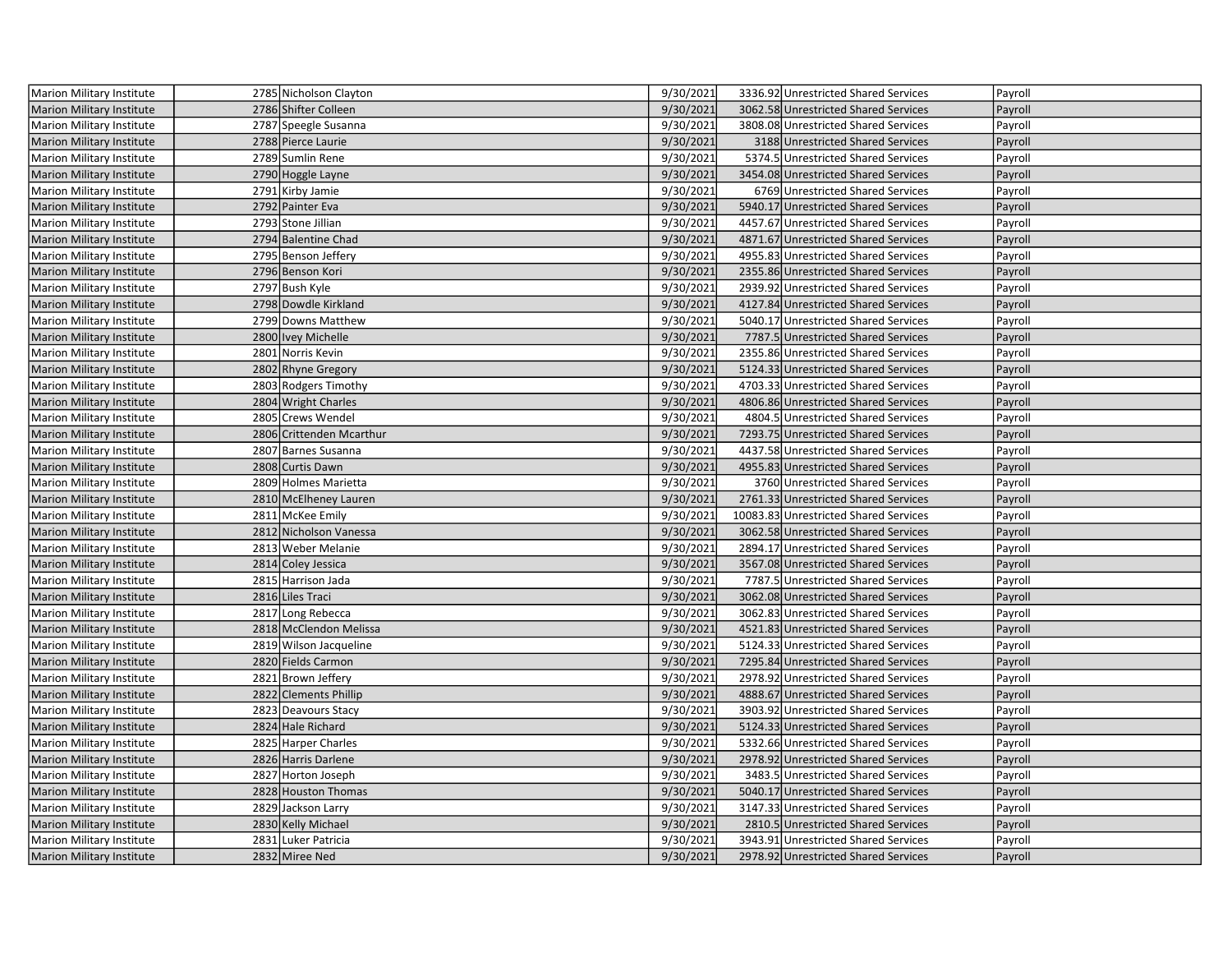| Marion Military Institute        | 2785 Nicholson Clayton   | 9/30/2021 | 3336.92 Unrestricted Shared Services  | Payroll |
|----------------------------------|--------------------------|-----------|---------------------------------------|---------|
| <b>Marion Military Institute</b> | 2786 Shifter Colleen     | 9/30/2021 | 3062.58 Unrestricted Shared Services  | Payroll |
| Marion Military Institute        | 2787 Speegle Susanna     | 9/30/2021 | 3808.08 Unrestricted Shared Services  | Payroll |
| Marion Military Institute        | 2788 Pierce Laurie       | 9/30/2021 | 3188 Unrestricted Shared Services     | Payroll |
| Marion Military Institute        | 2789 Sumlin Rene         | 9/30/2021 | 5374.5 Unrestricted Shared Services   | Payroll |
| <b>Marion Military Institute</b> | 2790 Hoggle Layne        | 9/30/2021 | 3454.08 Unrestricted Shared Services  | Payroll |
| Marion Military Institute        | 2791 Kirby Jamie         | 9/30/2021 | 6769 Unrestricted Shared Services     | Payroll |
| <b>Marion Military Institute</b> | 2792 Painter Eva         | 9/30/2021 | 5940.17 Unrestricted Shared Services  | Payroll |
| Marion Military Institute        | 2793 Stone Jillian       | 9/30/2021 | 4457.67 Unrestricted Shared Services  | Payroll |
| Marion Military Institute        | 2794 Balentine Chad      | 9/30/2021 | 4871.67 Unrestricted Shared Services  | Payroll |
| Marion Military Institute        | 2795 Benson Jeffery      | 9/30/2021 | 4955.83 Unrestricted Shared Services  | Payroll |
| <b>Marion Military Institute</b> | 2796 Benson Kori         | 9/30/2021 | 2355.86 Unrestricted Shared Services  | Payroll |
| Marion Military Institute        | 2797 Bush Kyle           | 9/30/2021 | 2939.92 Unrestricted Shared Services  | Payroll |
| <b>Marion Military Institute</b> | 2798 Dowdle Kirkland     | 9/30/2021 | 4127.84 Unrestricted Shared Services  | Payroll |
| Marion Military Institute        | 2799 Downs Matthew       | 9/30/2021 | 5040.17 Unrestricted Shared Services  | Payroll |
| Marion Military Institute        | 2800 Ivey Michelle       | 9/30/2021 | 7787.5 Unrestricted Shared Services   | Payroll |
| Marion Military Institute        | 2801 Norris Kevin        | 9/30/2021 | 2355.86 Unrestricted Shared Services  | Payroll |
| <b>Marion Military Institute</b> | 2802 Rhyne Gregory       | 9/30/2021 | 5124.33 Unrestricted Shared Services  | Payroll |
| Marion Military Institute        | 2803 Rodgers Timothy     | 9/30/2021 | 4703.33 Unrestricted Shared Services  | Payroll |
| <b>Marion Military Institute</b> | 2804 Wright Charles      | 9/30/2021 | 4806.86 Unrestricted Shared Services  | Payroll |
| Marion Military Institute        | 2805 Crews Wendel        | 9/30/2021 | 4804.5 Unrestricted Shared Services   | Payroll |
| Marion Military Institute        | 2806 Crittenden Mcarthur | 9/30/2021 | 7293.75 Unrestricted Shared Services  | Payroll |
| Marion Military Institute        | 2807 Barnes Susanna      | 9/30/2021 | 4437.58 Unrestricted Shared Services  | Payroll |
| <b>Marion Military Institute</b> | 2808 Curtis Dawn         | 9/30/2021 | 4955.83 Unrestricted Shared Services  | Payroll |
| Marion Military Institute        | 2809 Holmes Marietta     | 9/30/2021 | 3760 Unrestricted Shared Services     | Payroll |
| Marion Military Institute        | 2810 McElheney Lauren    | 9/30/2021 | 2761.33 Unrestricted Shared Services  | Payroll |
| Marion Military Institute        | 2811 McKee Emily         | 9/30/2021 | 10083.83 Unrestricted Shared Services | Payroll |
| Marion Military Institute        | 2812 Nicholson Vanessa   | 9/30/2021 | 3062.58 Unrestricted Shared Services  | Payroll |
| Marion Military Institute        | 2813 Weber Melanie       | 9/30/2021 | 2894.17 Unrestricted Shared Services  | Payroll |
| <b>Marion Military Institute</b> | 2814 Coley Jessica       | 9/30/2021 | 3567.08 Unrestricted Shared Services  | Payroll |
| Marion Military Institute        | 2815 Harrison Jada       | 9/30/2021 | 7787.5 Unrestricted Shared Services   | Payroll |
| <b>Marion Military Institute</b> | 2816 Liles Traci         | 9/30/2021 | 3062.08 Unrestricted Shared Services  | Payroll |
| Marion Military Institute        | 2817 Long Rebecca        | 9/30/2021 | 3062.83 Unrestricted Shared Services  | Payroll |
| <b>Marion Military Institute</b> | 2818 McClendon Melissa   | 9/30/2021 | 4521.83 Unrestricted Shared Services  | Payroll |
| Marion Military Institute        | 2819 Wilson Jacqueline   | 9/30/2021 | 5124.33 Unrestricted Shared Services  | Payroll |
| <b>Marion Military Institute</b> | 2820 Fields Carmon       | 9/30/2021 | 7295.84 Unrestricted Shared Services  | Payroll |
| Marion Military Institute        | 2821 Brown Jeffery       | 9/30/2021 | 2978.92 Unrestricted Shared Services  | Payroll |
| <b>Marion Military Institute</b> | 2822 Clements Phillip    | 9/30/2021 | 4888.67 Unrestricted Shared Services  | Payroll |
| Marion Military Institute        | 2823 Deavours Stacy      | 9/30/2021 | 3903.92 Unrestricted Shared Services  | Payroll |
| <b>Marion Military Institute</b> | 2824 Hale Richard        | 9/30/2021 | 5124.33 Unrestricted Shared Services  | Payroll |
| Marion Military Institute        | 2825 Harper Charles      | 9/30/2021 | 5332.66 Unrestricted Shared Services  | Payroll |
| <b>Marion Military Institute</b> | 2826 Harris Darlene      | 9/30/2021 | 2978.92 Unrestricted Shared Services  | Payroll |
| Marion Military Institute        | 2827 Horton Joseph       | 9/30/2021 | 3483.5 Unrestricted Shared Services   | Payroll |
| <b>Marion Military Institute</b> | 2828 Houston Thomas      | 9/30/2021 | 5040.17 Unrestricted Shared Services  | Payroll |
| Marion Military Institute        | 2829 Jackson Larry       | 9/30/2021 | 3147.33 Unrestricted Shared Services  | Payroll |
| <b>Marion Military Institute</b> | 2830 Kelly Michael       | 9/30/2021 | 2810.5 Unrestricted Shared Services   | Payroll |
| Marion Military Institute        | 2831 Luker Patricia      | 9/30/2021 | 3943.91 Unrestricted Shared Services  | Payroll |
| <b>Marion Military Institute</b> | 2832 Miree Ned           | 9/30/2021 | 2978.92 Unrestricted Shared Services  | Payroll |